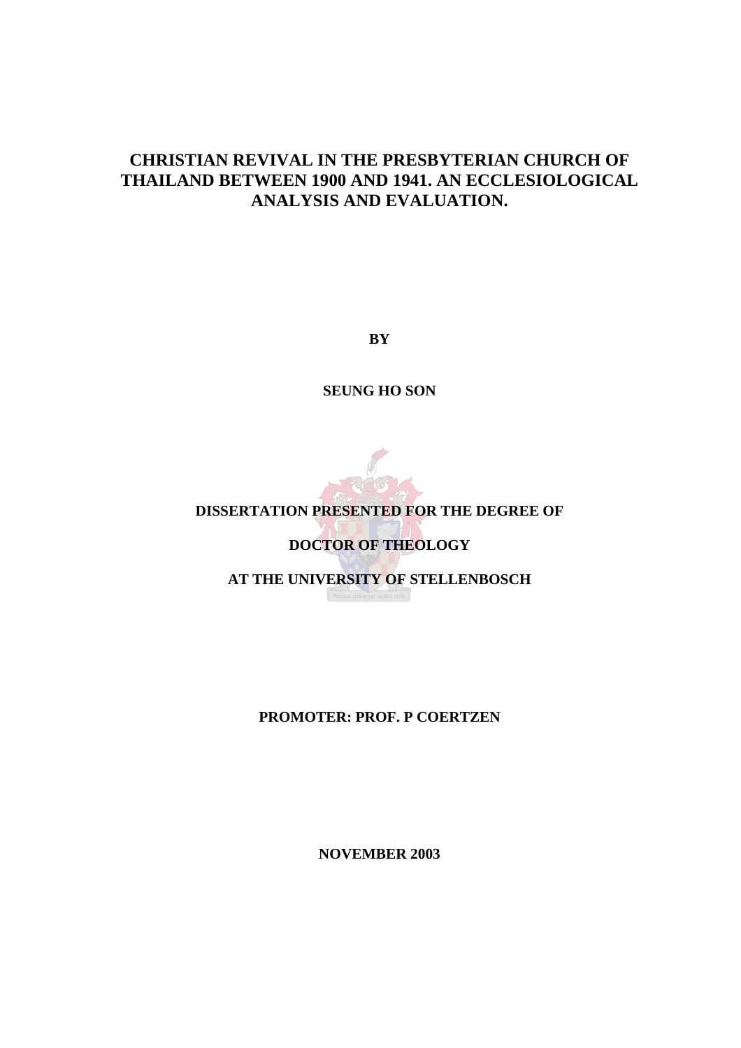# **CHRISTIAN REVIVAL IN THE PRESBYTERIAN CHURCH OF THAILAND BETWEEN 1900 AND 1941. AN ECCLESIOLOGICAL ANALYSIS AND EVALUATION.**

**BY** 

**SEUNG HO SON** 



### **DISSERTATION PRESENTED FOR THE DEGREE OF**

### **DOCTOR OF THEOLOGY**

**AT THE UNIVERSITY OF STELLENBOSCH** 

**PROMOTER: PROF. P COERTZEN** 

**NOVEMBER 2003**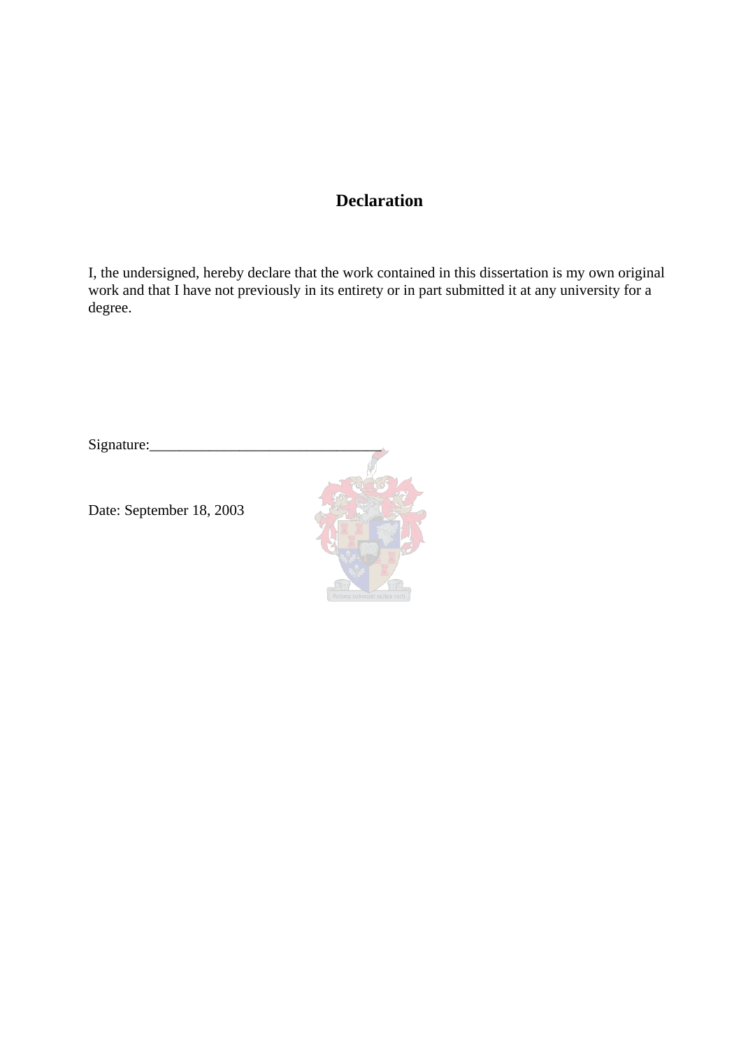## **Declaration**

I, the undersigned, hereby declare that the work contained in this dissertation is my own original work and that I have not previously in its entirety or in part submitted it at any university for a degree.

Signature:

Date: September 18, 2003

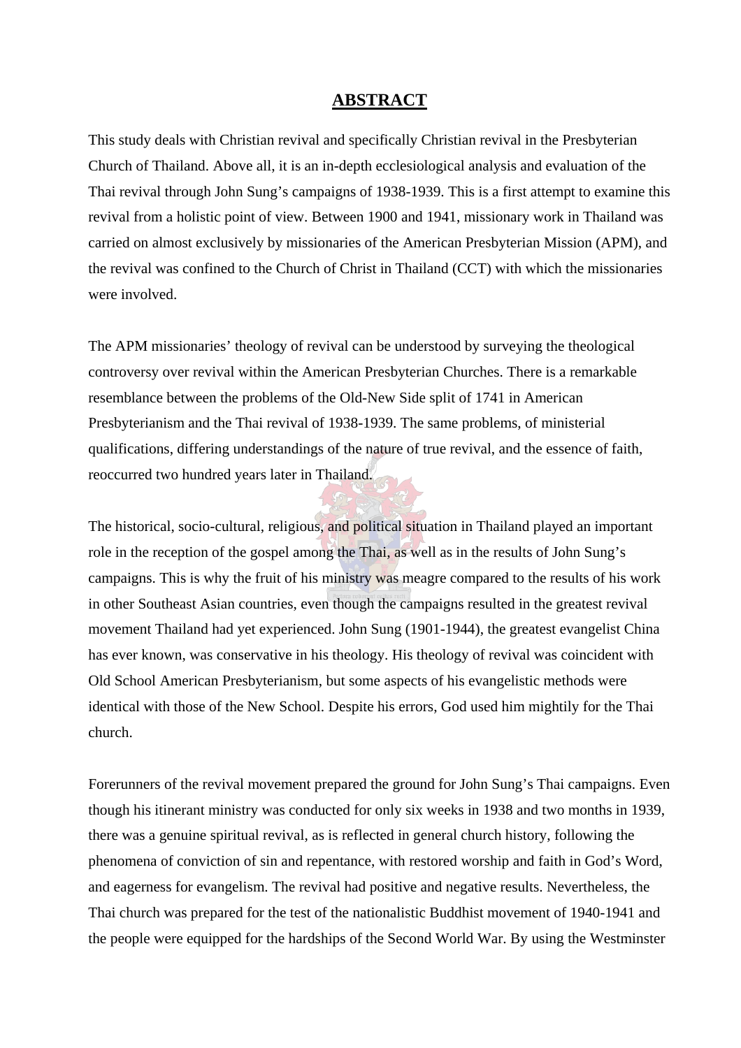### **ABSTRACT**

This study deals with Christian revival and specifically Christian revival in the Presbyterian Church of Thailand. Above all, it is an in-depth ecclesiological analysis and evaluation of the Thai revival through John Sung's campaigns of 1938-1939. This is a first attempt to examine this revival from a holistic point of view. Between 1900 and 1941, missionary work in Thailand was carried on almost exclusively by missionaries of the American Presbyterian Mission (APM), and the revival was confined to the Church of Christ in Thailand (CCT) with which the missionaries were involved.

The APM missionaries' theology of revival can be understood by surveying the theological controversy over revival within the American Presbyterian Churches. There is a remarkable resemblance between the problems of the Old-New Side split of 1741 in American Presbyterianism and the Thai revival of 1938-1939. The same problems, of ministerial qualifications, differing understandings of the nature of true revival, and the essence of faith, reoccurred two hundred years later in Thailand.

The historical, socio-cultural, religious, and political situation in Thailand played an important role in the reception of the gospel among the Thai, as well as in the results of John Sung's campaigns. This is why the fruit of his ministry was meagre compared to the results of his work in other Southeast Asian countries, even though the campaigns resulted in the greatest revival movement Thailand had yet experienced. John Sung (1901-1944), the greatest evangelist China has ever known, was conservative in his theology. His theology of revival was coincident with Old School American Presbyterianism, but some aspects of his evangelistic methods were identical with those of the New School. Despite his errors, God used him mightily for the Thai church.

Forerunners of the revival movement prepared the ground for John Sung's Thai campaigns. Even though his itinerant ministry was conducted for only six weeks in 1938 and two months in 1939, there was a genuine spiritual revival, as is reflected in general church history, following the phenomena of conviction of sin and repentance, with restored worship and faith in God's Word, and eagerness for evangelism. The revival had positive and negative results. Nevertheless, the Thai church was prepared for the test of the nationalistic Buddhist movement of 1940-1941 and the people were equipped for the hardships of the Second World War. By using the Westminster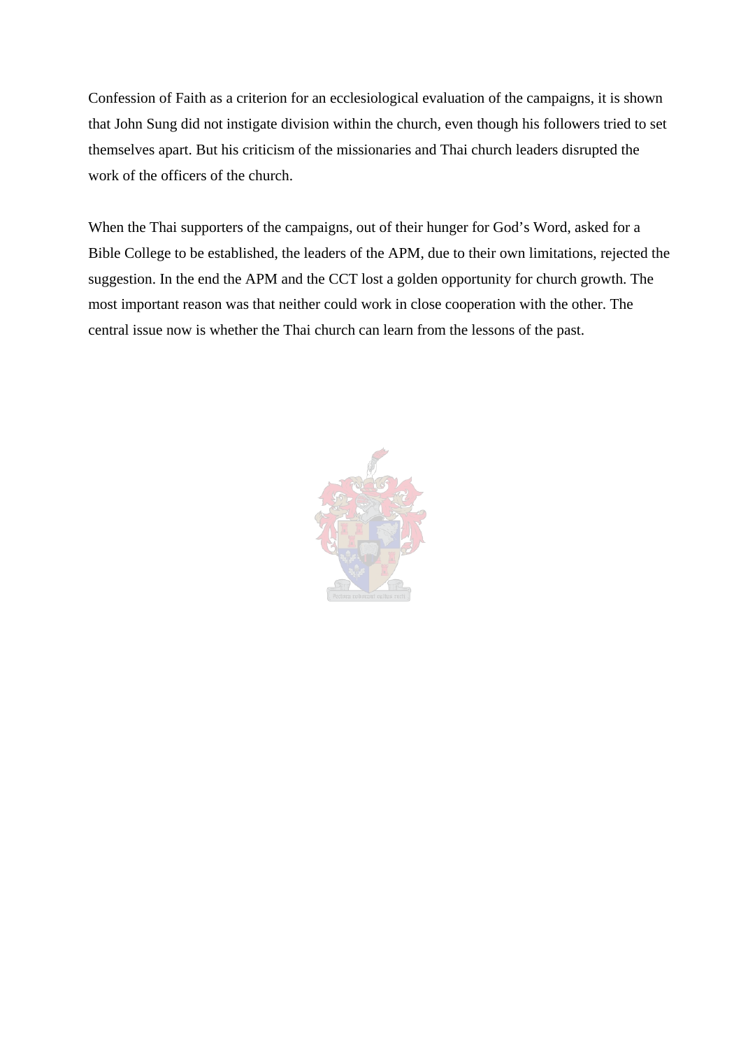Confession of Faith as a criterion for an ecclesiological evaluation of the campaigns, it is shown that John Sung did not instigate division within the church, even though his followers tried to set themselves apart. But his criticism of the missionaries and Thai church leaders disrupted the work of the officers of the church.

When the Thai supporters of the campaigns, out of their hunger for God's Word, asked for a Bible College to be established, the leaders of the APM, due to their own limitations, rejected the suggestion. In the end the APM and the CCT lost a golden opportunity for church growth. The most important reason was that neither could work in close cooperation with the other. The central issue now is whether the Thai church can learn from the lessons of the past.

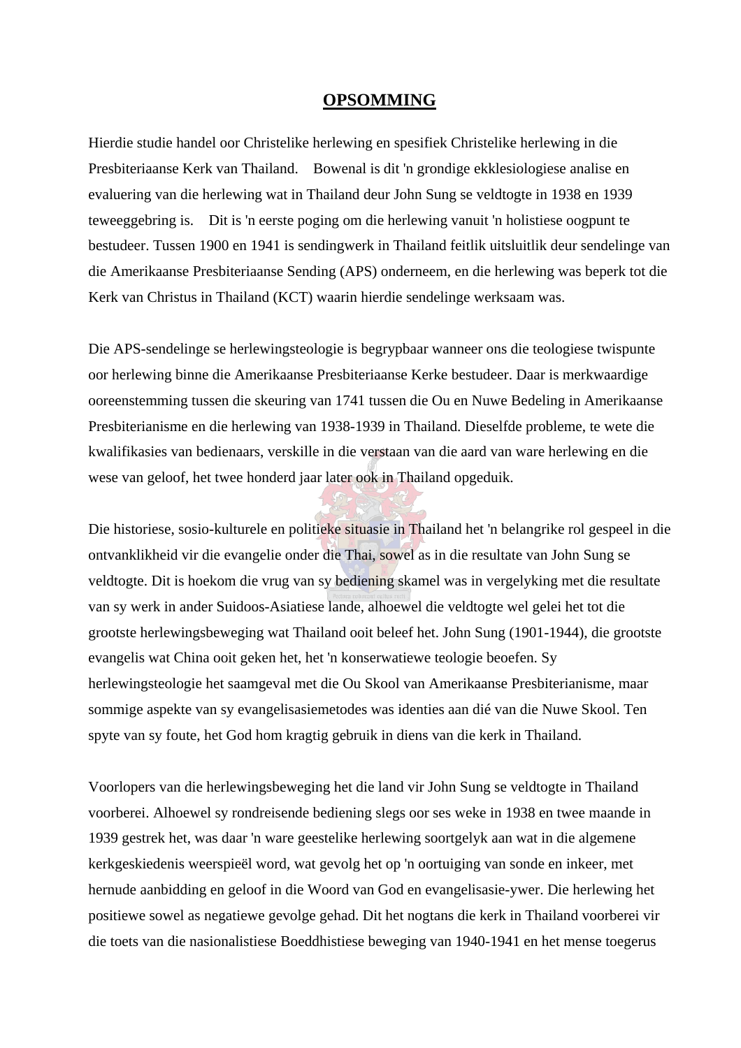#### **OPSOMMING**

Hierdie studie handel oor Christelike herlewing en spesifiek Christelike herlewing in die Presbiteriaanse Kerk van Thailand. Bowenal is dit 'n grondige ekklesiologiese analise en evaluering van die herlewing wat in Thailand deur John Sung se veldtogte in 1938 en 1939 teweeggebring is. Dit is 'n eerste poging om die herlewing vanuit 'n holistiese oogpunt te bestudeer. Tussen 1900 en 1941 is sendingwerk in Thailand feitlik uitsluitlik deur sendelinge van die Amerikaanse Presbiteriaanse Sending (APS) onderneem, en die herlewing was beperk tot die Kerk van Christus in Thailand (KCT) waarin hierdie sendelinge werksaam was.

Die APS-sendelinge se herlewingsteologie is begrypbaar wanneer ons die teologiese twispunte oor herlewing binne die Amerikaanse Presbiteriaanse Kerke bestudeer. Daar is merkwaardige ooreenstemming tussen die skeuring van 1741 tussen die Ou en Nuwe Bedeling in Amerikaanse Presbiterianisme en die herlewing van 1938-1939 in Thailand. Dieselfde probleme, te wete die kwalifikasies van bedienaars, verskille in die verstaan van die aard van ware herlewing en die wese van geloof, het twee honderd jaar later ook in Thailand opgeduik.

Die historiese, sosio-kulturele en politieke situasie in Thailand het 'n belangrike rol gespeel in die ontvanklikheid vir die evangelie onder die Thai, sowel as in die resultate van John Sung se veldtogte. Dit is hoekom die vrug van sy bediening skamel was in vergelyking met die resultate van sy werk in ander Suidoos-Asiatiese lande, alhoewel die veldtogte wel gelei het tot die grootste herlewingsbeweging wat Thailand ooit beleef het. John Sung (1901-1944), die grootste evangelis wat China ooit geken het, het 'n konserwatiewe teologie beoefen. Sy herlewingsteologie het saamgeval met die Ou Skool van Amerikaanse Presbiterianisme, maar sommige aspekte van sy evangelisasiemetodes was identies aan dié van die Nuwe Skool. Ten spyte van sy foute, het God hom kragtig gebruik in diens van die kerk in Thailand.

Voorlopers van die herlewingsbeweging het die land vir John Sung se veldtogte in Thailand voorberei. Alhoewel sy rondreisende bediening slegs oor ses weke in 1938 en twee maande in 1939 gestrek het, was daar 'n ware geestelike herlewing soortgelyk aan wat in die algemene kerkgeskiedenis weerspieël word, wat gevolg het op 'n oortuiging van sonde en inkeer, met hernude aanbidding en geloof in die Woord van God en evangelisasie-ywer. Die herlewing het positiewe sowel as negatiewe gevolge gehad. Dit het nogtans die kerk in Thailand voorberei vir die toets van die nasionalistiese Boeddhistiese beweging van 1940-1941 en het mense toegerus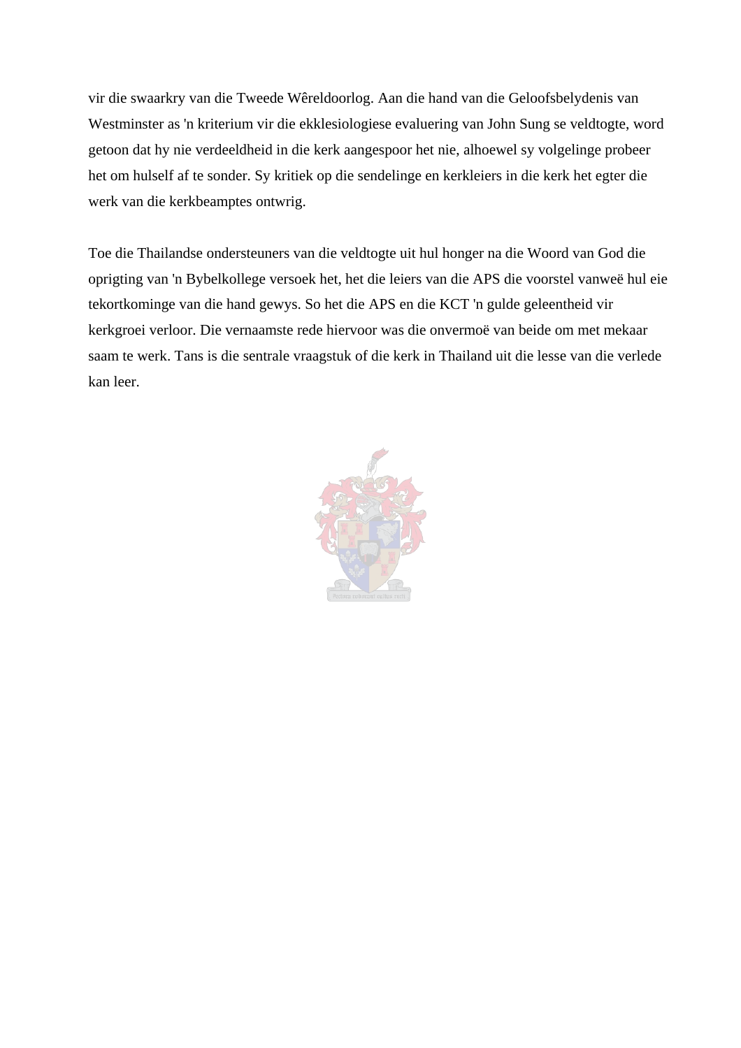vir die swaarkry van die Tweede Wêreldoorlog. Aan die hand van die Geloofsbelydenis van Westminster as 'n kriterium vir die ekklesiologiese evaluering van John Sung se veldtogte, word getoon dat hy nie verdeeldheid in die kerk aangespoor het nie, alhoewel sy volgelinge probeer het om hulself af te sonder. Sy kritiek op die sendelinge en kerkleiers in die kerk het egter die werk van die kerkbeamptes ontwrig.

Toe die Thailandse ondersteuners van die veldtogte uit hul honger na die Woord van God die oprigting van 'n Bybelkollege versoek het, het die leiers van die APS die voorstel vanweë hul eie tekortkominge van die hand gewys. So het die APS en die KCT 'n gulde geleentheid vir kerkgroei verloor. Die vernaamste rede hiervoor was die onvermoë van beide om met mekaar saam te werk. Tans is die sentrale vraagstuk of die kerk in Thailand uit die lesse van die verlede kan leer.

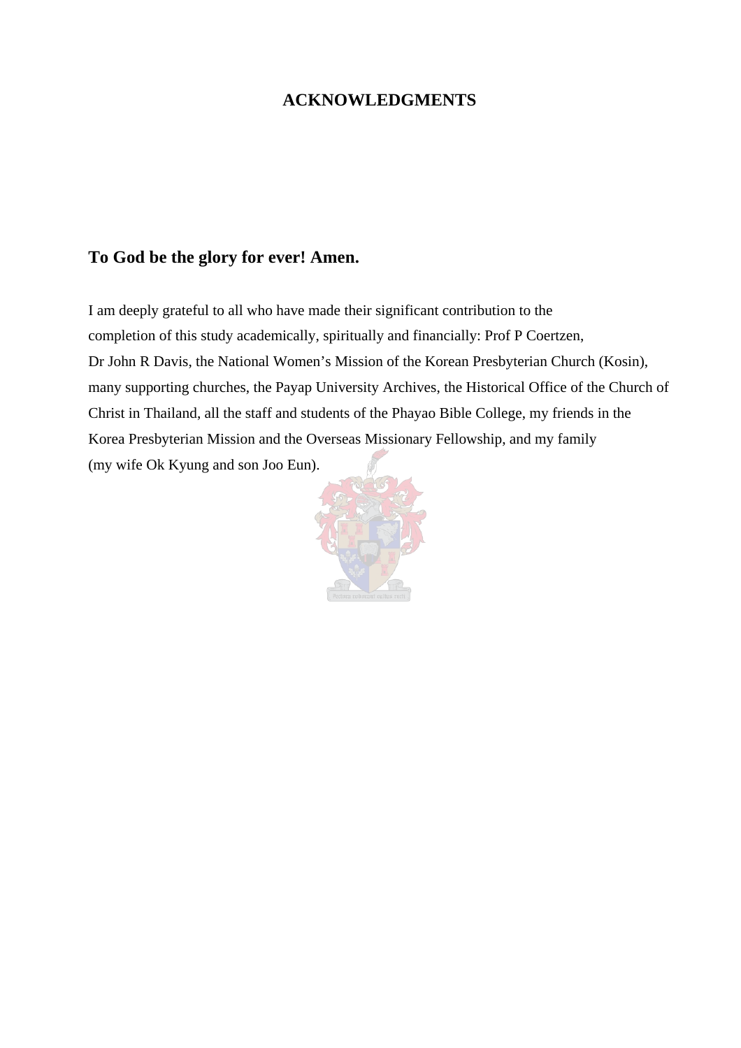### **ACKNOWLEDGMENTS**

## **To God be the glory for ever! Amen.**

I am deeply grateful to all who have made their significant contribution to the completion of this study academically, spiritually and financially: Prof P Coertzen, Dr John R Davis, the National Women's Mission of the Korean Presbyterian Church (Kosin), many supporting churches, the Payap University Archives, the Historical Office of the Church of Christ in Thailand, all the staff and students of the Phayao Bible College, my friends in the Korea Presbyterian Mission and the Overseas Missionary Fellowship, and my family (my wife Ok Kyung and son Joo Eun).

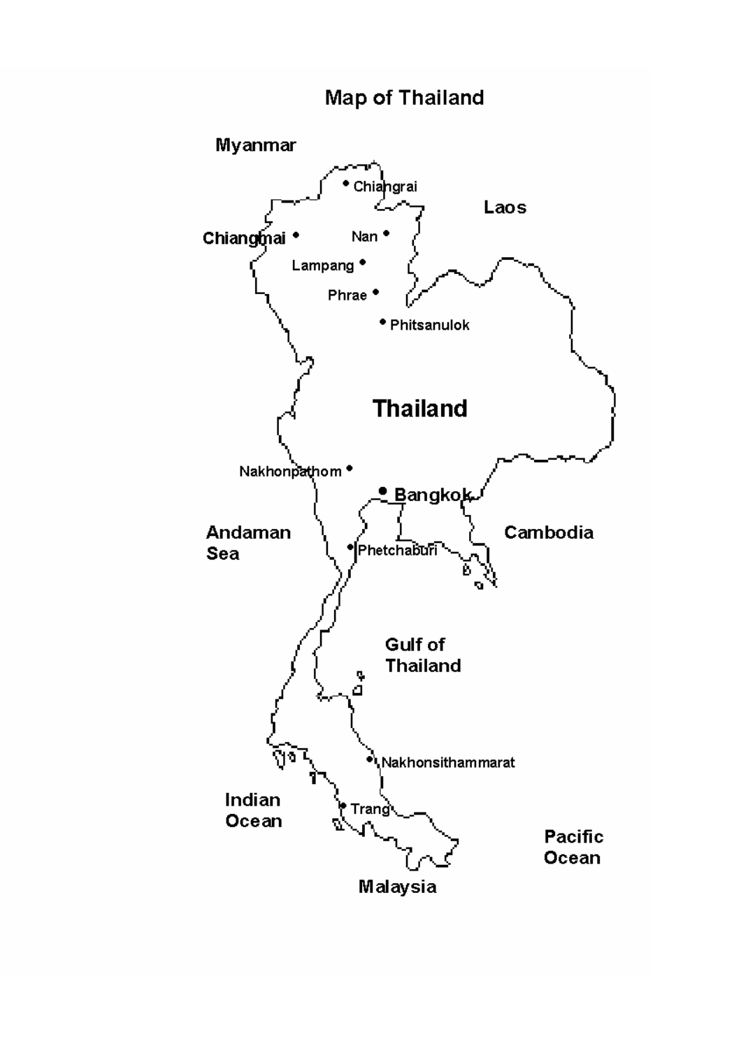# **Map of Thailand**

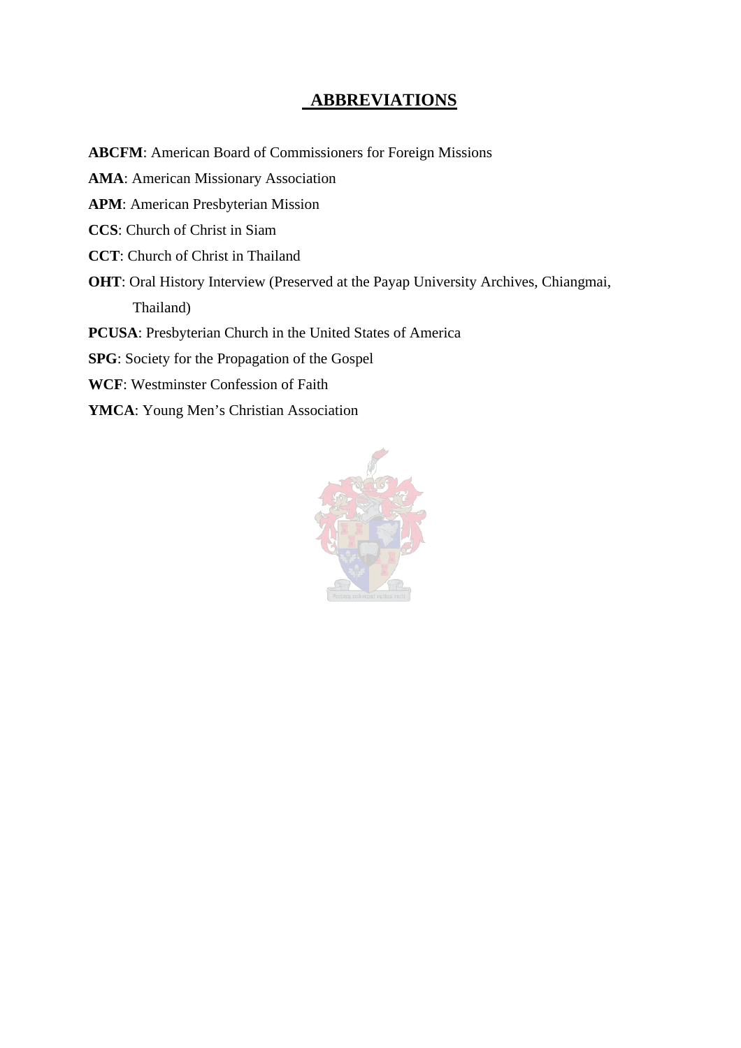## **ABBREVIATIONS**

**ABCFM**: American Board of Commissioners for Foreign Missions **AMA**: American Missionary Association **APM**: American Presbyterian Mission **CCS**: Church of Christ in Siam **CCT**: Church of Christ in Thailand **OHT**: Oral History Interview (Preserved at the Payap University Archives, Chiangmai, Thailand) **PCUSA**: Presbyterian Church in the United States of America **SPG**: Society for the Propagation of the Gospel **WCF**: Westminster Confession of Faith **YMCA**: Young Men's Christian Association

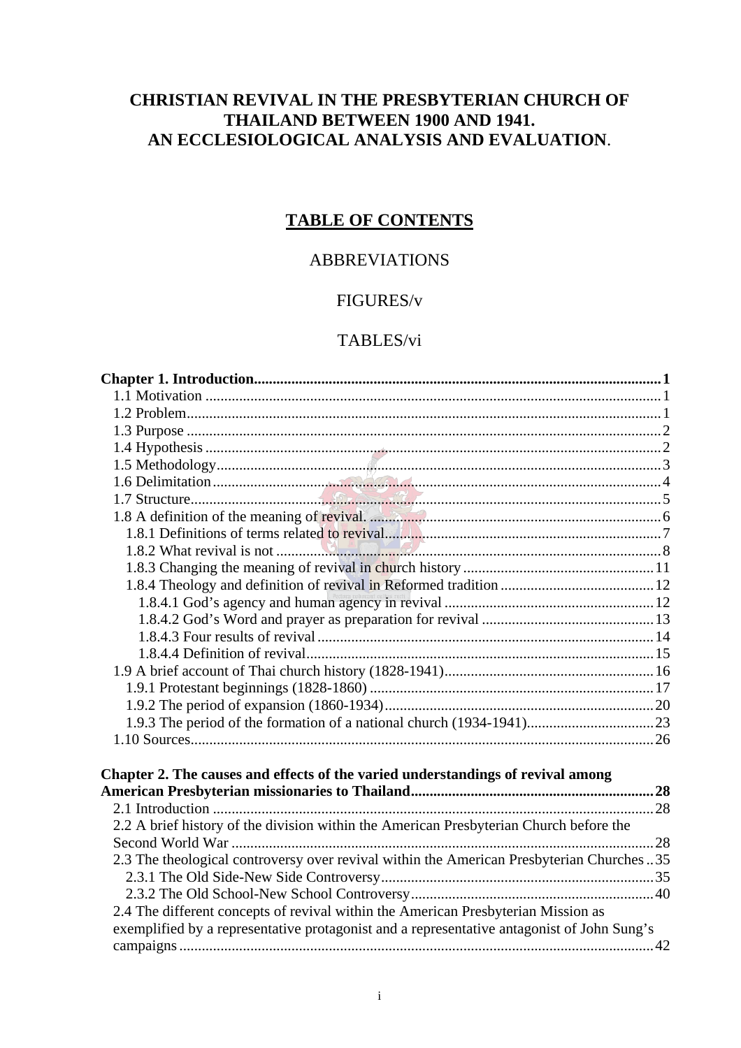# **CHRISTIAN REVIVAL IN THE PRESBYTERIAN CHURCH OF THAILAND BETWEEN 1900 AND 1941. AN ECCLESIOLOGICAL ANALYSIS AND EVALUATION**.

# **TABLE OF CONTENTS**

### ABBREVIATIONS

### FIGURES/v

### TABLES/vi

| Chapter 2. The causes and effects of the varied understandings of revival among            |  |
|--------------------------------------------------------------------------------------------|--|
|                                                                                            |  |
| 2.2 A brief history of the division within the American Presbyterian Church before the     |  |
|                                                                                            |  |
| 2.3 The theological controversy over revival within the American Presbyterian Churches 35  |  |
|                                                                                            |  |
|                                                                                            |  |
| 2.4 The different concepts of revival within the American Presbyterian Mission as          |  |
| exemplified by a representative protagonist and a representative antagonist of John Sung's |  |
|                                                                                            |  |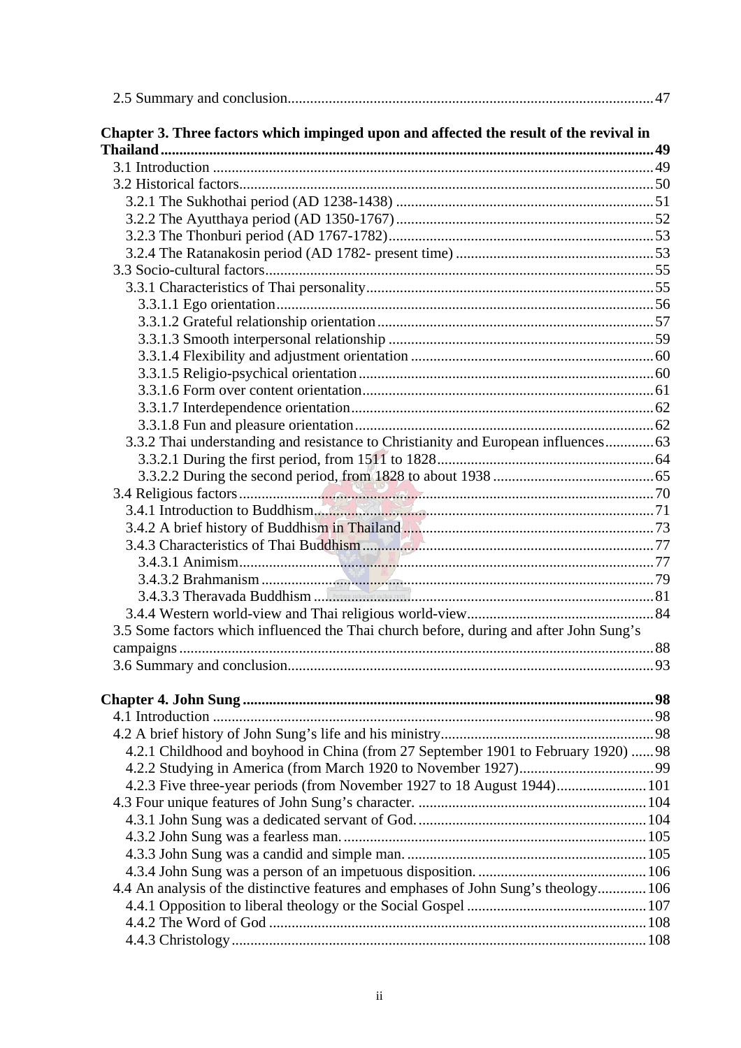| Chapter 3. Three factors which impinged upon and affected the result of the revival in |    |
|----------------------------------------------------------------------------------------|----|
|                                                                                        |    |
|                                                                                        |    |
|                                                                                        |    |
|                                                                                        |    |
|                                                                                        |    |
|                                                                                        |    |
|                                                                                        |    |
|                                                                                        |    |
|                                                                                        |    |
|                                                                                        |    |
|                                                                                        |    |
|                                                                                        |    |
|                                                                                        |    |
|                                                                                        |    |
|                                                                                        |    |
|                                                                                        |    |
|                                                                                        |    |
| 3.3.2 Thai understanding and resistance to Christianity and European influences        |    |
|                                                                                        |    |
|                                                                                        |    |
|                                                                                        |    |
| 3.4.1 Introduction to Buddhism                                                         |    |
|                                                                                        |    |
|                                                                                        |    |
|                                                                                        |    |
|                                                                                        |    |
|                                                                                        |    |
|                                                                                        |    |
| 3.5 Some factors which influenced the Thai church before, during and after John Sung's |    |
|                                                                                        | 88 |
|                                                                                        |    |
|                                                                                        |    |
|                                                                                        |    |
|                                                                                        |    |
|                                                                                        |    |
| 4.2.1 Childhood and boyhood in China (from 27 September 1901 to February 1920)  98     |    |
|                                                                                        |    |
| 4.2.3 Five three-year periods (from November 1927 to 18 August 1944) 101               |    |
|                                                                                        |    |
|                                                                                        |    |
|                                                                                        |    |
|                                                                                        |    |
|                                                                                        |    |
| 4.4 An analysis of the distinctive features and emphases of John Sung's theology 106   |    |
|                                                                                        |    |
|                                                                                        |    |
|                                                                                        |    |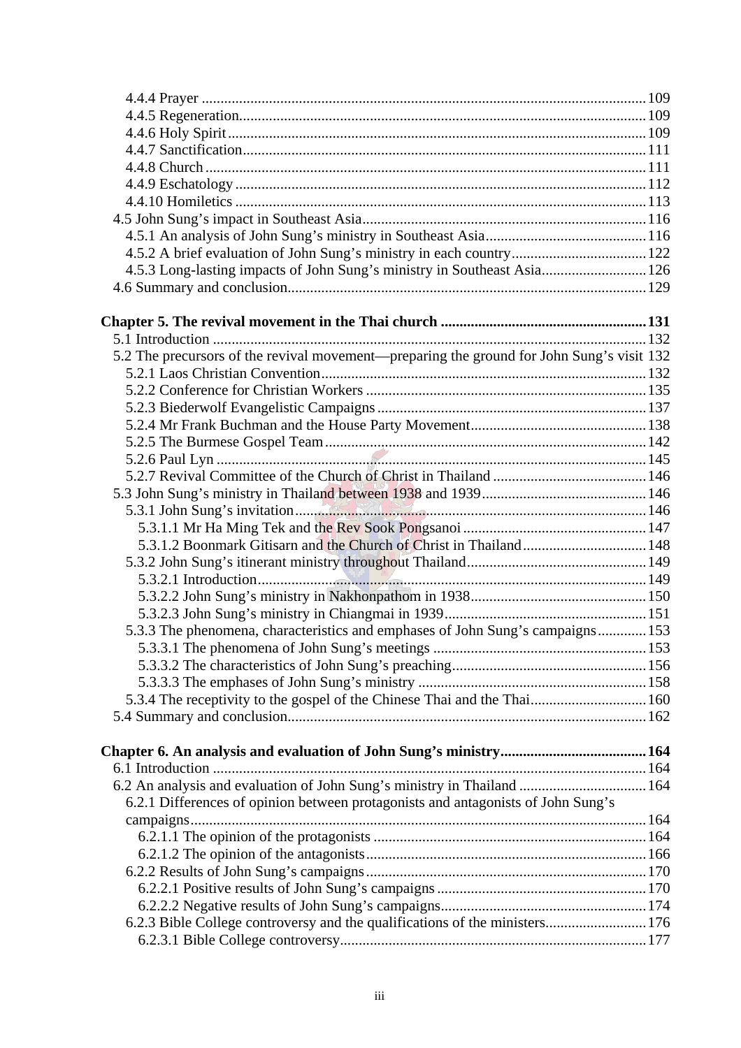| 4.5.2 A brief evaluation of John Sung's ministry in each country 122                      |  |
|-------------------------------------------------------------------------------------------|--|
| 4.5.3 Long-lasting impacts of John Sung's ministry in Southeast Asia 126                  |  |
|                                                                                           |  |
|                                                                                           |  |
|                                                                                           |  |
|                                                                                           |  |
| 5.2 The precursors of the revival movement—preparing the ground for John Sung's visit 132 |  |
|                                                                                           |  |
|                                                                                           |  |
|                                                                                           |  |
|                                                                                           |  |
|                                                                                           |  |
|                                                                                           |  |
|                                                                                           |  |
|                                                                                           |  |
|                                                                                           |  |
|                                                                                           |  |
|                                                                                           |  |
|                                                                                           |  |
|                                                                                           |  |
|                                                                                           |  |
|                                                                                           |  |
| 5.3.3 The phenomena, characteristics and emphases of John Sung's campaigns 153            |  |
|                                                                                           |  |
|                                                                                           |  |
|                                                                                           |  |
| 5.3.4 The receptivity to the gospel of the Chinese Thai and the Thai 160                  |  |
|                                                                                           |  |
|                                                                                           |  |
|                                                                                           |  |
|                                                                                           |  |
| 6.2 An analysis and evaluation of John Sung's ministry in Thailand  164                   |  |
| 6.2.1 Differences of opinion between protagonists and antagonists of John Sung's          |  |
|                                                                                           |  |
|                                                                                           |  |
|                                                                                           |  |
|                                                                                           |  |
|                                                                                           |  |
|                                                                                           |  |
| 6.2.3 Bible College controversy and the qualifications of the ministers 176               |  |
|                                                                                           |  |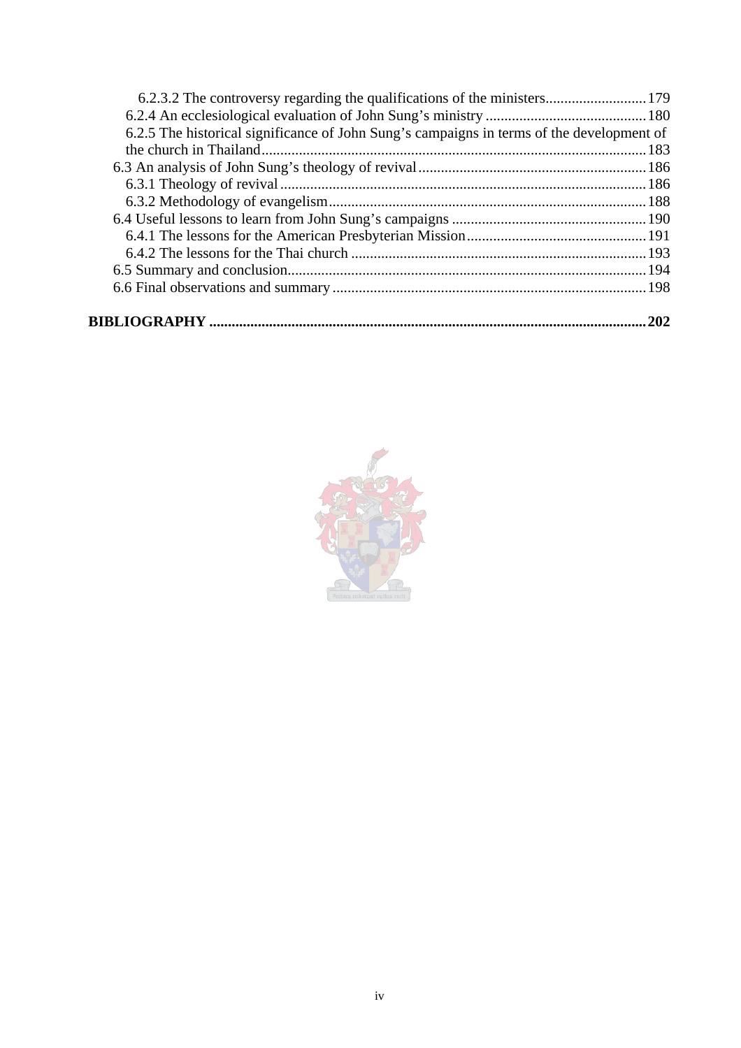| 6.2.3.2 The controversy regarding the qualifications of the ministers 179                 |     |
|-------------------------------------------------------------------------------------------|-----|
|                                                                                           |     |
| 6.2.5 The historical significance of John Sung's campaigns in terms of the development of |     |
|                                                                                           |     |
|                                                                                           |     |
|                                                                                           |     |
|                                                                                           |     |
|                                                                                           |     |
|                                                                                           |     |
|                                                                                           |     |
|                                                                                           |     |
|                                                                                           |     |
|                                                                                           | 202 |

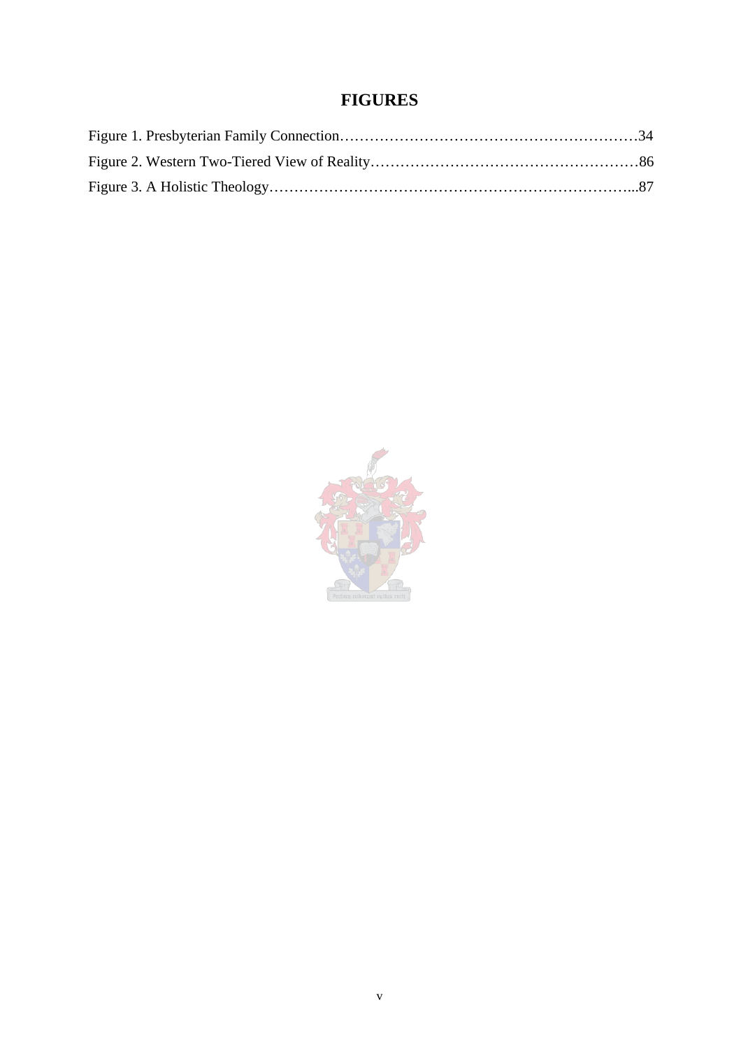# **FIGURES**

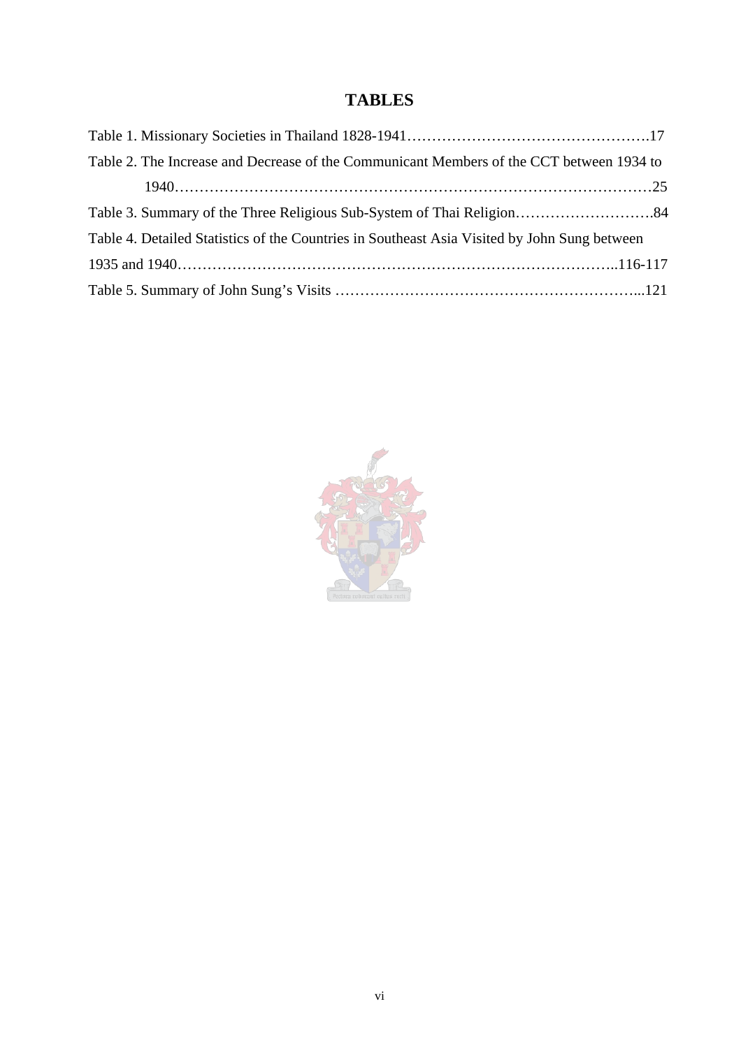# **TABLES**

| Table 2. The Increase and Decrease of the Communicant Members of the CCT between 1934 to     |  |
|----------------------------------------------------------------------------------------------|--|
|                                                                                              |  |
|                                                                                              |  |
| Table 4. Detailed Statistics of the Countries in Southeast Asia Visited by John Sung between |  |
|                                                                                              |  |
|                                                                                              |  |

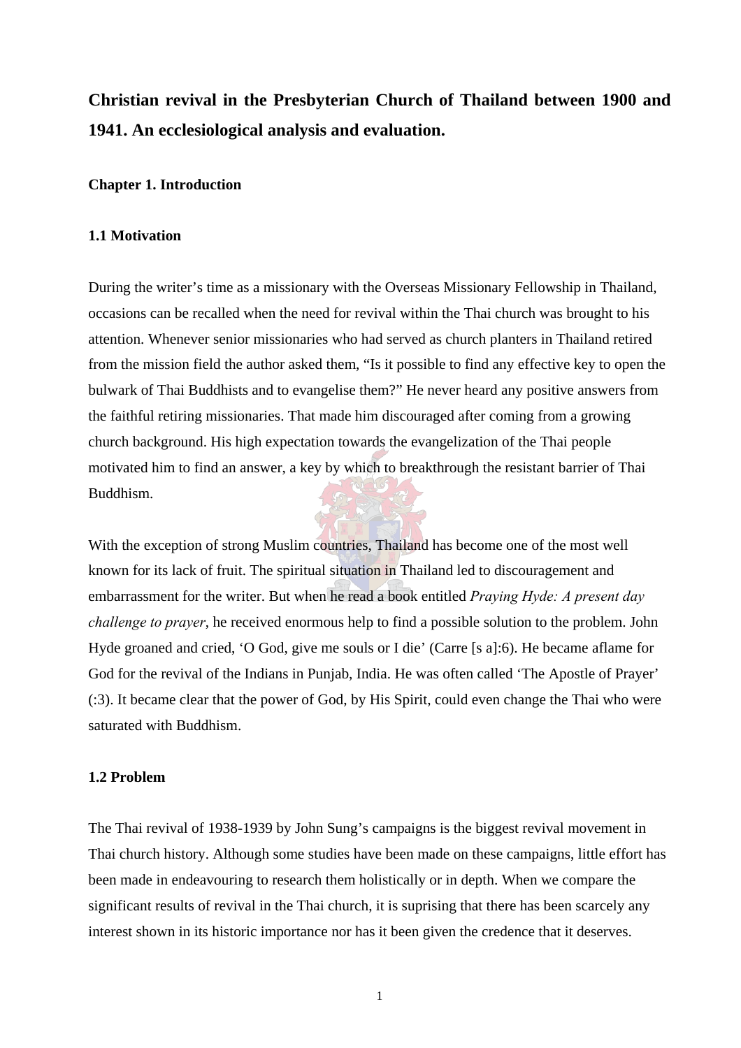# <span id="page-15-0"></span>**Christian revival in the Presbyterian Church of Thailand between 1900 and 1941. An ecclesiological analysis and evaluation.**

#### **Chapter 1. Introduction**

#### **1.1 Motivation**

During the writer's time as a missionary with the Overseas Missionary Fellowship in Thailand, occasions can be recalled when the need for revival within the Thai church was brought to his attention. Whenever senior missionaries who had served as church planters in Thailand retired from the mission field the author asked them, "Is it possible to find any effective key to open the bulwark of Thai Buddhists and to evangelise them?" He never heard any positive answers from the faithful retiring missionaries. That made him discouraged after coming from a growing church background. His high expectation towards the evangelization of the Thai people motivated him to find an answer, a key by which to breakthrough the resistant barrier of Thai Buddhism.

With the exception of strong Muslim countries, Thailand has become one of the most well known for its lack of fruit. The spiritual situation in Thailand led to discouragement and embarrassment for the writer. But when he read a book entitled *Praying Hyde: A present day challenge to prayer*, he received enormous help to find a possible solution to the problem. John Hyde groaned and cried, 'O God, give me souls or I die' (Carre [s a]:6). He became aflame for God for the revival of the Indians in Punjab, India. He was often called 'The Apostle of Prayer' (:3). It became clear that the power of God, by His Spirit, could even change the Thai who were saturated with Buddhism.

#### **1.2 Problem**

The Thai revival of 1938-1939 by John Sung's campaigns is the biggest revival movement in Thai church history. Although some studies have been made on these campaigns, little effort has been made in endeavouring to research them holistically or in depth. When we compare the significant results of revival in the Thai church, it is suprising that there has been scarcely any interest shown in its historic importance nor has it been given the credence that it deserves.

1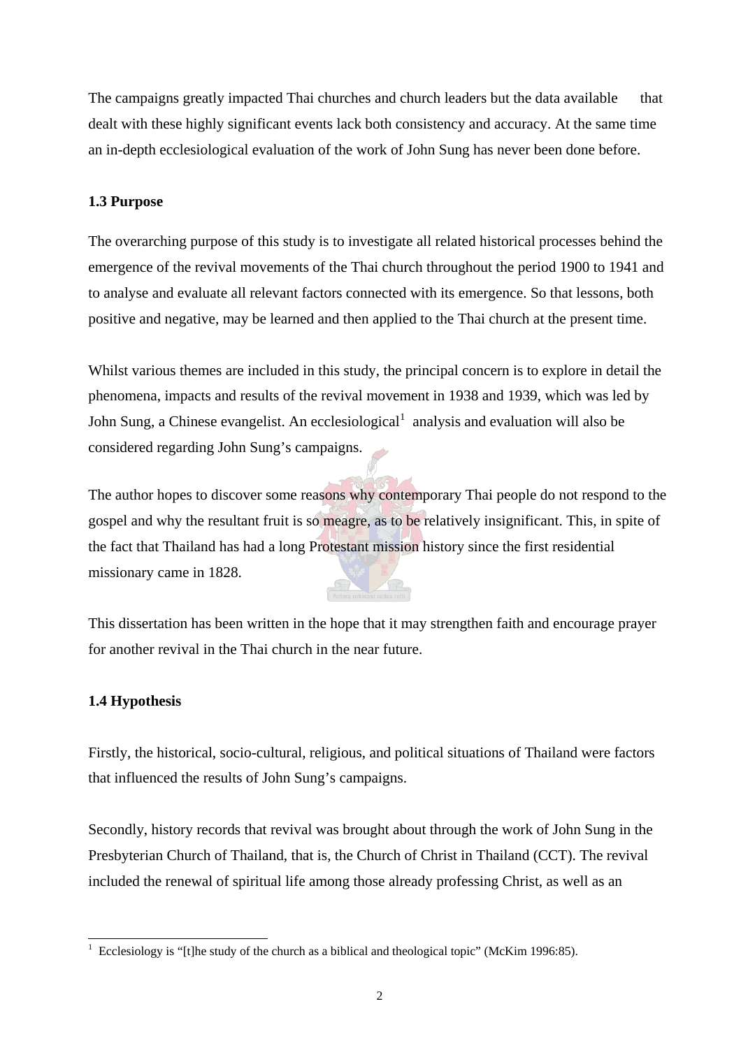<span id="page-16-0"></span>The campaigns greatly impacted Thai churches and church leaders but the data available that dealt with these highly significant events lack both consistency and accuracy. At the same time an in-depth ecclesiological evaluation of the work of John Sung has never been done before.

### **1.3 Purpose**

The overarching purpose of this study is to investigate all related historical processes behind the emergence of the revival movements of the Thai church throughout the period 1900 to 1941 and to analyse and evaluate all relevant factors connected with its emergence. So that lessons, both positive and negative, may be learned and then applied to the Thai church at the present time.

Whilst various themes are included in this study, the principal concern is to explore in detail the phenomena, impacts and results of the revival movement in 1938 and 1939, which was led by John Sung, a Chinese evangelist. An ecclesiological  $1$  analysis and evaluation will also be considered regarding John Sung's campaigns.

The author hopes to discover some reasons why contemporary Thai people do not respond to the gospel and why the resultant fruit is so meagre, as to be relatively insignificant. This, in spite of the fact that Thailand has had a long Protestant mission history since the first residential missionary came in 1828.

This dissertation has been written in the hope that it may strengthen faith and encourage prayer for another revival in the Thai church in the near future.

### **1.4 Hypothesis**

Firstly, the historical, socio-cultural, religious, and political situations of Thailand were factors that influenced the results of John Sung's campaigns.

Secondly, history records that revival was brought about through the work of John Sung in the Presbyterian Church of Thailand, that is, the Church of Christ in Thailand (CCT). The revival included the renewal of spiritual life among those already professing Christ, as well as an

 $\overline{a}$ 1 Ecclesiology is "[t]he study of the church as a biblical and theological topic" (McKim 1996:85).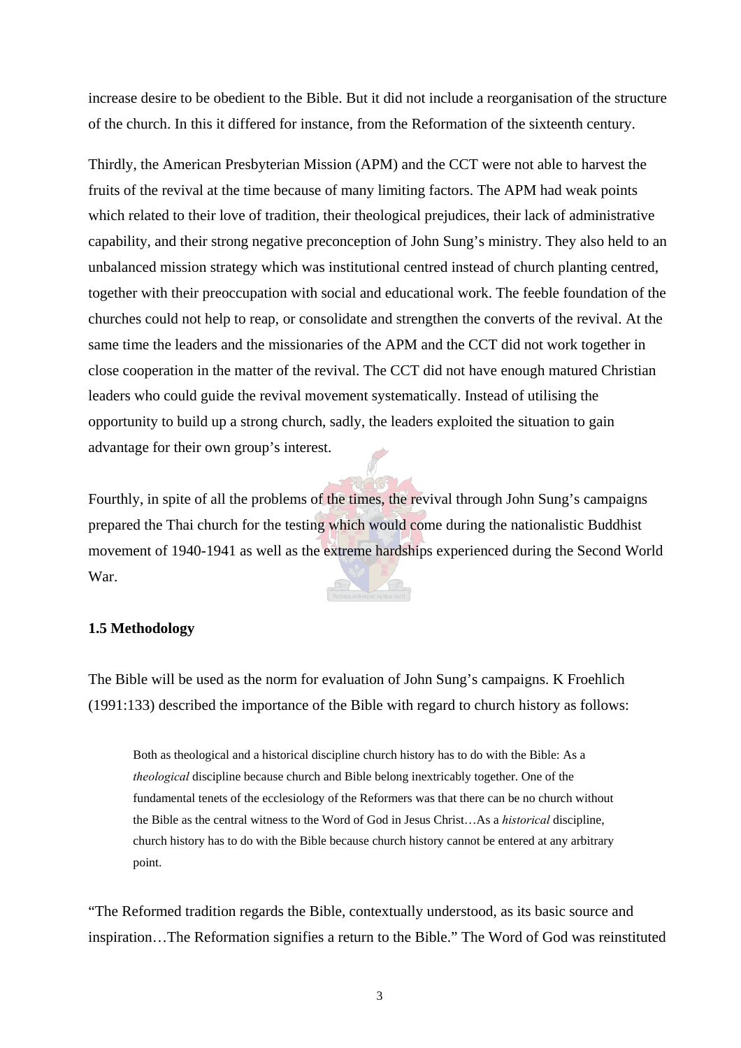<span id="page-17-0"></span>increase desire to be obedient to the Bible. But it did not include a reorganisation of the structure of the church. In this it differed for instance, from the Reformation of the sixteenth century.

Thirdly, the American Presbyterian Mission (APM) and the CCT were not able to harvest the fruits of the revival at the time because of many limiting factors. The APM had weak points which related to their love of tradition, their theological prejudices, their lack of administrative capability, and their strong negative preconception of John Sung's ministry. They also held to an unbalanced mission strategy which was institutional centred instead of church planting centred, together with their preoccupation with social and educational work. The feeble foundation of the churches could not help to reap, or consolidate and strengthen the converts of the revival. At the same time the leaders and the missionaries of the APM and the CCT did not work together in close cooperation in the matter of the revival. The CCT did not have enough matured Christian leaders who could guide the revival movement systematically. Instead of utilising the opportunity to build up a strong church, sadly, the leaders exploited the situation to gain advantage for their own group's interest.

Fourthly, in spite of all the problems of the times, the revival through John Sung's campaigns prepared the Thai church for the testing which would come during the nationalistic Buddhist movement of 1940-1941 as well as the extreme hardships experienced during the Second World War.

#### **1.5 Methodology**

The Bible will be used as the norm for evaluation of John Sung's campaigns. K Froehlich (1991:133) described the importance of the Bible with regard to church history as follows:

Both as theological and a historical discipline church history has to do with the Bible: As a *theological* discipline because church and Bible belong inextricably together. One of the fundamental tenets of the ecclesiology of the Reformers was that there can be no church without the Bible as the central witness to the Word of God in Jesus Christ…As a *historical* discipline, church history has to do with the Bible because church history cannot be entered at any arbitrary point.

"The Reformed tradition regards the Bible, contextually understood, as its basic source and inspiration…The Reformation signifies a return to the Bible." The Word of God was reinstituted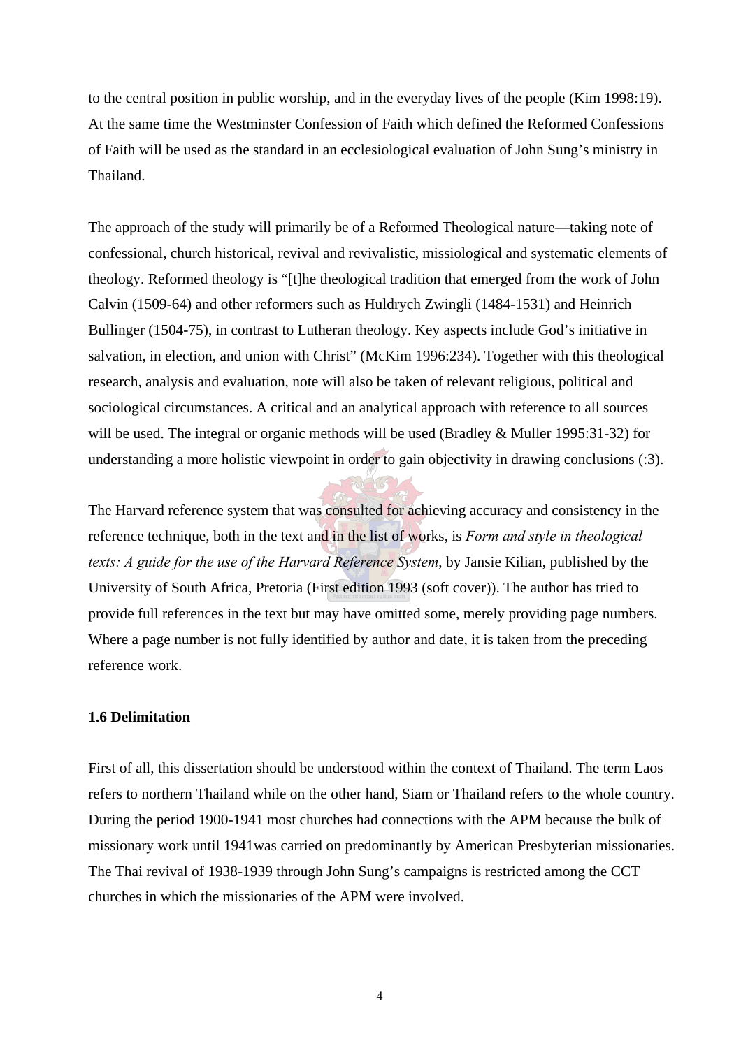<span id="page-18-0"></span>to the central position in public worship, and in the everyday lives of the people (Kim 1998:19). At the same time the Westminster Confession of Faith which defined the Reformed Confessions of Faith will be used as the standard in an ecclesiological evaluation of John Sung's ministry in Thailand.

The approach of the study will primarily be of a Reformed Theological nature—taking note of confessional, church historical, revival and revivalistic, missiological and systematic elements of theology. Reformed theology is "[t]he theological tradition that emerged from the work of John Calvin (1509-64) and other reformers such as Huldrych Zwingli (1484-1531) and Heinrich Bullinger (1504-75), in contrast to Lutheran theology. Key aspects include God's initiative in salvation, in election, and union with Christ" (McKim 1996:234). Together with this theological research, analysis and evaluation, note will also be taken of relevant religious, political and sociological circumstances. A critical and an analytical approach with reference to all sources will be used. The integral or organic methods will be used (Bradley & Muller 1995:31-32) for understanding a more holistic viewpoint in order to gain objectivity in drawing conclusions (:3).

The Harvard reference system that was consulted for achieving accuracy and consistency in the reference technique, both in the text and in the list of works, is *Form and style in theological texts: A guide for the use of the Harvard Reference System*, by Jansie Kilian, published by the University of South Africa, Pretoria (First edition 1993 (soft cover)). The author has tried to provide full references in the text but may have omitted some, merely providing page numbers. Where a page number is not fully identified by author and date, it is taken from the preceding reference work.

#### **1.6 Delimitation**

First of all, this dissertation should be understood within the context of Thailand. The term Laos refers to northern Thailand while on the other hand, Siam or Thailand refers to the whole country. During the period 1900-1941 most churches had connections with the APM because the bulk of missionary work until 1941was carried on predominantly by American Presbyterian missionaries. The Thai revival of 1938-1939 through John Sung's campaigns is restricted among the CCT churches in which the missionaries of the APM were involved.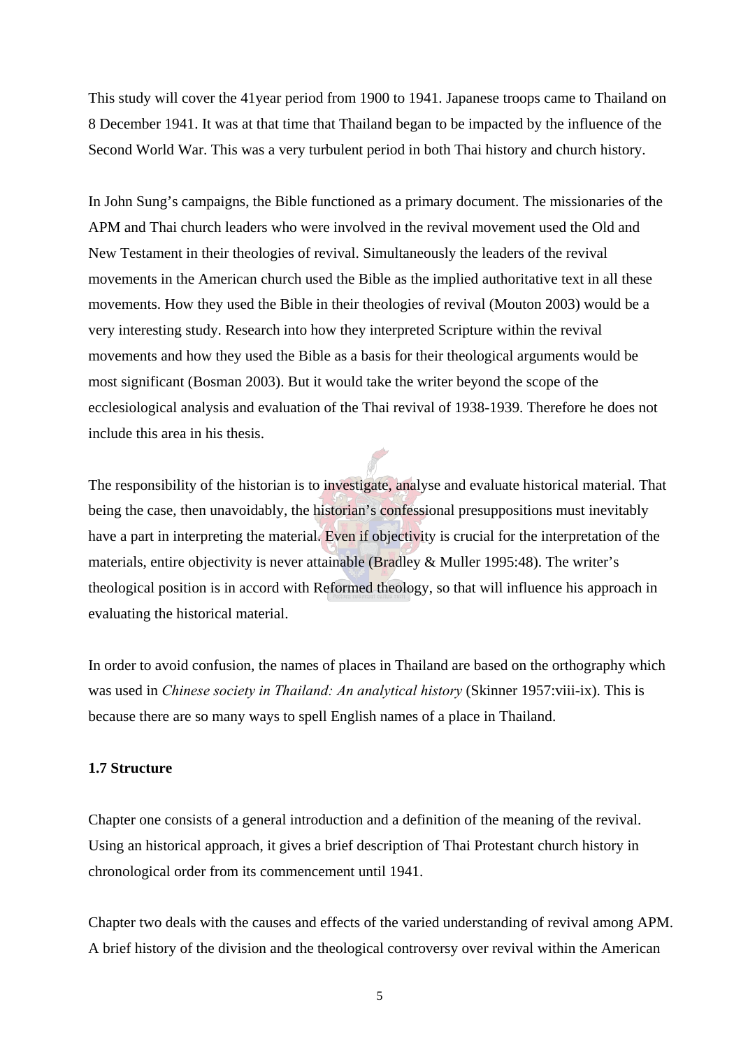<span id="page-19-0"></span>This study will cover the 41year period from 1900 to 1941. Japanese troops came to Thailand on 8 December 1941. It was at that time that Thailand began to be impacted by the influence of the Second World War. This was a very turbulent period in both Thai history and church history.

In John Sung's campaigns, the Bible functioned as a primary document. The missionaries of the APM and Thai church leaders who were involved in the revival movement used the Old and New Testament in their theologies of revival. Simultaneously the leaders of the revival movements in the American church used the Bible as the implied authoritative text in all these movements. How they used the Bible in their theologies of revival (Mouton 2003) would be a very interesting study. Research into how they interpreted Scripture within the revival movements and how they used the Bible as a basis for their theological arguments would be most significant (Bosman 2003). But it would take the writer beyond the scope of the ecclesiological analysis and evaluation of the Thai revival of 1938-1939. Therefore he does not include this area in his thesis.

The responsibility of the historian is to investigate, analyse and evaluate historical material. That being the case, then unavoidably, the historian's confessional presuppositions must inevitably have a part in interpreting the material. Even if objectivity is crucial for the interpretation of the materials, entire objectivity is never attainable (Bradley & Muller 1995:48). The writer's theological position is in accord with Reformed theology, so that will influence his approach in evaluating the historical material.

In order to avoid confusion, the names of places in Thailand are based on the orthography which was used in *Chinese society in Thailand: An analytical history* (Skinner 1957:viii-ix). This is because there are so many ways to spell English names of a place in Thailand.

#### **1.7 Structure**

Chapter one consists of a general introduction and a definition of the meaning of the revival. Using an historical approach, it gives a brief description of Thai Protestant church history in chronological order from its commencement until 1941.

Chapter two deals with the causes and effects of the varied understanding of revival among APM. A brief history of the division and the theological controversy over revival within the American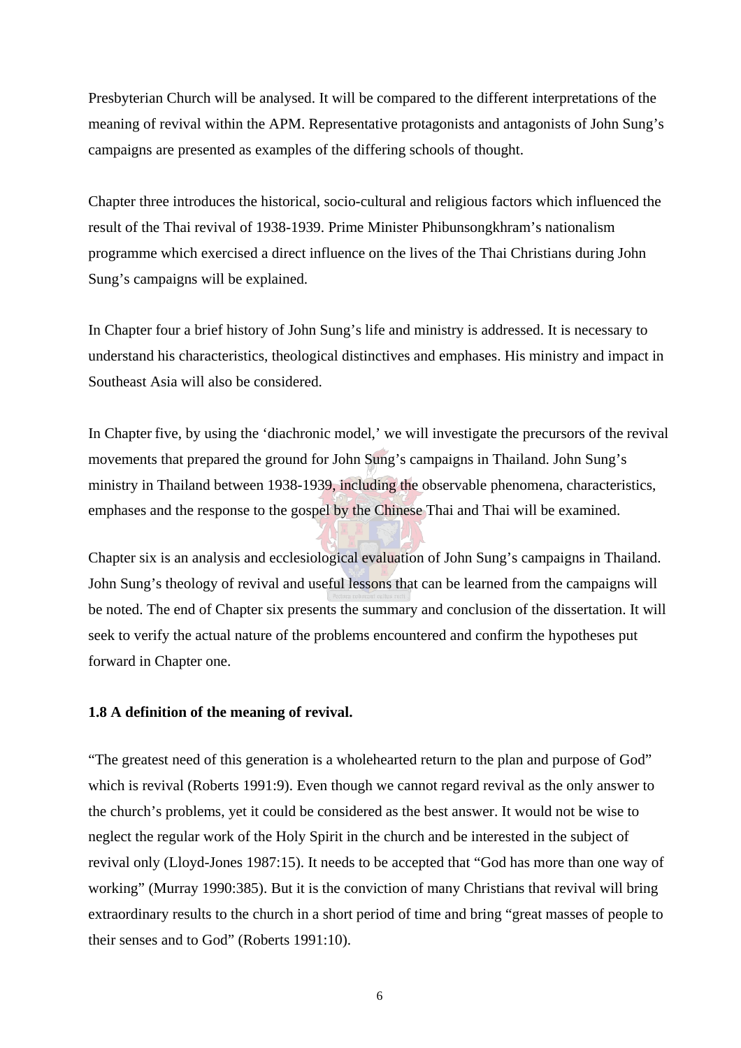<span id="page-20-0"></span>Presbyterian Church will be analysed. It will be compared to the different interpretations of the meaning of revival within the APM. Representative protagonists and antagonists of John Sung's campaigns are presented as examples of the differing schools of thought.

Chapter three introduces the historical, socio-cultural and religious factors which influenced the result of the Thai revival of 1938-1939. Prime Minister Phibunsongkhram's nationalism programme which exercised a direct influence on the lives of the Thai Christians during John Sung's campaigns will be explained.

In Chapter four a brief history of John Sung's life and ministry is addressed. It is necessary to understand his characteristics, theological distinctives and emphases. His ministry and impact in Southeast Asia will also be considered.

In Chapter five, by using the 'diachronic model,' we will investigate the precursors of the revival movements that prepared the ground for John Sung's campaigns in Thailand. John Sung's ministry in Thailand between 1938-1939, including the observable phenomena, characteristics, emphases and the response to the gospel by the Chinese Thai and Thai will be examined.

Chapter six is an analysis and ecclesiological evaluation of John Sung's campaigns in Thailand. John Sung's theology of revival and useful lessons that can be learned from the campaigns will be noted. The end of Chapter six presents the summary and conclusion of the dissertation. It will seek to verify the actual nature of the problems encountered and confirm the hypotheses put forward in Chapter one.

#### **1.8 A definition of the meaning of revival.**

"The greatest need of this generation is a wholehearted return to the plan and purpose of God" which is revival (Roberts 1991:9). Even though we cannot regard revival as the only answer to the church's problems, yet it could be considered as the best answer. It would not be wise to neglect the regular work of the Holy Spirit in the church and be interested in the subject of revival only (Lloyd-Jones 1987:15). It needs to be accepted that "God has more than one way of working" (Murray 1990:385). But it is the conviction of many Christians that revival will bring extraordinary results to the church in a short period of time and bring "great masses of people to their senses and to God" (Roberts 1991:10).

6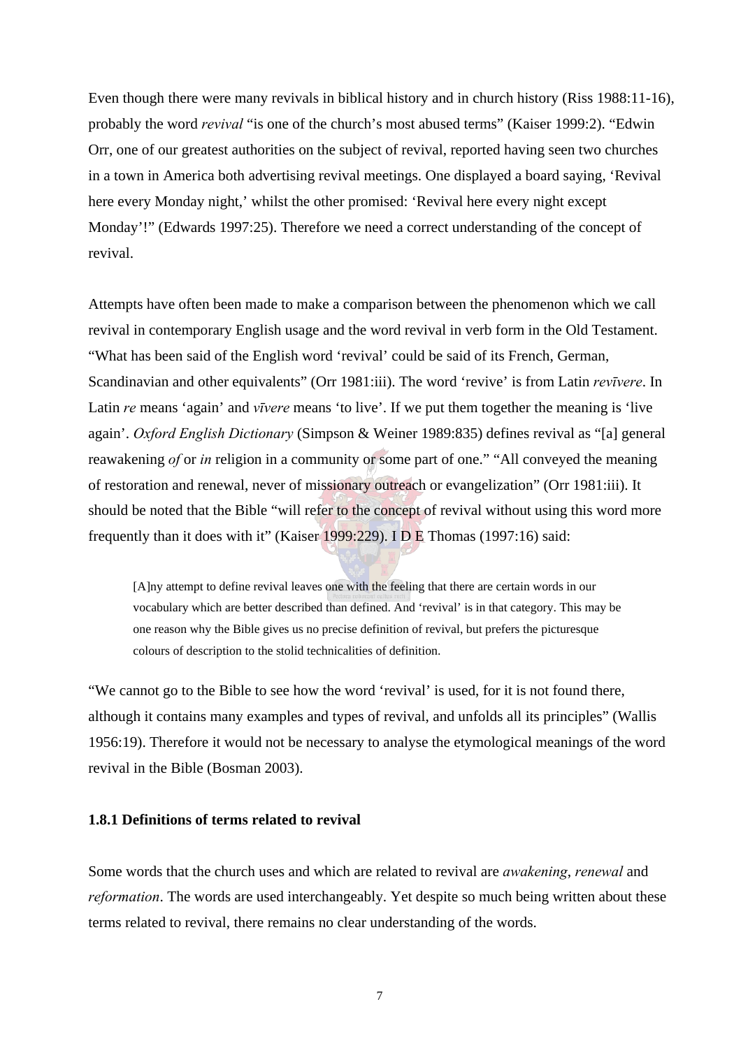<span id="page-21-0"></span>Even though there were many revivals in biblical history and in church history (Riss 1988:11-16), probably the word *revival* "is one of the church's most abused terms" (Kaiser 1999:2). "Edwin Orr, one of our greatest authorities on the subject of revival, reported having seen two churches in a town in America both advertising revival meetings. One displayed a board saying, 'Revival here every Monday night,' whilst the other promised: 'Revival here every night except Monday'!" (Edwards 1997:25). Therefore we need a correct understanding of the concept of revival.

Attempts have often been made to make a comparison between the phenomenon which we call revival in contemporary English usage and the word revival in verb form in the Old Testament. "What has been said of the English word 'revival' could be said of its French, German, Scandinavian and other equivalents" (Orr 1981:iii). The word 'revive' is from Latin *revīvere*. In Latin *re* means 'again' and *vīvere* means 'to live'. If we put them together the meaning is 'live again'. *Oxford English Dictionary* (Simpson & Weiner 1989:835) defines revival as "[a] general reawakening *of* or *in* religion in a community or some part of one." "All conveyed the meaning of restoration and renewal, never of missionary outreach or evangelization" (Orr 1981:iii). It should be noted that the Bible "will refer to the concept of revival without using this word more frequently than it does with it" (Kaiser 1999:229). IDE Thomas (1997:16) said:

[A]ny attempt to define revival leaves one with the feeling that there are certain words in our vocabulary which are better described than defined. And 'revival' is in that category. This may be one reason why the Bible gives us no precise definition of revival, but prefers the picturesque colours of description to the stolid technicalities of definition.

"We cannot go to the Bible to see how the word 'revival' is used, for it is not found there, although it contains many examples and types of revival, and unfolds all its principles" (Wallis 1956:19). Therefore it would not be necessary to analyse the etymological meanings of the word revival in the Bible (Bosman 2003).

#### **1.8.1 Definitions of terms related to revival**

Some words that the church uses and which are related to revival are *awakening*, *renewal* and *reformation*. The words are used interchangeably. Yet despite so much being written about these terms related to revival, there remains no clear understanding of the words.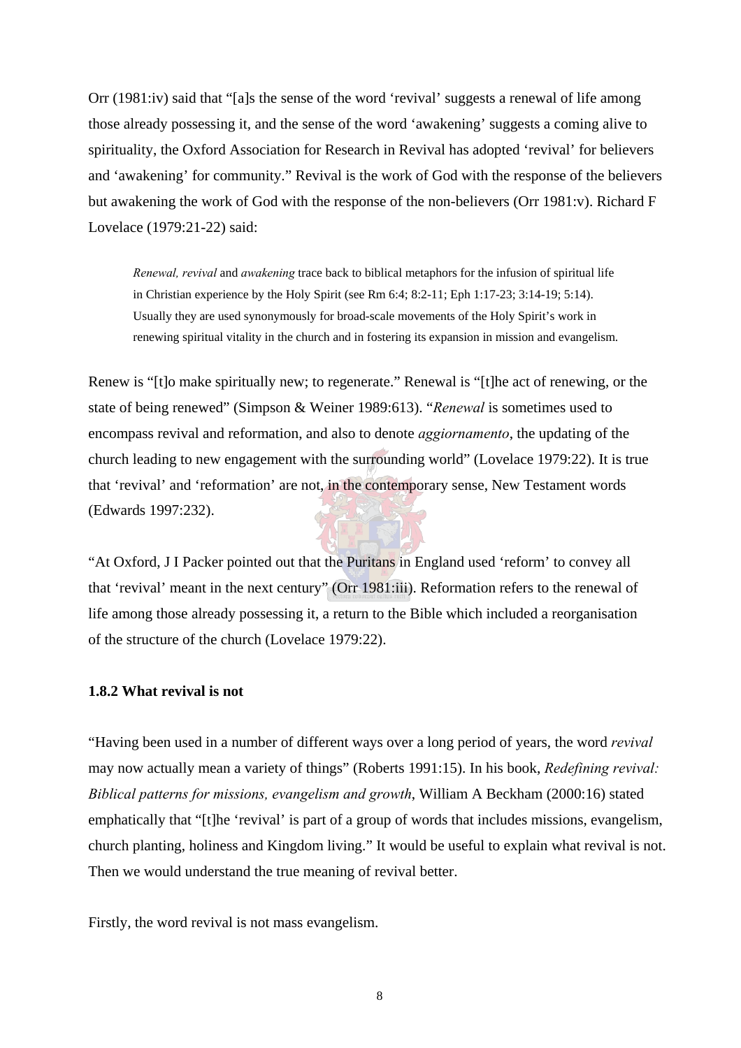<span id="page-22-0"></span>Orr (1981:iv) said that "[a]s the sense of the word 'revival' suggests a renewal of life among those already possessing it, and the sense of the word 'awakening' suggests a coming alive to spirituality, the Oxford Association for Research in Revival has adopted 'revival' for believers and 'awakening' for community." Revival is the work of God with the response of the believers but awakening the work of God with the response of the non-believers (Orr 1981:v). Richard F Lovelace (1979:21-22) said:

*Renewal, revival* and *awakening* trace back to biblical metaphors for the infusion of spiritual life in Christian experience by the Holy Spirit (see Rm 6:4; 8:2-11; Eph 1:17-23; 3:14-19; 5:14). Usually they are used synonymously for broad-scale movements of the Holy Spirit's work in renewing spiritual vitality in the church and in fostering its expansion in mission and evangelism.

Renew is "[t]o make spiritually new; to regenerate." Renewal is "[t]he act of renewing, or the state of being renewed" (Simpson & Weiner 1989:613). "*Renewal* is sometimes used to encompass revival and reformation, and also to denote *aggiornamento*, the updating of the church leading to new engagement with the surrounding world" (Lovelace 1979:22). It is true that 'revival' and 'reformation' are not, in the contemporary sense, New Testament words (Edwards 1997:232).

"At Oxford, J I Packer pointed out that the Puritans in England used 'reform' to convey all that 'revival' meant in the next century" (Orr 1981:iii). Reformation refers to the renewal of life among those already possessing it, a return to the Bible which included a reorganisation of the structure of the church (Lovelace 1979:22).

#### **1.8.2 What revival is not**

"Having been used in a number of different ways over a long period of years, the word *revival*  may now actually mean a variety of things" (Roberts 1991:15). In his book, *Redefining revival: Biblical patterns for missions, evangelism and growth*, William A Beckham (2000:16) stated emphatically that "[t]he 'revival' is part of a group of words that includes missions, evangelism, church planting, holiness and Kingdom living." It would be useful to explain what revival is not. Then we would understand the true meaning of revival better.

Firstly, the word revival is not mass evangelism.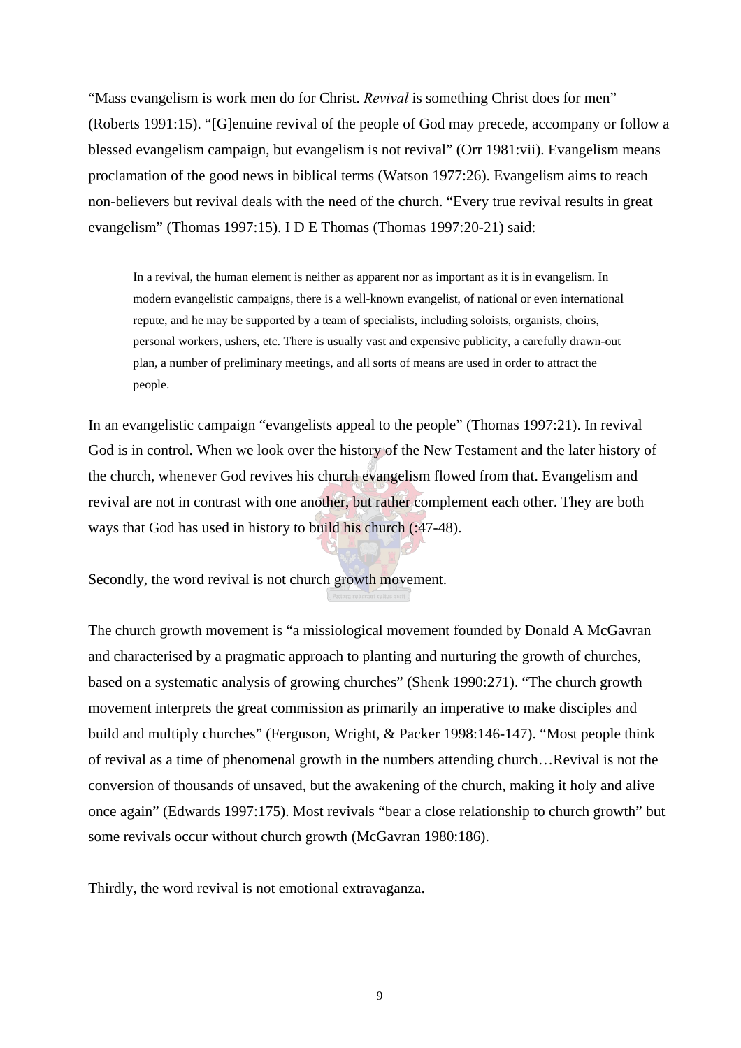"Mass evangelism is work men do for Christ. *Revival* is something Christ does for men" (Roberts 1991:15). "[G]enuine revival of the people of God may precede, accompany or follow a blessed evangelism campaign, but evangelism is not revival" (Orr 1981:vii). Evangelism means proclamation of the good news in biblical terms (Watson 1977:26). Evangelism aims to reach non-believers but revival deals with the need of the church. "Every true revival results in great evangelism" (Thomas 1997:15). I D E Thomas (Thomas 1997:20-21) said:

In a revival, the human element is neither as apparent nor as important as it is in evangelism. In modern evangelistic campaigns, there is a well-known evangelist, of national or even international repute, and he may be supported by a team of specialists, including soloists, organists, choirs, personal workers, ushers, etc. There is usually vast and expensive publicity, a carefully drawn-out plan, a number of preliminary meetings, and all sorts of means are used in order to attract the people.

In an evangelistic campaign "evangelists appeal to the people" (Thomas 1997:21). In revival God is in control. When we look over the history of the New Testament and the later history of the church, whenever God revives his church evangelism flowed from that. Evangelism and revival are not in contrast with one another, but rather complement each other. They are both ways that God has used in history to build his church (:47-48).

Secondly, the word revival is not church growth movement.

The church growth movement is "a missiological movement founded by Donald A McGavran and characterised by a pragmatic approach to planting and nurturing the growth of churches, based on a systematic analysis of growing churches" (Shenk 1990:271). "The church growth movement interprets the great commission as primarily an imperative to make disciples and build and multiply churches" (Ferguson, Wright, & Packer 1998:146-147). "Most people think of revival as a time of phenomenal growth in the numbers attending church…Revival is not the conversion of thousands of unsaved, but the awakening of the church, making it holy and alive once again" (Edwards 1997:175). Most revivals "bear a close relationship to church growth" but some revivals occur without church growth (McGavran 1980:186).

Thirdly, the word revival is not emotional extravaganza.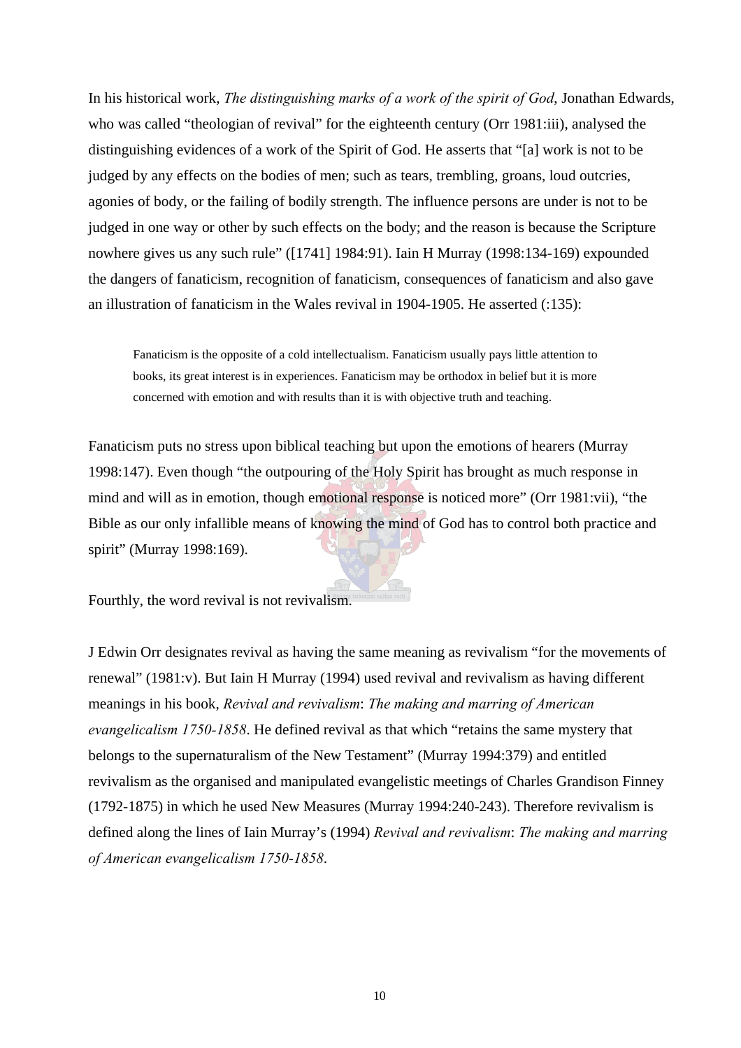In his historical work, *The distinguishing marks of a work of the spirit of God*, Jonathan Edwards, who was called "theologian of revival" for the eighteenth century (Orr 1981:iii), analysed the distinguishing evidences of a work of the Spirit of God. He asserts that "[a] work is not to be judged by any effects on the bodies of men; such as tears, trembling, groans, loud outcries, agonies of body, or the failing of bodily strength. The influence persons are under is not to be judged in one way or other by such effects on the body; and the reason is because the Scripture nowhere gives us any such rule" ([1741] 1984:91). Iain H Murray (1998:134-169) expounded the dangers of fanaticism, recognition of fanaticism, consequences of fanaticism and also gave an illustration of fanaticism in the Wales revival in 1904-1905. He asserted (:135):

Fanaticism is the opposite of a cold intellectualism. Fanaticism usually pays little attention to books, its great interest is in experiences. Fanaticism may be orthodox in belief but it is more concerned with emotion and with results than it is with objective truth and teaching.

Fanaticism puts no stress upon biblical teaching but upon the emotions of hearers (Murray 1998:147). Even though "the outpouring of the Holy Spirit has brought as much response in mind and will as in emotion, though emotional response is noticed more" (Orr 1981:vii), "the Bible as our only infallible means of knowing the mind of God has to control both practice and spirit" (Murray 1998:169).

Fourthly, the word revival is not revivalism.

J Edwin Orr designates revival as having the same meaning as revivalism "for the movements of renewal" (1981:v). But Iain H Murray (1994) used revival and revivalism as having different meanings in his book, *Revival and revivalism*: *The making and marring of American evangelicalism 1750-1858*. He defined revival as that which "retains the same mystery that belongs to the supernaturalism of the New Testament" (Murray 1994:379) and entitled revivalism as the organised and manipulated evangelistic meetings of Charles Grandison Finney (1792-1875) in which he used New Measures (Murray 1994:240-243). Therefore revivalism is defined along the lines of Iain Murray's (1994) *Revival and revivalism*: *The making and marring of American evangelicalism 1750-1858*.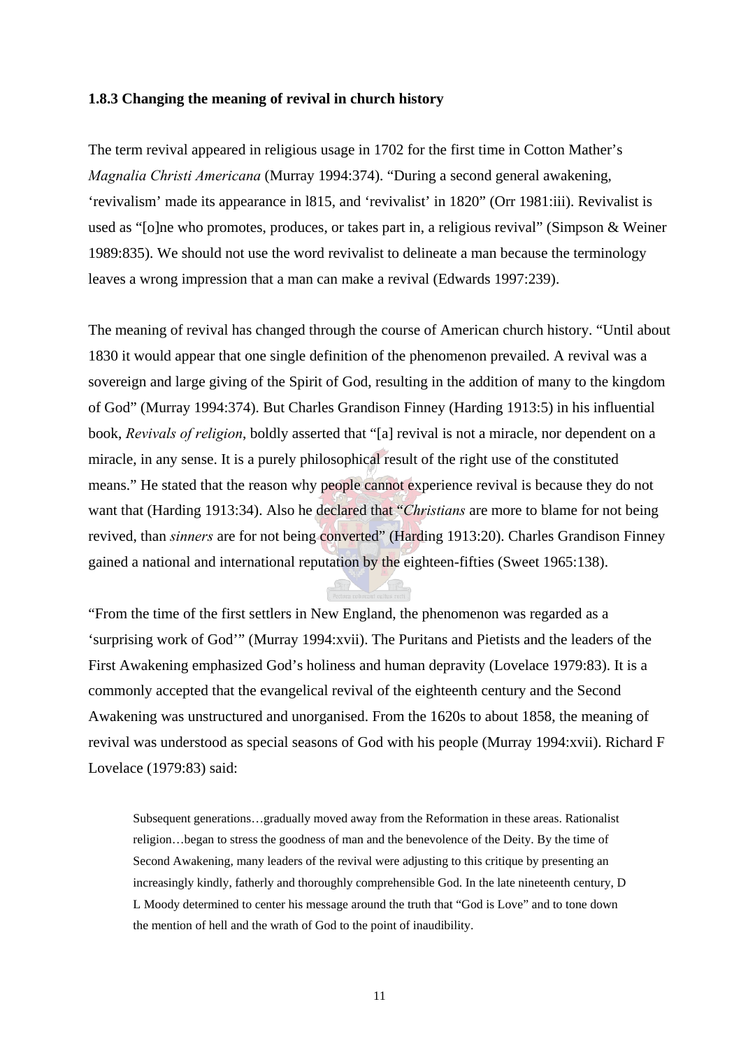#### <span id="page-25-0"></span>**1.8.3 Changing the meaning of revival in church history**

The term revival appeared in religious usage in 1702 for the first time in Cotton Mather's *Magnalia Christi Americana* (Murray 1994:374). "During a second general awakening, 'revivalism' made its appearance in l815, and 'revivalist' in 1820" (Orr 1981:iii). Revivalist is used as "[o]ne who promotes, produces, or takes part in, a religious revival" (Simpson & Weiner 1989:835). We should not use the word revivalist to delineate a man because the terminology leaves a wrong impression that a man can make a revival (Edwards 1997:239).

The meaning of revival has changed through the course of American church history. "Until about 1830 it would appear that one single definition of the phenomenon prevailed. A revival was a sovereign and large giving of the Spirit of God, resulting in the addition of many to the kingdom of God" (Murray 1994:374). But Charles Grandison Finney (Harding 1913:5) in his influential book, *Revivals of religion*, boldly asserted that "[a] revival is not a miracle, nor dependent on a miracle, in any sense. It is a purely philosophical result of the right use of the constituted means." He stated that the reason why people cannot experience revival is because they do not want that (Harding 1913:34). Also he declared that "*Christians* are more to blame for not being revived, than *sinners* are for not being converted" (Harding 1913:20). Charles Grandison Finney gained a national and international reputation by the eighteen-fifties (Sweet 1965:138).

"From the time of the first settlers in New England, the phenomenon was regarded as a 'surprising work of God'" (Murray 1994:xvii). The Puritans and Pietists and the leaders of the First Awakening emphasized God's holiness and human depravity (Lovelace 1979:83). It is a commonly accepted that the evangelical revival of the eighteenth century and the Second Awakening was unstructured and unorganised. From the 1620s to about 1858, the meaning of revival was understood as special seasons of God with his people (Murray 1994:xvii). Richard F Lovelace (1979:83) said:

Subsequent generations…gradually moved away from the Reformation in these areas. Rationalist religion…began to stress the goodness of man and the benevolence of the Deity. By the time of Second Awakening, many leaders of the revival were adjusting to this critique by presenting an increasingly kindly, fatherly and thoroughly comprehensible God. In the late nineteenth century, D L Moody determined to center his message around the truth that "God is Love" and to tone down the mention of hell and the wrath of God to the point of inaudibility.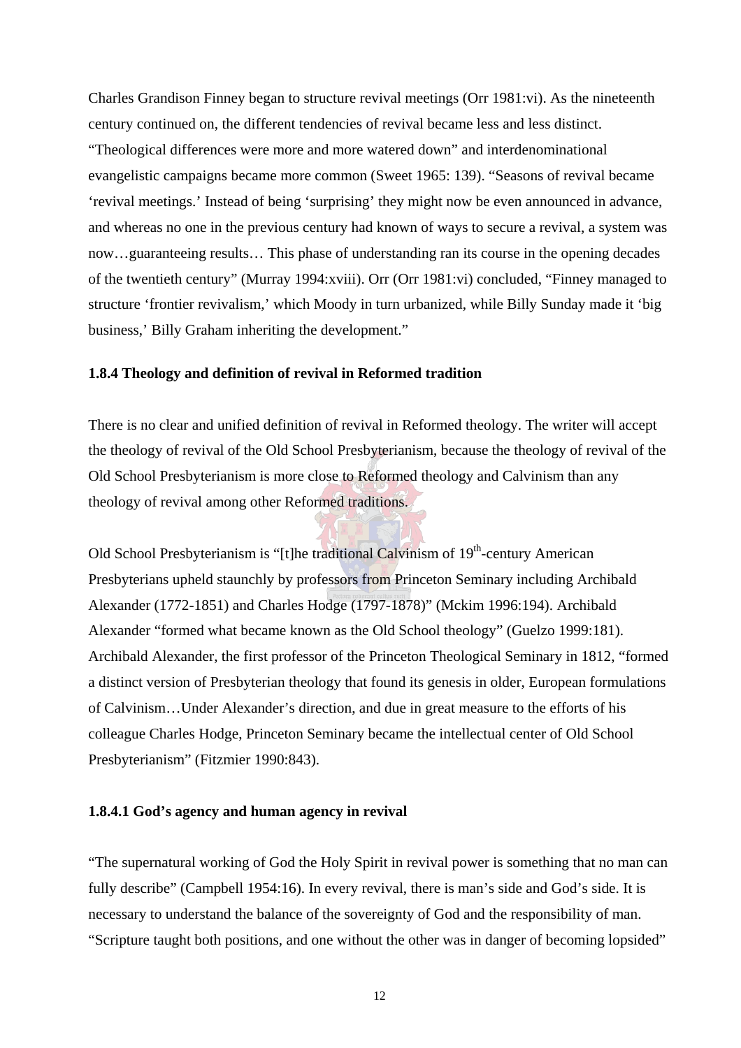<span id="page-26-0"></span>Charles Grandison Finney began to structure revival meetings (Orr 1981:vi). As the nineteenth century continued on, the different tendencies of revival became less and less distinct. "Theological differences were more and more watered down" and interdenominational evangelistic campaigns became more common (Sweet 1965: 139). "Seasons of revival became 'revival meetings.' Instead of being 'surprising' they might now be even announced in advance, and whereas no one in the previous century had known of ways to secure a revival, a system was now…guaranteeing results… This phase of understanding ran its course in the opening decades of the twentieth century" (Murray 1994:xviii). Orr (Orr 1981:vi) concluded, "Finney managed to structure 'frontier revivalism,' which Moody in turn urbanized, while Billy Sunday made it 'big business,' Billy Graham inheriting the development."

#### **1.8.4 Theology and definition of revival in Reformed tradition**

There is no clear and unified definition of revival in Reformed theology. The writer will accept the theology of revival of the Old School Presbyterianism, because the theology of revival of the Old School Presbyterianism is more close to Reformed theology and Calvinism than any theology of revival among other Reformed traditions.

Old School Presbyterianism is "[t]he traditional Calvinism of 19<sup>th</sup>-century American Presbyterians upheld staunchly by professors from Princeton Seminary including Archibald Alexander (1772-1851) and Charles Hodge (1797-1878)" (Mckim 1996:194). Archibald Alexander "formed what became known as the Old School theology" (Guelzo 1999:181). Archibald Alexander, the first professor of the Princeton Theological Seminary in 1812, "formed a distinct version of Presbyterian theology that found its genesis in older, European formulations of Calvinism…Under Alexander's direction, and due in great measure to the efforts of his colleague Charles Hodge, Princeton Seminary became the intellectual center of Old School Presbyterianism" (Fitzmier 1990:843).

#### **1.8.4.1 God's agency and human agency in revival**

"The supernatural working of God the Holy Spirit in revival power is something that no man can fully describe" (Campbell 1954:16). In every revival, there is man's side and God's side. It is necessary to understand the balance of the sovereignty of God and the responsibility of man. "Scripture taught both positions, and one without the other was in danger of becoming lopsided"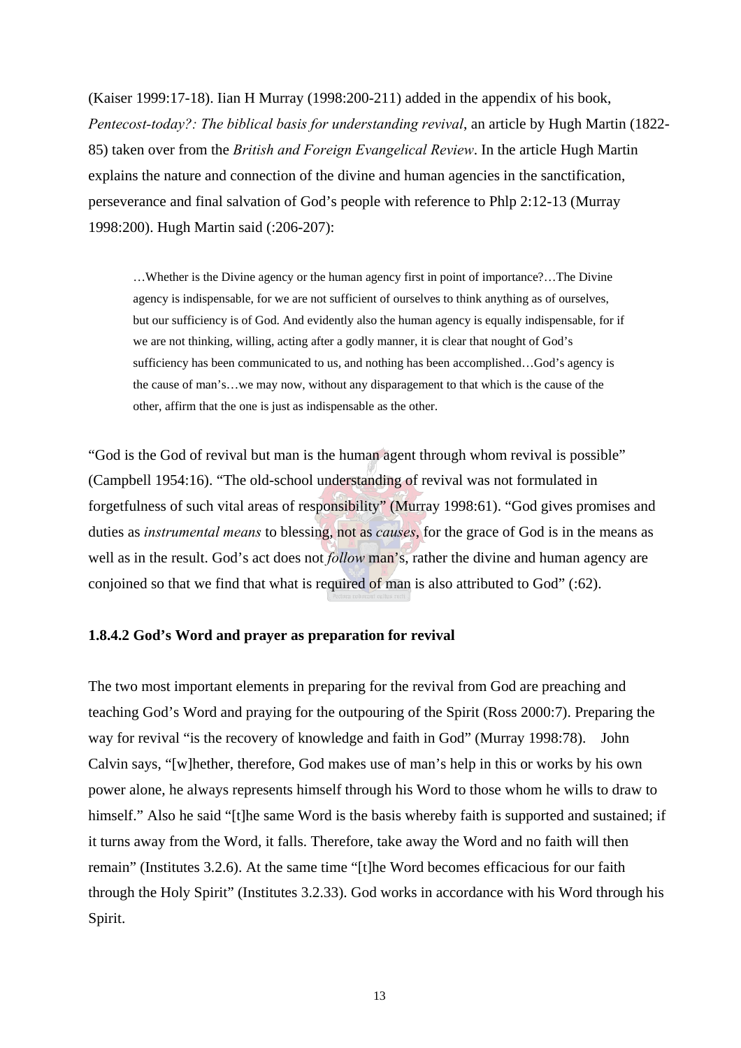<span id="page-27-0"></span>(Kaiser 1999:17-18). Iian H Murray (1998:200-211) added in the appendix of his book, *Pentecost-today?: The biblical basis for understanding revival*, an article by Hugh Martin (1822- 85) taken over from the *British and Foreign Evangelical Review*. In the article Hugh Martin explains the nature and connection of the divine and human agencies in the sanctification, perseverance and final salvation of God's people with reference to Phlp 2:12-13 (Murray 1998:200). Hugh Martin said (:206-207):

…Whether is the Divine agency or the human agency first in point of importance?…The Divine agency is indispensable, for we are not sufficient of ourselves to think anything as of ourselves, but our sufficiency is of God. And evidently also the human agency is equally indispensable, for if we are not thinking, willing, acting after a godly manner, it is clear that nought of God's sufficiency has been communicated to us, and nothing has been accomplished…God's agency is the cause of man's…we may now, without any disparagement to that which is the cause of the other, affirm that the one is just as indispensable as the other.

"God is the God of revival but man is the human agent through whom revival is possible" (Campbell 1954:16). "The old-school understanding of revival was not formulated in forgetfulness of such vital areas of responsibility" (Murray 1998:61). "God gives promises and duties as *instrumental means* to blessing, not as *causes*, for the grace of God is in the means as well as in the result. God's act does not *follow* man's, rather the divine and human agency are conjoined so that we find that what is required of man is also attributed to God" (:62).

#### **1.8.4.2 God's Word and prayer as preparation for revival**

The two most important elements in preparing for the revival from God are preaching and teaching God's Word and praying for the outpouring of the Spirit (Ross 2000:7). Preparing the way for revival "is the recovery of knowledge and faith in God" (Murray 1998:78). John Calvin says, "[w]hether, therefore, God makes use of man's help in this or works by his own power alone, he always represents himself through his Word to those whom he wills to draw to himself." Also he said "[t]he same Word is the basis whereby faith is supported and sustained; if it turns away from the Word, it falls. Therefore, take away the Word and no faith will then remain" (Institutes 3.2.6). At the same time "[t]he Word becomes efficacious for our faith through the Holy Spirit" (Institutes 3.2.33). God works in accordance with his Word through his Spirit.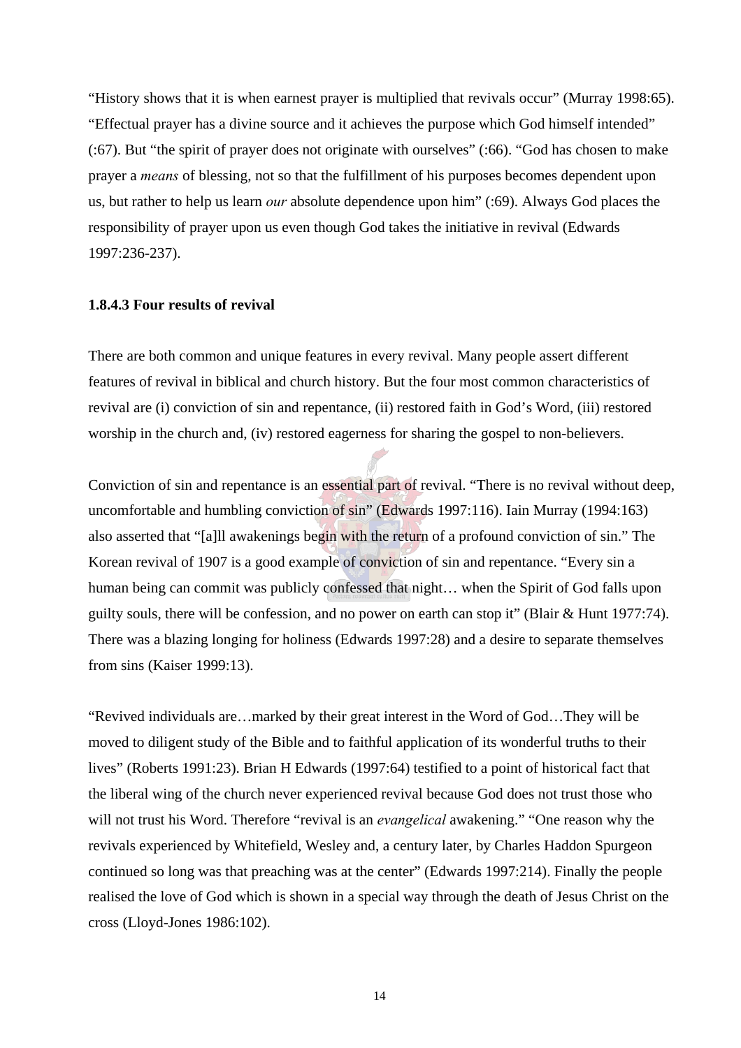<span id="page-28-0"></span>"History shows that it is when earnest prayer is multiplied that revivals occur" (Murray 1998:65). "Effectual prayer has a divine source and it achieves the purpose which God himself intended" (:67). But "the spirit of prayer does not originate with ourselves" (:66). "God has chosen to make prayer a *means* of blessing, not so that the fulfillment of his purposes becomes dependent upon us, but rather to help us learn *our* absolute dependence upon him" (:69). Always God places the responsibility of prayer upon us even though God takes the initiative in revival (Edwards 1997:236-237).

#### **1.8.4.3 Four results of revival**

There are both common and unique features in every revival. Many people assert different features of revival in biblical and church history. But the four most common characteristics of revival are (i) conviction of sin and repentance, (ii) restored faith in God's Word, (iii) restored worship in the church and, (iv) restored eagerness for sharing the gospel to non-believers.

Conviction of sin and repentance is an essential part of revival. "There is no revival without deep, uncomfortable and humbling conviction of sin" (Edwards 1997:116). Iain Murray (1994:163) also asserted that "[a]ll awakenings begin with the return of a profound conviction of sin." The Korean revival of 1907 is a good example of conviction of sin and repentance. "Every sin a human being can commit was publicly confessed that night... when the Spirit of God falls upon guilty souls, there will be confession, and no power on earth can stop it" (Blair & Hunt 1977:74). There was a blazing longing for holiness (Edwards 1997:28) and a desire to separate themselves from sins (Kaiser 1999:13).

"Revived individuals are…marked by their great interest in the Word of God…They will be moved to diligent study of the Bible and to faithful application of its wonderful truths to their lives" (Roberts 1991:23). Brian H Edwards (1997:64) testified to a point of historical fact that the liberal wing of the church never experienced revival because God does not trust those who will not trust his Word. Therefore "revival is an *evangelical* awakening." "One reason why the revivals experienced by Whitefield, Wesley and, a century later, by Charles Haddon Spurgeon continued so long was that preaching was at the center" (Edwards 1997:214). Finally the people realised the love of God which is shown in a special way through the death of Jesus Christ on the cross (Lloyd-Jones 1986:102).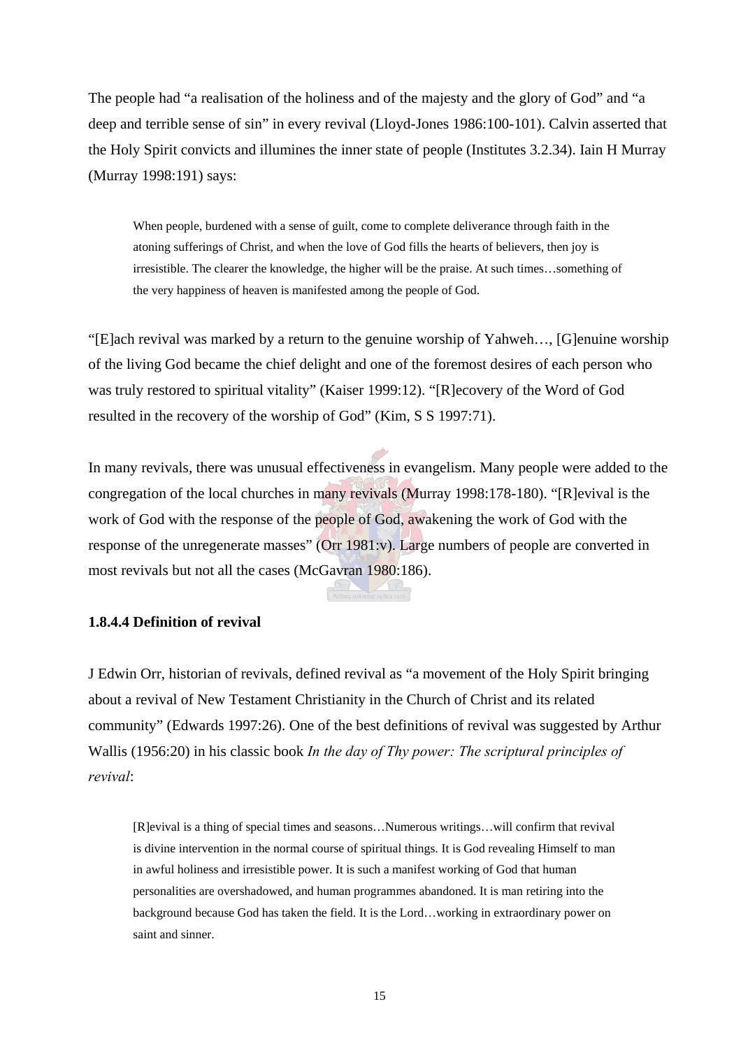<span id="page-29-0"></span>The people had "a realisation of the holiness and of the majesty and the glory of God" and "a deep and terrible sense of sin" in every revival (Lloyd-Jones 1986:100-101). Calvin asserted that the Holy Spirit convicts and illumines the inner state of people (Institutes 3.2.34). Iain H Murray (Murray 1998:191) says:

When people, burdened with a sense of guilt, come to complete deliverance through faith in the atoning sufferings of Christ, and when the love of God fills the hearts of believers, then joy is irresistible. The clearer the knowledge, the higher will be the praise. At such times…something of the very happiness of heaven is manifested among the people of God.

"[E]ach revival was marked by a return to the genuine worship of Yahweh…, [G]enuine worship of the living God became the chief delight and one of the foremost desires of each person who was truly restored to spiritual vitality" (Kaiser 1999:12). "[R]ecovery of the Word of God resulted in the recovery of the worship of God" (Kim, S S 1997:71).

In many revivals, there was unusual effectiveness in evangelism. Many people were added to the congregation of the local churches in many revivals (Murray 1998:178-180). "[R]evival is the work of God with the response of the people of God, awakening the work of God with the response of the unregenerate masses" (Orr 1981:v). Large numbers of people are converted in most revivals but not all the cases (McGavran 1980:186).

#### **1.8.4.4 Definition of revival**

J Edwin Orr, historian of revivals, defined revival as "a movement of the Holy Spirit bringing about a revival of New Testament Christianity in the Church of Christ and its related community" (Edwards 1997:26). One of the best definitions of revival was suggested by Arthur Wallis (1956:20) in his classic book *In the day of Thy power: The scriptural principles of revival*:

[R]evival is a thing of special times and seasons…Numerous writings…will confirm that revival is divine intervention in the normal course of spiritual things. It is God revealing Himself to man in awful holiness and irresistible power. It is such a manifest working of God that human personalities are overshadowed, and human programmes abandoned. It is man retiring into the background because God has taken the field. It is the Lord…working in extraordinary power on saint and sinner.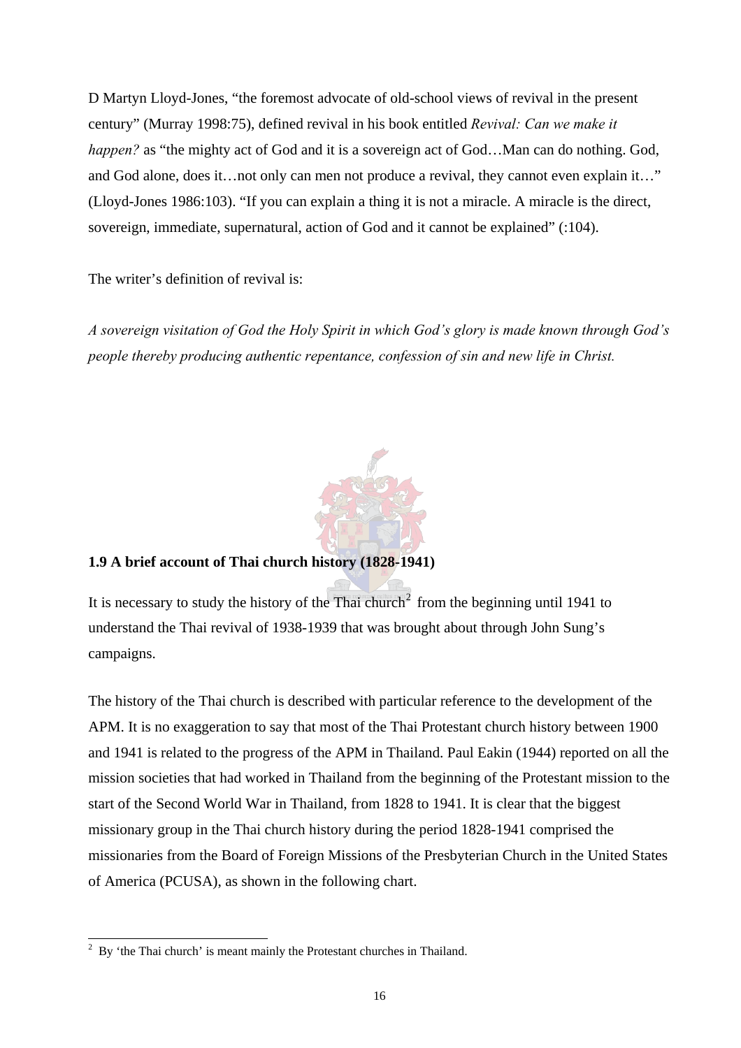<span id="page-30-0"></span>D Martyn Lloyd-Jones, "the foremost advocate of old-school views of revival in the present century" (Murray 1998:75), defined revival in his book entitled *Revival: Can we make it happen?* as "the mighty act of God and it is a sovereign act of God...Man can do nothing. God, and God alone, does it…not only can men not produce a revival, they cannot even explain it…" (Lloyd-Jones 1986:103). "If you can explain a thing it is not a miracle. A miracle is the direct, sovereign, immediate, supernatural, action of God and it cannot be explained" (:104).

The writer's definition of revival is:

*A sovereign visitation of God the Holy Spirit in which God's glory is made known through God's people thereby producing authentic repentance, confession of sin and new life in Christ.* 



### **1.9 A brief account of Thai church history (1828-1941)**

It is necessary to study the history of the Thai church<sup>2</sup> from the beginning until 1941 to understand the Thai revival of 1938-1939 that was brought about through John Sung's campaigns.

The history of the Thai church is described with particular reference to the development of the APM. It is no exaggeration to say that most of the Thai Protestant church history between 1900 and 1941 is related to the progress of the APM in Thailand. Paul Eakin (1944) reported on all the mission societies that had worked in Thailand from the beginning of the Protestant mission to the start of the Second World War in Thailand, from 1828 to 1941. It is clear that the biggest missionary group in the Thai church history during the period 1828-1941 comprised the missionaries from the Board of Foreign Missions of the Presbyterian Church in the United States of America (PCUSA), as shown in the following chart.

 $\overline{a}$ 2 By 'the Thai church' is meant mainly the Protestant churches in Thailand.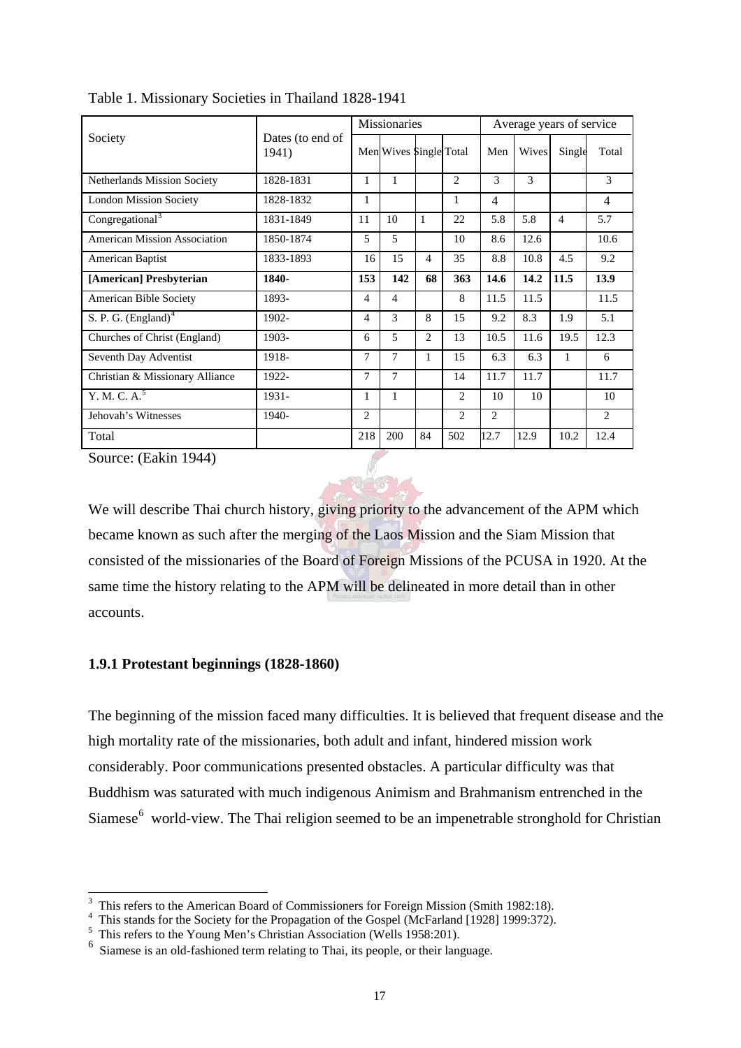| Society                            |                           | Missionaries |                        |                |                | Average years of service |       |        |                |
|------------------------------------|---------------------------|--------------|------------------------|----------------|----------------|--------------------------|-------|--------|----------------|
|                                    | Dates (to end of<br>1941) |              | Men Wives Single Total |                |                | Men                      | Wives | Single | Total          |
| <b>Netherlands Mission Society</b> | 1828-1831                 | 1            | 1                      |                | $\overline{2}$ | 3                        | 3     |        | 3              |
| <b>London Mission Society</b>      | 1828-1832                 | 1            |                        |                | 1              | 4                        |       |        | 4              |
| Congregational <sup>3</sup>        | 1831-1849                 | 11           | 10                     | 1              | 22             | 5.8                      | 5.8   | 4      | 5.7            |
| American Mission Association       | 1850-1874                 | 5            | 5                      |                | 10             | 8.6                      | 12.6  |        | 10.6           |
| American Baptist                   | 1833-1893                 | 16           | 15                     | 4              | 35             | 8.8                      | 10.8  | 4.5    | 9.2            |
| [American] Presbyterian            | 1840-                     | 153          | 142                    | 68             | 363            | 14.6                     | 14.2  | 11.5   | 13.9           |
| <b>American Bible Society</b>      | 1893-                     | 4            | 4                      |                | 8              | 11.5                     | 11.5  |        | 11.5           |
| S. P. G. $(England)^4$             | 1902-                     | 4            | 3                      | 8              | 15             | 9.2                      | 8.3   | 1.9    | 5.1            |
| Churches of Christ (England)       | 1903-                     | 6            | 5                      | $\overline{2}$ | 13             | 10.5                     | 11.6  | 19.5   | 12.3           |
| Seventh Day Adventist              | 1918-                     | 7            | 7                      | 1              | 15             | 6.3                      | 6.3   | 1      | 6              |
| Christian & Missionary Alliance    | 1922-                     | 7            | 7                      |                | 14             | 11.7                     | 11.7  |        | 11.7           |
| Y. M. C. A. <sup>5</sup>           | 1931-                     | 1            | $\mathbf{1}$           |                | $\overline{2}$ | 10                       | 10    |        | 10             |
| Jehovah's Witnesses                | 1940-                     | 2            |                        |                | 2              | $\overline{c}$           |       |        | $\overline{2}$ |
| Total                              |                           | 218          | 200                    | 84             | 502            | 12.7                     | 12.9  | 10.2   | 12.4           |

<span id="page-31-0"></span>Table 1. Missionary Societies in Thailand 1828-1941

Source: (Eakin 1944)

 $\overline{a}$ 

We will describe Thai church history, giving priority to the advancement of the APM which became known as such after the merging of the Laos Mission and the Siam Mission that consisted of the missionaries of the Board of Foreign Missions of the PCUSA in 1920. At the same time the history relating to the APM will be delineated in more detail than in other accounts.

#### **1.9.1 Protestant beginnings (1828-1860)**

The beginning of the mission faced many difficulties. It is believed that frequent disease and the high mortality rate of the missionaries, both adult and infant, hindered mission work considerably. Poor communications presented obstacles. A particular difficulty was that Buddhism was saturated with much indigenous Animism and Brahmanism entrenched in the Siamese<sup>6</sup> world-view. The Thai religion seemed to be an impenetrable stronghold for Christian

<sup>&</sup>lt;sup>3</sup> This refers to the American Board of Commissioners for Foreign Mission (Smith 1982:18).

<sup>&</sup>lt;sup>4</sup> This stands for the Society for the Propagation of the Gospel (McFarland [1928] 1999:372).

<sup>&</sup>lt;sup>5</sup> This refers to the Young Men's Christian Association (Wells 1958:201).

<sup>6</sup> Siamese is an old-fashioned term relating to Thai, its people, or their language.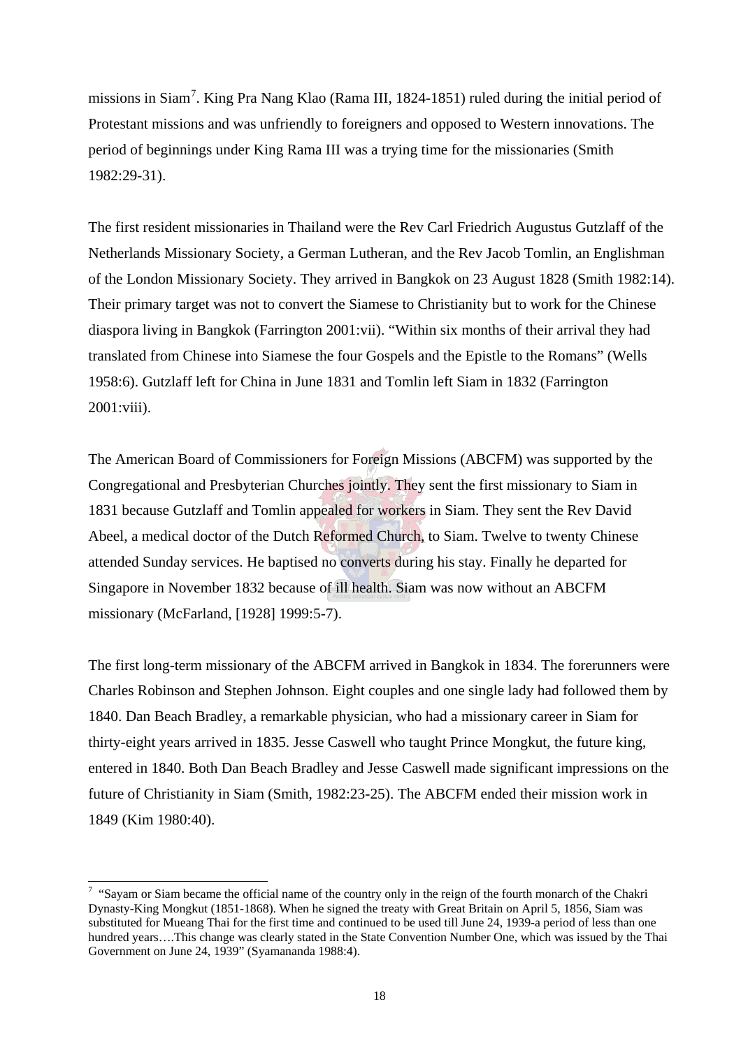missions in Siam<sup>7</sup>. King Pra Nang Klao (Rama III, 1824-1851) ruled during the initial period of Protestant missions and was unfriendly to foreigners and opposed to Western innovations. The period of beginnings under King Rama III was a trying time for the missionaries (Smith 1982:29-31).

The first resident missionaries in Thailand were the Rev Carl Friedrich Augustus Gutzlaff of the Netherlands Missionary Society, a German Lutheran, and the Rev Jacob Tomlin, an Englishman of the London Missionary Society. They arrived in Bangkok on 23 August 1828 (Smith 1982:14). Their primary target was not to convert the Siamese to Christianity but to work for the Chinese diaspora living in Bangkok (Farrington 2001:vii). "Within six months of their arrival they had translated from Chinese into Siamese the four Gospels and the Epistle to the Romans" (Wells 1958:6). Gutzlaff left for China in June 1831 and Tomlin left Siam in 1832 (Farrington 2001:viii).

The American Board of Commissioners for Foreign Missions (ABCFM) was supported by the Congregational and Presbyterian Churches jointly. They sent the first missionary to Siam in 1831 because Gutzlaff and Tomlin appealed for workers in Siam. They sent the Rev David Abeel, a medical doctor of the Dutch Reformed Church, to Siam. Twelve to twenty Chinese attended Sunday services. He baptised no converts during his stay. Finally he departed for Singapore in November 1832 because of ill health. Siam was now without an ABCFM missionary (McFarland, [1928] 1999:5-7).

The first long-term missionary of the ABCFM arrived in Bangkok in 1834. The forerunners were Charles Robinson and Stephen Johnson. Eight couples and one single lady had followed them by 1840. Dan Beach Bradley, a remarkable physician, who had a missionary career in Siam for thirty-eight years arrived in 1835. Jesse Caswell who taught Prince Mongkut, the future king, entered in 1840. Both Dan Beach Bradley and Jesse Caswell made significant impressions on the future of Christianity in Siam (Smith, 1982:23-25). The ABCFM ended their mission work in 1849 (Kim 1980:40).

 $\overline{a}$ 

<sup>&</sup>lt;sup>7</sup> "Sayam or Siam became the official name of the country only in the reign of the fourth monarch of the Chakri Dynasty-King Mongkut (1851-1868). When he signed the treaty with Great Britain on April 5, 1856, Siam was substituted for Mueang Thai for the first time and continued to be used till June 24, 1939-a period of less than one hundred years….This change was clearly stated in the State Convention Number One, which was issued by the Thai Government on June 24, 1939" (Syamananda 1988:4).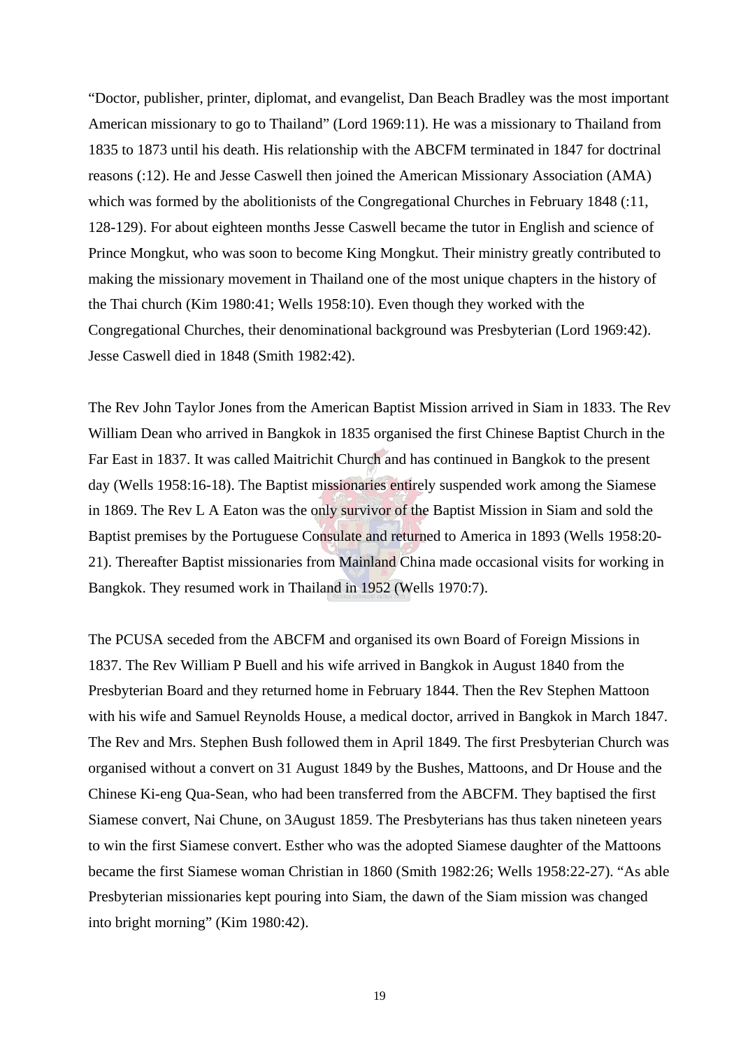"Doctor, publisher, printer, diplomat, and evangelist, Dan Beach Bradley was the most important American missionary to go to Thailand" (Lord 1969:11). He was a missionary to Thailand from 1835 to 1873 until his death. His relationship with the ABCFM terminated in 1847 for doctrinal reasons (:12). He and Jesse Caswell then joined the American Missionary Association (AMA) which was formed by the abolitionists of the Congregational Churches in February 1848 (:11, 128-129). For about eighteen months Jesse Caswell became the tutor in English and science of Prince Mongkut, who was soon to become King Mongkut. Their ministry greatly contributed to making the missionary movement in Thailand one of the most unique chapters in the history of the Thai church (Kim 1980:41; Wells 1958:10). Even though they worked with the Congregational Churches, their denominational background was Presbyterian (Lord 1969:42). Jesse Caswell died in 1848 (Smith 1982:42).

The Rev John Taylor Jones from the American Baptist Mission arrived in Siam in 1833. The Rev William Dean who arrived in Bangkok in 1835 organised the first Chinese Baptist Church in the Far East in 1837. It was called Maitrichit Church and has continued in Bangkok to the present day (Wells 1958:16-18). The Baptist missionaries entirely suspended work among the Siamese in 1869. The Rev L A Eaton was the only survivor of the Baptist Mission in Siam and sold the Baptist premises by the Portuguese Consulate and returned to America in 1893 (Wells 1958:20- 21). Thereafter Baptist missionaries from Mainland China made occasional visits for working in Bangkok. They resumed work in Thailand in 1952 (Wells 1970:7).

The PCUSA seceded from the ABCFM and organised its own Board of Foreign Missions in 1837. The Rev William P Buell and his wife arrived in Bangkok in August 1840 from the Presbyterian Board and they returned home in February 1844. Then the Rev Stephen Mattoon with his wife and Samuel Reynolds House, a medical doctor, arrived in Bangkok in March 1847. The Rev and Mrs. Stephen Bush followed them in April 1849. The first Presbyterian Church was organised without a convert on 31 August 1849 by the Bushes, Mattoons, and Dr House and the Chinese Ki-eng Qua-Sean, who had been transferred from the ABCFM. They baptised the first Siamese convert, Nai Chune, on 3August 1859. The Presbyterians has thus taken nineteen years to win the first Siamese convert. Esther who was the adopted Siamese daughter of the Mattoons became the first Siamese woman Christian in 1860 (Smith 1982:26; Wells 1958:22-27). "As able Presbyterian missionaries kept pouring into Siam, the dawn of the Siam mission was changed into bright morning" (Kim 1980:42).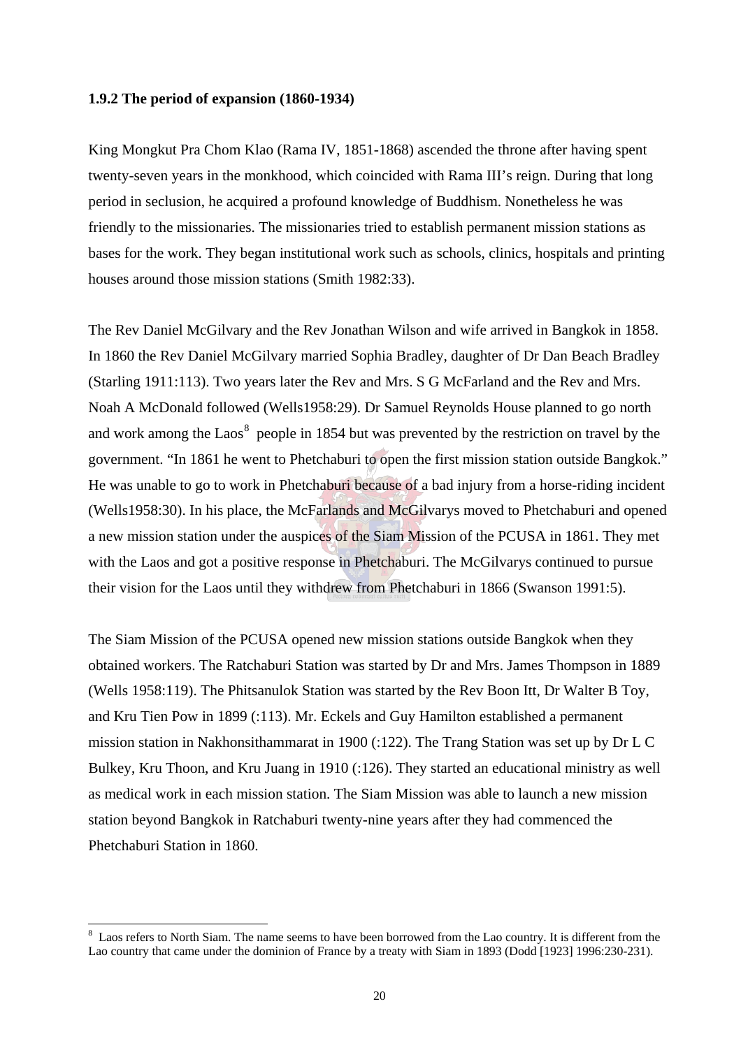#### <span id="page-34-0"></span>**1.9.2 The period of expansion (1860-1934)**

King Mongkut Pra Chom Klao (Rama IV, 1851-1868) ascended the throne after having spent twenty-seven years in the monkhood, which coincided with Rama III's reign. During that long period in seclusion, he acquired a profound knowledge of Buddhism. Nonetheless he was friendly to the missionaries. The missionaries tried to establish permanent mission stations as bases for the work. They began institutional work such as schools, clinics, hospitals and printing houses around those mission stations (Smith 1982:33).

The Rev Daniel McGilvary and the Rev Jonathan Wilson and wife arrived in Bangkok in 1858. In 1860 the Rev Daniel McGilvary married Sophia Bradley, daughter of Dr Dan Beach Bradley (Starling 1911:113). Two years later the Rev and Mrs. S G McFarland and the Rev and Mrs. Noah A McDonald followed (Wells1958:29). Dr Samuel Reynolds House planned to go north and work among the Laos<sup>8</sup> people in 1854 but was prevented by the restriction on travel by the government. "In 1861 he went to Phetchaburi to open the first mission station outside Bangkok." He was unable to go to work in Phetchaburi because of a bad injury from a horse-riding incident (Wells1958:30). In his place, the McFarlands and McGilvarys moved to Phetchaburi and opened a new mission station under the auspices of the Siam Mission of the PCUSA in 1861. They met with the Laos and got a positive response in Phetchaburi. The McGilvarys continued to pursue their vision for the Laos until they withdrew from Phetchaburi in 1866 (Swanson 1991:5).

The Siam Mission of the PCUSA opened new mission stations outside Bangkok when they obtained workers. The Ratchaburi Station was started by Dr and Mrs. James Thompson in 1889 (Wells 1958:119). The Phitsanulok Station was started by the Rev Boon Itt, Dr Walter B Toy, and Kru Tien Pow in 1899 (:113). Mr. Eckels and Guy Hamilton established a permanent mission station in Nakhonsithammarat in 1900 (:122). The Trang Station was set up by Dr L C Bulkey, Kru Thoon, and Kru Juang in 1910 (:126). They started an educational ministry as well as medical work in each mission station. The Siam Mission was able to launch a new mission station beyond Bangkok in Ratchaburi twenty-nine years after they had commenced the Phetchaburi Station in 1860.

 $\overline{a}$ 

 $8$  Laos refers to North Siam. The name seems to have been borrowed from the Lao country. It is different from the Lao country that came under the dominion of France by a treaty with Siam in 1893 (Dodd [1923] 1996:230-231).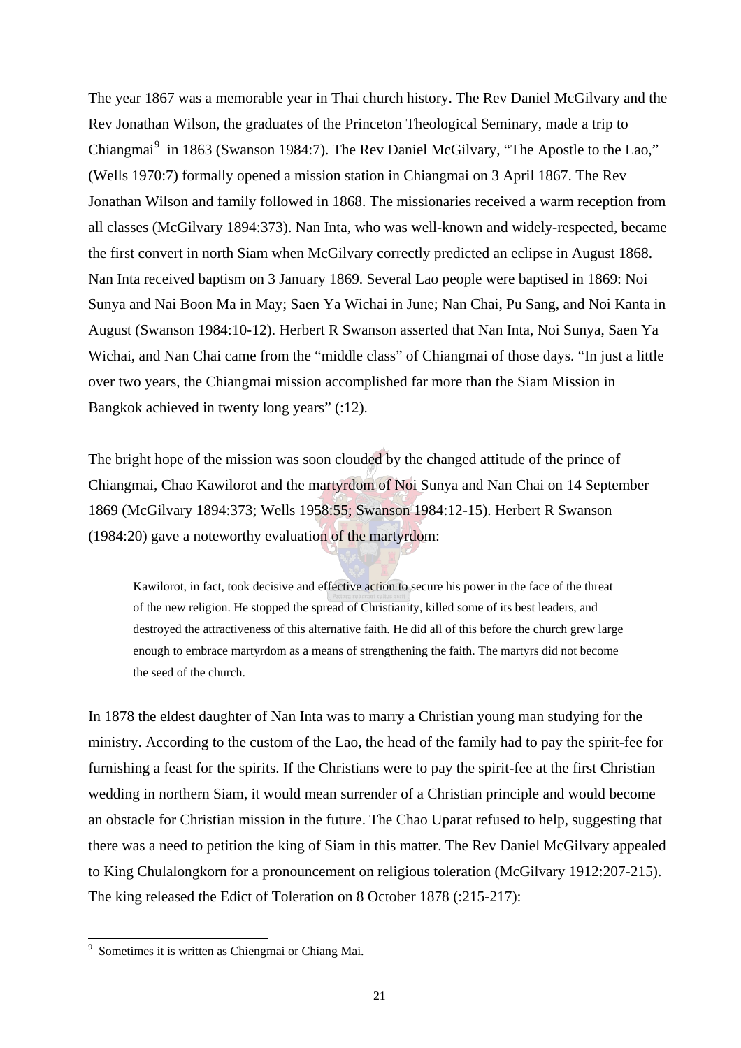The year 1867 was a memorable year in Thai church history. The Rev Daniel McGilvary and the Rev Jonathan Wilson, the graduates of the Princeton Theological Seminary, made a trip to Chiangmai<sup>9</sup> in 1863 (Swanson 1984:7). The Rev Daniel McGilvary, "The Apostle to the Lao," (Wells 1970:7) formally opened a mission station in Chiangmai on 3 April 1867. The Rev Jonathan Wilson and family followed in 1868. The missionaries received a warm reception from all classes (McGilvary 1894:373). Nan Inta, who was well-known and widely-respected, became the first convert in north Siam when McGilvary correctly predicted an eclipse in August 1868. Nan Inta received baptism on 3 January 1869. Several Lao people were baptised in 1869: Noi Sunya and Nai Boon Ma in May; Saen Ya Wichai in June; Nan Chai, Pu Sang, and Noi Kanta in August (Swanson 1984:10-12). Herbert R Swanson asserted that Nan Inta, Noi Sunya, Saen Ya Wichai, and Nan Chai came from the "middle class" of Chiangmai of those days. "In just a little over two years, the Chiangmai mission accomplished far more than the Siam Mission in Bangkok achieved in twenty long years" (:12).

The bright hope of the mission was soon clouded by the changed attitude of the prince of Chiangmai, Chao Kawilorot and the martyrdom of Noi Sunya and Nan Chai on 14 September 1869 (McGilvary 1894:373; Wells 1958:55; Swanson 1984:12-15). Herbert R Swanson (1984:20) gave a noteworthy evaluation of the martyrdom:

Kawilorot, in fact, took decisive and effective action to secure his power in the face of the threat of the new religion. He stopped the spread of Christianity, killed some of its best leaders, and destroyed the attractiveness of this alternative faith. He did all of this before the church grew large enough to embrace martyrdom as a means of strengthening the faith. The martyrs did not become the seed of the church.

In 1878 the eldest daughter of Nan Inta was to marry a Christian young man studying for the ministry. According to the custom of the Lao, the head of the family had to pay the spirit-fee for furnishing a feast for the spirits. If the Christians were to pay the spirit-fee at the first Christian wedding in northern Siam, it would mean surrender of a Christian principle and would become an obstacle for Christian mission in the future. The Chao Uparat refused to help, suggesting that there was a need to petition the king of Siam in this matter. The Rev Daniel McGilvary appealed to King Chulalongkorn for a pronouncement on religious toleration (McGilvary 1912:207-215). The king released the Edict of Toleration on 8 October 1878 (:215-217):

 $\overline{a}$ 

<sup>9</sup> Sometimes it is written as Chiengmai or Chiang Mai.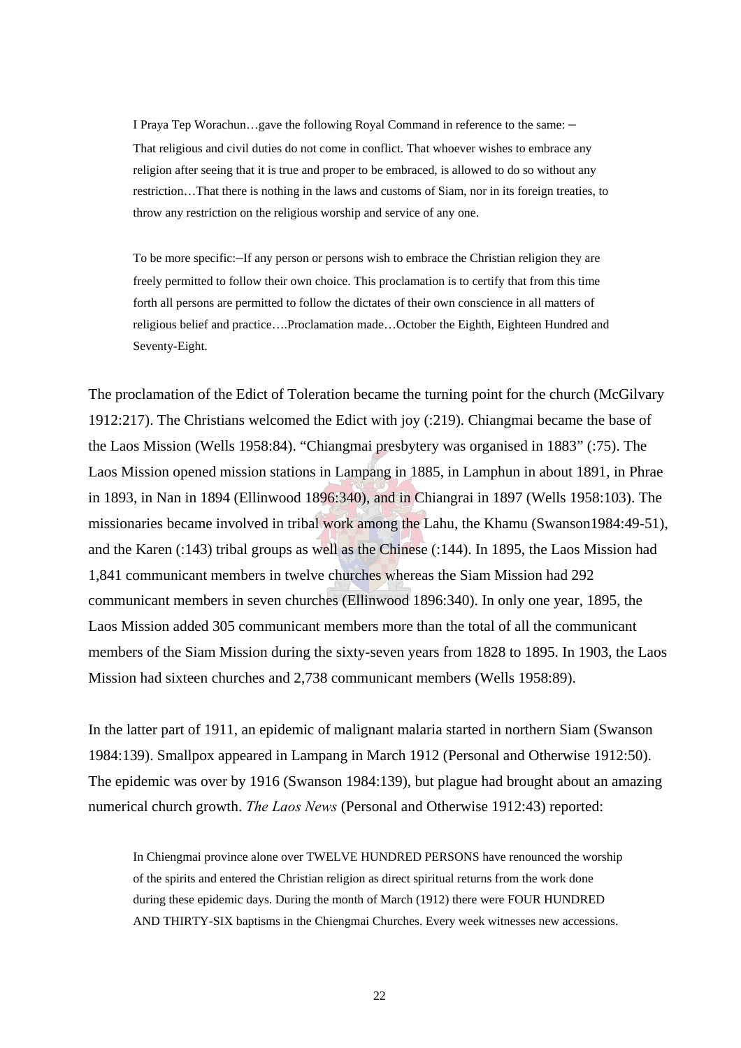I Praya Tep Worachun…gave the following Royal Command in reference to the same: – That religious and civil duties do not come in conflict. That whoever wishes to embrace any religion after seeing that it is true and proper to be embraced, is allowed to do so without any restriction…That there is nothing in the laws and customs of Siam, nor in its foreign treaties, to throw any restriction on the religious worship and service of any one.

To be more specific:–If any person or persons wish to embrace the Christian religion they are freely permitted to follow their own choice. This proclamation is to certify that from this time forth all persons are permitted to follow the dictates of their own conscience in all matters of religious belief and practice….Proclamation made…October the Eighth, Eighteen Hundred and Seventy-Eight.

The proclamation of the Edict of Toleration became the turning point for the church (McGilvary 1912:217). The Christians welcomed the Edict with joy (:219). Chiangmai became the base of the Laos Mission (Wells 1958:84). "Chiangmai presbytery was organised in 1883" (:75). The Laos Mission opened mission stations in Lampang in 1885, in Lamphun in about 1891, in Phrae in 1893, in Nan in 1894 (Ellinwood 1896:340), and in Chiangrai in 1897 (Wells 1958:103). The missionaries became involved in tribal work among the Lahu, the Khamu (Swanson1984:49-51), and the Karen (:143) tribal groups as well as the Chinese (:144). In 1895, the Laos Mission had 1,841 communicant members in twelve churches whereas the Siam Mission had 292 communicant members in seven churches (Ellinwood 1896:340). In only one year, 1895, the Laos Mission added 305 communicant members more than the total of all the communicant members of the Siam Mission during the sixty-seven years from 1828 to 1895. In 1903, the Laos Mission had sixteen churches and 2,738 communicant members (Wells 1958:89).

In the latter part of 1911, an epidemic of malignant malaria started in northern Siam (Swanson 1984:139). Smallpox appeared in Lampang in March 1912 (Personal and Otherwise 1912:50). The epidemic was over by 1916 (Swanson 1984:139), but plague had brought about an amazing numerical church growth. *The Laos News* (Personal and Otherwise 1912:43) reported:

In Chiengmai province alone over TWELVE HUNDRED PERSONS have renounced the worship of the spirits and entered the Christian religion as direct spiritual returns from the work done during these epidemic days. During the month of March (1912) there were FOUR HUNDRED AND THIRTY-SIX baptisms in the Chiengmai Churches. Every week witnesses new accessions.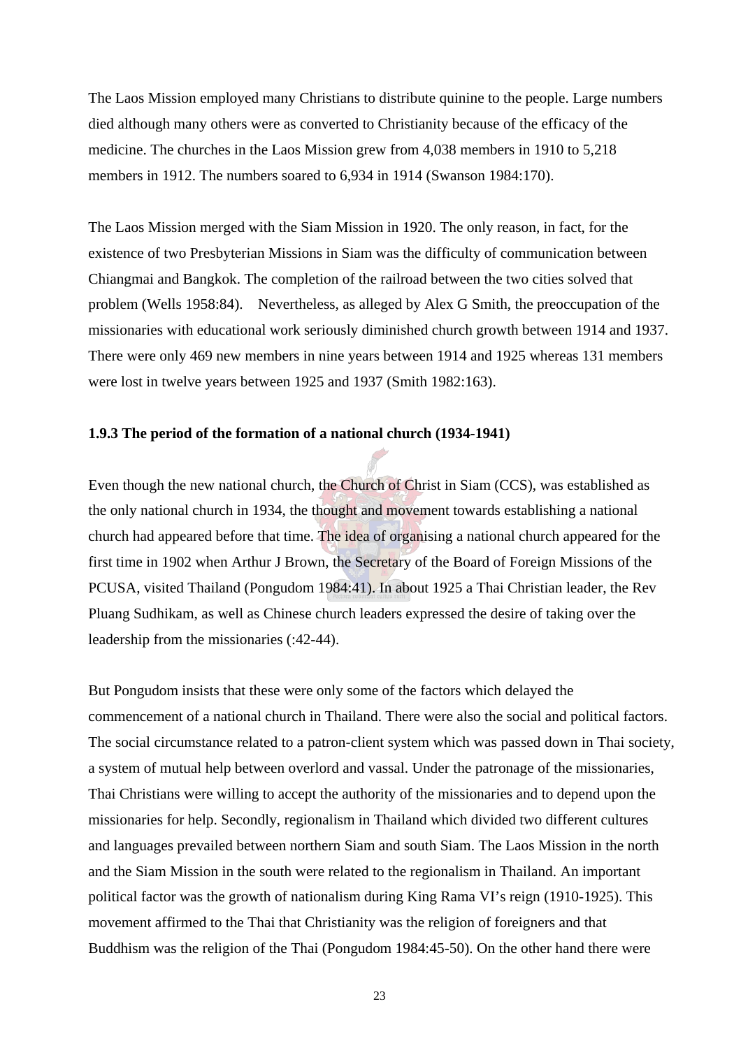The Laos Mission employed many Christians to distribute quinine to the people. Large numbers died although many others were as converted to Christianity because of the efficacy of the medicine. The churches in the Laos Mission grew from 4,038 members in 1910 to 5,218 members in 1912. The numbers soared to 6,934 in 1914 (Swanson 1984:170).

The Laos Mission merged with the Siam Mission in 1920. The only reason, in fact, for the existence of two Presbyterian Missions in Siam was the difficulty of communication between Chiangmai and Bangkok. The completion of the railroad between the two cities solved that problem (Wells 1958:84). Nevertheless, as alleged by Alex G Smith, the preoccupation of the missionaries with educational work seriously diminished church growth between 1914 and 1937. There were only 469 new members in nine years between 1914 and 1925 whereas 131 members were lost in twelve years between 1925 and 1937 (Smith 1982:163).

## **1.9.3 The period of the formation of a national church (1934-1941)**

Even though the new national church, the Church of Christ in Siam (CCS), was established as the only national church in 1934, the thought and movement towards establishing a national church had appeared before that time. The idea of organising a national church appeared for the first time in 1902 when Arthur J Brown, the Secretary of the Board of Foreign Missions of the PCUSA, visited Thailand (Pongudom 1984:41). In about 1925 a Thai Christian leader, the Rev Pluang Sudhikam, as well as Chinese church leaders expressed the desire of taking over the leadership from the missionaries (:42-44).

But Pongudom insists that these were only some of the factors which delayed the commencement of a national church in Thailand. There were also the social and political factors. The social circumstance related to a patron-client system which was passed down in Thai society, a system of mutual help between overlord and vassal. Under the patronage of the missionaries, Thai Christians were willing to accept the authority of the missionaries and to depend upon the missionaries for help. Secondly, regionalism in Thailand which divided two different cultures and languages prevailed between northern Siam and south Siam. The Laos Mission in the north and the Siam Mission in the south were related to the regionalism in Thailand. An important political factor was the growth of nationalism during King Rama VI's reign (1910-1925). This movement affirmed to the Thai that Christianity was the religion of foreigners and that Buddhism was the religion of the Thai (Pongudom 1984:45-50). On the other hand there were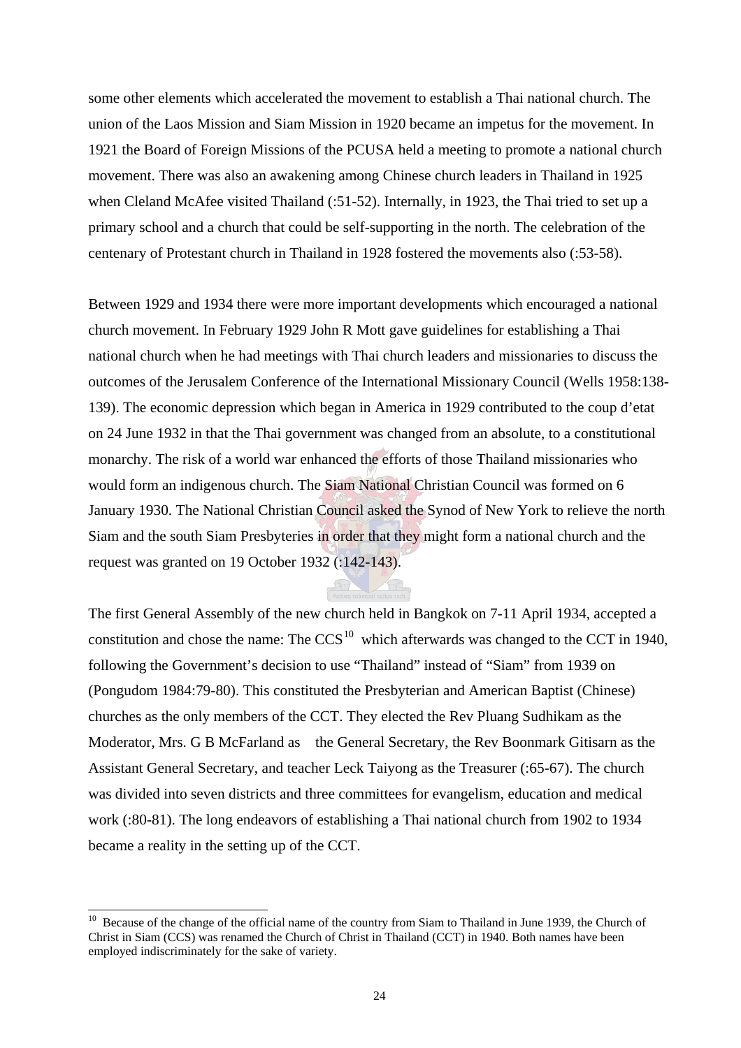some other elements which accelerated the movement to establish a Thai national church. The union of the Laos Mission and Siam Mission in 1920 became an impetus for the movement. In 1921 the Board of Foreign Missions of the PCUSA held a meeting to promote a national church movement. There was also an awakening among Chinese church leaders in Thailand in 1925 when Cleland McAfee visited Thailand (:51-52). Internally, in 1923, the Thai tried to set up a primary school and a church that could be self-supporting in the north. The celebration of the centenary of Protestant church in Thailand in 1928 fostered the movements also (:53-58).

Between 1929 and 1934 there were more important developments which encouraged a national church movement. In February 1929 John R Mott gave guidelines for establishing a Thai national church when he had meetings with Thai church leaders and missionaries to discuss the outcomes of the Jerusalem Conference of the International Missionary Council (Wells 1958:138- 139). The economic depression which began in America in 1929 contributed to the coup d'etat on 24 June 1932 in that the Thai government was changed from an absolute, to a constitutional monarchy. The risk of a world war enhanced the efforts of those Thailand missionaries who would form an indigenous church. The Siam National Christian Council was formed on 6 January 1930. The National Christian Council asked the Synod of New York to relieve the north Siam and the south Siam Presbyteries in order that they might form a national church and the request was granted on 19 October 1932 (:142-143).

The first General Assembly of the new church held in Bangkok on 7-11 April 1934, accepted a constitution and chose the name: The  $CCS<sup>10</sup>$  which afterwards was changed to the CCT in 1940, following the Government's decision to use "Thailand" instead of "Siam" from 1939 on (Pongudom 1984:79-80). This constituted the Presbyterian and American Baptist (Chinese) churches as the only members of the CCT. They elected the Rev Pluang Sudhikam as the Moderator, Mrs. G B McFarland as the General Secretary, the Rev Boonmark Gitisarn as the Assistant General Secretary, and teacher Leck Taiyong as the Treasurer (:65-67). The church was divided into seven districts and three committees for evangelism, education and medical work (:80-81). The long endeavors of establishing a Thai national church from 1902 to 1934 became a reality in the setting up of the CCT.

l

<sup>&</sup>lt;sup>10</sup> Because of the change of the official name of the country from Siam to Thailand in June 1939, the Church of Christ in Siam (CCS) was renamed the Church of Christ in Thailand (CCT) in 1940. Both names have been employed indiscriminately for the sake of variety.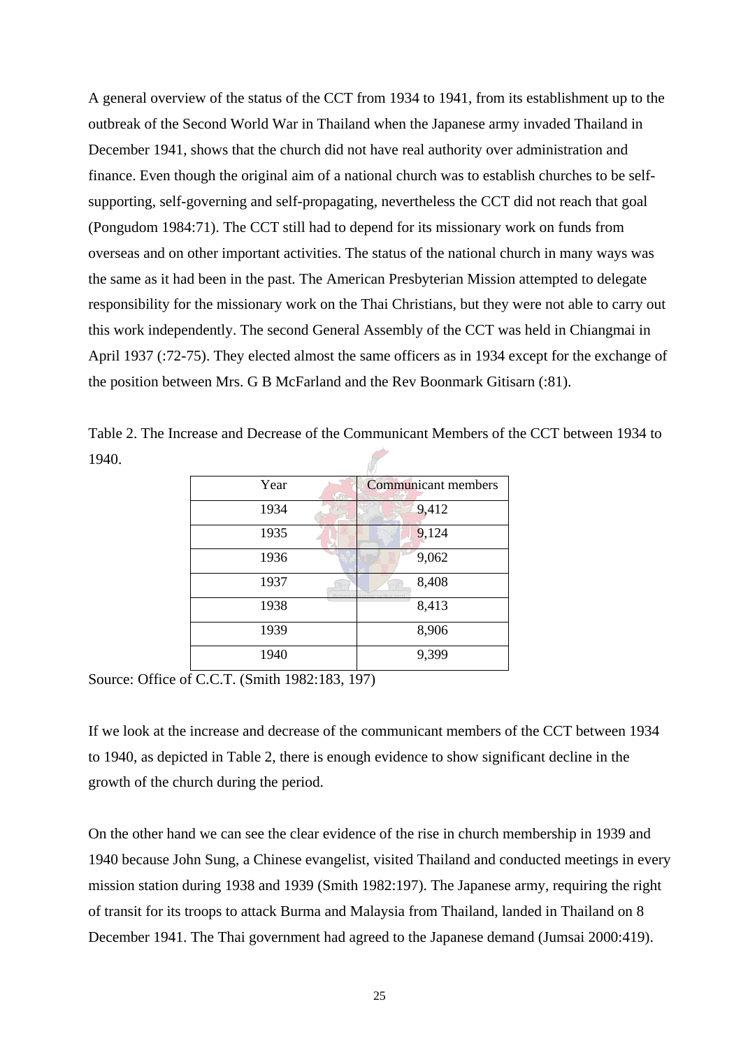A general overview of the status of the CCT from 1934 to 1941, from its establishment up to the outbreak of the Second World War in Thailand when the Japanese army invaded Thailand in December 1941, shows that the church did not have real authority over administration and finance. Even though the original aim of a national church was to establish churches to be selfsupporting, self-governing and self-propagating, nevertheless the CCT did not reach that goal (Pongudom 1984:71). The CCT still had to depend for its missionary work on funds from overseas and on other important activities. The status of the national church in many ways was the same as it had been in the past. The American Presbyterian Mission attempted to delegate responsibility for the missionary work on the Thai Christians, but they were not able to carry out this work independently. The second General Assembly of the CCT was held in Chiangmai in April 1937 (:72-75). They elected almost the same officers as in 1934 except for the exchange of the position between Mrs. G B McFarland and the Rev Boonmark Gitisarn (:81).

| Year | <b>Communicant members</b>            |
|------|---------------------------------------|
| 1934 | 9,412                                 |
| 1935 | 9,124                                 |
| 1936 | 9,062                                 |
| 1937 | 8,408<br>Pertora reformat cultus rect |
| 1938 | 8,413                                 |
| 1939 | 8,906                                 |
| 1940 | 9,399                                 |

Table 2. The Increase and Decrease of the Communicant Members of the CCT between 1934 to 1940.

Source: Office of C.C.T. (Smith 1982:183, 197)

If we look at the increase and decrease of the communicant members of the CCT between 1934 to 1940, as depicted in Table 2, there is enough evidence to show significant decline in the growth of the church during the period.

On the other hand we can see the clear evidence of the rise in church membership in 1939 and 1940 because John Sung, a Chinese evangelist, visited Thailand and conducted meetings in every mission station during 1938 and 1939 (Smith 1982:197). The Japanese army, requiring the right of transit for its troops to attack Burma and Malaysia from Thailand, landed in Thailand on 8 December 1941. The Thai government had agreed to the Japanese demand (Jumsai 2000:419).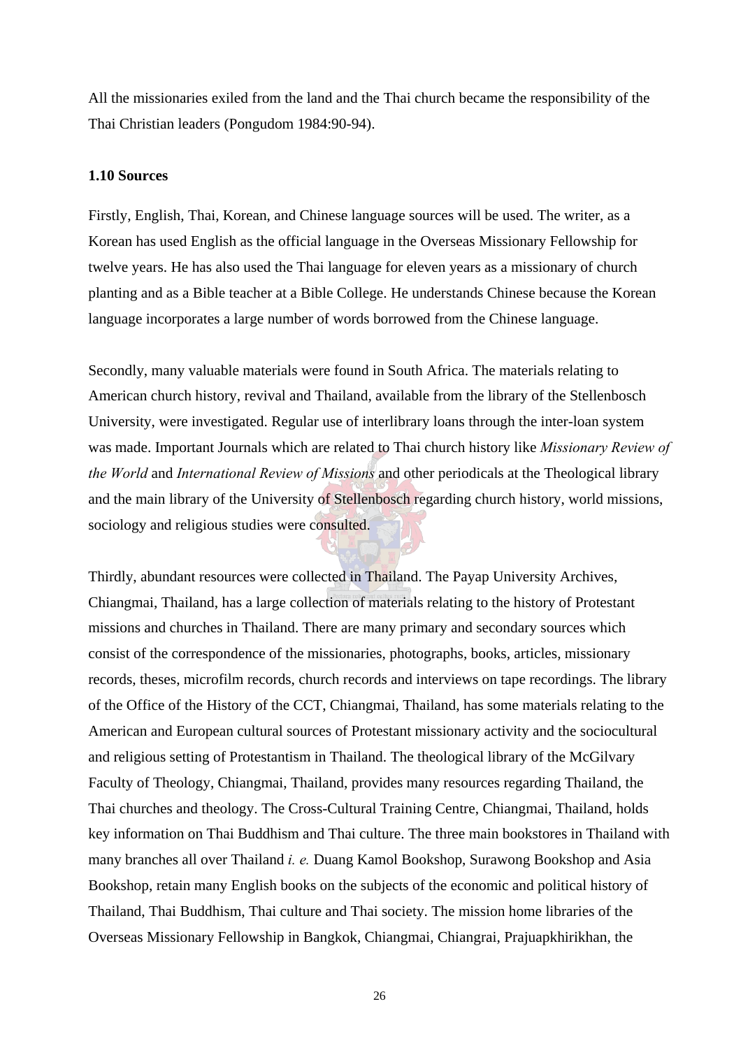All the missionaries exiled from the land and the Thai church became the responsibility of the Thai Christian leaders (Pongudom 1984:90-94).

## **1.10 Sources**

Firstly, English, Thai, Korean, and Chinese language sources will be used. The writer, as a Korean has used English as the official language in the Overseas Missionary Fellowship for twelve years. He has also used the Thai language for eleven years as a missionary of church planting and as a Bible teacher at a Bible College. He understands Chinese because the Korean language incorporates a large number of words borrowed from the Chinese language.

Secondly, many valuable materials were found in South Africa. The materials relating to American church history, revival and Thailand, available from the library of the Stellenbosch University, were investigated. Regular use of interlibrary loans through the inter-loan system was made. Important Journals which are related to Thai church history like *Missionary Review of the World* and *International Review of Missions* and other periodicals at the Theological library and the main library of the University of Stellenbosch regarding church history, world missions, sociology and religious studies were consulted.

Thirdly, abundant resources were collected in Thailand. The Payap University Archives, Chiangmai, Thailand, has a large collection of materials relating to the history of Protestant missions and churches in Thailand. There are many primary and secondary sources which consist of the correspondence of the missionaries, photographs, books, articles, missionary records, theses, microfilm records, church records and interviews on tape recordings. The library of the Office of the History of the CCT, Chiangmai, Thailand, has some materials relating to the American and European cultural sources of Protestant missionary activity and the sociocultural and religious setting of Protestantism in Thailand. The theological library of the McGilvary Faculty of Theology, Chiangmai, Thailand, provides many resources regarding Thailand, the Thai churches and theology. The Cross-Cultural Training Centre, Chiangmai, Thailand, holds key information on Thai Buddhism and Thai culture. The three main bookstores in Thailand with many branches all over Thailand *i. e.* Duang Kamol Bookshop, Surawong Bookshop and Asia Bookshop, retain many English books on the subjects of the economic and political history of Thailand, Thai Buddhism, Thai culture and Thai society. The mission home libraries of the Overseas Missionary Fellowship in Bangkok, Chiangmai, Chiangrai, Prajuapkhirikhan, the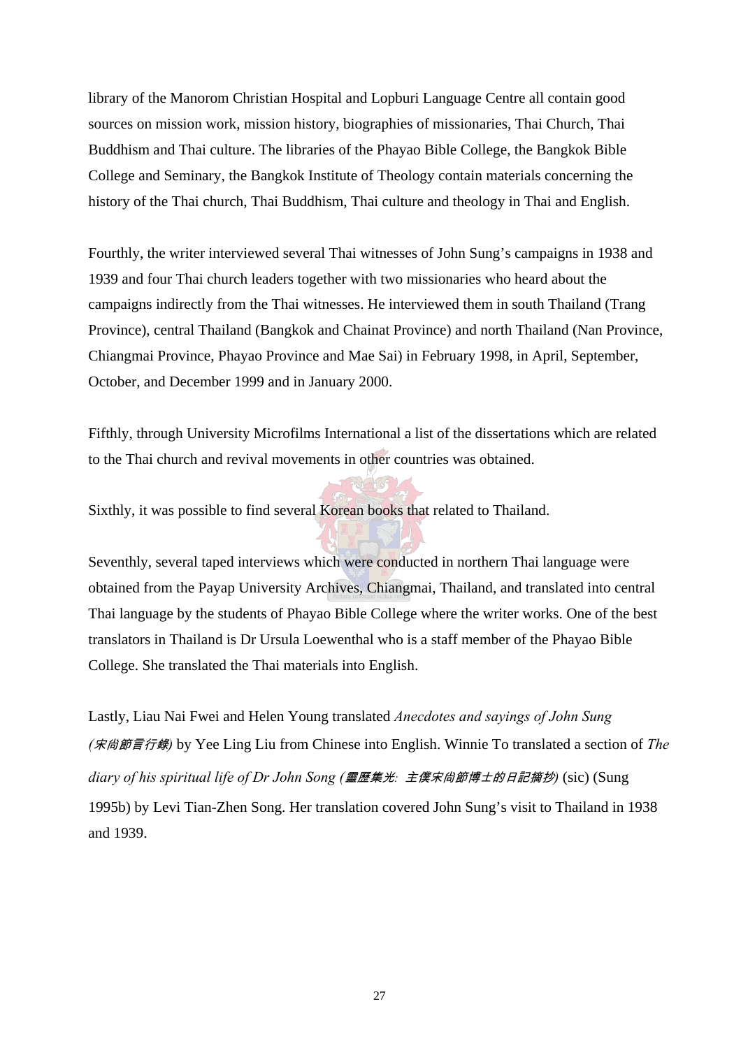library of the Manorom Christian Hospital and Lopburi Language Centre all contain good sources on mission work, mission history, biographies of missionaries, Thai Church, Thai Buddhism and Thai culture. The libraries of the Phayao Bible College, the Bangkok Bible College and Seminary, the Bangkok Institute of Theology contain materials concerning the history of the Thai church, Thai Buddhism, Thai culture and theology in Thai and English.

Fourthly, the writer interviewed several Thai witnesses of John Sung's campaigns in 1938 and 1939 and four Thai church leaders together with two missionaries who heard about the campaigns indirectly from the Thai witnesses. He interviewed them in south Thailand (Trang Province), central Thailand (Bangkok and Chainat Province) and north Thailand (Nan Province, Chiangmai Province, Phayao Province and Mae Sai) in February 1998, in April, September, October, and December 1999 and in January 2000.

Fifthly, through University Microfilms International a list of the dissertations which are related to the Thai church and revival movements in other countries was obtained.

Sixthly, it was possible to find several Korean books that related to Thailand.

Seventhly, several taped interviews which were conducted in northern Thai language were obtained from the Payap University Archives, Chiangmai, Thailand, and translated into central Thai language by the students of Phayao Bible College where the writer works. One of the best translators in Thailand is Dr Ursula Loewenthal who is a staff member of the Phayao Bible College. She translated the Thai materials into English.

Lastly, Liau Nai Fwei and Helen Young translated *Anecdotes and sayings of John Sung (*宋尙節言行錄*)* by Yee Ling Liu from Chinese into English. Winnie To translated a section of *The diary of his spiritual life of Dr John Song (*靈歷集光*:* 主僕宋尙節博士的日記摘抄*)* (sic) (Sung 1995b) by Levi Tian-Zhen Song. Her translation covered John Sung's visit to Thailand in 1938 and 1939.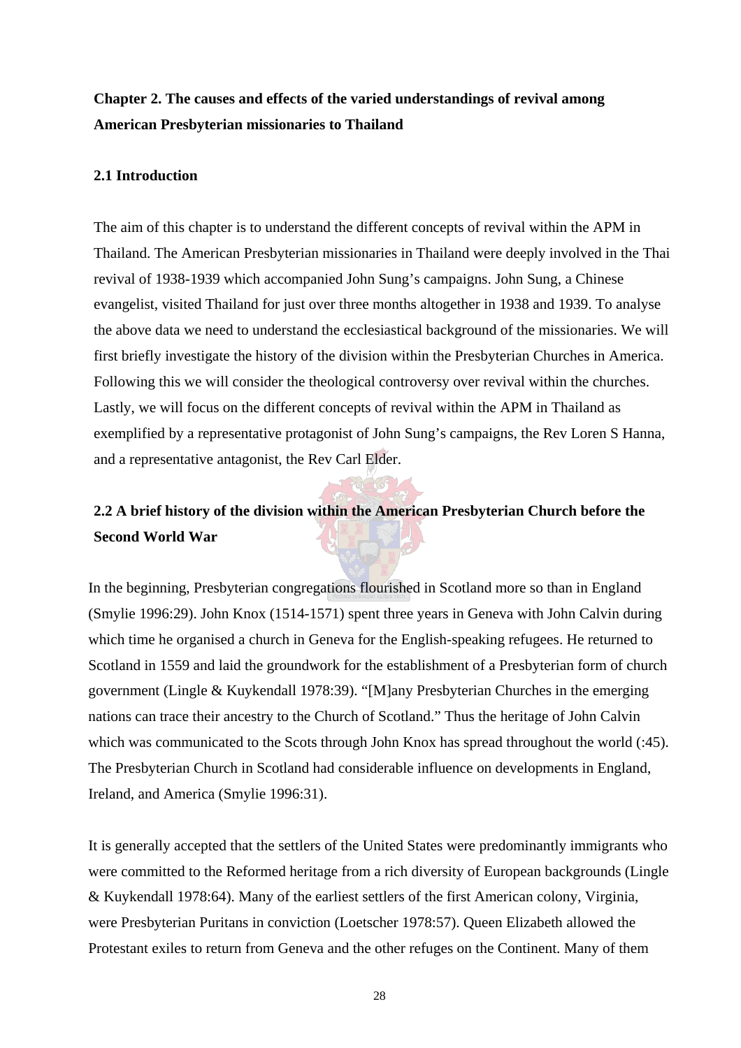## **Chapter 2. The causes and effects of the varied understandings of revival among American Presbyterian missionaries to Thailand**

## **2.1 Introduction**

The aim of this chapter is to understand the different concepts of revival within the APM in Thailand. The American Presbyterian missionaries in Thailand were deeply involved in the Thai revival of 1938-1939 which accompanied John Sung's campaigns. John Sung, a Chinese evangelist, visited Thailand for just over three months altogether in 1938 and 1939. To analyse the above data we need to understand the ecclesiastical background of the missionaries. We will first briefly investigate the history of the division within the Presbyterian Churches in America. Following this we will consider the theological controversy over revival within the churches. Lastly, we will focus on the different concepts of revival within the APM in Thailand as exemplified by a representative protagonist of John Sung's campaigns, the Rev Loren S Hanna, and a representative antagonist, the Rev Carl Elder.

## **2.2 A brief history of the division within the American Presbyterian Church before the Second World War**

In the beginning, Presbyterian congregations flourished in Scotland more so than in England (Smylie 1996:29). John Knox (1514-1571) spent three years in Geneva with John Calvin during which time he organised a church in Geneva for the English-speaking refugees. He returned to Scotland in 1559 and laid the groundwork for the establishment of a Presbyterian form of church government (Lingle & Kuykendall 1978:39). "[M]any Presbyterian Churches in the emerging nations can trace their ancestry to the Church of Scotland." Thus the heritage of John Calvin which was communicated to the Scots through John Knox has spread throughout the world (:45). The Presbyterian Church in Scotland had considerable influence on developments in England, Ireland, and America (Smylie 1996:31).

It is generally accepted that the settlers of the United States were predominantly immigrants who were committed to the Reformed heritage from a rich diversity of European backgrounds (Lingle & Kuykendall 1978:64). Many of the earliest settlers of the first American colony, Virginia, were Presbyterian Puritans in conviction (Loetscher 1978:57). Queen Elizabeth allowed the Protestant exiles to return from Geneva and the other refuges on the Continent. Many of them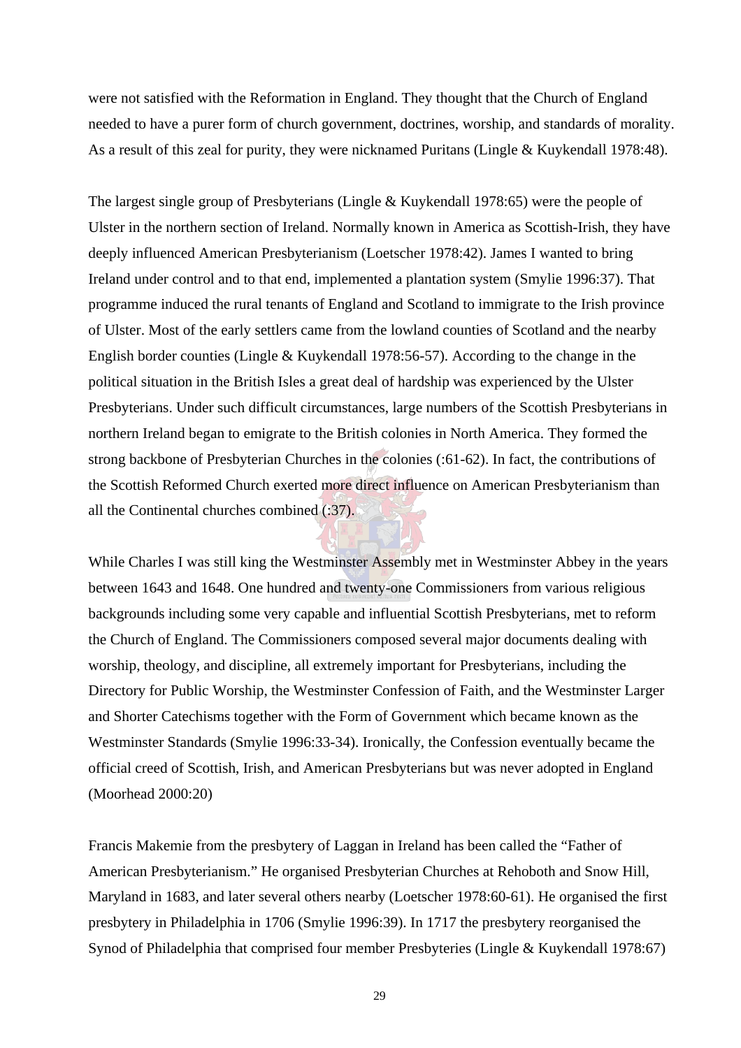were not satisfied with the Reformation in England. They thought that the Church of England needed to have a purer form of church government, doctrines, worship, and standards of morality. As a result of this zeal for purity, they were nicknamed Puritans (Lingle & Kuykendall 1978:48).

The largest single group of Presbyterians (Lingle & Kuykendall 1978:65) were the people of Ulster in the northern section of Ireland. Normally known in America as Scottish-Irish, they have deeply influenced American Presbyterianism (Loetscher 1978:42). James I wanted to bring Ireland under control and to that end, implemented a plantation system (Smylie 1996:37). That programme induced the rural tenants of England and Scotland to immigrate to the Irish province of Ulster. Most of the early settlers came from the lowland counties of Scotland and the nearby English border counties (Lingle & Kuykendall 1978:56-57). According to the change in the political situation in the British Isles a great deal of hardship was experienced by the Ulster Presbyterians. Under such difficult circumstances, large numbers of the Scottish Presbyterians in northern Ireland began to emigrate to the British colonies in North America. They formed the strong backbone of Presbyterian Churches in the colonies (:61-62). In fact, the contributions of the Scottish Reformed Church exerted more direct influence on American Presbyterianism than all the Continental churches combined (:37).

While Charles I was still king the Westminster Assembly met in Westminster Abbey in the years between 1643 and 1648. One hundred and twenty-one Commissioners from various religious backgrounds including some very capable and influential Scottish Presbyterians, met to reform the Church of England. The Commissioners composed several major documents dealing with worship, theology, and discipline, all extremely important for Presbyterians, including the Directory for Public Worship, the Westminster Confession of Faith, and the Westminster Larger and Shorter Catechisms together with the Form of Government which became known as the Westminster Standards (Smylie 1996:33-34). Ironically, the Confession eventually became the official creed of Scottish, Irish, and American Presbyterians but was never adopted in England (Moorhead 2000:20)

Francis Makemie from the presbytery of Laggan in Ireland has been called the "Father of American Presbyterianism." He organised Presbyterian Churches at Rehoboth and Snow Hill, Maryland in 1683, and later several others nearby (Loetscher 1978:60-61). He organised the first presbytery in Philadelphia in 1706 (Smylie 1996:39). In 1717 the presbytery reorganised the Synod of Philadelphia that comprised four member Presbyteries (Lingle & Kuykendall 1978:67)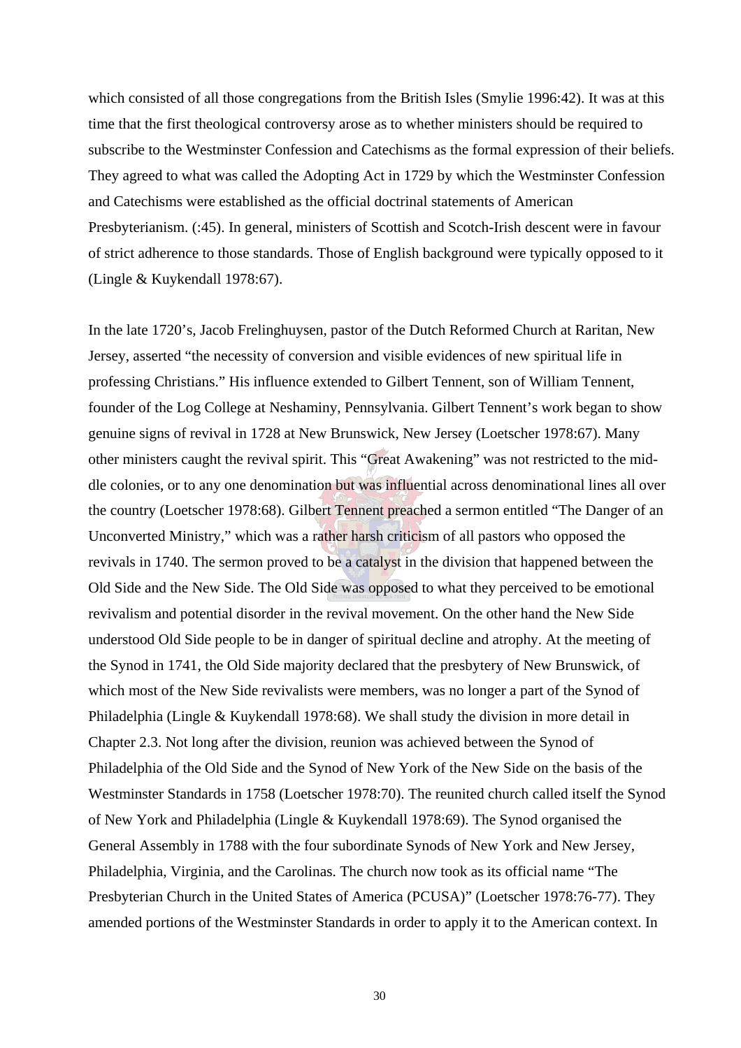which consisted of all those congregations from the British Isles (Smylie 1996:42). It was at this time that the first theological controversy arose as to whether ministers should be required to subscribe to the Westminster Confession and Catechisms as the formal expression of their beliefs. They agreed to what was called the Adopting Act in 1729 by which the Westminster Confession and Catechisms were established as the official doctrinal statements of American Presbyterianism. (:45). In general, ministers of Scottish and Scotch-Irish descent were in favour of strict adherence to those standards. Those of English background were typically opposed to it (Lingle & Kuykendall 1978:67).

In the late 1720's, Jacob Frelinghuysen, pastor of the Dutch Reformed Church at Raritan, New Jersey, asserted "the necessity of conversion and visible evidences of new spiritual life in professing Christians." His influence extended to Gilbert Tennent, son of William Tennent, founder of the Log College at Neshaminy, Pennsylvania. Gilbert Tennent's work began to show genuine signs of revival in 1728 at New Brunswick, New Jersey (Loetscher 1978:67). Many other ministers caught the revival spirit. This "Great Awakening" was not restricted to the middle colonies, or to any one denomination but was influential across denominational lines all over the country (Loetscher 1978:68). Gilbert Tennent preached a sermon entitled "The Danger of an Unconverted Ministry," which was a rather harsh criticism of all pastors who opposed the revivals in 1740. The sermon proved to be a catalyst in the division that happened between the Old Side and the New Side. The Old Side was opposed to what they perceived to be emotional revivalism and potential disorder in the revival movement. On the other hand the New Side understood Old Side people to be in danger of spiritual decline and atrophy. At the meeting of the Synod in 1741, the Old Side majority declared that the presbytery of New Brunswick, of which most of the New Side revivalists were members, was no longer a part of the Synod of Philadelphia (Lingle & Kuykendall 1978:68). We shall study the division in more detail in Chapter 2.3. Not long after the division, reunion was achieved between the Synod of Philadelphia of the Old Side and the Synod of New York of the New Side on the basis of the Westminster Standards in 1758 (Loetscher 1978:70). The reunited church called itself the Synod of New York and Philadelphia (Lingle & Kuykendall 1978:69). The Synod organised the General Assembly in 1788 with the four subordinate Synods of New York and New Jersey, Philadelphia, Virginia, and the Carolinas. The church now took as its official name "The Presbyterian Church in the United States of America (PCUSA)" (Loetscher 1978:76-77). They amended portions of the Westminster Standards in order to apply it to the American context. In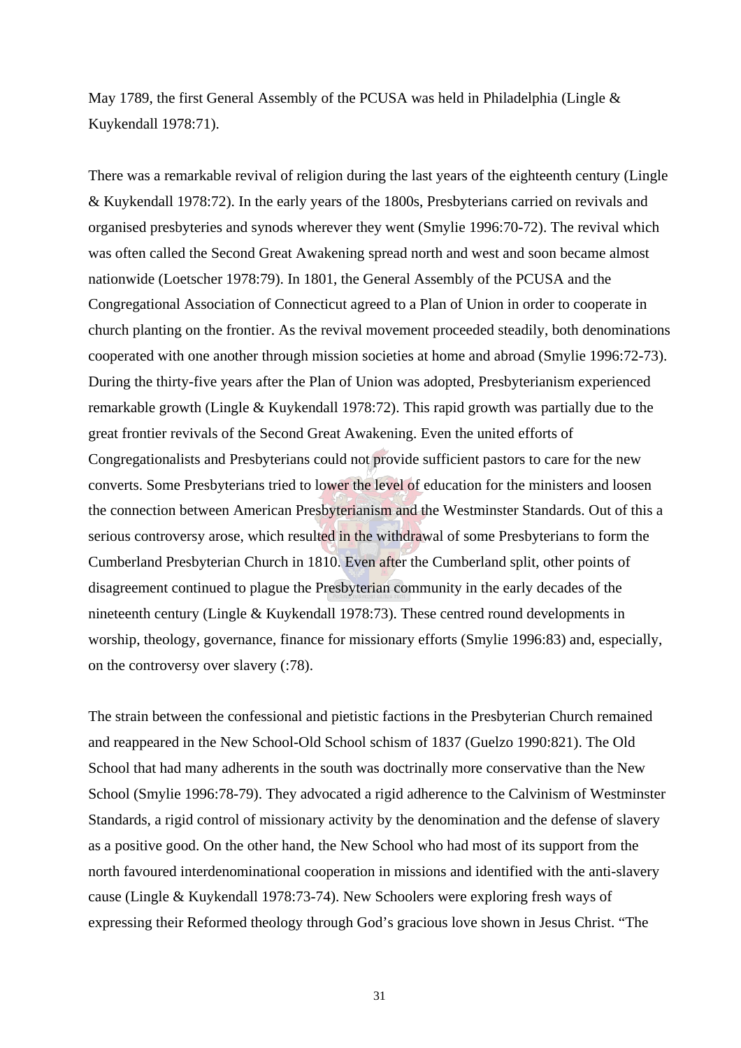May 1789, the first General Assembly of the PCUSA was held in Philadelphia (Lingle & Kuykendall 1978:71).

There was a remarkable revival of religion during the last years of the eighteenth century (Lingle & Kuykendall 1978:72). In the early years of the 1800s, Presbyterians carried on revivals and organised presbyteries and synods wherever they went (Smylie 1996:70-72). The revival which was often called the Second Great Awakening spread north and west and soon became almost nationwide (Loetscher 1978:79). In 1801, the General Assembly of the PCUSA and the Congregational Association of Connecticut agreed to a Plan of Union in order to cooperate in church planting on the frontier. As the revival movement proceeded steadily, both denominations cooperated with one another through mission societies at home and abroad (Smylie 1996:72-73). During the thirty-five years after the Plan of Union was adopted, Presbyterianism experienced remarkable growth (Lingle & Kuykendall 1978:72). This rapid growth was partially due to the great frontier revivals of the Second Great Awakening. Even the united efforts of Congregationalists and Presbyterians could not provide sufficient pastors to care for the new converts. Some Presbyterians tried to lower the level of education for the ministers and loosen the connection between American Presbyterianism and the Westminster Standards. Out of this a serious controversy arose, which resulted in the withdrawal of some Presbyterians to form the Cumberland Presbyterian Church in 1810. Even after the Cumberland split, other points of disagreement continued to plague the Presbyterian community in the early decades of the nineteenth century (Lingle & Kuykendall 1978:73). These centred round developments in worship, theology, governance, finance for missionary efforts (Smylie 1996:83) and, especially, on the controversy over slavery (:78).

The strain between the confessional and pietistic factions in the Presbyterian Church remained and reappeared in the New School-Old School schism of 1837 (Guelzo 1990:821). The Old School that had many adherents in the south was doctrinally more conservative than the New School (Smylie 1996:78-79). They advocated a rigid adherence to the Calvinism of Westminster Standards, a rigid control of missionary activity by the denomination and the defense of slavery as a positive good. On the other hand, the New School who had most of its support from the north favoured interdenominational cooperation in missions and identified with the anti-slavery cause (Lingle & Kuykendall 1978:73-74). New Schoolers were exploring fresh ways of expressing their Reformed theology through God's gracious love shown in Jesus Christ. "The

31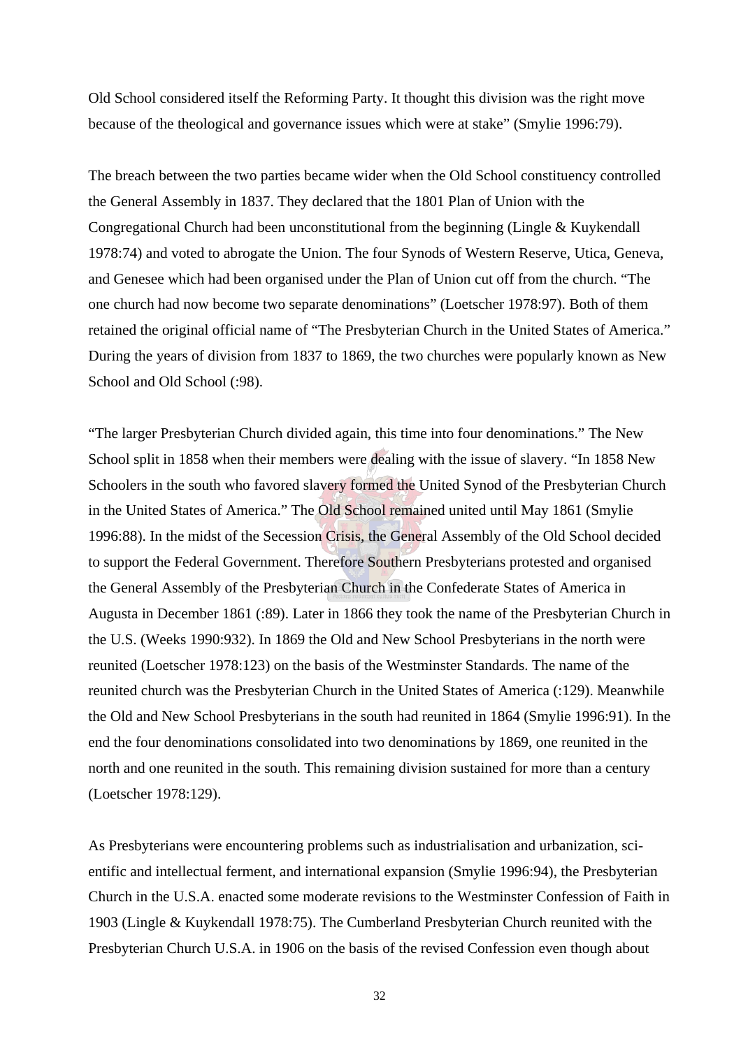Old School considered itself the Reforming Party. It thought this division was the right move because of the theological and governance issues which were at stake" (Smylie 1996:79).

The breach between the two parties became wider when the Old School constituency controlled the General Assembly in 1837. They declared that the 1801 Plan of Union with the Congregational Church had been unconstitutional from the beginning (Lingle & Kuykendall 1978:74) and voted to abrogate the Union. The four Synods of Western Reserve, Utica, Geneva, and Genesee which had been organised under the Plan of Union cut off from the church. "The one church had now become two separate denominations" (Loetscher 1978:97). Both of them retained the original official name of "The Presbyterian Church in the United States of America." During the years of division from 1837 to 1869, the two churches were popularly known as New School and Old School (:98).

"The larger Presbyterian Church divided again, this time into four denominations." The New School split in 1858 when their members were dealing with the issue of slavery. "In 1858 New Schoolers in the south who favored slavery formed the United Synod of the Presbyterian Church in the United States of America." The Old School remained united until May 1861 (Smylie 1996:88). In the midst of the Secession Crisis, the General Assembly of the Old School decided to support the Federal Government. Therefore Southern Presbyterians protested and organised the General Assembly of the Presbyterian Church in the Confederate States of America in Augusta in December 1861 (:89). Later in 1866 they took the name of the Presbyterian Church in the U.S. (Weeks 1990:932). In 1869 the Old and New School Presbyterians in the north were reunited (Loetscher 1978:123) on the basis of the Westminster Standards. The name of the reunited church was the Presbyterian Church in the United States of America (:129). Meanwhile the Old and New School Presbyterians in the south had reunited in 1864 (Smylie 1996:91). In the end the four denominations consolidated into two denominations by 1869, one reunited in the north and one reunited in the south. This remaining division sustained for more than a century (Loetscher 1978:129).

As Presbyterians were encountering problems such as industrialisation and urbanization, scientific and intellectual ferment, and international expansion (Smylie 1996:94), the Presbyterian Church in the U.S.A. enacted some moderate revisions to the Westminster Confession of Faith in 1903 (Lingle & Kuykendall 1978:75). The Cumberland Presbyterian Church reunited with the Presbyterian Church U.S.A. in 1906 on the basis of the revised Confession even though about

32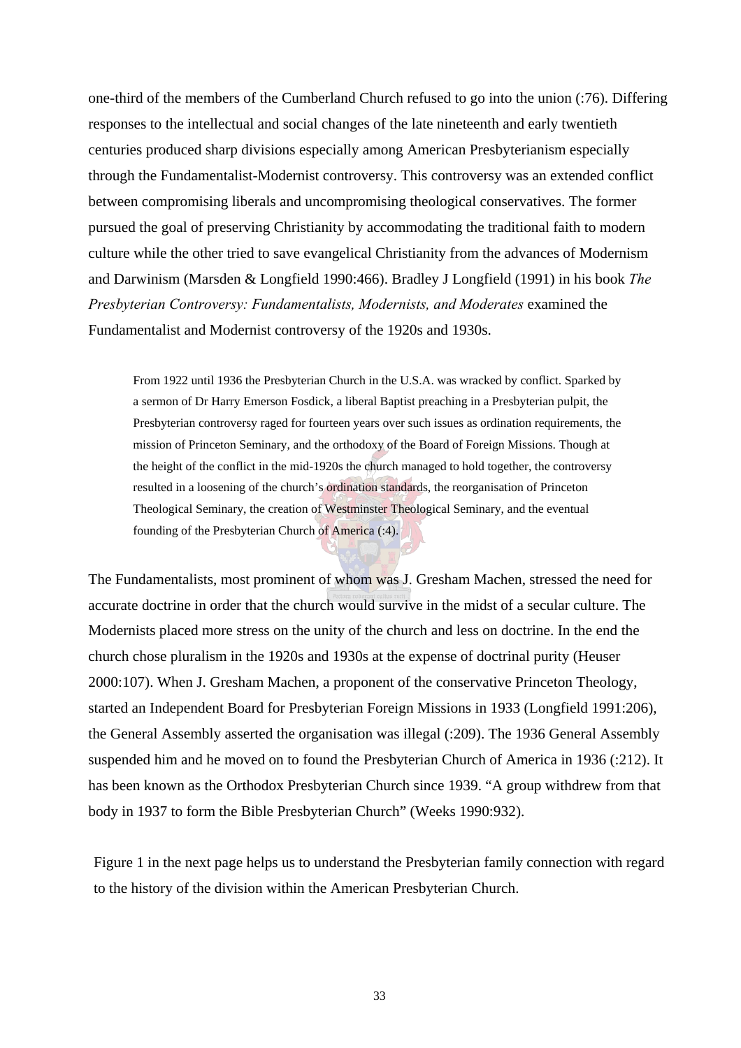one-third of the members of the Cumberland Church refused to go into the union (:76). Differing responses to the intellectual and social changes of the late nineteenth and early twentieth centuries produced sharp divisions especially among American Presbyterianism especially through the Fundamentalist-Modernist controversy. This controversy was an extended conflict between compromising liberals and uncompromising theological conservatives. The former pursued the goal of preserving Christianity by accommodating the traditional faith to modern culture while the other tried to save evangelical Christianity from the advances of Modernism and Darwinism (Marsden & Longfield 1990:466). Bradley J Longfield (1991) in his book *The Presbyterian Controversy: Fundamentalists, Modernists, and Moderates* examined the Fundamentalist and Modernist controversy of the 1920s and 1930s.

From 1922 until 1936 the Presbyterian Church in the U.S.A. was wracked by conflict. Sparked by a sermon of Dr Harry Emerson Fosdick, a liberal Baptist preaching in a Presbyterian pulpit, the Presbyterian controversy raged for fourteen years over such issues as ordination requirements, the mission of Princeton Seminary, and the orthodoxy of the Board of Foreign Missions. Though at the height of the conflict in the mid-1920s the church managed to hold together, the controversy resulted in a loosening of the church's ordination standards, the reorganisation of Princeton Theological Seminary, the creation of Westminster Theological Seminary, and the eventual founding of the Presbyterian Church of America (:4).

The Fundamentalists, most prominent of whom was J. Gresham Machen, stressed the need for accurate doctrine in order that the church would survive in the midst of a secular culture. The Modernists placed more stress on the unity of the church and less on doctrine. In the end the church chose pluralism in the 1920s and 1930s at the expense of doctrinal purity (Heuser 2000:107). When J. Gresham Machen, a proponent of the conservative Princeton Theology, started an Independent Board for Presbyterian Foreign Missions in 1933 (Longfield 1991:206), the General Assembly asserted the organisation was illegal (:209). The 1936 General Assembly suspended him and he moved on to found the Presbyterian Church of America in 1936 (:212). It has been known as the Orthodox Presbyterian Church since 1939. "A group withdrew from that body in 1937 to form the Bible Presbyterian Church" (Weeks 1990:932).

Figure 1 in the next page helps us to understand the Presbyterian family connection with regard to the history of the division within the American Presbyterian Church.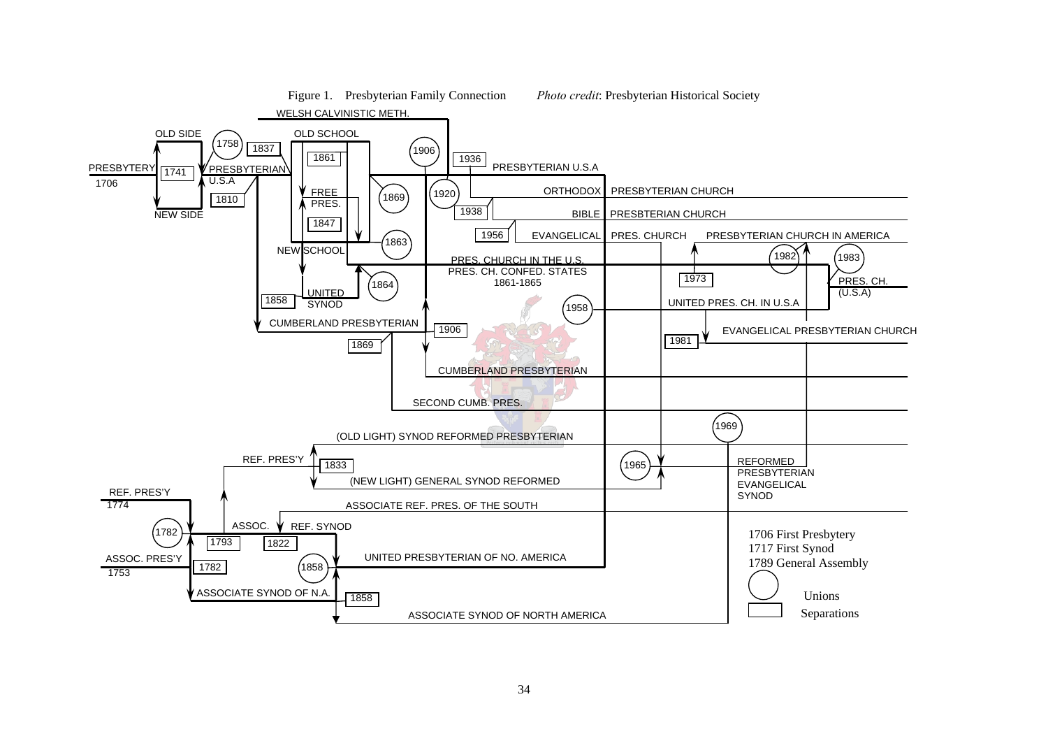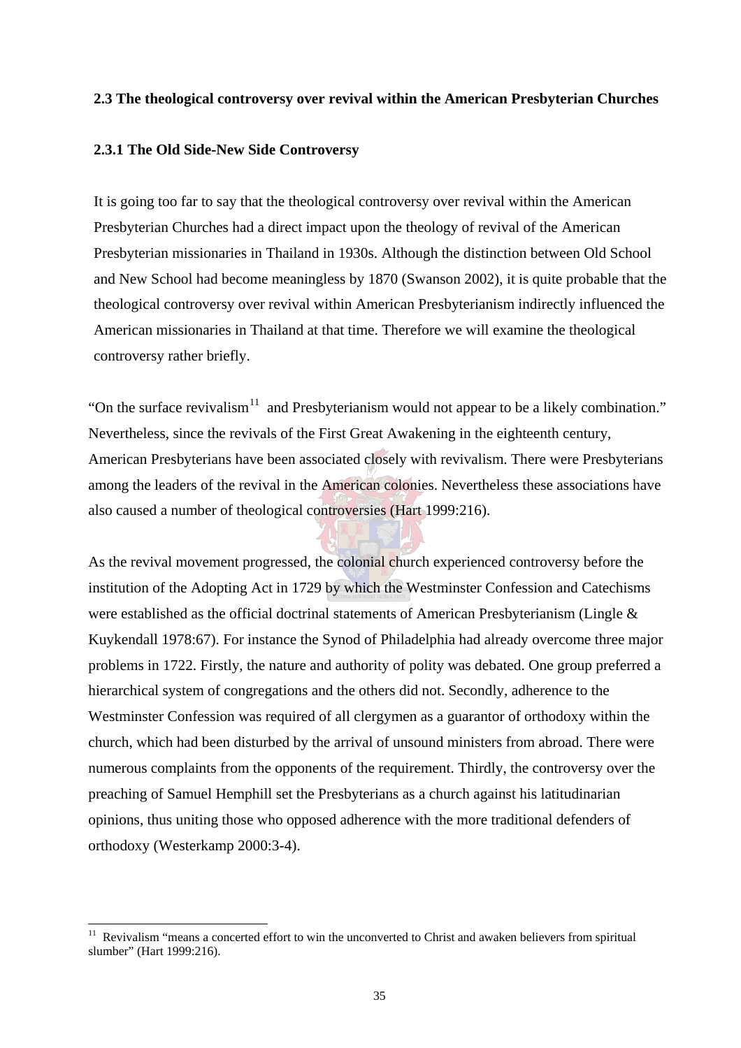## **2.3 The theological controversy over revival within the American Presbyterian Churches**

### **2.3.1 The Old Side-New Side Controversy**

It is going too far to say that the theological controversy over revival within the American Presbyterian Churches had a direct impact upon the theology of revival of the American Presbyterian missionaries in Thailand in 1930s. Although the distinction between Old School and New School had become meaningless by 1870 (Swanson 2002), it is quite probable that the theological controversy over revival within American Presbyterianism indirectly influenced the American missionaries in Thailand at that time. Therefore we will examine the theological controversy rather briefly.

"On the surface revivalism<sup>11</sup> and Presbyterianism would not appear to be a likely combination." Nevertheless, since the revivals of the First Great Awakening in the eighteenth century, American Presbyterians have been associated closely with revivalism. There were Presbyterians among the leaders of the revival in the American colonies. Nevertheless these associations have also caused a number of theological controversies (Hart 1999:216).

As the revival movement progressed, the colonial church experienced controversy before the institution of the Adopting Act in 1729 by which the Westminster Confession and Catechisms were established as the official doctrinal statements of American Presbyterianism (Lingle & Kuykendall 1978:67). For instance the Synod of Philadelphia had already overcome three major problems in 1722. Firstly, the nature and authority of polity was debated. One group preferred a hierarchical system of congregations and the others did not. Secondly, adherence to the Westminster Confession was required of all clergymen as a guarantor of orthodoxy within the church, which had been disturbed by the arrival of unsound ministers from abroad. There were numerous complaints from the opponents of the requirement. Thirdly, the controversy over the preaching of Samuel Hemphill set the Presbyterians as a church against his latitudinarian opinions, thus uniting those who opposed adherence with the more traditional defenders of orthodoxy (Westerkamp 2000:3-4).

 $\overline{a}$ 

<sup>&</sup>lt;sup>11</sup> Revivalism "means a concerted effort to win the unconverted to Christ and awaken believers from spiritual slumber" (Hart 1999:216).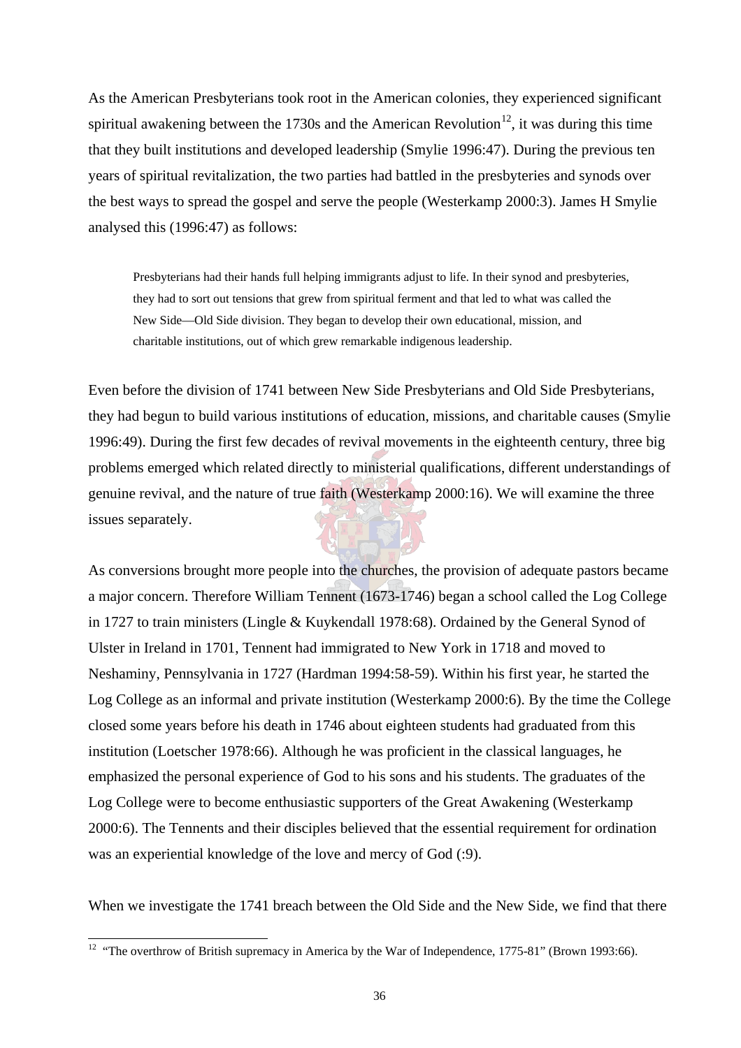As the American Presbyterians took root in the American colonies, they experienced significant spiritual awakening between the 1730s and the American Revolution<sup>12</sup>, it was during this time that they built institutions and developed leadership (Smylie 1996:47). During the previous ten years of spiritual revitalization, the two parties had battled in the presbyteries and synods over the best ways to spread the gospel and serve the people (Westerkamp 2000:3). James H Smylie analysed this (1996:47) as follows:

Presbyterians had their hands full helping immigrants adjust to life. In their synod and presbyteries, they had to sort out tensions that grew from spiritual ferment and that led to what was called the New Side—Old Side division. They began to develop their own educational, mission, and charitable institutions, out of which grew remarkable indigenous leadership.

Even before the division of 1741 between New Side Presbyterians and Old Side Presbyterians, they had begun to build various institutions of education, missions, and charitable causes (Smylie 1996:49). During the first few decades of revival movements in the eighteenth century, three big problems emerged which related directly to ministerial qualifications, different understandings of genuine revival, and the nature of true faith (Westerkamp 2000:16). We will examine the three issues separately.

As conversions brought more people into the churches, the provision of adequate pastors became a major concern. Therefore William Tennent (1673-1746) began a school called the Log College in 1727 to train ministers (Lingle & Kuykendall 1978:68). Ordained by the General Synod of Ulster in Ireland in 1701, Tennent had immigrated to New York in 1718 and moved to Neshaminy, Pennsylvania in 1727 (Hardman 1994:58-59). Within his first year, he started the Log College as an informal and private institution (Westerkamp 2000:6). By the time the College closed some years before his death in 1746 about eighteen students had graduated from this institution (Loetscher 1978:66). Although he was proficient in the classical languages, he emphasized the personal experience of God to his sons and his students. The graduates of the Log College were to become enthusiastic supporters of the Great Awakening (Westerkamp 2000:6). The Tennents and their disciples believed that the essential requirement for ordination was an experiential knowledge of the love and mercy of God (:9).

When we investigate the 1741 breach between the Old Side and the New Side, we find that there

 $\overline{a}$ 

<sup>&</sup>lt;sup>12</sup> "The overthrow of British supremacy in America by the War of Independence,  $1775-81$ " (Brown 1993:66).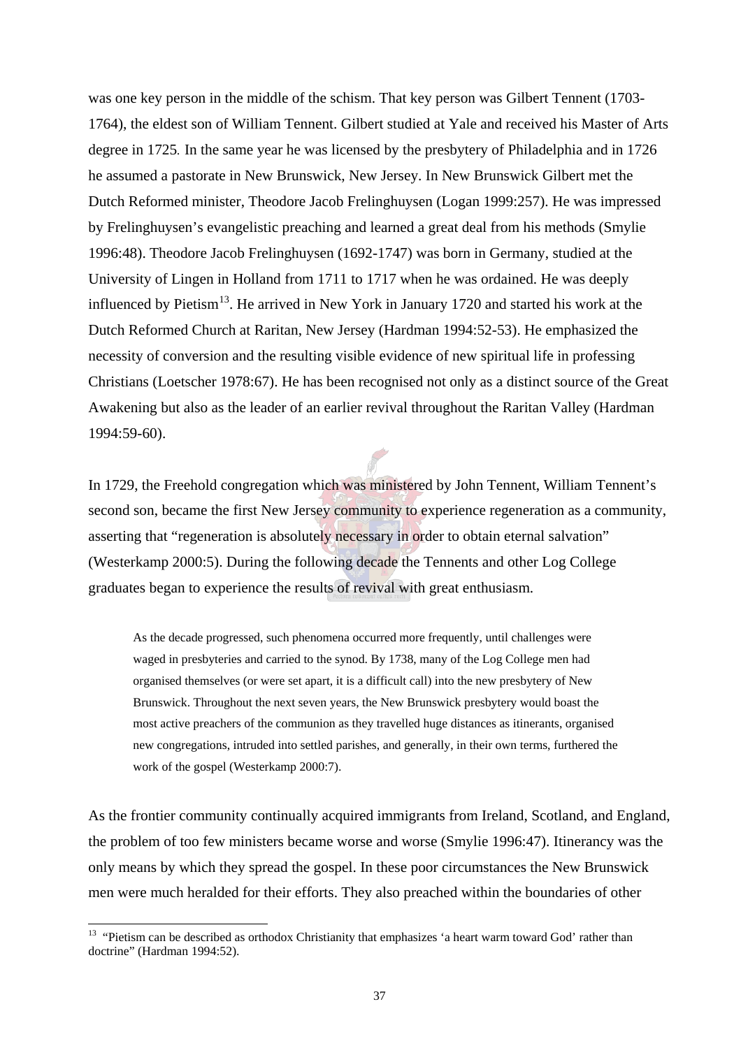was one key person in the middle of the schism. That key person was Gilbert Tennent (1703- 1764), the eldest son of William Tennent. Gilbert studied at Yale and received his Master of Arts degree in 1725*.* In the same year he was licensed by the presbytery of Philadelphia and in 1726 he assumed a pastorate in New Brunswick, New Jersey. In New Brunswick Gilbert met the Dutch Reformed minister, Theodore Jacob Frelinghuysen (Logan 1999:257). He was impressed by Frelinghuysen's evangelistic preaching and learned a great deal from his methods (Smylie 1996:48). Theodore Jacob Frelinghuysen (1692-1747) was born in Germany, studied at the University of Lingen in Holland from 1711 to 1717 when he was ordained. He was deeply influenced by Pietism<sup>13</sup>. He arrived in New York in January 1720 and started his work at the Dutch Reformed Church at Raritan, New Jersey (Hardman 1994:52-53). He emphasized the necessity of conversion and the resulting visible evidence of new spiritual life in professing Christians (Loetscher 1978:67). He has been recognised not only as a distinct source of the Great Awakening but also as the leader of an earlier revival throughout the Raritan Valley (Hardman 1994:59-60).

In 1729, the Freehold congregation which was ministered by John Tennent, William Tennent's second son, became the first New Jersey community to experience regeneration as a community, asserting that "regeneration is absolutely necessary in order to obtain eternal salvation" (Westerkamp 2000:5). During the following decade the Tennents and other Log College graduates began to experience the results of revival with great enthusiasm.

As the decade progressed, such phenomena occurred more frequently, until challenges were waged in presbyteries and carried to the synod. By 1738, many of the Log College men had organised themselves (or were set apart, it is a difficult call) into the new presbytery of New Brunswick. Throughout the next seven years, the New Brunswick presbytery would boast the most active preachers of the communion as they travelled huge distances as itinerants, organised new congregations, intruded into settled parishes, and generally, in their own terms, furthered the work of the gospel (Westerkamp 2000:7).

As the frontier community continually acquired immigrants from Ireland, Scotland, and England, the problem of too few ministers became worse and worse (Smylie 1996:47). Itinerancy was the only means by which they spread the gospel. In these poor circumstances the New Brunswick men were much heralded for their efforts. They also preached within the boundaries of other

 $\overline{a}$ 

<sup>&</sup>lt;sup>13</sup> "Pietism can be described as orthodox Christianity that emphasizes 'a heart warm toward God' rather than doctrine" (Hardman 1994:52).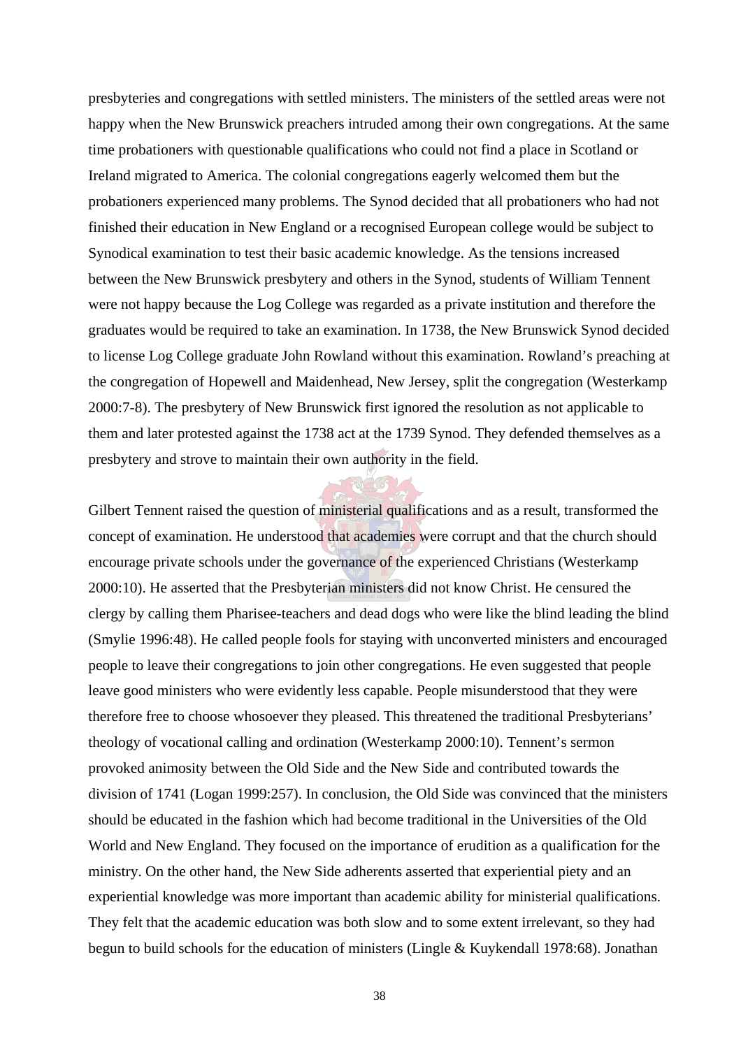presbyteries and congregations with settled ministers. The ministers of the settled areas were not happy when the New Brunswick preachers intruded among their own congregations. At the same time probationers with questionable qualifications who could not find a place in Scotland or Ireland migrated to America. The colonial congregations eagerly welcomed them but the probationers experienced many problems. The Synod decided that all probationers who had not finished their education in New England or a recognised European college would be subject to Synodical examination to test their basic academic knowledge. As the tensions increased between the New Brunswick presbytery and others in the Synod, students of William Tennent were not happy because the Log College was regarded as a private institution and therefore the graduates would be required to take an examination. In 1738, the New Brunswick Synod decided to license Log College graduate John Rowland without this examination. Rowland's preaching at the congregation of Hopewell and Maidenhead, New Jersey, split the congregation (Westerkamp 2000:7-8). The presbytery of New Brunswick first ignored the resolution as not applicable to them and later protested against the 1738 act at the 1739 Synod. They defended themselves as a presbytery and strove to maintain their own authority in the field.

Gilbert Tennent raised the question of ministerial qualifications and as a result, transformed the concept of examination. He understood that academies were corrupt and that the church should encourage private schools under the governance of the experienced Christians (Westerkamp 2000:10). He asserted that the Presbyterian ministers did not know Christ. He censured the clergy by calling them Pharisee-teachers and dead dogs who were like the blind leading the blind (Smylie 1996:48). He called people fools for staying with unconverted ministers and encouraged people to leave their congregations to join other congregations. He even suggested that people leave good ministers who were evidently less capable. People misunderstood that they were therefore free to choose whosoever they pleased. This threatened the traditional Presbyterians' theology of vocational calling and ordination (Westerkamp 2000:10). Tennent's sermon provoked animosity between the Old Side and the New Side and contributed towards the division of 1741 (Logan 1999:257). In conclusion, the Old Side was convinced that the ministers should be educated in the fashion which had become traditional in the Universities of the Old World and New England. They focused on the importance of erudition as a qualification for the ministry. On the other hand, the New Side adherents asserted that experiential piety and an experiential knowledge was more important than academic ability for ministerial qualifications. They felt that the academic education was both slow and to some extent irrelevant, so they had begun to build schools for the education of ministers (Lingle & Kuykendall 1978:68). Jonathan

38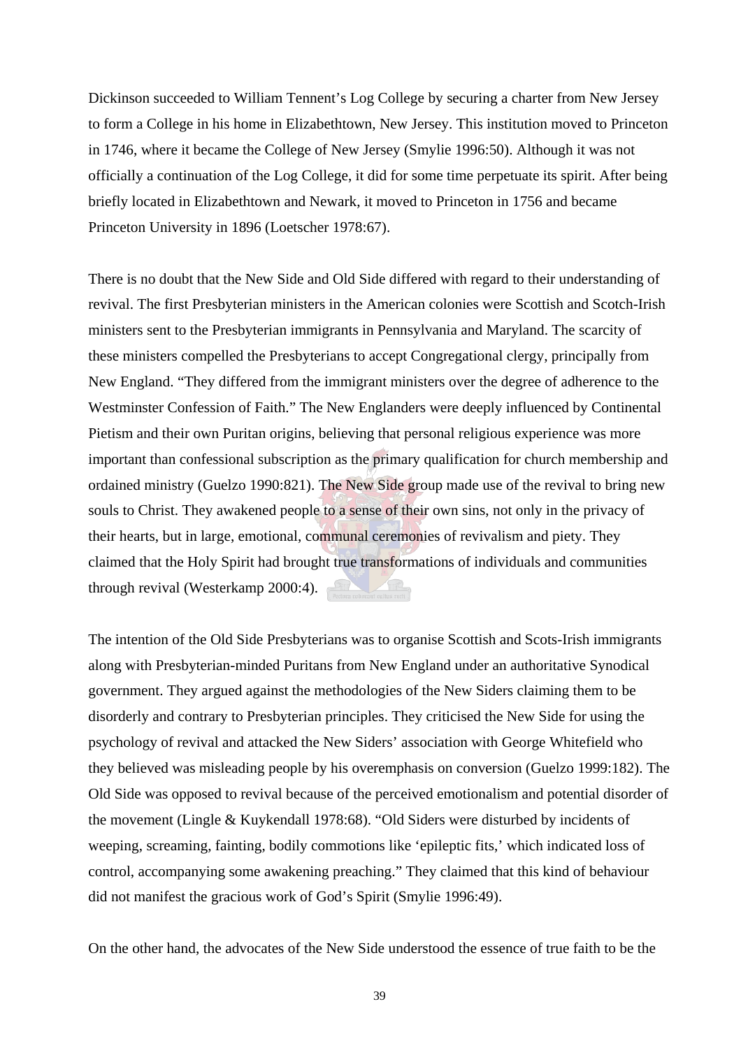Dickinson succeeded to William Tennent's Log College by securing a charter from New Jersey to form a College in his home in Elizabethtown, New Jersey. This institution moved to Princeton in 1746, where it became the College of New Jersey (Smylie 1996:50). Although it was not officially a continuation of the Log College, it did for some time perpetuate its spirit. After being briefly located in Elizabethtown and Newark, it moved to Princeton in 1756 and became Princeton University in 1896 (Loetscher 1978:67).

There is no doubt that the New Side and Old Side differed with regard to their understanding of revival. The first Presbyterian ministers in the American colonies were Scottish and Scotch-Irish ministers sent to the Presbyterian immigrants in Pennsylvania and Maryland. The scarcity of these ministers compelled the Presbyterians to accept Congregational clergy, principally from New England. "They differed from the immigrant ministers over the degree of adherence to the Westminster Confession of Faith." The New Englanders were deeply influenced by Continental Pietism and their own Puritan origins, believing that personal religious experience was more important than confessional subscription as the primary qualification for church membership and ordained ministry (Guelzo 1990:821). The New Side group made use of the revival to bring new souls to Christ. They awakened people to a sense of their own sins, not only in the privacy of their hearts, but in large, emotional, communal ceremonies of revivalism and piety. They claimed that the Holy Spirit had brought true transformations of individuals and communities through revival (Westerkamp 2000:4).

The intention of the Old Side Presbyterians was to organise Scottish and Scots-Irish immigrants along with Presbyterian-minded Puritans from New England under an authoritative Synodical government. They argued against the methodologies of the New Siders claiming them to be disorderly and contrary to Presbyterian principles. They criticised the New Side for using the psychology of revival and attacked the New Siders' association with George Whitefield who they believed was misleading people by his overemphasis on conversion (Guelzo 1999:182). The Old Side was opposed to revival because of the perceived emotionalism and potential disorder of the movement (Lingle & Kuykendall 1978:68). "Old Siders were disturbed by incidents of weeping, screaming, fainting, bodily commotions like 'epileptic fits,' which indicated loss of control, accompanying some awakening preaching." They claimed that this kind of behaviour did not manifest the gracious work of God's Spirit (Smylie 1996:49).

On the other hand, the advocates of the New Side understood the essence of true faith to be the

39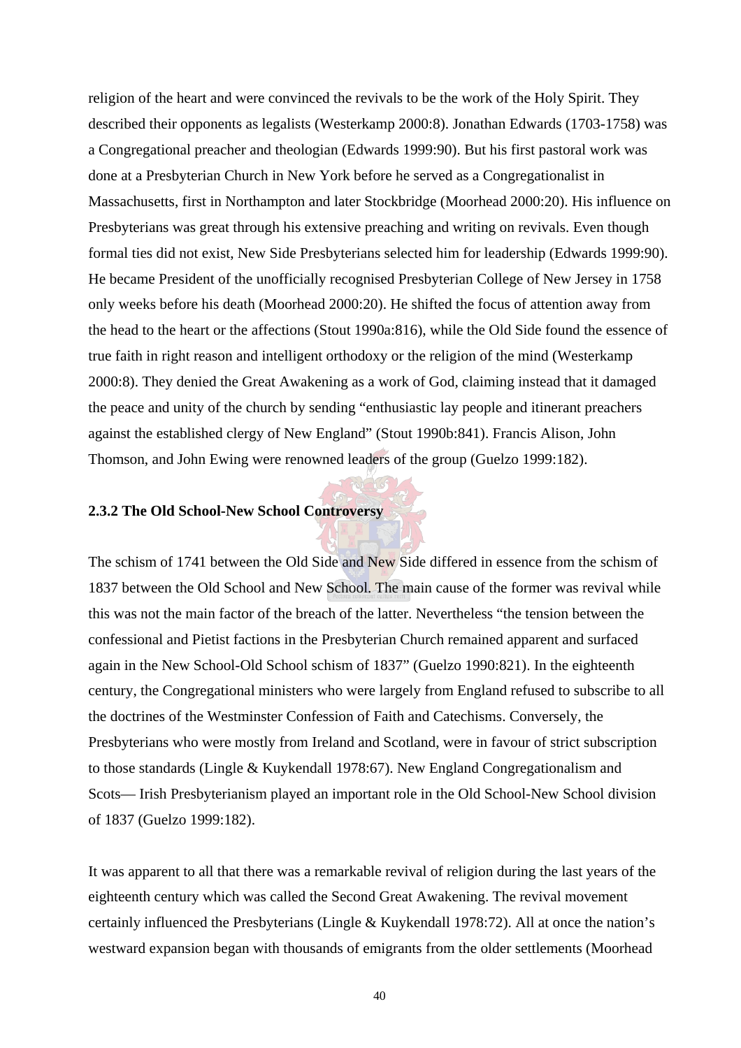religion of the heart and were convinced the revivals to be the work of the Holy Spirit. They described their opponents as legalists (Westerkamp 2000:8). Jonathan Edwards (1703-1758) was a Congregational preacher and theologian (Edwards 1999:90). But his first pastoral work was done at a Presbyterian Church in New York before he served as a Congregationalist in Massachusetts, first in Northampton and later Stockbridge (Moorhead 2000:20). His influence on Presbyterians was great through his extensive preaching and writing on revivals. Even though formal ties did not exist, New Side Presbyterians selected him for leadership (Edwards 1999:90). He became President of the unofficially recognised Presbyterian College of New Jersey in 1758 only weeks before his death (Moorhead 2000:20). He shifted the focus of attention away from the head to the heart or the affections (Stout 1990a:816), while the Old Side found the essence of true faith in right reason and intelligent orthodoxy or the religion of the mind (Westerkamp 2000:8). They denied the Great Awakening as a work of God, claiming instead that it damaged the peace and unity of the church by sending "enthusiastic lay people and itinerant preachers against the established clergy of New England" (Stout 1990b:841). Francis Alison, John Thomson, and John Ewing were renowned leaders of the group (Guelzo 1999:182).

### **2.3.2 The Old School-New School Controversy**

The schism of 1741 between the Old Side and New Side differed in essence from the schism of 1837 between the Old School and New School. The main cause of the former was revival while this was not the main factor of the breach of the latter. Nevertheless "the tension between the confessional and Pietist factions in the Presbyterian Church remained apparent and surfaced again in the New School-Old School schism of 1837" (Guelzo 1990:821). In the eighteenth century, the Congregational ministers who were largely from England refused to subscribe to all the doctrines of the Westminster Confession of Faith and Catechisms. Conversely, the Presbyterians who were mostly from Ireland and Scotland, were in favour of strict subscription to those standards (Lingle & Kuykendall 1978:67). New England Congregationalism and Scots— Irish Presbyterianism played an important role in the Old School-New School division of 1837 (Guelzo 1999:182).

It was apparent to all that there was a remarkable revival of religion during the last years of the eighteenth century which was called the Second Great Awakening. The revival movement certainly influenced the Presbyterians (Lingle & Kuykendall 1978:72). All at once the nation's westward expansion began with thousands of emigrants from the older settlements (Moorhead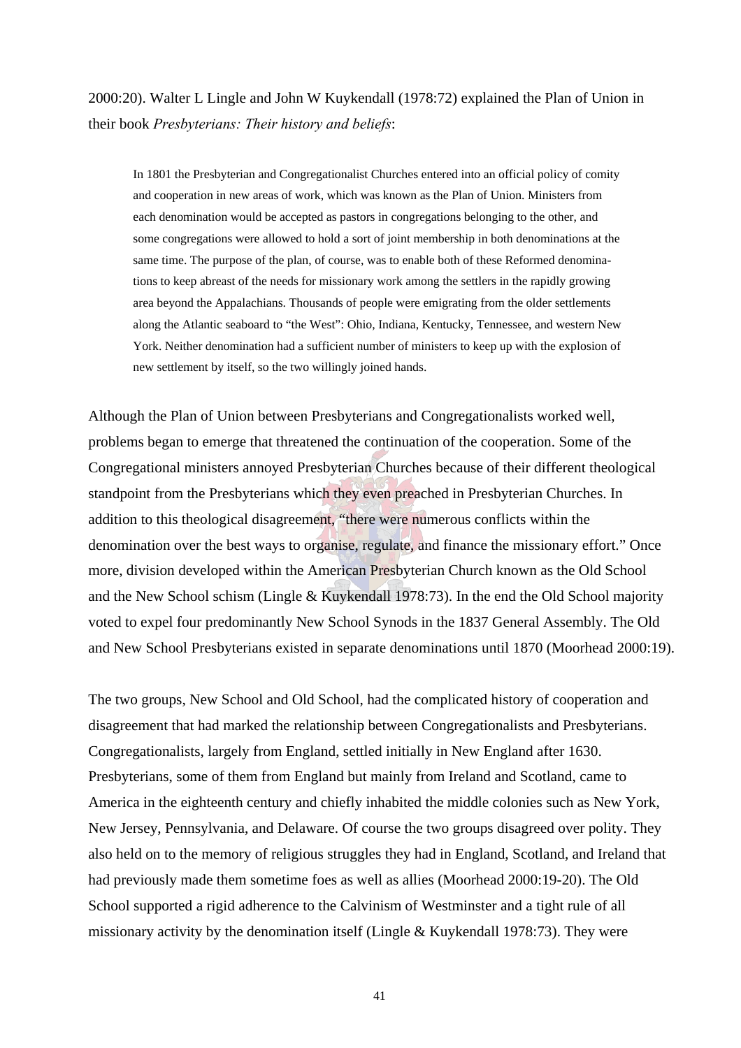2000:20). Walter L Lingle and John W Kuykendall (1978:72) explained the Plan of Union in their book *Presbyterians: Their history and beliefs*:

In 1801 the Presbyterian and Congregationalist Churches entered into an official policy of comity and cooperation in new areas of work, which was known as the Plan of Union. Ministers from each denomination would be accepted as pastors in congregations belonging to the other, and some congregations were allowed to hold a sort of joint membership in both denominations at the same time. The purpose of the plan, of course, was to enable both of these Reformed denominations to keep abreast of the needs for missionary work among the settlers in the rapidly growing area beyond the Appalachians. Thousands of people were emigrating from the older settlements along the Atlantic seaboard to "the West": Ohio, Indiana, Kentucky, Tennessee, and western New York. Neither denomination had a sufficient number of ministers to keep up with the explosion of new settlement by itself, so the two willingly joined hands.

Although the Plan of Union between Presbyterians and Congregationalists worked well, problems began to emerge that threatened the continuation of the cooperation. Some of the Congregational ministers annoyed Presbyterian Churches because of their different theological standpoint from the Presbyterians which they even preached in Presbyterian Churches. In addition to this theological disagreement, "there were numerous conflicts within the denomination over the best ways to organise, regulate, and finance the missionary effort." Once more, division developed within the American Presbyterian Church known as the Old School and the New School schism (Lingle & Kuykendall 1978:73). In the end the Old School majority voted to expel four predominantly New School Synods in the 1837 General Assembly. The Old and New School Presbyterians existed in separate denominations until 1870 (Moorhead 2000:19).

The two groups, New School and Old School, had the complicated history of cooperation and disagreement that had marked the relationship between Congregationalists and Presbyterians. Congregationalists, largely from England, settled initially in New England after 1630. Presbyterians, some of them from England but mainly from Ireland and Scotland, came to America in the eighteenth century and chiefly inhabited the middle colonies such as New York, New Jersey, Pennsylvania, and Delaware. Of course the two groups disagreed over polity. They also held on to the memory of religious struggles they had in England, Scotland, and Ireland that had previously made them sometime foes as well as allies (Moorhead 2000:19-20). The Old School supported a rigid adherence to the Calvinism of Westminster and a tight rule of all missionary activity by the denomination itself (Lingle & Kuykendall 1978:73). They were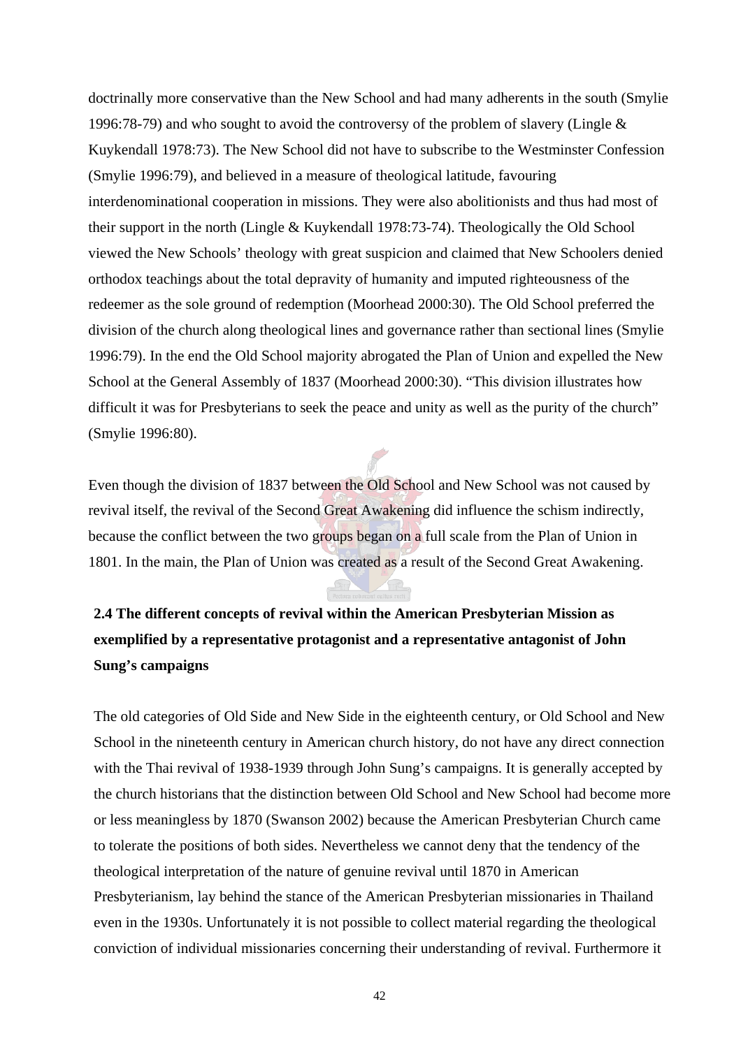doctrinally more conservative than the New School and had many adherents in the south (Smylie 1996:78-79) and who sought to avoid the controversy of the problem of slavery (Lingle & Kuykendall 1978:73). The New School did not have to subscribe to the Westminster Confession (Smylie 1996:79), and believed in a measure of theological latitude, favouring interdenominational cooperation in missions. They were also abolitionists and thus had most of their support in the north (Lingle & Kuykendall 1978:73-74). Theologically the Old School viewed the New Schools' theology with great suspicion and claimed that New Schoolers denied orthodox teachings about the total depravity of humanity and imputed righteousness of the redeemer as the sole ground of redemption (Moorhead 2000:30). The Old School preferred the division of the church along theological lines and governance rather than sectional lines (Smylie 1996:79). In the end the Old School majority abrogated the Plan of Union and expelled the New School at the General Assembly of 1837 (Moorhead 2000:30). "This division illustrates how difficult it was for Presbyterians to seek the peace and unity as well as the purity of the church" (Smylie 1996:80).

Even though the division of 1837 between the Old School and New School was not caused by revival itself, the revival of the Second Great Awakening did influence the schism indirectly, because the conflict between the two groups began on a full scale from the Plan of Union in 1801. In the main, the Plan of Union was created as a result of the Second Great Awakening.

# **2.4 The different concepts of revival within the American Presbyterian Mission as exemplified by a representative protagonist and a representative antagonist of John Sung's campaigns**

The old categories of Old Side and New Side in the eighteenth century, or Old School and New School in the nineteenth century in American church history, do not have any direct connection with the Thai revival of 1938-1939 through John Sung's campaigns. It is generally accepted by the church historians that the distinction between Old School and New School had become more or less meaningless by 1870 (Swanson 2002) because the American Presbyterian Church came to tolerate the positions of both sides. Nevertheless we cannot deny that the tendency of the theological interpretation of the nature of genuine revival until 1870 in American Presbyterianism, lay behind the stance of the American Presbyterian missionaries in Thailand even in the 1930s. Unfortunately it is not possible to collect material regarding the theological conviction of individual missionaries concerning their understanding of revival. Furthermore it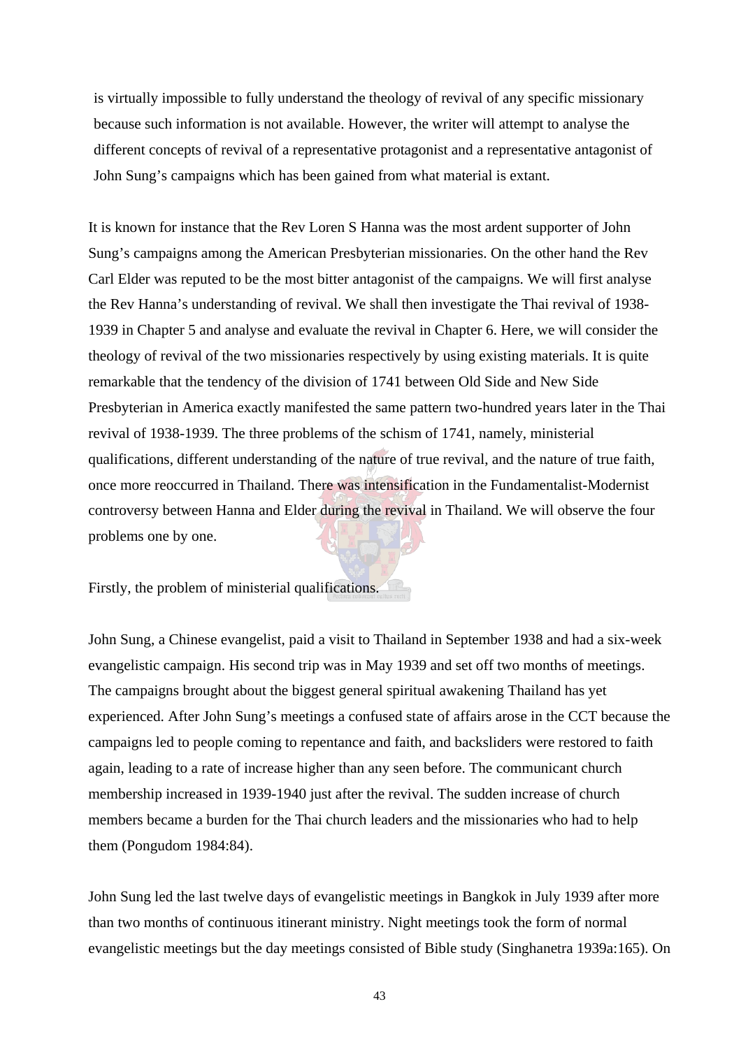is virtually impossible to fully understand the theology of revival of any specific missionary because such information is not available. However, the writer will attempt to analyse the different concepts of revival of a representative protagonist and a representative antagonist of John Sung's campaigns which has been gained from what material is extant.

It is known for instance that the Rev Loren S Hanna was the most ardent supporter of John Sung's campaigns among the American Presbyterian missionaries. On the other hand the Rev Carl Elder was reputed to be the most bitter antagonist of the campaigns. We will first analyse the Rev Hanna's understanding of revival. We shall then investigate the Thai revival of 1938- 1939 in Chapter 5 and analyse and evaluate the revival in Chapter 6. Here, we will consider the theology of revival of the two missionaries respectively by using existing materials. It is quite remarkable that the tendency of the division of 1741 between Old Side and New Side Presbyterian in America exactly manifested the same pattern two-hundred years later in the Thai revival of 1938-1939. The three problems of the schism of 1741, namely, ministerial qualifications, different understanding of the nature of true revival, and the nature of true faith, once more reoccurred in Thailand. There was intensification in the Fundamentalist-Modernist controversy between Hanna and Elder during the revival in Thailand. We will observe the four problems one by one.

Firstly, the problem of ministerial qualifications.

John Sung, a Chinese evangelist, paid a visit to Thailand in September 1938 and had a six-week evangelistic campaign. His second trip was in May 1939 and set off two months of meetings. The campaigns brought about the biggest general spiritual awakening Thailand has yet experienced. After John Sung's meetings a confused state of affairs arose in the CCT because the campaigns led to people coming to repentance and faith, and backsliders were restored to faith again, leading to a rate of increase higher than any seen before. The communicant church membership increased in 1939-1940 just after the revival. The sudden increase of church members became a burden for the Thai church leaders and the missionaries who had to help them (Pongudom 1984:84).

John Sung led the last twelve days of evangelistic meetings in Bangkok in July 1939 after more than two months of continuous itinerant ministry. Night meetings took the form of normal evangelistic meetings but the day meetings consisted of Bible study (Singhanetra 1939a:165). On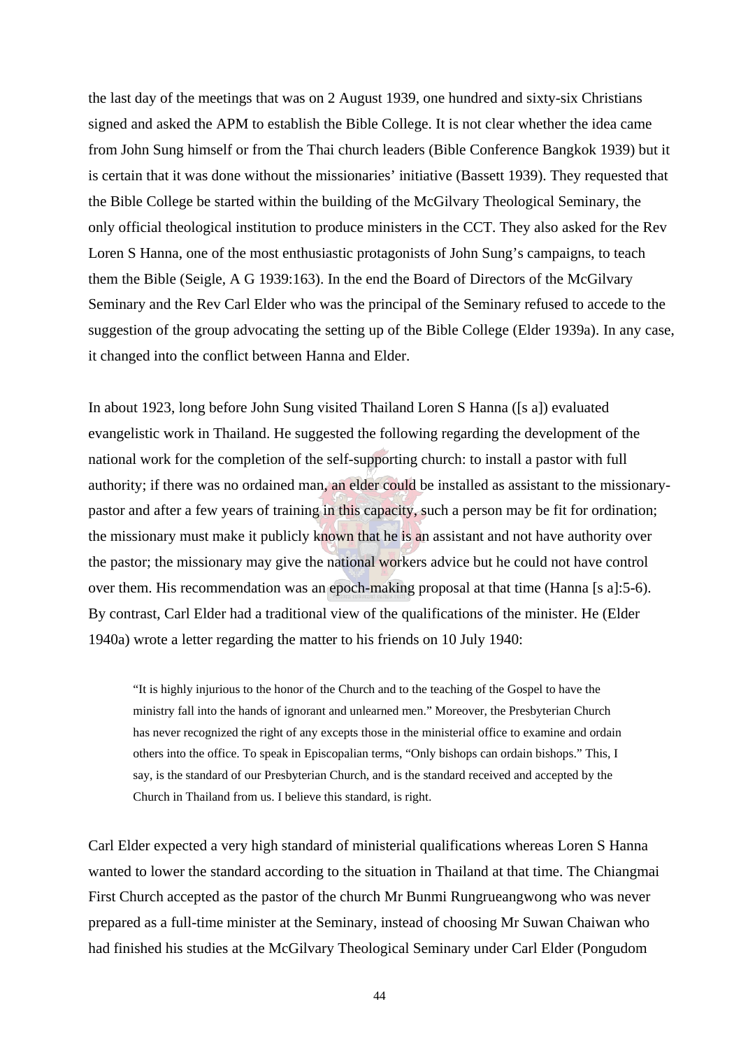the last day of the meetings that was on 2 August 1939, one hundred and sixty-six Christians signed and asked the APM to establish the Bible College. It is not clear whether the idea came from John Sung himself or from the Thai church leaders (Bible Conference Bangkok 1939) but it is certain that it was done without the missionaries' initiative (Bassett 1939). They requested that the Bible College be started within the building of the McGilvary Theological Seminary, the only official theological institution to produce ministers in the CCT. They also asked for the Rev Loren S Hanna, one of the most enthusiastic protagonists of John Sung's campaigns, to teach them the Bible (Seigle, A G 1939:163). In the end the Board of Directors of the McGilvary Seminary and the Rev Carl Elder who was the principal of the Seminary refused to accede to the suggestion of the group advocating the setting up of the Bible College (Elder 1939a). In any case, it changed into the conflict between Hanna and Elder.

In about 1923, long before John Sung visited Thailand Loren S Hanna ([s a]) evaluated evangelistic work in Thailand. He suggested the following regarding the development of the national work for the completion of the self-supporting church: to install a pastor with full authority; if there was no ordained man, an elder could be installed as assistant to the missionarypastor and after a few years of training in this capacity, such a person may be fit for ordination; the missionary must make it publicly known that he is an assistant and not have authority over the pastor; the missionary may give the national workers advice but he could not have control over them. His recommendation was an epoch-making proposal at that time (Hanna [s a]:5-6). By contrast, Carl Elder had a traditional view of the qualifications of the minister. He (Elder 1940a) wrote a letter regarding the matter to his friends on 10 July 1940:

"It is highly injurious to the honor of the Church and to the teaching of the Gospel to have the ministry fall into the hands of ignorant and unlearned men." Moreover, the Presbyterian Church has never recognized the right of any excepts those in the ministerial office to examine and ordain others into the office. To speak in Episcopalian terms, "Only bishops can ordain bishops." This, I say, is the standard of our Presbyterian Church, and is the standard received and accepted by the Church in Thailand from us. I believe this standard, is right.

Carl Elder expected a very high standard of ministerial qualifications whereas Loren S Hanna wanted to lower the standard according to the situation in Thailand at that time. The Chiangmai First Church accepted as the pastor of the church Mr Bunmi Rungrueangwong who was never prepared as a full-time minister at the Seminary, instead of choosing Mr Suwan Chaiwan who had finished his studies at the McGilvary Theological Seminary under Carl Elder (Pongudom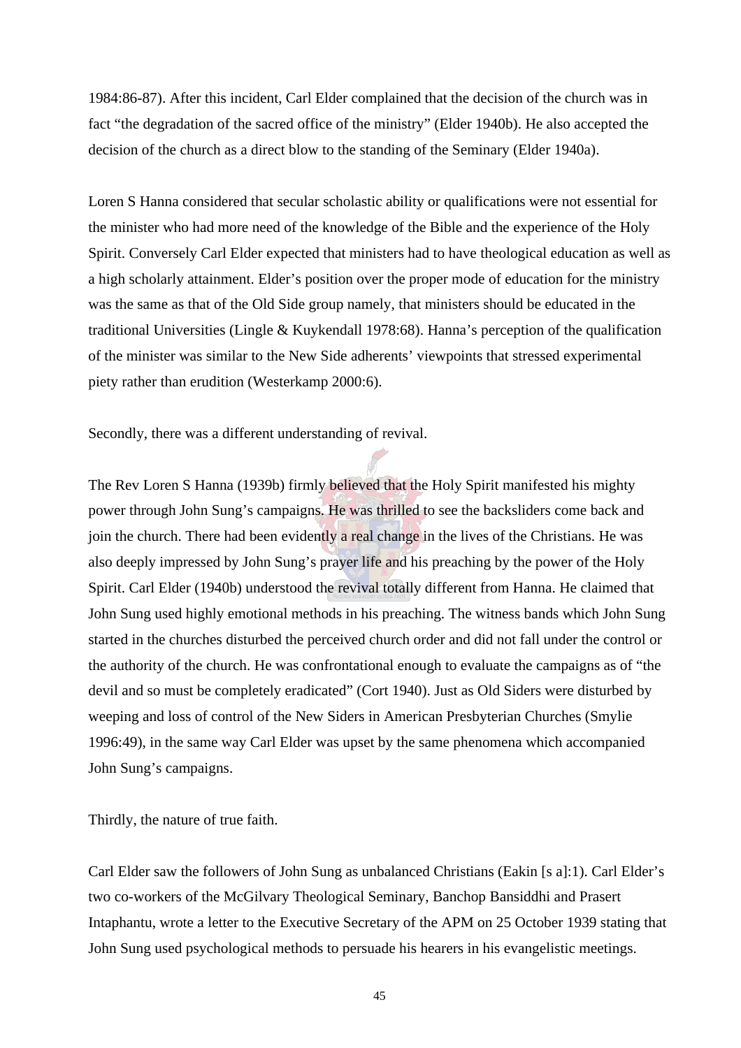1984:86-87). After this incident, Carl Elder complained that the decision of the church was in fact "the degradation of the sacred office of the ministry" (Elder 1940b). He also accepted the decision of the church as a direct blow to the standing of the Seminary (Elder 1940a).

Loren S Hanna considered that secular scholastic ability or qualifications were not essential for the minister who had more need of the knowledge of the Bible and the experience of the Holy Spirit. Conversely Carl Elder expected that ministers had to have theological education as well as a high scholarly attainment. Elder's position over the proper mode of education for the ministry was the same as that of the Old Side group namely, that ministers should be educated in the traditional Universities (Lingle & Kuykendall 1978:68). Hanna's perception of the qualification of the minister was similar to the New Side adherents' viewpoints that stressed experimental piety rather than erudition (Westerkamp 2000:6).

Secondly, there was a different understanding of revival.

The Rev Loren S Hanna (1939b) firmly believed that the Holy Spirit manifested his mighty power through John Sung's campaigns. He was thrilled to see the backsliders come back and join the church. There had been evidently a real change in the lives of the Christians. He was also deeply impressed by John Sung's prayer life and his preaching by the power of the Holy Spirit. Carl Elder (1940b) understood the revival totally different from Hanna. He claimed that John Sung used highly emotional methods in his preaching. The witness bands which John Sung started in the churches disturbed the perceived church order and did not fall under the control or the authority of the church. He was confrontational enough to evaluate the campaigns as of "the devil and so must be completely eradicated" (Cort 1940). Just as Old Siders were disturbed by weeping and loss of control of the New Siders in American Presbyterian Churches (Smylie 1996:49), in the same way Carl Elder was upset by the same phenomena which accompanied John Sung's campaigns.

Thirdly, the nature of true faith.

Carl Elder saw the followers of John Sung as unbalanced Christians (Eakin [s a]:1). Carl Elder's two co-workers of the McGilvary Theological Seminary, Banchop Bansiddhi and Prasert Intaphantu, wrote a letter to the Executive Secretary of the APM on 25 October 1939 stating that John Sung used psychological methods to persuade his hearers in his evangelistic meetings.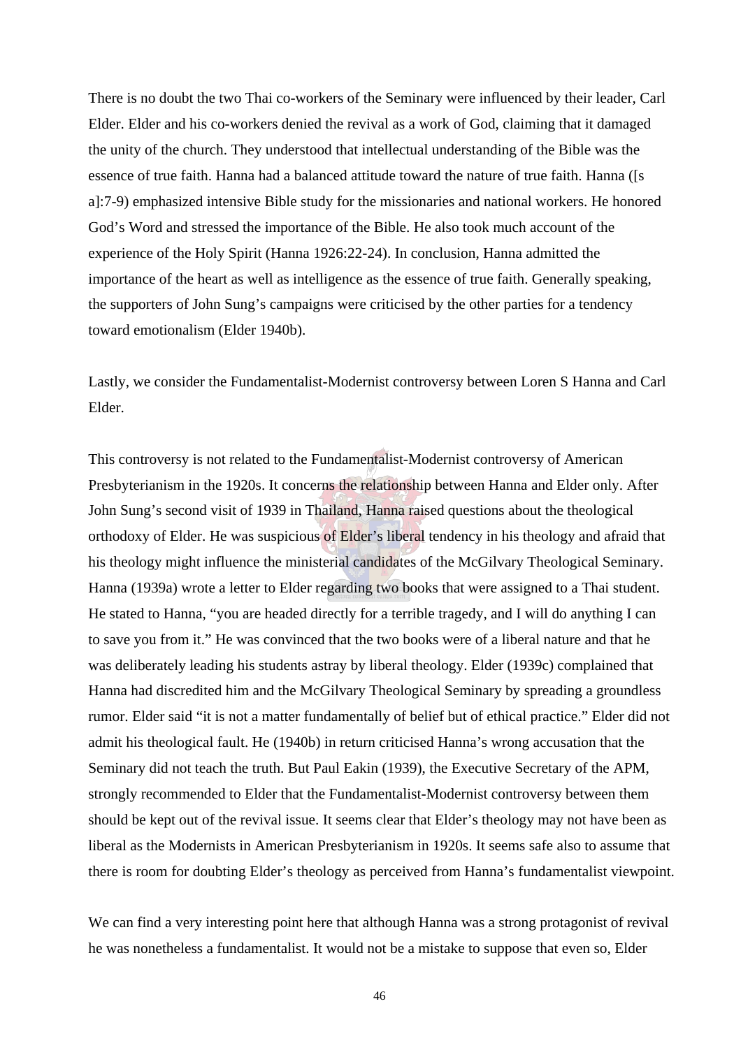There is no doubt the two Thai co-workers of the Seminary were influenced by their leader, Carl Elder. Elder and his co-workers denied the revival as a work of God, claiming that it damaged the unity of the church. They understood that intellectual understanding of the Bible was the essence of true faith. Hanna had a balanced attitude toward the nature of true faith. Hanna ([s a]:7-9) emphasized intensive Bible study for the missionaries and national workers. He honored God's Word and stressed the importance of the Bible. He also took much account of the experience of the Holy Spirit (Hanna 1926:22-24). In conclusion, Hanna admitted the importance of the heart as well as intelligence as the essence of true faith. Generally speaking, the supporters of John Sung's campaigns were criticised by the other parties for a tendency toward emotionalism (Elder 1940b).

Lastly, we consider the Fundamentalist-Modernist controversy between Loren S Hanna and Carl Elder.

This controversy is not related to the Fundamentalist-Modernist controversy of American Presbyterianism in the 1920s. It concerns the relationship between Hanna and Elder only. After John Sung's second visit of 1939 in Thailand, Hanna raised questions about the theological orthodoxy of Elder. He was suspicious of Elder's liberal tendency in his theology and afraid that his theology might influence the ministerial candidates of the McGilvary Theological Seminary. Hanna (1939a) wrote a letter to Elder regarding two books that were assigned to a Thai student. He stated to Hanna, "you are headed directly for a terrible tragedy, and I will do anything I can to save you from it." He was convinced that the two books were of a liberal nature and that he was deliberately leading his students astray by liberal theology. Elder (1939c) complained that Hanna had discredited him and the McGilvary Theological Seminary by spreading a groundless rumor. Elder said "it is not a matter fundamentally of belief but of ethical practice." Elder did not admit his theological fault. He (1940b) in return criticised Hanna's wrong accusation that the Seminary did not teach the truth. But Paul Eakin (1939), the Executive Secretary of the APM, strongly recommended to Elder that the Fundamentalist-Modernist controversy between them should be kept out of the revival issue. It seems clear that Elder's theology may not have been as liberal as the Modernists in American Presbyterianism in 1920s. It seems safe also to assume that there is room for doubting Elder's theology as perceived from Hanna's fundamentalist viewpoint.

We can find a very interesting point here that although Hanna was a strong protagonist of revival he was nonetheless a fundamentalist. It would not be a mistake to suppose that even so, Elder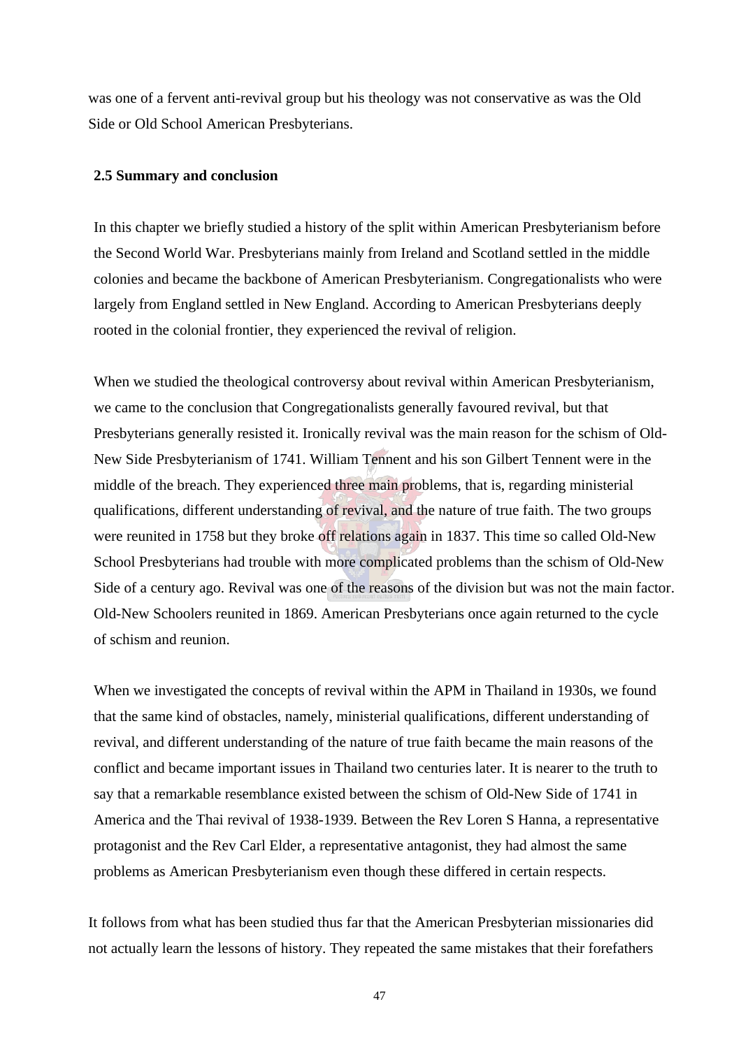was one of a fervent anti-revival group but his theology was not conservative as was the Old Side or Old School American Presbyterians.

## **2.5 Summary and conclusion**

In this chapter we briefly studied a history of the split within American Presbyterianism before the Second World War. Presbyterians mainly from Ireland and Scotland settled in the middle colonies and became the backbone of American Presbyterianism. Congregationalists who were largely from England settled in New England. According to American Presbyterians deeply rooted in the colonial frontier, they experienced the revival of religion.

When we studied the theological controversy about revival within American Presbyterianism, we came to the conclusion that Congregationalists generally favoured revival, but that Presbyterians generally resisted it. Ironically revival was the main reason for the schism of Old-New Side Presbyterianism of 1741. William Tennent and his son Gilbert Tennent were in the middle of the breach. They experienced three main problems, that is, regarding ministerial qualifications, different understanding of revival, and the nature of true faith. The two groups were reunited in 1758 but they broke off relations again in 1837. This time so called Old-New School Presbyterians had trouble with more complicated problems than the schism of Old-New Side of a century ago. Revival was one of the reasons of the division but was not the main factor. Old-New Schoolers reunited in 1869. American Presbyterians once again returned to the cycle of schism and reunion.

When we investigated the concepts of revival within the APM in Thailand in 1930s, we found that the same kind of obstacles, namely, ministerial qualifications, different understanding of revival, and different understanding of the nature of true faith became the main reasons of the conflict and became important issues in Thailand two centuries later. It is nearer to the truth to say that a remarkable resemblance existed between the schism of Old-New Side of 1741 in America and the Thai revival of 1938-1939. Between the Rev Loren S Hanna, a representative protagonist and the Rev Carl Elder, a representative antagonist, they had almost the same problems as American Presbyterianism even though these differed in certain respects.

It follows from what has been studied thus far that the American Presbyterian missionaries did not actually learn the lessons of history. They repeated the same mistakes that their forefathers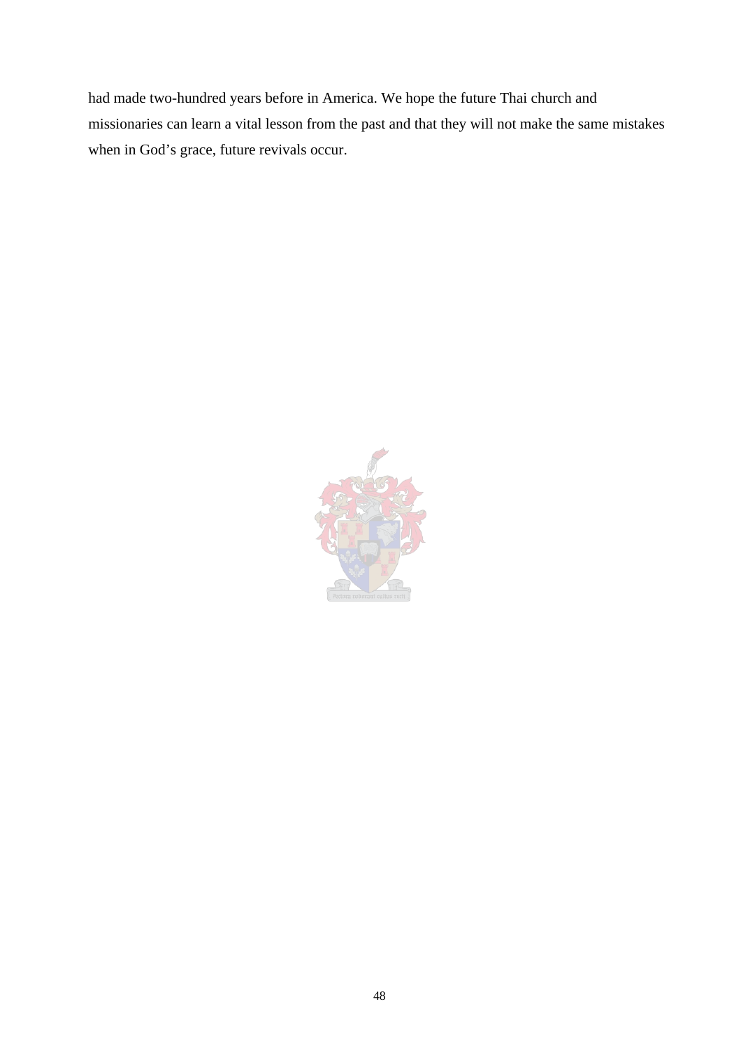had made two-hundred years before in America. We hope the future Thai church and missionaries can learn a vital lesson from the past and that they will not make the same mistakes when in God's grace, future revivals occur.

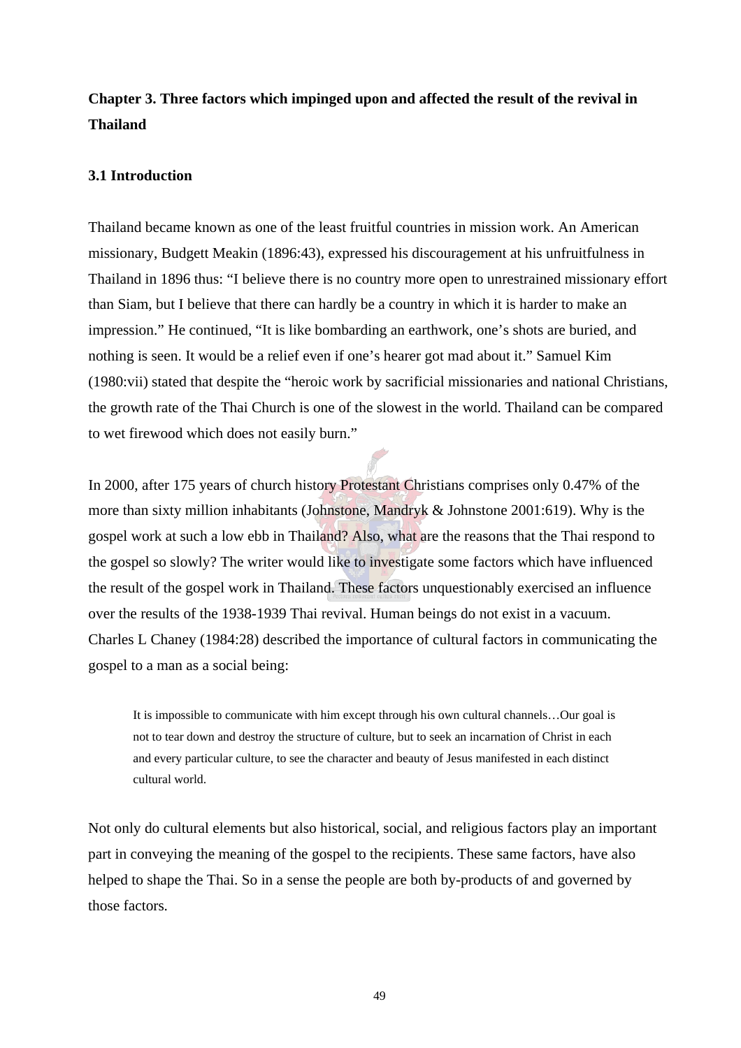## **Chapter 3. Three factors which impinged upon and affected the result of the revival in Thailand**

## **3.1 Introduction**

Thailand became known as one of the least fruitful countries in mission work. An American missionary, Budgett Meakin (1896:43), expressed his discouragement at his unfruitfulness in Thailand in 1896 thus: "I believe there is no country more open to unrestrained missionary effort than Siam, but I believe that there can hardly be a country in which it is harder to make an impression." He continued, "It is like bombarding an earthwork, one's shots are buried, and nothing is seen. It would be a relief even if one's hearer got mad about it." Samuel Kim (1980:vii) stated that despite the "heroic work by sacrificial missionaries and national Christians, the growth rate of the Thai Church is one of the slowest in the world. Thailand can be compared to wet firewood which does not easily burn."

In 2000, after 175 years of church history Protestant Christians comprises only 0.47% of the more than sixty million inhabitants (Johnstone, Mandryk & Johnstone 2001:619). Why is the gospel work at such a low ebb in Thailand? Also, what are the reasons that the Thai respond to the gospel so slowly? The writer would like to investigate some factors which have influenced the result of the gospel work in Thailand. These factors unquestionably exercised an influence over the results of the 1938-1939 Thai revival. Human beings do not exist in a vacuum. Charles L Chaney (1984:28) described the importance of cultural factors in communicating the gospel to a man as a social being:

It is impossible to communicate with him except through his own cultural channels…Our goal is not to tear down and destroy the structure of culture, but to seek an incarnation of Christ in each and every particular culture, to see the character and beauty of Jesus manifested in each distinct cultural world.

Not only do cultural elements but also historical, social, and religious factors play an important part in conveying the meaning of the gospel to the recipients. These same factors, have also helped to shape the Thai. So in a sense the people are both by-products of and governed by those factors.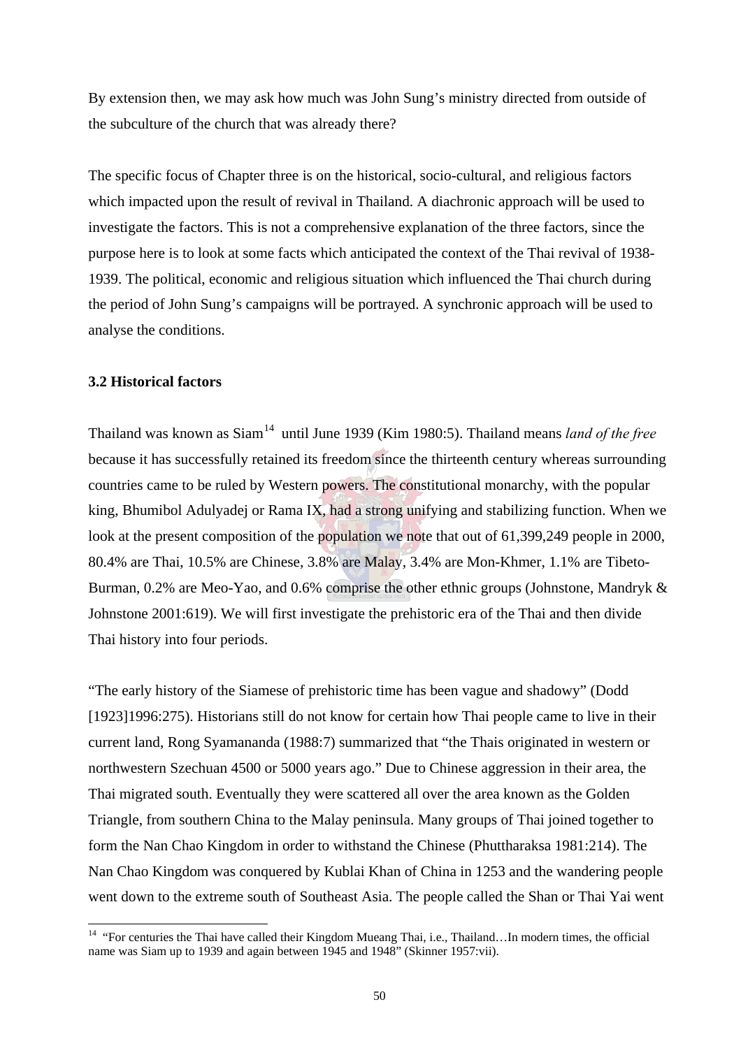By extension then, we may ask how much was John Sung's ministry directed from outside of the subculture of the church that was already there?

The specific focus of Chapter three is on the historical, socio-cultural, and religious factors which impacted upon the result of revival in Thailand. A diachronic approach will be used to investigate the factors. This is not a comprehensive explanation of the three factors, since the purpose here is to look at some facts which anticipated the context of the Thai revival of 1938- 1939. The political, economic and religious situation which influenced the Thai church during the period of John Sung's campaigns will be portrayed. A synchronic approach will be used to analyse the conditions.

## **3.2 Historical factors**

 $\overline{a}$ 

Thailand was known as Siam<sup>14</sup> until June 1939 (Kim 1980:5). Thailand means *land of the free* because it has successfully retained its freedom since the thirteenth century whereas surrounding countries came to be ruled by Western powers. The constitutional monarchy, with the popular king, Bhumibol Adulyadej or Rama IX, had a strong unifying and stabilizing function. When we look at the present composition of the population we note that out of 61,399,249 people in 2000, 80.4% are Thai, 10.5% are Chinese, 3.8% are Malay, 3.4% are Mon-Khmer, 1.1% are Tibeto-Burman, 0.2% are Meo-Yao, and 0.6% comprise the other ethnic groups (Johnstone, Mandryk & Johnstone 2001:619). We will first investigate the prehistoric era of the Thai and then divide Thai history into four periods.

"The early history of the Siamese of prehistoric time has been vague and shadowy" (Dodd [1923]1996:275). Historians still do not know for certain how Thai people came to live in their current land, Rong Syamananda (1988:7) summarized that "the Thais originated in western or northwestern Szechuan 4500 or 5000 years ago." Due to Chinese aggression in their area, the Thai migrated south. Eventually they were scattered all over the area known as the Golden Triangle, from southern China to the Malay peninsula. Many groups of Thai joined together to form the Nan Chao Kingdom in order to withstand the Chinese (Phuttharaksa 1981:214). The Nan Chao Kingdom was conquered by Kublai Khan of China in 1253 and the wandering people went down to the extreme south of Southeast Asia. The people called the Shan or Thai Yai went

<sup>&</sup>lt;sup>14</sup> "For centuries the Thai have called their Kingdom Mueang Thai, i.e., Thailand...In modern times, the official name was Siam up to 1939 and again between 1945 and 1948" (Skinner 1957:vii).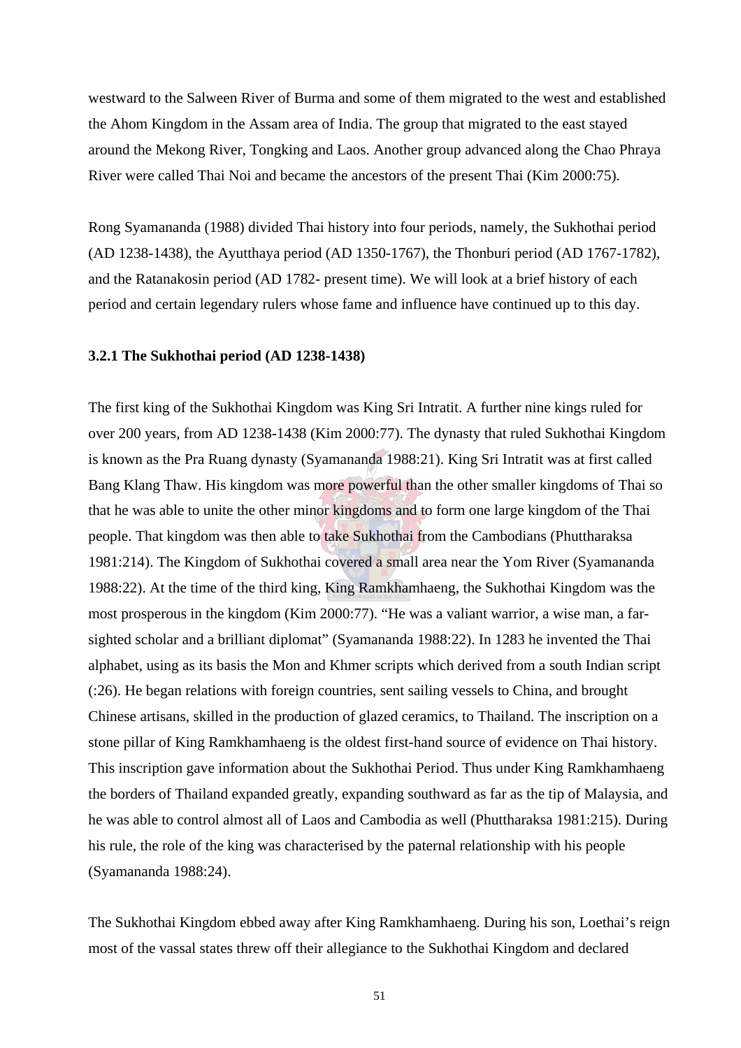westward to the Salween River of Burma and some of them migrated to the west and established the Ahom Kingdom in the Assam area of India. The group that migrated to the east stayed around the Mekong River, Tongking and Laos. Another group advanced along the Chao Phraya River were called Thai Noi and became the ancestors of the present Thai (Kim 2000:75).

Rong Syamananda (1988) divided Thai history into four periods, namely, the Sukhothai period (AD 1238-1438), the Ayutthaya period (AD 1350-1767), the Thonburi period (AD 1767-1782), and the Ratanakosin period (AD 1782- present time). We will look at a brief history of each period and certain legendary rulers whose fame and influence have continued up to this day.

#### **3.2.1 The Sukhothai period (AD 1238-1438)**

The first king of the Sukhothai Kingdom was King Sri Intratit. A further nine kings ruled for over 200 years, from AD 1238-1438 (Kim 2000:77). The dynasty that ruled Sukhothai Kingdom is known as the Pra Ruang dynasty (Syamananda 1988:21). King Sri Intratit was at first called Bang Klang Thaw. His kingdom was more powerful than the other smaller kingdoms of Thai so that he was able to unite the other minor kingdoms and to form one large kingdom of the Thai people. That kingdom was then able to take Sukhothai from the Cambodians (Phuttharaksa 1981:214). The Kingdom of Sukhothai covered a small area near the Yom River (Syamananda 1988:22). At the time of the third king, King Ramkhamhaeng, the Sukhothai Kingdom was the most prosperous in the kingdom (Kim 2000:77). "He was a valiant warrior, a wise man, a farsighted scholar and a brilliant diplomat" (Syamananda 1988:22). In 1283 he invented the Thai alphabet, using as its basis the Mon and Khmer scripts which derived from a south Indian script (:26). He began relations with foreign countries, sent sailing vessels to China, and brought Chinese artisans, skilled in the production of glazed ceramics, to Thailand. The inscription on a stone pillar of King Ramkhamhaeng is the oldest first-hand source of evidence on Thai history. This inscription gave information about the Sukhothai Period. Thus under King Ramkhamhaeng the borders of Thailand expanded greatly, expanding southward as far as the tip of Malaysia, and he was able to control almost all of Laos and Cambodia as well (Phuttharaksa 1981:215). During his rule, the role of the king was characterised by the paternal relationship with his people (Syamananda 1988:24).

The Sukhothai Kingdom ebbed away after King Ramkhamhaeng. During his son, Loethai's reign most of the vassal states threw off their allegiance to the Sukhothai Kingdom and declared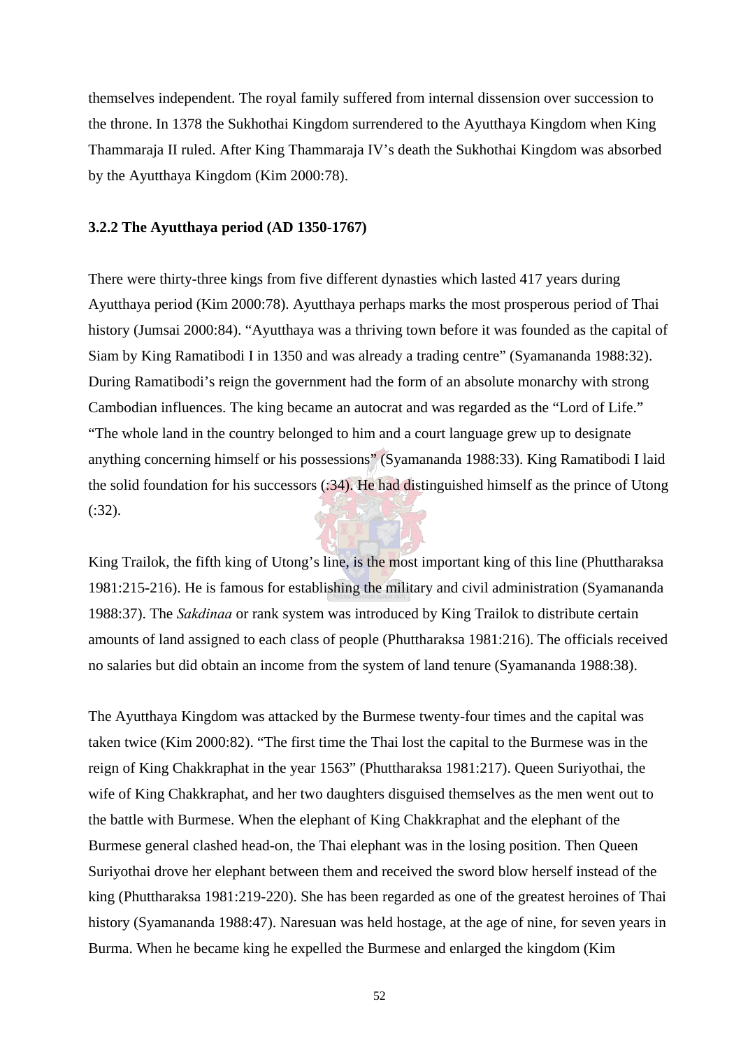themselves independent. The royal family suffered from internal dissension over succession to the throne. In 1378 the Sukhothai Kingdom surrendered to the Ayutthaya Kingdom when King Thammaraja II ruled. After King Thammaraja IV's death the Sukhothai Kingdom was absorbed by the Ayutthaya Kingdom (Kim 2000:78).

#### **3.2.2 The Ayutthaya period (AD 1350-1767)**

There were thirty-three kings from five different dynasties which lasted 417 years during Ayutthaya period (Kim 2000:78). Ayutthaya perhaps marks the most prosperous period of Thai history (Jumsai 2000:84). "Ayutthaya was a thriving town before it was founded as the capital of Siam by King Ramatibodi I in 1350 and was already a trading centre" (Syamananda 1988:32). During Ramatibodi's reign the government had the form of an absolute monarchy with strong Cambodian influences. The king became an autocrat and was regarded as the "Lord of Life." "The whole land in the country belonged to him and a court language grew up to designate anything concerning himself or his possessions" (Syamananda 1988:33). King Ramatibodi I laid the solid foundation for his successors (:34). He had distinguished himself as the prince of Utong (:32).

King Trailok, the fifth king of Utong's line, is the most important king of this line (Phuttharaksa 1981:215-216). He is famous for establishing the military and civil administration (Syamananda 1988:37). The *Sakdinaa* or rank system was introduced by King Trailok to distribute certain amounts of land assigned to each class of people (Phuttharaksa 1981:216). The officials received no salaries but did obtain an income from the system of land tenure (Syamananda 1988:38).

The Ayutthaya Kingdom was attacked by the Burmese twenty-four times and the capital was taken twice (Kim 2000:82). "The first time the Thai lost the capital to the Burmese was in the reign of King Chakkraphat in the year 1563" (Phuttharaksa 1981:217). Queen Suriyothai, the wife of King Chakkraphat, and her two daughters disguised themselves as the men went out to the battle with Burmese. When the elephant of King Chakkraphat and the elephant of the Burmese general clashed head-on, the Thai elephant was in the losing position. Then Queen Suriyothai drove her elephant between them and received the sword blow herself instead of the king (Phuttharaksa 1981:219-220). She has been regarded as one of the greatest heroines of Thai history (Syamananda 1988:47). Naresuan was held hostage, at the age of nine, for seven years in Burma. When he became king he expelled the Burmese and enlarged the kingdom (Kim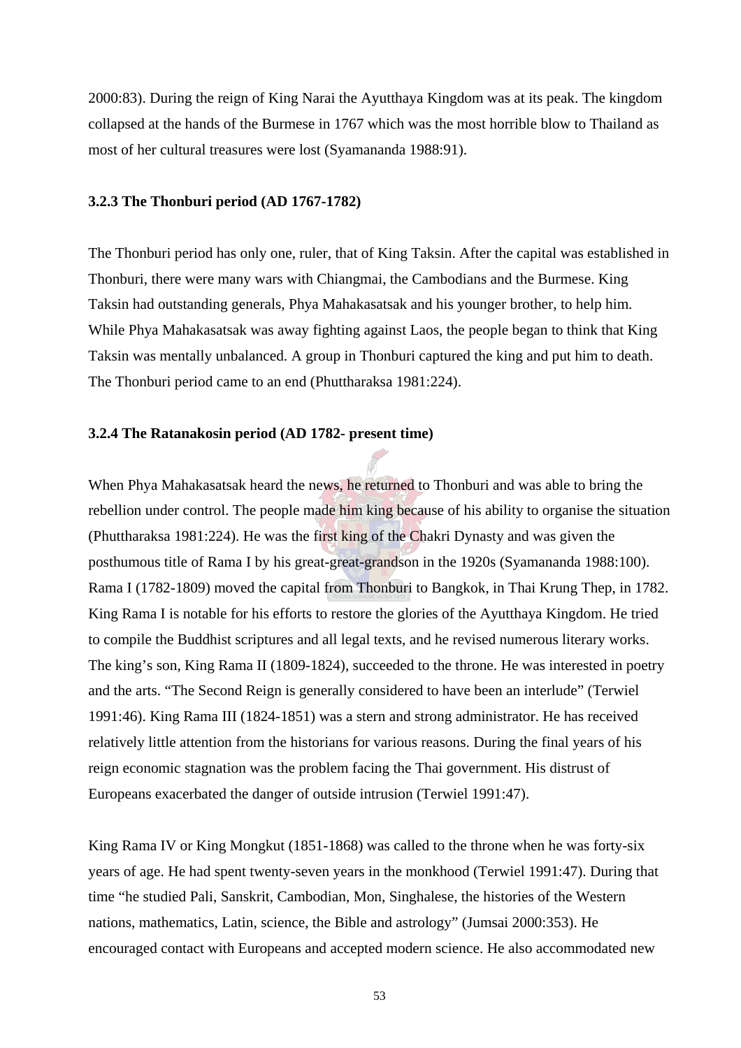2000:83). During the reign of King Narai the Ayutthaya Kingdom was at its peak. The kingdom collapsed at the hands of the Burmese in 1767 which was the most horrible blow to Thailand as most of her cultural treasures were lost (Syamananda 1988:91).

### **3.2.3 The Thonburi period (AD 1767-1782)**

The Thonburi period has only one, ruler, that of King Taksin. After the capital was established in Thonburi, there were many wars with Chiangmai, the Cambodians and the Burmese. King Taksin had outstanding generals, Phya Mahakasatsak and his younger brother, to help him. While Phya Mahakasatsak was away fighting against Laos, the people began to think that King Taksin was mentally unbalanced. A group in Thonburi captured the king and put him to death. The Thonburi period came to an end (Phuttharaksa 1981:224).

## **3.2.4 The Ratanakosin period (AD 1782- present time)**

When Phya Mahakasatsak heard the news, he returned to Thonburi and was able to bring the rebellion under control. The people made him king because of his ability to organise the situation (Phuttharaksa 1981:224). He was the first king of the Chakri Dynasty and was given the posthumous title of Rama I by his great-great-grandson in the 1920s (Syamananda 1988:100). Rama I (1782-1809) moved the capital from Thonburi to Bangkok, in Thai Krung Thep, in 1782. King Rama I is notable for his efforts to restore the glories of the Ayutthaya Kingdom. He tried to compile the Buddhist scriptures and all legal texts, and he revised numerous literary works. The king's son, King Rama II (1809-1824), succeeded to the throne. He was interested in poetry and the arts. "The Second Reign is generally considered to have been an interlude" (Terwiel 1991:46). King Rama III (1824-1851) was a stern and strong administrator. He has received relatively little attention from the historians for various reasons. During the final years of his reign economic stagnation was the problem facing the Thai government. His distrust of Europeans exacerbated the danger of outside intrusion (Terwiel 1991:47).

King Rama IV or King Mongkut (1851-1868) was called to the throne when he was forty-six years of age. He had spent twenty-seven years in the monkhood (Terwiel 1991:47). During that time "he studied Pali, Sanskrit, Cambodian, Mon, Singhalese, the histories of the Western nations, mathematics, Latin, science, the Bible and astrology" (Jumsai 2000:353). He encouraged contact with Europeans and accepted modern science. He also accommodated new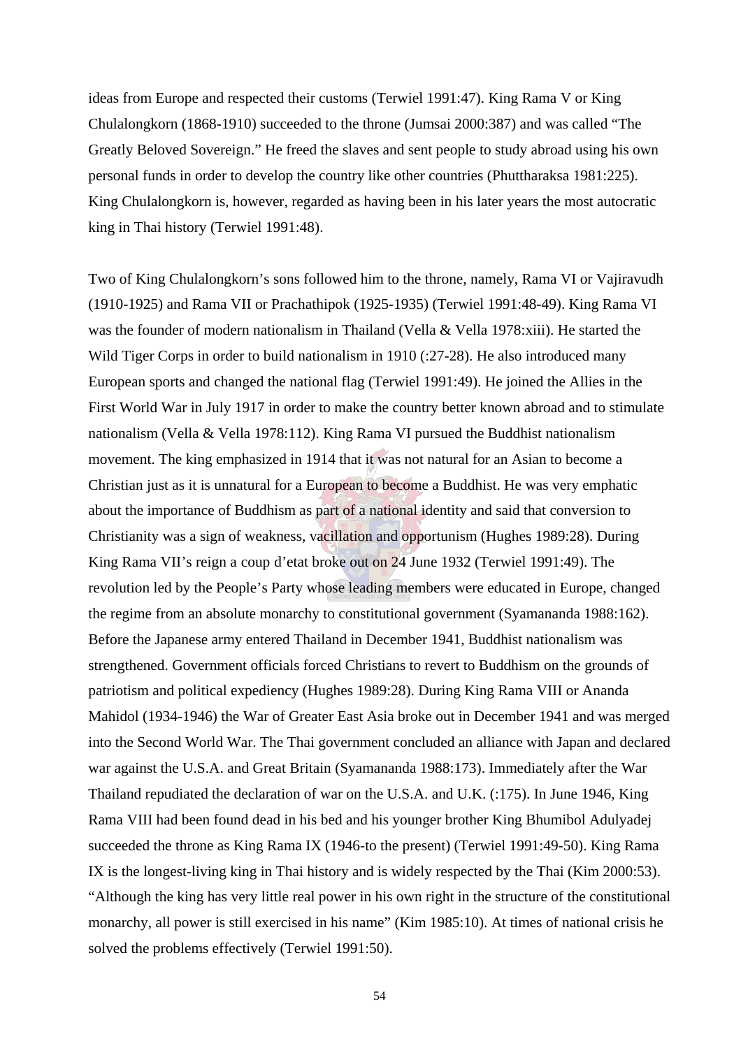ideas from Europe and respected their customs (Terwiel 1991:47). King Rama V or King Chulalongkorn (1868-1910) succeeded to the throne (Jumsai 2000:387) and was called "The Greatly Beloved Sovereign." He freed the slaves and sent people to study abroad using his own personal funds in order to develop the country like other countries (Phuttharaksa 1981:225). King Chulalongkorn is, however, regarded as having been in his later years the most autocratic king in Thai history (Terwiel 1991:48).

Two of King Chulalongkorn's sons followed him to the throne, namely, Rama VI or Vajiravudh (1910-1925) and Rama VII or Prachathipok (1925-1935) (Terwiel 1991:48-49). King Rama VI was the founder of modern nationalism in Thailand (Vella & Vella 1978:xiii). He started the Wild Tiger Corps in order to build nationalism in 1910 (:27-28). He also introduced many European sports and changed the national flag (Terwiel 1991:49). He joined the Allies in the First World War in July 1917 in order to make the country better known abroad and to stimulate nationalism (Vella & Vella 1978:112). King Rama VI pursued the Buddhist nationalism movement. The king emphasized in 1914 that it was not natural for an Asian to become a Christian just as it is unnatural for a European to become a Buddhist. He was very emphatic about the importance of Buddhism as part of a national identity and said that conversion to Christianity was a sign of weakness, vacillation and opportunism (Hughes 1989:28). During King Rama VII's reign a coup d'etat broke out on 24 June 1932 (Terwiel 1991:49). The revolution led by the People's Party whose leading members were educated in Europe, changed the regime from an absolute monarchy to constitutional government (Syamananda 1988:162). Before the Japanese army entered Thailand in December 1941, Buddhist nationalism was strengthened. Government officials forced Christians to revert to Buddhism on the grounds of patriotism and political expediency (Hughes 1989:28). During King Rama VIII or Ananda Mahidol (1934-1946) the War of Greater East Asia broke out in December 1941 and was merged into the Second World War. The Thai government concluded an alliance with Japan and declared war against the U.S.A. and Great Britain (Syamananda 1988:173). Immediately after the War Thailand repudiated the declaration of war on the U.S.A. and U.K. (:175). In June 1946, King Rama VIII had been found dead in his bed and his younger brother King Bhumibol Adulyadej succeeded the throne as King Rama IX (1946-to the present) (Terwiel 1991:49-50). King Rama IX is the longest-living king in Thai history and is widely respected by the Thai (Kim 2000:53). "Although the king has very little real power in his own right in the structure of the constitutional monarchy, all power is still exercised in his name" (Kim 1985:10). At times of national crisis he solved the problems effectively (Terwiel 1991:50).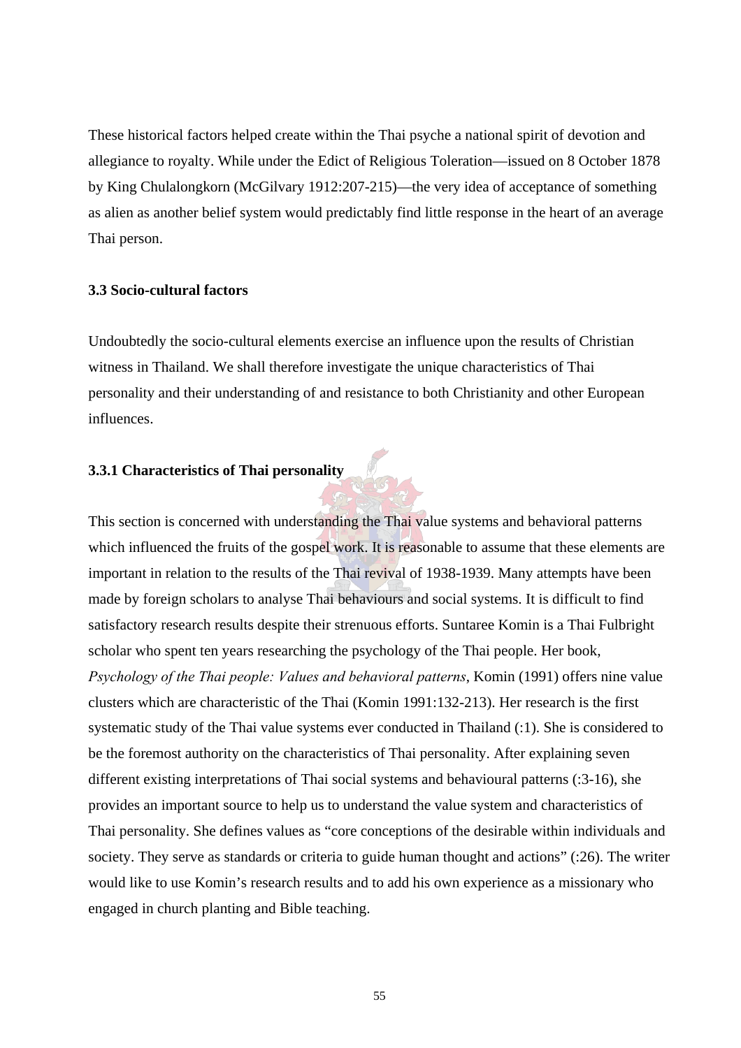These historical factors helped create within the Thai psyche a national spirit of devotion and allegiance to royalty. While under the Edict of Religious Toleration—issued on 8 October 1878 by King Chulalongkorn (McGilvary 1912:207-215)—the very idea of acceptance of something as alien as another belief system would predictably find little response in the heart of an average Thai person.

#### **3.3 Socio-cultural factors**

Undoubtedly the socio-cultural elements exercise an influence upon the results of Christian witness in Thailand. We shall therefore investigate the unique characteristics of Thai personality and their understanding of and resistance to both Christianity and other European influences.

## **3.3.1 Characteristics of Thai personality**

This section is concerned with understanding the Thai value systems and behavioral patterns which influenced the fruits of the gospel work. It is reasonable to assume that these elements are important in relation to the results of the Thai revival of 1938-1939. Many attempts have been made by foreign scholars to analyse Thai behaviours and social systems. It is difficult to find satisfactory research results despite their strenuous efforts. Suntaree Komin is a Thai Fulbright scholar who spent ten years researching the psychology of the Thai people. Her book, *Psychology of the Thai people: Values and behavioral patterns*, Komin (1991) offers nine value clusters which are characteristic of the Thai (Komin 1991:132-213). Her research is the first systematic study of the Thai value systems ever conducted in Thailand (:1). She is considered to be the foremost authority on the characteristics of Thai personality. After explaining seven different existing interpretations of Thai social systems and behavioural patterns (:3-16), she provides an important source to help us to understand the value system and characteristics of Thai personality. She defines values as "core conceptions of the desirable within individuals and society. They serve as standards or criteria to guide human thought and actions" (:26). The writer would like to use Komin's research results and to add his own experience as a missionary who engaged in church planting and Bible teaching.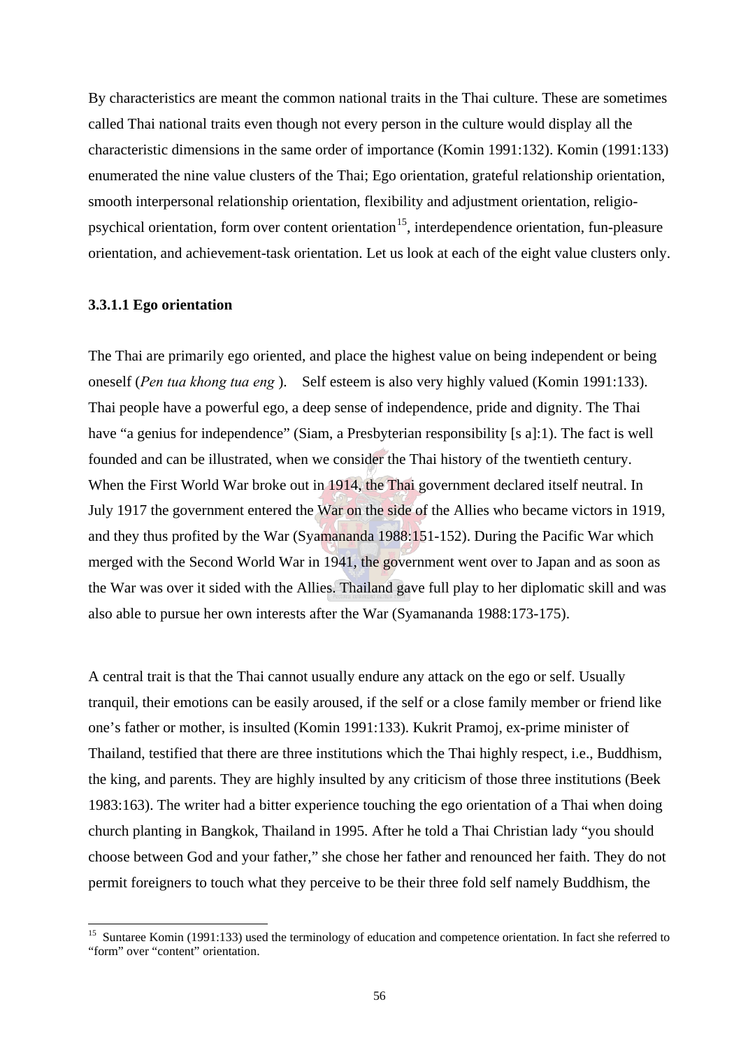By characteristics are meant the common national traits in the Thai culture. These are sometimes called Thai national traits even though not every person in the culture would display all the characteristic dimensions in the same order of importance (Komin 1991:132). Komin (1991:133) enumerated the nine value clusters of the Thai; Ego orientation, grateful relationship orientation, smooth interpersonal relationship orientation, flexibility and adjustment orientation, religiopsychical orientation, form over content orientation<sup>15</sup>, interdependence orientation, fun-pleasure orientation, and achievement-task orientation. Let us look at each of the eight value clusters only.

## **3.3.1.1 Ego orientation**

 $\overline{a}$ 

The Thai are primarily ego oriented, and place the highest value on being independent or being oneself (*Pen tua khong tua eng* ). Self esteem is also very highly valued (Komin 1991:133). Thai people have a powerful ego, a deep sense of independence, pride and dignity. The Thai have "a genius for independence" (Siam, a Presbyterian responsibility [s a]:1). The fact is well founded and can be illustrated, when we consider the Thai history of the twentieth century. When the First World War broke out in 1914, the Thai government declared itself neutral. In July 1917 the government entered the War on the side of the Allies who became victors in 1919, and they thus profited by the War (Syamananda 1988:151-152). During the Pacific War which merged with the Second World War in 1941, the government went over to Japan and as soon as the War was over it sided with the Allies. Thailand gave full play to her diplomatic skill and was also able to pursue her own interests after the War (Syamananda 1988:173-175).

A central trait is that the Thai cannot usually endure any attack on the ego or self. Usually tranquil, their emotions can be easily aroused, if the self or a close family member or friend like one's father or mother, is insulted (Komin 1991:133). Kukrit Pramoj, ex-prime minister of Thailand, testified that there are three institutions which the Thai highly respect, i.e., Buddhism, the king, and parents. They are highly insulted by any criticism of those three institutions (Beek 1983:163). The writer had a bitter experience touching the ego orientation of a Thai when doing church planting in Bangkok, Thailand in 1995. After he told a Thai Christian lady "you should choose between God and your father," she chose her father and renounced her faith. They do not permit foreigners to touch what they perceive to be their three fold self namely Buddhism, the

<sup>&</sup>lt;sup>15</sup> Suntaree Komin (1991:133) used the terminology of education and competence orientation. In fact she referred to "form" over "content" orientation.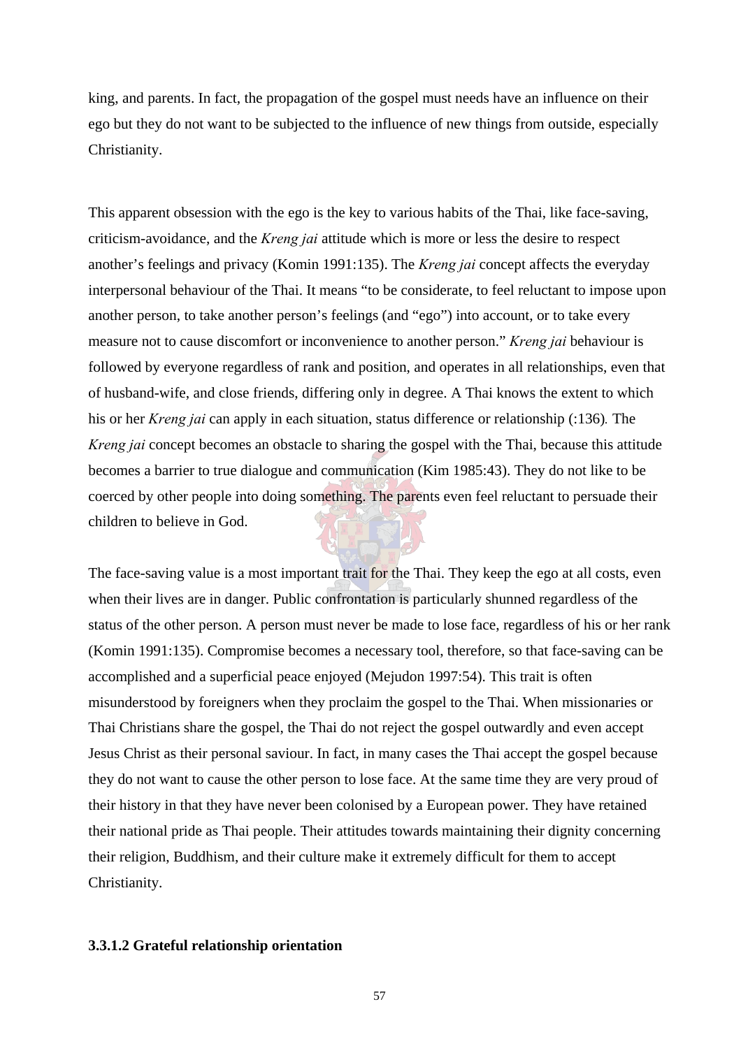king, and parents. In fact, the propagation of the gospel must needs have an influence on their ego but they do not want to be subjected to the influence of new things from outside, especially Christianity.

This apparent obsession with the ego is the key to various habits of the Thai, like face-saving, criticism-avoidance, and the *Kreng jai* attitude which is more or less the desire to respect another's feelings and privacy (Komin 1991:135). The *Kreng jai* concept affects the everyday interpersonal behaviour of the Thai. It means "to be considerate, to feel reluctant to impose upon another person, to take another person's feelings (and "ego") into account, or to take every measure not to cause discomfort or inconvenience to another person." *Kreng jai* behaviour is followed by everyone regardless of rank and position, and operates in all relationships, even that of husband-wife, and close friends, differing only in degree. A Thai knows the extent to which his or her *Kreng jai* can apply in each situation, status difference or relationship (:136)*.* The *Kreng jai* concept becomes an obstacle to sharing the gospel with the Thai, because this attitude becomes a barrier to true dialogue and communication (Kim 1985:43). They do not like to be coerced by other people into doing something. The parents even feel reluctant to persuade their children to believe in God.

The face-saving value is a most important trait for the Thai. They keep the ego at all costs, even when their lives are in danger. Public confrontation is particularly shunned regardless of the status of the other person. A person must never be made to lose face, regardless of his or her rank (Komin 1991:135). Compromise becomes a necessary tool, therefore, so that face-saving can be accomplished and a superficial peace enjoyed (Mejudon 1997:54). This trait is often misunderstood by foreigners when they proclaim the gospel to the Thai. When missionaries or Thai Christians share the gospel, the Thai do not reject the gospel outwardly and even accept Jesus Christ as their personal saviour. In fact, in many cases the Thai accept the gospel because they do not want to cause the other person to lose face. At the same time they are very proud of their history in that they have never been colonised by a European power. They have retained their national pride as Thai people. Their attitudes towards maintaining their dignity concerning their religion, Buddhism, and their culture make it extremely difficult for them to accept Christianity.

## **3.3.1.2 Grateful relationship orientation**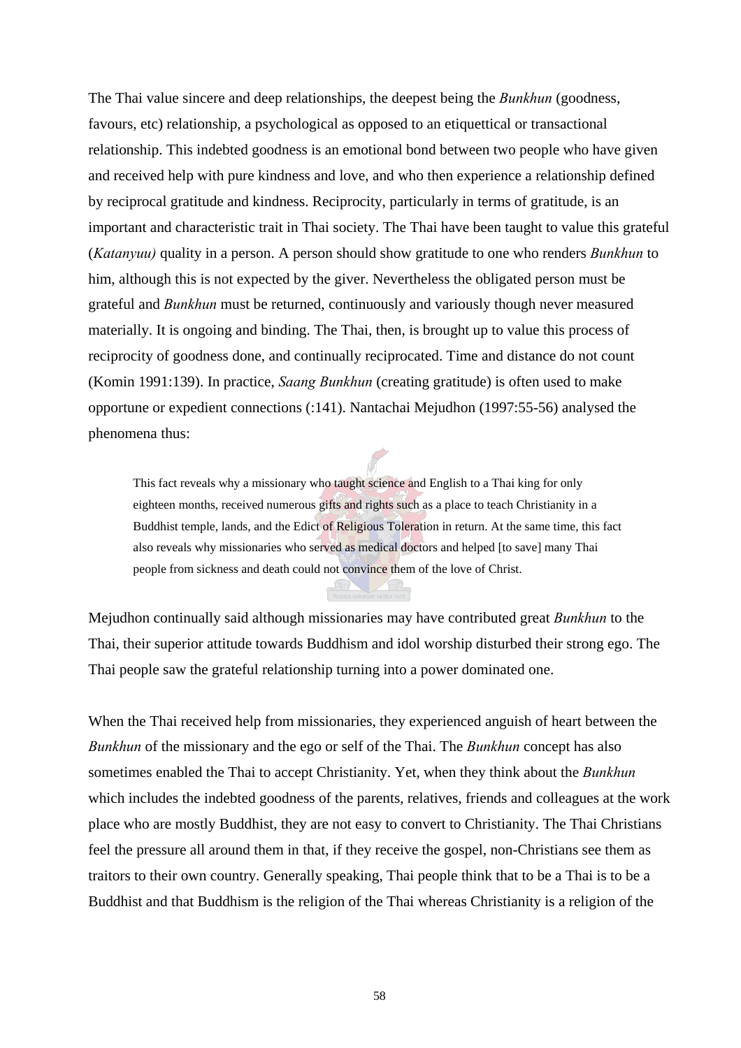The Thai value sincere and deep relationships, the deepest being the *Bunkhun* (goodness, favours, etc) relationship, a psychological as opposed to an etiquettical or transactional relationship. This indebted goodness is an emotional bond between two people who have given and received help with pure kindness and love, and who then experience a relationship defined by reciprocal gratitude and kindness. Reciprocity, particularly in terms of gratitude, is an important and characteristic trait in Thai society. The Thai have been taught to value this grateful (*Katanyuu)* quality in a person. A person should show gratitude to one who renders *Bunkhun* to him, although this is not expected by the giver. Nevertheless the obligated person must be grateful and *Bunkhun* must be returned, continuously and variously though never measured materially. It is ongoing and binding. The Thai, then, is brought up to value this process of reciprocity of goodness done, and continually reciprocated. Time and distance do not count (Komin 1991:139). In practice, *Saang Bunkhun* (creating gratitude) is often used to make opportune or expedient connections (:141). Nantachai Mejudhon (1997:55-56) analysed the phenomena thus:

This fact reveals why a missionary who taught science and English to a Thai king for only eighteen months, received numerous gifts and rights such as a place to teach Christianity in a Buddhist temple, lands, and the Edict of Religious Toleration in return. At the same time, this fact also reveals why missionaries who served as medical doctors and helped [to save] many Thai people from sickness and death could not convince them of the love of Christ.

Mejudhon continually said although missionaries may have contributed great *Bunkhun* to the Thai, their superior attitude towards Buddhism and idol worship disturbed their strong ego. The Thai people saw the grateful relationship turning into a power dominated one.

When the Thai received help from missionaries, they experienced anguish of heart between the *Bunkhun* of the missionary and the ego or self of the Thai. The *Bunkhun* concept has also sometimes enabled the Thai to accept Christianity. Yet, when they think about the *Bunkhun*  which includes the indebted goodness of the parents, relatives, friends and colleagues at the work place who are mostly Buddhist, they are not easy to convert to Christianity. The Thai Christians feel the pressure all around them in that, if they receive the gospel, non-Christians see them as traitors to their own country. Generally speaking, Thai people think that to be a Thai is to be a Buddhist and that Buddhism is the religion of the Thai whereas Christianity is a religion of the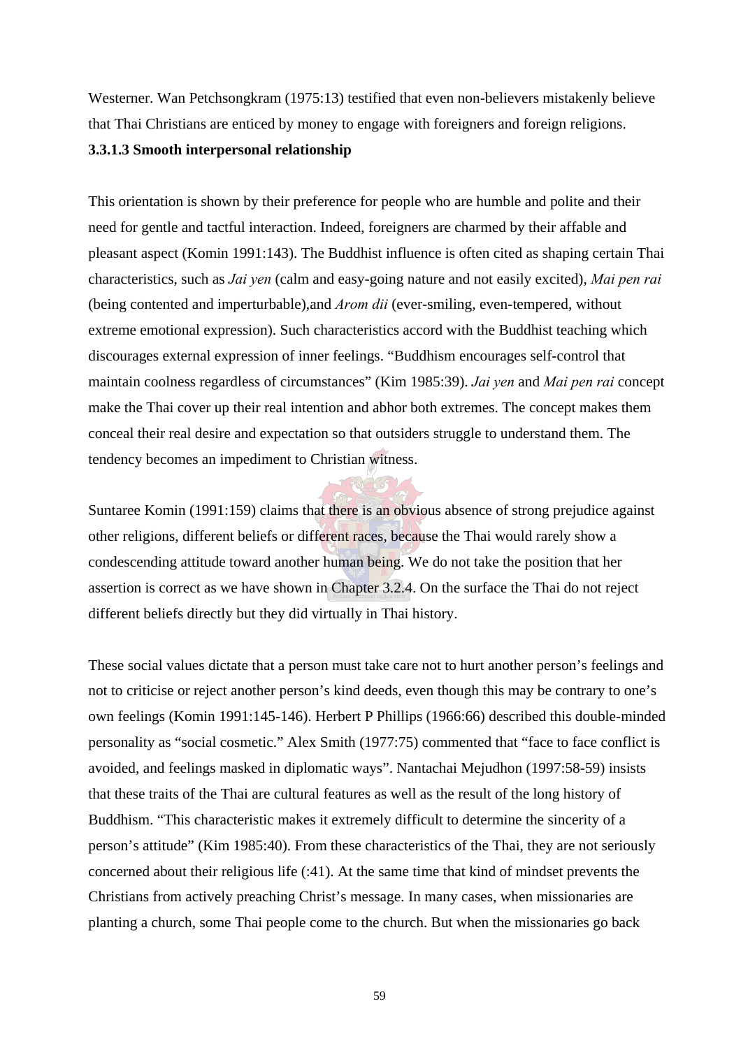Westerner. Wan Petchsongkram (1975:13) testified that even non-believers mistakenly believe that Thai Christians are enticed by money to engage with foreigners and foreign religions.

# **3.3.1.3 Smooth interpersonal relationship**

This orientation is shown by their preference for people who are humble and polite and their need for gentle and tactful interaction. Indeed, foreigners are charmed by their affable and pleasant aspect (Komin 1991:143). The Buddhist influence is often cited as shaping certain Thai characteristics, such as *Jai yen* (calm and easy-going nature and not easily excited), *Mai pen rai* (being contented and imperturbable),and *Arom dii* (ever-smiling, even-tempered, without extreme emotional expression). Such characteristics accord with the Buddhist teaching which discourages external expression of inner feelings. "Buddhism encourages self-control that maintain coolness regardless of circumstances" (Kim 1985:39). *Jai yen* and *Mai pen rai* concept make the Thai cover up their real intention and abhor both extremes. The concept makes them conceal their real desire and expectation so that outsiders struggle to understand them. The tendency becomes an impediment to Christian witness.

Suntaree Komin (1991:159) claims that there is an obvious absence of strong prejudice against other religions, different beliefs or different races, because the Thai would rarely show a condescending attitude toward another human being. We do not take the position that her assertion is correct as we have shown in Chapter 3.2.4. On the surface the Thai do not reject different beliefs directly but they did virtually in Thai history.

These social values dictate that a person must take care not to hurt another person's feelings and not to criticise or reject another person's kind deeds, even though this may be contrary to one's own feelings (Komin 1991:145-146). Herbert P Phillips (1966:66) described this double-minded personality as "social cosmetic." Alex Smith (1977:75) commented that "face to face conflict is avoided, and feelings masked in diplomatic ways". Nantachai Mejudhon (1997:58-59) insists that these traits of the Thai are cultural features as well as the result of the long history of Buddhism. "This characteristic makes it extremely difficult to determine the sincerity of a person's attitude" (Kim 1985:40). From these characteristics of the Thai, they are not seriously concerned about their religious life (:41). At the same time that kind of mindset prevents the Christians from actively preaching Christ's message. In many cases, when missionaries are planting a church, some Thai people come to the church. But when the missionaries go back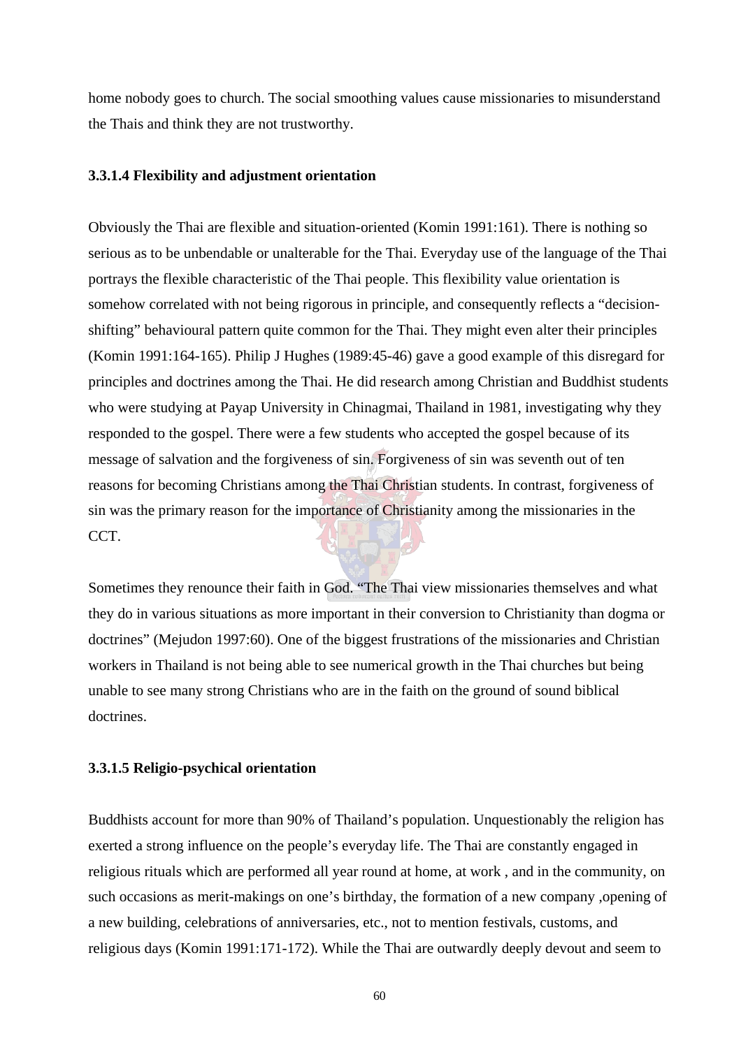home nobody goes to church. The social smoothing values cause missionaries to misunderstand the Thais and think they are not trustworthy.

### **3.3.1.4 Flexibility and adjustment orientation**

Obviously the Thai are flexible and situation-oriented (Komin 1991:161). There is nothing so serious as to be unbendable or unalterable for the Thai. Everyday use of the language of the Thai portrays the flexible characteristic of the Thai people. This flexibility value orientation is somehow correlated with not being rigorous in principle, and consequently reflects a "decisionshifting" behavioural pattern quite common for the Thai. They might even alter their principles (Komin 1991:164-165). Philip J Hughes (1989:45-46) gave a good example of this disregard for principles and doctrines among the Thai. He did research among Christian and Buddhist students who were studying at Payap University in Chinagmai, Thailand in 1981, investigating why they responded to the gospel. There were a few students who accepted the gospel because of its message of salvation and the forgiveness of sin. Forgiveness of sin was seventh out of ten reasons for becoming Christians among the Thai Christian students. In contrast, forgiveness of sin was the primary reason for the importance of Christianity among the missionaries in the CCT.

Sometimes they renounce their faith in God. "The Thai view missionaries themselves and what they do in various situations as more important in their conversion to Christianity than dogma or doctrines" (Mejudon 1997:60). One of the biggest frustrations of the missionaries and Christian workers in Thailand is not being able to see numerical growth in the Thai churches but being unable to see many strong Christians who are in the faith on the ground of sound biblical doctrines.

### **3.3.1.5 Religio-psychical orientation**

Buddhists account for more than 90% of Thailand's population. Unquestionably the religion has exerted a strong influence on the people's everyday life. The Thai are constantly engaged in religious rituals which are performed all year round at home, at work , and in the community, on such occasions as merit-makings on one's birthday, the formation of a new company ,opening of a new building, celebrations of anniversaries, etc., not to mention festivals, customs, and religious days (Komin 1991:171-172). While the Thai are outwardly deeply devout and seem to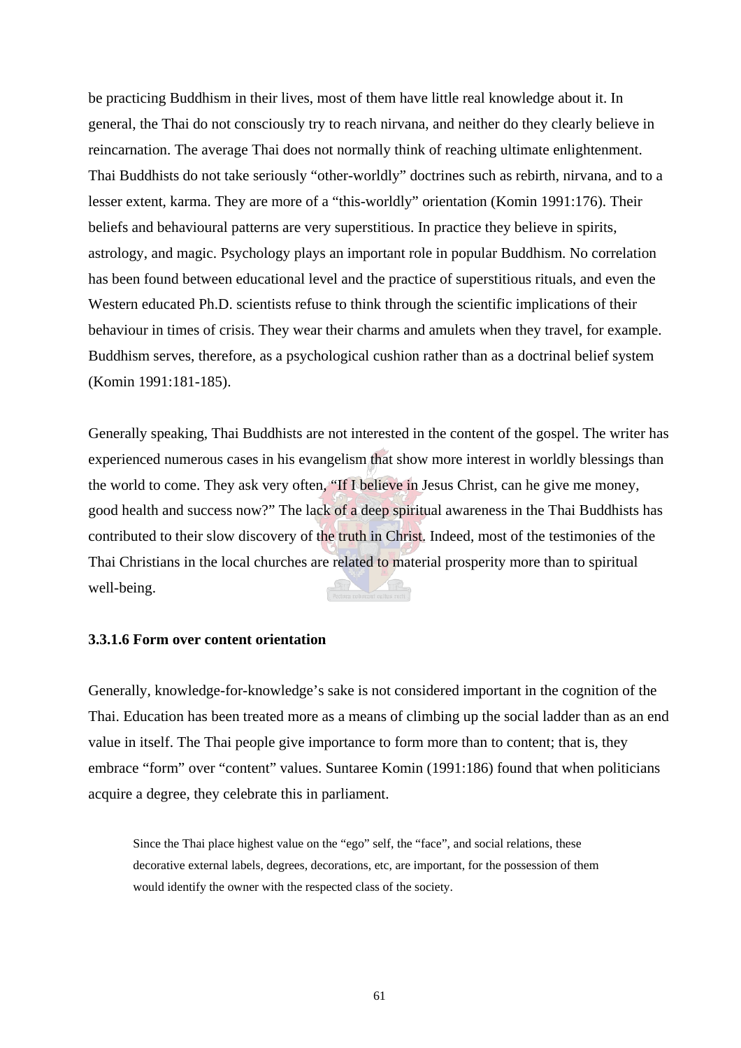be practicing Buddhism in their lives, most of them have little real knowledge about it. In general, the Thai do not consciously try to reach nirvana, and neither do they clearly believe in reincarnation. The average Thai does not normally think of reaching ultimate enlightenment. Thai Buddhists do not take seriously "other-worldly" doctrines such as rebirth, nirvana, and to a lesser extent, karma. They are more of a "this-worldly" orientation (Komin 1991:176). Their beliefs and behavioural patterns are very superstitious. In practice they believe in spirits, astrology, and magic. Psychology plays an important role in popular Buddhism. No correlation has been found between educational level and the practice of superstitious rituals, and even the Western educated Ph.D. scientists refuse to think through the scientific implications of their behaviour in times of crisis. They wear their charms and amulets when they travel, for example. Buddhism serves, therefore, as a psychological cushion rather than as a doctrinal belief system (Komin 1991:181-185).

Generally speaking, Thai Buddhists are not interested in the content of the gospel. The writer has experienced numerous cases in his evangelism that show more interest in worldly blessings than the world to come. They ask very often, "If I believe in Jesus Christ, can he give me money, good health and success now?" The lack of a deep spiritual awareness in the Thai Buddhists has contributed to their slow discovery of the truth in Christ. Indeed, most of the testimonies of the Thai Christians in the local churches are related to material prosperity more than to spiritual well-being.

### **3.3.1.6 Form over content orientation**

Generally, knowledge-for-knowledge's sake is not considered important in the cognition of the Thai. Education has been treated more as a means of climbing up the social ladder than as an end value in itself. The Thai people give importance to form more than to content; that is, they embrace "form" over "content" values. Suntaree Komin (1991:186) found that when politicians acquire a degree, they celebrate this in parliament.

Since the Thai place highest value on the "ego" self, the "face", and social relations, these decorative external labels, degrees, decorations, etc, are important, for the possession of them would identify the owner with the respected class of the society.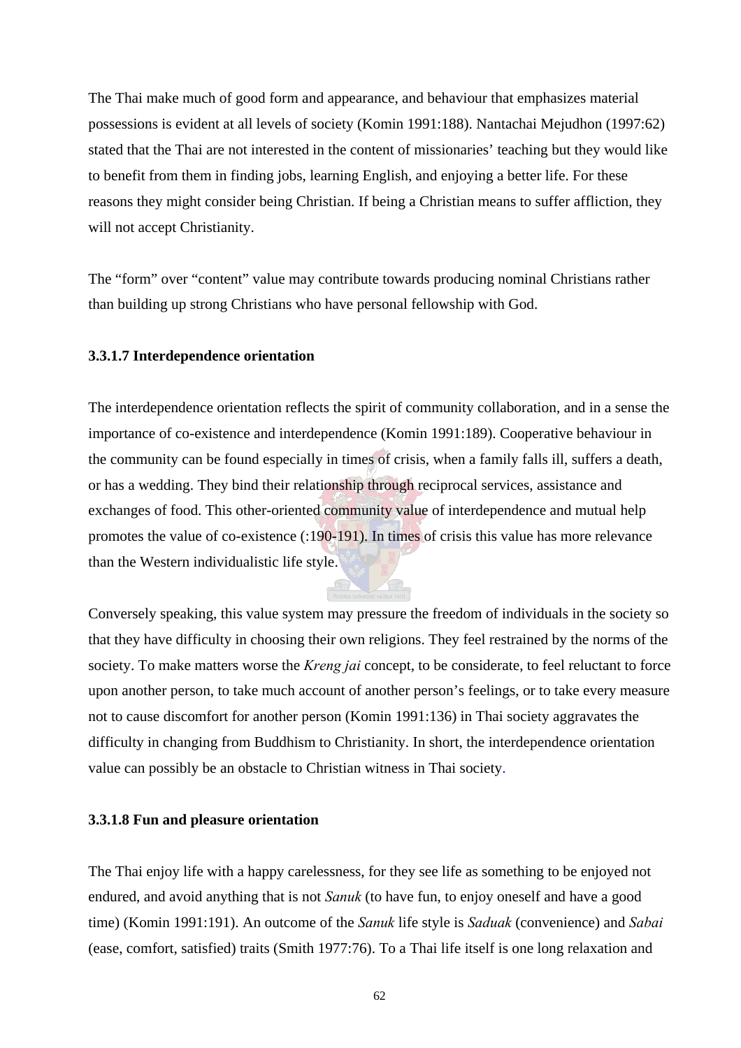The Thai make much of good form and appearance, and behaviour that emphasizes material possessions is evident at all levels of society (Komin 1991:188). Nantachai Mejudhon (1997:62) stated that the Thai are not interested in the content of missionaries' teaching but they would like to benefit from them in finding jobs, learning English, and enjoying a better life. For these reasons they might consider being Christian. If being a Christian means to suffer affliction, they will not accept Christianity.

The "form" over "content" value may contribute towards producing nominal Christians rather than building up strong Christians who have personal fellowship with God.

### **3.3.1.7 Interdependence orientation**

The interdependence orientation reflects the spirit of community collaboration, and in a sense the importance of co-existence and interdependence (Komin 1991:189). Cooperative behaviour in the community can be found especially in times of crisis, when a family falls ill, suffers a death, or has a wedding. They bind their relationship through reciprocal services, assistance and exchanges of food. This other-oriented community value of interdependence and mutual help promotes the value of co-existence (:190-191). In times of crisis this value has more relevance than the Western individualistic life style.

Conversely speaking, this value system may pressure the freedom of individuals in the society so that they have difficulty in choosing their own religions. They feel restrained by the norms of the society. To make matters worse the *Kreng jai* concept, to be considerate, to feel reluctant to force upon another person, to take much account of another person's feelings, or to take every measure not to cause discomfort for another person (Komin 1991:136) in Thai society aggravates the difficulty in changing from Buddhism to Christianity. In short, the interdependence orientation value can possibly be an obstacle to Christian witness in Thai society.

### **3.3.1.8 Fun and pleasure orientation**

The Thai enjoy life with a happy carelessness, for they see life as something to be enjoyed not endured, and avoid anything that is not *Sanuk* (to have fun, to enjoy oneself and have a good time) (Komin 1991:191). An outcome of the *Sanuk* life style is *Saduak* (convenience) and *Sabai* (ease, comfort, satisfied) traits (Smith 1977:76). To a Thai life itself is one long relaxation and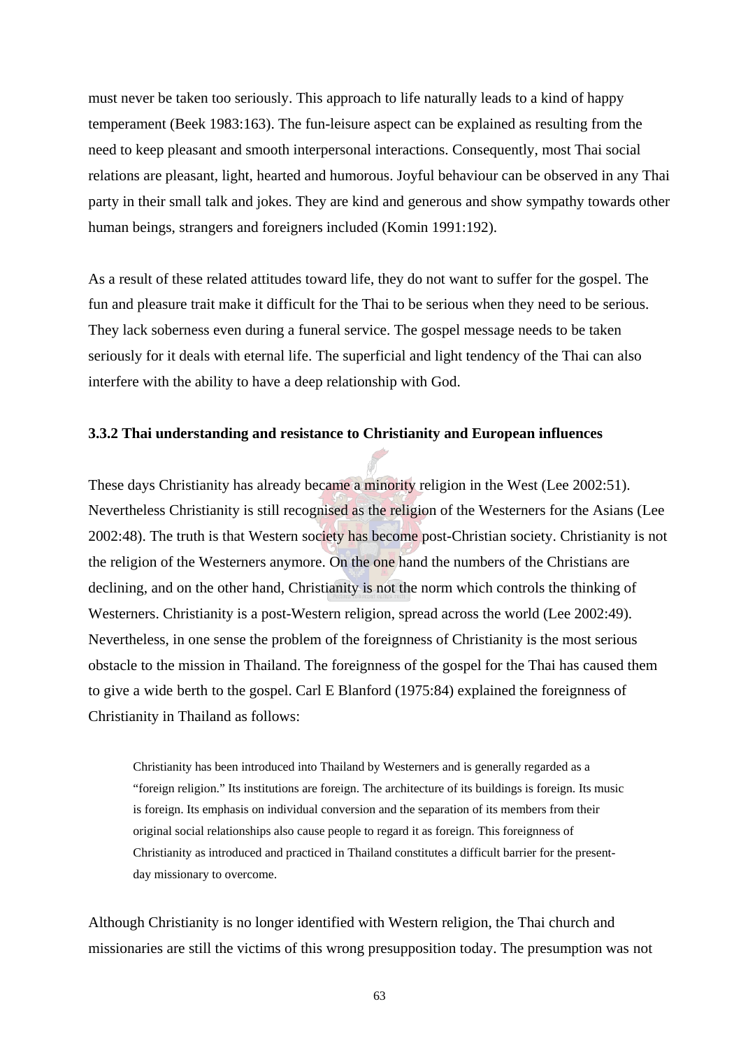must never be taken too seriously. This approach to life naturally leads to a kind of happy temperament (Beek 1983:163). The fun-leisure aspect can be explained as resulting from the need to keep pleasant and smooth interpersonal interactions. Consequently, most Thai social relations are pleasant, light, hearted and humorous. Joyful behaviour can be observed in any Thai party in their small talk and jokes. They are kind and generous and show sympathy towards other human beings, strangers and foreigners included (Komin 1991:192).

As a result of these related attitudes toward life, they do not want to suffer for the gospel. The fun and pleasure trait make it difficult for the Thai to be serious when they need to be serious. They lack soberness even during a funeral service. The gospel message needs to be taken seriously for it deals with eternal life. The superficial and light tendency of the Thai can also interfere with the ability to have a deep relationship with God.

### **3.3.2 Thai understanding and resistance to Christianity and European influences**

These days Christianity has already became a minority religion in the West (Lee 2002:51). Nevertheless Christianity is still recognised as the religion of the Westerners for the Asians (Lee 2002:48). The truth is that Western society has become post-Christian society. Christianity is not the religion of the Westerners anymore. On the one hand the numbers of the Christians are declining, and on the other hand, Christianity is not the norm which controls the thinking of Westerners. Christianity is a post-Western religion, spread across the world (Lee 2002:49). Nevertheless, in one sense the problem of the foreignness of Christianity is the most serious obstacle to the mission in Thailand. The foreignness of the gospel for the Thai has caused them to give a wide berth to the gospel. Carl E Blanford (1975:84) explained the foreignness of Christianity in Thailand as follows:

Christianity has been introduced into Thailand by Westerners and is generally regarded as a "foreign religion." Its institutions are foreign. The architecture of its buildings is foreign. Its music is foreign. Its emphasis on individual conversion and the separation of its members from their original social relationships also cause people to regard it as foreign. This foreignness of Christianity as introduced and practiced in Thailand constitutes a difficult barrier for the presentday missionary to overcome.

Although Christianity is no longer identified with Western religion, the Thai church and missionaries are still the victims of this wrong presupposition today. The presumption was not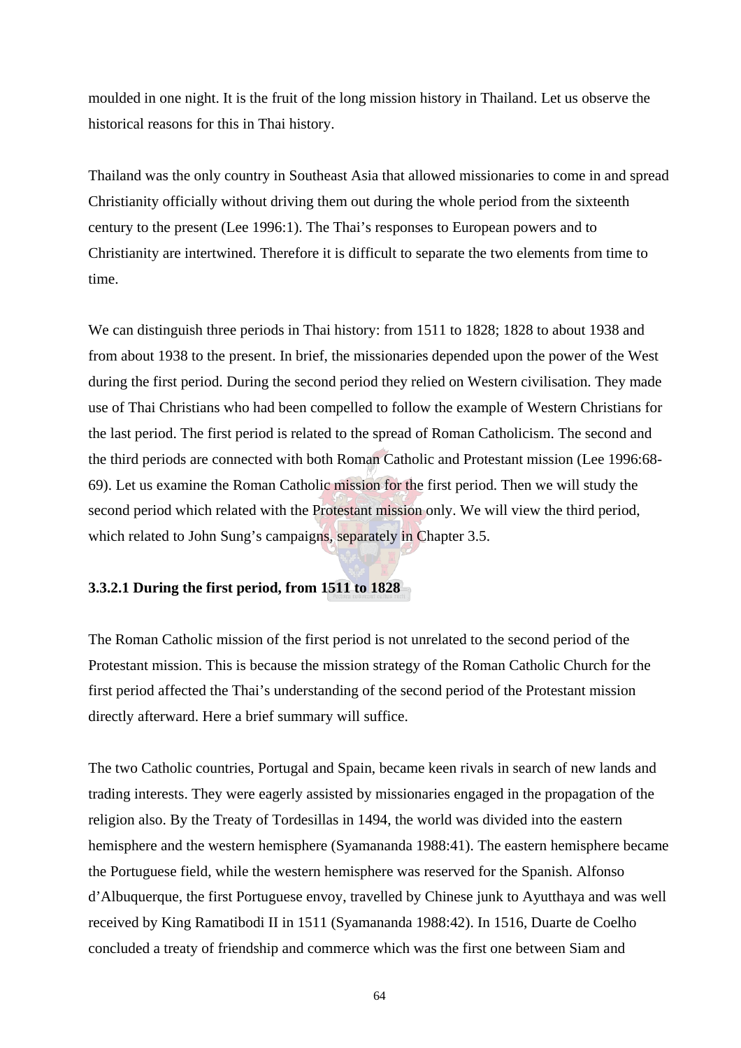moulded in one night. It is the fruit of the long mission history in Thailand. Let us observe the historical reasons for this in Thai history.

Thailand was the only country in Southeast Asia that allowed missionaries to come in and spread Christianity officially without driving them out during the whole period from the sixteenth century to the present (Lee 1996:1). The Thai's responses to European powers and to Christianity are intertwined. Therefore it is difficult to separate the two elements from time to time.

We can distinguish three periods in Thai history: from 1511 to 1828; 1828 to about 1938 and from about 1938 to the present. In brief, the missionaries depended upon the power of the West during the first period. During the second period they relied on Western civilisation. They made use of Thai Christians who had been compelled to follow the example of Western Christians for the last period. The first period is related to the spread of Roman Catholicism. The second and the third periods are connected with both Roman Catholic and Protestant mission (Lee 1996:68- 69). Let us examine the Roman Catholic mission for the first period. Then we will study the second period which related with the Protestant mission only. We will view the third period, which related to John Sung's campaigns, separately in Chapter 3.5.

### **3.3.2.1 During the first period, from 1511 to 1828**

The Roman Catholic mission of the first period is not unrelated to the second period of the Protestant mission. This is because the mission strategy of the Roman Catholic Church for the first period affected the Thai's understanding of the second period of the Protestant mission directly afterward. Here a brief summary will suffice.

The two Catholic countries, Portugal and Spain, became keen rivals in search of new lands and trading interests. They were eagerly assisted by missionaries engaged in the propagation of the religion also. By the Treaty of Tordesillas in 1494, the world was divided into the eastern hemisphere and the western hemisphere (Syamananda 1988:41). The eastern hemisphere became the Portuguese field, while the western hemisphere was reserved for the Spanish. Alfonso d'Albuquerque, the first Portuguese envoy, travelled by Chinese junk to Ayutthaya and was well received by King Ramatibodi II in 1511 (Syamananda 1988:42). In 1516, Duarte de Coelho concluded a treaty of friendship and commerce which was the first one between Siam and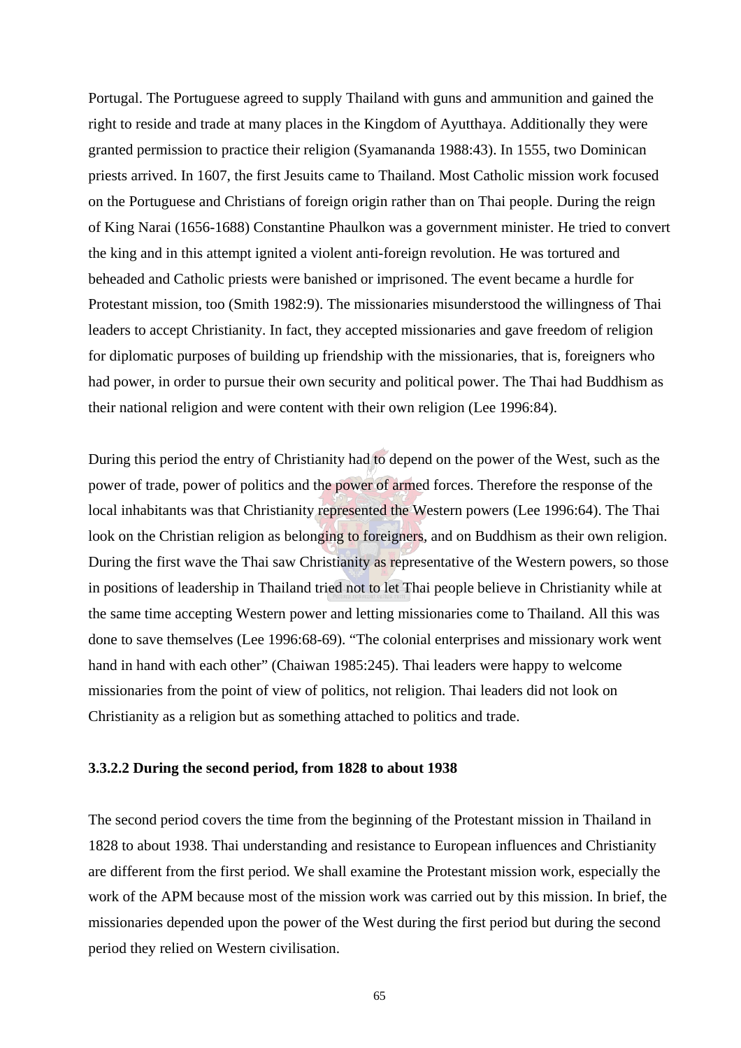Portugal. The Portuguese agreed to supply Thailand with guns and ammunition and gained the right to reside and trade at many places in the Kingdom of Ayutthaya. Additionally they were granted permission to practice their religion (Syamananda 1988:43). In 1555, two Dominican priests arrived. In 1607, the first Jesuits came to Thailand. Most Catholic mission work focused on the Portuguese and Christians of foreign origin rather than on Thai people. During the reign of King Narai (1656-1688) Constantine Phaulkon was a government minister. He tried to convert the king and in this attempt ignited a violent anti-foreign revolution. He was tortured and beheaded and Catholic priests were banished or imprisoned. The event became a hurdle for Protestant mission, too (Smith 1982:9). The missionaries misunderstood the willingness of Thai leaders to accept Christianity. In fact, they accepted missionaries and gave freedom of religion for diplomatic purposes of building up friendship with the missionaries, that is, foreigners who had power, in order to pursue their own security and political power. The Thai had Buddhism as their national religion and were content with their own religion (Lee 1996:84).

During this period the entry of Christianity had to depend on the power of the West, such as the power of trade, power of politics and the power of armed forces. Therefore the response of the local inhabitants was that Christianity represented the Western powers (Lee 1996:64). The Thai look on the Christian religion as belonging to foreigners, and on Buddhism as their own religion. During the first wave the Thai saw Christianity as representative of the Western powers, so those in positions of leadership in Thailand tried not to let Thai people believe in Christianity while at the same time accepting Western power and letting missionaries come to Thailand. All this was done to save themselves (Lee 1996:68-69). "The colonial enterprises and missionary work went hand in hand with each other" (Chaiwan 1985:245). Thai leaders were happy to welcome missionaries from the point of view of politics, not religion. Thai leaders did not look on Christianity as a religion but as something attached to politics and trade.

### **3.3.2.2 During the second period, from 1828 to about 1938**

The second period covers the time from the beginning of the Protestant mission in Thailand in 1828 to about 1938. Thai understanding and resistance to European influences and Christianity are different from the first period. We shall examine the Protestant mission work, especially the work of the APM because most of the mission work was carried out by this mission. In brief, the missionaries depended upon the power of the West during the first period but during the second period they relied on Western civilisation.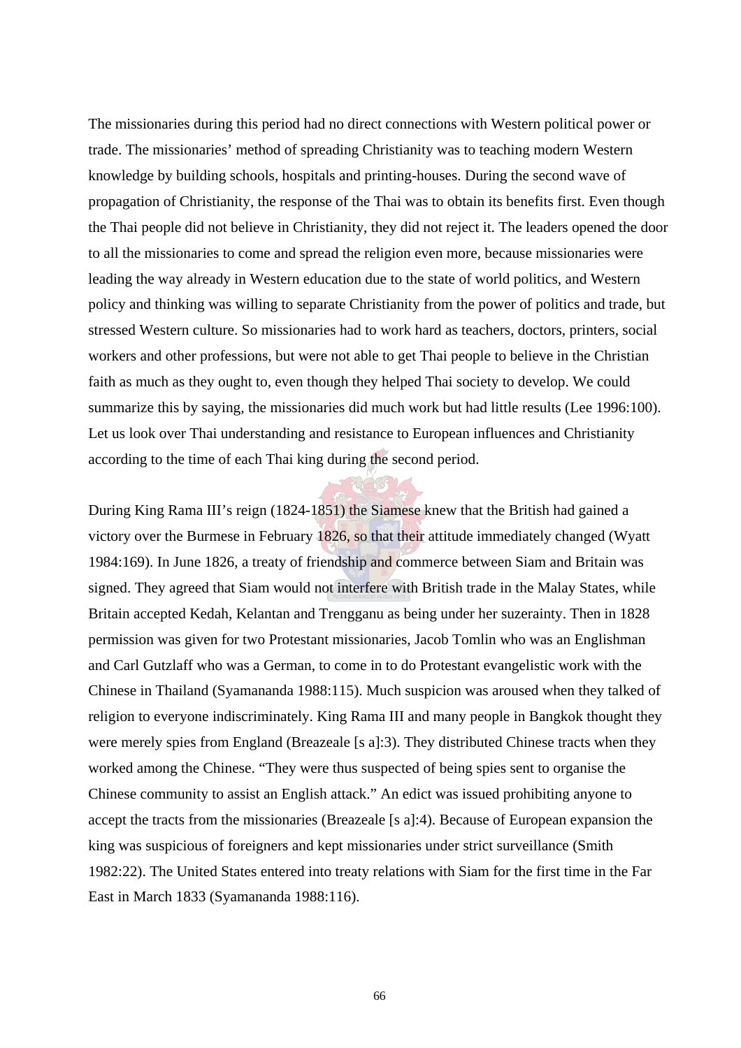The missionaries during this period had no direct connections with Western political power or trade. The missionaries' method of spreading Christianity was to teaching modern Western knowledge by building schools, hospitals and printing-houses. During the second wave of propagation of Christianity, the response of the Thai was to obtain its benefits first. Even though the Thai people did not believe in Christianity, they did not reject it. The leaders opened the door to all the missionaries to come and spread the religion even more, because missionaries were leading the way already in Western education due to the state of world politics, and Western policy and thinking was willing to separate Christianity from the power of politics and trade, but stressed Western culture. So missionaries had to work hard as teachers, doctors, printers, social workers and other professions, but were not able to get Thai people to believe in the Christian faith as much as they ought to, even though they helped Thai society to develop. We could summarize this by saying, the missionaries did much work but had little results (Lee 1996:100). Let us look over Thai understanding and resistance to European influences and Christianity according to the time of each Thai king during the second period.

During King Rama III's reign (1824-1851) the Siamese knew that the British had gained a victory over the Burmese in February 1826, so that their attitude immediately changed (Wyatt 1984:169). In June 1826, a treaty of friendship and commerce between Siam and Britain was signed. They agreed that Siam would not interfere with British trade in the Malay States, while Britain accepted Kedah, Kelantan and Trengganu as being under her suzerainty. Then in 1828 permission was given for two Protestant missionaries, Jacob Tomlin who was an Englishman and Carl Gutzlaff who was a German, to come in to do Protestant evangelistic work with the Chinese in Thailand (Syamananda 1988:115). Much suspicion was aroused when they talked of religion to everyone indiscriminately. King Rama III and many people in Bangkok thought they were merely spies from England (Breazeale [s a]:3). They distributed Chinese tracts when they worked among the Chinese. "They were thus suspected of being spies sent to organise the Chinese community to assist an English attack." An edict was issued prohibiting anyone to accept the tracts from the missionaries (Breazeale [s a]:4). Because of European expansion the king was suspicious of foreigners and kept missionaries under strict surveillance (Smith 1982:22). The United States entered into treaty relations with Siam for the first time in the Far East in March 1833 (Syamananda 1988:116).

66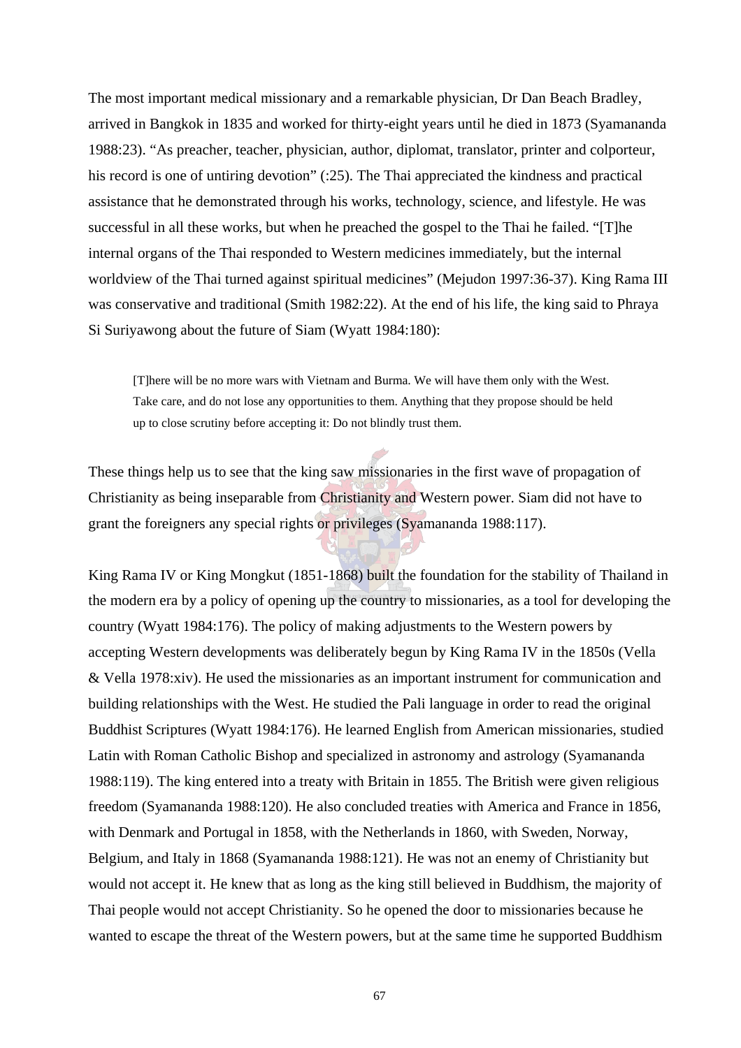The most important medical missionary and a remarkable physician, Dr Dan Beach Bradley, arrived in Bangkok in 1835 and worked for thirty-eight years until he died in 1873 (Syamananda 1988:23). "As preacher, teacher, physician, author, diplomat, translator, printer and colporteur, his record is one of untiring devotion" (:25). The Thai appreciated the kindness and practical assistance that he demonstrated through his works, technology, science, and lifestyle. He was successful in all these works, but when he preached the gospel to the Thai he failed. "[T]he internal organs of the Thai responded to Western medicines immediately, but the internal worldview of the Thai turned against spiritual medicines" (Mejudon 1997:36-37). King Rama III was conservative and traditional (Smith 1982:22). At the end of his life, the king said to Phraya Si Suriyawong about the future of Siam (Wyatt 1984:180):

[T]here will be no more wars with Vietnam and Burma. We will have them only with the West. Take care, and do not lose any opportunities to them. Anything that they propose should be held up to close scrutiny before accepting it: Do not blindly trust them.

These things help us to see that the king saw missionaries in the first wave of propagation of Christianity as being inseparable from Christianity and Western power. Siam did not have to grant the foreigners any special rights or privileges (Syamananda 1988:117).

King Rama IV or King Mongkut (1851-1868) built the foundation for the stability of Thailand in the modern era by a policy of opening up the country to missionaries, as a tool for developing the country (Wyatt 1984:176). The policy of making adjustments to the Western powers by accepting Western developments was deliberately begun by King Rama IV in the 1850s (Vella & Vella 1978:xiv). He used the missionaries as an important instrument for communication and building relationships with the West. He studied the Pali language in order to read the original Buddhist Scriptures (Wyatt 1984:176). He learned English from American missionaries, studied Latin with Roman Catholic Bishop and specialized in astronomy and astrology (Syamananda 1988:119). The king entered into a treaty with Britain in 1855. The British were given religious freedom (Syamananda 1988:120). He also concluded treaties with America and France in 1856, with Denmark and Portugal in 1858, with the Netherlands in 1860, with Sweden, Norway, Belgium, and Italy in 1868 (Syamananda 1988:121). He was not an enemy of Christianity but would not accept it. He knew that as long as the king still believed in Buddhism, the majority of Thai people would not accept Christianity. So he opened the door to missionaries because he wanted to escape the threat of the Western powers, but at the same time he supported Buddhism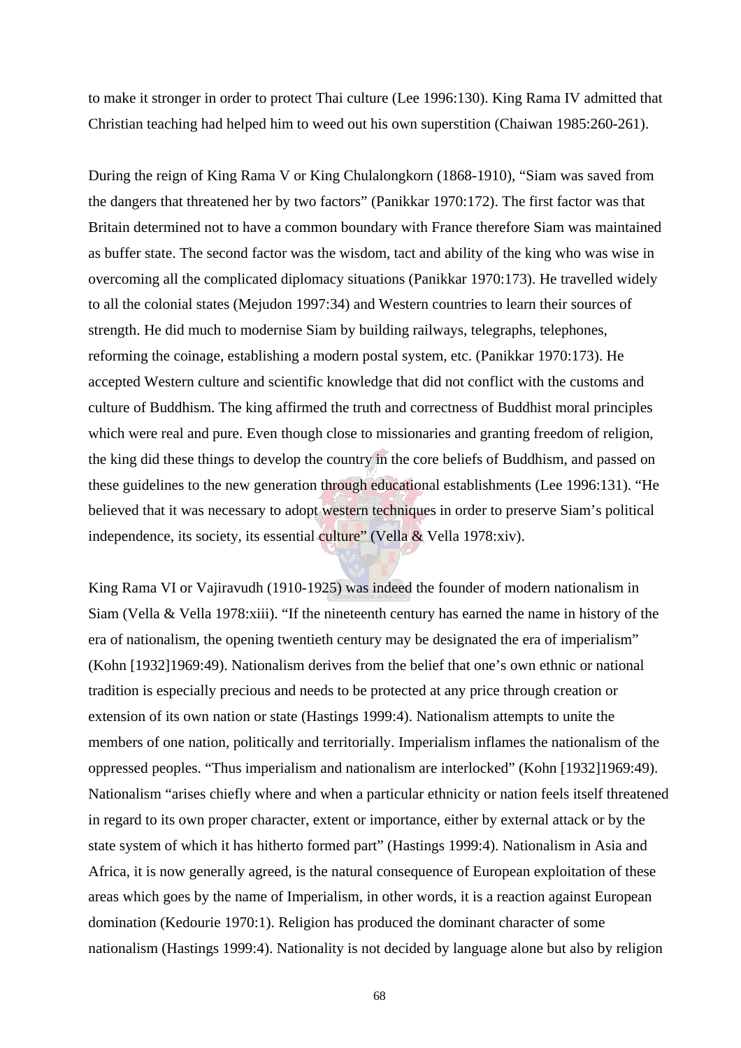to make it stronger in order to protect Thai culture (Lee 1996:130). King Rama IV admitted that Christian teaching had helped him to weed out his own superstition (Chaiwan 1985:260-261).

During the reign of King Rama V or King Chulalongkorn (1868-1910), "Siam was saved from the dangers that threatened her by two factors" (Panikkar 1970:172). The first factor was that Britain determined not to have a common boundary with France therefore Siam was maintained as buffer state. The second factor was the wisdom, tact and ability of the king who was wise in overcoming all the complicated diplomacy situations (Panikkar 1970:173). He travelled widely to all the colonial states (Mejudon 1997:34) and Western countries to learn their sources of strength. He did much to modernise Siam by building railways, telegraphs, telephones, reforming the coinage, establishing a modern postal system, etc. (Panikkar 1970:173). He accepted Western culture and scientific knowledge that did not conflict with the customs and culture of Buddhism. The king affirmed the truth and correctness of Buddhist moral principles which were real and pure. Even though close to missionaries and granting freedom of religion, the king did these things to develop the country in the core beliefs of Buddhism, and passed on these guidelines to the new generation through educational establishments (Lee 1996:131). "He believed that it was necessary to adopt western techniques in order to preserve Siam's political independence, its society, its essential culture" (Vella  $\&$  Vella 1978:xiv).

King Rama VI or Vajiravudh (1910-1925) was indeed the founder of modern nationalism in Siam (Vella & Vella 1978:xiii). "If the nineteenth century has earned the name in history of the era of nationalism, the opening twentieth century may be designated the era of imperialism" (Kohn [1932]1969:49). Nationalism derives from the belief that one's own ethnic or national tradition is especially precious and needs to be protected at any price through creation or extension of its own nation or state (Hastings 1999:4). Nationalism attempts to unite the members of one nation, politically and territorially. Imperialism inflames the nationalism of the oppressed peoples. "Thus imperialism and nationalism are interlocked" (Kohn [1932]1969:49). Nationalism "arises chiefly where and when a particular ethnicity or nation feels itself threatened in regard to its own proper character, extent or importance, either by external attack or by the state system of which it has hitherto formed part" (Hastings 1999:4). Nationalism in Asia and Africa, it is now generally agreed, is the natural consequence of European exploitation of these areas which goes by the name of Imperialism, in other words, it is a reaction against European domination (Kedourie 1970:1). Religion has produced the dominant character of some nationalism (Hastings 1999:4). Nationality is not decided by language alone but also by religion

68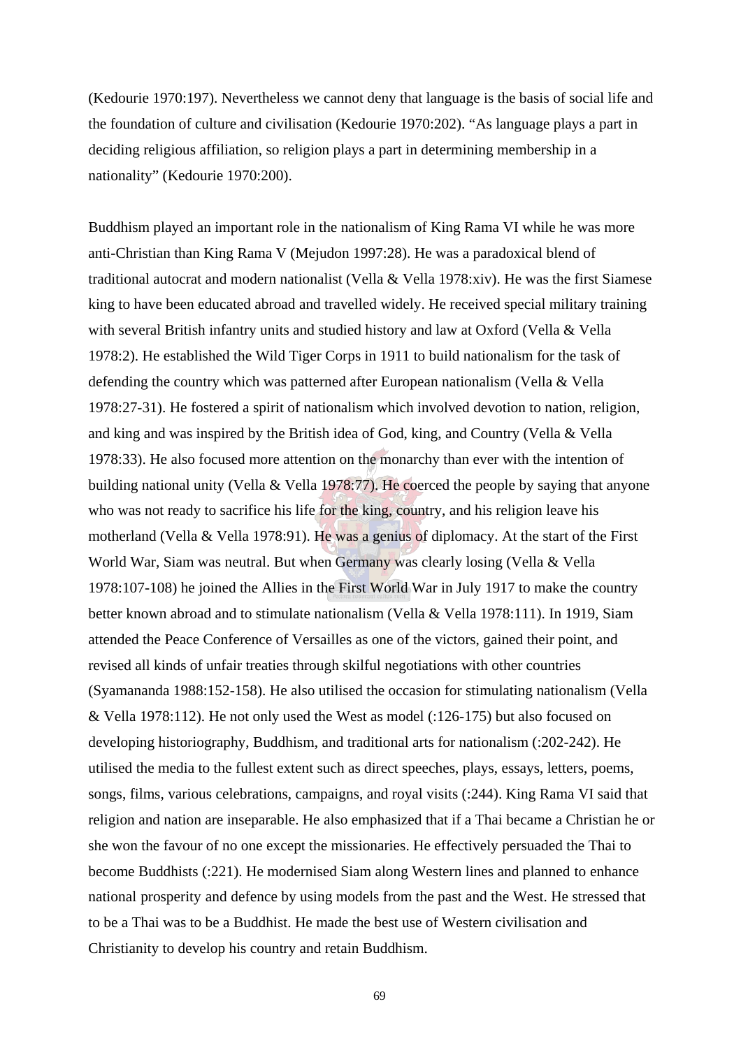(Kedourie 1970:197). Nevertheless we cannot deny that language is the basis of social life and the foundation of culture and civilisation (Kedourie 1970:202). "As language plays a part in deciding religious affiliation, so religion plays a part in determining membership in a nationality" (Kedourie 1970:200).

Buddhism played an important role in the nationalism of King Rama VI while he was more anti-Christian than King Rama V (Mejudon 1997:28). He was a paradoxical blend of traditional autocrat and modern nationalist (Vella & Vella 1978:xiv). He was the first Siamese king to have been educated abroad and travelled widely. He received special military training with several British infantry units and studied history and law at Oxford (Vella & Vella 1978:2). He established the Wild Tiger Corps in 1911 to build nationalism for the task of defending the country which was patterned after European nationalism (Vella & Vella 1978:27-31). He fostered a spirit of nationalism which involved devotion to nation, religion, and king and was inspired by the British idea of God, king, and Country (Vella & Vella 1978:33). He also focused more attention on the monarchy than ever with the intention of building national unity (Vella & Vella 1978:77). He coerced the people by saying that anyone who was not ready to sacrifice his life for the king, country, and his religion leave his motherland (Vella & Vella 1978:91). He was a genius of diplomacy. At the start of the First World War, Siam was neutral. But when Germany was clearly losing (Vella & Vella 1978:107-108) he joined the Allies in the First World War in July 1917 to make the country better known abroad and to stimulate nationalism (Vella & Vella 1978:111). In 1919, Siam attended the Peace Conference of Versailles as one of the victors, gained their point, and revised all kinds of unfair treaties through skilful negotiations with other countries (Syamananda 1988:152-158). He also utilised the occasion for stimulating nationalism (Vella & Vella 1978:112). He not only used the West as model (:126-175) but also focused on developing historiography, Buddhism, and traditional arts for nationalism (:202-242). He utilised the media to the fullest extent such as direct speeches, plays, essays, letters, poems, songs, films, various celebrations, campaigns, and royal visits (:244). King Rama VI said that religion and nation are inseparable. He also emphasized that if a Thai became a Christian he or she won the favour of no one except the missionaries. He effectively persuaded the Thai to become Buddhists (:221). He modernised Siam along Western lines and planned to enhance national prosperity and defence by using models from the past and the West. He stressed that to be a Thai was to be a Buddhist. He made the best use of Western civilisation and Christianity to develop his country and retain Buddhism.

69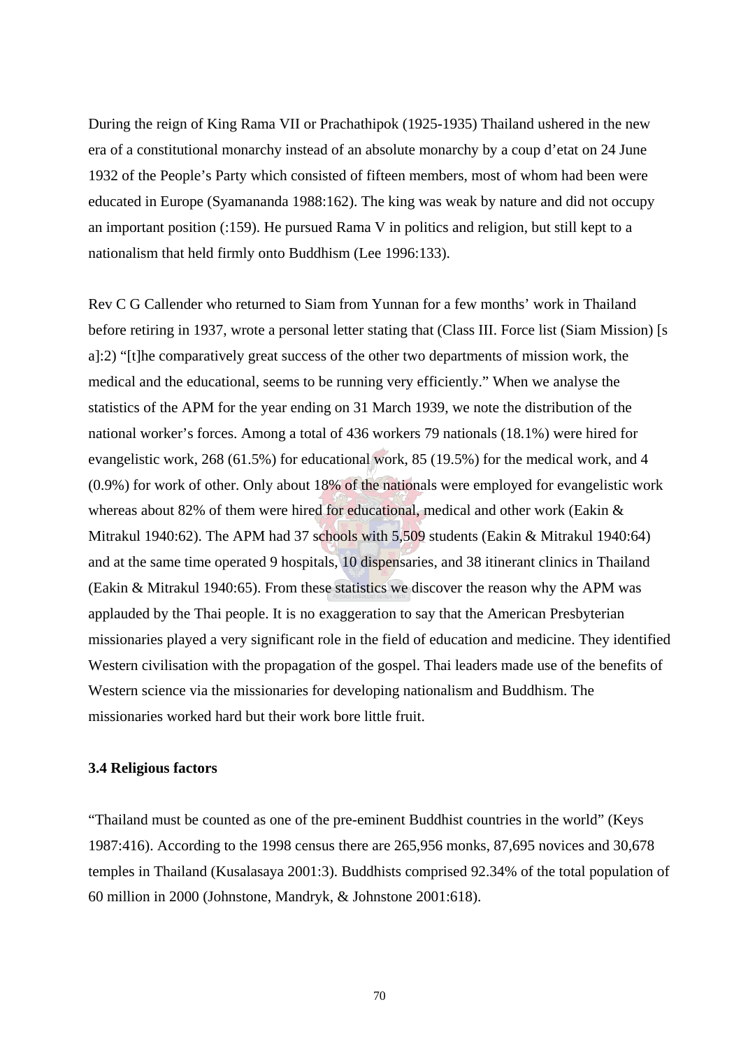During the reign of King Rama VII or Prachathipok (1925-1935) Thailand ushered in the new era of a constitutional monarchy instead of an absolute monarchy by a coup d'etat on 24 June 1932 of the People's Party which consisted of fifteen members, most of whom had been were educated in Europe (Syamananda 1988:162). The king was weak by nature and did not occupy an important position (:159). He pursued Rama V in politics and religion, but still kept to a nationalism that held firmly onto Buddhism (Lee 1996:133).

Rev C G Callender who returned to Siam from Yunnan for a few months' work in Thailand before retiring in 1937, wrote a personal letter stating that (Class III. Force list (Siam Mission) [s a]:2) "[t]he comparatively great success of the other two departments of mission work, the medical and the educational, seems to be running very efficiently." When we analyse the statistics of the APM for the year ending on 31 March 1939, we note the distribution of the national worker's forces. Among a total of 436 workers 79 nationals (18.1%) were hired for evangelistic work, 268 (61.5%) for educational work, 85 (19.5%) for the medical work, and 4 (0.9%) for work of other. Only about 18% of the nationals were employed for evangelistic work whereas about 82% of them were hired for educational, medical and other work (Eakin & Mitrakul 1940:62). The APM had 37 schools with 5,509 students (Eakin & Mitrakul 1940:64) and at the same time operated 9 hospitals, 10 dispensaries, and 38 itinerant clinics in Thailand (Eakin & Mitrakul 1940:65). From these statistics we discover the reason why the APM was applauded by the Thai people. It is no exaggeration to say that the American Presbyterian missionaries played a very significant role in the field of education and medicine. They identified Western civilisation with the propagation of the gospel. Thai leaders made use of the benefits of Western science via the missionaries for developing nationalism and Buddhism. The missionaries worked hard but their work bore little fruit.

### **3.4 Religious factors**

"Thailand must be counted as one of the pre-eminent Buddhist countries in the world" (Keys 1987:416). According to the 1998 census there are 265,956 monks, 87,695 novices and 30,678 temples in Thailand (Kusalasaya 2001:3). Buddhists comprised 92.34% of the total population of 60 million in 2000 (Johnstone, Mandryk, & Johnstone 2001:618).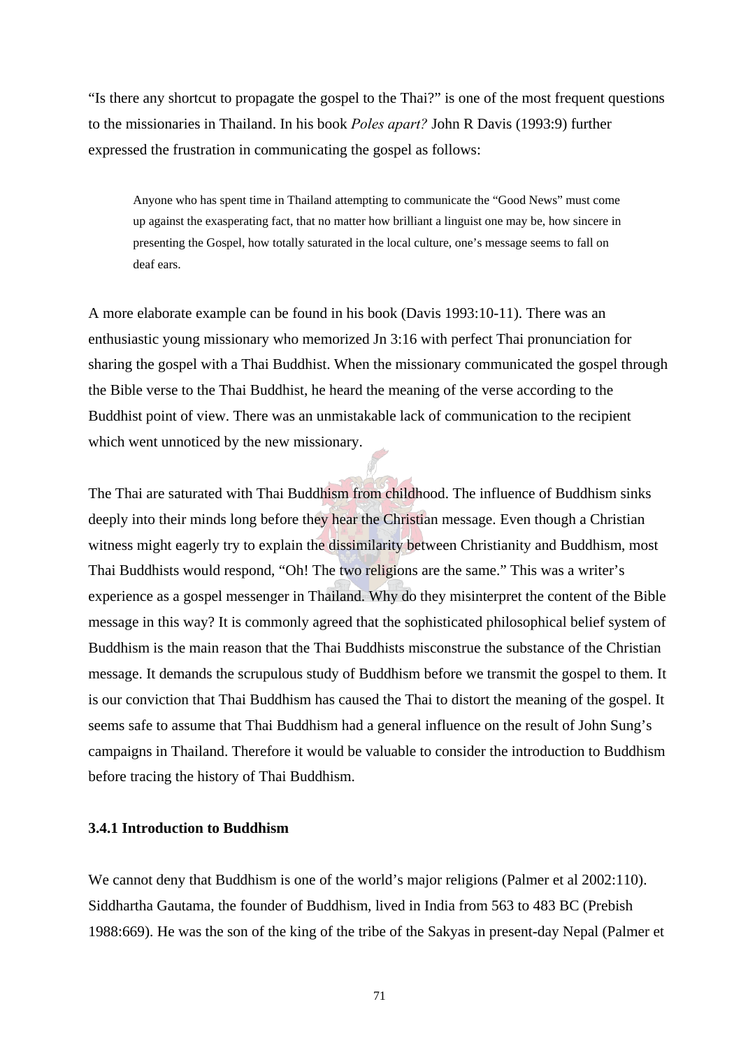"Is there any shortcut to propagate the gospel to the Thai?" is one of the most frequent questions to the missionaries in Thailand. In his book *Poles apart?* John R Davis (1993:9) further expressed the frustration in communicating the gospel as follows:

Anyone who has spent time in Thailand attempting to communicate the "Good News" must come up against the exasperating fact, that no matter how brilliant a linguist one may be, how sincere in presenting the Gospel, how totally saturated in the local culture, one's message seems to fall on deaf ears.

A more elaborate example can be found in his book (Davis 1993:10-11). There was an enthusiastic young missionary who memorized Jn 3:16 with perfect Thai pronunciation for sharing the gospel with a Thai Buddhist. When the missionary communicated the gospel through the Bible verse to the Thai Buddhist, he heard the meaning of the verse according to the Buddhist point of view. There was an unmistakable lack of communication to the recipient which went unnoticed by the new missionary.

The Thai are saturated with Thai Buddhism from childhood. The influence of Buddhism sinks deeply into their minds long before they hear the Christian message. Even though a Christian witness might eagerly try to explain the dissimilarity between Christianity and Buddhism, most Thai Buddhists would respond, "Oh! The two religions are the same." This was a writer's experience as a gospel messenger in Thailand. Why do they misinterpret the content of the Bible message in this way? It is commonly agreed that the sophisticated philosophical belief system of Buddhism is the main reason that the Thai Buddhists misconstrue the substance of the Christian message. It demands the scrupulous study of Buddhism before we transmit the gospel to them. It is our conviction that Thai Buddhism has caused the Thai to distort the meaning of the gospel. It seems safe to assume that Thai Buddhism had a general influence on the result of John Sung's campaigns in Thailand. Therefore it would be valuable to consider the introduction to Buddhism before tracing the history of Thai Buddhism.

# **3.4.1 Introduction to Buddhism**

We cannot deny that Buddhism is one of the world's major religions (Palmer et al 2002:110). Siddhartha Gautama, the founder of Buddhism, lived in India from 563 to 483 BC (Prebish 1988:669). He was the son of the king of the tribe of the Sakyas in present-day Nepal (Palmer et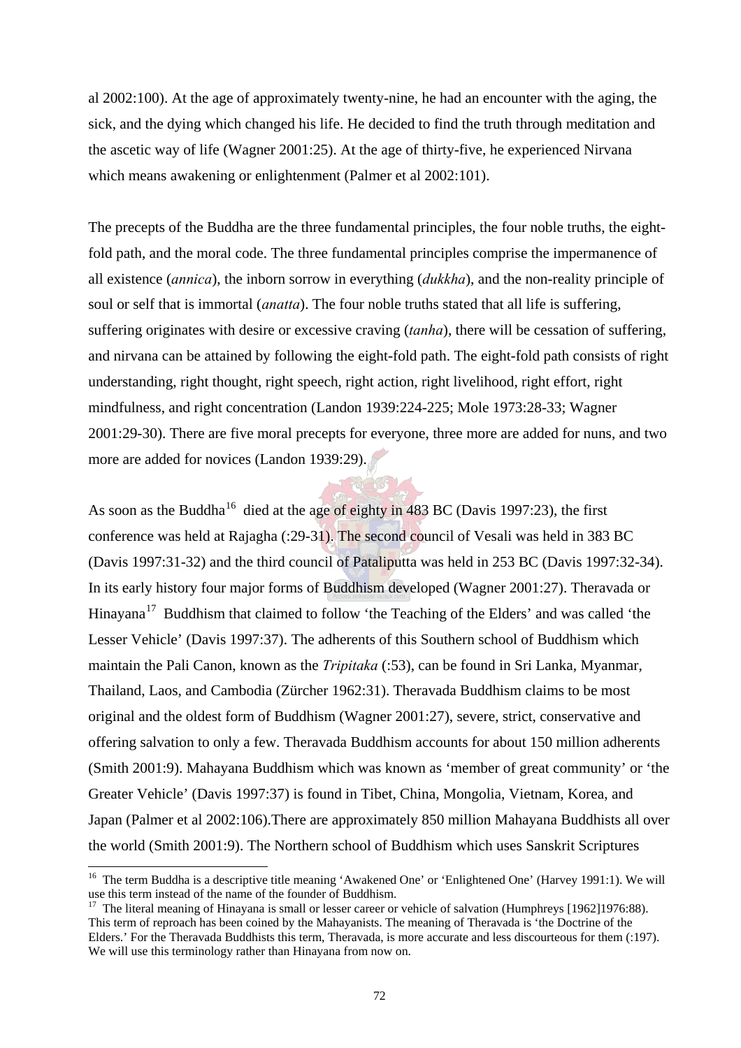al 2002:100). At the age of approximately twenty-nine, he had an encounter with the aging, the sick, and the dying which changed his life. He decided to find the truth through meditation and the ascetic way of life (Wagner 2001:25). At the age of thirty-five, he experienced Nirvana which means awakening or enlightenment (Palmer et al 2002:101).

The precepts of the Buddha are the three fundamental principles, the four noble truths, the eightfold path, and the moral code. The three fundamental principles comprise the impermanence of all existence (*annica*), the inborn sorrow in everything (*dukkha*), and the non-reality principle of soul or self that is immortal (*anatta*). The four noble truths stated that all life is suffering, suffering originates with desire or excessive craving (*tanha*), there will be cessation of suffering, and nirvana can be attained by following the eight-fold path. The eight-fold path consists of right understanding, right thought, right speech, right action, right livelihood, right effort, right mindfulness, and right concentration (Landon 1939:224-225; Mole 1973:28-33; Wagner 2001:29-30). There are five moral precepts for everyone, three more are added for nuns, and two more are added for novices (Landon 1939:29).

As soon as the Buddha<sup>16</sup> died at the age of eighty in 483 BC (Davis 1997:23), the first conference was held at Rajagha (:29-31). The second council of Vesali was held in 383 BC (Davis 1997:31-32) and the third council of Pataliputta was held in 253 BC (Davis 1997:32-34). In its early history four major forms of Buddhism developed (Wagner 2001:27). Theravada or Hinayana<sup>17</sup> Buddhism that claimed to follow 'the Teaching of the Elders' and was called 'the Lesser Vehicle' (Davis 1997:37). The adherents of this Southern school of Buddhism which maintain the Pali Canon, known as the *Tripitaka* (:53), can be found in Sri Lanka, Myanmar, Thailand, Laos, and Cambodia (Zürcher 1962:31). Theravada Buddhism claims to be most original and the oldest form of Buddhism (Wagner 2001:27), severe, strict, conservative and offering salvation to only a few. Theravada Buddhism accounts for about 150 million adherents (Smith 2001:9). Mahayana Buddhism which was known as 'member of great community' or 'the Greater Vehicle' (Davis 1997:37) is found in Tibet, China, Mongolia, Vietnam, Korea, and Japan (Palmer et al 2002:106).There are approximately 850 million Mahayana Buddhists all over the world (Smith 2001:9). The Northern school of Buddhism which uses Sanskrit Scriptures

l

<sup>&</sup>lt;sup>16</sup> The term Buddha is a descriptive title meaning 'Awakened One' or 'Enlightened One' (Harvey 1991:1). We will use this term instead of the name of the founder of Buddhism.

<sup>&</sup>lt;sup>17</sup> The literal meaning of Hinayana is small or lesser career or vehicle of salvation (Humphreys  $[1962]1976:88$ ). This term of reproach has been coined by the Mahayanists. The meaning of Theravada is 'the Doctrine of the Elders.' For the Theravada Buddhists this term, Theravada, is more accurate and less discourteous for them (:197). We will use this terminology rather than Hinayana from now on.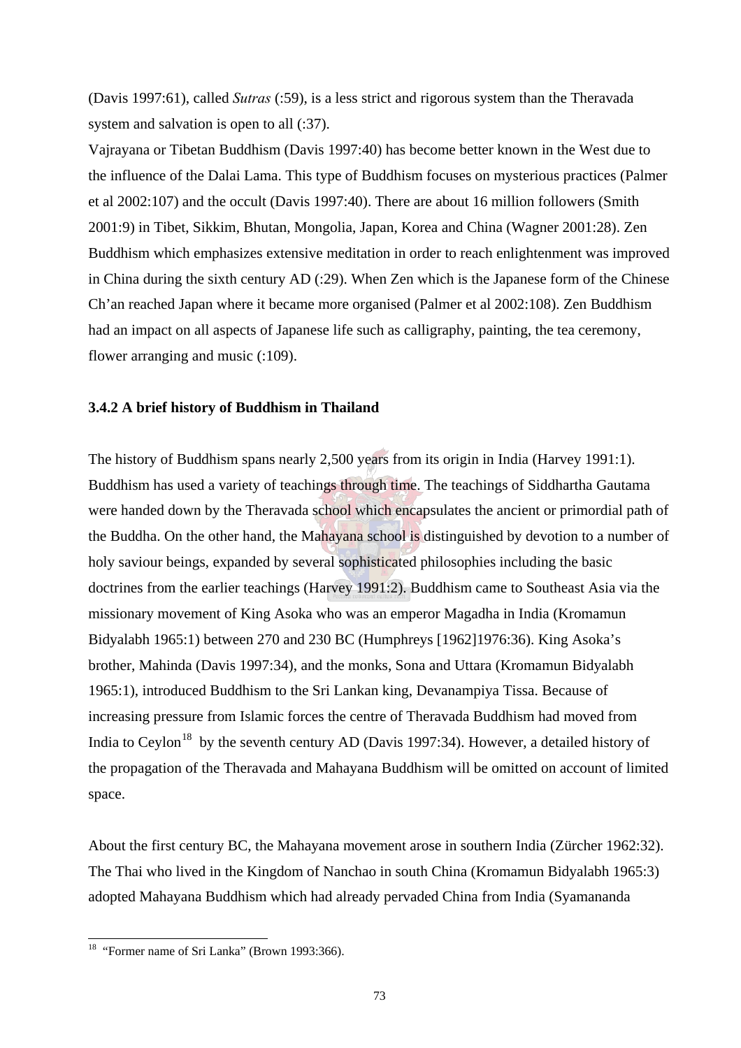(Davis 1997:61), called *Sutras* (:59), is a less strict and rigorous system than the Theravada system and salvation is open to all  $(.37)$ .

Vajrayana or Tibetan Buddhism (Davis 1997:40) has become better known in the West due to the influence of the Dalai Lama. This type of Buddhism focuses on mysterious practices (Palmer et al 2002:107) and the occult (Davis 1997:40). There are about 16 million followers (Smith 2001:9) in Tibet, Sikkim, Bhutan, Mongolia, Japan, Korea and China (Wagner 2001:28). Zen Buddhism which emphasizes extensive meditation in order to reach enlightenment was improved in China during the sixth century AD (:29). When Zen which is the Japanese form of the Chinese Ch'an reached Japan where it became more organised (Palmer et al 2002:108). Zen Buddhism had an impact on all aspects of Japanese life such as calligraphy, painting, the tea ceremony, flower arranging and music (:109).

### **3.4.2 A brief history of Buddhism in Thailand**

The history of Buddhism spans nearly 2,500 years from its origin in India (Harvey 1991:1). Buddhism has used a variety of teachings through time. The teachings of Siddhartha Gautama were handed down by the Theravada school which encapsulates the ancient or primordial path of the Buddha. On the other hand, the Mahayana school is distinguished by devotion to a number of holy saviour beings, expanded by several sophisticated philosophies including the basic doctrines from the earlier teachings (Harvey 1991:2). Buddhism came to Southeast Asia via the missionary movement of King Asoka who was an emperor Magadha in India (Kromamun Bidyalabh 1965:1) between 270 and 230 BC (Humphreys [1962]1976:36). King Asoka's brother, Mahinda (Davis 1997:34), and the monks, Sona and Uttara (Kromamun Bidyalabh 1965:1), introduced Buddhism to the Sri Lankan king, Devanampiya Tissa. Because of increasing pressure from Islamic forces the centre of Theravada Buddhism had moved from India to Ceylon<sup>18</sup> by the seventh century AD (Davis 1997:34). However, a detailed history of the propagation of the Theravada and Mahayana Buddhism will be omitted on account of limited space.

About the first century BC, the Mahayana movement arose in southern India (Zürcher 1962:32). The Thai who lived in the Kingdom of Nanchao in south China (Kromamun Bidyalabh 1965:3) adopted Mahayana Buddhism which had already pervaded China from India (Syamananda

 $\overline{a}$ 

<sup>&</sup>lt;sup>18</sup> "Former name of Sri Lanka" (Brown 1993:366).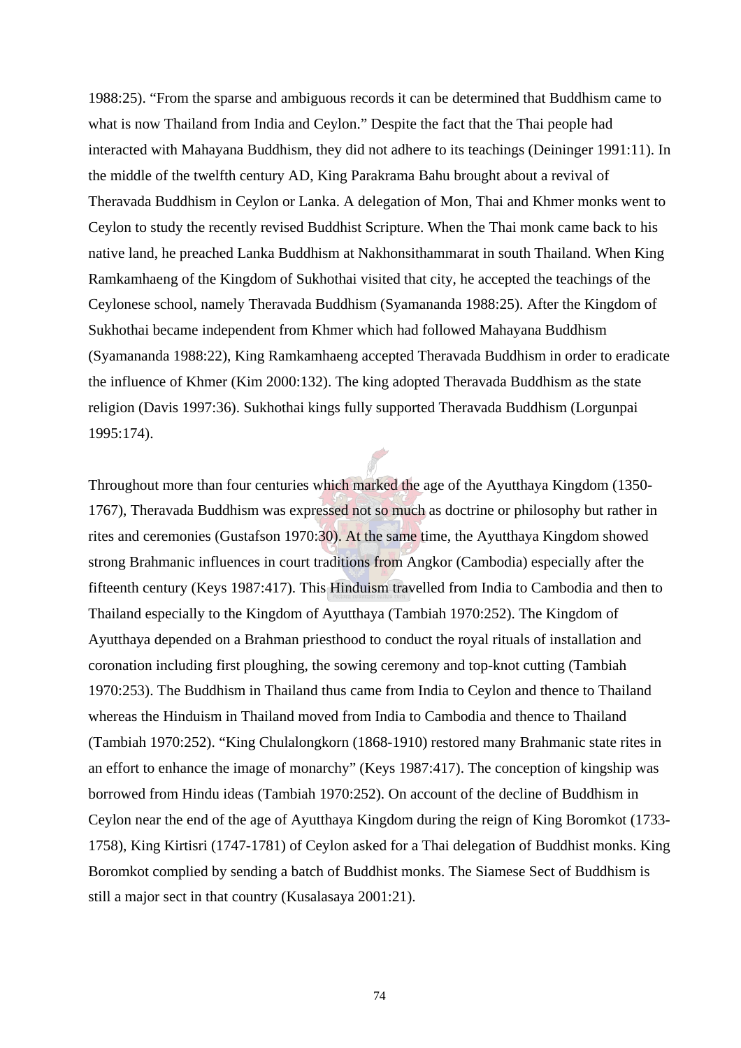1988:25). "From the sparse and ambiguous records it can be determined that Buddhism came to what is now Thailand from India and Ceylon." Despite the fact that the Thai people had interacted with Mahayana Buddhism, they did not adhere to its teachings (Deininger 1991:11). In the middle of the twelfth century AD, King Parakrama Bahu brought about a revival of Theravada Buddhism in Ceylon or Lanka. A delegation of Mon, Thai and Khmer monks went to Ceylon to study the recently revised Buddhist Scripture. When the Thai monk came back to his native land, he preached Lanka Buddhism at Nakhonsithammarat in south Thailand. When King Ramkamhaeng of the Kingdom of Sukhothai visited that city, he accepted the teachings of the Ceylonese school, namely Theravada Buddhism (Syamananda 1988:25). After the Kingdom of Sukhothai became independent from Khmer which had followed Mahayana Buddhism (Syamananda 1988:22), King Ramkamhaeng accepted Theravada Buddhism in order to eradicate the influence of Khmer (Kim 2000:132). The king adopted Theravada Buddhism as the state religion (Davis 1997:36). Sukhothai kings fully supported Theravada Buddhism (Lorgunpai 1995:174).

Throughout more than four centuries which marked the age of the Ayutthaya Kingdom (1350- 1767), Theravada Buddhism was expressed not so much as doctrine or philosophy but rather in rites and ceremonies (Gustafson 1970:30). At the same time, the Ayutthaya Kingdom showed strong Brahmanic influences in court traditions from Angkor (Cambodia) especially after the fifteenth century (Keys 1987:417). This Hinduism travelled from India to Cambodia and then to Thailand especially to the Kingdom of Ayutthaya (Tambiah 1970:252). The Kingdom of Ayutthaya depended on a Brahman priesthood to conduct the royal rituals of installation and coronation including first ploughing, the sowing ceremony and top-knot cutting (Tambiah 1970:253). The Buddhism in Thailand thus came from India to Ceylon and thence to Thailand whereas the Hinduism in Thailand moved from India to Cambodia and thence to Thailand (Tambiah 1970:252). "King Chulalongkorn (1868-1910) restored many Brahmanic state rites in an effort to enhance the image of monarchy" (Keys 1987:417). The conception of kingship was borrowed from Hindu ideas (Tambiah 1970:252). On account of the decline of Buddhism in Ceylon near the end of the age of Ayutthaya Kingdom during the reign of King Boromkot (1733- 1758), King Kirtisri (1747-1781) of Ceylon asked for a Thai delegation of Buddhist monks. King Boromkot complied by sending a batch of Buddhist monks. The Siamese Sect of Buddhism is still a major sect in that country (Kusalasaya 2001:21).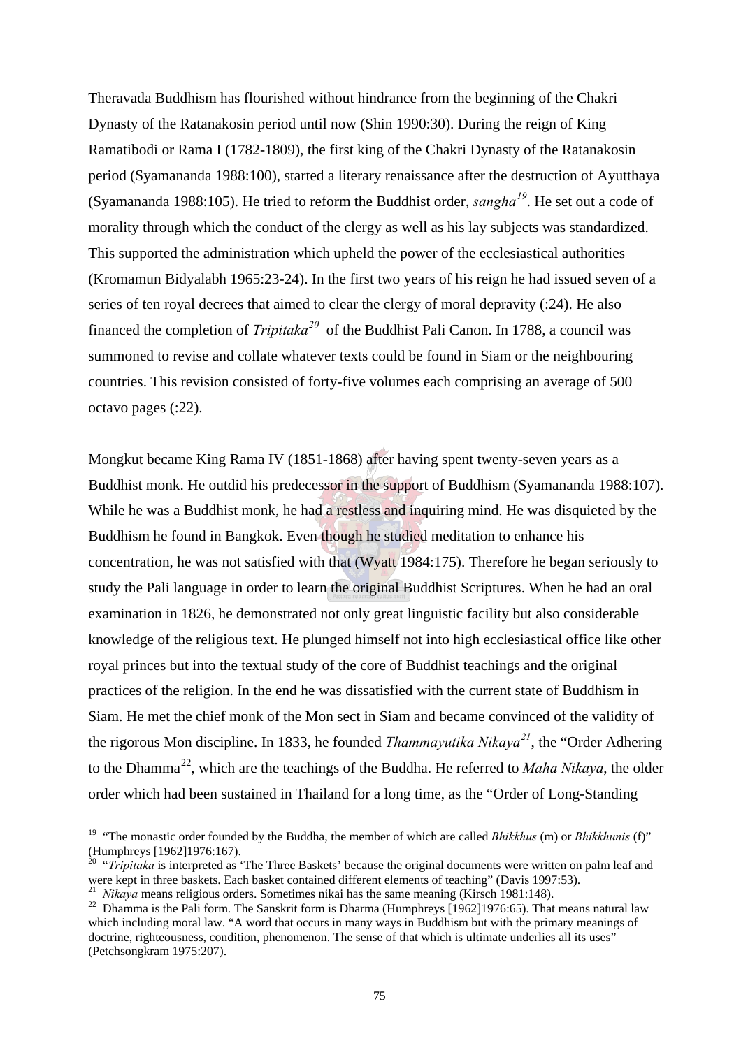Theravada Buddhism has flourished without hindrance from the beginning of the Chakri Dynasty of the Ratanakosin period until now (Shin 1990:30). During the reign of King Ramatibodi or Rama I (1782-1809), the first king of the Chakri Dynasty of the Ratanakosin period (Syamananda 1988:100), started a literary renaissance after the destruction of Ayutthaya (Syamananda 1988:105). He tried to reform the Buddhist order, *sangha<sup>19</sup>*. He set out a code of morality through which the conduct of the clergy as well as his lay subjects was standardized. This supported the administration which upheld the power of the ecclesiastical authorities (Kromamun Bidyalabh 1965:23-24). In the first two years of his reign he had issued seven of a series of ten royal decrees that aimed to clear the clergy of moral depravity (:24). He also financed the completion of *Tripitaka*<sup>20</sup> of the Buddhist Pali Canon. In 1788, a council was summoned to revise and collate whatever texts could be found in Siam or the neighbouring countries. This revision consisted of forty-five volumes each comprising an average of 500 octavo pages (:22).

Mongkut became King Rama IV (1851-1868) after having spent twenty-seven years as a Buddhist monk. He outdid his predecessor in the support of Buddhism (Syamananda 1988:107). While he was a Buddhist monk, he had a restless and inquiring mind. He was disquieted by the Buddhism he found in Bangkok. Even though he studied meditation to enhance his concentration, he was not satisfied with that (Wyatt 1984:175). Therefore he began seriously to study the Pali language in order to learn the original Buddhist Scriptures. When he had an oral examination in 1826, he demonstrated not only great linguistic facility but also considerable knowledge of the religious text. He plunged himself not into high ecclesiastical office like other royal princes but into the textual study of the core of Buddhist teachings and the original practices of the religion. In the end he was dissatisfied with the current state of Buddhism in Siam. He met the chief monk of the Mon sect in Siam and became convinced of the validity of the rigorous Mon discipline. In 1833, he founded *Thammayutika Nikaya<sup>21</sup>*, the "Order Adhering to the Dhamma22, which are the teachings of the Buddha. He referred to *Maha Nikaya*, the older order which had been sustained in Thailand for a long time, as the "Order of Long-Standing

 $\overline{a}$ 

<sup>19 &</sup>quot;The monastic order founded by the Buddha, the member of which are called *Bhikkhus* (m) or *Bhikkhunis* (f)" (Humphreys [1962]1976:167).

<sup>&</sup>lt;sup>20</sup> "*Tripitaka* is interpreted as 'The Three Baskets' because the original documents were written on palm leaf and were kept in three baskets. Each basket contained different elements of teaching" (Davis 1997:53).<br><sup>21</sup> Nikava means religious orders. Sometimes nikai has the same meaning (Kirsch 1981:148).

<sup>&</sup>lt;sup>22</sup> Dhamma is the Pali form. The Sanskrit form is Dharma (Humphreys [1962]1976:65). That means natural law which including moral law. "A word that occurs in many ways in Buddhism but with the primary meanings of doctrine, righteousness, condition, phenomenon. The sense of that which is ultimate underlies all its uses" (Petchsongkram 1975:207).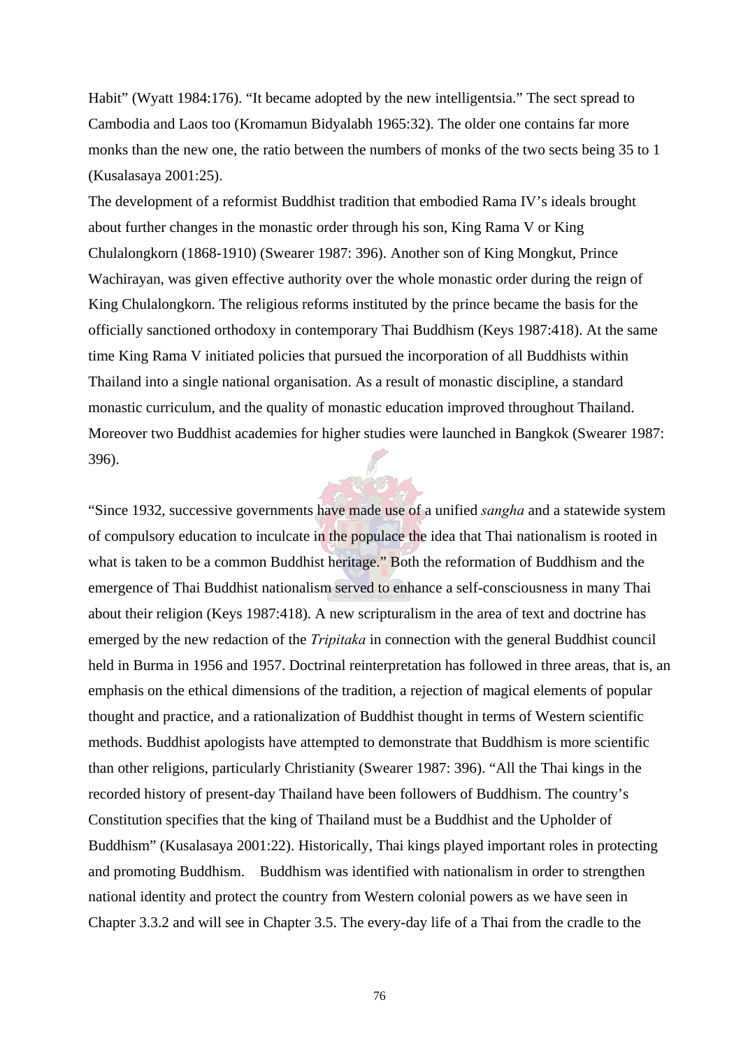Habit" (Wyatt 1984:176). "It became adopted by the new intelligentsia." The sect spread to Cambodia and Laos too (Kromamun Bidyalabh 1965:32). The older one contains far more monks than the new one, the ratio between the numbers of monks of the two sects being 35 to 1 (Kusalasaya 2001:25).

The development of a reformist Buddhist tradition that embodied Rama IV's ideals brought about further changes in the monastic order through his son, King Rama V or King Chulalongkorn (1868-1910) (Swearer 1987: 396). Another son of King Mongkut, Prince Wachirayan, was given effective authority over the whole monastic order during the reign of King Chulalongkorn. The religious reforms instituted by the prince became the basis for the officially sanctioned orthodoxy in contemporary Thai Buddhism (Keys 1987:418). At the same time King Rama V initiated policies that pursued the incorporation of all Buddhists within Thailand into a single national organisation. As a result of monastic discipline, a standard monastic curriculum, and the quality of monastic education improved throughout Thailand. Moreover two Buddhist academies for higher studies were launched in Bangkok (Swearer 1987: 396).

"Since 1932, successive governments have made use of a unified *sangha* and a statewide system of compulsory education to inculcate in the populace the idea that Thai nationalism is rooted in what is taken to be a common Buddhist heritage." Both the reformation of Buddhism and the emergence of Thai Buddhist nationalism served to enhance a self-consciousness in many Thai about their religion (Keys 1987:418). A new scripturalism in the area of text and doctrine has emerged by the new redaction of the *Tripitaka* in connection with the general Buddhist council held in Burma in 1956 and 1957. Doctrinal reinterpretation has followed in three areas, that is, an emphasis on the ethical dimensions of the tradition, a rejection of magical elements of popular thought and practice, and a rationalization of Buddhist thought in terms of Western scientific methods. Buddhist apologists have attempted to demonstrate that Buddhism is more scientific than other religions, particularly Christianity (Swearer 1987: 396). "All the Thai kings in the recorded history of present-day Thailand have been followers of Buddhism. The country's Constitution specifies that the king of Thailand must be a Buddhist and the Upholder of Buddhism" (Kusalasaya 2001:22). Historically, Thai kings played important roles in protecting and promoting Buddhism. Buddhism was identified with nationalism in order to strengthen national identity and protect the country from Western colonial powers as we have seen in Chapter 3.3.2 and will see in Chapter 3.5. The every-day life of a Thai from the cradle to the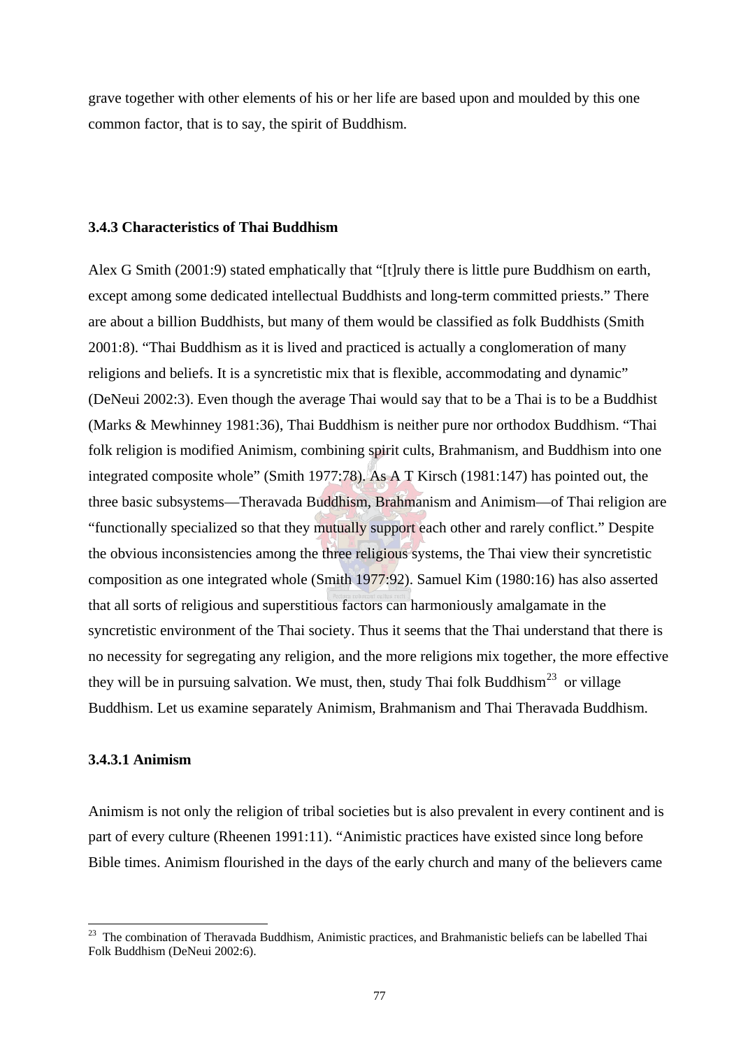grave together with other elements of his or her life are based upon and moulded by this one common factor, that is to say, the spirit of Buddhism.

# **3.4.3 Characteristics of Thai Buddhism**

Alex G Smith (2001:9) stated emphatically that "[t]ruly there is little pure Buddhism on earth, except among some dedicated intellectual Buddhists and long-term committed priests." There are about a billion Buddhists, but many of them would be classified as folk Buddhists (Smith 2001:8). "Thai Buddhism as it is lived and practiced is actually a conglomeration of many religions and beliefs. It is a syncretistic mix that is flexible, accommodating and dynamic" (DeNeui 2002:3). Even though the average Thai would say that to be a Thai is to be a Buddhist (Marks & Mewhinney 1981:36), Thai Buddhism is neither pure nor orthodox Buddhism. "Thai folk religion is modified Animism, combining spirit cults, Brahmanism, and Buddhism into one integrated composite whole" (Smith 1977:78). As A T Kirsch (1981:147) has pointed out, the three basic subsystems—Theravada Buddhism, Brahmanism and Animism—of Thai religion are "functionally specialized so that they mutually support each other and rarely conflict." Despite the obvious inconsistencies among the three religious systems, the Thai view their syncretistic composition as one integrated whole (Smith 1977:92). Samuel Kim (1980:16) has also asserted that all sorts of religious and superstitious factors can harmoniously amalgamate in the syncretistic environment of the Thai society. Thus it seems that the Thai understand that there is no necessity for segregating any religion, and the more religions mix together, the more effective they will be in pursuing salvation. We must, then, study Thai folk Buddhism<sup>23</sup> or village Buddhism. Let us examine separately Animism, Brahmanism and Thai Theravada Buddhism.

### **3.4.3.1 Animism**

 $\overline{a}$ 

Animism is not only the religion of tribal societies but is also prevalent in every continent and is part of every culture (Rheenen 1991:11). "Animistic practices have existed since long before Bible times. Animism flourished in the days of the early church and many of the believers came

<sup>&</sup>lt;sup>23</sup> The combination of Theravada Buddhism, Animistic practices, and Brahmanistic beliefs can be labelled Thai Folk Buddhism (DeNeui 2002:6).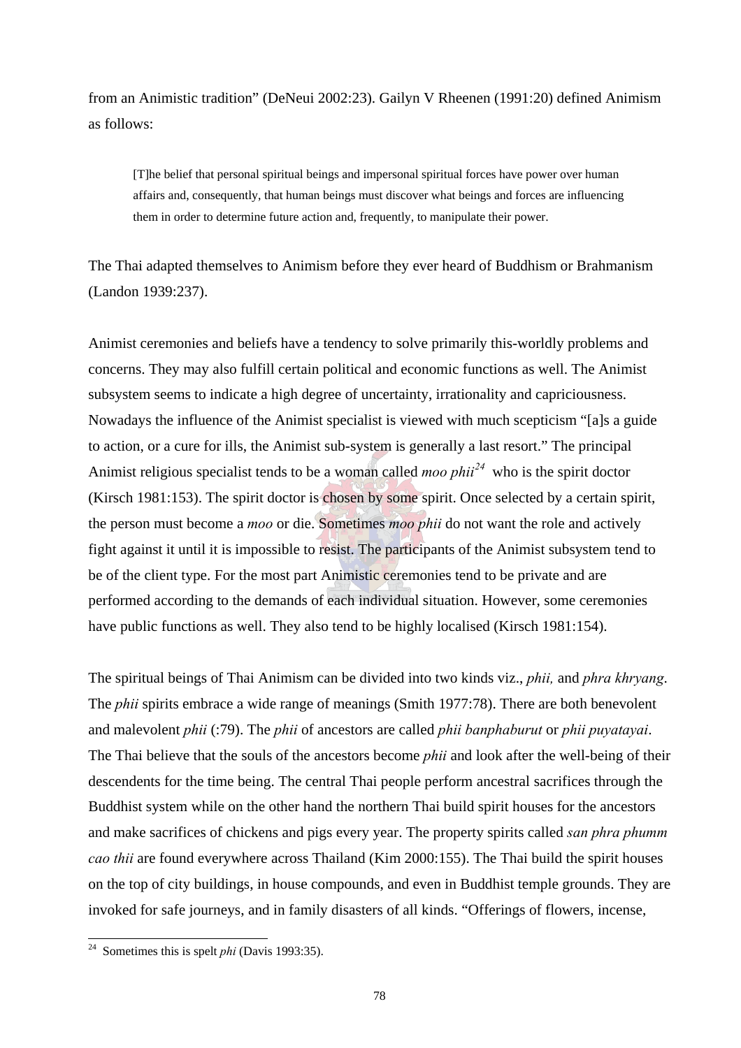from an Animistic tradition" (DeNeui 2002:23). Gailyn V Rheenen (1991:20) defined Animism as follows:

[T]he belief that personal spiritual beings and impersonal spiritual forces have power over human affairs and, consequently, that human beings must discover what beings and forces are influencing them in order to determine future action and, frequently, to manipulate their power.

The Thai adapted themselves to Animism before they ever heard of Buddhism or Brahmanism (Landon 1939:237).

Animist ceremonies and beliefs have a tendency to solve primarily this-worldly problems and concerns. They may also fulfill certain political and economic functions as well. The Animist subsystem seems to indicate a high degree of uncertainty, irrationality and capriciousness. Nowadays the influence of the Animist specialist is viewed with much scepticism "[a]s a guide to action, or a cure for ills, the Animist sub-system is generally a last resort." The principal Animist religious specialist tends to be a woman called *moo phii<sup>24</sup>* who is the spirit doctor (Kirsch 1981:153). The spirit doctor is chosen by some spirit. Once selected by a certain spirit, the person must become a *moo* or die. Sometimes *moo phii* do not want the role and actively fight against it until it is impossible to resist. The participants of the Animist subsystem tend to be of the client type. For the most part Animistic ceremonies tend to be private and are performed according to the demands of each individual situation. However, some ceremonies have public functions as well. They also tend to be highly localised (Kirsch 1981:154).

The spiritual beings of Thai Animism can be divided into two kinds viz., *phii,* and *phra khryang*. The *phii* spirits embrace a wide range of meanings (Smith 1977:78). There are both benevolent and malevolent *phii* (:79). The *phii* of ancestors are called *phii banphaburut* or *phii puyatayai*. The Thai believe that the souls of the ancestors become *phii* and look after the well-being of their descendents for the time being. The central Thai people perform ancestral sacrifices through the Buddhist system while on the other hand the northern Thai build spirit houses for the ancestors and make sacrifices of chickens and pigs every year. The property spirits called *san phra phumm cao thii* are found everywhere across Thailand (Kim 2000:155). The Thai build the spirit houses on the top of city buildings, in house compounds, and even in Buddhist temple grounds. They are invoked for safe journeys, and in family disasters of all kinds. "Offerings of flowers, incense,

 $\overline{a}$ 

<sup>24</sup> Sometimes this is spelt *phi* (Davis 1993:35).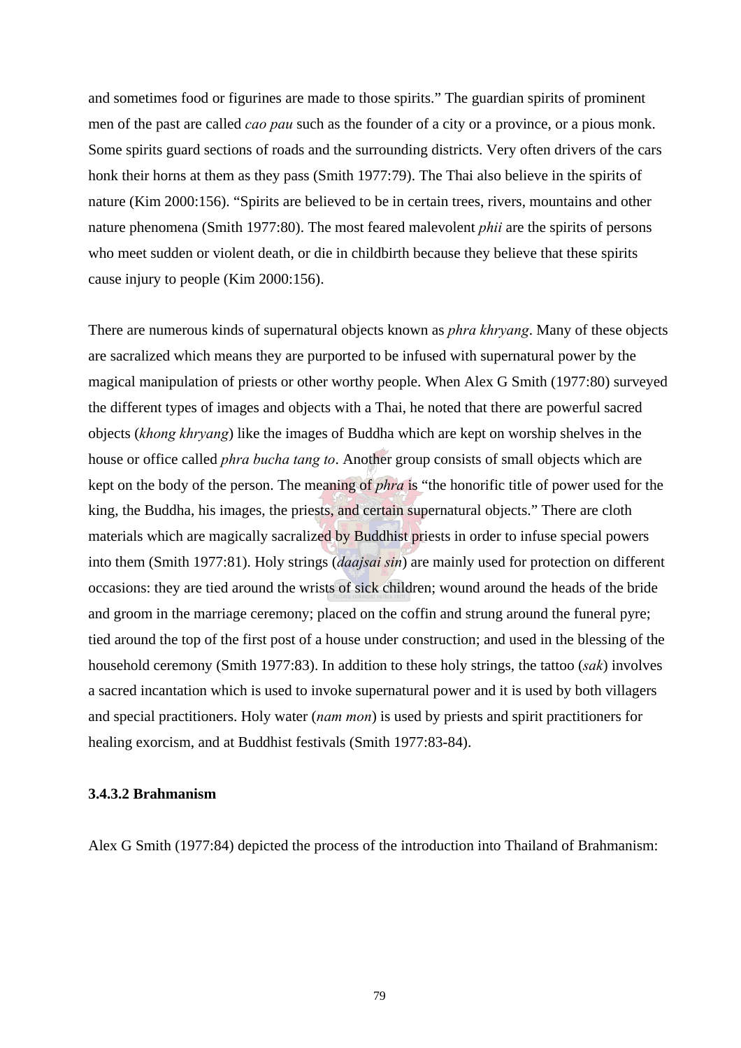and sometimes food or figurines are made to those spirits." The guardian spirits of prominent men of the past are called *cao pau* such as the founder of a city or a province, or a pious monk. Some spirits guard sections of roads and the surrounding districts. Very often drivers of the cars honk their horns at them as they pass (Smith 1977:79). The Thai also believe in the spirits of nature (Kim 2000:156). "Spirits are believed to be in certain trees, rivers, mountains and other nature phenomena (Smith 1977:80). The most feared malevolent *phii* are the spirits of persons who meet sudden or violent death, or die in childbirth because they believe that these spirits cause injury to people (Kim 2000:156).

There are numerous kinds of supernatural objects known as *phra khryang*. Many of these objects are sacralized which means they are purported to be infused with supernatural power by the magical manipulation of priests or other worthy people. When Alex G Smith (1977:80) surveyed the different types of images and objects with a Thai, he noted that there are powerful sacred objects (*khong khryang*) like the images of Buddha which are kept on worship shelves in the house or office called *phra bucha tang to*. Another group consists of small objects which are kept on the body of the person. The meaning of *phra* is "the honorific title of power used for the king, the Buddha, his images, the priests, and certain supernatural objects." There are cloth materials which are magically sacralized by Buddhist priests in order to infuse special powers into them (Smith 1977:81). Holy strings (*daajsai sin*) are mainly used for protection on different occasions: they are tied around the wrists of sick children; wound around the heads of the bride and groom in the marriage ceremony; placed on the coffin and strung around the funeral pyre; tied around the top of the first post of a house under construction; and used in the blessing of the household ceremony (Smith 1977:83). In addition to these holy strings, the tattoo (*sak*) involves a sacred incantation which is used to invoke supernatural power and it is used by both villagers and special practitioners. Holy water (*nam mon*) is used by priests and spirit practitioners for healing exorcism, and at Buddhist festivals (Smith 1977:83-84).

### **3.4.3.2 Brahmanism**

Alex G Smith (1977:84) depicted the process of the introduction into Thailand of Brahmanism: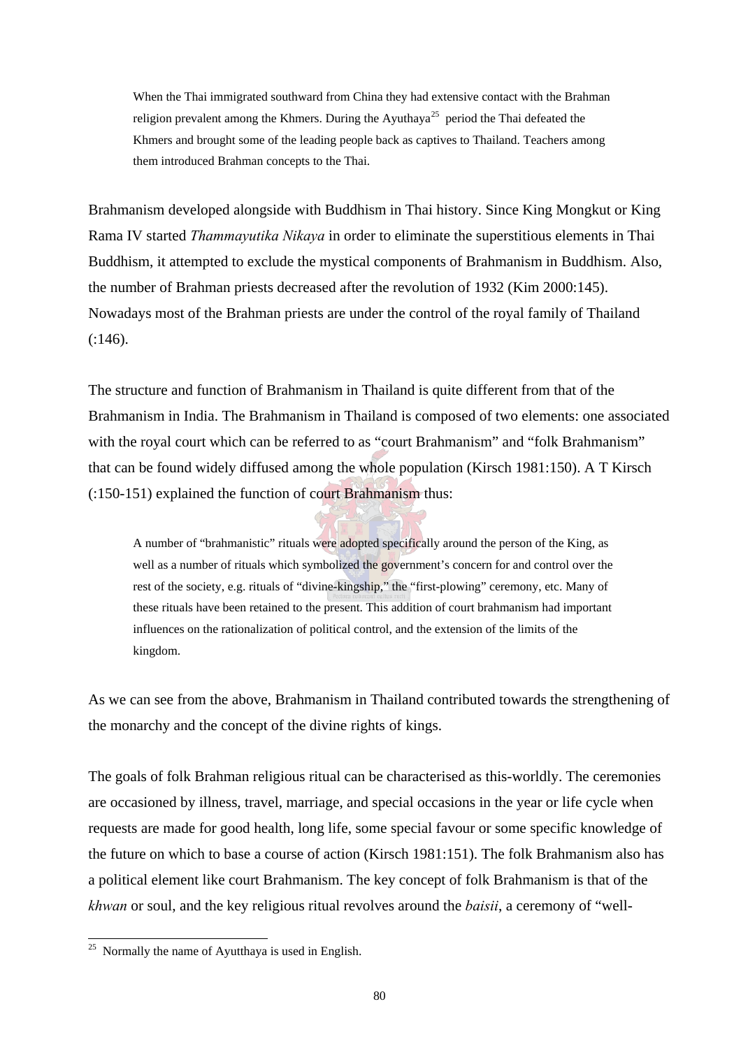When the Thai immigrated southward from China they had extensive contact with the Brahman religion prevalent among the Khmers. During the Ayuthaya<sup>25</sup> period the Thai defeated the Khmers and brought some of the leading people back as captives to Thailand. Teachers among them introduced Brahman concepts to the Thai.

Brahmanism developed alongside with Buddhism in Thai history. Since King Mongkut or King Rama IV started *Thammayutika Nikaya* in order to eliminate the superstitious elements in Thai Buddhism, it attempted to exclude the mystical components of Brahmanism in Buddhism. Also, the number of Brahman priests decreased after the revolution of 1932 (Kim 2000:145). Nowadays most of the Brahman priests are under the control of the royal family of Thailand (:146).

The structure and function of Brahmanism in Thailand is quite different from that of the Brahmanism in India. The Brahmanism in Thailand is composed of two elements: one associated with the royal court which can be referred to as "court Brahmanism" and "folk Brahmanism" that can be found widely diffused among the whole population (Kirsch 1981:150). A T Kirsch (:150-151) explained the function of court Brahmanism thus:

A number of "brahmanistic" rituals were adopted specifically around the person of the King, as well as a number of rituals which symbolized the government's concern for and control over the rest of the society, e.g. rituals of "divine-kingship," the "first-plowing" ceremony, etc. Many of these rituals have been retained to the present. This addition of court brahmanism had important influences on the rationalization of political control, and the extension of the limits of the kingdom.

As we can see from the above, Brahmanism in Thailand contributed towards the strengthening of the monarchy and the concept of the divine rights of kings.

The goals of folk Brahman religious ritual can be characterised as this-worldly. The ceremonies are occasioned by illness, travel, marriage, and special occasions in the year or life cycle when requests are made for good health, long life, some special favour or some specific knowledge of the future on which to base a course of action (Kirsch 1981:151). The folk Brahmanism also has a political element like court Brahmanism. The key concept of folk Brahmanism is that of the *khwan* or soul, and the key religious ritual revolves around the *baisii*, a ceremony of "well-

 $\overline{a}$ 

 $25$  Normally the name of Ayutthaya is used in English.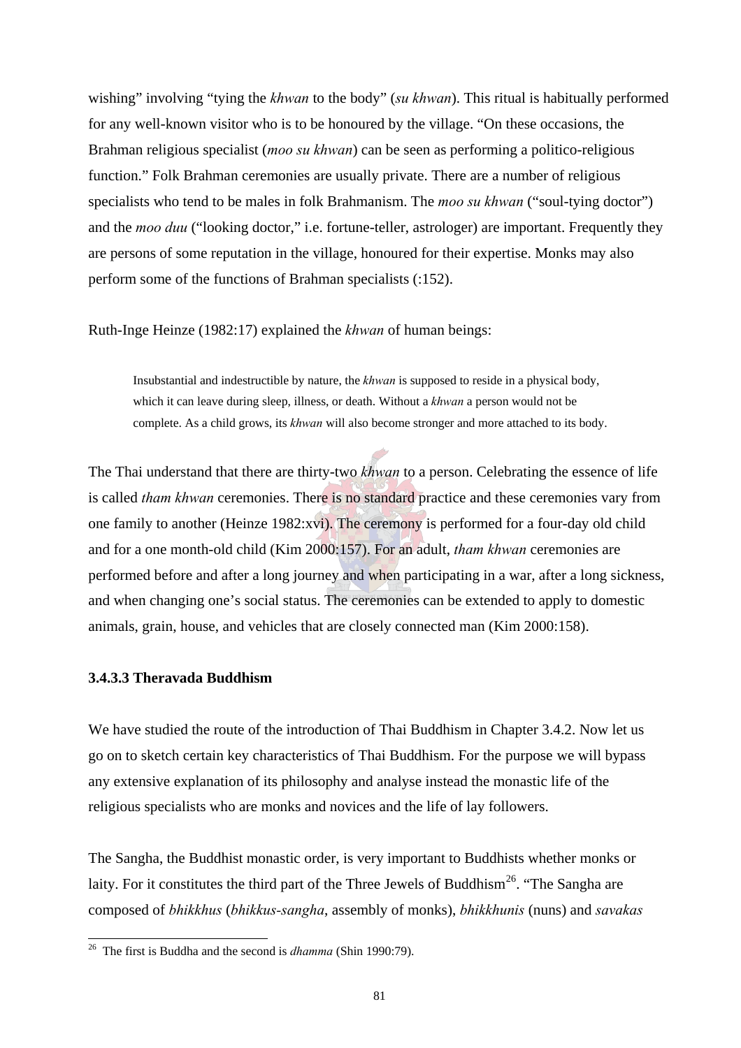wishing" involving "tying the *khwan* to the body" (*su khwan*). This ritual is habitually performed for any well-known visitor who is to be honoured by the village. "On these occasions, the Brahman religious specialist (*moo su khwan*) can be seen as performing a politico-religious function." Folk Brahman ceremonies are usually private. There are a number of religious specialists who tend to be males in folk Brahmanism. The *moo su khwan* ("soul-tying doctor") and the *moo duu* ("looking doctor," i.e. fortune-teller, astrologer) are important. Frequently they are persons of some reputation in the village, honoured for their expertise. Monks may also perform some of the functions of Brahman specialists (:152).

Ruth-Inge Heinze (1982:17) explained the *khwan* of human beings:

Insubstantial and indestructible by nature, the *khwan* is supposed to reside in a physical body, which it can leave during sleep, illness, or death. Without a *khwan* a person would not be complete. As a child grows, its *khwan* will also become stronger and more attached to its body.

The Thai understand that there are thirty-two *khwan* to a person. Celebrating the essence of life is called *tham khwan* ceremonies. There is no standard practice and these ceremonies vary from one family to another (Heinze 1982:xvi). The ceremony is performed for a four-day old child and for a one month-old child (Kim 2000:157). For an adult, *tham khwan* ceremonies are performed before and after a long journey and when participating in a war, after a long sickness, and when changing one's social status. The ceremonies can be extended to apply to domestic animals, grain, house, and vehicles that are closely connected man (Kim 2000:158).

# **3.4.3.3 Theravada Buddhism**

 $\overline{a}$ 

We have studied the route of the introduction of Thai Buddhism in Chapter 3.4.2. Now let us go on to sketch certain key characteristics of Thai Buddhism. For the purpose we will bypass any extensive explanation of its philosophy and analyse instead the monastic life of the religious specialists who are monks and novices and the life of lay followers.

The Sangha, the Buddhist monastic order, is very important to Buddhists whether monks or laity. For it constitutes the third part of the Three Jewels of Buddhism<sup>26</sup>. "The Sangha are composed of *bhikkhus* (*bhikkus-sangha*, assembly of monks), *bhikkhunis* (nuns) and *savakas*

<sup>26</sup> The first is Buddha and the second is *dhamma* (Shin 1990:79).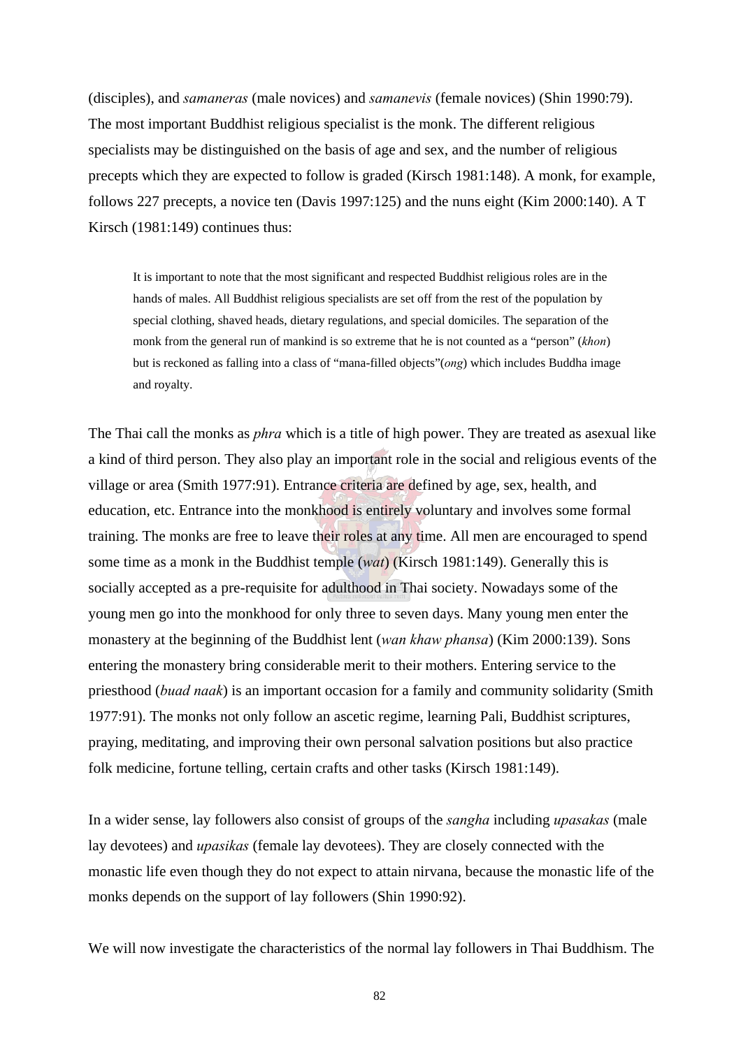(disciples), and *samaneras* (male novices) and *samanevis* (female novices) (Shin 1990:79). The most important Buddhist religious specialist is the monk. The different religious specialists may be distinguished on the basis of age and sex, and the number of religious precepts which they are expected to follow is graded (Kirsch 1981:148). A monk, for example, follows 227 precepts, a novice ten (Davis 1997:125) and the nuns eight (Kim 2000:140). A T Kirsch (1981:149) continues thus:

It is important to note that the most significant and respected Buddhist religious roles are in the hands of males. All Buddhist religious specialists are set off from the rest of the population by special clothing, shaved heads, dietary regulations, and special domiciles. The separation of the monk from the general run of mankind is so extreme that he is not counted as a "person" (*khon*) but is reckoned as falling into a class of "mana-filled objects"(*ong*) which includes Buddha image and royalty.

The Thai call the monks as *phra* which is a title of high power. They are treated as asexual like a kind of third person. They also play an important role in the social and religious events of the village or area (Smith 1977:91). Entrance criteria are defined by age, sex, health, and education, etc. Entrance into the monkhood is entirely voluntary and involves some formal training. The monks are free to leave their roles at any time. All men are encouraged to spend some time as a monk in the Buddhist temple (*wat*) (Kirsch 1981:149). Generally this is socially accepted as a pre-requisite for adulthood in Thai society. Nowadays some of the young men go into the monkhood for only three to seven days. Many young men enter the monastery at the beginning of the Buddhist lent (*wan khaw phansa*) (Kim 2000:139). Sons entering the monastery bring considerable merit to their mothers. Entering service to the priesthood (*buad naak*) is an important occasion for a family and community solidarity (Smith 1977:91). The monks not only follow an ascetic regime, learning Pali, Buddhist scriptures, praying, meditating, and improving their own personal salvation positions but also practice folk medicine, fortune telling, certain crafts and other tasks (Kirsch 1981:149).

In a wider sense, lay followers also consist of groups of the *sangha* including *upasakas* (male lay devotees) and *upasikas* (female lay devotees). They are closely connected with the monastic life even though they do not expect to attain nirvana, because the monastic life of the monks depends on the support of lay followers (Shin 1990:92).

We will now investigate the characteristics of the normal lay followers in Thai Buddhism. The

82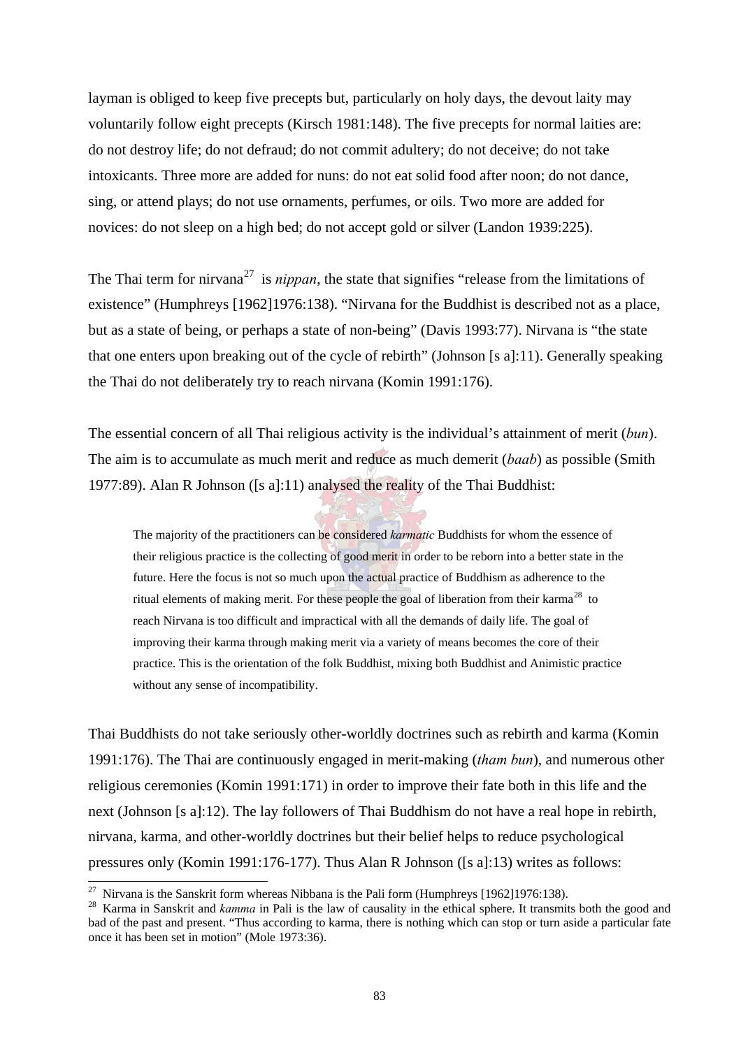layman is obliged to keep five precepts but, particularly on holy days, the devout laity may voluntarily follow eight precepts (Kirsch 1981:148). The five precepts for normal laities are: do not destroy life; do not defraud; do not commit adultery; do not deceive; do not take intoxicants. Three more are added for nuns: do not eat solid food after noon; do not dance, sing, or attend plays; do not use ornaments, perfumes, or oils. Two more are added for novices: do not sleep on a high bed; do not accept gold or silver (Landon 1939:225).

The Thai term for nirvana<sup>27</sup> is *nippan*, the state that signifies "release from the limitations of existence" (Humphreys [1962]1976:138). "Nirvana for the Buddhist is described not as a place, but as a state of being, or perhaps a state of non-being" (Davis 1993:77). Nirvana is "the state that one enters upon breaking out of the cycle of rebirth" (Johnson [s a]:11). Generally speaking the Thai do not deliberately try to reach nirvana (Komin 1991:176).

The essential concern of all Thai religious activity is the individual's attainment of merit (*bun*). The aim is to accumulate as much merit and reduce as much demerit (*baab*) as possible (Smith 1977:89). Alan R Johnson ([s a]:11) analysed the reality of the Thai Buddhist:

The majority of the practitioners can be considered *karmatic* Buddhists for whom the essence of their religious practice is the collecting of good merit in order to be reborn into a better state in the future. Here the focus is not so much upon the actual practice of Buddhism as adherence to the ritual elements of making merit. For these people the goal of liberation from their karma<sup>28</sup> to reach Nirvana is too difficult and impractical with all the demands of daily life. The goal of improving their karma through making merit via a variety of means becomes the core of their practice. This is the orientation of the folk Buddhist, mixing both Buddhist and Animistic practice without any sense of incompatibility.

Thai Buddhists do not take seriously other-worldly doctrines such as rebirth and karma (Komin 1991:176). The Thai are continuously engaged in merit-making (*tham bun*), and numerous other religious ceremonies (Komin 1991:171) in order to improve their fate both in this life and the next (Johnson [s a]:12). The lay followers of Thai Buddhism do not have a real hope in rebirth, nirvana, karma, and other-worldly doctrines but their belief helps to reduce psychological pressures only (Komin 1991:176-177). Thus Alan R Johnson ([s a]:13) writes as follows:

 $\overline{a}$ 

<sup>&</sup>lt;sup>27</sup> Nirvana is the Sanskrit form whereas Nibbana is the Pali form (Humphreys [1962]1976:138).

<sup>&</sup>lt;sup>28</sup> Karma in Sanskrit and *kamma* in Pali is the law of causality in the ethical sphere. It transmits both the good and bad of the past and present. "Thus according to karma, there is nothing which can stop or turn aside a particular fate once it has been set in motion" (Mole 1973:36).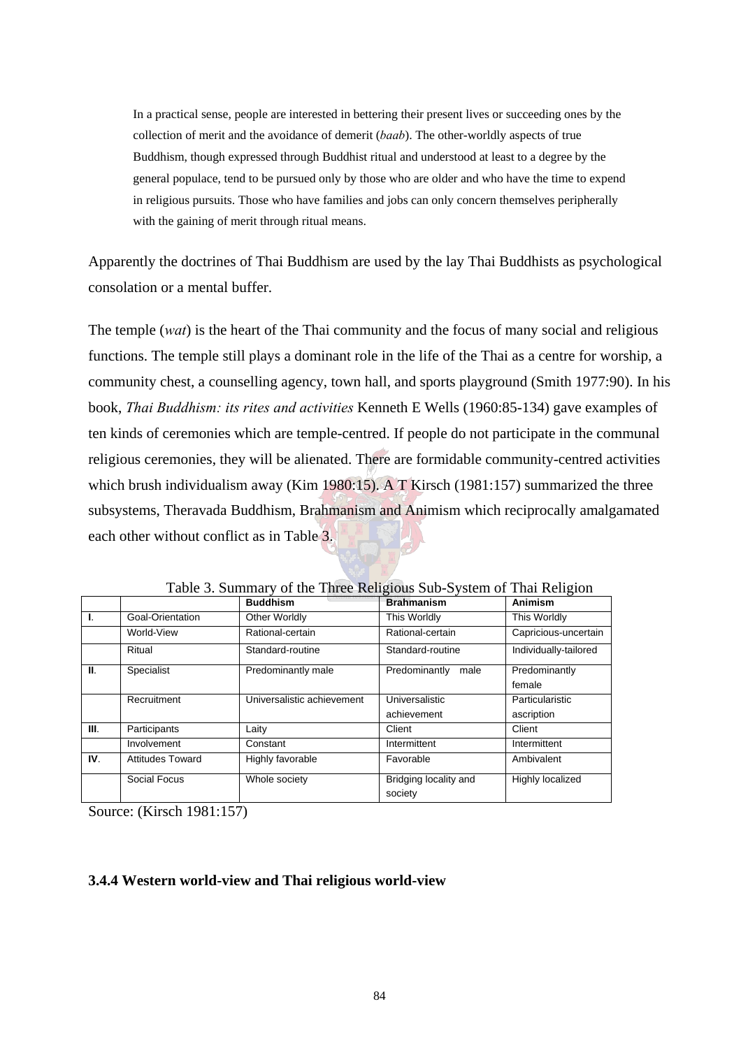In a practical sense, people are interested in bettering their present lives or succeeding ones by the collection of merit and the avoidance of demerit (*baab*). The other-worldly aspects of true Buddhism, though expressed through Buddhist ritual and understood at least to a degree by the general populace, tend to be pursued only by those who are older and who have the time to expend in religious pursuits. Those who have families and jobs can only concern themselves peripherally with the gaining of merit through ritual means.

Apparently the doctrines of Thai Buddhism are used by the lay Thai Buddhists as psychological consolation or a mental buffer.

The temple (*wat*) is the heart of the Thai community and the focus of many social and religious functions. The temple still plays a dominant role in the life of the Thai as a centre for worship, a community chest, a counselling agency, town hall, and sports playground (Smith 1977:90). In his book, *Thai Buddhism: its rites and activities* Kenneth E Wells (1960:85-134) gave examples of ten kinds of ceremonies which are temple-centred. If people do not participate in the communal religious ceremonies, they will be alienated. There are formidable community-centred activities which brush individualism away (Kim 1980:15). A T Kirsch (1981:157) summarized the three subsystems, Theravada Buddhism, Brahmanism and Animism which reciprocally amalgamated each other without conflict as in Table 3.

|      |                         | <b>Buddhism</b>            | <b>Brahmanism</b>                | <b>Animism</b>        |
|------|-------------------------|----------------------------|----------------------------------|-----------------------|
| Ι.   | Goal-Orientation        | Other Worldly              | This Worldly                     | This Worldly          |
|      | World-View              | Rational-certain           | Rational-certain                 | Capricious-uncertain  |
|      | Ritual                  | Standard-routine           | Standard-routine                 | Individually-tailored |
| Ш.   | Specialist              | Predominantly male         | Predominantly<br>male            | Predominantly         |
|      |                         |                            |                                  | female                |
|      | Recruitment             | Universalistic achievement | Universalistic                   | Particularistic       |
|      |                         |                            | achievement                      | ascription            |
| III. | Participants            | Laity                      | Client                           | Client                |
|      | Involvement             | Constant                   | Intermittent                     | Intermittent          |
| IV.  | <b>Attitudes Toward</b> | Highly favorable           | Favorable                        | Ambivalent            |
|      | Social Focus            | Whole society              | Bridging locality and<br>society | Highly localized      |

Table 3. Summary of the Three Religious Sub-System of Thai Religion

Source: (Kirsch 1981:157)

### **3.4.4 Western world-view and Thai religious world-view**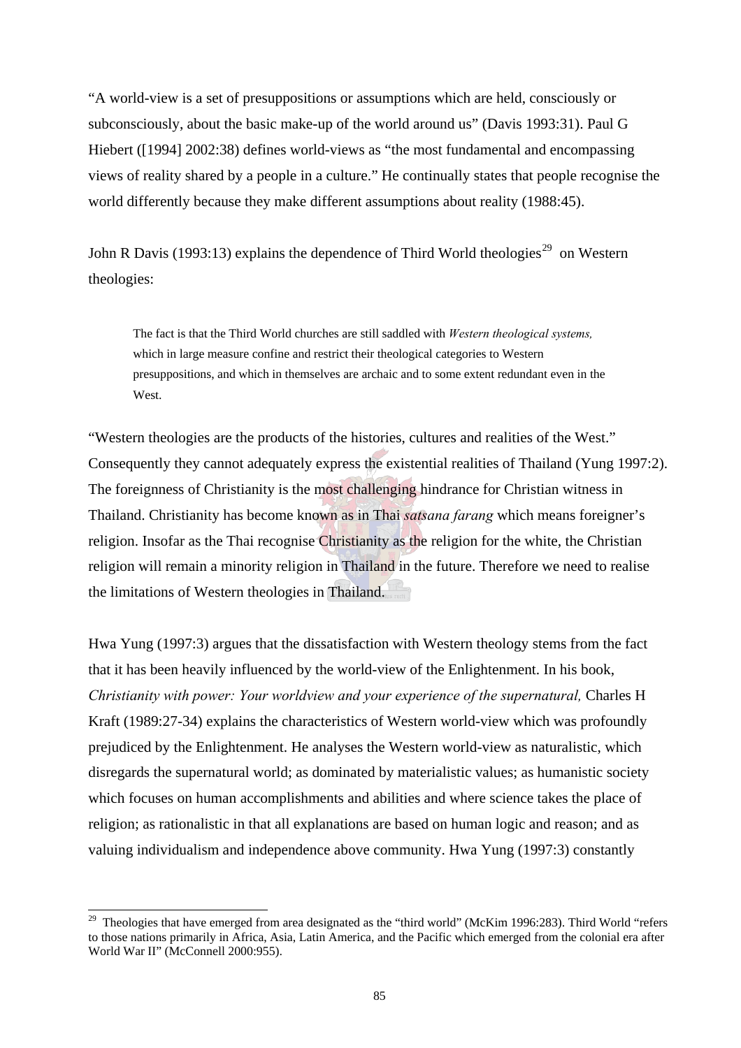"A world-view is a set of presuppositions or assumptions which are held, consciously or subconsciously, about the basic make-up of the world around us" (Davis 1993:31). Paul G Hiebert ([1994] 2002:38) defines world-views as "the most fundamental and encompassing views of reality shared by a people in a culture." He continually states that people recognise the world differently because they make different assumptions about reality (1988:45).

John R Davis (1993:13) explains the dependence of Third World theologies<sup>29</sup> on Western theologies:

The fact is that the Third World churches are still saddled with *Western theological systems,*  which in large measure confine and restrict their theological categories to Western presuppositions, and which in themselves are archaic and to some extent redundant even in the West.

"Western theologies are the products of the histories, cultures and realities of the West." Consequently they cannot adequately express the existential realities of Thailand (Yung 1997:2). The foreignness of Christianity is the most challenging hindrance for Christian witness in Thailand. Christianity has become known as in Thai *satsana farang* which means foreigner's religion. Insofar as the Thai recognise Christianity as the religion for the white, the Christian religion will remain a minority religion in Thailand in the future. Therefore we need to realise the limitations of Western theologies in Thailand.

Hwa Yung (1997:3) argues that the dissatisfaction with Western theology stems from the fact that it has been heavily influenced by the world-view of the Enlightenment. In his book, *Christianity with power: Your worldview and your experience of the supernatural, Charles H* Kraft (1989:27-34) explains the characteristics of Western world-view which was profoundly prejudiced by the Enlightenment. He analyses the Western world-view as naturalistic, which disregards the supernatural world; as dominated by materialistic values; as humanistic society which focuses on human accomplishments and abilities and where science takes the place of religion; as rationalistic in that all explanations are based on human logic and reason; and as valuing individualism and independence above community. Hwa Yung (1997:3) constantly

l

<sup>&</sup>lt;sup>29</sup> Theologies that have emerged from area designated as the "third world" (McKim 1996:283). Third World "refers to those nations primarily in Africa, Asia, Latin America, and the Pacific which emerged from the colonial era after World War II" (McConnell 2000:955).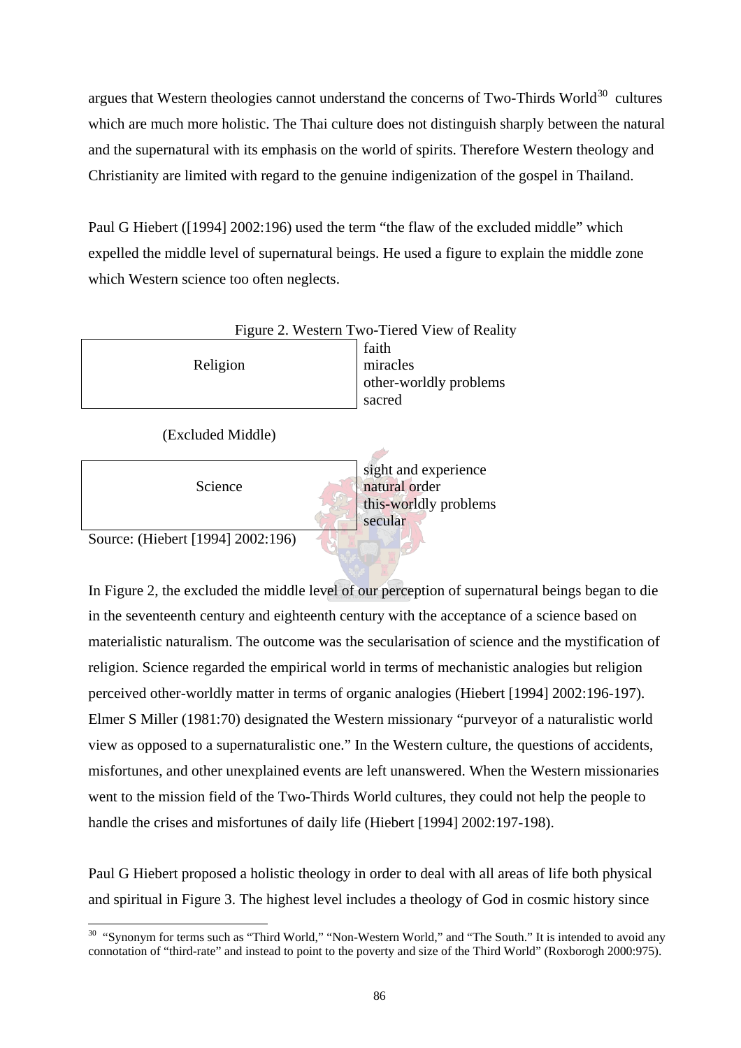argues that Western theologies cannot understand the concerns of Two-Thirds World<sup>30</sup> cultures which are much more holistic. The Thai culture does not distinguish sharply between the natural and the supernatural with its emphasis on the world of spirits. Therefore Western theology and Christianity are limited with regard to the genuine indigenization of the gospel in Thailand.

Paul G Hiebert ([1994] 2002:196) used the term "the flaw of the excluded middle" which expelled the middle level of supernatural beings. He used a figure to explain the middle zone which Western science too often neglects.



Source: (Hiebert [1994] 2002:196)

In Figure 2, the excluded the middle level of our perception of supernatural beings began to die in the seventeenth century and eighteenth century with the acceptance of a science based on materialistic naturalism. The outcome was the secularisation of science and the mystification of religion. Science regarded the empirical world in terms of mechanistic analogies but religion perceived other-worldly matter in terms of organic analogies (Hiebert [1994] 2002:196-197). Elmer S Miller (1981:70) designated the Western missionary "purveyor of a naturalistic world view as opposed to a supernaturalistic one." In the Western culture, the questions of accidents, misfortunes, and other unexplained events are left unanswered. When the Western missionaries went to the mission field of the Two-Thirds World cultures, they could not help the people to handle the crises and misfortunes of daily life (Hiebert [1994] 2002:197-198).

Paul G Hiebert proposed a holistic theology in order to deal with all areas of life both physical and spiritual in Figure 3. The highest level includes a theology of God in cosmic history since

 $\overline{a}$ <sup>30</sup> "Synonym for terms such as "Third World," "Non-Western World," and "The South." It is intended to avoid any connotation of "third-rate" and instead to point to the poverty and size of the Third World" (Roxborogh 2000:975).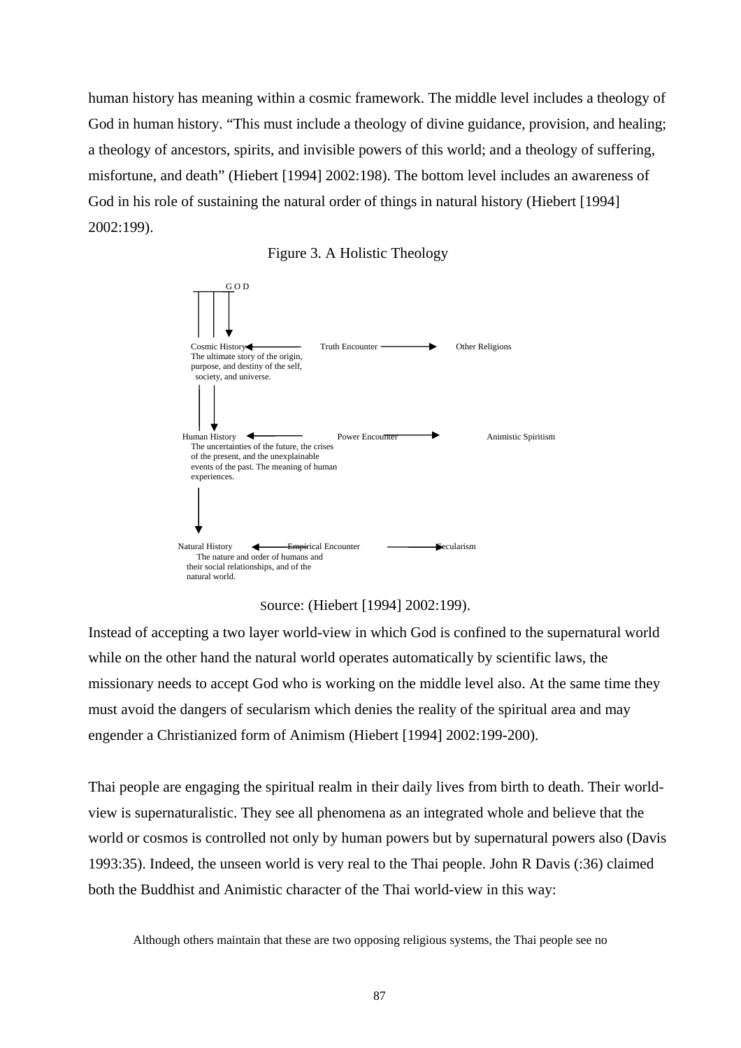human history has meaning within a cosmic framework. The middle level includes a theology of God in human history. "This must include a theology of divine guidance, provision, and healing; a theology of ancestors, spirits, and invisible powers of this world; and a theology of suffering, misfortune, and death" (Hiebert [1994] 2002:198). The bottom level includes an awareness of God in his role of sustaining the natural order of things in natural history (Hiebert [1994] 2002:199).







Instead of accepting a two layer world-view in which God is confined to the supernatural world while on the other hand the natural world operates automatically by scientific laws, the missionary needs to accept God who is working on the middle level also. At the same time they must avoid the dangers of secularism which denies the reality of the spiritual area and may engender a Christianized form of Animism (Hiebert [1994] 2002:199-200).

Thai people are engaging the spiritual realm in their daily lives from birth to death. Their worldview is supernaturalistic. They see all phenomena as an integrated whole and believe that the world or cosmos is controlled not only by human powers but by supernatural powers also (Davis 1993:35). Indeed, the unseen world is very real to the Thai people. John R Davis (:36) claimed both the Buddhist and Animistic character of the Thai world-view in this way:

Although others maintain that these are two opposing religious systems, the Thai people see no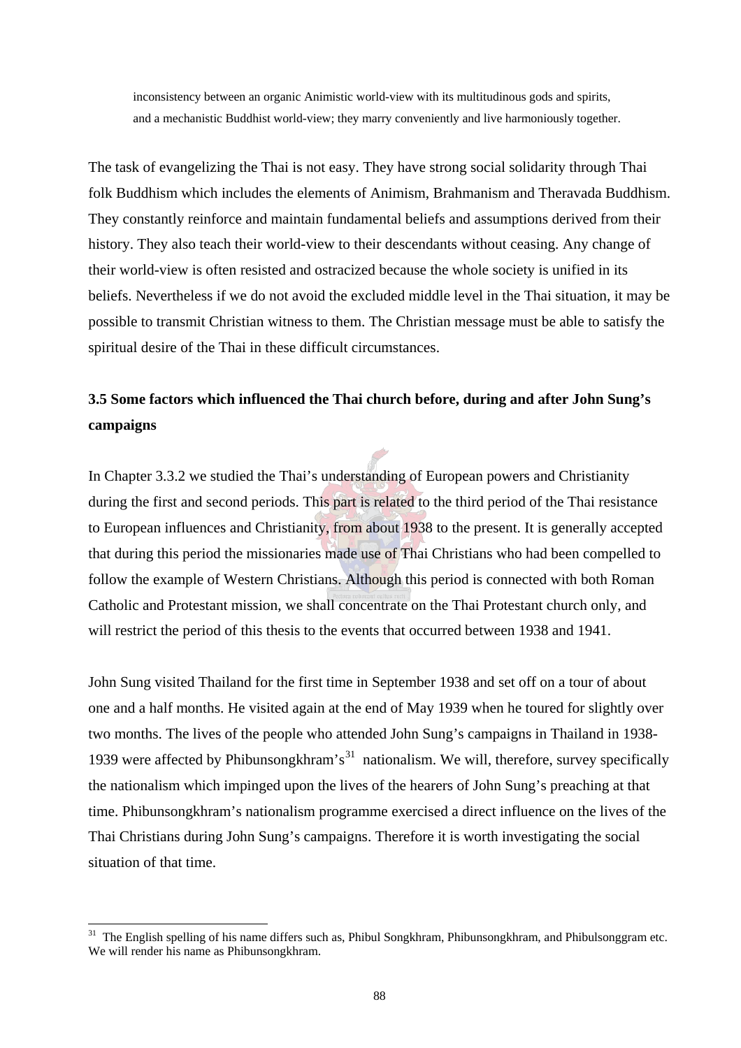inconsistency between an organic Animistic world-view with its multitudinous gods and spirits, and a mechanistic Buddhist world-view; they marry conveniently and live harmoniously together.

The task of evangelizing the Thai is not easy. They have strong social solidarity through Thai folk Buddhism which includes the elements of Animism, Brahmanism and Theravada Buddhism. They constantly reinforce and maintain fundamental beliefs and assumptions derived from their history. They also teach their world-view to their descendants without ceasing. Any change of their world-view is often resisted and ostracized because the whole society is unified in its beliefs. Nevertheless if we do not avoid the excluded middle level in the Thai situation, it may be possible to transmit Christian witness to them. The Christian message must be able to satisfy the spiritual desire of the Thai in these difficult circumstances.

# **3.5 Some factors which influenced the Thai church before, during and after John Sung's campaigns**

In Chapter 3.3.2 we studied the Thai's understanding of European powers and Christianity during the first and second periods. This part is related to the third period of the Thai resistance to European influences and Christianity, from about 1938 to the present. It is generally accepted that during this period the missionaries made use of Thai Christians who had been compelled to follow the example of Western Christians. Although this period is connected with both Roman Catholic and Protestant mission, we shall concentrate on the Thai Protestant church only, and will restrict the period of this thesis to the events that occurred between 1938 and 1941.

John Sung visited Thailand for the first time in September 1938 and set off on a tour of about one and a half months. He visited again at the end of May 1939 when he toured for slightly over two months. The lives of the people who attended John Sung's campaigns in Thailand in 1938- 1939 were affected by Phibunsong khram's<sup>31</sup> nationalism. We will, therefore, survey specifically the nationalism which impinged upon the lives of the hearers of John Sung's preaching at that time. Phibunsongkhram's nationalism programme exercised a direct influence on the lives of the Thai Christians during John Sung's campaigns. Therefore it is worth investigating the social situation of that time.

 $\overline{a}$ 

 $31$  The English spelling of his name differs such as, Phibul Songkhram, Phibunsongkhram, and Phibulsonggram etc. We will render his name as Phibunsongkhram.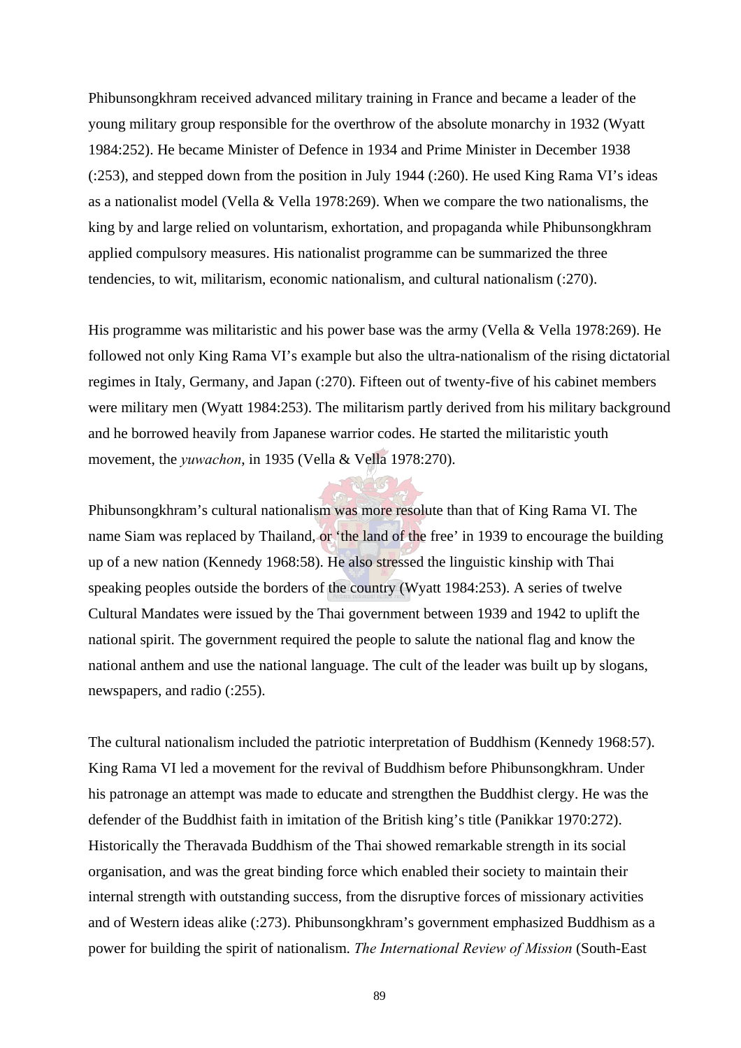Phibunsongkhram received advanced military training in France and became a leader of the young military group responsible for the overthrow of the absolute monarchy in 1932 (Wyatt 1984:252). He became Minister of Defence in 1934 and Prime Minister in December 1938 (:253), and stepped down from the position in July 1944 (:260). He used King Rama VI's ideas as a nationalist model (Vella & Vella 1978:269). When we compare the two nationalisms, the king by and large relied on voluntarism, exhortation, and propaganda while Phibunsongkhram applied compulsory measures. His nationalist programme can be summarized the three tendencies, to wit, militarism, economic nationalism, and cultural nationalism (:270).

His programme was militaristic and his power base was the army (Vella & Vella 1978:269). He followed not only King Rama VI's example but also the ultra-nationalism of the rising dictatorial regimes in Italy, Germany, and Japan (:270). Fifteen out of twenty-five of his cabinet members were military men (Wyatt 1984:253). The militarism partly derived from his military background and he borrowed heavily from Japanese warrior codes. He started the militaristic youth movement, the *yuwachon*, in 1935 (Vella & Vella 1978:270).

Phibunsongkhram's cultural nationalism was more resolute than that of King Rama VI. The name Siam was replaced by Thailand, or 'the land of the free' in 1939 to encourage the building up of a new nation (Kennedy 1968:58). He also stressed the linguistic kinship with Thai speaking peoples outside the borders of the country (Wyatt 1984:253). A series of twelve Cultural Mandates were issued by the Thai government between 1939 and 1942 to uplift the national spirit. The government required the people to salute the national flag and know the national anthem and use the national language. The cult of the leader was built up by slogans, newspapers, and radio (:255).

The cultural nationalism included the patriotic interpretation of Buddhism (Kennedy 1968:57). King Rama VI led a movement for the revival of Buddhism before Phibunsongkhram. Under his patronage an attempt was made to educate and strengthen the Buddhist clergy. He was the defender of the Buddhist faith in imitation of the British king's title (Panikkar 1970:272). Historically the Theravada Buddhism of the Thai showed remarkable strength in its social organisation, and was the great binding force which enabled their society to maintain their internal strength with outstanding success, from the disruptive forces of missionary activities and of Western ideas alike (:273). Phibunsongkhram's government emphasized Buddhism as a power for building the spirit of nationalism. *The International Review of Mission* (South-East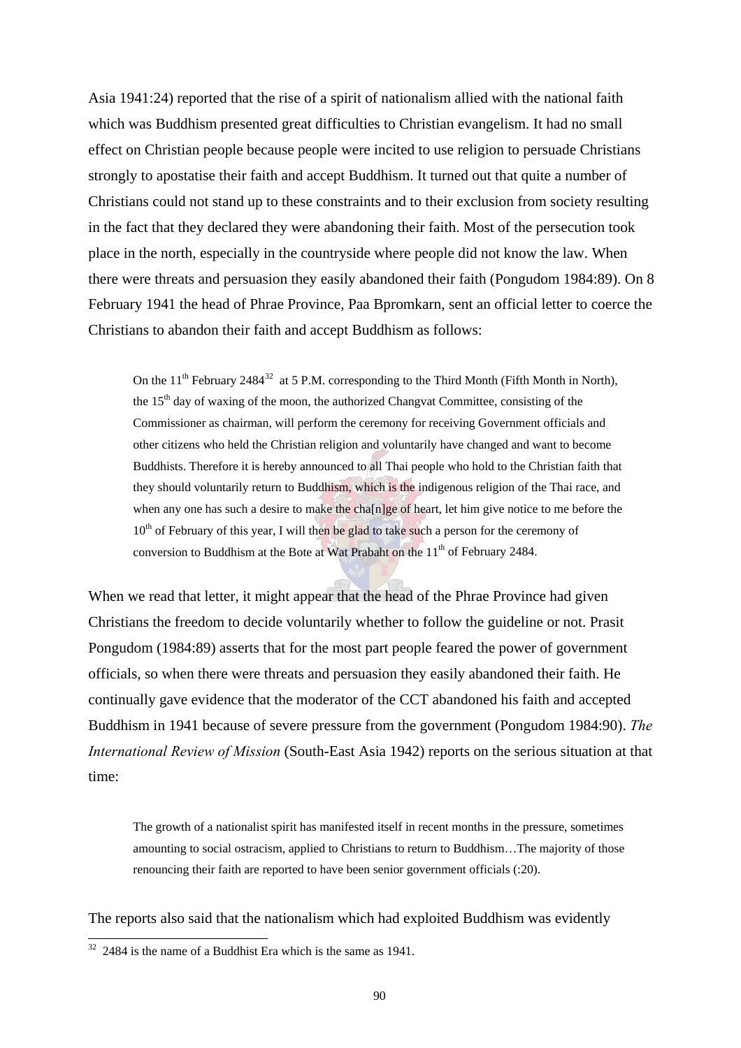Asia 1941:24) reported that the rise of a spirit of nationalism allied with the national faith which was Buddhism presented great difficulties to Christian evangelism. It had no small effect on Christian people because people were incited to use religion to persuade Christians strongly to apostatise their faith and accept Buddhism. It turned out that quite a number of Christians could not stand up to these constraints and to their exclusion from society resulting in the fact that they declared they were abandoning their faith. Most of the persecution took place in the north, especially in the countryside where people did not know the law. When there were threats and persuasion they easily abandoned their faith (Pongudom 1984:89). On 8 February 1941 the head of Phrae Province, Paa Bpromkarn, sent an official letter to coerce the Christians to abandon their faith and accept Buddhism as follows:

On the  $11<sup>th</sup>$  February 2484<sup>32</sup> at 5 P.M. corresponding to the Third Month (Fifth Month in North), the 15<sup>th</sup> day of waxing of the moon, the authorized Changvat Committee, consisting of the Commissioner as chairman, will perform the ceremony for receiving Government officials and other citizens who held the Christian religion and voluntarily have changed and want to become Buddhists. Therefore it is hereby announced to all Thai people who hold to the Christian faith that they should voluntarily return to Buddhism, which is the indigenous religion of the Thai race, and when any one has such a desire to make the cha[n]ge of heart, let him give notice to me before the  $10<sup>th</sup>$  of February of this year, I will then be glad to take such a person for the ceremony of conversion to Buddhism at the Bote at Wat Prabaht on the 11<sup>th</sup> of February 2484.

When we read that letter, it might appear that the head of the Phrae Province had given Christians the freedom to decide voluntarily whether to follow the guideline or not. Prasit Pongudom (1984:89) asserts that for the most part people feared the power of government officials, so when there were threats and persuasion they easily abandoned their faith. He continually gave evidence that the moderator of the CCT abandoned his faith and accepted Buddhism in 1941 because of severe pressure from the government (Pongudom 1984:90). *The International Review of Mission* (South-East Asia 1942) reports on the serious situation at that time:

The growth of a nationalist spirit has manifested itself in recent months in the pressure, sometimes amounting to social ostracism, applied to Christians to return to Buddhism…The majority of those renouncing their faith are reported to have been senior government officials (:20).

The reports also said that the nationalism which had exploited Buddhism was evidently

 $\overline{a}$ 

 $32$  2484 is the name of a Buddhist Era which is the same as 1941.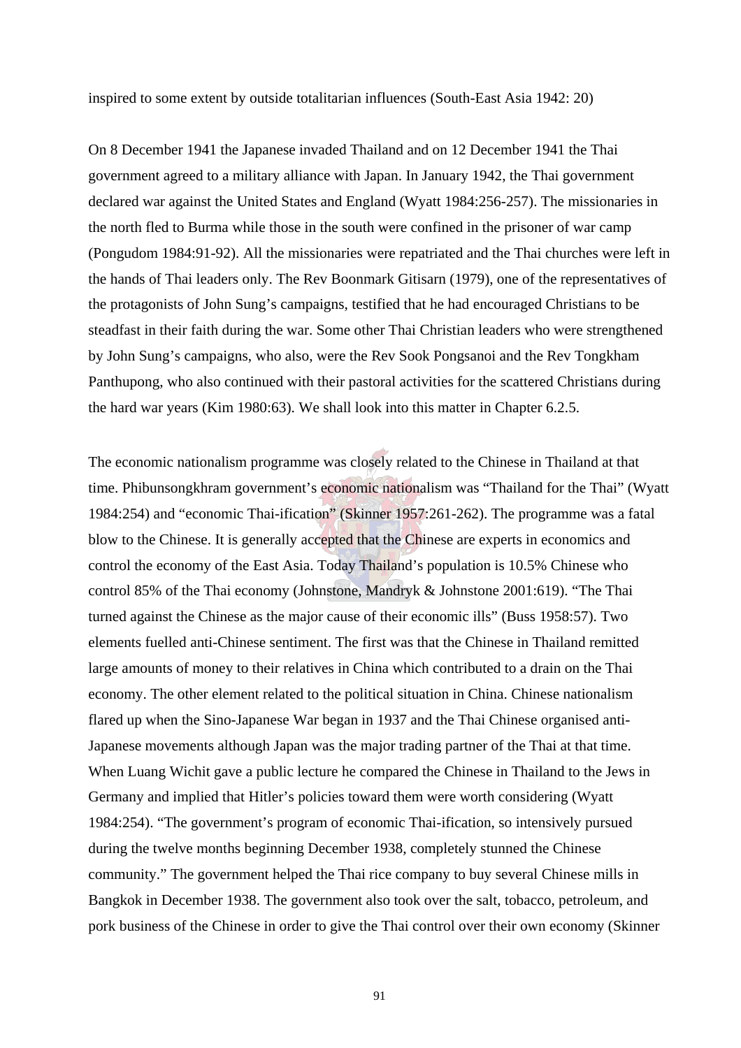inspired to some extent by outside totalitarian influences (South-East Asia 1942: 20)

On 8 December 1941 the Japanese invaded Thailand and on 12 December 1941 the Thai government agreed to a military alliance with Japan. In January 1942, the Thai government declared war against the United States and England (Wyatt 1984:256-257). The missionaries in the north fled to Burma while those in the south were confined in the prisoner of war camp (Pongudom 1984:91-92). All the missionaries were repatriated and the Thai churches were left in the hands of Thai leaders only. The Rev Boonmark Gitisarn (1979), one of the representatives of the protagonists of John Sung's campaigns, testified that he had encouraged Christians to be steadfast in their faith during the war. Some other Thai Christian leaders who were strengthened by John Sung's campaigns, who also, were the Rev Sook Pongsanoi and the Rev Tongkham Panthupong, who also continued with their pastoral activities for the scattered Christians during the hard war years (Kim 1980:63). We shall look into this matter in Chapter 6.2.5.

The economic nationalism programme was closely related to the Chinese in Thailand at that time. Phibunsongkhram government's economic nationalism was "Thailand for the Thai" (Wyatt 1984:254) and "economic Thai-ification" (Skinner 1957:261-262). The programme was a fatal blow to the Chinese. It is generally accepted that the Chinese are experts in economics and control the economy of the East Asia. Today Thailand's population is 10.5% Chinese who control 85% of the Thai economy (Johnstone, Mandryk & Johnstone 2001:619). "The Thai turned against the Chinese as the major cause of their economic ills" (Buss 1958:57). Two elements fuelled anti-Chinese sentiment. The first was that the Chinese in Thailand remitted large amounts of money to their relatives in China which contributed to a drain on the Thai economy. The other element related to the political situation in China. Chinese nationalism flared up when the Sino-Japanese War began in 1937 and the Thai Chinese organised anti-Japanese movements although Japan was the major trading partner of the Thai at that time. When Luang Wichit gave a public lecture he compared the Chinese in Thailand to the Jews in Germany and implied that Hitler's policies toward them were worth considering (Wyatt 1984:254). "The government's program of economic Thai-ification, so intensively pursued during the twelve months beginning December 1938, completely stunned the Chinese community." The government helped the Thai rice company to buy several Chinese mills in Bangkok in December 1938. The government also took over the salt, tobacco, petroleum, and pork business of the Chinese in order to give the Thai control over their own economy (Skinner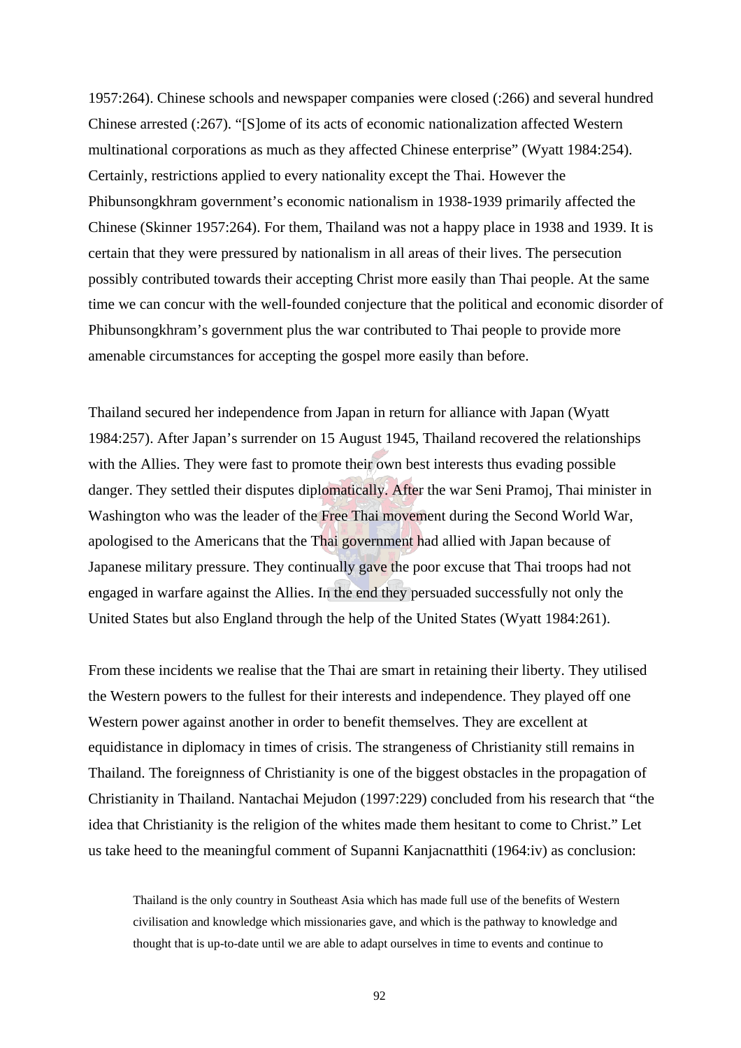1957:264). Chinese schools and newspaper companies were closed (:266) and several hundred Chinese arrested (:267). "[S]ome of its acts of economic nationalization affected Western multinational corporations as much as they affected Chinese enterprise" (Wyatt 1984:254). Certainly, restrictions applied to every nationality except the Thai. However the Phibunsongkhram government's economic nationalism in 1938-1939 primarily affected the Chinese (Skinner 1957:264). For them, Thailand was not a happy place in 1938 and 1939. It is certain that they were pressured by nationalism in all areas of their lives. The persecution possibly contributed towards their accepting Christ more easily than Thai people. At the same time we can concur with the well-founded conjecture that the political and economic disorder of Phibunsongkhram's government plus the war contributed to Thai people to provide more amenable circumstances for accepting the gospel more easily than before.

Thailand secured her independence from Japan in return for alliance with Japan (Wyatt 1984:257). After Japan's surrender on 15 August 1945, Thailand recovered the relationships with the Allies. They were fast to promote their own best interests thus evading possible danger. They settled their disputes diplomatically. After the war Seni Pramoj, Thai minister in Washington who was the leader of the Free Thai movement during the Second World War, apologised to the Americans that the Thai government had allied with Japan because of Japanese military pressure. They continually gave the poor excuse that Thai troops had not engaged in warfare against the Allies. In the end they persuaded successfully not only the United States but also England through the help of the United States (Wyatt 1984:261).

From these incidents we realise that the Thai are smart in retaining their liberty. They utilised the Western powers to the fullest for their interests and independence. They played off one Western power against another in order to benefit themselves. They are excellent at equidistance in diplomacy in times of crisis. The strangeness of Christianity still remains in Thailand. The foreignness of Christianity is one of the biggest obstacles in the propagation of Christianity in Thailand. Nantachai Mejudon (1997:229) concluded from his research that "the idea that Christianity is the religion of the whites made them hesitant to come to Christ." Let us take heed to the meaningful comment of Supanni Kanjacnatthiti (1964:iv) as conclusion:

Thailand is the only country in Southeast Asia which has made full use of the benefits of Western civilisation and knowledge which missionaries gave, and which is the pathway to knowledge and thought that is up-to-date until we are able to adapt ourselves in time to events and continue to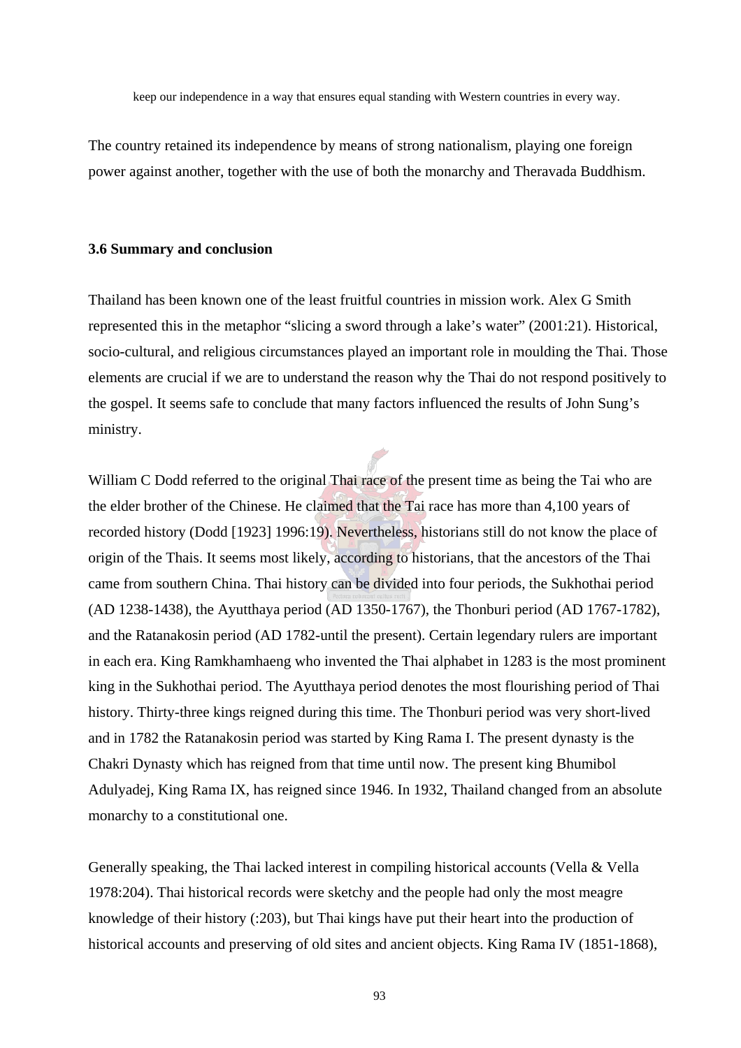keep our independence in a way that ensures equal standing with Western countries in every way.

The country retained its independence by means of strong nationalism, playing one foreign power against another, together with the use of both the monarchy and Theravada Buddhism.

### **3.6 Summary and conclusion**

Thailand has been known one of the least fruitful countries in mission work. Alex G Smith represented this in the metaphor "slicing a sword through a lake's water" (2001:21). Historical, socio-cultural, and religious circumstances played an important role in moulding the Thai. Those elements are crucial if we are to understand the reason why the Thai do not respond positively to the gospel. It seems safe to conclude that many factors influenced the results of John Sung's ministry.

William C Dodd referred to the original Thai race of the present time as being the Tai who are the elder brother of the Chinese. He claimed that the Tai race has more than 4,100 years of recorded history (Dodd [1923] 1996:19). Nevertheless, historians still do not know the place of origin of the Thais. It seems most likely, according to historians, that the ancestors of the Thai came from southern China. Thai history can be divided into four periods, the Sukhothai period (AD 1238-1438), the Ayutthaya period (AD 1350-1767), the Thonburi period (AD 1767-1782), and the Ratanakosin period (AD 1782-until the present). Certain legendary rulers are important in each era. King Ramkhamhaeng who invented the Thai alphabet in 1283 is the most prominent king in the Sukhothai period. The Ayutthaya period denotes the most flourishing period of Thai history. Thirty-three kings reigned during this time. The Thonburi period was very short-lived and in 1782 the Ratanakosin period was started by King Rama I. The present dynasty is the Chakri Dynasty which has reigned from that time until now. The present king Bhumibol Adulyadej, King Rama IX, has reigned since 1946. In 1932, Thailand changed from an absolute monarchy to a constitutional one.

Generally speaking, the Thai lacked interest in compiling historical accounts (Vella & Vella 1978:204). Thai historical records were sketchy and the people had only the most meagre knowledge of their history (:203), but Thai kings have put their heart into the production of historical accounts and preserving of old sites and ancient objects. King Rama IV (1851-1868),

93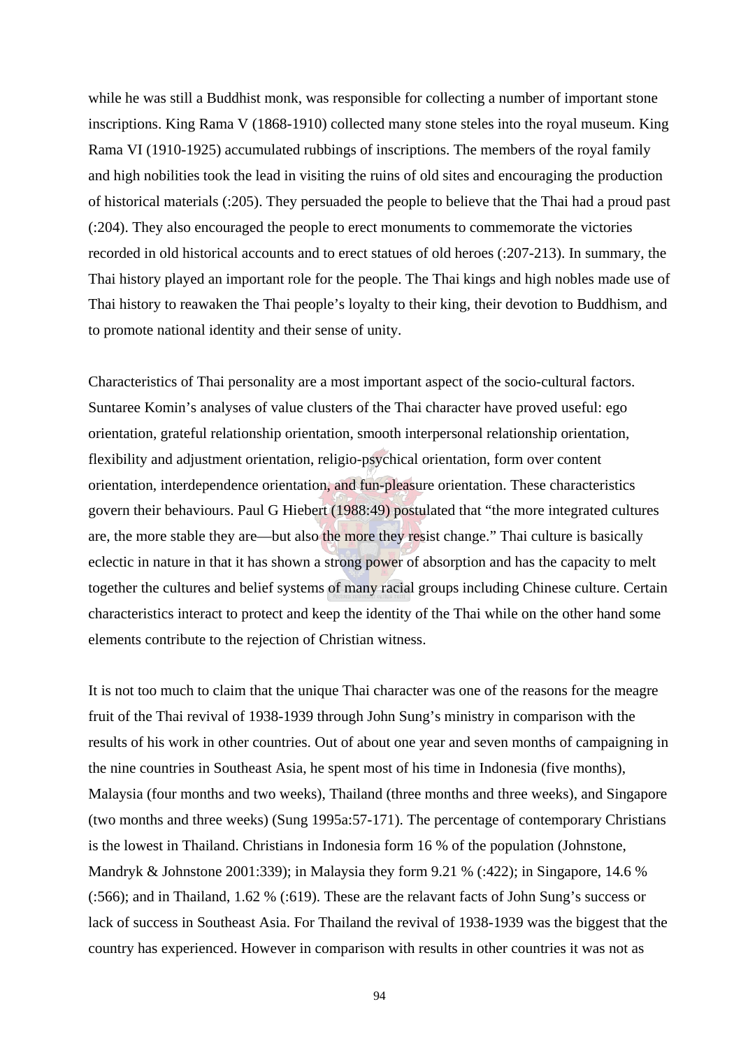while he was still a Buddhist monk, was responsible for collecting a number of important stone inscriptions. King Rama V (1868-1910) collected many stone steles into the royal museum. King Rama VI (1910-1925) accumulated rubbings of inscriptions. The members of the royal family and high nobilities took the lead in visiting the ruins of old sites and encouraging the production of historical materials (:205). They persuaded the people to believe that the Thai had a proud past (:204). They also encouraged the people to erect monuments to commemorate the victories recorded in old historical accounts and to erect statues of old heroes (:207-213). In summary, the Thai history played an important role for the people. The Thai kings and high nobles made use of Thai history to reawaken the Thai people's loyalty to their king, their devotion to Buddhism, and to promote national identity and their sense of unity.

Characteristics of Thai personality are a most important aspect of the socio-cultural factors. Suntaree Komin's analyses of value clusters of the Thai character have proved useful: ego orientation, grateful relationship orientation, smooth interpersonal relationship orientation, flexibility and adjustment orientation, religio-psychical orientation, form over content orientation, interdependence orientation, and fun-pleasure orientation. These characteristics govern their behaviours. Paul G Hiebert (1988:49) postulated that "the more integrated cultures are, the more stable they are—but also the more they resist change." Thai culture is basically eclectic in nature in that it has shown a strong power of absorption and has the capacity to melt together the cultures and belief systems of many racial groups including Chinese culture. Certain characteristics interact to protect and keep the identity of the Thai while on the other hand some elements contribute to the rejection of Christian witness.

It is not too much to claim that the unique Thai character was one of the reasons for the meagre fruit of the Thai revival of 1938-1939 through John Sung's ministry in comparison with the results of his work in other countries. Out of about one year and seven months of campaigning in the nine countries in Southeast Asia, he spent most of his time in Indonesia (five months), Malaysia (four months and two weeks), Thailand (three months and three weeks), and Singapore (two months and three weeks) (Sung 1995a:57-171). The percentage of contemporary Christians is the lowest in Thailand. Christians in Indonesia form 16 % of the population (Johnstone, Mandryk & Johnstone 2001:339); in Malaysia they form 9.21 % (:422); in Singapore, 14.6 % (:566); and in Thailand, 1.62 % (:619). These are the relavant facts of John Sung's success or lack of success in Southeast Asia. For Thailand the revival of 1938-1939 was the biggest that the country has experienced. However in comparison with results in other countries it was not as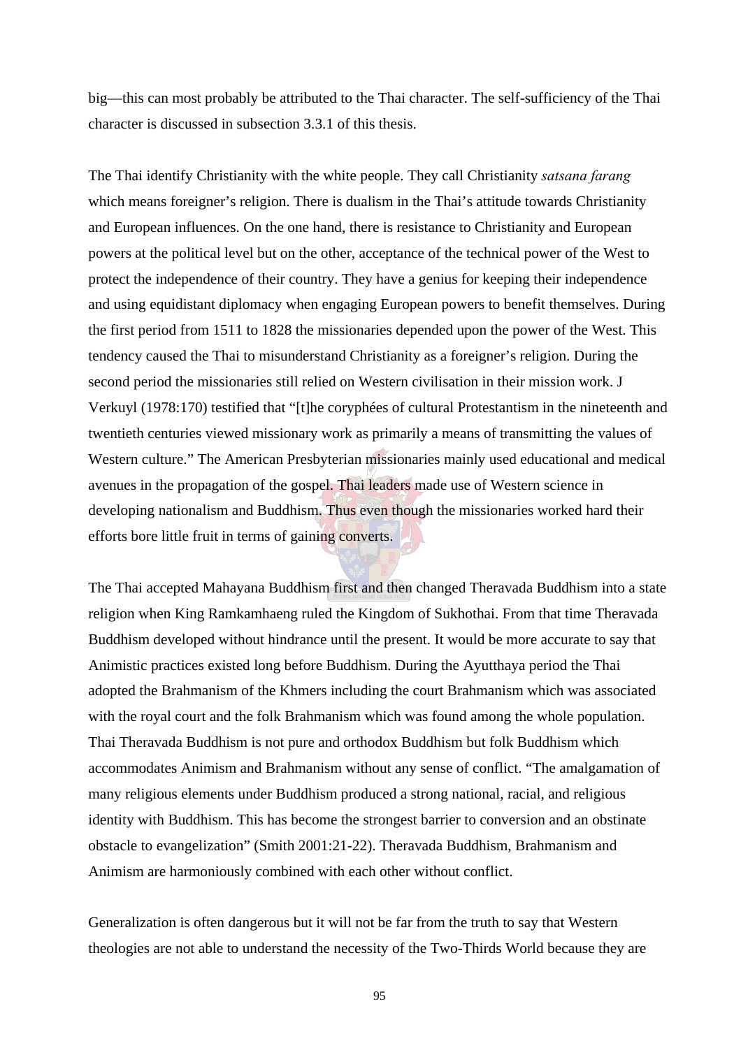big—this can most probably be attributed to the Thai character. The self-sufficiency of the Thai character is discussed in subsection 3.3.1 of this thesis.

The Thai identify Christianity with the white people. They call Christianity *satsana farang* which means foreigner's religion. There is dualism in the Thai's attitude towards Christianity and European influences. On the one hand, there is resistance to Christianity and European powers at the political level but on the other, acceptance of the technical power of the West to protect the independence of their country. They have a genius for keeping their independence and using equidistant diplomacy when engaging European powers to benefit themselves. During the first period from 1511 to 1828 the missionaries depended upon the power of the West. This tendency caused the Thai to misunderstand Christianity as a foreigner's religion. During the second period the missionaries still relied on Western civilisation in their mission work. J Verkuyl (1978:170) testified that "[t]he coryphées of cultural Protestantism in the nineteenth and twentieth centuries viewed missionary work as primarily a means of transmitting the values of Western culture." The American Presbyterian missionaries mainly used educational and medical avenues in the propagation of the gospel. Thai leaders made use of Western science in developing nationalism and Buddhism. Thus even though the missionaries worked hard their efforts bore little fruit in terms of gaining converts.

The Thai accepted Mahayana Buddhism first and then changed Theravada Buddhism into a state religion when King Ramkamhaeng ruled the Kingdom of Sukhothai. From that time Theravada Buddhism developed without hindrance until the present. It would be more accurate to say that Animistic practices existed long before Buddhism. During the Ayutthaya period the Thai adopted the Brahmanism of the Khmers including the court Brahmanism which was associated with the royal court and the folk Brahmanism which was found among the whole population. Thai Theravada Buddhism is not pure and orthodox Buddhism but folk Buddhism which accommodates Animism and Brahmanism without any sense of conflict. "The amalgamation of many religious elements under Buddhism produced a strong national, racial, and religious identity with Buddhism. This has become the strongest barrier to conversion and an obstinate obstacle to evangelization" (Smith 2001:21-22). Theravada Buddhism, Brahmanism and Animism are harmoniously combined with each other without conflict.

Generalization is often dangerous but it will not be far from the truth to say that Western theologies are not able to understand the necessity of the Two-Thirds World because they are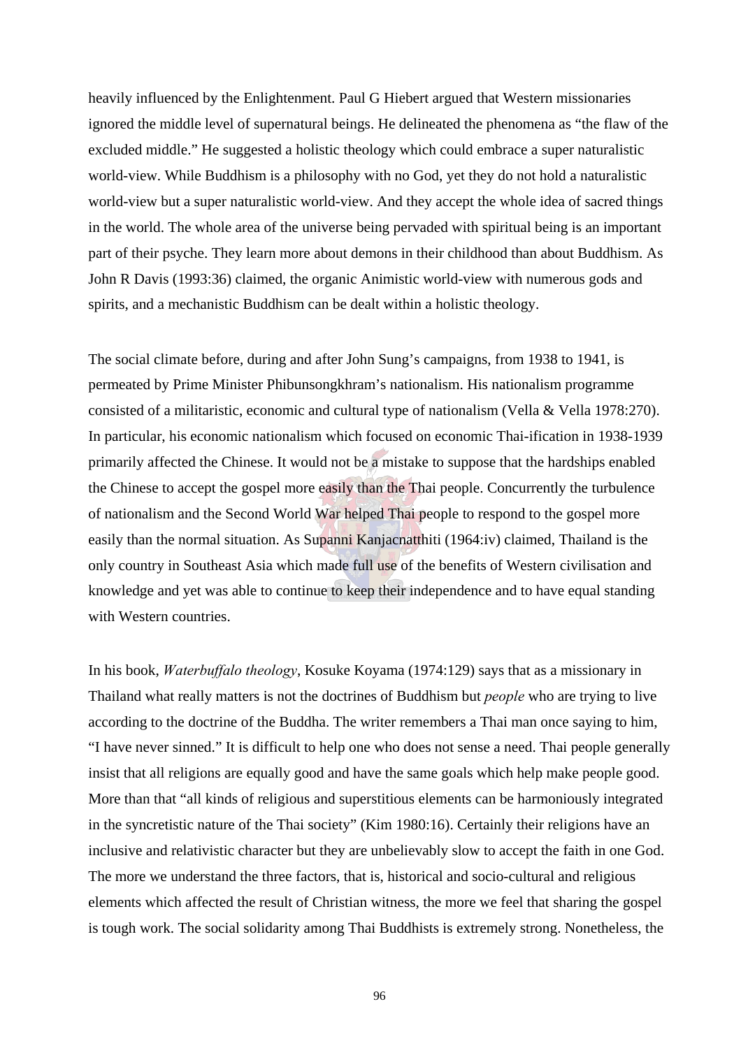heavily influenced by the Enlightenment. Paul G Hiebert argued that Western missionaries ignored the middle level of supernatural beings. He delineated the phenomena as "the flaw of the excluded middle." He suggested a holistic theology which could embrace a super naturalistic world-view. While Buddhism is a philosophy with no God, yet they do not hold a naturalistic world-view but a super naturalistic world-view. And they accept the whole idea of sacred things in the world. The whole area of the universe being pervaded with spiritual being is an important part of their psyche. They learn more about demons in their childhood than about Buddhism. As John R Davis (1993:36) claimed, the organic Animistic world-view with numerous gods and spirits, and a mechanistic Buddhism can be dealt within a holistic theology.

The social climate before, during and after John Sung's campaigns, from 1938 to 1941, is permeated by Prime Minister Phibunsongkhram's nationalism. His nationalism programme consisted of a militaristic, economic and cultural type of nationalism (Vella & Vella 1978:270). In particular, his economic nationalism which focused on economic Thai-ification in 1938-1939 primarily affected the Chinese. It would not be a mistake to suppose that the hardships enabled the Chinese to accept the gospel more easily than the Thai people. Concurrently the turbulence of nationalism and the Second World War helped Thai people to respond to the gospel more easily than the normal situation. As Supanni Kanjacnatthiti (1964:iv) claimed, Thailand is the only country in Southeast Asia which made full use of the benefits of Western civilisation and knowledge and yet was able to continue to keep their independence and to have equal standing with Western countries.

In his book, *Waterbuffalo theology*, Kosuke Koyama (1974:129) says that as a missionary in Thailand what really matters is not the doctrines of Buddhism but *people* who are trying to live according to the doctrine of the Buddha. The writer remembers a Thai man once saying to him, "I have never sinned." It is difficult to help one who does not sense a need. Thai people generally insist that all religions are equally good and have the same goals which help make people good. More than that "all kinds of religious and superstitious elements can be harmoniously integrated in the syncretistic nature of the Thai society" (Kim 1980:16). Certainly their religions have an inclusive and relativistic character but they are unbelievably slow to accept the faith in one God. The more we understand the three factors, that is, historical and socio-cultural and religious elements which affected the result of Christian witness, the more we feel that sharing the gospel is tough work. The social solidarity among Thai Buddhists is extremely strong. Nonetheless, the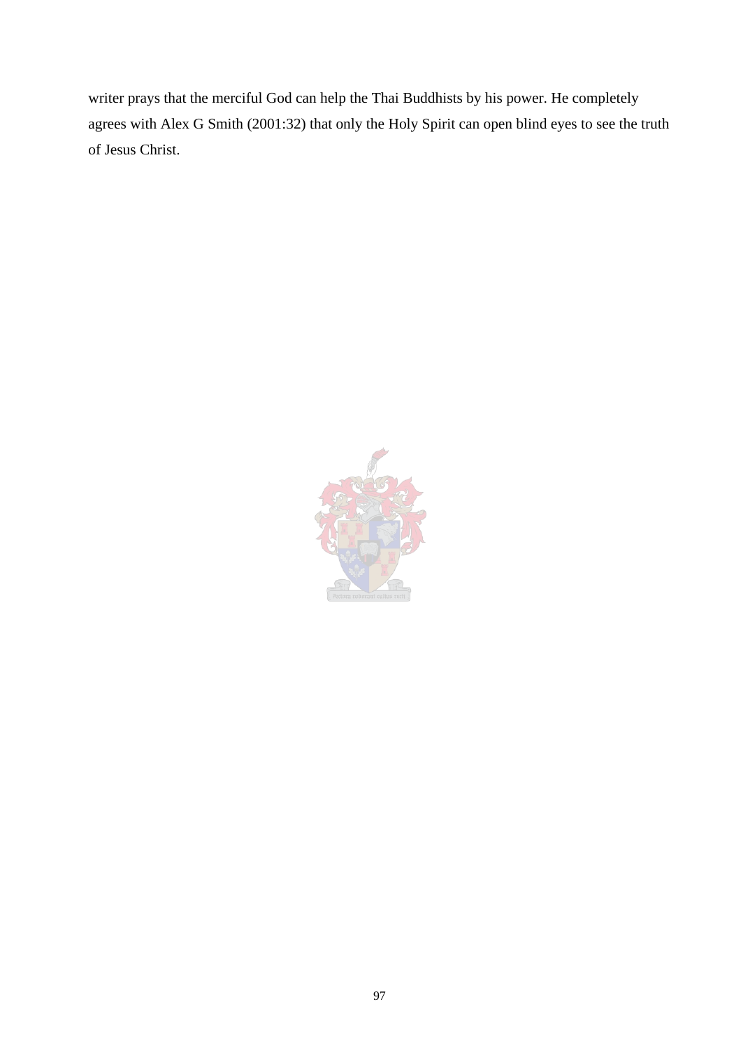writer prays that the merciful God can help the Thai Buddhists by his power. He completely agrees with Alex G Smith (2001:32) that only the Holy Spirit can open blind eyes to see the truth of Jesus Christ.

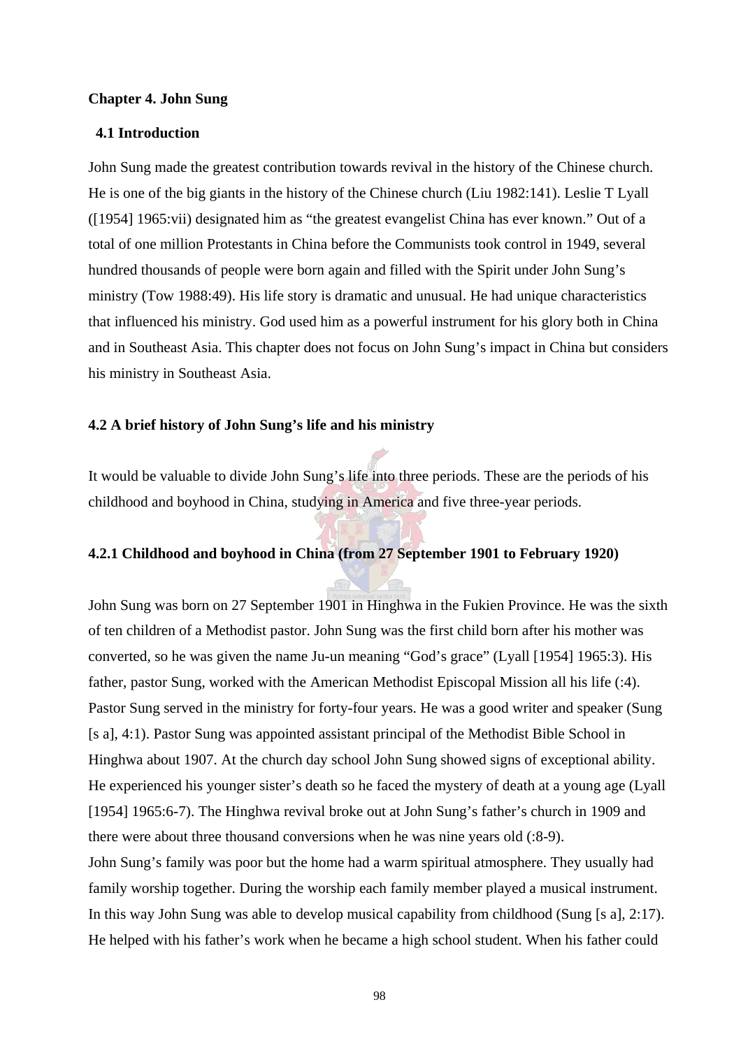### **Chapter 4. John Sung**

### **4.1 Introduction**

John Sung made the greatest contribution towards revival in the history of the Chinese church. He is one of the big giants in the history of the Chinese church (Liu 1982:141). Leslie T Lyall ([1954] 1965:vii) designated him as "the greatest evangelist China has ever known." Out of a total of one million Protestants in China before the Communists took control in 1949, several hundred thousands of people were born again and filled with the Spirit under John Sung's ministry (Tow 1988:49). His life story is dramatic and unusual. He had unique characteristics that influenced his ministry. God used him as a powerful instrument for his glory both in China and in Southeast Asia. This chapter does not focus on John Sung's impact in China but considers his ministry in Southeast Asia.

### **4.2 A brief history of John Sung's life and his ministry**

It would be valuable to divide John Sung's life into three periods. These are the periods of his childhood and boyhood in China, studying in America and five three-year periods.

# **4.2.1 Childhood and boyhood in China (from 27 September 1901 to February 1920)**

John Sung was born on 27 September 1901 in Hinghwa in the Fukien Province. He was the sixth of ten children of a Methodist pastor. John Sung was the first child born after his mother was converted, so he was given the name Ju-un meaning "God's grace" (Lyall [1954] 1965:3). His father, pastor Sung, worked with the American Methodist Episcopal Mission all his life (:4). Pastor Sung served in the ministry for forty-four years. He was a good writer and speaker (Sung [s a], 4:1). Pastor Sung was appointed assistant principal of the Methodist Bible School in Hinghwa about 1907. At the church day school John Sung showed signs of exceptional ability. He experienced his younger sister's death so he faced the mystery of death at a young age (Lyall [1954] 1965:6-7). The Hinghwa revival broke out at John Sung's father's church in 1909 and there were about three thousand conversions when he was nine years old (:8-9). John Sung's family was poor but the home had a warm spiritual atmosphere. They usually had family worship together. During the worship each family member played a musical instrument. In this way John Sung was able to develop musical capability from childhood (Sung [s a], 2:17). He helped with his father's work when he became a high school student. When his father could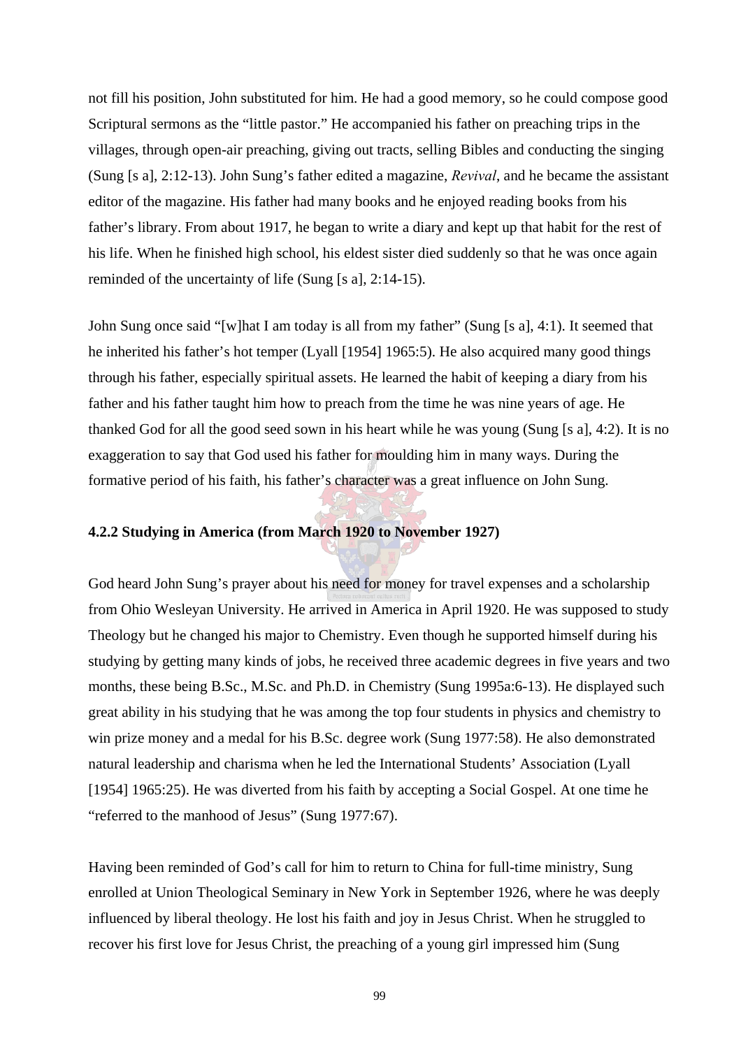not fill his position, John substituted for him. He had a good memory, so he could compose good Scriptural sermons as the "little pastor." He accompanied his father on preaching trips in the villages, through open-air preaching, giving out tracts, selling Bibles and conducting the singing (Sung [s a], 2:12-13). John Sung's father edited a magazine, *Revival*, and he became the assistant editor of the magazine. His father had many books and he enjoyed reading books from his father's library. From about 1917, he began to write a diary and kept up that habit for the rest of his life. When he finished high school, his eldest sister died suddenly so that he was once again reminded of the uncertainty of life (Sung [s a], 2:14-15).

John Sung once said "[w]hat I am today is all from my father" (Sung [s a], 4:1). It seemed that he inherited his father's hot temper (Lyall [1954] 1965:5). He also acquired many good things through his father, especially spiritual assets. He learned the habit of keeping a diary from his father and his father taught him how to preach from the time he was nine years of age. He thanked God for all the good seed sown in his heart while he was young (Sung [s a], 4:2). It is no exaggeration to say that God used his father for moulding him in many ways. During the formative period of his faith, his father's character was a great influence on John Sung.

# **4.2.2 Studying in America (from March 1920 to November 1927)**

God heard John Sung's prayer about his need for money for travel expenses and a scholarship from Ohio Wesleyan University. He arrived in America in April 1920. He was supposed to study Theology but he changed his major to Chemistry. Even though he supported himself during his studying by getting many kinds of jobs, he received three academic degrees in five years and two months, these being B.Sc., M.Sc. and Ph.D. in Chemistry (Sung 1995a:6-13). He displayed such great ability in his studying that he was among the top four students in physics and chemistry to win prize money and a medal for his B.Sc. degree work (Sung 1977:58). He also demonstrated natural leadership and charisma when he led the International Students' Association (Lyall [1954] 1965:25). He was diverted from his faith by accepting a Social Gospel. At one time he "referred to the manhood of Jesus" (Sung 1977:67).

Having been reminded of God's call for him to return to China for full-time ministry, Sung enrolled at Union Theological Seminary in New York in September 1926, where he was deeply influenced by liberal theology. He lost his faith and joy in Jesus Christ. When he struggled to recover his first love for Jesus Christ, the preaching of a young girl impressed him (Sung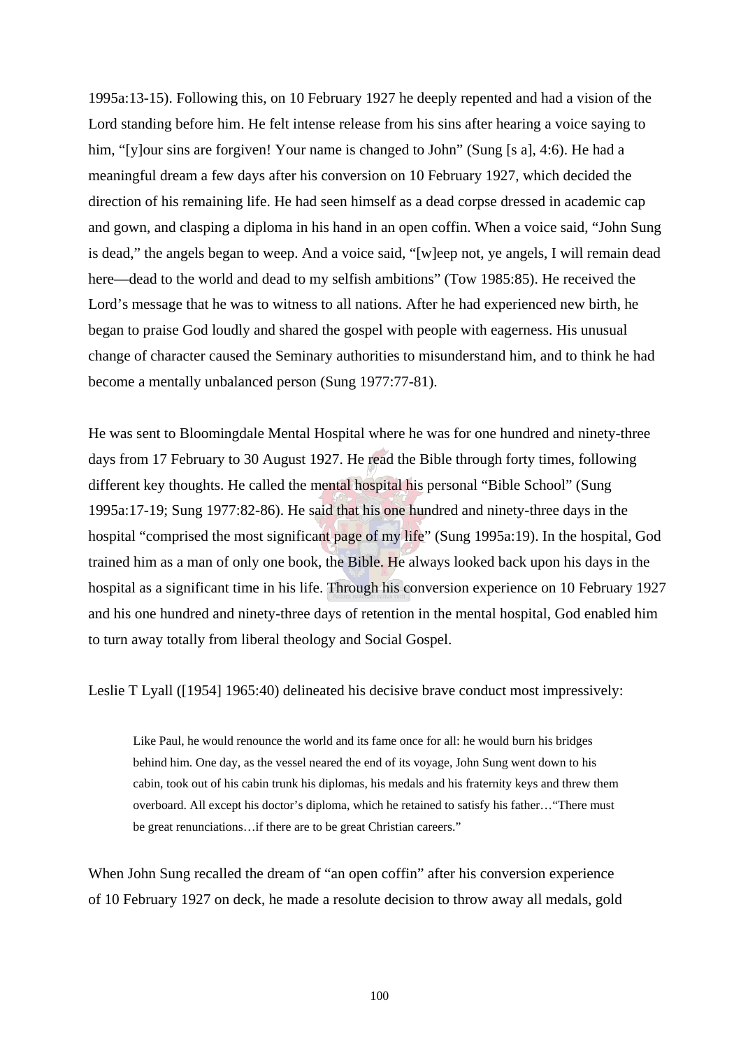1995a:13-15). Following this, on 10 February 1927 he deeply repented and had a vision of the Lord standing before him. He felt intense release from his sins after hearing a voice saying to him, "[y]our sins are forgiven! Your name is changed to John" (Sung [s a], 4:6). He had a meaningful dream a few days after his conversion on 10 February 1927, which decided the direction of his remaining life. He had seen himself as a dead corpse dressed in academic cap and gown, and clasping a diploma in his hand in an open coffin. When a voice said, "John Sung is dead," the angels began to weep. And a voice said, "[w]eep not, ye angels, I will remain dead here—dead to the world and dead to my selfish ambitions" (Tow 1985:85). He received the Lord's message that he was to witness to all nations. After he had experienced new birth, he began to praise God loudly and shared the gospel with people with eagerness. His unusual change of character caused the Seminary authorities to misunderstand him, and to think he had become a mentally unbalanced person (Sung 1977:77-81).

He was sent to Bloomingdale Mental Hospital where he was for one hundred and ninety-three days from 17 February to 30 August 1927. He read the Bible through forty times, following different key thoughts. He called the mental hospital his personal "Bible School" (Sung 1995a:17-19; Sung 1977:82-86). He said that his one hundred and ninety-three days in the hospital "comprised the most significant page of my life" (Sung 1995a:19). In the hospital, God trained him as a man of only one book, the Bible. He always looked back upon his days in the hospital as a significant time in his life. Through his conversion experience on 10 February 1927 and his one hundred and ninety-three days of retention in the mental hospital, God enabled him to turn away totally from liberal theology and Social Gospel.

Leslie T Lyall ([1954] 1965:40) delineated his decisive brave conduct most impressively:

Like Paul, he would renounce the world and its fame once for all: he would burn his bridges behind him. One day, as the vessel neared the end of its voyage, John Sung went down to his cabin, took out of his cabin trunk his diplomas, his medals and his fraternity keys and threw them overboard. All except his doctor's diploma, which he retained to satisfy his father…"There must be great renunciations…if there are to be great Christian careers."

When John Sung recalled the dream of "an open coffin" after his conversion experience of 10 February 1927 on deck, he made a resolute decision to throw away all medals, gold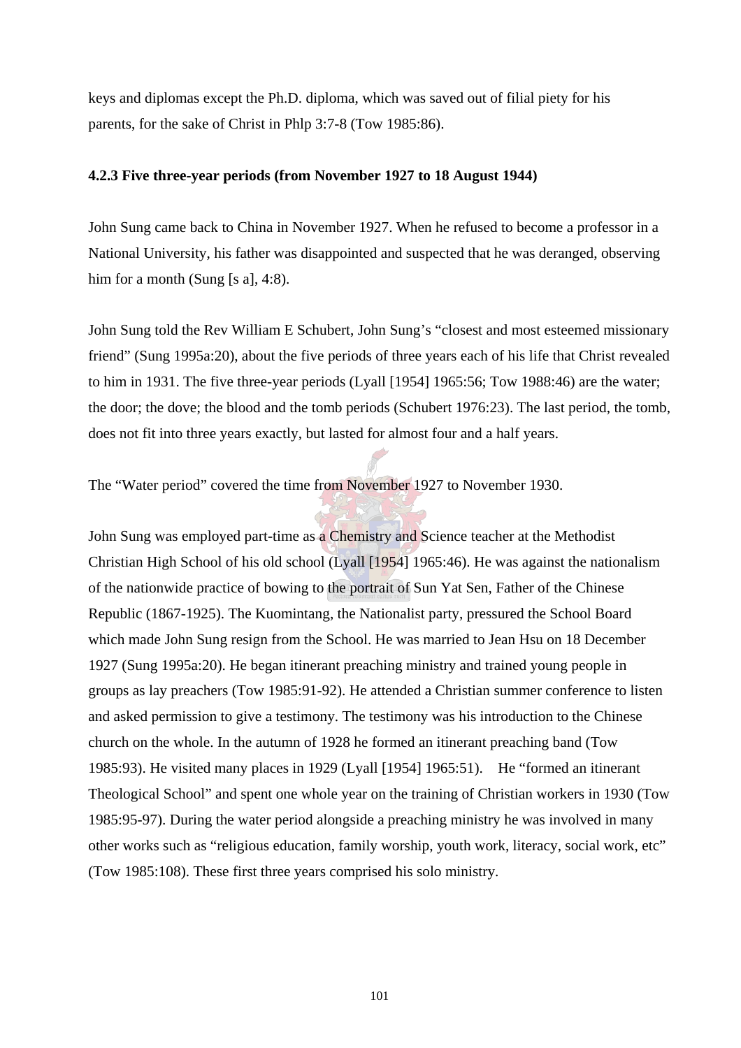keys and diplomas except the Ph.D. diploma, which was saved out of filial piety for his parents, for the sake of Christ in Phlp 3:7-8 (Tow 1985:86).

# **4.2.3 Five three-year periods (from November 1927 to 18 August 1944)**

John Sung came back to China in November 1927. When he refused to become a professor in a National University, his father was disappointed and suspected that he was deranged, observing him for a month (Sung [s a], 4:8).

John Sung told the Rev William E Schubert, John Sung's "closest and most esteemed missionary friend" (Sung 1995a:20), about the five periods of three years each of his life that Christ revealed to him in 1931. The five three-year periods (Lyall [1954] 1965:56; Tow 1988:46) are the water; the door; the dove; the blood and the tomb periods (Schubert 1976:23). The last period, the tomb, does not fit into three years exactly, but lasted for almost four and a half years.

The "Water period" covered the time from November 1927 to November 1930.

John Sung was employed part-time as a Chemistry and Science teacher at the Methodist Christian High School of his old school (Lyall [1954] 1965:46). He was against the nationalism of the nationwide practice of bowing to the portrait of Sun Yat Sen, Father of the Chinese Republic (1867-1925). The Kuomintang, the Nationalist party, pressured the School Board which made John Sung resign from the School. He was married to Jean Hsu on 18 December 1927 (Sung 1995a:20). He began itinerant preaching ministry and trained young people in groups as lay preachers (Tow 1985:91-92). He attended a Christian summer conference to listen and asked permission to give a testimony. The testimony was his introduction to the Chinese church on the whole. In the autumn of 1928 he formed an itinerant preaching band (Tow 1985:93). He visited many places in 1929 (Lyall [1954] 1965:51). He "formed an itinerant Theological School" and spent one whole year on the training of Christian workers in 1930 (Tow 1985:95-97). During the water period alongside a preaching ministry he was involved in many other works such as "religious education, family worship, youth work, literacy, social work, etc" (Tow 1985:108). These first three years comprised his solo ministry.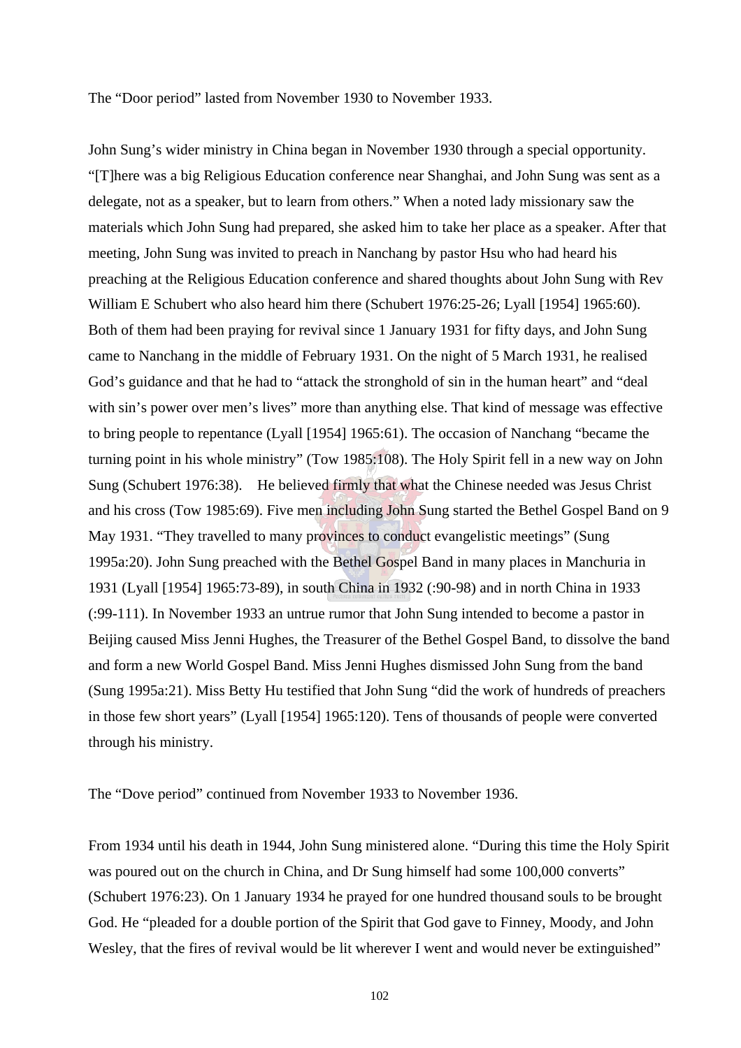The "Door period" lasted from November 1930 to November 1933.

John Sung's wider ministry in China began in November 1930 through a special opportunity. "[T]here was a big Religious Education conference near Shanghai, and John Sung was sent as a delegate, not as a speaker, but to learn from others." When a noted lady missionary saw the materials which John Sung had prepared, she asked him to take her place as a speaker. After that meeting, John Sung was invited to preach in Nanchang by pastor Hsu who had heard his preaching at the Religious Education conference and shared thoughts about John Sung with Rev William E Schubert who also heard him there (Schubert 1976:25-26; Lyall [1954] 1965:60). Both of them had been praying for revival since 1 January 1931 for fifty days, and John Sung came to Nanchang in the middle of February 1931. On the night of 5 March 1931, he realised God's guidance and that he had to "attack the stronghold of sin in the human heart" and "deal with sin's power over men's lives" more than anything else. That kind of message was effective to bring people to repentance (Lyall [1954] 1965:61). The occasion of Nanchang "became the turning point in his whole ministry" (Tow 1985:108). The Holy Spirit fell in a new way on John Sung (Schubert 1976:38). He believed firmly that what the Chinese needed was Jesus Christ and his cross (Tow 1985:69). Five men including John Sung started the Bethel Gospel Band on 9 May 1931. "They travelled to many provinces to conduct evangelistic meetings" (Sung 1995a:20). John Sung preached with the Bethel Gospel Band in many places in Manchuria in 1931 (Lyall [1954] 1965:73-89), in south China in 1932 (:90-98) and in north China in 1933 (:99-111). In November 1933 an untrue rumor that John Sung intended to become a pastor in Beijing caused Miss Jenni Hughes, the Treasurer of the Bethel Gospel Band, to dissolve the band and form a new World Gospel Band. Miss Jenni Hughes dismissed John Sung from the band (Sung 1995a:21). Miss Betty Hu testified that John Sung "did the work of hundreds of preachers in those few short years" (Lyall [1954] 1965:120). Tens of thousands of people were converted through his ministry.

The "Dove period" continued from November 1933 to November 1936.

From 1934 until his death in 1944, John Sung ministered alone. "During this time the Holy Spirit was poured out on the church in China, and Dr Sung himself had some 100,000 converts" (Schubert 1976:23). On 1 January 1934 he prayed for one hundred thousand souls to be brought God. He "pleaded for a double portion of the Spirit that God gave to Finney, Moody, and John Wesley, that the fires of revival would be lit wherever I went and would never be extinguished"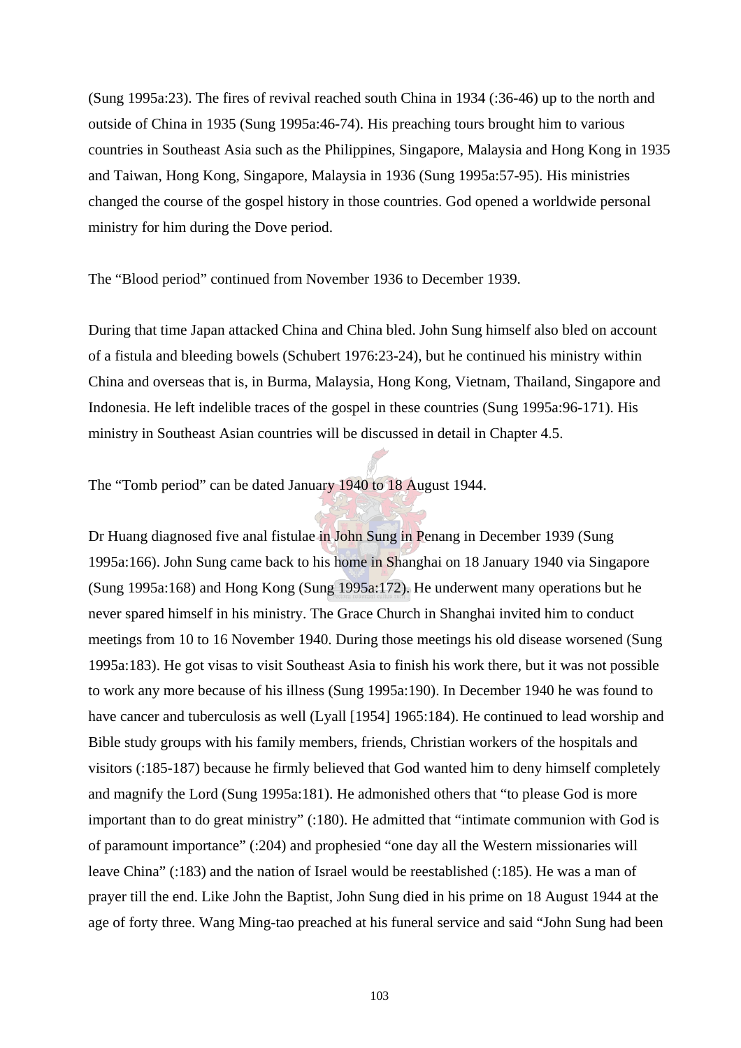(Sung 1995a:23). The fires of revival reached south China in 1934 (:36-46) up to the north and outside of China in 1935 (Sung 1995a:46-74). His preaching tours brought him to various countries in Southeast Asia such as the Philippines, Singapore, Malaysia and Hong Kong in 1935 and Taiwan, Hong Kong, Singapore, Malaysia in 1936 (Sung 1995a:57-95). His ministries changed the course of the gospel history in those countries. God opened a worldwide personal ministry for him during the Dove period.

The "Blood period" continued from November 1936 to December 1939.

During that time Japan attacked China and China bled. John Sung himself also bled on account of a fistula and bleeding bowels (Schubert 1976:23-24), but he continued his ministry within China and overseas that is, in Burma, Malaysia, Hong Kong, Vietnam, Thailand, Singapore and Indonesia. He left indelible traces of the gospel in these countries (Sung 1995a:96-171). His ministry in Southeast Asian countries will be discussed in detail in Chapter 4.5.

The "Tomb period" can be dated January 1940 to 18 August 1944.

Dr Huang diagnosed five anal fistulae in John Sung in Penang in December 1939 (Sung 1995a:166). John Sung came back to his home in Shanghai on 18 January 1940 via Singapore (Sung 1995a:168) and Hong Kong (Sung 1995a:172). He underwent many operations but he never spared himself in his ministry. The Grace Church in Shanghai invited him to conduct meetings from 10 to 16 November 1940. During those meetings his old disease worsened (Sung 1995a:183). He got visas to visit Southeast Asia to finish his work there, but it was not possible to work any more because of his illness (Sung 1995a:190). In December 1940 he was found to have cancer and tuberculosis as well (Lyall [1954] 1965:184). He continued to lead worship and Bible study groups with his family members, friends, Christian workers of the hospitals and visitors (:185-187) because he firmly believed that God wanted him to deny himself completely and magnify the Lord (Sung 1995a:181). He admonished others that "to please God is more important than to do great ministry" (:180). He admitted that "intimate communion with God is of paramount importance" (:204) and prophesied "one day all the Western missionaries will leave China" (:183) and the nation of Israel would be reestablished (:185). He was a man of prayer till the end. Like John the Baptist, John Sung died in his prime on 18 August 1944 at the age of forty three. Wang Ming-tao preached at his funeral service and said "John Sung had been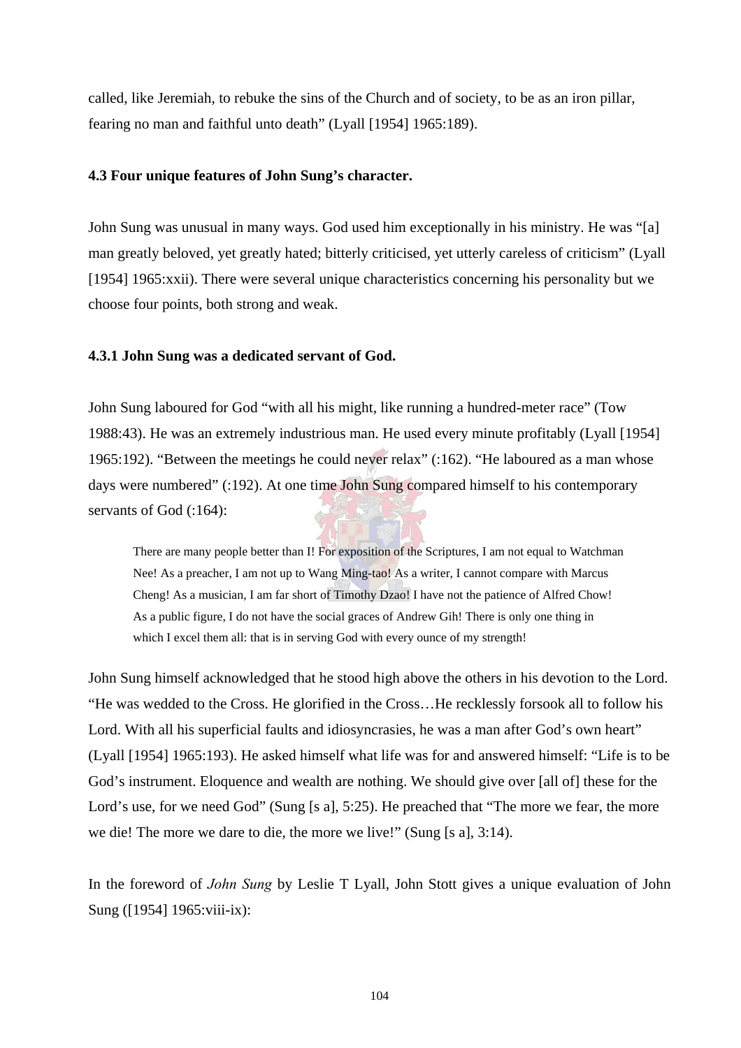called, like Jeremiah, to rebuke the sins of the Church and of society, to be as an iron pillar, fearing no man and faithful unto death" (Lyall [1954] 1965:189).

### **4.3 Four unique features of John Sung's character.**

John Sung was unusual in many ways. God used him exceptionally in his ministry. He was "[a] man greatly beloved, yet greatly hated; bitterly criticised, yet utterly careless of criticism" (Lyall [1954] 1965:xxii). There were several unique characteristics concerning his personality but we choose four points, both strong and weak.

### **4.3.1 John Sung was a dedicated servant of God.**

John Sung laboured for God "with all his might, like running a hundred-meter race" (Tow 1988:43). He was an extremely industrious man. He used every minute profitably (Lyall [1954] 1965:192). "Between the meetings he could never relax" (:162). "He laboured as a man whose days were numbered" (:192). At one time John Sung compared himself to his contemporary servants of God  $(.164)$ :

There are many people better than I! For exposition of the Scriptures, I am not equal to Watchman Nee! As a preacher, I am not up to Wang Ming-tao! As a writer, I cannot compare with Marcus Cheng! As a musician, I am far short of Timothy Dzao! I have not the patience of Alfred Chow! As a public figure, I do not have the social graces of Andrew Gih! There is only one thing in which I excel them all: that is in serving God with every ounce of my strength!

John Sung himself acknowledged that he stood high above the others in his devotion to the Lord. "He was wedded to the Cross. He glorified in the Cross…He recklessly forsook all to follow his Lord. With all his superficial faults and idiosyncrasies, he was a man after God's own heart" (Lyall [1954] 1965:193). He asked himself what life was for and answered himself: "Life is to be God's instrument. Eloquence and wealth are nothing. We should give over [all of] these for the Lord's use, for we need God" (Sung [s a], 5:25). He preached that "The more we fear, the more we die! The more we dare to die, the more we live!" (Sung [s a], 3:14).

In the foreword of *John Sung* by Leslie T Lyall, John Stott gives a unique evaluation of John Sung ([1954] 1965: viii-ix):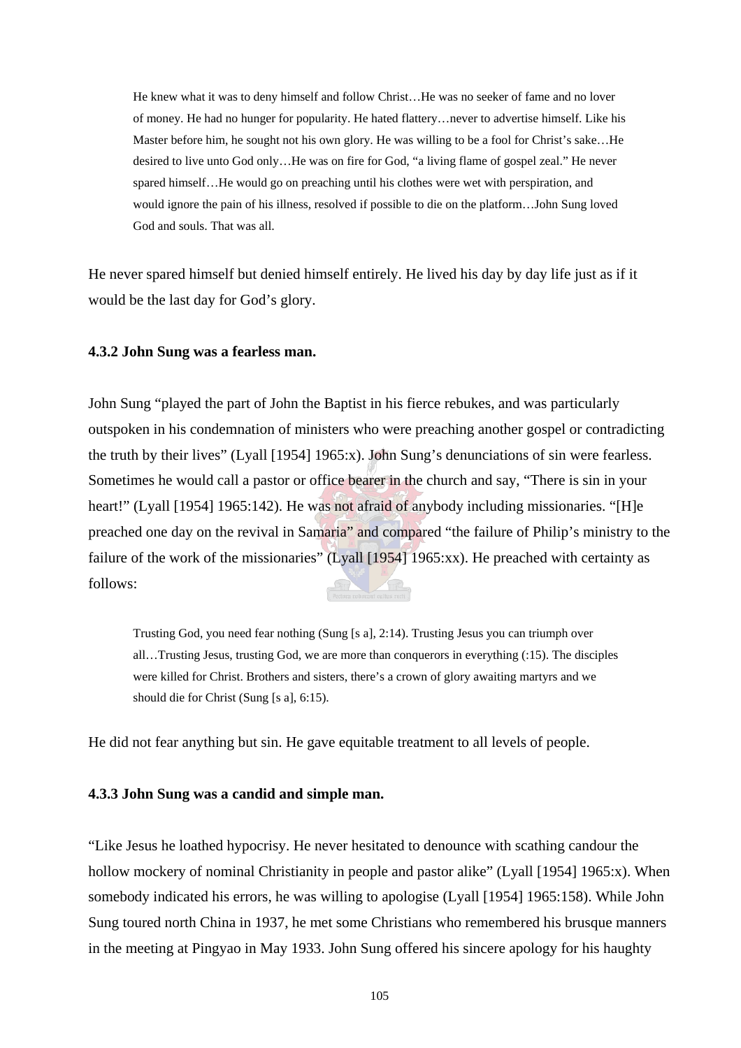He knew what it was to deny himself and follow Christ…He was no seeker of fame and no lover of money. He had no hunger for popularity. He hated flattery…never to advertise himself. Like his Master before him, he sought not his own glory. He was willing to be a fool for Christ's sake…He desired to live unto God only…He was on fire for God, "a living flame of gospel zeal." He never spared himself…He would go on preaching until his clothes were wet with perspiration, and would ignore the pain of his illness, resolved if possible to die on the platform…John Sung loved God and souls. That was all.

He never spared himself but denied himself entirely. He lived his day by day life just as if it would be the last day for God's glory.

#### **4.3.2 John Sung was a fearless man.**

John Sung "played the part of John the Baptist in his fierce rebukes, and was particularly outspoken in his condemnation of ministers who were preaching another gospel or contradicting the truth by their lives" (Lyall [1954] 1965:x). John Sung's denunciations of sin were fearless. Sometimes he would call a pastor or office bearer in the church and say, "There is sin in your heart!" (Lyall [1954] 1965:142). He was not afraid of anybody including missionaries. "[H]e preached one day on the revival in Samaria" and compared "the failure of Philip's ministry to the failure of the work of the missionaries" (Lyall [1954] 1965:xx). He preached with certainty as follows:

Trusting God, you need fear nothing (Sung [s a], 2:14). Trusting Jesus you can triumph over all…Trusting Jesus, trusting God, we are more than conquerors in everything (:15). The disciples were killed for Christ. Brothers and sisters, there's a crown of glory awaiting martyrs and we should die for Christ (Sung [s a], 6:15).

He did not fear anything but sin. He gave equitable treatment to all levels of people.

#### **4.3.3 John Sung was a candid and simple man.**

"Like Jesus he loathed hypocrisy. He never hesitated to denounce with scathing candour the hollow mockery of nominal Christianity in people and pastor alike" (Lyall [1954] 1965:x). When somebody indicated his errors, he was willing to apologise (Lyall [1954] 1965:158). While John Sung toured north China in 1937, he met some Christians who remembered his brusque manners in the meeting at Pingyao in May 1933. John Sung offered his sincere apology for his haughty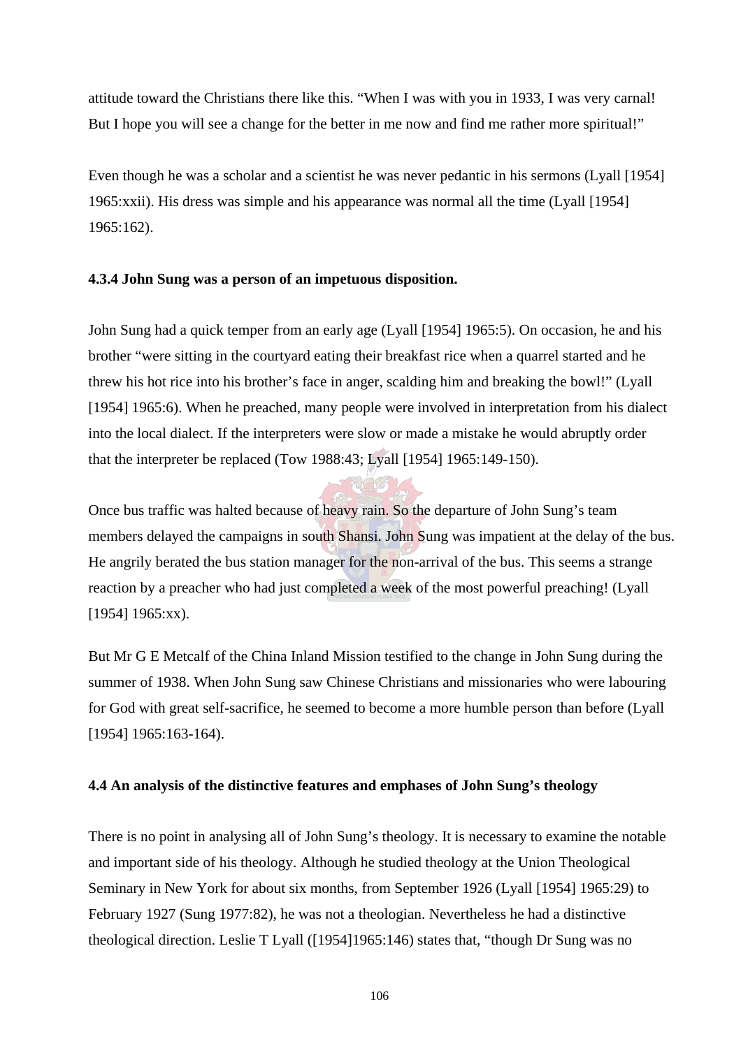attitude toward the Christians there like this. "When I was with you in 1933, I was very carnal! But I hope you will see a change for the better in me now and find me rather more spiritual!"

Even though he was a scholar and a scientist he was never pedantic in his sermons (Lyall [1954] 1965:xxii). His dress was simple and his appearance was normal all the time (Lyall [1954] 1965:162).

# **4.3.4 John Sung was a person of an impetuous disposition.**

John Sung had a quick temper from an early age (Lyall [1954] 1965:5). On occasion, he and his brother "were sitting in the courtyard eating their breakfast rice when a quarrel started and he threw his hot rice into his brother's face in anger, scalding him and breaking the bowl!" (Lyall [1954] 1965:6). When he preached, many people were involved in interpretation from his dialect into the local dialect. If the interpreters were slow or made a mistake he would abruptly order that the interpreter be replaced (Tow 1988:43; Lyall [1954] 1965:149-150).

Once bus traffic was halted because of heavy rain. So the departure of John Sung's team members delayed the campaigns in south Shansi. John Sung was impatient at the delay of the bus. He angrily berated the bus station manager for the non-arrival of the bus. This seems a strange reaction by a preacher who had just completed a week of the most powerful preaching! (Lyall [1954] 1965:xx).

But Mr G E Metcalf of the China Inland Mission testified to the change in John Sung during the summer of 1938. When John Sung saw Chinese Christians and missionaries who were labouring for God with great self-sacrifice, he seemed to become a more humble person than before (Lyall [1954] 1965:163-164).

# **4.4 An analysis of the distinctive features and emphases of John Sung's theology**

There is no point in analysing all of John Sung's theology. It is necessary to examine the notable and important side of his theology. Although he studied theology at the Union Theological Seminary in New York for about six months, from September 1926 (Lyall [1954] 1965:29) to February 1927 (Sung 1977:82), he was not a theologian. Nevertheless he had a distinctive theological direction. Leslie T Lyall ([1954]1965:146) states that, "though Dr Sung was no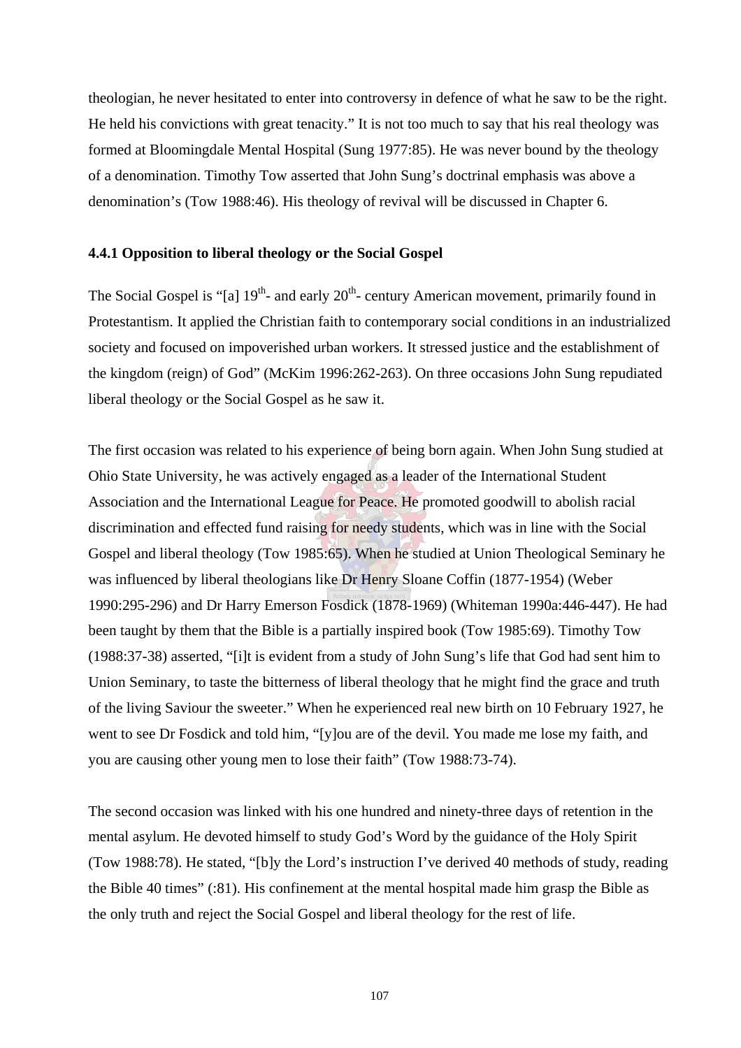theologian, he never hesitated to enter into controversy in defence of what he saw to be the right. He held his convictions with great tenacity." It is not too much to say that his real theology was formed at Bloomingdale Mental Hospital (Sung 1977:85). He was never bound by the theology of a denomination. Timothy Tow asserted that John Sung's doctrinal emphasis was above a denomination's (Tow 1988:46). His theology of revival will be discussed in Chapter 6.

# **4.4.1 Opposition to liberal theology or the Social Gospel**

The Social Gospel is "[a]  $19<sup>th</sup>$ - and early  $20<sup>th</sup>$ - century American movement, primarily found in Protestantism. It applied the Christian faith to contemporary social conditions in an industrialized society and focused on impoverished urban workers. It stressed justice and the establishment of the kingdom (reign) of God" (McKim 1996:262-263). On three occasions John Sung repudiated liberal theology or the Social Gospel as he saw it.

The first occasion was related to his experience of being born again. When John Sung studied at Ohio State University, he was actively engaged as a leader of the International Student Association and the International League for Peace. He promoted goodwill to abolish racial discrimination and effected fund raising for needy students, which was in line with the Social Gospel and liberal theology (Tow 1985:65). When he studied at Union Theological Seminary he was influenced by liberal theologians like Dr Henry Sloane Coffin (1877-1954) (Weber 1990:295-296) and Dr Harry Emerson Fosdick (1878-1969) (Whiteman 1990a:446-447). He had been taught by them that the Bible is a partially inspired book (Tow 1985:69). Timothy Tow (1988:37-38) asserted, "[i]t is evident from a study of John Sung's life that God had sent him to Union Seminary, to taste the bitterness of liberal theology that he might find the grace and truth of the living Saviour the sweeter." When he experienced real new birth on 10 February 1927, he went to see Dr Fosdick and told him, "[y]ou are of the devil. You made me lose my faith, and you are causing other young men to lose their faith" (Tow 1988:73-74).

The second occasion was linked with his one hundred and ninety-three days of retention in the mental asylum. He devoted himself to study God's Word by the guidance of the Holy Spirit (Tow 1988:78). He stated, "[b]y the Lord's instruction I've derived 40 methods of study, reading the Bible 40 times" (:81). His confinement at the mental hospital made him grasp the Bible as the only truth and reject the Social Gospel and liberal theology for the rest of life.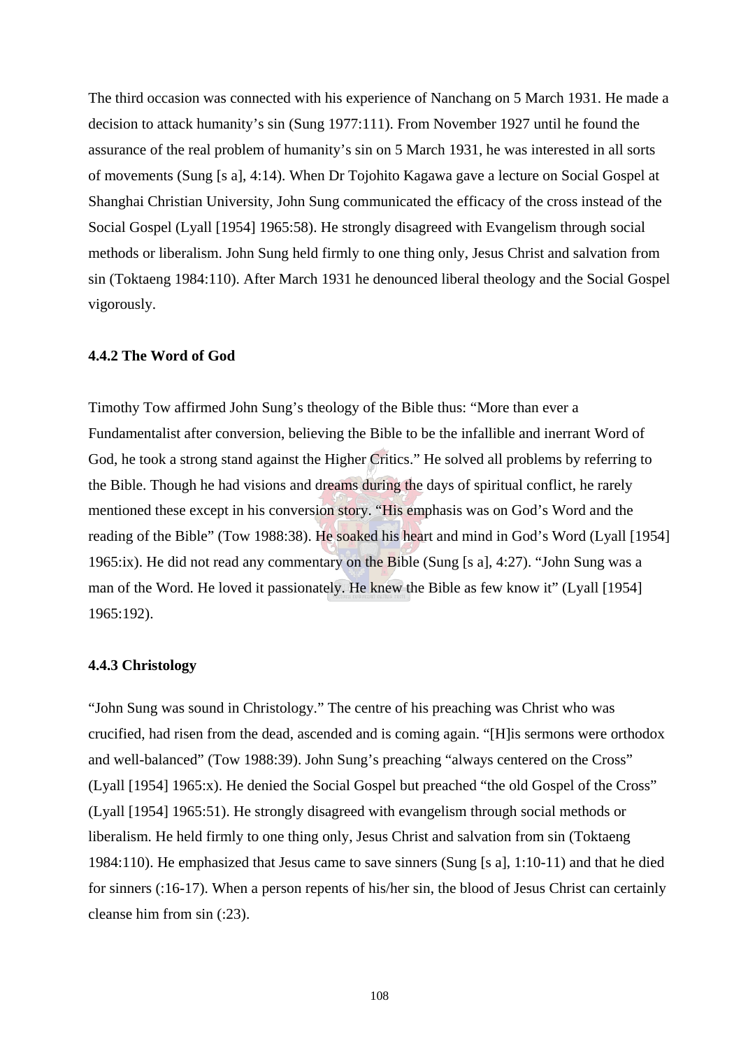The third occasion was connected with his experience of Nanchang on 5 March 1931. He made a decision to attack humanity's sin (Sung 1977:111). From November 1927 until he found the assurance of the real problem of humanity's sin on 5 March 1931, he was interested in all sorts of movements (Sung [s a], 4:14). When Dr Tojohito Kagawa gave a lecture on Social Gospel at Shanghai Christian University, John Sung communicated the efficacy of the cross instead of the Social Gospel (Lyall [1954] 1965:58). He strongly disagreed with Evangelism through social methods or liberalism. John Sung held firmly to one thing only, Jesus Christ and salvation from sin (Toktaeng 1984:110). After March 1931 he denounced liberal theology and the Social Gospel vigorously.

#### **4.4.2 The Word of God**

Timothy Tow affirmed John Sung's theology of the Bible thus: "More than ever a Fundamentalist after conversion, believing the Bible to be the infallible and inerrant Word of God, he took a strong stand against the Higher Critics." He solved all problems by referring to the Bible. Though he had visions and dreams during the days of spiritual conflict, he rarely mentioned these except in his conversion story. "His emphasis was on God's Word and the reading of the Bible" (Tow 1988:38). He soaked his heart and mind in God's Word (Lyall [1954] 1965:ix). He did not read any commentary on the Bible (Sung [s a], 4:27). "John Sung was a man of the Word. He loved it passionately. He knew the Bible as few know it" (Lyall [1954] 1965:192).

#### **4.4.3 Christology**

"John Sung was sound in Christology." The centre of his preaching was Christ who was crucified, had risen from the dead, ascended and is coming again. "[H]is sermons were orthodox and well-balanced" (Tow 1988:39). John Sung's preaching "always centered on the Cross" (Lyall [1954] 1965:x). He denied the Social Gospel but preached "the old Gospel of the Cross" (Lyall [1954] 1965:51). He strongly disagreed with evangelism through social methods or liberalism. He held firmly to one thing only, Jesus Christ and salvation from sin (Toktaeng 1984:110). He emphasized that Jesus came to save sinners (Sung [s a], 1:10-11) and that he died for sinners (:16-17). When a person repents of his/her sin, the blood of Jesus Christ can certainly cleanse him from sin (:23).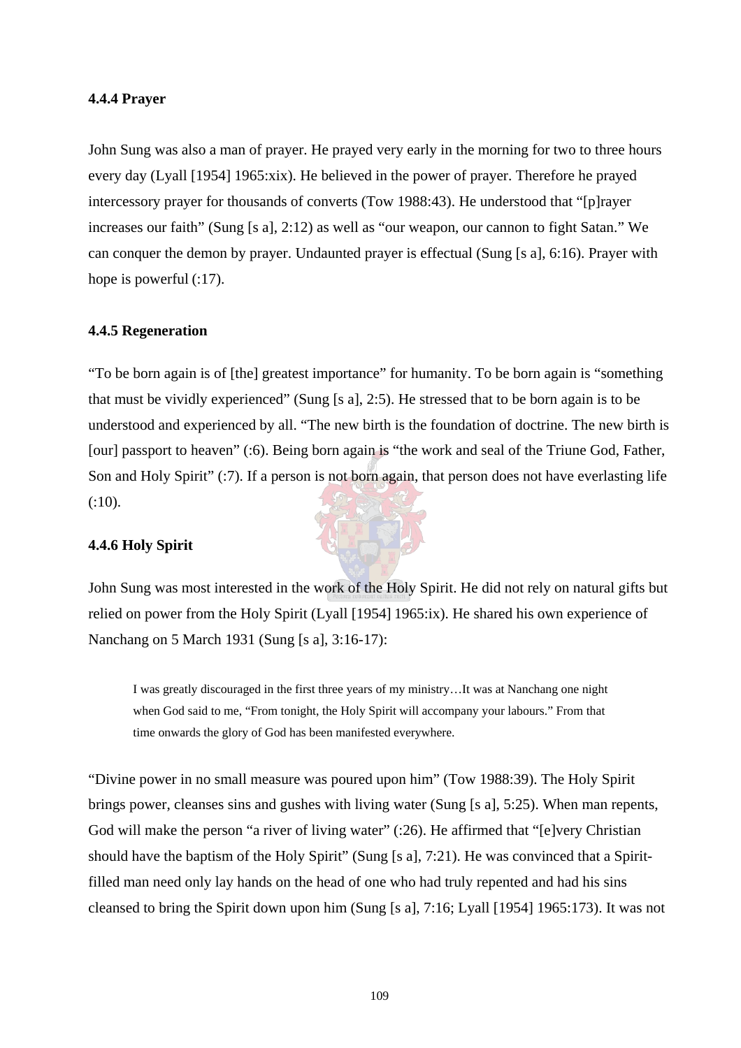### **4.4.4 Prayer**

John Sung was also a man of prayer. He prayed very early in the morning for two to three hours every day (Lyall [1954] 1965:xix). He believed in the power of prayer. Therefore he prayed intercessory prayer for thousands of converts (Tow 1988:43). He understood that "[p]rayer increases our faith" (Sung [s a], 2:12) as well as "our weapon, our cannon to fight Satan." We can conquer the demon by prayer. Undaunted prayer is effectual (Sung [s a], 6:16). Prayer with hope is powerful  $(17)$ .

### **4.4.5 Regeneration**

"To be born again is of [the] greatest importance" for humanity. To be born again is "something that must be vividly experienced" (Sung [s a], 2:5). He stressed that to be born again is to be understood and experienced by all. "The new birth is the foundation of doctrine. The new birth is [our] passport to heaven" (:6). Being born again is "the work and seal of the Triune God, Father, Son and Holy Spirit" (:7). If a person is not born again, that person does not have everlasting life (:10).

### **4.4.6 Holy Spirit**

John Sung was most interested in the work of the Holy Spirit. He did not rely on natural gifts but relied on power from the Holy Spirit (Lyall [1954] 1965:ix). He shared his own experience of Nanchang on 5 March 1931 (Sung [s a], 3:16-17):

I was greatly discouraged in the first three years of my ministry…It was at Nanchang one night when God said to me, "From tonight, the Holy Spirit will accompany your labours." From that time onwards the glory of God has been manifested everywhere.

"Divine power in no small measure was poured upon him" (Tow 1988:39). The Holy Spirit brings power, cleanses sins and gushes with living water (Sung [s a], 5:25). When man repents, God will make the person "a river of living water" (:26). He affirmed that "[e]very Christian should have the baptism of the Holy Spirit" (Sung [s a], 7:21). He was convinced that a Spiritfilled man need only lay hands on the head of one who had truly repented and had his sins cleansed to bring the Spirit down upon him (Sung [s a], 7:16; Lyall [1954] 1965:173). It was not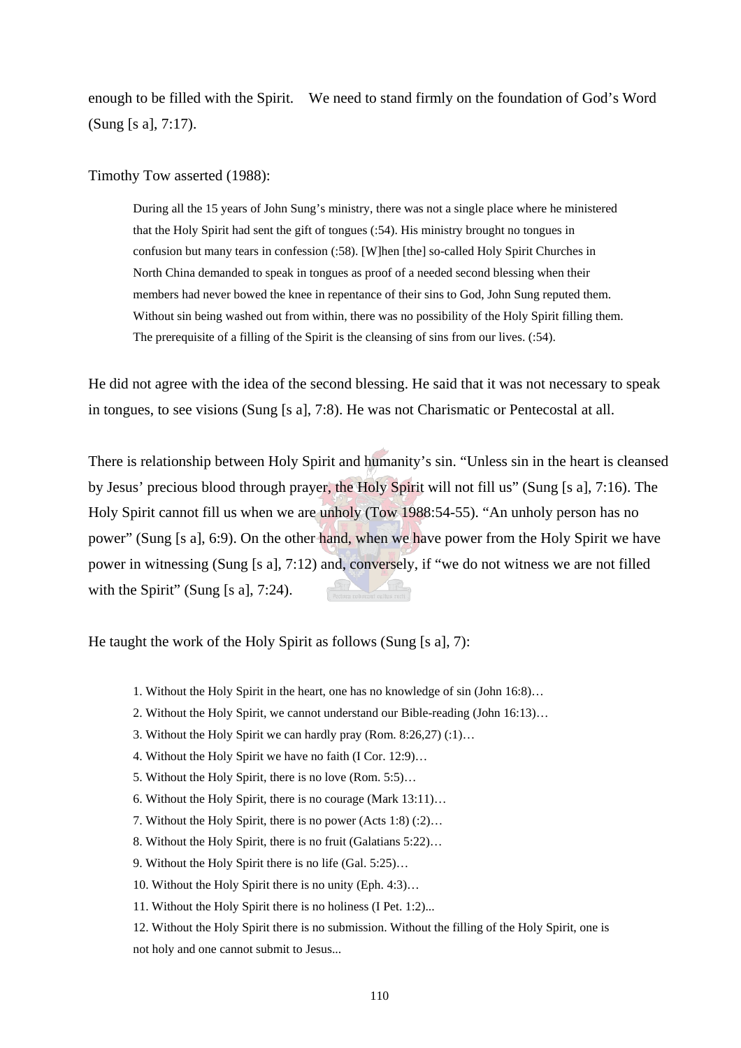enough to be filled with the Spirit. We need to stand firmly on the foundation of God's Word (Sung [s a], 7:17).

Timothy Tow asserted (1988):

During all the 15 years of John Sung's ministry, there was not a single place where he ministered that the Holy Spirit had sent the gift of tongues (:54). His ministry brought no tongues in confusion but many tears in confession (:58). [W]hen [the] so-called Holy Spirit Churches in North China demanded to speak in tongues as proof of a needed second blessing when their members had never bowed the knee in repentance of their sins to God, John Sung reputed them. Without sin being washed out from within, there was no possibility of the Holy Spirit filling them. The prerequisite of a filling of the Spirit is the cleansing of sins from our lives. (:54).

He did not agree with the idea of the second blessing. He said that it was not necessary to speak in tongues, to see visions (Sung [s a], 7:8). He was not Charismatic or Pentecostal at all.

There is relationship between Holy Spirit and humanity's sin. "Unless sin in the heart is cleansed by Jesus' precious blood through prayer, the Holy Spirit will not fill us" (Sung [s a], 7:16). The Holy Spirit cannot fill us when we are unholy (Tow 1988:54-55). "An unholy person has no power" (Sung [s a], 6:9). On the other hand, when we have power from the Holy Spirit we have power in witnessing (Sung [s a], 7:12) and, conversely, if "we do not witness we are not filled with the Spirit" (Sung [s a],  $7:24$ ).

He taught the work of the Holy Spirit as follows (Sung [s a], 7):

- 1. Without the Holy Spirit in the heart, one has no knowledge of sin (John 16:8)…
- 2. Without the Holy Spirit, we cannot understand our Bible-reading (John 16:13)…
- 3. Without the Holy Spirit we can hardly pray (Rom. 8:26,27) (:1)…
- 4. Without the Holy Spirit we have no faith (I Cor. 12:9)…
- 5. Without the Holy Spirit, there is no love (Rom. 5:5)…
- 6. Without the Holy Spirit, there is no courage (Mark 13:11)…
- 7. Without the Holy Spirit, there is no power (Acts 1:8) (:2)…
- 8. Without the Holy Spirit, there is no fruit (Galatians 5:22)…
- 9. Without the Holy Spirit there is no life (Gal. 5:25)…
- 10. Without the Holy Spirit there is no unity (Eph. 4:3)…
- 11. Without the Holy Spirit there is no holiness (I Pet. 1:2)...
- 12. Without the Holy Spirit there is no submission. Without the filling of the Holy Spirit, one is not holy and one cannot submit to Jesus...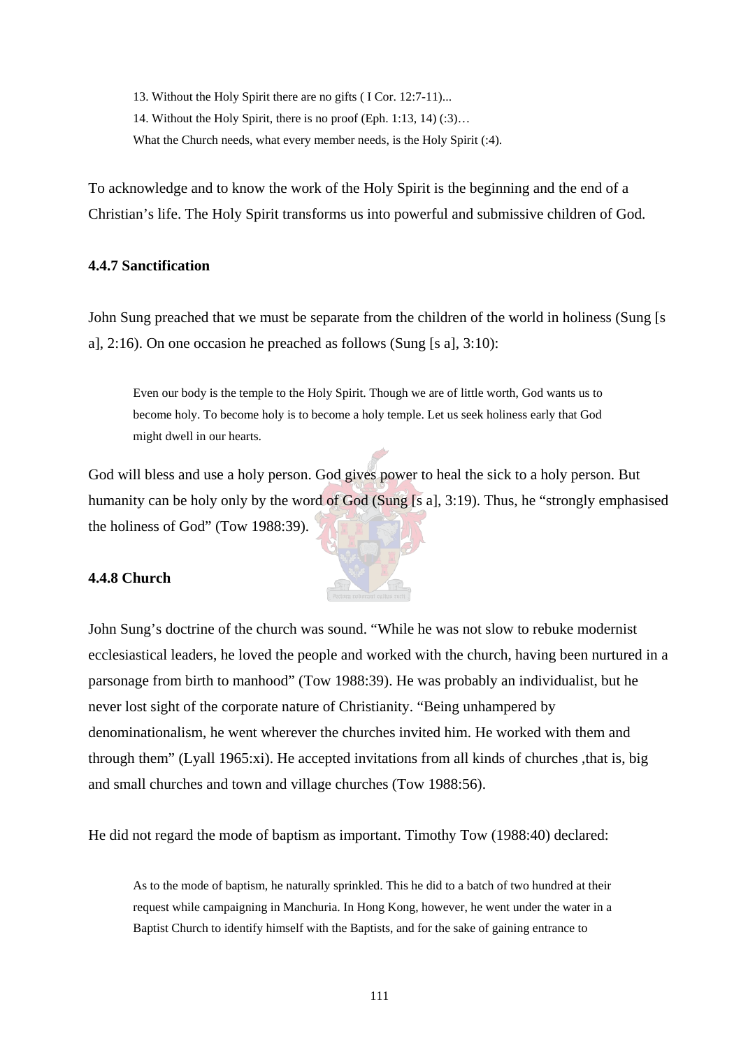13. Without the Holy Spirit there are no gifts ( I Cor. 12:7-11)... 14. Without the Holy Spirit, there is no proof (Eph. 1:13, 14) (:3)… What the Church needs, what every member needs, is the Holy Spirit (:4).

To acknowledge and to know the work of the Holy Spirit is the beginning and the end of a Christian's life. The Holy Spirit transforms us into powerful and submissive children of God.

# **4.4.7 Sanctification**

John Sung preached that we must be separate from the children of the world in holiness (Sung [s a],  $2:16$ ). On one occasion he preached as follows (Sung [s a],  $3:10$ ):

Even our body is the temple to the Holy Spirit. Though we are of little worth, God wants us to become holy. To become holy is to become a holy temple. Let us seek holiness early that God might dwell in our hearts.

God will bless and use a holy person. God gives power to heal the sick to a holy person. But humanity can be holy only by the word of God (Sung [s a], 3:19). Thus, he "strongly emphasised the holiness of God" (Tow 1988:39).

# **4.4.8 Church**

John Sung's doctrine of the church was sound. "While he was not slow to rebuke modernist ecclesiastical leaders, he loved the people and worked with the church, having been nurtured in a parsonage from birth to manhood" (Tow 1988:39). He was probably an individualist, but he never lost sight of the corporate nature of Christianity. "Being unhampered by denominationalism, he went wherever the churches invited him. He worked with them and through them" (Lyall 1965:xi). He accepted invitations from all kinds of churches ,that is, big and small churches and town and village churches (Tow 1988:56).

He did not regard the mode of baptism as important. Timothy Tow (1988:40) declared:

As to the mode of baptism, he naturally sprinkled. This he did to a batch of two hundred at their request while campaigning in Manchuria. In Hong Kong, however, he went under the water in a Baptist Church to identify himself with the Baptists, and for the sake of gaining entrance to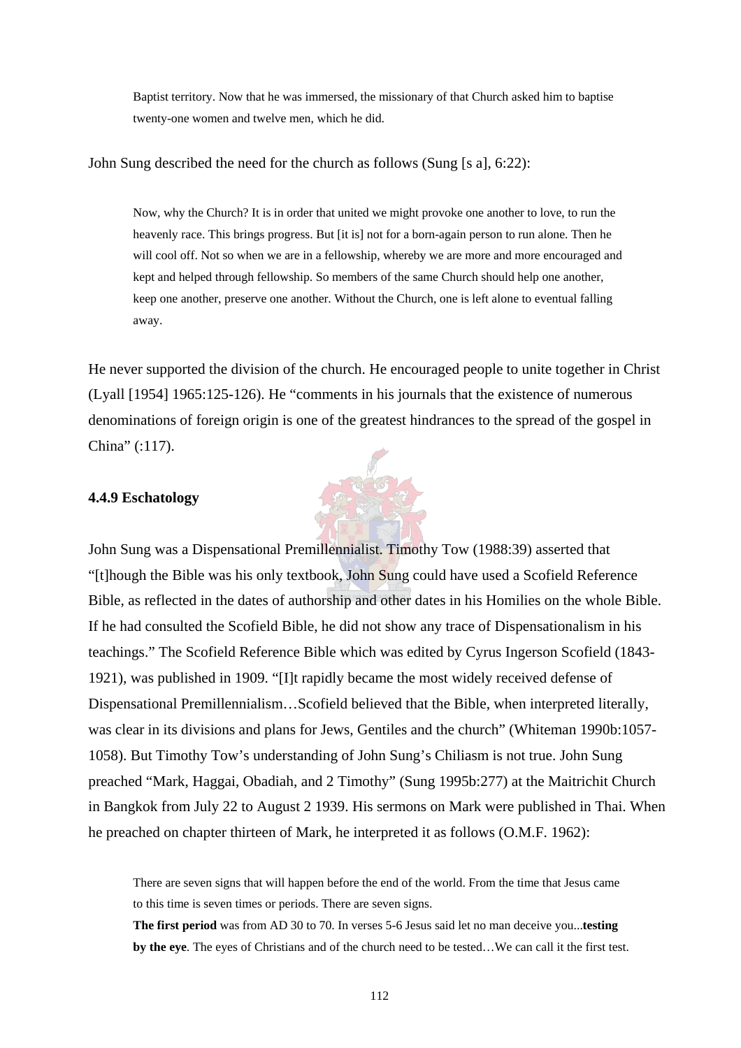Baptist territory. Now that he was immersed, the missionary of that Church asked him to baptise twenty-one women and twelve men, which he did.

#### John Sung described the need for the church as follows (Sung [s a], 6:22):

Now, why the Church? It is in order that united we might provoke one another to love, to run the heavenly race. This brings progress. But [it is] not for a born-again person to run alone. Then he will cool off. Not so when we are in a fellowship, whereby we are more and more encouraged and kept and helped through fellowship. So members of the same Church should help one another, keep one another, preserve one another. Without the Church, one is left alone to eventual falling away.

He never supported the division of the church. He encouraged people to unite together in Christ (Lyall [1954] 1965:125-126). He "comments in his journals that the existence of numerous denominations of foreign origin is one of the greatest hindrances to the spread of the gospel in China" (:117).

#### **4.4.9 Eschatology**



There are seven signs that will happen before the end of the world. From the time that Jesus came to this time is seven times or periods. There are seven signs.

**The first period** was from AD 30 to 70. In verses 5-6 Jesus said let no man deceive you...**testing by the eye**. The eyes of Christians and of the church need to be tested…We can call it the first test.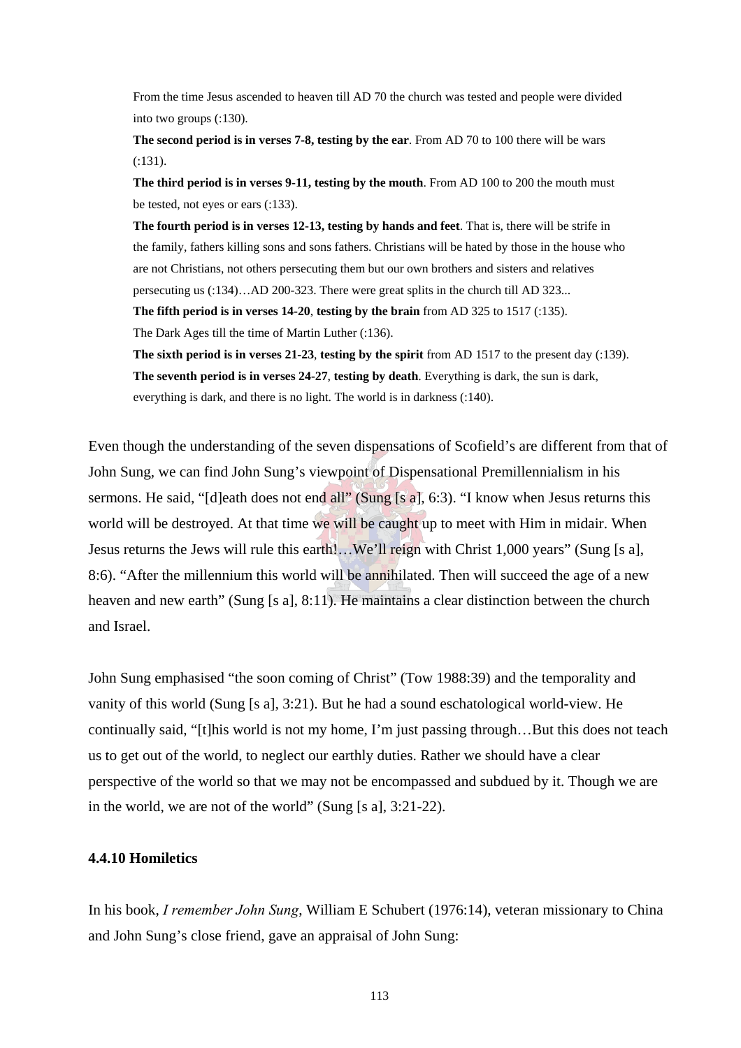From the time Jesus ascended to heaven till AD 70 the church was tested and people were divided into two groups (:130).

**The second period is in verses 7-8, testing by the ear**. From AD 70 to 100 there will be wars (:131).

**The third period is in verses 9-11, testing by the mouth**. From AD 100 to 200 the mouth must be tested, not eyes or ears (:133).

**The fourth period is in verses 12-13, testing by hands and feet**. That is, there will be strife in the family, fathers killing sons and sons fathers. Christians will be hated by those in the house who are not Christians, not others persecuting them but our own brothers and sisters and relatives persecuting us (:134)…AD 200-323. There were great splits in the church till AD 323...

**The fifth period is in verses 14-20**, **testing by the brain** from AD 325 to 1517 (:135).

The Dark Ages till the time of Martin Luther (:136).

**The sixth period is in verses 21-23**, **testing by the spirit** from AD 1517 to the present day (:139). **The seventh period is in verses 24-27**, **testing by death**. Everything is dark, the sun is dark, everything is dark, and there is no light. The world is in darkness (:140).

Even though the understanding of the seven dispensations of Scofield's are different from that of John Sung, we can find John Sung's viewpoint of Dispensational Premillennialism in his sermons. He said, "[d]eath does not end all" (Sung [s a], 6:3). "I know when Jesus returns this world will be destroyed. At that time we will be caught up to meet with Him in midair. When Jesus returns the Jews will rule this earth!…We'll reign with Christ 1,000 years" (Sung [s a], 8:6). "After the millennium this world will be annihilated. Then will succeed the age of a new heaven and new earth" (Sung [s a], 8:11). He maintains a clear distinction between the church and Israel.

John Sung emphasised "the soon coming of Christ" (Tow 1988:39) and the temporality and vanity of this world (Sung [s a], 3:21). But he had a sound eschatological world-view. He continually said, "[t]his world is not my home, I'm just passing through…But this does not teach us to get out of the world, to neglect our earthly duties. Rather we should have a clear perspective of the world so that we may not be encompassed and subdued by it. Though we are in the world, we are not of the world" (Sung [s a], 3:21-22).

### **4.4.10 Homiletics**

In his book, *I remember John Sung*, William E Schubert (1976:14), veteran missionary to China and John Sung's close friend, gave an appraisal of John Sung: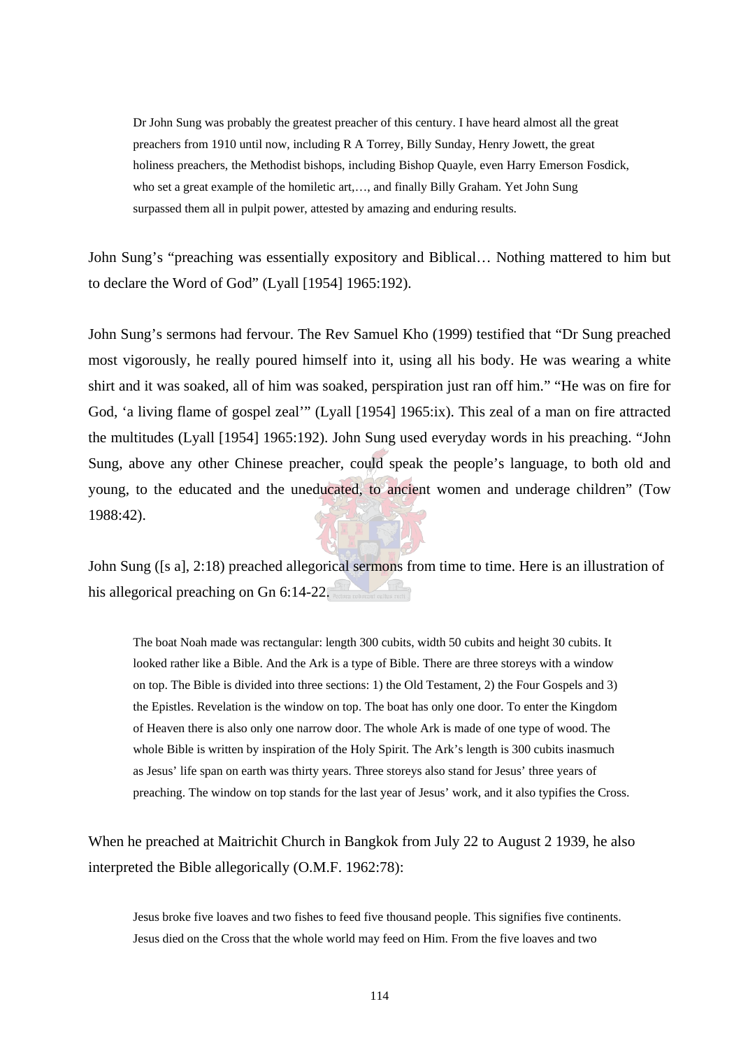Dr John Sung was probably the greatest preacher of this century. I have heard almost all the great preachers from 1910 until now, including R A Torrey, Billy Sunday, Henry Jowett, the great holiness preachers, the Methodist bishops, including Bishop Quayle, even Harry Emerson Fosdick, who set a great example of the homiletic art,…, and finally Billy Graham. Yet John Sung surpassed them all in pulpit power, attested by amazing and enduring results.

John Sung's "preaching was essentially expository and Biblical… Nothing mattered to him but to declare the Word of God" (Lyall [1954] 1965:192).

John Sung's sermons had fervour. The Rev Samuel Kho (1999) testified that "Dr Sung preached most vigorously, he really poured himself into it, using all his body. He was wearing a white shirt and it was soaked, all of him was soaked, perspiration just ran off him." "He was on fire for God, 'a living flame of gospel zeal'" (Lyall [1954] 1965:ix). This zeal of a man on fire attracted the multitudes (Lyall [1954] 1965:192). John Sung used everyday words in his preaching. "John Sung, above any other Chinese preacher, could speak the people's language, to both old and young, to the educated and the uneducated, to ancient women and underage children" (Tow 1988:42).

John Sung ([s a], 2:18) preached allegorical sermons from time to time. Here is an illustration of his allegorical preaching on Gn 6:14-22.

The boat Noah made was rectangular: length 300 cubits, width 50 cubits and height 30 cubits. It looked rather like a Bible. And the Ark is a type of Bible. There are three storeys with a window on top. The Bible is divided into three sections: 1) the Old Testament, 2) the Four Gospels and 3) the Epistles. Revelation is the window on top. The boat has only one door. To enter the Kingdom of Heaven there is also only one narrow door. The whole Ark is made of one type of wood. The whole Bible is written by inspiration of the Holy Spirit. The Ark's length is 300 cubits inasmuch as Jesus' life span on earth was thirty years. Three storeys also stand for Jesus' three years of preaching. The window on top stands for the last year of Jesus' work, and it also typifies the Cross.

When he preached at Maitrichit Church in Bangkok from July 22 to August 2 1939, he also interpreted the Bible allegorically (O.M.F. 1962:78):

Jesus broke five loaves and two fishes to feed five thousand people. This signifies five continents. Jesus died on the Cross that the whole world may feed on Him. From the five loaves and two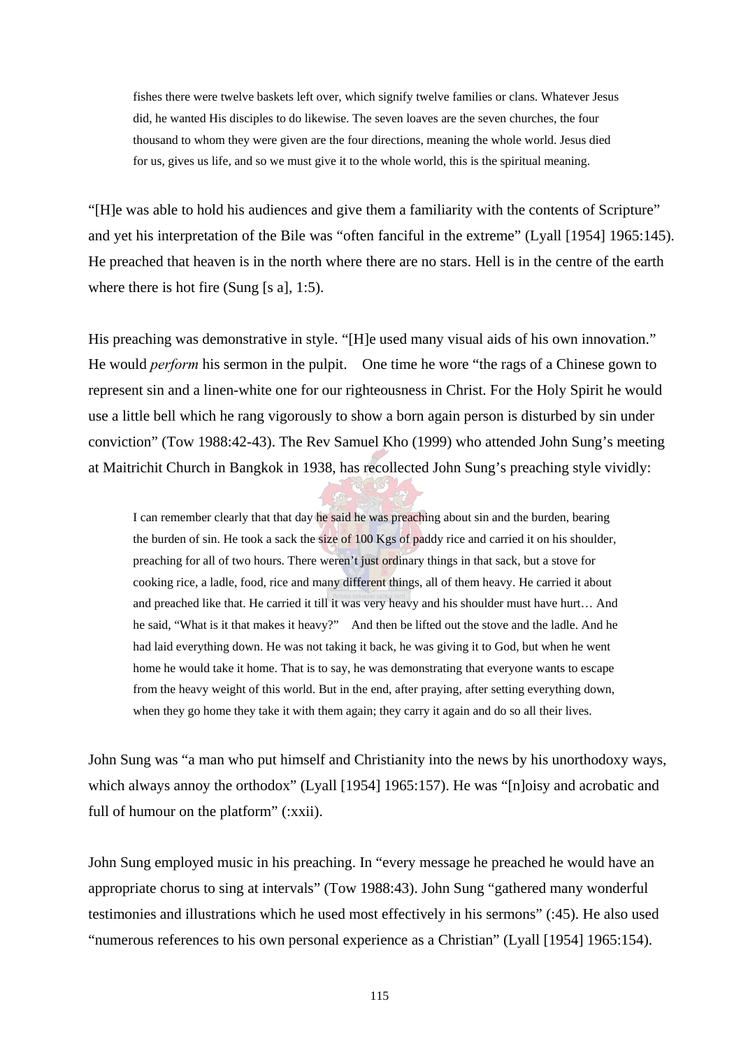fishes there were twelve baskets left over, which signify twelve families or clans. Whatever Jesus did, he wanted His disciples to do likewise. The seven loaves are the seven churches, the four thousand to whom they were given are the four directions, meaning the whole world. Jesus died for us, gives us life, and so we must give it to the whole world, this is the spiritual meaning.

"[H]e was able to hold his audiences and give them a familiarity with the contents of Scripture" and yet his interpretation of the Bile was "often fanciful in the extreme" (Lyall [1954] 1965:145). He preached that heaven is in the north where there are no stars. Hell is in the centre of the earth where there is hot fire (Sung [s a], 1:5).

His preaching was demonstrative in style. "[H]e used many visual aids of his own innovation." He would *perform* his sermon in the pulpit. One time he wore "the rags of a Chinese gown to represent sin and a linen-white one for our righteousness in Christ. For the Holy Spirit he would use a little bell which he rang vigorously to show a born again person is disturbed by sin under conviction" (Tow 1988:42-43). The Rev Samuel Kho (1999) who attended John Sung's meeting at Maitrichit Church in Bangkok in 1938, has recollected John Sung's preaching style vividly:

I can remember clearly that that day he said he was preaching about sin and the burden, bearing the burden of sin. He took a sack the size of 100 Kgs of paddy rice and carried it on his shoulder, preaching for all of two hours. There weren't just ordinary things in that sack, but a stove for cooking rice, a ladle, food, rice and many different things, all of them heavy. He carried it about and preached like that. He carried it till it was very heavy and his shoulder must have hurt… And he said, "What is it that makes it heavy?" And then be lifted out the stove and the ladle. And he had laid everything down. He was not taking it back, he was giving it to God, but when he went home he would take it home. That is to say, he was demonstrating that everyone wants to escape from the heavy weight of this world. But in the end, after praying, after setting everything down, when they go home they take it with them again; they carry it again and do so all their lives.

John Sung was "a man who put himself and Christianity into the news by his unorthodoxy ways, which always annoy the orthodox" (Lyall [1954] 1965:157). He was "[n]oisy and acrobatic and full of humour on the platform" (:xxii).

John Sung employed music in his preaching. In "every message he preached he would have an appropriate chorus to sing at intervals" (Tow 1988:43). John Sung "gathered many wonderful testimonies and illustrations which he used most effectively in his sermons" (:45). He also used "numerous references to his own personal experience as a Christian" (Lyall [1954] 1965:154).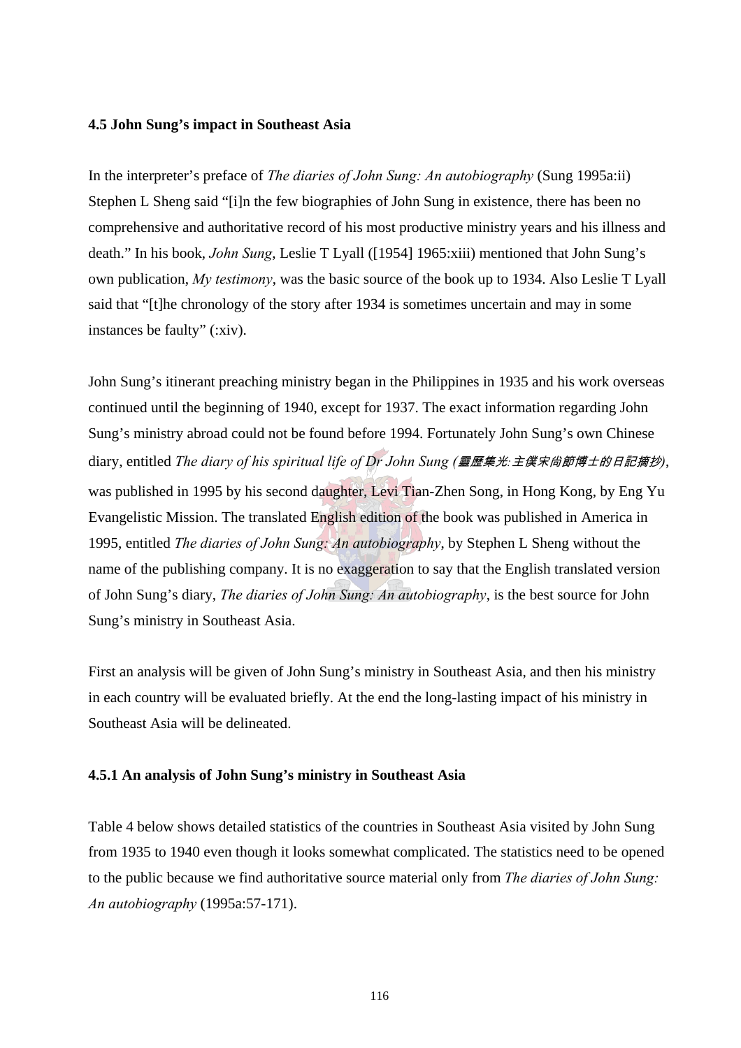#### **4.5 John Sung's impact in Southeast Asia**

In the interpreter's preface of *The diaries of John Sung: An autobiography* (Sung 1995a:ii) Stephen L Sheng said "[i]n the few biographies of John Sung in existence, there has been no comprehensive and authoritative record of his most productive ministry years and his illness and death." In his book, *John Sung*, Leslie T Lyall ([1954] 1965:xiii) mentioned that John Sung's own publication, *My testimony*, was the basic source of the book up to 1934. Also Leslie T Lyall said that "[t]he chronology of the story after 1934 is sometimes uncertain and may in some instances be faulty" (:xiv).

John Sung's itinerant preaching ministry began in the Philippines in 1935 and his work overseas continued until the beginning of 1940, except for 1937. The exact information regarding John Sung's ministry abroad could not be found before 1994. Fortunately John Sung's own Chinese diary, entitled *The diary of his spiritual life of Dr John Sung (*靈歷集光*:*主僕宋尙節博士的日記摘抄*)*, was published in 1995 by his second daughter, Levi Tian-Zhen Song, in Hong Kong, by Eng Yu Evangelistic Mission. The translated English edition of the book was published in America in 1995, entitled *The diaries of John Sung: An autobiography*, by Stephen L Sheng without the name of the publishing company. It is no exaggeration to say that the English translated version of John Sung's diary, *The diaries of John Sung: An autobiography*, is the best source for John Sung's ministry in Southeast Asia.

First an analysis will be given of John Sung's ministry in Southeast Asia, and then his ministry in each country will be evaluated briefly. At the end the long-lasting impact of his ministry in Southeast Asia will be delineated.

# **4.5.1 An analysis of John Sung's ministry in Southeast Asia**

Table 4 below shows detailed statistics of the countries in Southeast Asia visited by John Sung from 1935 to 1940 even though it looks somewhat complicated. The statistics need to be opened to the public because we find authoritative source material only from *The diaries of John Sung: An autobiography* (1995a:57-171).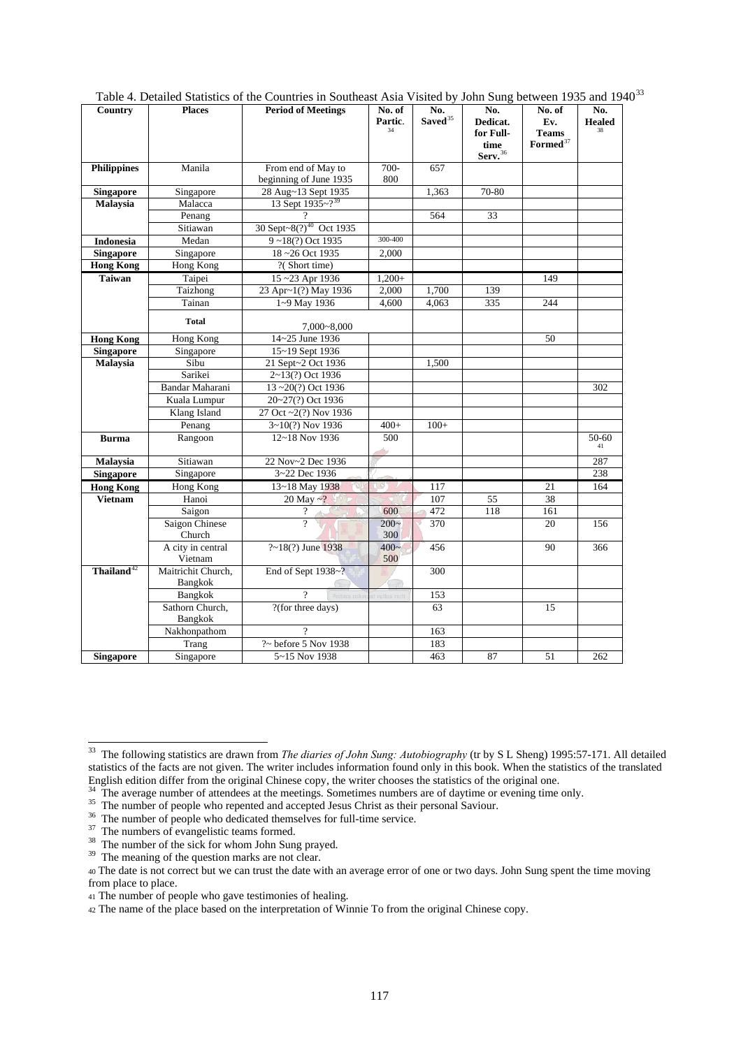| Country                | <b>Places</b>      | <b>Period of Meetings</b>           | No. of<br>Partic.        | No.<br>Saved <sup>35</sup> | No.<br>Dedicat.<br>for Full- | No. of<br>Ev.<br><b>Teams</b> | No.<br><b>Healed</b> |
|------------------------|--------------------|-------------------------------------|--------------------------|----------------------------|------------------------------|-------------------------------|----------------------|
|                        |                    |                                     |                          |                            | time<br>Serv. <sup>36</sup>  | $\mathbf{Formed}^{37}$        |                      |
| <b>Philippines</b>     | Manila             | From end of May to                  | 700-                     | 657                        |                              |                               |                      |
|                        |                    | beginning of June 1935              | 800                      |                            |                              |                               |                      |
| <b>Singapore</b>       | Singapore          | 28 Aug~13 Sept 1935                 |                          | 1,363                      | 70-80                        |                               |                      |
| Malaysia               | Malacca            | 13 Sept $1935 - ?^{39}$             |                          |                            |                              |                               |                      |
|                        | Penang             |                                     |                          | 564                        | 33                           |                               |                      |
|                        | Sitiawan           | 30 Sept~8(?) <sup>40</sup> Oct 1935 |                          |                            |                              |                               |                      |
| <b>Indonesia</b>       | Medan              | 9~18(?) Oct 1935                    | 300-400                  |                            |                              |                               |                      |
| <b>Singapore</b>       | Singapore          | 18~26 Oct 1935                      | 2,000                    |                            |                              |                               |                      |
| <b>Hong Kong</b>       | Hong Kong          | ?(Short time)                       |                          |                            |                              |                               |                      |
| <b>Taiwan</b>          | Taipei             | 15~23 Apr 1936                      | $1,200+$                 |                            |                              | 149                           |                      |
|                        | Taizhong           | 23 Apr~1(?) May 1936                | 2,000                    | 1,700                      | 139                          |                               |                      |
|                        | Tainan             | 1~9 May 1936                        | 4.600                    | 4.063                      | 335                          | 244                           |                      |
|                        | <b>Total</b>       |                                     |                          |                            |                              |                               |                      |
|                        |                    | $7,000 - 8,000$                     |                          |                            |                              |                               |                      |
| <b>Hong Kong</b>       | Hong Kong          | 14~25 June 1936                     |                          |                            |                              | 50                            |                      |
| <b>Singapore</b>       | Singapore          | 15~19 Sept 1936                     |                          |                            |                              |                               |                      |
| Malaysia               | Sibu               | 21 Sept~2 Oct 1936                  |                          | 1,500                      |                              |                               |                      |
|                        | Sarikei            | 2~13(?) Oct 1936                    |                          |                            |                              |                               |                      |
|                        | Bandar Maharani    | 13~20(?) Oct 1936                   |                          |                            |                              |                               | 302                  |
|                        | Kuala Lumpur       | 20~27(?) Oct 1936                   |                          |                            |                              |                               |                      |
|                        | Klang Island       | 27 Oct ~2(?) Nov 1936               |                          |                            |                              |                               |                      |
|                        | Penang             | 3~10(?) Nov 1936                    | $400+$                   | $100+$                     |                              |                               |                      |
| <b>Burma</b>           | Rangoon            | 12~18 Nov 1936                      | 500                      |                            |                              |                               | 50-60<br>41          |
| Malaysia               | Sitiawan           | 22 Nov~2 Dec 1936                   | $\overline{\phantom{a}}$ |                            |                              |                               | 287                  |
| <b>Singapore</b>       | Singapore          | 3~22 Dec 1936                       |                          |                            |                              |                               | 238                  |
| <b>Hong Kong</b>       | Hong Kong          | 13~18 May 1938                      |                          | 117                        |                              | 21                            | 164                  |
| Vietnam                | Hanoi              | 20 May $\approx$ ?                  |                          | 107                        | 55                           | 38                            |                      |
|                        | Saigon             | $\gamma$                            | 600                      | 472                        | $\overline{118}$             | 161                           |                      |
|                        | Saigon Chinese     | $\overline{2}$                      | $200-$                   | 370                        |                              | 20                            | 156                  |
|                        | Church             |                                     | 300                      |                            |                              |                               |                      |
|                        | A city in central  | ?~18(?) June 1938                   | $400 -$                  | 456                        |                              | 90                            | 366                  |
|                        | Vietnam            |                                     | 500                      |                            |                              |                               |                      |
| Thailand <sup>42</sup> | Maitrichit Church, | End of Sept 1938~?                  |                          | 300                        |                              |                               |                      |
|                        | Bangkok            |                                     |                          |                            |                              |                               |                      |
|                        | Bangkok            | $\overline{2}$<br>Pectora robi      | cultus recti             | 153                        |                              |                               |                      |
|                        | Sathorn Church,    | ?(for three days)                   |                          | 63                         |                              | 15                            |                      |
|                        | Bangkok            |                                     |                          |                            |                              |                               |                      |
|                        | Nakhonpathom       | 9                                   |                          | 163                        |                              |                               |                      |
|                        | Trang              | ?~ before 5 Nov 1938                |                          | 183                        |                              |                               |                      |
| <b>Singapore</b>       | Singapore          | 5~15 Nov 1938                       |                          | 463                        | 87                           | 51                            | 262                  |

Table 4. Detailed Statistics of the Countries in Southeast Asia Visited by John Sung between 1935 and 1940<sup>33</sup>

 $\overline{a}$ 

<sup>33</sup> The following statistics are drawn from *The diaries of John Sung: Autobiography* (tr by S L Sheng) 1995:57-171. All detailed statistics of the facts are not given. The writer includes information found only in this book. When the statistics of the translated English edition differ from the original Chinese copy, the writer chooses the statistics of the original one.<br><sup>34</sup> The average number of attendees at the meetings. Sometimes numbers are of daytime or evening time only.<br><sup>35</sup>

<sup>&</sup>lt;sup>36</sup> The number of people who repented and accepted Jesus Christ as their personal Saviour. 36 The number of people who dedicated themselves for full-time service. <sup>37</sup> The number of the sick for whom John Sung prayed.

 $39$  The number of the sick for whom  $\frac{1}{2}$  prayed.  $39$  The meaning of the question marks are not clear.

<sup>40</sup> The date is not correct but we can trust the date with an average error of one or two days. John Sung spent the time moving from place to place.

<sup>41</sup> The number of people who gave testimonies of healing.

<sup>42</sup> The name of the place based on the interpretation of Winnie To from the original Chinese copy.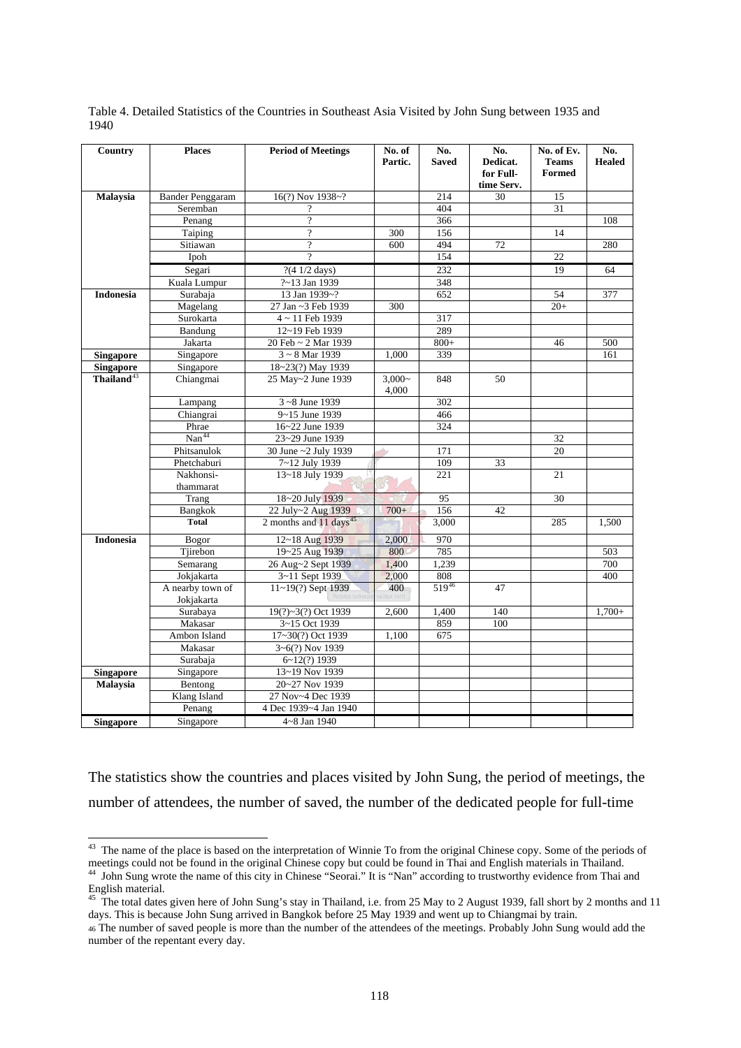| Country                | <b>Places</b>                          | <b>Period of Meetings</b>          | No. of<br>Partic. | No.<br><b>Saved</b> | No.<br>Dedicat.<br>for Full- | No. of Ev.<br><b>Teams</b><br><b>Formed</b> | No.<br><b>Healed</b> |
|------------------------|----------------------------------------|------------------------------------|-------------------|---------------------|------------------------------|---------------------------------------------|----------------------|
| Malaysia               | <b>Bander Penggaram</b>                | 16(?) Nov 1938~?                   |                   | 214                 | time Serv.<br>30             | 15                                          |                      |
|                        | Seremban                               | $\overline{\mathcal{L}}$           |                   | 404                 |                              | 31                                          |                      |
|                        | Penang                                 | $\overline{\mathcal{P}}$           |                   | 366                 |                              |                                             | 108                  |
|                        | Taiping                                | $\overline{?}$                     | 300               | 156                 |                              | 14                                          |                      |
|                        | Sitiawan                               | $\overline{\cdot}$                 | 600               | 494                 | 72                           |                                             | 280                  |
|                        | Ipoh                                   | $\overline{2}$                     |                   | 154                 |                              | 22                                          |                      |
|                        | Segari                                 | ?(4 1/2 days)                      |                   | 232                 |                              | 19                                          | 64                   |
|                        | Kuala Lumpur                           | ?~13 Jan 1939                      |                   | 348                 |                              |                                             |                      |
| <b>Indonesia</b>       | Surabaja                               | 13 Jan 1939~?                      |                   | 652                 |                              | 54                                          | 377                  |
|                        | Magelang                               | 27 Jan ~3 Feb 1939                 | 300               |                     |                              | $20+$                                       |                      |
|                        | Surokarta                              | $4 \sim 11$ Feb 1939               |                   | 317                 |                              |                                             |                      |
|                        | Bandung                                | 12~19 Feb 1939                     |                   | 289                 |                              |                                             |                      |
|                        | Jakarta                                | 20 Feb ~ 2 Mar 1939                |                   | $800+$              |                              | 46                                          | 500                  |
| <b>Singapore</b>       | Singapore                              | 3~8 Mar 1939                       | 1,000             | 339                 |                              |                                             | 161                  |
| <b>Singapore</b>       | Singapore                              | 18~23(?) May 1939                  |                   |                     |                              |                                             |                      |
| Thailand <sup>43</sup> | Chiangmai                              | 25 May~2 June 1939                 | $3,000-$          | 848                 | 50                           |                                             |                      |
|                        |                                        |                                    | 4,000             |                     |                              |                                             |                      |
|                        | Lampang                                | 3~8 June 1939                      |                   | 302                 |                              |                                             |                      |
|                        | Chiangrai                              | 9~15 June 1939                     |                   | 466                 |                              |                                             |                      |
|                        | $\frac{\text{Phrae}}{\text{Nan}^{44}}$ | 16~22 June 1939                    |                   | 324                 |                              |                                             |                      |
|                        |                                        | 23~29 June 1939                    |                   |                     |                              | 32                                          |                      |
|                        | Phitsanulok                            | 30 June ~2 July 1939               |                   | 171                 |                              | 20                                          |                      |
|                        | Phetchaburi                            | 7~12 July 1939                     |                   | 109                 | 33                           |                                             |                      |
|                        | Nakhonsi-                              | 13~18 July 1939                    |                   | 221                 |                              | 21                                          |                      |
|                        | thammarat                              |                                    |                   |                     |                              |                                             |                      |
|                        | Trang                                  | 18~20 July 1939                    |                   | 95                  |                              | 30                                          |                      |
|                        | Bangkok                                | 22 July~2 Aug 1939                 | $700+$            | 156                 | 42                           |                                             |                      |
|                        | <b>Total</b>                           | 2 months and 11 days <sup>45</sup> |                   | 3,000               |                              | 285                                         | 1,500                |
| <b>Indonesia</b>       | Bogor                                  | 12~18 Aug 1939                     | 2,000             | 970                 |                              |                                             |                      |
|                        | Tjirebon                               | 19~25 Aug 1939                     | 800               | 785                 |                              |                                             | 503                  |
|                        | Semarang                               | 26 Aug~2 Sept 1939                 | 1,400             | 1,239               |                              |                                             | 700                  |
|                        | Jokjakarta                             | 3~11 Sept 1939                     | 2,000             | 808                 |                              |                                             | 400                  |
|                        | A nearby town of                       | 11~19(?) Sept 1939                 | 400               | 51946               | 47                           |                                             |                      |
|                        | Jokjakarta                             |                                    |                   |                     |                              |                                             |                      |
|                        | Surabaya                               | 19(?)~3(?) Oct 1939                | 2,600             | 1,400               | 140                          |                                             | $1,700+$             |
|                        | Makasar                                | 3~15 Oct 1939                      |                   | 859                 | 100                          |                                             |                      |
|                        | Ambon Island                           | 17~30(?) Oct 1939                  | 1,100             | 675                 |                              |                                             |                      |
|                        | Makasar                                | 3~6(?) Nov 1939                    |                   |                     |                              |                                             |                      |
|                        | Surabaja                               | $6 - 12(?) 1939$                   |                   |                     |                              |                                             |                      |
| <b>Singapore</b>       | Singapore                              | 13~19 Nov 1939                     |                   |                     |                              |                                             |                      |
| <b>Malaysia</b>        | Bentong                                | 20~27 Nov 1939                     |                   |                     |                              |                                             |                      |
|                        | Klang Island                           | 27 Nov~4 Dec 1939                  |                   |                     |                              |                                             |                      |
|                        | Penang                                 | 4 Dec 1939~4 Jan 1940              |                   |                     |                              |                                             |                      |
| <b>Singapore</b>       | Singapore                              | 4~8 Jan 1940                       |                   |                     |                              |                                             |                      |

Table 4. Detailed Statistics of the Countries in Southeast Asia Visited by John Sung between 1935 and 1940

The statistics show the countries and places visited by John Sung, the period of meetings, the number of attendees, the number of saved, the number of the dedicated people for full-time

 $\overline{a}$  $43$  The name of the place is based on the interpretation of Winnie To from the original Chinese copy. Some of the periods of meetings could not be found in the original Chinese copy but could be found in Thai and English materials in Thailand.<br><sup>44</sup> John Sung wrote the name of this city in Chinese "Seorai." It is "Nan" according to trustworthy ev

English material.

 $45$  The total dates given here of John Sung's stay in Thailand, i.e. from 25 May to 2 August 1939, fall short by 2 months and 11 days. This is because John Sung arrived in Bangkok before 25 May 1939 and went up to Chiangmai by train. 46 The number of saved people is more than the number of the attendees of the meetings. Probably John Sung would add the

number of the repentant every day.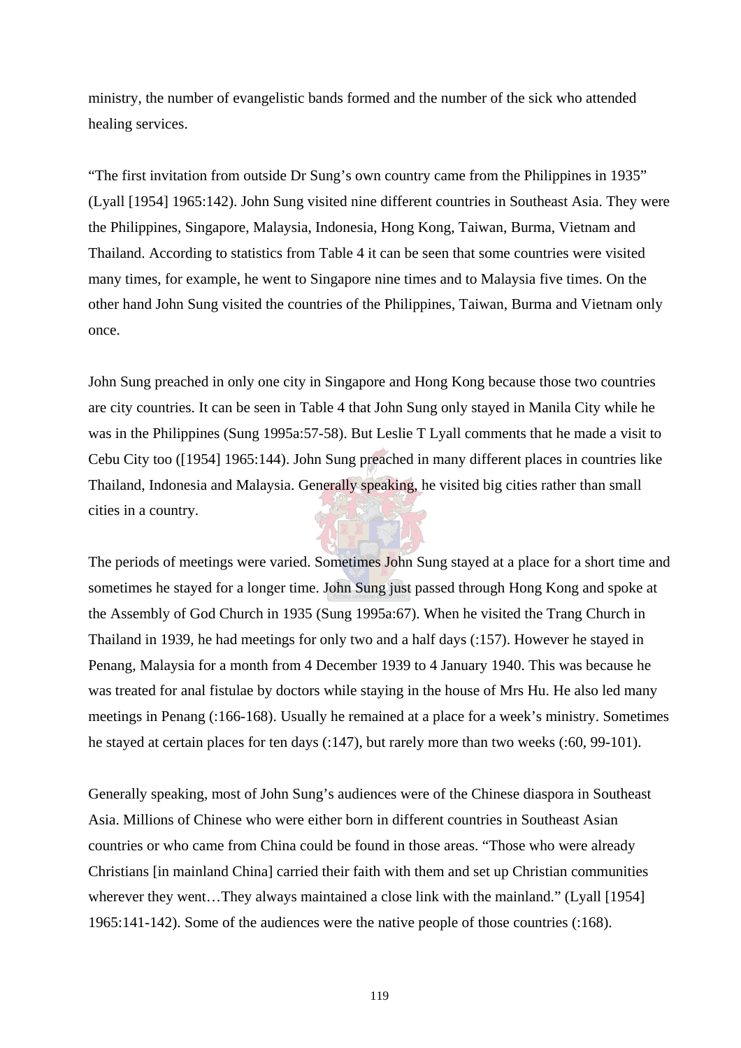ministry, the number of evangelistic bands formed and the number of the sick who attended healing services.

"The first invitation from outside Dr Sung's own country came from the Philippines in 1935" (Lyall [1954] 1965:142). John Sung visited nine different countries in Southeast Asia. They were the Philippines, Singapore, Malaysia, Indonesia, Hong Kong, Taiwan, Burma, Vietnam and Thailand. According to statistics from Table 4 it can be seen that some countries were visited many times, for example, he went to Singapore nine times and to Malaysia five times. On the other hand John Sung visited the countries of the Philippines, Taiwan, Burma and Vietnam only once.

John Sung preached in only one city in Singapore and Hong Kong because those two countries are city countries. It can be seen in Table 4 that John Sung only stayed in Manila City while he was in the Philippines (Sung 1995a:57-58). But Leslie T Lyall comments that he made a visit to Cebu City too ([1954] 1965:144). John Sung preached in many different places in countries like Thailand, Indonesia and Malaysia. Generally speaking, he visited big cities rather than small cities in a country.

The periods of meetings were varied. Sometimes John Sung stayed at a place for a short time and sometimes he stayed for a longer time. John Sung just passed through Hong Kong and spoke at the Assembly of God Church in 1935 (Sung 1995a:67). When he visited the Trang Church in Thailand in 1939, he had meetings for only two and a half days (:157). However he stayed in Penang, Malaysia for a month from 4 December 1939 to 4 January 1940. This was because he was treated for anal fistulae by doctors while staying in the house of Mrs Hu. He also led many meetings in Penang (:166-168). Usually he remained at a place for a week's ministry. Sometimes he stayed at certain places for ten days (:147), but rarely more than two weeks (:60, 99-101).

Generally speaking, most of John Sung's audiences were of the Chinese diaspora in Southeast Asia. Millions of Chinese who were either born in different countries in Southeast Asian countries or who came from China could be found in those areas. "Those who were already Christians [in mainland China] carried their faith with them and set up Christian communities wherever they went...They always maintained a close link with the mainland." (Lyall [1954] 1965:141-142). Some of the audiences were the native people of those countries (:168).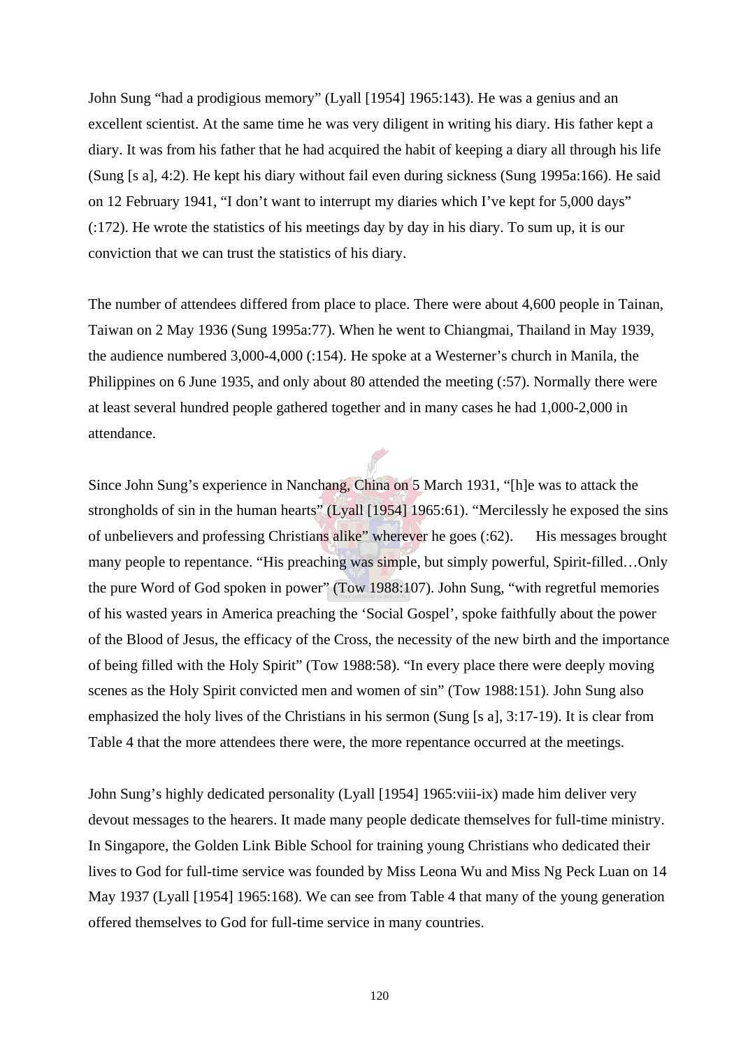John Sung "had a prodigious memory" (Lyall [1954] 1965:143). He was a genius and an excellent scientist. At the same time he was very diligent in writing his diary. His father kept a diary. It was from his father that he had acquired the habit of keeping a diary all through his life (Sung [s a], 4:2). He kept his diary without fail even during sickness (Sung 1995a:166). He said on 12 February 1941, "I don't want to interrupt my diaries which I've kept for 5,000 days" (:172). He wrote the statistics of his meetings day by day in his diary. To sum up, it is our conviction that we can trust the statistics of his diary.

The number of attendees differed from place to place. There were about 4,600 people in Tainan, Taiwan on 2 May 1936 (Sung 1995a:77). When he went to Chiangmai, Thailand in May 1939, the audience numbered 3,000-4,000 (:154). He spoke at a Westerner's church in Manila, the Philippines on 6 June 1935, and only about 80 attended the meeting (:57). Normally there were at least several hundred people gathered together and in many cases he had 1,000-2,000 in attendance.

Since John Sung's experience in Nanchang, China on 5 March 1931, "[h]e was to attack the strongholds of sin in the human hearts" (Lyall [1954] 1965:61). "Mercilessly he exposed the sins of unbelievers and professing Christians alike" wherever he goes (:62). His messages brought many people to repentance. "His preaching was simple, but simply powerful, Spirit-filled…Only the pure Word of God spoken in power" (Tow 1988:107). John Sung, "with regretful memories of his wasted years in America preaching the 'Social Gospel', spoke faithfully about the power of the Blood of Jesus, the efficacy of the Cross, the necessity of the new birth and the importance of being filled with the Holy Spirit" (Tow 1988:58). "In every place there were deeply moving scenes as the Holy Spirit convicted men and women of sin" (Tow 1988:151). John Sung also emphasized the holy lives of the Christians in his sermon (Sung [s a], 3:17-19). It is clear from Table 4 that the more attendees there were, the more repentance occurred at the meetings.

John Sung's highly dedicated personality (Lyall [1954] 1965:viii-ix) made him deliver very devout messages to the hearers. It made many people dedicate themselves for full-time ministry. In Singapore, the Golden Link Bible School for training young Christians who dedicated their lives to God for full-time service was founded by Miss Leona Wu and Miss Ng Peck Luan on 14 May 1937 (Lyall [1954] 1965:168). We can see from Table 4 that many of the young generation offered themselves to God for full-time service in many countries.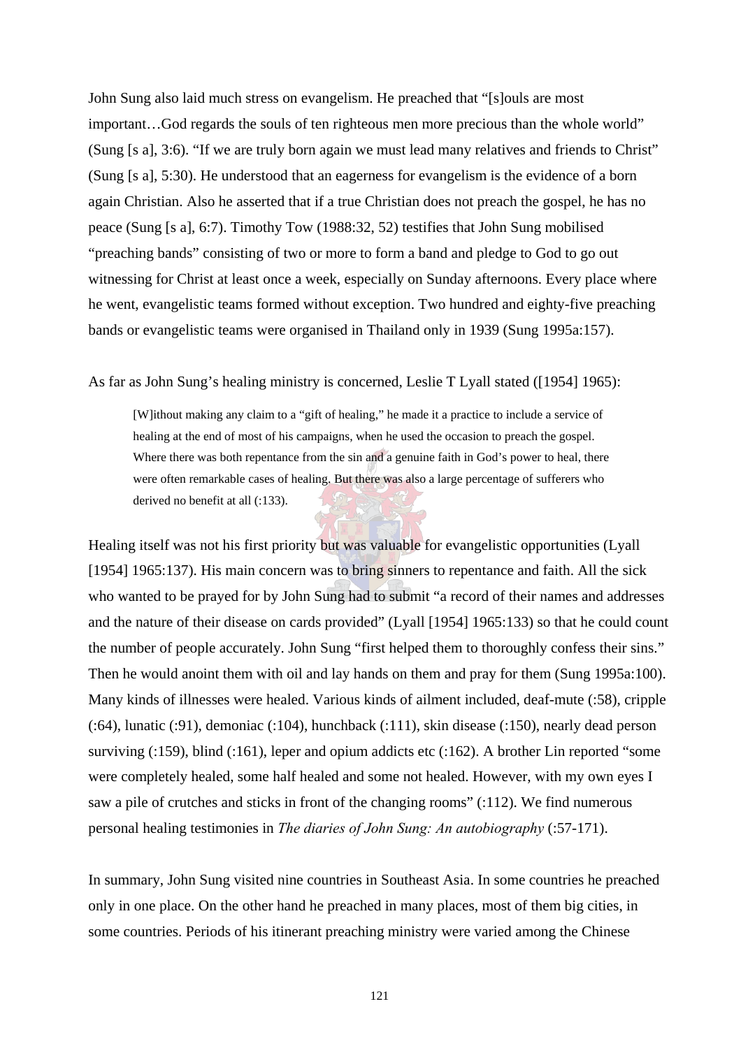John Sung also laid much stress on evangelism. He preached that "[s]ouls are most important…God regards the souls of ten righteous men more precious than the whole world" (Sung [s a], 3:6). "If we are truly born again we must lead many relatives and friends to Christ" (Sung [s a], 5:30). He understood that an eagerness for evangelism is the evidence of a born again Christian. Also he asserted that if a true Christian does not preach the gospel, he has no peace (Sung [s a], 6:7). Timothy Tow (1988:32, 52) testifies that John Sung mobilised "preaching bands" consisting of two or more to form a band and pledge to God to go out witnessing for Christ at least once a week, especially on Sunday afternoons. Every place where he went, evangelistic teams formed without exception. Two hundred and eighty-five preaching bands or evangelistic teams were organised in Thailand only in 1939 (Sung 1995a:157).

As far as John Sung's healing ministry is concerned, Leslie T Lyall stated ([1954] 1965):

[W]ithout making any claim to a "gift of healing," he made it a practice to include a service of healing at the end of most of his campaigns, when he used the occasion to preach the gospel. Where there was both repentance from the sin and a genuine faith in God's power to heal, there were often remarkable cases of healing. But there was also a large percentage of sufferers who derived no benefit at all (:133).

Healing itself was not his first priority but was valuable for evangelistic opportunities (Lyall [1954] 1965:137). His main concern was to bring sinners to repentance and faith. All the sick who wanted to be prayed for by John Sung had to submit "a record of their names and addresses and the nature of their disease on cards provided" (Lyall [1954] 1965:133) so that he could count the number of people accurately. John Sung "first helped them to thoroughly confess their sins." Then he would anoint them with oil and lay hands on them and pray for them (Sung 1995a:100). Many kinds of illnesses were healed. Various kinds of ailment included, deaf-mute (:58), cripple (:64), lunatic (:91), demoniac (:104), hunchback (:111), skin disease (:150), nearly dead person surviving (:159), blind (:161), leper and opium addicts etc (:162). A brother Lin reported "some were completely healed, some half healed and some not healed. However, with my own eyes I saw a pile of crutches and sticks in front of the changing rooms" (:112). We find numerous personal healing testimonies in *The diaries of John Sung: An autobiography* (:57-171).

In summary, John Sung visited nine countries in Southeast Asia. In some countries he preached only in one place. On the other hand he preached in many places, most of them big cities, in some countries. Periods of his itinerant preaching ministry were varied among the Chinese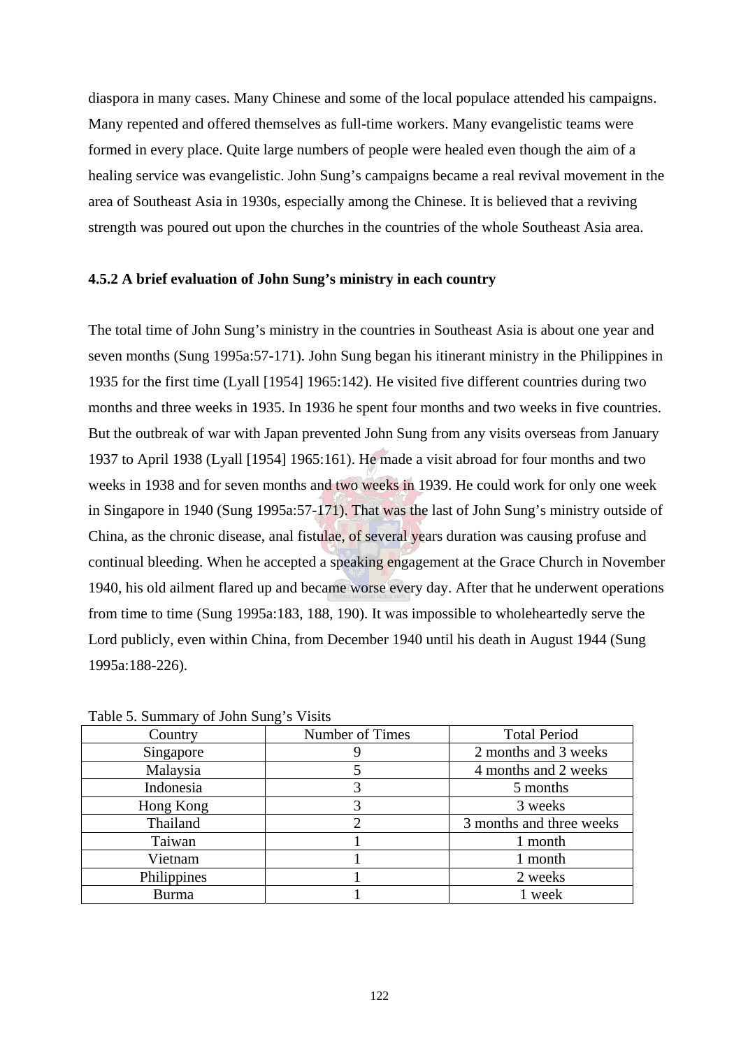diaspora in many cases. Many Chinese and some of the local populace attended his campaigns. Many repented and offered themselves as full-time workers. Many evangelistic teams were formed in every place. Quite large numbers of people were healed even though the aim of a healing service was evangelistic. John Sung's campaigns became a real revival movement in the area of Southeast Asia in 1930s, especially among the Chinese. It is believed that a reviving strength was poured out upon the churches in the countries of the whole Southeast Asia area.

### **4.5.2 A brief evaluation of John Sung's ministry in each country**

The total time of John Sung's ministry in the countries in Southeast Asia is about one year and seven months (Sung 1995a:57-171). John Sung began his itinerant ministry in the Philippines in 1935 for the first time (Lyall [1954] 1965:142). He visited five different countries during two months and three weeks in 1935. In 1936 he spent four months and two weeks in five countries. But the outbreak of war with Japan prevented John Sung from any visits overseas from January 1937 to April 1938 (Lyall [1954] 1965:161). He made a visit abroad for four months and two weeks in 1938 and for seven months and two weeks in 1939. He could work for only one week in Singapore in 1940 (Sung 1995a:57-171). That was the last of John Sung's ministry outside of China, as the chronic disease, anal fistulae, of several years duration was causing profuse and continual bleeding. When he accepted a speaking engagement at the Grace Church in November 1940, his old ailment flared up and became worse every day. After that he underwent operations from time to time (Sung 1995a:183, 188, 190). It was impossible to wholeheartedly serve the Lord publicly, even within China, from December 1940 until his death in August 1944 (Sung 1995a:188-226).

| Country      | Number of Times | <b>Total Period</b>      |  |  |  |  |
|--------------|-----------------|--------------------------|--|--|--|--|
| Singapore    |                 | 2 months and 3 weeks     |  |  |  |  |
| Malaysia     |                 | 4 months and 2 weeks     |  |  |  |  |
| Indonesia    |                 | 5 months                 |  |  |  |  |
| Hong Kong    |                 | 3 weeks                  |  |  |  |  |
| Thailand     |                 | 3 months and three weeks |  |  |  |  |
| Taiwan       |                 | 1 month                  |  |  |  |  |
| Vietnam      |                 | 1 month                  |  |  |  |  |
| Philippines  |                 | 2 weeks                  |  |  |  |  |
| <b>Burma</b> |                 | week                     |  |  |  |  |

Table 5. Summary of John Sung's Visits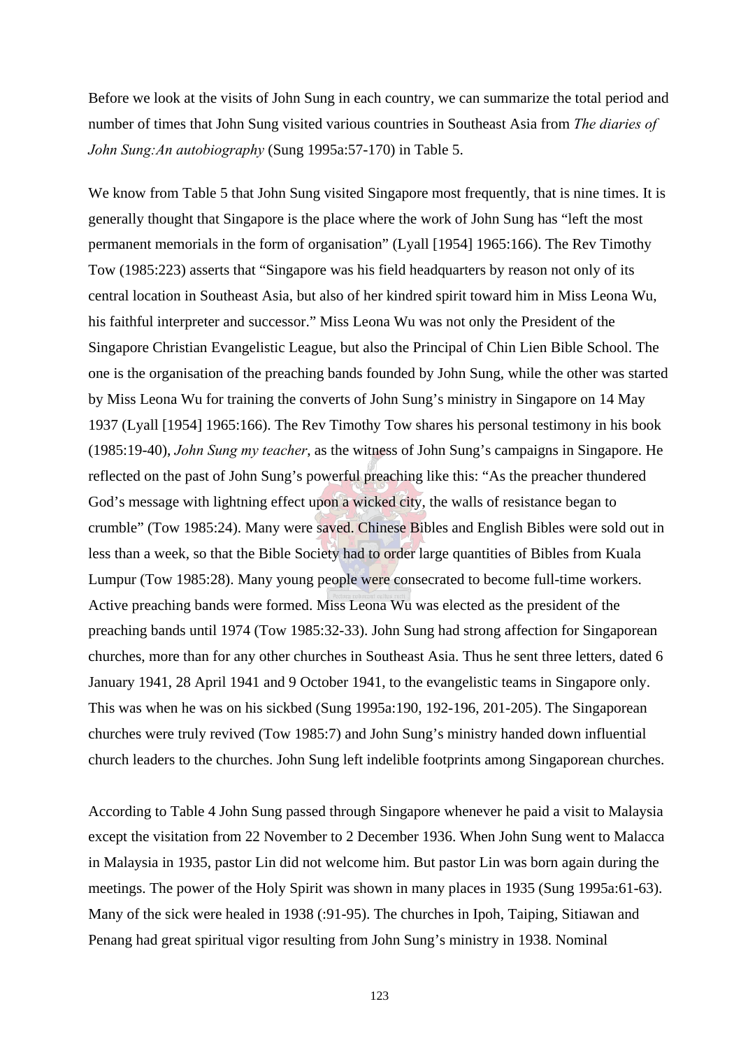Before we look at the visits of John Sung in each country, we can summarize the total period and number of times that John Sung visited various countries in Southeast Asia from *The diaries of John Sung:An autobiography* (Sung 1995a:57-170) in Table 5.

We know from Table 5 that John Sung visited Singapore most frequently, that is nine times. It is generally thought that Singapore is the place where the work of John Sung has "left the most permanent memorials in the form of organisation" (Lyall [1954] 1965:166). The Rev Timothy Tow (1985:223) asserts that "Singapore was his field headquarters by reason not only of its central location in Southeast Asia, but also of her kindred spirit toward him in Miss Leona Wu, his faithful interpreter and successor." Miss Leona Wu was not only the President of the Singapore Christian Evangelistic League, but also the Principal of Chin Lien Bible School. The one is the organisation of the preaching bands founded by John Sung, while the other was started by Miss Leona Wu for training the converts of John Sung's ministry in Singapore on 14 May 1937 (Lyall [1954] 1965:166). The Rev Timothy Tow shares his personal testimony in his book (1985:19-40), *John Sung my teacher*, as the witness of John Sung's campaigns in Singapore. He reflected on the past of John Sung's powerful preaching like this: "As the preacher thundered God's message with lightning effect upon a wicked city, the walls of resistance began to crumble" (Tow 1985:24). Many were saved. Chinese Bibles and English Bibles were sold out in less than a week, so that the Bible Society had to order large quantities of Bibles from Kuala Lumpur (Tow 1985:28). Many young people were consecrated to become full-time workers. Active preaching bands were formed. Miss Leona Wu was elected as the president of the preaching bands until 1974 (Tow 1985:32-33). John Sung had strong affection for Singaporean churches, more than for any other churches in Southeast Asia. Thus he sent three letters, dated 6 January 1941, 28 April 1941 and 9 October 1941, to the evangelistic teams in Singapore only. This was when he was on his sickbed (Sung 1995a:190, 192-196, 201-205). The Singaporean churches were truly revived (Tow 1985:7) and John Sung's ministry handed down influential church leaders to the churches. John Sung left indelible footprints among Singaporean churches.

According to Table 4 John Sung passed through Singapore whenever he paid a visit to Malaysia except the visitation from 22 November to 2 December 1936. When John Sung went to Malacca in Malaysia in 1935, pastor Lin did not welcome him. But pastor Lin was born again during the meetings. The power of the Holy Spirit was shown in many places in 1935 (Sung 1995a:61-63). Many of the sick were healed in 1938 (:91-95). The churches in Ipoh, Taiping, Sitiawan and Penang had great spiritual vigor resulting from John Sung's ministry in 1938. Nominal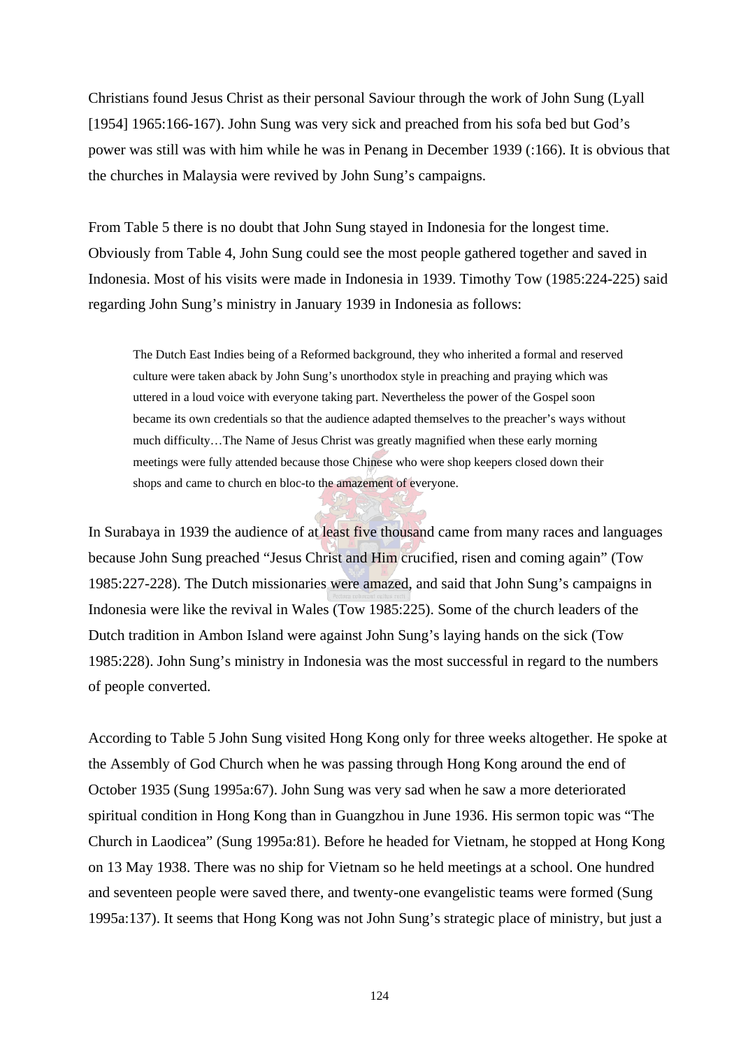Christians found Jesus Christ as their personal Saviour through the work of John Sung (Lyall [1954] 1965:166-167). John Sung was very sick and preached from his sofa bed but God's power was still was with him while he was in Penang in December 1939 (:166). It is obvious that the churches in Malaysia were revived by John Sung's campaigns.

From Table 5 there is no doubt that John Sung stayed in Indonesia for the longest time. Obviously from Table 4, John Sung could see the most people gathered together and saved in Indonesia. Most of his visits were made in Indonesia in 1939. Timothy Tow (1985:224-225) said regarding John Sung's ministry in January 1939 in Indonesia as follows:

The Dutch East Indies being of a Reformed background, they who inherited a formal and reserved culture were taken aback by John Sung's unorthodox style in preaching and praying which was uttered in a loud voice with everyone taking part. Nevertheless the power of the Gospel soon became its own credentials so that the audience adapted themselves to the preacher's ways without much difficulty…The Name of Jesus Christ was greatly magnified when these early morning meetings were fully attended because those Chinese who were shop keepers closed down their shops and came to church en bloc-to the amazement of everyone.

In Surabaya in 1939 the audience of at least five thousand came from many races and languages because John Sung preached "Jesus Christ and Him crucified, risen and coming again" (Tow 1985:227-228). The Dutch missionaries were amazed, and said that John Sung's campaigns in Indonesia were like the revival in Wales (Tow 1985:225). Some of the church leaders of the Dutch tradition in Ambon Island were against John Sung's laying hands on the sick (Tow 1985:228). John Sung's ministry in Indonesia was the most successful in regard to the numbers of people converted.

According to Table 5 John Sung visited Hong Kong only for three weeks altogether. He spoke at the Assembly of God Church when he was passing through Hong Kong around the end of October 1935 (Sung 1995a:67). John Sung was very sad when he saw a more deteriorated spiritual condition in Hong Kong than in Guangzhou in June 1936. His sermon topic was "The Church in Laodicea" (Sung 1995a:81). Before he headed for Vietnam, he stopped at Hong Kong on 13 May 1938. There was no ship for Vietnam so he held meetings at a school. One hundred and seventeen people were saved there, and twenty-one evangelistic teams were formed (Sung 1995a:137). It seems that Hong Kong was not John Sung's strategic place of ministry, but just a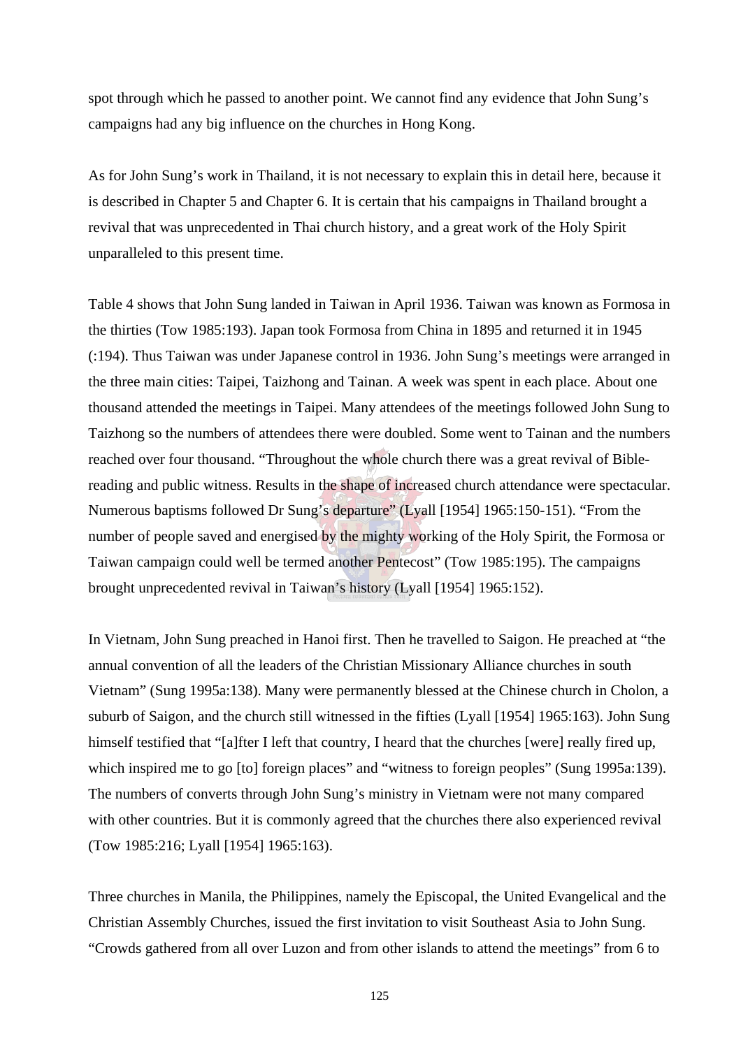spot through which he passed to another point. We cannot find any evidence that John Sung's campaigns had any big influence on the churches in Hong Kong.

As for John Sung's work in Thailand, it is not necessary to explain this in detail here, because it is described in Chapter 5 and Chapter 6. It is certain that his campaigns in Thailand brought a revival that was unprecedented in Thai church history, and a great work of the Holy Spirit unparalleled to this present time.

Table 4 shows that John Sung landed in Taiwan in April 1936. Taiwan was known as Formosa in the thirties (Tow 1985:193). Japan took Formosa from China in 1895 and returned it in 1945 (:194). Thus Taiwan was under Japanese control in 1936. John Sung's meetings were arranged in the three main cities: Taipei, Taizhong and Tainan. A week was spent in each place. About one thousand attended the meetings in Taipei. Many attendees of the meetings followed John Sung to Taizhong so the numbers of attendees there were doubled. Some went to Tainan and the numbers reached over four thousand. "Throughout the whole church there was a great revival of Biblereading and public witness. Results in the shape of increased church attendance were spectacular. Numerous baptisms followed Dr Sung's departure" (Lyall [1954] 1965:150-151). "From the number of people saved and energised by the mighty working of the Holy Spirit, the Formosa or Taiwan campaign could well be termed another Pentecost" (Tow 1985:195). The campaigns brought unprecedented revival in Taiwan's history (Lyall [1954] 1965:152).

In Vietnam, John Sung preached in Hanoi first. Then he travelled to Saigon. He preached at "the annual convention of all the leaders of the Christian Missionary Alliance churches in south Vietnam" (Sung 1995a:138). Many were permanently blessed at the Chinese church in Cholon, a suburb of Saigon, and the church still witnessed in the fifties (Lyall [1954] 1965:163). John Sung himself testified that "[a]fter I left that country, I heard that the churches [were] really fired up, which inspired me to go [to] foreign places" and "witness to foreign peoples" (Sung 1995a:139). The numbers of converts through John Sung's ministry in Vietnam were not many compared with other countries. But it is commonly agreed that the churches there also experienced revival (Tow 1985:216; Lyall [1954] 1965:163).

Three churches in Manila, the Philippines, namely the Episcopal, the United Evangelical and the Christian Assembly Churches, issued the first invitation to visit Southeast Asia to John Sung. "Crowds gathered from all over Luzon and from other islands to attend the meetings" from 6 to

125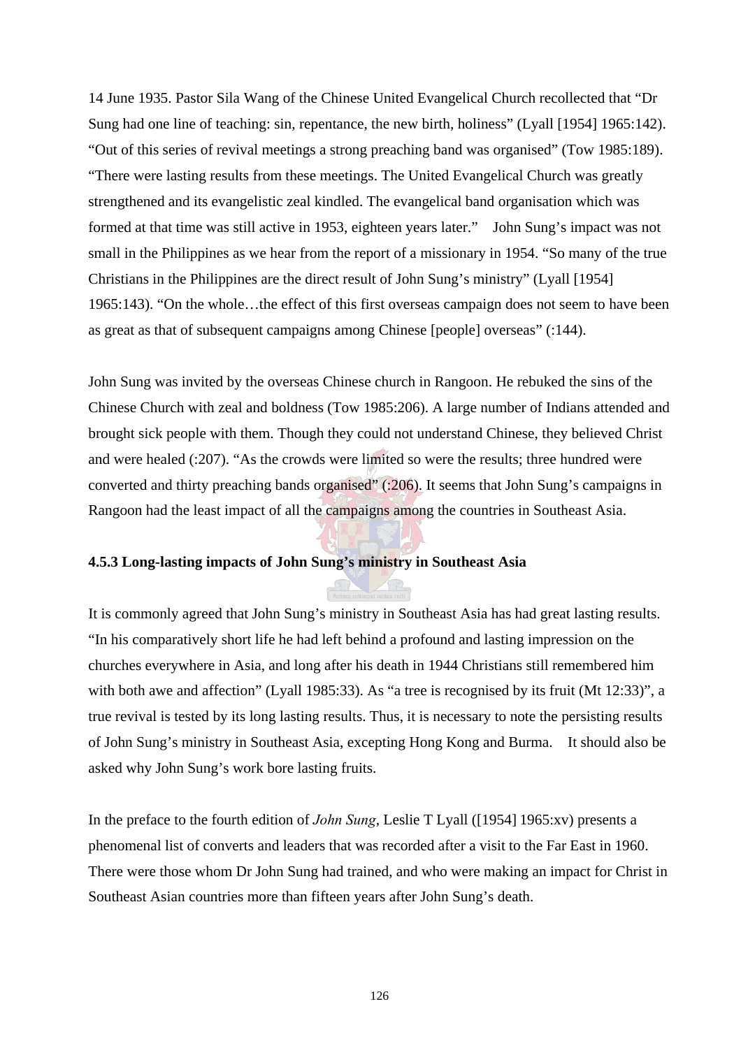14 June 1935. Pastor Sila Wang of the Chinese United Evangelical Church recollected that "Dr Sung had one line of teaching: sin, repentance, the new birth, holiness" (Lyall [1954] 1965:142). "Out of this series of revival meetings a strong preaching band was organised" (Tow 1985:189). "There were lasting results from these meetings. The United Evangelical Church was greatly strengthened and its evangelistic zeal kindled. The evangelical band organisation which was formed at that time was still active in 1953, eighteen years later." John Sung's impact was not small in the Philippines as we hear from the report of a missionary in 1954. "So many of the true Christians in the Philippines are the direct result of John Sung's ministry" (Lyall [1954] 1965:143). "On the whole…the effect of this first overseas campaign does not seem to have been as great as that of subsequent campaigns among Chinese [people] overseas" (:144).

John Sung was invited by the overseas Chinese church in Rangoon. He rebuked the sins of the Chinese Church with zeal and boldness (Tow 1985:206). A large number of Indians attended and brought sick people with them. Though they could not understand Chinese, they believed Christ and were healed (:207). "As the crowds were limited so were the results; three hundred were converted and thirty preaching bands organised" (:206). It seems that John Sung's campaigns in Rangoon had the least impact of all the campaigns among the countries in Southeast Asia.

# **4.5.3 Long-lasting impacts of John Sung's ministry in Southeast Asia**

It is commonly agreed that John Sung's ministry in Southeast Asia has had great lasting results. "In his comparatively short life he had left behind a profound and lasting impression on the churches everywhere in Asia, and long after his death in 1944 Christians still remembered him with both awe and affection" (Lyall 1985:33). As "a tree is recognised by its fruit (Mt 12:33)", a true revival is tested by its long lasting results. Thus, it is necessary to note the persisting results of John Sung's ministry in Southeast Asia, excepting Hong Kong and Burma. It should also be asked why John Sung's work bore lasting fruits.

In the preface to the fourth edition of *John Sung*, Leslie T Lyall ([1954] 1965:xv) presents a phenomenal list of converts and leaders that was recorded after a visit to the Far East in 1960. There were those whom Dr John Sung had trained, and who were making an impact for Christ in Southeast Asian countries more than fifteen years after John Sung's death.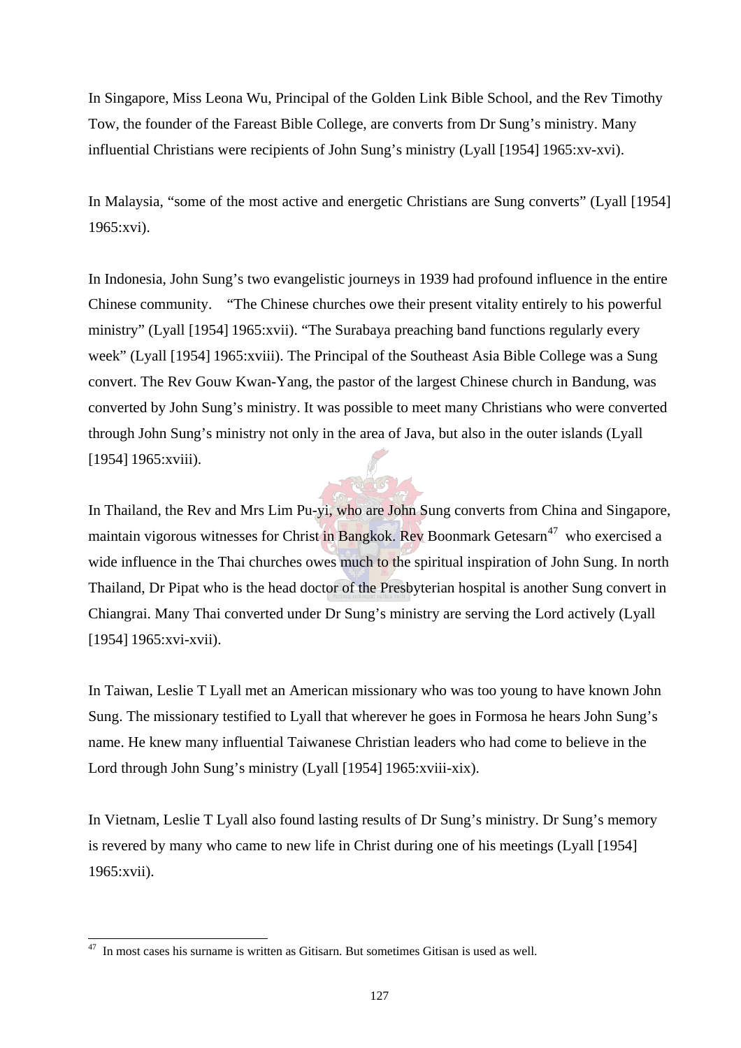In Singapore, Miss Leona Wu, Principal of the Golden Link Bible School, and the Rev Timothy Tow, the founder of the Fareast Bible College, are converts from Dr Sung's ministry. Many influential Christians were recipients of John Sung's ministry (Lyall [1954] 1965:xv-xvi).

In Malaysia, "some of the most active and energetic Christians are Sung converts" (Lyall [1954] 1965:xvi).

In Indonesia, John Sung's two evangelistic journeys in 1939 had profound influence in the entire Chinese community. "The Chinese churches owe their present vitality entirely to his powerful ministry" (Lyall [1954] 1965:xvii). "The Surabaya preaching band functions regularly every week" (Lyall [1954] 1965:xviii). The Principal of the Southeast Asia Bible College was a Sung convert. The Rev Gouw Kwan-Yang, the pastor of the largest Chinese church in Bandung, was converted by John Sung's ministry. It was possible to meet many Christians who were converted through John Sung's ministry not only in the area of Java, but also in the outer islands (Lyall [1954] 1965:xviii).

In Thailand, the Rev and Mrs Lim Pu-yi, who are John Sung converts from China and Singapore, maintain vigorous witnesses for Christ in Bangkok. Rev Boonmark Getesarn<sup>47</sup> who exercised a wide influence in the Thai churches owes much to the spiritual inspiration of John Sung. In north Thailand, Dr Pipat who is the head doctor of the Presbyterian hospital is another Sung convert in Chiangrai. Many Thai converted under Dr Sung's ministry are serving the Lord actively (Lyall [1954] 1965:xvi-xvii).

In Taiwan, Leslie T Lyall met an American missionary who was too young to have known John Sung. The missionary testified to Lyall that wherever he goes in Formosa he hears John Sung's name. He knew many influential Taiwanese Christian leaders who had come to believe in the Lord through John Sung's ministry (Lyall [1954] 1965:xviii-xix).

In Vietnam, Leslie T Lyall also found lasting results of Dr Sung's ministry. Dr Sung's memory is revered by many who came to new life in Christ during one of his meetings (Lyall [1954] 1965:xvii).

 $\overline{a}$ 

 $47$  In most cases his surname is written as Gitisarn. But sometimes Gitisan is used as well.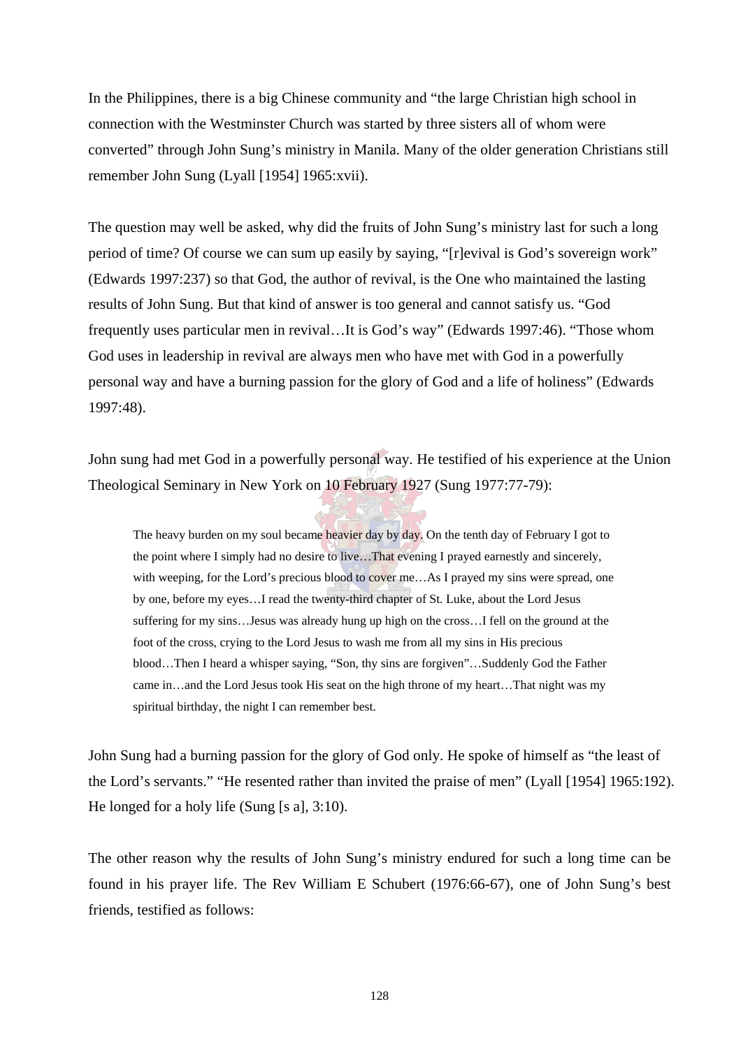In the Philippines, there is a big Chinese community and "the large Christian high school in connection with the Westminster Church was started by three sisters all of whom were converted" through John Sung's ministry in Manila. Many of the older generation Christians still remember John Sung (Lyall [1954] 1965:xvii).

The question may well be asked, why did the fruits of John Sung's ministry last for such a long period of time? Of course we can sum up easily by saying, "[r]evival is God's sovereign work" (Edwards 1997:237) so that God, the author of revival, is the One who maintained the lasting results of John Sung. But that kind of answer is too general and cannot satisfy us. "God frequently uses particular men in revival…It is God's way" (Edwards 1997:46). "Those whom God uses in leadership in revival are always men who have met with God in a powerfully personal way and have a burning passion for the glory of God and a life of holiness" (Edwards 1997:48).

John sung had met God in a powerfully personal way. He testified of his experience at the Union Theological Seminary in New York on 10 February 1927 (Sung 1977:77-79):

The heavy burden on my soul became heavier day by day. On the tenth day of February I got to the point where I simply had no desire to live...That evening I prayed earnestly and sincerely, with weeping, for the Lord's precious blood to cover me...As I prayed my sins were spread, one by one, before my eyes…I read the twenty-third chapter of St. Luke, about the Lord Jesus suffering for my sins…Jesus was already hung up high on the cross…I fell on the ground at the foot of the cross, crying to the Lord Jesus to wash me from all my sins in His precious blood…Then I heard a whisper saying, "Son, thy sins are forgiven"…Suddenly God the Father came in…and the Lord Jesus took His seat on the high throne of my heart…That night was my spiritual birthday, the night I can remember best.

John Sung had a burning passion for the glory of God only. He spoke of himself as "the least of the Lord's servants." "He resented rather than invited the praise of men" (Lyall [1954] 1965:192). He longed for a holy life (Sung [s a], 3:10).

The other reason why the results of John Sung's ministry endured for such a long time can be found in his prayer life. The Rev William E Schubert (1976:66-67), one of John Sung's best friends, testified as follows: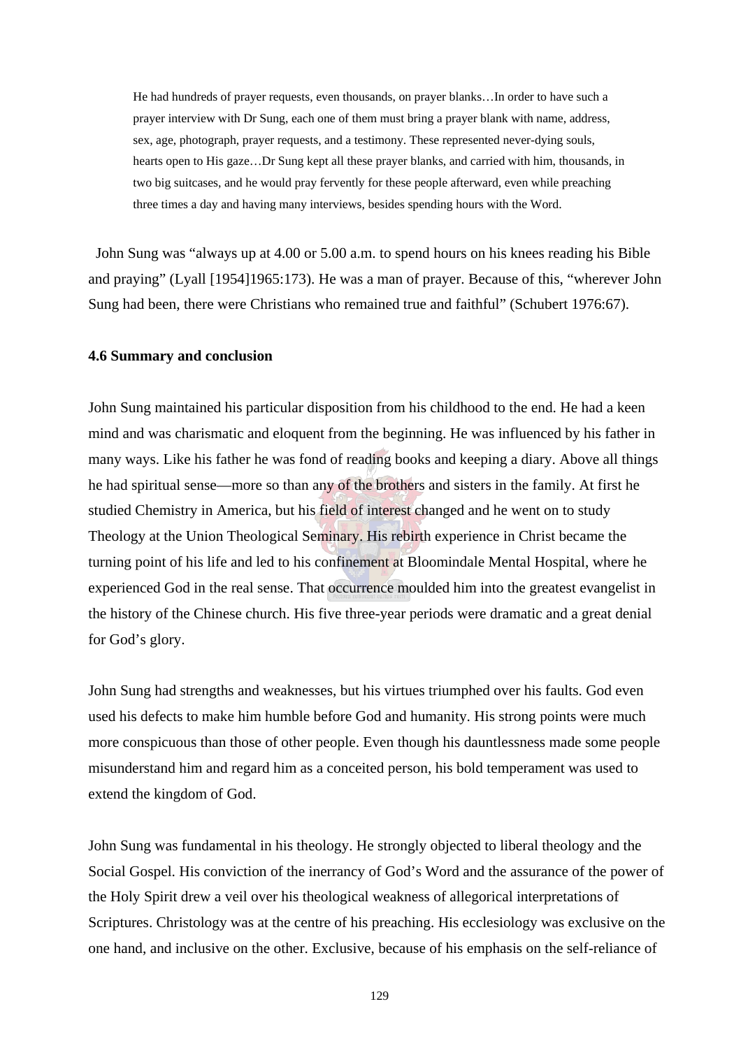He had hundreds of prayer requests, even thousands, on prayer blanks…In order to have such a prayer interview with Dr Sung, each one of them must bring a prayer blank with name, address, sex, age, photograph, prayer requests, and a testimony. These represented never-dying souls, hearts open to His gaze…Dr Sung kept all these prayer blanks, and carried with him, thousands, in two big suitcases, and he would pray fervently for these people afterward, even while preaching three times a day and having many interviews, besides spending hours with the Word.

 John Sung was "always up at 4.00 or 5.00 a.m. to spend hours on his knees reading his Bible and praying" (Lyall [1954]1965:173). He was a man of prayer. Because of this, "wherever John Sung had been, there were Christians who remained true and faithful" (Schubert 1976:67).

#### **4.6 Summary and conclusion**

John Sung maintained his particular disposition from his childhood to the end. He had a keen mind and was charismatic and eloquent from the beginning. He was influenced by his father in many ways. Like his father he was fond of reading books and keeping a diary. Above all things he had spiritual sense—more so than any of the brothers and sisters in the family. At first he studied Chemistry in America, but his field of interest changed and he went on to study Theology at the Union Theological Seminary. His rebirth experience in Christ became the turning point of his life and led to his confinement at Bloomindale Mental Hospital, where he experienced God in the real sense. That occurrence moulded him into the greatest evangelist in the history of the Chinese church. His five three-year periods were dramatic and a great denial for God's glory.

John Sung had strengths and weaknesses, but his virtues triumphed over his faults. God even used his defects to make him humble before God and humanity. His strong points were much more conspicuous than those of other people. Even though his dauntlessness made some people misunderstand him and regard him as a conceited person, his bold temperament was used to extend the kingdom of God.

John Sung was fundamental in his theology. He strongly objected to liberal theology and the Social Gospel. His conviction of the inerrancy of God's Word and the assurance of the power of the Holy Spirit drew a veil over his theological weakness of allegorical interpretations of Scriptures. Christology was at the centre of his preaching. His ecclesiology was exclusive on the one hand, and inclusive on the other. Exclusive, because of his emphasis on the self-reliance of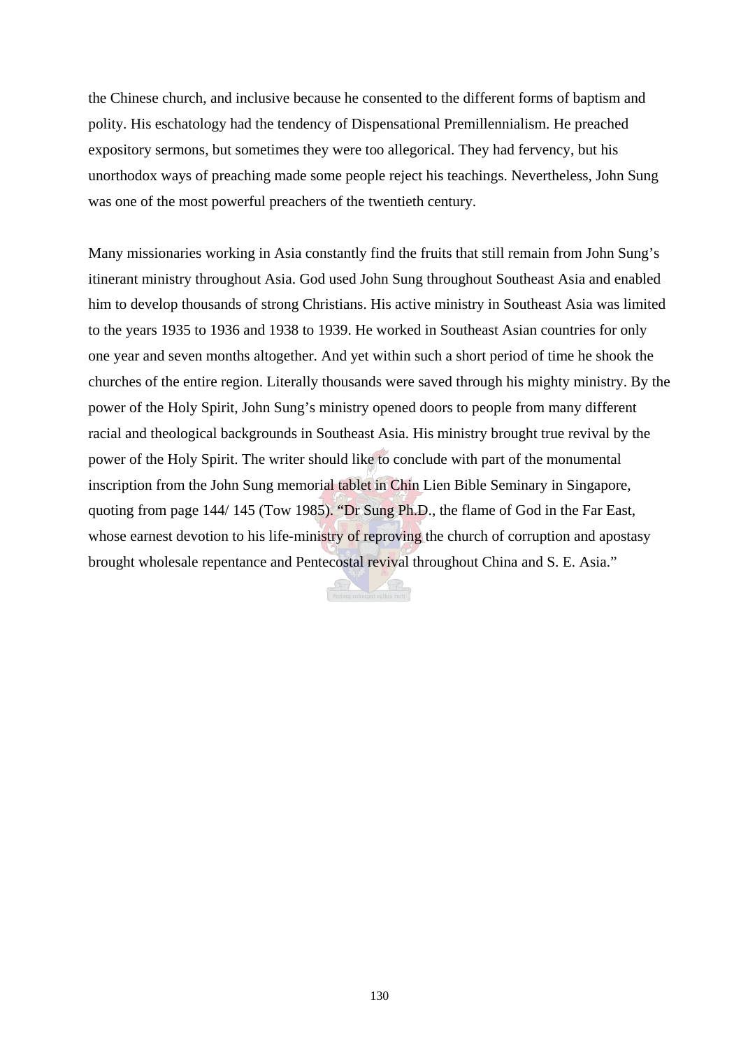the Chinese church, and inclusive because he consented to the different forms of baptism and polity. His eschatology had the tendency of Dispensational Premillennialism. He preached expository sermons, but sometimes they were too allegorical. They had fervency, but his unorthodox ways of preaching made some people reject his teachings. Nevertheless, John Sung was one of the most powerful preachers of the twentieth century.

Many missionaries working in Asia constantly find the fruits that still remain from John Sung's itinerant ministry throughout Asia. God used John Sung throughout Southeast Asia and enabled him to develop thousands of strong Christians. His active ministry in Southeast Asia was limited to the years 1935 to 1936 and 1938 to 1939. He worked in Southeast Asian countries for only one year and seven months altogether. And yet within such a short period of time he shook the churches of the entire region. Literally thousands were saved through his mighty ministry. By the power of the Holy Spirit, John Sung's ministry opened doors to people from many different racial and theological backgrounds in Southeast Asia. His ministry brought true revival by the power of the Holy Spirit. The writer should like to conclude with part of the monumental inscription from the John Sung memorial tablet in Chin Lien Bible Seminary in Singapore, quoting from page 144/ 145 (Tow 1985). "Dr Sung Ph.D., the flame of God in the Far East, whose earnest devotion to his life-ministry of reproving the church of corruption and apostasy brought wholesale repentance and Pentecostal revival throughout China and S. E. Asia."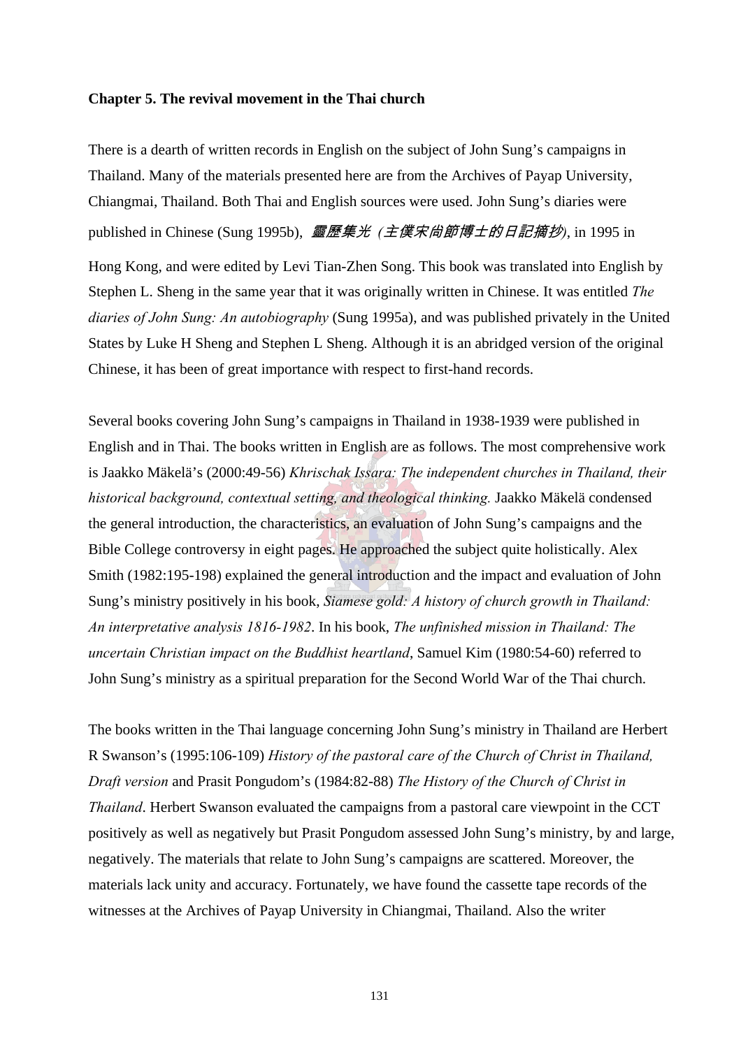#### **Chapter 5. The revival movement in the Thai church**

There is a dearth of written records in English on the subject of John Sung's campaigns in Thailand. Many of the materials presented here are from the Archives of Payap University, Chiangmai, Thailand. Both Thai and English sources were used. John Sung's diaries were published in Chinese (Sung 1995b), 靈歷集光 *(*主僕宋尙節博士的日記摘抄*)*, in 1995 in Hong Kong, and were edited by Levi Tian-Zhen Song. This book was translated into English by Stephen L. Sheng in the same year that it was originally written in Chinese. It was entitled *The diaries of John Sung: An autobiography* (Sung 1995a), and was published privately in the United States by Luke H Sheng and Stephen L Sheng. Although it is an abridged version of the original Chinese, it has been of great importance with respect to first-hand records.

Several books covering John Sung's campaigns in Thailand in 1938-1939 were published in English and in Thai. The books written in English are as follows. The most comprehensive work is Jaakko Mäkelä's (2000:49-56) *Khrischak Issara: The independent churches in Thailand, their historical background, contextual setting, and theological thinking.* Jaakko Mäkelä condensed the general introduction, the characteristics, an evaluation of John Sung's campaigns and the Bible College controversy in eight pages. He approached the subject quite holistically. Alex Smith (1982:195-198) explained the general introduction and the impact and evaluation of John Sung's ministry positively in his book, *Siamese gold: A history of church growth in Thailand: An interpretative analysis 1816-1982*. In his book, *The unfinished mission in Thailand: The uncertain Christian impact on the Buddhist heartland*, Samuel Kim (1980:54-60) referred to John Sung's ministry as a spiritual preparation for the Second World War of the Thai church.

The books written in the Thai language concerning John Sung's ministry in Thailand are Herbert R Swanson's (1995:106-109) *History of the pastoral care of the Church of Christ in Thailand, Draft version* and Prasit Pongudom's (1984:82-88) *The History of the Church of Christ in Thailand*. Herbert Swanson evaluated the campaigns from a pastoral care viewpoint in the CCT positively as well as negatively but Prasit Pongudom assessed John Sung's ministry, by and large, negatively. The materials that relate to John Sung's campaigns are scattered. Moreover, the materials lack unity and accuracy. Fortunately, we have found the cassette tape records of the witnesses at the Archives of Payap University in Chiangmai, Thailand. Also the writer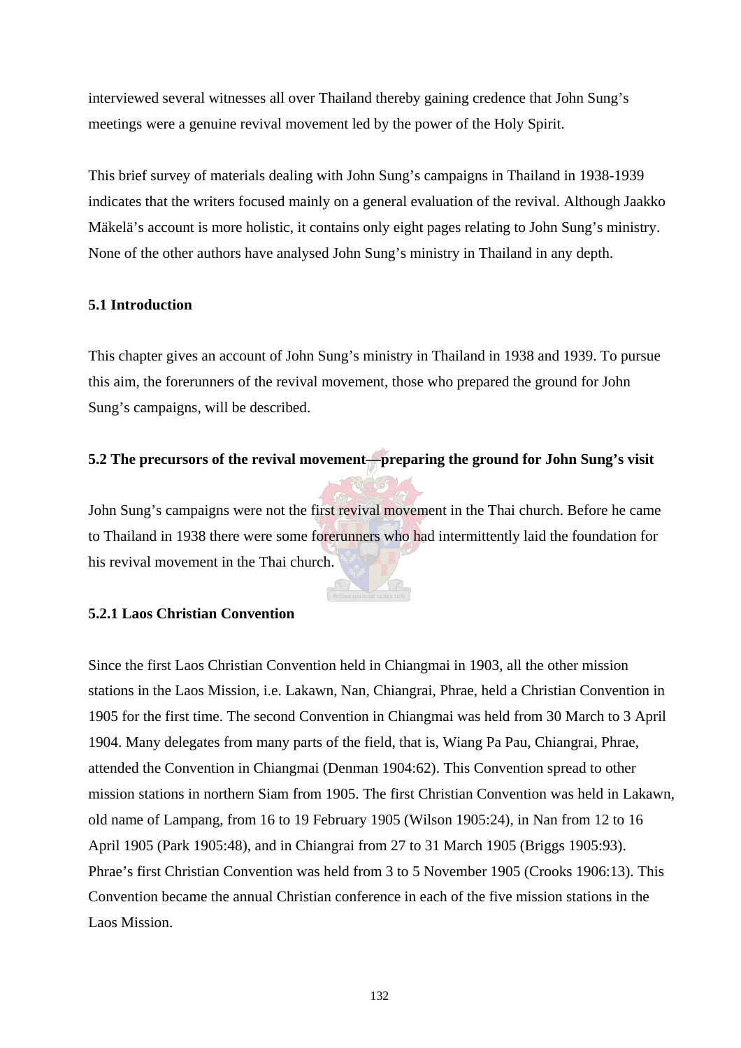interviewed several witnesses all over Thailand thereby gaining credence that John Sung's meetings were a genuine revival movement led by the power of the Holy Spirit.

This brief survey of materials dealing with John Sung's campaigns in Thailand in 1938-1939 indicates that the writers focused mainly on a general evaluation of the revival. Although Jaakko Mäkelä's account is more holistic, it contains only eight pages relating to John Sung's ministry. None of the other authors have analysed John Sung's ministry in Thailand in any depth.

# **5.1 Introduction**

This chapter gives an account of John Sung's ministry in Thailand in 1938 and 1939. To pursue this aim, the forerunners of the revival movement, those who prepared the ground for John Sung's campaigns, will be described.

# **5.2 The precursors of the revival movement—preparing the ground for John Sung's visit**

John Sung's campaigns were not the first revival movement in the Thai church. Before he came to Thailand in 1938 there were some forerunners who had intermittently laid the foundation for his revival movement in the Thai church.

# **5.2.1 Laos Christian Convention**

Since the first Laos Christian Convention held in Chiangmai in 1903, all the other mission stations in the Laos Mission, i.e. Lakawn, Nan, Chiangrai, Phrae, held a Christian Convention in 1905 for the first time. The second Convention in Chiangmai was held from 30 March to 3 April 1904. Many delegates from many parts of the field, that is, Wiang Pa Pau, Chiangrai, Phrae, attended the Convention in Chiangmai (Denman 1904:62). This Convention spread to other mission stations in northern Siam from 1905. The first Christian Convention was held in Lakawn, old name of Lampang, from 16 to 19 February 1905 (Wilson 1905:24), in Nan from 12 to 16 April 1905 (Park 1905:48), and in Chiangrai from 27 to 31 March 1905 (Briggs 1905:93). Phrae's first Christian Convention was held from 3 to 5 November 1905 (Crooks 1906:13). This Convention became the annual Christian conference in each of the five mission stations in the Laos Mission.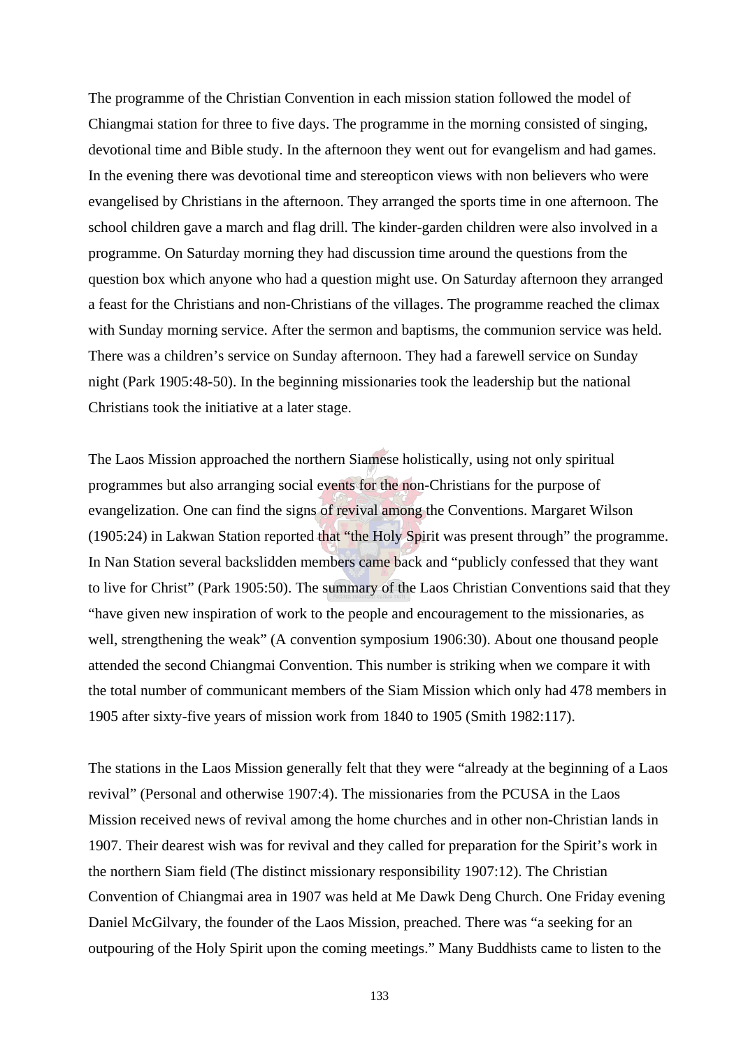The programme of the Christian Convention in each mission station followed the model of Chiangmai station for three to five days. The programme in the morning consisted of singing, devotional time and Bible study. In the afternoon they went out for evangelism and had games. In the evening there was devotional time and stereopticon views with non believers who were evangelised by Christians in the afternoon. They arranged the sports time in one afternoon. The school children gave a march and flag drill. The kinder-garden children were also involved in a programme. On Saturday morning they had discussion time around the questions from the question box which anyone who had a question might use. On Saturday afternoon they arranged a feast for the Christians and non-Christians of the villages. The programme reached the climax with Sunday morning service. After the sermon and baptisms, the communion service was held. There was a children's service on Sunday afternoon. They had a farewell service on Sunday night (Park 1905:48-50). In the beginning missionaries took the leadership but the national Christians took the initiative at a later stage.

The Laos Mission approached the northern Siamese holistically, using not only spiritual programmes but also arranging social events for the non-Christians for the purpose of evangelization. One can find the signs of revival among the Conventions. Margaret Wilson (1905:24) in Lakwan Station reported that "the Holy Spirit was present through" the programme. In Nan Station several backslidden members came back and "publicly confessed that they want to live for Christ" (Park 1905:50). The summary of the Laos Christian Conventions said that they "have given new inspiration of work to the people and encouragement to the missionaries, as well, strengthening the weak" (A convention symposium 1906:30). About one thousand people attended the second Chiangmai Convention. This number is striking when we compare it with the total number of communicant members of the Siam Mission which only had 478 members in 1905 after sixty-five years of mission work from 1840 to 1905 (Smith 1982:117).

The stations in the Laos Mission generally felt that they were "already at the beginning of a Laos revival" (Personal and otherwise 1907:4). The missionaries from the PCUSA in the Laos Mission received news of revival among the home churches and in other non-Christian lands in 1907. Their dearest wish was for revival and they called for preparation for the Spirit's work in the northern Siam field (The distinct missionary responsibility 1907:12). The Christian Convention of Chiangmai area in 1907 was held at Me Dawk Deng Church. One Friday evening Daniel McGilvary, the founder of the Laos Mission, preached. There was "a seeking for an outpouring of the Holy Spirit upon the coming meetings." Many Buddhists came to listen to the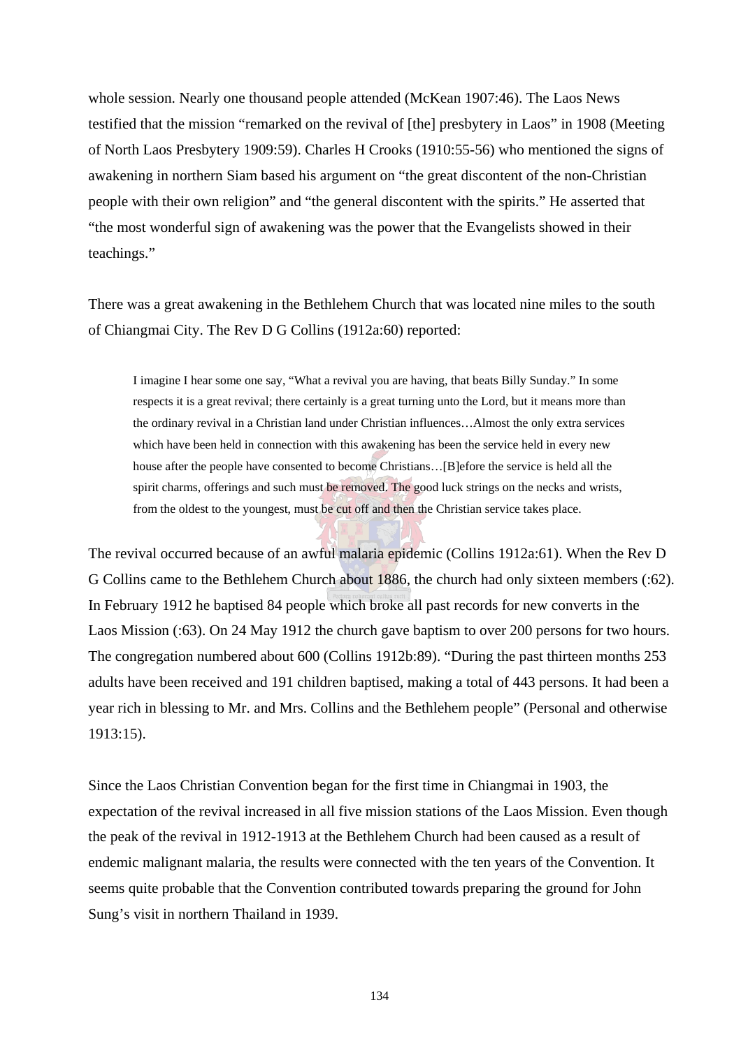whole session. Nearly one thousand people attended (McKean 1907:46). The Laos News testified that the mission "remarked on the revival of [the] presbytery in Laos" in 1908 (Meeting of North Laos Presbytery 1909:59). Charles H Crooks (1910:55-56) who mentioned the signs of awakening in northern Siam based his argument on "the great discontent of the non-Christian people with their own religion" and "the general discontent with the spirits." He asserted that "the most wonderful sign of awakening was the power that the Evangelists showed in their teachings."

There was a great awakening in the Bethlehem Church that was located nine miles to the south of Chiangmai City. The Rev D G Collins (1912a:60) reported:

I imagine I hear some one say, "What a revival you are having, that beats Billy Sunday." In some respects it is a great revival; there certainly is a great turning unto the Lord, but it means more than the ordinary revival in a Christian land under Christian influences…Almost the only extra services which have been held in connection with this awakening has been the service held in every new house after the people have consented to become Christians... [B]efore the service is held all the spirit charms, offerings and such must be removed. The good luck strings on the necks and wrists, from the oldest to the youngest, must be cut off and then the Christian service takes place.

The revival occurred because of an awful malaria epidemic (Collins 1912a:61). When the Rev D G Collins came to the Bethlehem Church about 1886, the church had only sixteen members (:62). In February 1912 he baptised 84 people which broke all past records for new converts in the Laos Mission (:63). On 24 May 1912 the church gave baptism to over 200 persons for two hours. The congregation numbered about 600 (Collins 1912b:89). "During the past thirteen months 253 adults have been received and 191 children baptised, making a total of 443 persons. It had been a year rich in blessing to Mr. and Mrs. Collins and the Bethlehem people" (Personal and otherwise 1913:15).

Since the Laos Christian Convention began for the first time in Chiangmai in 1903, the expectation of the revival increased in all five mission stations of the Laos Mission. Even though the peak of the revival in 1912-1913 at the Bethlehem Church had been caused as a result of endemic malignant malaria, the results were connected with the ten years of the Convention. It seems quite probable that the Convention contributed towards preparing the ground for John Sung's visit in northern Thailand in 1939.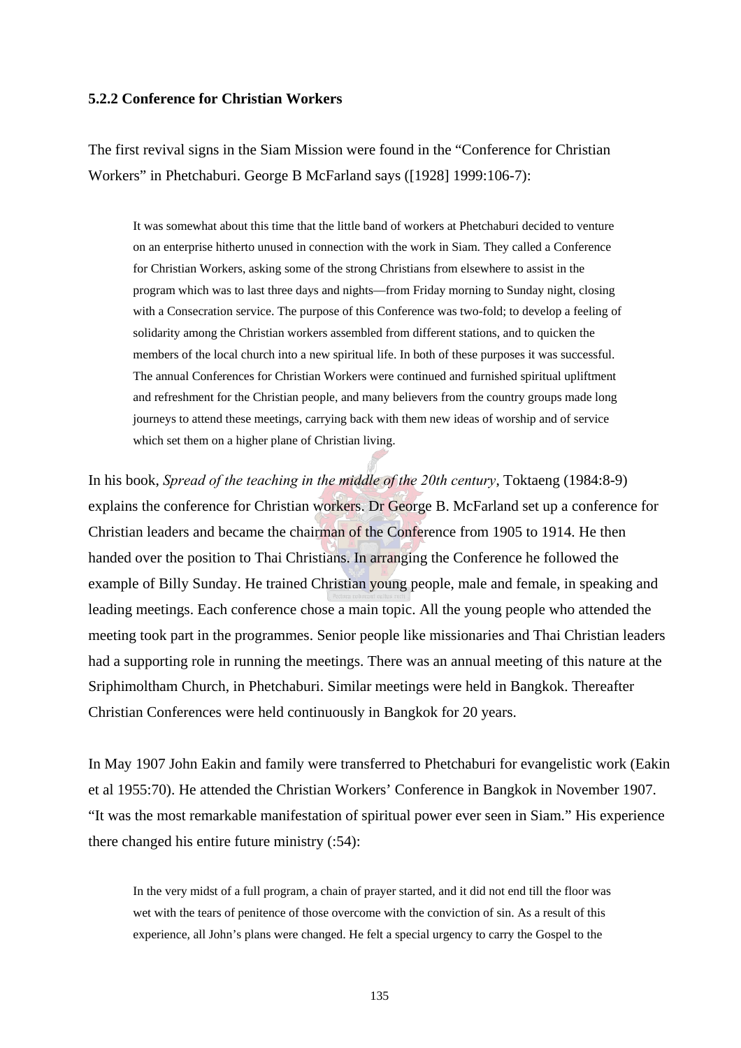## **5.2.2 Conference for Christian Workers**

The first revival signs in the Siam Mission were found in the "Conference for Christian Workers" in Phetchaburi. George B McFarland says ([1928] 1999:106-7):

It was somewhat about this time that the little band of workers at Phetchaburi decided to venture on an enterprise hitherto unused in connection with the work in Siam. They called a Conference for Christian Workers, asking some of the strong Christians from elsewhere to assist in the program which was to last three days and nights—from Friday morning to Sunday night, closing with a Consecration service. The purpose of this Conference was two-fold; to develop a feeling of solidarity among the Christian workers assembled from different stations, and to quicken the members of the local church into a new spiritual life. In both of these purposes it was successful. The annual Conferences for Christian Workers were continued and furnished spiritual upliftment and refreshment for the Christian people, and many believers from the country groups made long journeys to attend these meetings, carrying back with them new ideas of worship and of service which set them on a higher plane of Christian living.

In his book, *Spread of the teaching in the middle of the 20th century*, Toktaeng (1984:8-9) explains the conference for Christian workers. Dr George B. McFarland set up a conference for Christian leaders and became the chairman of the Conference from 1905 to 1914. He then handed over the position to Thai Christians. In arranging the Conference he followed the example of Billy Sunday. He trained Christian young people, male and female, in speaking and leading meetings. Each conference chose a main topic. All the young people who attended the meeting took part in the programmes. Senior people like missionaries and Thai Christian leaders had a supporting role in running the meetings. There was an annual meeting of this nature at the Sriphimoltham Church, in Phetchaburi. Similar meetings were held in Bangkok. Thereafter Christian Conferences were held continuously in Bangkok for 20 years.

In May 1907 John Eakin and family were transferred to Phetchaburi for evangelistic work (Eakin et al 1955:70). He attended the Christian Workers' Conference in Bangkok in November 1907. "It was the most remarkable manifestation of spiritual power ever seen in Siam." His experience there changed his entire future ministry (:54):

In the very midst of a full program, a chain of prayer started, and it did not end till the floor was wet with the tears of penitence of those overcome with the conviction of sin. As a result of this experience, all John's plans were changed. He felt a special urgency to carry the Gospel to the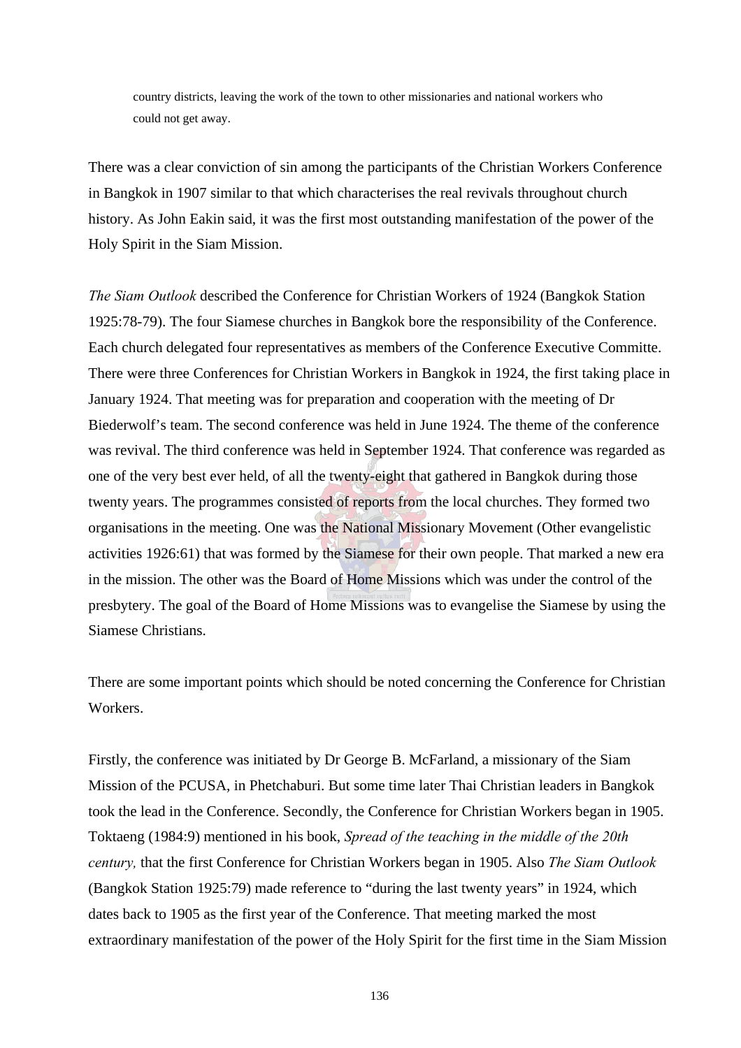country districts, leaving the work of the town to other missionaries and national workers who could not get away.

There was a clear conviction of sin among the participants of the Christian Workers Conference in Bangkok in 1907 similar to that which characterises the real revivals throughout church history. As John Eakin said, it was the first most outstanding manifestation of the power of the Holy Spirit in the Siam Mission.

*The Siam Outlook* described the Conference for Christian Workers of 1924 (Bangkok Station 1925:78-79). The four Siamese churches in Bangkok bore the responsibility of the Conference. Each church delegated four representatives as members of the Conference Executive Committe. There were three Conferences for Christian Workers in Bangkok in 1924, the first taking place in January 1924. That meeting was for preparation and cooperation with the meeting of Dr Biederwolf's team. The second conference was held in June 1924. The theme of the conference was revival. The third conference was held in September 1924. That conference was regarded as one of the very best ever held, of all the twenty-eight that gathered in Bangkok during those twenty years. The programmes consisted of reports from the local churches. They formed two organisations in the meeting. One was the National Missionary Movement (Other evangelistic activities 1926:61) that was formed by the Siamese for their own people. That marked a new era in the mission. The other was the Board of Home Missions which was under the control of the presbytery. The goal of the Board of Home Missions was to evangelise the Siamese by using the Siamese Christians.

There are some important points which should be noted concerning the Conference for Christian Workers.

Firstly, the conference was initiated by Dr George B. McFarland, a missionary of the Siam Mission of the PCUSA, in Phetchaburi. But some time later Thai Christian leaders in Bangkok took the lead in the Conference. Secondly, the Conference for Christian Workers began in 1905. Toktaeng (1984:9) mentioned in his book, *Spread of the teaching in the middle of the 20th century,* that the first Conference for Christian Workers began in 1905. Also *The Siam Outlook* (Bangkok Station 1925:79) made reference to "during the last twenty years" in 1924, which dates back to 1905 as the first year of the Conference. That meeting marked the most extraordinary manifestation of the power of the Holy Spirit for the first time in the Siam Mission

136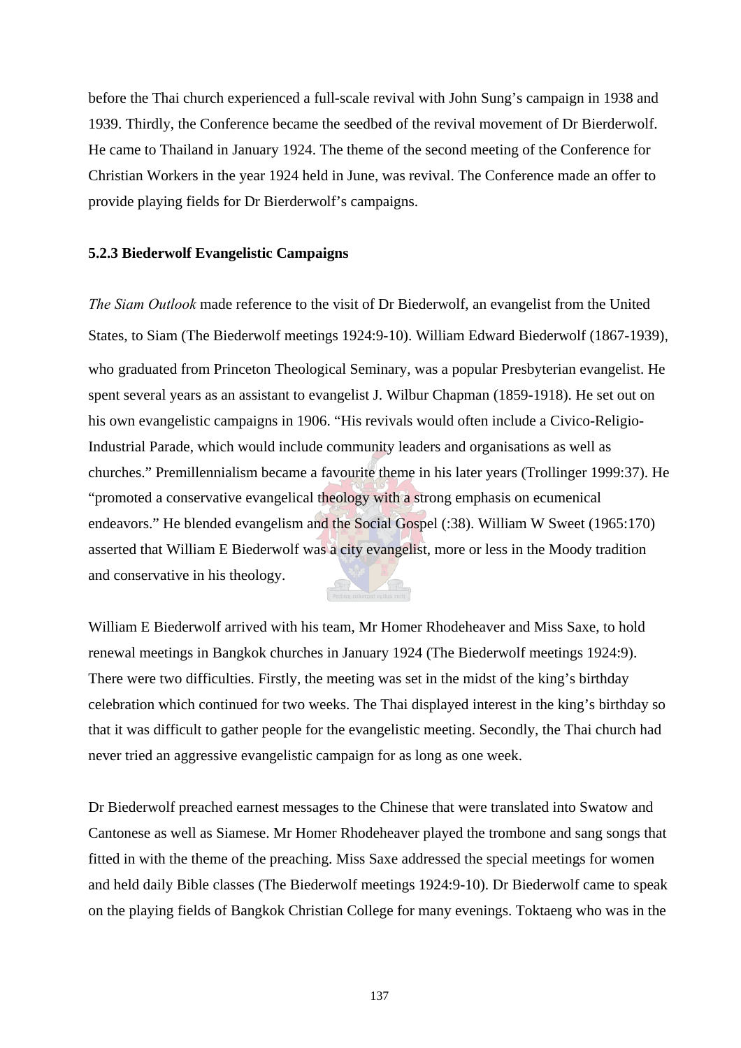before the Thai church experienced a full-scale revival with John Sung's campaign in 1938 and 1939. Thirdly, the Conference became the seedbed of the revival movement of Dr Bierderwolf. He came to Thailand in January 1924. The theme of the second meeting of the Conference for Christian Workers in the year 1924 held in June, was revival. The Conference made an offer to provide playing fields for Dr Bierderwolf's campaigns.

#### **5.2.3 Biederwolf Evangelistic Campaigns**

*The Siam Outlook* made reference to the visit of Dr Biederwolf, an evangelist from the United States, to Siam (The Biederwolf meetings 1924:9-10). William Edward Biederwolf (1867-1939), who graduated from Princeton Theological Seminary, was a popular Presbyterian evangelist. He spent several years as an assistant to evangelist J. Wilbur Chapman (1859-1918). He set out on his own evangelistic campaigns in 1906. "His revivals would often include a Civico-Religio-Industrial Parade, which would include community leaders and organisations as well as churches." Premillennialism became a favourite theme in his later years (Trollinger 1999:37). He "promoted a conservative evangelical theology with a strong emphasis on ecumenical endeavors." He blended evangelism and the Social Gospel (:38). William W Sweet (1965:170) asserted that William E Biederwolf was a city evangelist, more or less in the Moody tradition and conservative in his theology.

William E Biederwolf arrived with his team, Mr Homer Rhodeheaver and Miss Saxe, to hold renewal meetings in Bangkok churches in January 1924 (The Biederwolf meetings 1924:9). There were two difficulties. Firstly, the meeting was set in the midst of the king's birthday celebration which continued for two weeks. The Thai displayed interest in the king's birthday so that it was difficult to gather people for the evangelistic meeting. Secondly, the Thai church had never tried an aggressive evangelistic campaign for as long as one week.

Dr Biederwolf preached earnest messages to the Chinese that were translated into Swatow and Cantonese as well as Siamese. Mr Homer Rhodeheaver played the trombone and sang songs that fitted in with the theme of the preaching. Miss Saxe addressed the special meetings for women and held daily Bible classes (The Biederwolf meetings 1924:9-10). Dr Biederwolf came to speak on the playing fields of Bangkok Christian College for many evenings. Toktaeng who was in the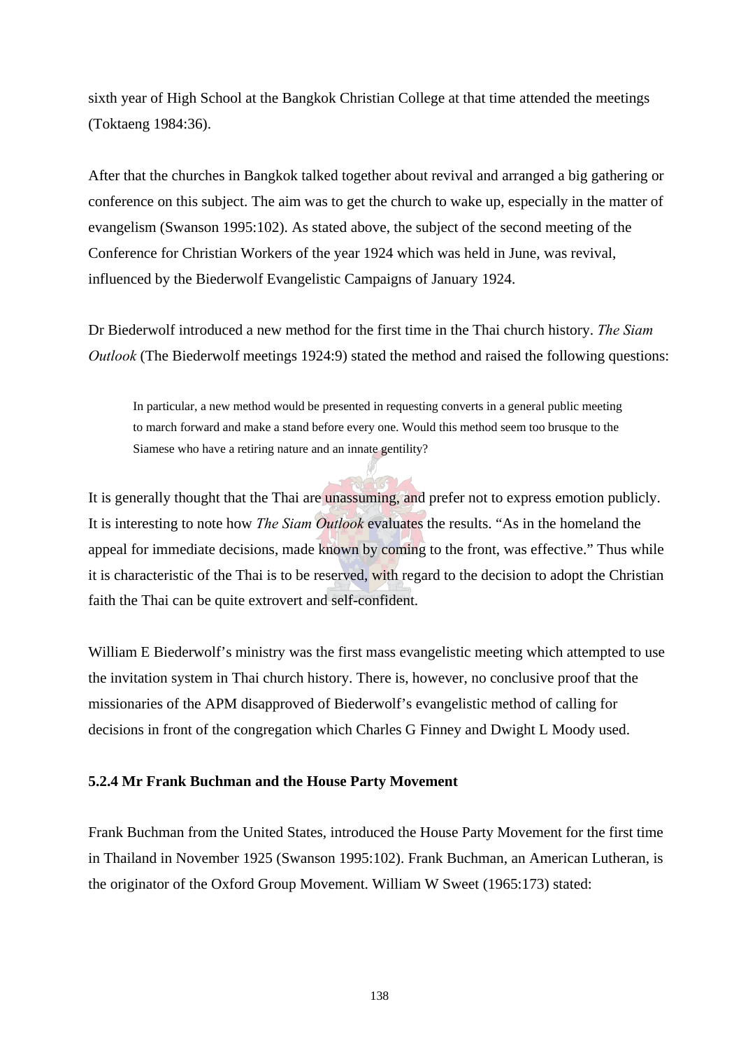sixth year of High School at the Bangkok Christian College at that time attended the meetings (Toktaeng 1984:36).

After that the churches in Bangkok talked together about revival and arranged a big gathering or conference on this subject. The aim was to get the church to wake up, especially in the matter of evangelism (Swanson 1995:102). As stated above, the subject of the second meeting of the Conference for Christian Workers of the year 1924 which was held in June, was revival, influenced by the Biederwolf Evangelistic Campaigns of January 1924.

Dr Biederwolf introduced a new method for the first time in the Thai church history. *The Siam Outlook* (The Biederwolf meetings 1924:9) stated the method and raised the following questions:

In particular, a new method would be presented in requesting converts in a general public meeting to march forward and make a stand before every one. Would this method seem too brusque to the Siamese who have a retiring nature and an innate gentility?

It is generally thought that the Thai are unassuming, and prefer not to express emotion publicly. It is interesting to note how *The Siam Outlook* evaluates the results. "As in the homeland the appeal for immediate decisions, made known by coming to the front, was effective." Thus while it is characteristic of the Thai is to be reserved, with regard to the decision to adopt the Christian faith the Thai can be quite extrovert and self-confident.

William E Biederwolf's ministry was the first mass evangelistic meeting which attempted to use the invitation system in Thai church history. There is, however, no conclusive proof that the missionaries of the APM disapproved of Biederwolf's evangelistic method of calling for decisions in front of the congregation which Charles G Finney and Dwight L Moody used.

## **5.2.4 Mr Frank Buchman and the House Party Movement**

Frank Buchman from the United States, introduced the House Party Movement for the first time in Thailand in November 1925 (Swanson 1995:102). Frank Buchman, an American Lutheran, is the originator of the Oxford Group Movement. William W Sweet (1965:173) stated: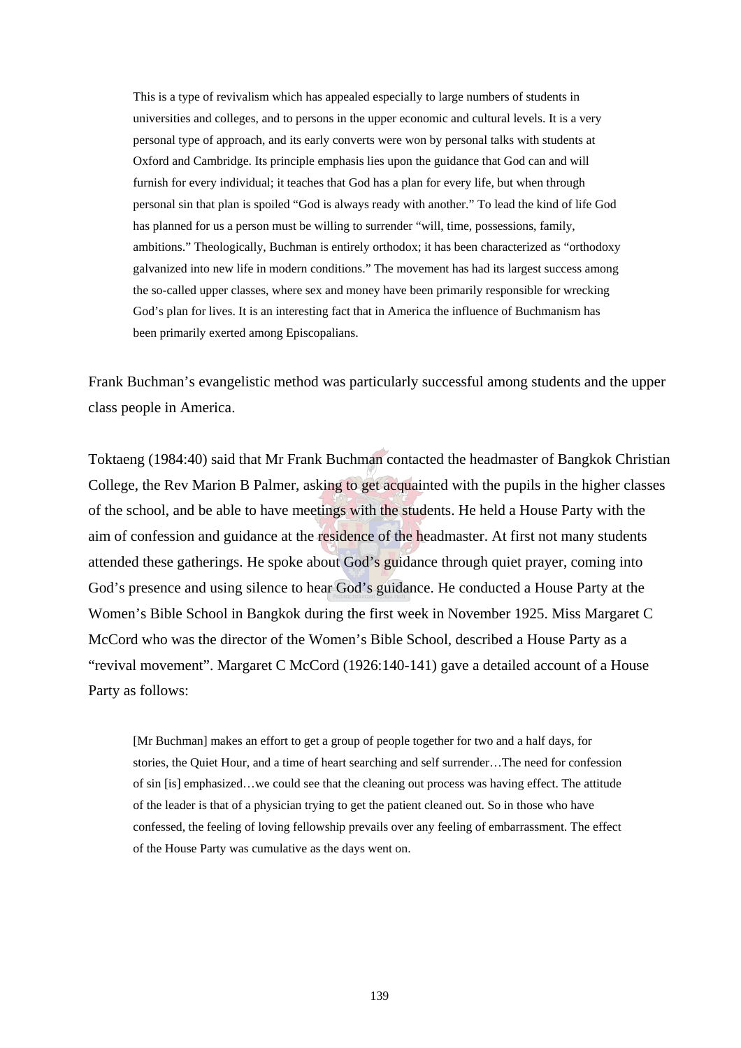This is a type of revivalism which has appealed especially to large numbers of students in universities and colleges, and to persons in the upper economic and cultural levels. It is a very personal type of approach, and its early converts were won by personal talks with students at Oxford and Cambridge. Its principle emphasis lies upon the guidance that God can and will furnish for every individual; it teaches that God has a plan for every life, but when through personal sin that plan is spoiled "God is always ready with another." To lead the kind of life God has planned for us a person must be willing to surrender "will, time, possessions, family, ambitions." Theologically, Buchman is entirely orthodox; it has been characterized as "orthodoxy galvanized into new life in modern conditions." The movement has had its largest success among the so-called upper classes, where sex and money have been primarily responsible for wrecking God's plan for lives. It is an interesting fact that in America the influence of Buchmanism has been primarily exerted among Episcopalians.

Frank Buchman's evangelistic method was particularly successful among students and the upper class people in America.

Toktaeng (1984:40) said that Mr Frank Buchman contacted the headmaster of Bangkok Christian College, the Rev Marion B Palmer, asking to get acquainted with the pupils in the higher classes of the school, and be able to have meetings with the students. He held a House Party with the aim of confession and guidance at the residence of the headmaster. At first not many students attended these gatherings. He spoke about God's guidance through quiet prayer, coming into God's presence and using silence to hear God's guidance. He conducted a House Party at the Women's Bible School in Bangkok during the first week in November 1925. Miss Margaret C McCord who was the director of the Women's Bible School, described a House Party as a "revival movement". Margaret C McCord (1926:140-141) gave a detailed account of a House Party as follows:

[Mr Buchman] makes an effort to get a group of people together for two and a half days, for stories, the Quiet Hour, and a time of heart searching and self surrender…The need for confession of sin [is] emphasized…we could see that the cleaning out process was having effect. The attitude of the leader is that of a physician trying to get the patient cleaned out. So in those who have confessed, the feeling of loving fellowship prevails over any feeling of embarrassment. The effect of the House Party was cumulative as the days went on.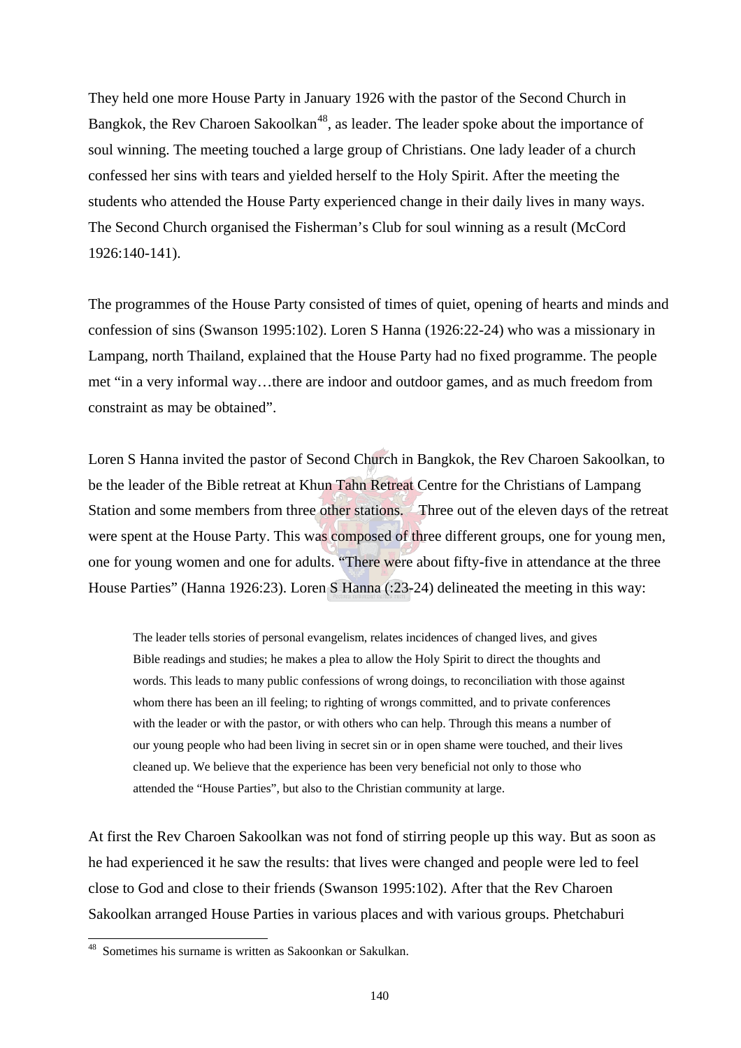They held one more House Party in January 1926 with the pastor of the Second Church in Bangkok, the Rev Charoen Sakoolkan<sup>48</sup>, as leader. The leader spoke about the importance of soul winning. The meeting touched a large group of Christians. One lady leader of a church confessed her sins with tears and yielded herself to the Holy Spirit. After the meeting the students who attended the House Party experienced change in their daily lives in many ways. The Second Church organised the Fisherman's Club for soul winning as a result (McCord 1926:140-141).

The programmes of the House Party consisted of times of quiet, opening of hearts and minds and confession of sins (Swanson 1995:102). Loren S Hanna (1926:22-24) who was a missionary in Lampang, north Thailand, explained that the House Party had no fixed programme. The people met "in a very informal way…there are indoor and outdoor games, and as much freedom from constraint as may be obtained".

Loren S Hanna invited the pastor of Second Church in Bangkok, the Rev Charoen Sakoolkan, to be the leader of the Bible retreat at Khun Tahn Retreat Centre for the Christians of Lampang Station and some members from three other stations. Three out of the eleven days of the retreat were spent at the House Party. This was composed of three different groups, one for young men, one for young women and one for adults. "There were about fifty-five in attendance at the three House Parties" (Hanna 1926:23). Loren S Hanna (:23-24) delineated the meeting in this way:

The leader tells stories of personal evangelism, relates incidences of changed lives, and gives Bible readings and studies; he makes a plea to allow the Holy Spirit to direct the thoughts and words. This leads to many public confessions of wrong doings, to reconciliation with those against whom there has been an ill feeling; to righting of wrongs committed, and to private conferences with the leader or with the pastor, or with others who can help. Through this means a number of our young people who had been living in secret sin or in open shame were touched, and their lives cleaned up. We believe that the experience has been very beneficial not only to those who attended the "House Parties", but also to the Christian community at large.

At first the Rev Charoen Sakoolkan was not fond of stirring people up this way. But as soon as he had experienced it he saw the results: that lives were changed and people were led to feel close to God and close to their friends (Swanson 1995:102). After that the Rev Charoen Sakoolkan arranged House Parties in various places and with various groups. Phetchaburi

 $\overline{a}$ 

<sup>&</sup>lt;sup>48</sup> Sometimes his surname is written as Sakoonkan or Sakulkan.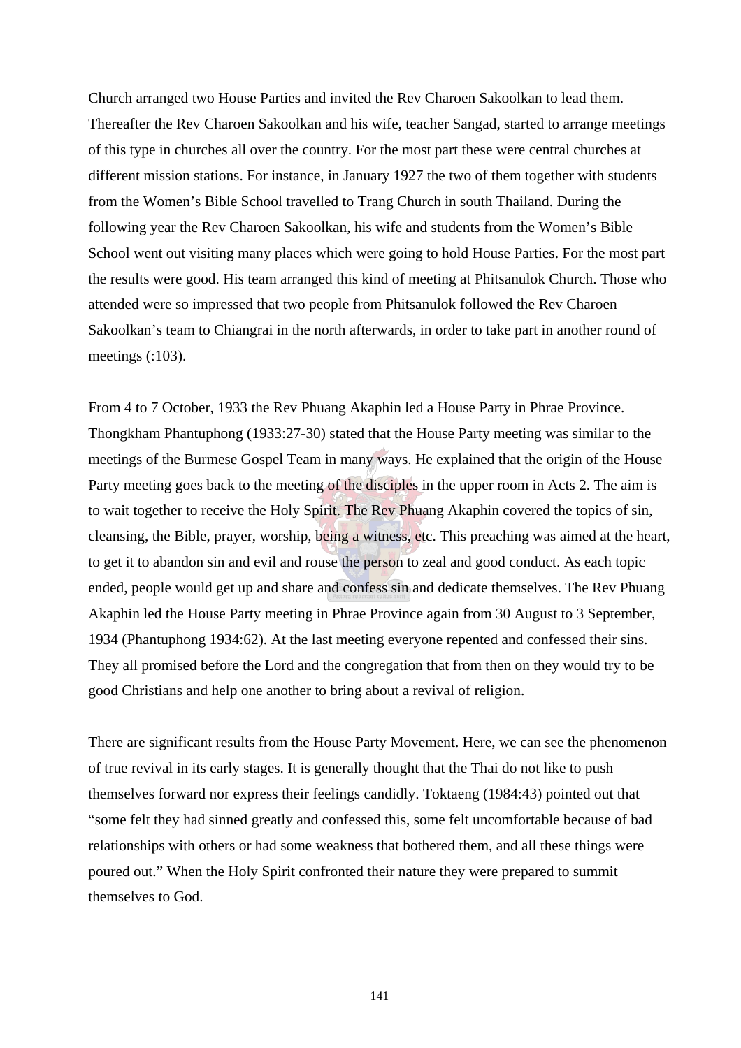Church arranged two House Parties and invited the Rev Charoen Sakoolkan to lead them. Thereafter the Rev Charoen Sakoolkan and his wife, teacher Sangad, started to arrange meetings of this type in churches all over the country. For the most part these were central churches at different mission stations. For instance, in January 1927 the two of them together with students from the Women's Bible School travelled to Trang Church in south Thailand. During the following year the Rev Charoen Sakoolkan, his wife and students from the Women's Bible School went out visiting many places which were going to hold House Parties. For the most part the results were good. His team arranged this kind of meeting at Phitsanulok Church. Those who attended were so impressed that two people from Phitsanulok followed the Rev Charoen Sakoolkan's team to Chiangrai in the north afterwards, in order to take part in another round of meetings (:103).

From 4 to 7 October, 1933 the Rev Phuang Akaphin led a House Party in Phrae Province. Thongkham Phantuphong (1933:27-30) stated that the House Party meeting was similar to the meetings of the Burmese Gospel Team in many ways. He explained that the origin of the House Party meeting goes back to the meeting of the disciples in the upper room in Acts 2. The aim is to wait together to receive the Holy Spirit. The Rev Phuang Akaphin covered the topics of sin, cleansing, the Bible, prayer, worship, being a witness, etc. This preaching was aimed at the heart, to get it to abandon sin and evil and rouse the person to zeal and good conduct. As each topic ended, people would get up and share and confess sin and dedicate themselves. The Rev Phuang Akaphin led the House Party meeting in Phrae Province again from 30 August to 3 September, 1934 (Phantuphong 1934:62). At the last meeting everyone repented and confessed their sins. They all promised before the Lord and the congregation that from then on they would try to be good Christians and help one another to bring about a revival of religion.

There are significant results from the House Party Movement. Here, we can see the phenomenon of true revival in its early stages. It is generally thought that the Thai do not like to push themselves forward nor express their feelings candidly. Toktaeng (1984:43) pointed out that "some felt they had sinned greatly and confessed this, some felt uncomfortable because of bad relationships with others or had some weakness that bothered them, and all these things were poured out." When the Holy Spirit confronted their nature they were prepared to summit themselves to God.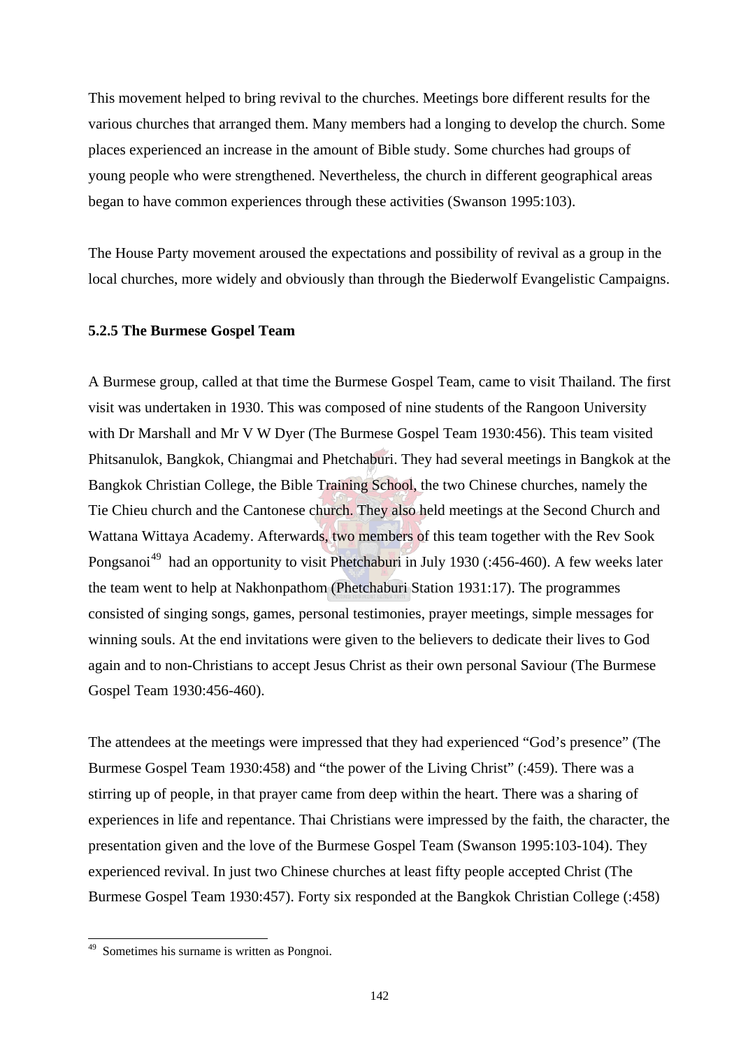This movement helped to bring revival to the churches. Meetings bore different results for the various churches that arranged them. Many members had a longing to develop the church. Some places experienced an increase in the amount of Bible study. Some churches had groups of young people who were strengthened. Nevertheless, the church in different geographical areas began to have common experiences through these activities (Swanson 1995:103).

The House Party movement aroused the expectations and possibility of revival as a group in the local churches, more widely and obviously than through the Biederwolf Evangelistic Campaigns.

#### **5.2.5 The Burmese Gospel Team**

A Burmese group, called at that time the Burmese Gospel Team, came to visit Thailand. The first visit was undertaken in 1930. This was composed of nine students of the Rangoon University with Dr Marshall and Mr V W Dyer (The Burmese Gospel Team 1930:456). This team visited Phitsanulok, Bangkok, Chiangmai and Phetchaburi. They had several meetings in Bangkok at the Bangkok Christian College, the Bible Training School, the two Chinese churches, namely the Tie Chieu church and the Cantonese church. They also held meetings at the Second Church and Wattana Wittaya Academy. Afterwards, two members of this team together with the Rev Sook Pongsanoi<sup>49</sup> had an opportunity to visit Phetchaburi in July 1930 (:456-460). A few weeks later the team went to help at Nakhonpathom (Phetchaburi Station 1931:17). The programmes consisted of singing songs, games, personal testimonies, prayer meetings, simple messages for winning souls. At the end invitations were given to the believers to dedicate their lives to God again and to non-Christians to accept Jesus Christ as their own personal Saviour (The Burmese Gospel Team 1930:456-460).

The attendees at the meetings were impressed that they had experienced "God's presence" (The Burmese Gospel Team 1930:458) and "the power of the Living Christ" (:459). There was a stirring up of people, in that prayer came from deep within the heart. There was a sharing of experiences in life and repentance. Thai Christians were impressed by the faith, the character, the presentation given and the love of the Burmese Gospel Team (Swanson 1995:103-104). They experienced revival. In just two Chinese churches at least fifty people accepted Christ (The Burmese Gospel Team 1930:457). Forty six responded at the Bangkok Christian College (:458)

 $\overline{a}$ 

<sup>&</sup>lt;sup>49</sup> Sometimes his surname is written as Pongnoi.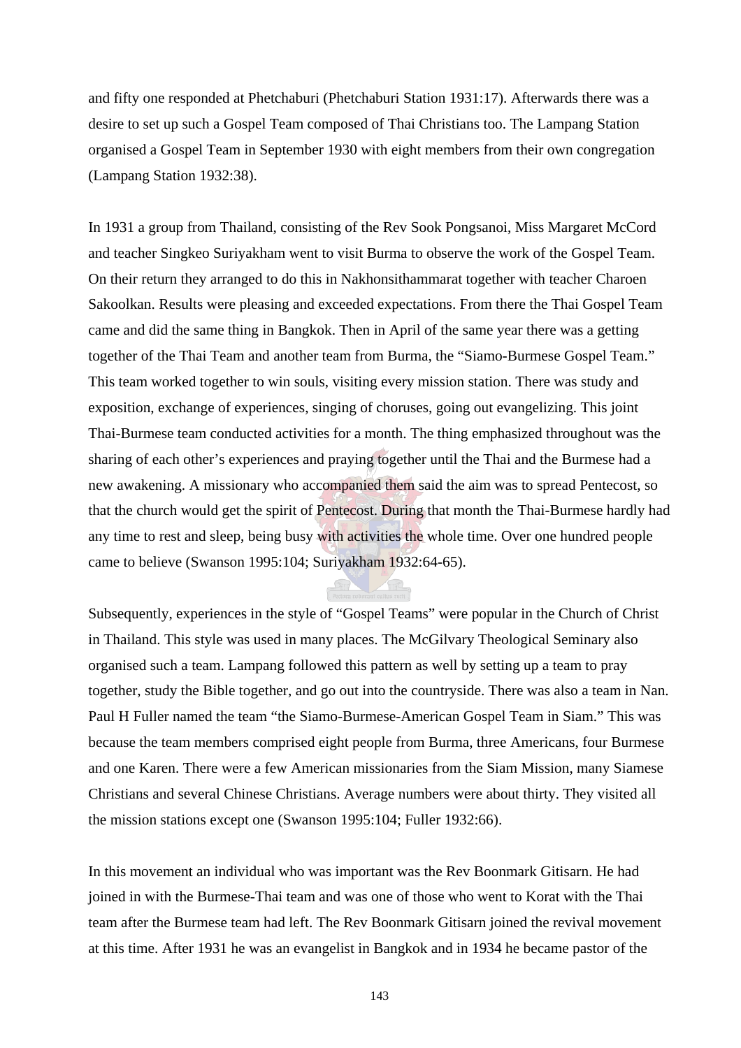and fifty one responded at Phetchaburi (Phetchaburi Station 1931:17). Afterwards there was a desire to set up such a Gospel Team composed of Thai Christians too. The Lampang Station organised a Gospel Team in September 1930 with eight members from their own congregation (Lampang Station 1932:38).

In 1931 a group from Thailand, consisting of the Rev Sook Pongsanoi, Miss Margaret McCord and teacher Singkeo Suriyakham went to visit Burma to observe the work of the Gospel Team. On their return they arranged to do this in Nakhonsithammarat together with teacher Charoen Sakoolkan. Results were pleasing and exceeded expectations. From there the Thai Gospel Team came and did the same thing in Bangkok. Then in April of the same year there was a getting together of the Thai Team and another team from Burma, the "Siamo-Burmese Gospel Team." This team worked together to win souls, visiting every mission station. There was study and exposition, exchange of experiences, singing of choruses, going out evangelizing. This joint Thai-Burmese team conducted activities for a month. The thing emphasized throughout was the sharing of each other's experiences and praying together until the Thai and the Burmese had a new awakening. A missionary who accompanied them said the aim was to spread Pentecost, so that the church would get the spirit of Pentecost. During that month the Thai-Burmese hardly had any time to rest and sleep, being busy with activities the whole time. Over one hundred people came to believe (Swanson 1995:104; Suriyakham 1932:64-65).

Subsequently, experiences in the style of "Gospel Teams" were popular in the Church of Christ in Thailand. This style was used in many places. The McGilvary Theological Seminary also organised such a team. Lampang followed this pattern as well by setting up a team to pray together, study the Bible together, and go out into the countryside. There was also a team in Nan. Paul H Fuller named the team "the Siamo-Burmese-American Gospel Team in Siam." This was because the team members comprised eight people from Burma, three Americans, four Burmese and one Karen. There were a few American missionaries from the Siam Mission, many Siamese Christians and several Chinese Christians. Average numbers were about thirty. They visited all the mission stations except one (Swanson 1995:104; Fuller 1932:66).

In this movement an individual who was important was the Rev Boonmark Gitisarn. He had joined in with the Burmese-Thai team and was one of those who went to Korat with the Thai team after the Burmese team had left. The Rev Boonmark Gitisarn joined the revival movement at this time. After 1931 he was an evangelist in Bangkok and in 1934 he became pastor of the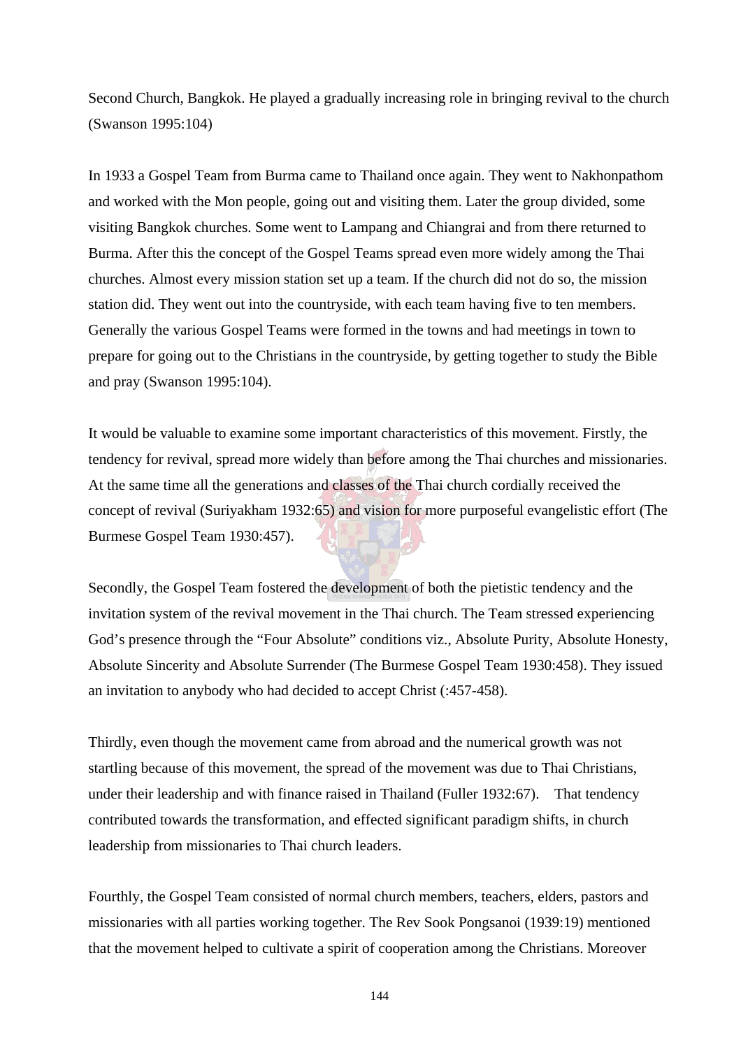Second Church, Bangkok. He played a gradually increasing role in bringing revival to the church (Swanson 1995:104)

In 1933 a Gospel Team from Burma came to Thailand once again. They went to Nakhonpathom and worked with the Mon people, going out and visiting them. Later the group divided, some visiting Bangkok churches. Some went to Lampang and Chiangrai and from there returned to Burma. After this the concept of the Gospel Teams spread even more widely among the Thai churches. Almost every mission station set up a team. If the church did not do so, the mission station did. They went out into the countryside, with each team having five to ten members. Generally the various Gospel Teams were formed in the towns and had meetings in town to prepare for going out to the Christians in the countryside, by getting together to study the Bible and pray (Swanson 1995:104).

It would be valuable to examine some important characteristics of this movement. Firstly, the tendency for revival, spread more widely than before among the Thai churches and missionaries. At the same time all the generations and classes of the Thai church cordially received the concept of revival (Suriyakham 1932:65) and vision for more purposeful evangelistic effort (The Burmese Gospel Team 1930:457).

Secondly, the Gospel Team fostered the development of both the pietistic tendency and the invitation system of the revival movement in the Thai church. The Team stressed experiencing God's presence through the "Four Absolute" conditions viz., Absolute Purity, Absolute Honesty, Absolute Sincerity and Absolute Surrender (The Burmese Gospel Team 1930:458). They issued an invitation to anybody who had decided to accept Christ (:457-458).

Thirdly, even though the movement came from abroad and the numerical growth was not startling because of this movement, the spread of the movement was due to Thai Christians, under their leadership and with finance raised in Thailand (Fuller 1932:67). That tendency contributed towards the transformation, and effected significant paradigm shifts, in church leadership from missionaries to Thai church leaders.

Fourthly, the Gospel Team consisted of normal church members, teachers, elders, pastors and missionaries with all parties working together. The Rev Sook Pongsanoi (1939:19) mentioned that the movement helped to cultivate a spirit of cooperation among the Christians. Moreover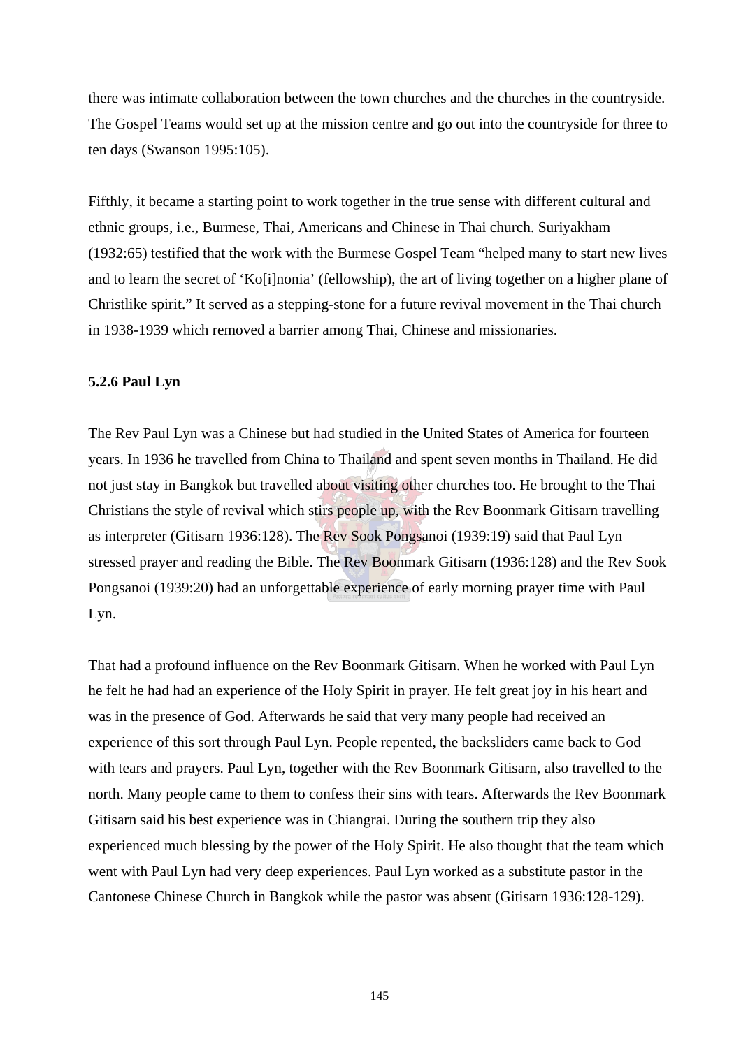there was intimate collaboration between the town churches and the churches in the countryside. The Gospel Teams would set up at the mission centre and go out into the countryside for three to ten days (Swanson 1995:105).

Fifthly, it became a starting point to work together in the true sense with different cultural and ethnic groups, i.e., Burmese, Thai, Americans and Chinese in Thai church. Suriyakham (1932:65) testified that the work with the Burmese Gospel Team "helped many to start new lives and to learn the secret of 'Ko[i]nonia' (fellowship), the art of living together on a higher plane of Christlike spirit." It served as a stepping-stone for a future revival movement in the Thai church in 1938-1939 which removed a barrier among Thai, Chinese and missionaries.

#### **5.2.6 Paul Lyn**

The Rev Paul Lyn was a Chinese but had studied in the United States of America for fourteen years. In 1936 he travelled from China to Thailand and spent seven months in Thailand. He did not just stay in Bangkok but travelled about visiting other churches too. He brought to the Thai Christians the style of revival which stirs people up, with the Rev Boonmark Gitisarn travelling as interpreter (Gitisarn 1936:128). The Rev Sook Pongsanoi (1939:19) said that Paul Lyn stressed prayer and reading the Bible. The Rev Boonmark Gitisarn (1936:128) and the Rev Sook Pongsanoi (1939:20) had an unforgettable experience of early morning prayer time with Paul Lyn.

That had a profound influence on the Rev Boonmark Gitisarn. When he worked with Paul Lyn he felt he had had an experience of the Holy Spirit in prayer. He felt great joy in his heart and was in the presence of God. Afterwards he said that very many people had received an experience of this sort through Paul Lyn. People repented, the backsliders came back to God with tears and prayers. Paul Lyn, together with the Rev Boonmark Gitisarn, also travelled to the north. Many people came to them to confess their sins with tears. Afterwards the Rev Boonmark Gitisarn said his best experience was in Chiangrai. During the southern trip they also experienced much blessing by the power of the Holy Spirit. He also thought that the team which went with Paul Lyn had very deep experiences. Paul Lyn worked as a substitute pastor in the Cantonese Chinese Church in Bangkok while the pastor was absent (Gitisarn 1936:128-129).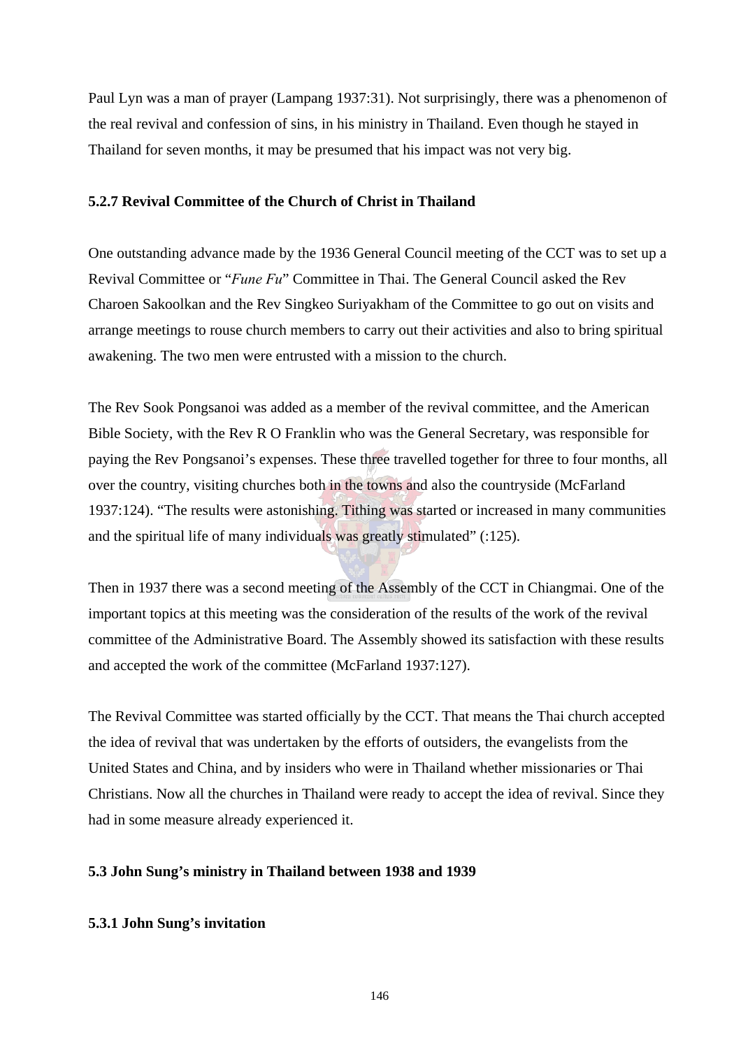Paul Lyn was a man of prayer (Lampang 1937:31). Not surprisingly, there was a phenomenon of the real revival and confession of sins, in his ministry in Thailand. Even though he stayed in Thailand for seven months, it may be presumed that his impact was not very big.

## **5.2.7 Revival Committee of the Church of Christ in Thailand**

One outstanding advance made by the 1936 General Council meeting of the CCT was to set up a Revival Committee or "*Fune Fu*" Committee in Thai. The General Council asked the Rev Charoen Sakoolkan and the Rev Singkeo Suriyakham of the Committee to go out on visits and arrange meetings to rouse church members to carry out their activities and also to bring spiritual awakening. The two men were entrusted with a mission to the church.

The Rev Sook Pongsanoi was added as a member of the revival committee, and the American Bible Society, with the Rev R O Franklin who was the General Secretary, was responsible for paying the Rev Pongsanoi's expenses. These three travelled together for three to four months, all over the country, visiting churches both in the towns and also the countryside (McFarland 1937:124). "The results were astonishing. Tithing was started or increased in many communities and the spiritual life of many individuals was greatly stimulated" (:125).

Then in 1937 there was a second meeting of the Assembly of the CCT in Chiangmai. One of the important topics at this meeting was the consideration of the results of the work of the revival committee of the Administrative Board. The Assembly showed its satisfaction with these results and accepted the work of the committee (McFarland 1937:127).

The Revival Committee was started officially by the CCT. That means the Thai church accepted the idea of revival that was undertaken by the efforts of outsiders, the evangelists from the United States and China, and by insiders who were in Thailand whether missionaries or Thai Christians. Now all the churches in Thailand were ready to accept the idea of revival. Since they had in some measure already experienced it.

## **5.3 John Sung's ministry in Thailand between 1938 and 1939**

## **5.3.1 John Sung's invitation**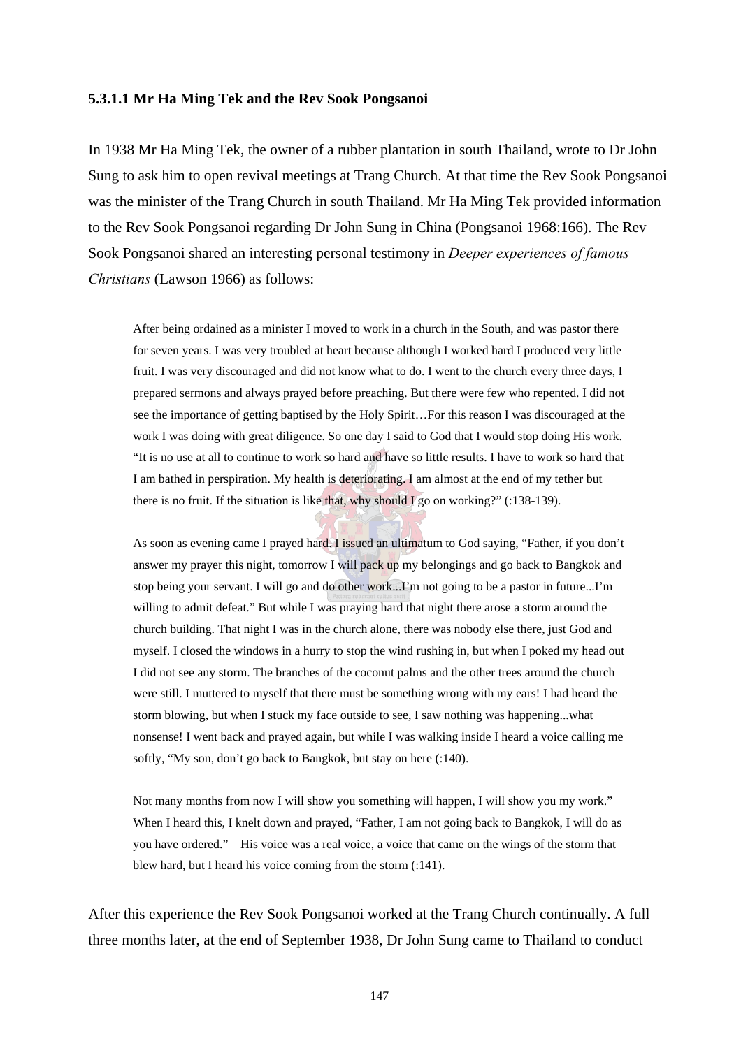#### **5.3.1.1 Mr Ha Ming Tek and the Rev Sook Pongsanoi**

In 1938 Mr Ha Ming Tek, the owner of a rubber plantation in south Thailand, wrote to Dr John Sung to ask him to open revival meetings at Trang Church. At that time the Rev Sook Pongsanoi was the minister of the Trang Church in south Thailand. Mr Ha Ming Tek provided information to the Rev Sook Pongsanoi regarding Dr John Sung in China (Pongsanoi 1968:166). The Rev Sook Pongsanoi shared an interesting personal testimony in *Deeper experiences of famous Christians* (Lawson 1966) as follows:

After being ordained as a minister I moved to work in a church in the South, and was pastor there for seven years. I was very troubled at heart because although I worked hard I produced very little fruit. I was very discouraged and did not know what to do. I went to the church every three days, I prepared sermons and always prayed before preaching. But there were few who repented. I did not see the importance of getting baptised by the Holy Spirit…For this reason I was discouraged at the work I was doing with great diligence. So one day I said to God that I would stop doing His work. "It is no use at all to continue to work so hard and have so little results. I have to work so hard that I am bathed in perspiration. My health is deteriorating. I am almost at the end of my tether but there is no fruit. If the situation is like that, why should I go on working?" (:138-139).

As soon as evening came I prayed hard. I issued an ultimatum to God saying, "Father, if you don't answer my prayer this night, tomorrow I will pack up my belongings and go back to Bangkok and stop being your servant. I will go and do other work...I'm not going to be a pastor in future...I'm willing to admit defeat." But while I was praying hard that night there arose a storm around the church building. That night I was in the church alone, there was nobody else there, just God and myself. I closed the windows in a hurry to stop the wind rushing in, but when I poked my head out I did not see any storm. The branches of the coconut palms and the other trees around the church were still. I muttered to myself that there must be something wrong with my ears! I had heard the storm blowing, but when I stuck my face outside to see, I saw nothing was happening...what nonsense! I went back and prayed again, but while I was walking inside I heard a voice calling me softly, "My son, don't go back to Bangkok, but stay on here (:140).

Not many months from now I will show you something will happen, I will show you my work." When I heard this, I knelt down and prayed, "Father, I am not going back to Bangkok, I will do as you have ordered." His voice was a real voice, a voice that came on the wings of the storm that blew hard, but I heard his voice coming from the storm (:141).

After this experience the Rev Sook Pongsanoi worked at the Trang Church continually. A full three months later, at the end of September 1938, Dr John Sung came to Thailand to conduct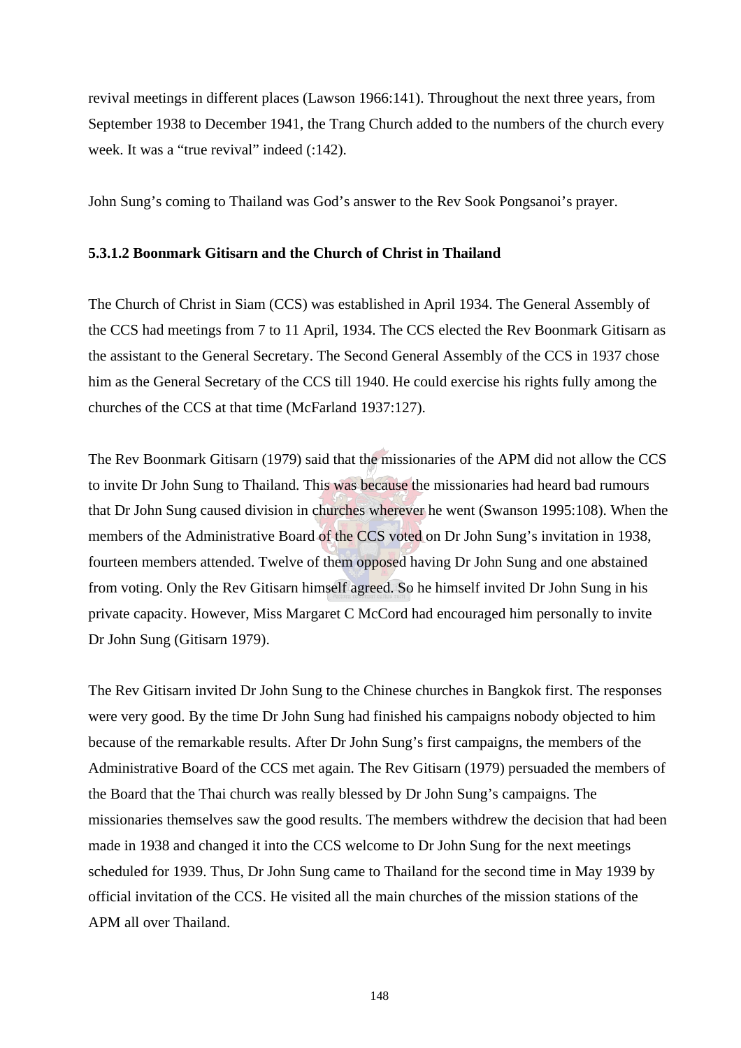revival meetings in different places (Lawson 1966:141). Throughout the next three years, from September 1938 to December 1941, the Trang Church added to the numbers of the church every week. It was a "true revival" indeed  $(.142)$ .

John Sung's coming to Thailand was God's answer to the Rev Sook Pongsanoi's prayer.

## **5.3.1.2 Boonmark Gitisarn and the Church of Christ in Thailand**

The Church of Christ in Siam (CCS) was established in April 1934. The General Assembly of the CCS had meetings from 7 to 11 April, 1934. The CCS elected the Rev Boonmark Gitisarn as the assistant to the General Secretary. The Second General Assembly of the CCS in 1937 chose him as the General Secretary of the CCS till 1940. He could exercise his rights fully among the churches of the CCS at that time (McFarland 1937:127).

The Rev Boonmark Gitisarn (1979) said that the missionaries of the APM did not allow the CCS to invite Dr John Sung to Thailand. This was because the missionaries had heard bad rumours that Dr John Sung caused division in churches wherever he went (Swanson 1995:108). When the members of the Administrative Board of the CCS voted on Dr John Sung's invitation in 1938, fourteen members attended. Twelve of them opposed having Dr John Sung and one abstained from voting. Only the Rev Gitisarn himself agreed. So he himself invited Dr John Sung in his private capacity. However, Miss Margaret C McCord had encouraged him personally to invite Dr John Sung (Gitisarn 1979).

The Rev Gitisarn invited Dr John Sung to the Chinese churches in Bangkok first. The responses were very good. By the time Dr John Sung had finished his campaigns nobody objected to him because of the remarkable results. After Dr John Sung's first campaigns, the members of the Administrative Board of the CCS met again. The Rev Gitisarn (1979) persuaded the members of the Board that the Thai church was really blessed by Dr John Sung's campaigns. The missionaries themselves saw the good results. The members withdrew the decision that had been made in 1938 and changed it into the CCS welcome to Dr John Sung for the next meetings scheduled for 1939. Thus, Dr John Sung came to Thailand for the second time in May 1939 by official invitation of the CCS. He visited all the main churches of the mission stations of the APM all over Thailand.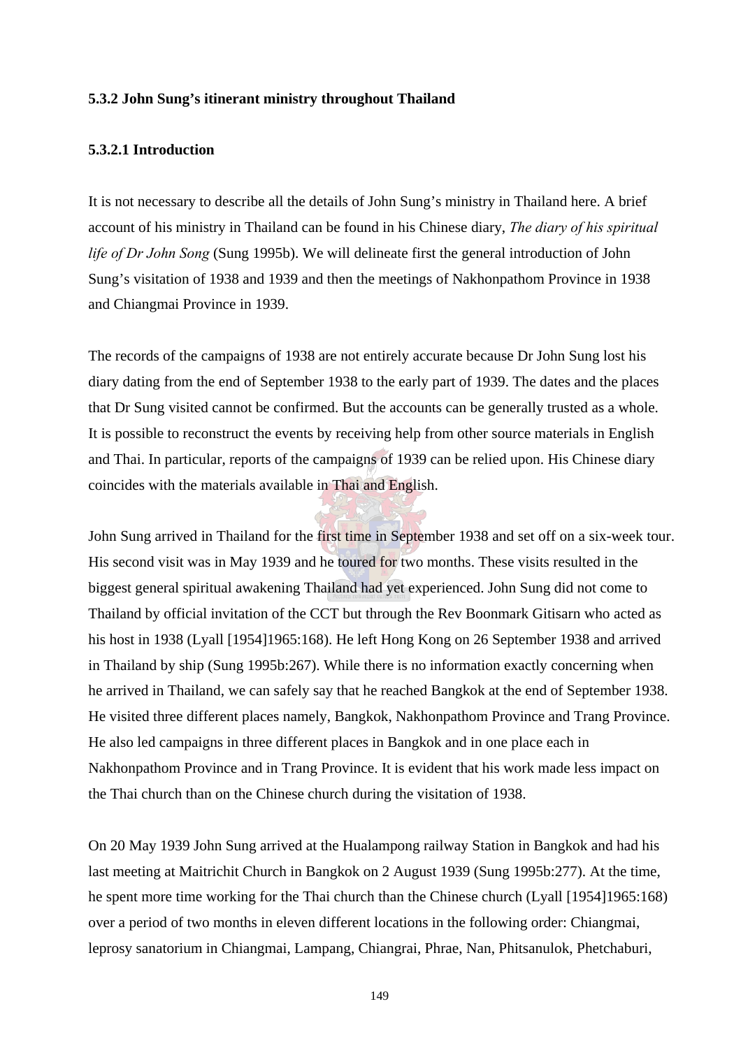#### **5.3.2 John Sung's itinerant ministry throughout Thailand**

#### **5.3.2.1 Introduction**

It is not necessary to describe all the details of John Sung's ministry in Thailand here. A brief account of his ministry in Thailand can be found in his Chinese diary, *The diary of his spiritual life of Dr John Song* (Sung 1995b). We will delineate first the general introduction of John Sung's visitation of 1938 and 1939 and then the meetings of Nakhonpathom Province in 1938 and Chiangmai Province in 1939.

The records of the campaigns of 1938 are not entirely accurate because Dr John Sung lost his diary dating from the end of September 1938 to the early part of 1939. The dates and the places that Dr Sung visited cannot be confirmed. But the accounts can be generally trusted as a whole. It is possible to reconstruct the events by receiving help from other source materials in English and Thai. In particular, reports of the campaigns of 1939 can be relied upon. His Chinese diary coincides with the materials available in Thai and English.

John Sung arrived in Thailand for the first time in September 1938 and set off on a six-week tour. His second visit was in May 1939 and he toured for two months. These visits resulted in the biggest general spiritual awakening Thailand had yet experienced. John Sung did not come to Thailand by official invitation of the CCT but through the Rev Boonmark Gitisarn who acted as his host in 1938 (Lyall [1954]1965:168). He left Hong Kong on 26 September 1938 and arrived in Thailand by ship (Sung 1995b:267). While there is no information exactly concerning when he arrived in Thailand, we can safely say that he reached Bangkok at the end of September 1938. He visited three different places namely, Bangkok, Nakhonpathom Province and Trang Province. He also led campaigns in three different places in Bangkok and in one place each in Nakhonpathom Province and in Trang Province. It is evident that his work made less impact on the Thai church than on the Chinese church during the visitation of 1938.

On 20 May 1939 John Sung arrived at the Hualampong railway Station in Bangkok and had his last meeting at Maitrichit Church in Bangkok on 2 August 1939 (Sung 1995b:277). At the time, he spent more time working for the Thai church than the Chinese church (Lyall [1954]1965:168) over a period of two months in eleven different locations in the following order: Chiangmai, leprosy sanatorium in Chiangmai, Lampang, Chiangrai, Phrae, Nan, Phitsanulok, Phetchaburi,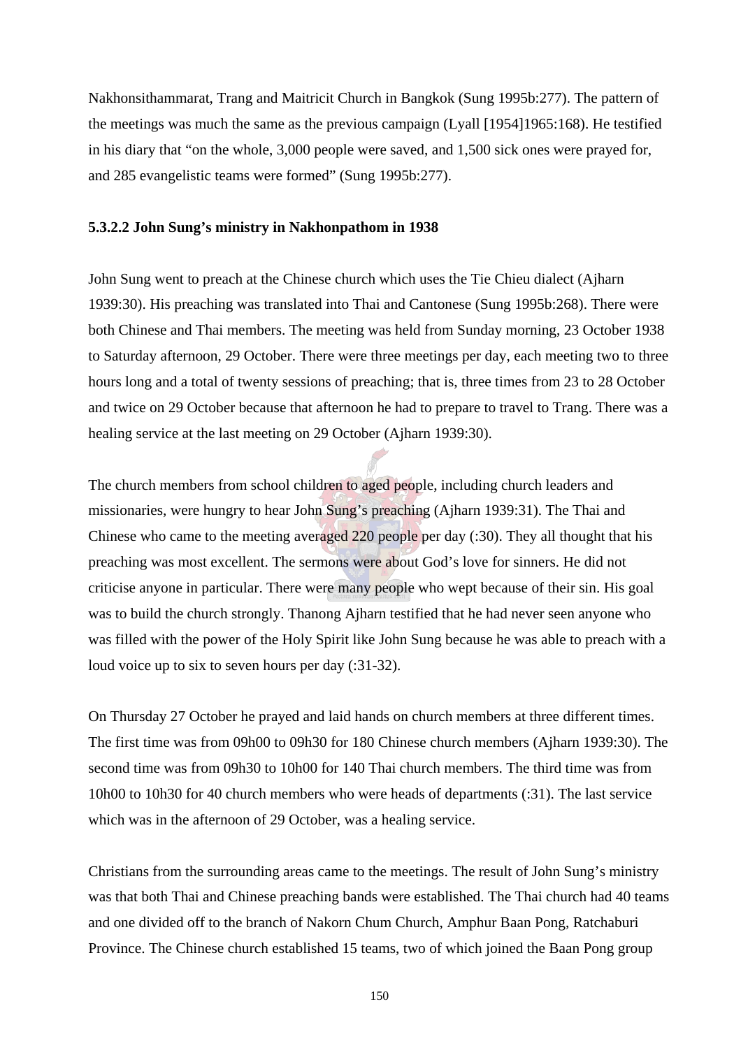Nakhonsithammarat, Trang and Maitricit Church in Bangkok (Sung 1995b:277). The pattern of the meetings was much the same as the previous campaign (Lyall [1954]1965:168). He testified in his diary that "on the whole, 3,000 people were saved, and 1,500 sick ones were prayed for, and 285 evangelistic teams were formed" (Sung 1995b:277).

#### **5.3.2.2 John Sung's ministry in Nakhonpathom in 1938**

John Sung went to preach at the Chinese church which uses the Tie Chieu dialect (Ajharn 1939:30). His preaching was translated into Thai and Cantonese (Sung 1995b:268). There were both Chinese and Thai members. The meeting was held from Sunday morning, 23 October 1938 to Saturday afternoon, 29 October. There were three meetings per day, each meeting two to three hours long and a total of twenty sessions of preaching; that is, three times from 23 to 28 October and twice on 29 October because that afternoon he had to prepare to travel to Trang. There was a healing service at the last meeting on 29 October (Ajharn 1939:30).

The church members from school children to aged people, including church leaders and missionaries, were hungry to hear John Sung's preaching (Ajharn 1939:31). The Thai and Chinese who came to the meeting averaged 220 people per day (:30). They all thought that his preaching was most excellent. The sermons were about God's love for sinners. He did not criticise anyone in particular. There were many people who wept because of their sin. His goal was to build the church strongly. Thanong Ajharn testified that he had never seen anyone who was filled with the power of the Holy Spirit like John Sung because he was able to preach with a loud voice up to six to seven hours per day (:31-32).

On Thursday 27 October he prayed and laid hands on church members at three different times. The first time was from 09h00 to 09h30 for 180 Chinese church members (Ajharn 1939:30). The second time was from 09h30 to 10h00 for 140 Thai church members. The third time was from 10h00 to 10h30 for 40 church members who were heads of departments (:31). The last service which was in the afternoon of 29 October, was a healing service.

Christians from the surrounding areas came to the meetings. The result of John Sung's ministry was that both Thai and Chinese preaching bands were established. The Thai church had 40 teams and one divided off to the branch of Nakorn Chum Church, Amphur Baan Pong, Ratchaburi Province. The Chinese church established 15 teams, two of which joined the Baan Pong group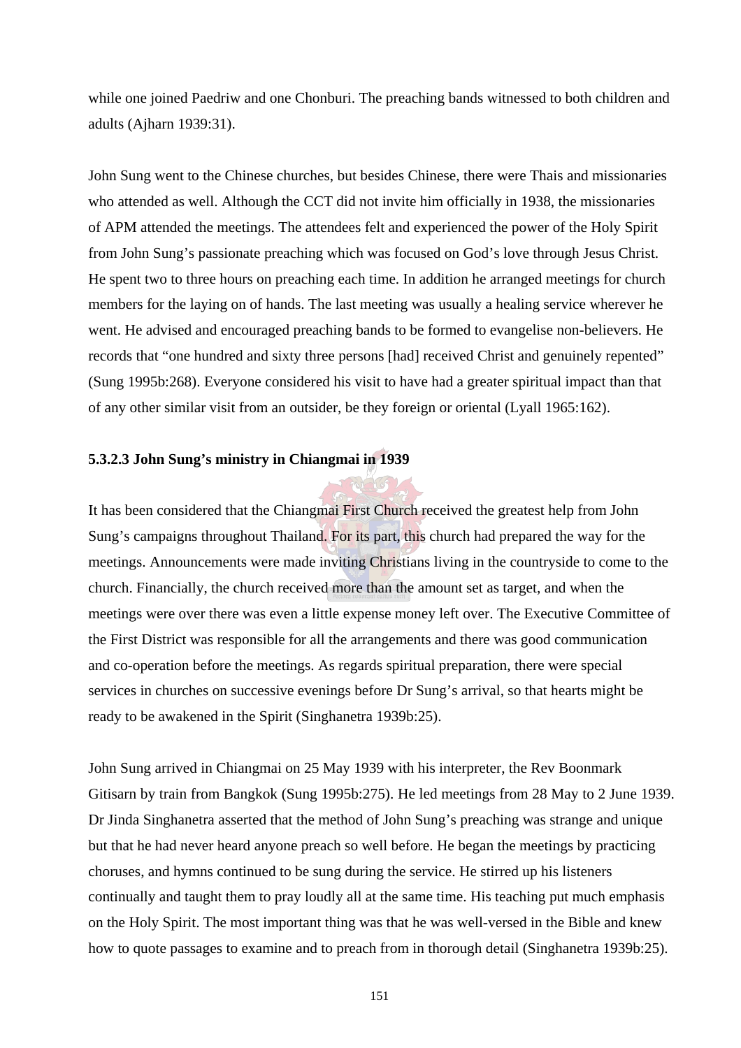while one joined Paedriw and one Chonburi. The preaching bands witnessed to both children and adults (Ajharn 1939:31).

John Sung went to the Chinese churches, but besides Chinese, there were Thais and missionaries who attended as well. Although the CCT did not invite him officially in 1938, the missionaries of APM attended the meetings. The attendees felt and experienced the power of the Holy Spirit from John Sung's passionate preaching which was focused on God's love through Jesus Christ. He spent two to three hours on preaching each time. In addition he arranged meetings for church members for the laying on of hands. The last meeting was usually a healing service wherever he went. He advised and encouraged preaching bands to be formed to evangelise non-believers. He records that "one hundred and sixty three persons [had] received Christ and genuinely repented" (Sung 1995b:268). Everyone considered his visit to have had a greater spiritual impact than that of any other similar visit from an outsider, be they foreign or oriental (Lyall 1965:162).

## **5.3.2.3 John Sung's ministry in Chiangmai in 1939**

It has been considered that the Chiangmai First Church received the greatest help from John Sung's campaigns throughout Thailand. For its part, this church had prepared the way for the meetings. Announcements were made inviting Christians living in the countryside to come to the church. Financially, the church received more than the amount set as target, and when the meetings were over there was even a little expense money left over. The Executive Committee of the First District was responsible for all the arrangements and there was good communication and co-operation before the meetings. As regards spiritual preparation, there were special services in churches on successive evenings before Dr Sung's arrival, so that hearts might be ready to be awakened in the Spirit (Singhanetra 1939b:25).

John Sung arrived in Chiangmai on 25 May 1939 with his interpreter, the Rev Boonmark Gitisarn by train from Bangkok (Sung 1995b:275). He led meetings from 28 May to 2 June 1939. Dr Jinda Singhanetra asserted that the method of John Sung's preaching was strange and unique but that he had never heard anyone preach so well before. He began the meetings by practicing choruses, and hymns continued to be sung during the service. He stirred up his listeners continually and taught them to pray loudly all at the same time. His teaching put much emphasis on the Holy Spirit. The most important thing was that he was well-versed in the Bible and knew how to quote passages to examine and to preach from in thorough detail (Singhanetra 1939b:25).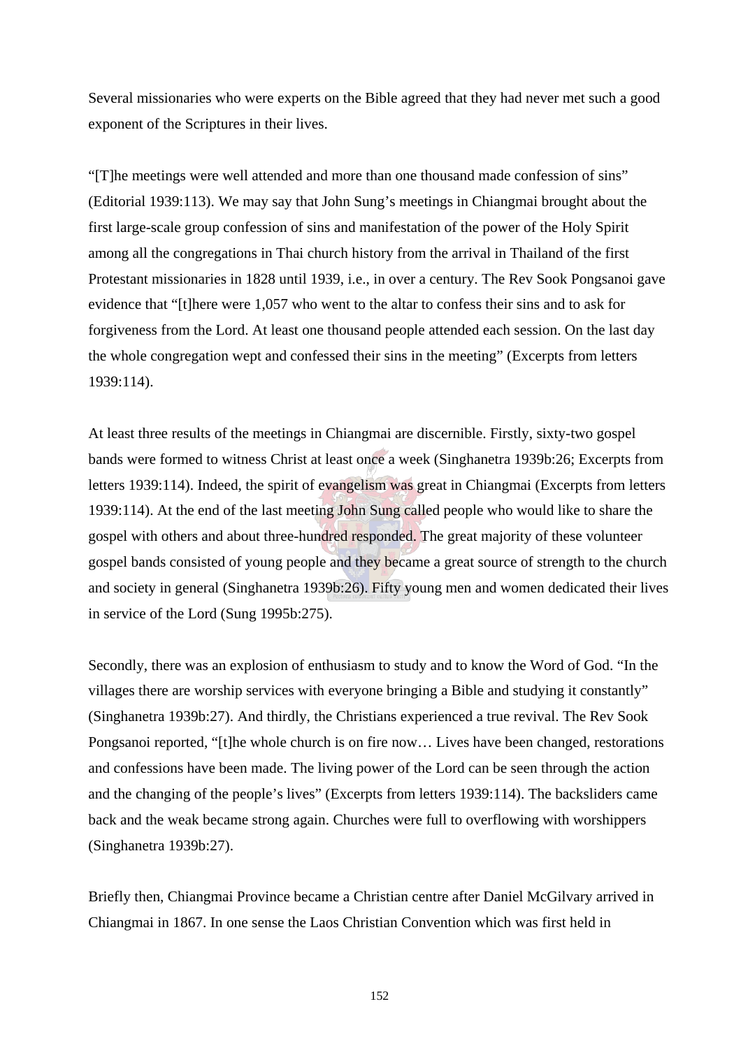Several missionaries who were experts on the Bible agreed that they had never met such a good exponent of the Scriptures in their lives.

"[T]he meetings were well attended and more than one thousand made confession of sins" (Editorial 1939:113). We may say that John Sung's meetings in Chiangmai brought about the first large-scale group confession of sins and manifestation of the power of the Holy Spirit among all the congregations in Thai church history from the arrival in Thailand of the first Protestant missionaries in 1828 until 1939, i.e., in over a century. The Rev Sook Pongsanoi gave evidence that "[t]here were 1,057 who went to the altar to confess their sins and to ask for forgiveness from the Lord. At least one thousand people attended each session. On the last day the whole congregation wept and confessed their sins in the meeting" (Excerpts from letters 1939:114).

At least three results of the meetings in Chiangmai are discernible. Firstly, sixty-two gospel bands were formed to witness Christ at least once a week (Singhanetra 1939b:26; Excerpts from letters 1939:114). Indeed, the spirit of evangelism was great in Chiangmai (Excerpts from letters 1939:114). At the end of the last meeting John Sung called people who would like to share the gospel with others and about three-hundred responded. The great majority of these volunteer gospel bands consisted of young people and they became a great source of strength to the church and society in general (Singhanetra 1939b:26). Fifty young men and women dedicated their lives in service of the Lord (Sung 1995b:275).

Secondly, there was an explosion of enthusiasm to study and to know the Word of God. "In the villages there are worship services with everyone bringing a Bible and studying it constantly" (Singhanetra 1939b:27). And thirdly, the Christians experienced a true revival. The Rev Sook Pongsanoi reported, "[t]he whole church is on fire now… Lives have been changed, restorations and confessions have been made. The living power of the Lord can be seen through the action and the changing of the people's lives" (Excerpts from letters 1939:114). The backsliders came back and the weak became strong again. Churches were full to overflowing with worshippers (Singhanetra 1939b:27).

Briefly then, Chiangmai Province became a Christian centre after Daniel McGilvary arrived in Chiangmai in 1867. In one sense the Laos Christian Convention which was first held in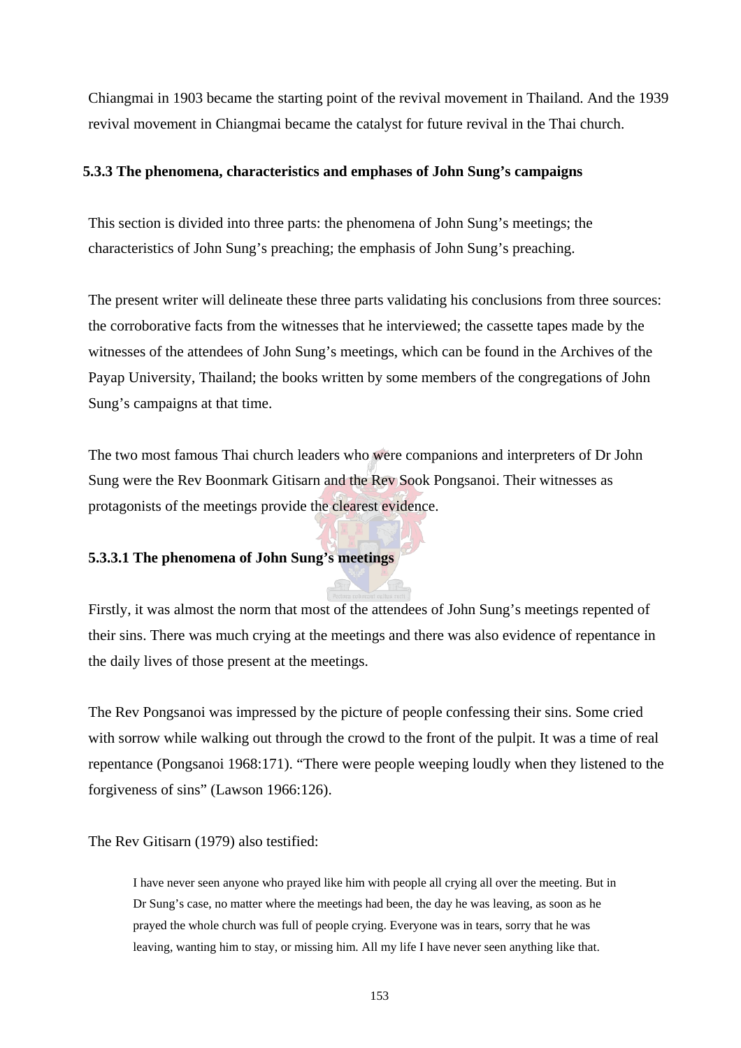Chiangmai in 1903 became the starting point of the revival movement in Thailand. And the 1939 revival movement in Chiangmai became the catalyst for future revival in the Thai church.

#### **5.3.3 The phenomena, characteristics and emphases of John Sung's campaigns**

This section is divided into three parts: the phenomena of John Sung's meetings; the characteristics of John Sung's preaching; the emphasis of John Sung's preaching.

The present writer will delineate these three parts validating his conclusions from three sources: the corroborative facts from the witnesses that he interviewed; the cassette tapes made by the witnesses of the attendees of John Sung's meetings, which can be found in the Archives of the Payap University, Thailand; the books written by some members of the congregations of John Sung's campaigns at that time.

The two most famous Thai church leaders who were companions and interpreters of Dr John Sung were the Rev Boonmark Gitisarn and the Rev Sook Pongsanoi. Their witnesses as protagonists of the meetings provide the clearest evidence.

#### **5.3.3.1 The phenomena of John Sung's meetings**

Firstly, it was almost the norm that most of the attendees of John Sung's meetings repented of their sins. There was much crying at the meetings and there was also evidence of repentance in the daily lives of those present at the meetings.

The Rev Pongsanoi was impressed by the picture of people confessing their sins. Some cried with sorrow while walking out through the crowd to the front of the pulpit. It was a time of real repentance (Pongsanoi 1968:171). "There were people weeping loudly when they listened to the forgiveness of sins" (Lawson 1966:126).

The Rev Gitisarn (1979) also testified:

I have never seen anyone who prayed like him with people all crying all over the meeting. But in Dr Sung's case, no matter where the meetings had been, the day he was leaving, as soon as he prayed the whole church was full of people crying. Everyone was in tears, sorry that he was leaving, wanting him to stay, or missing him. All my life I have never seen anything like that.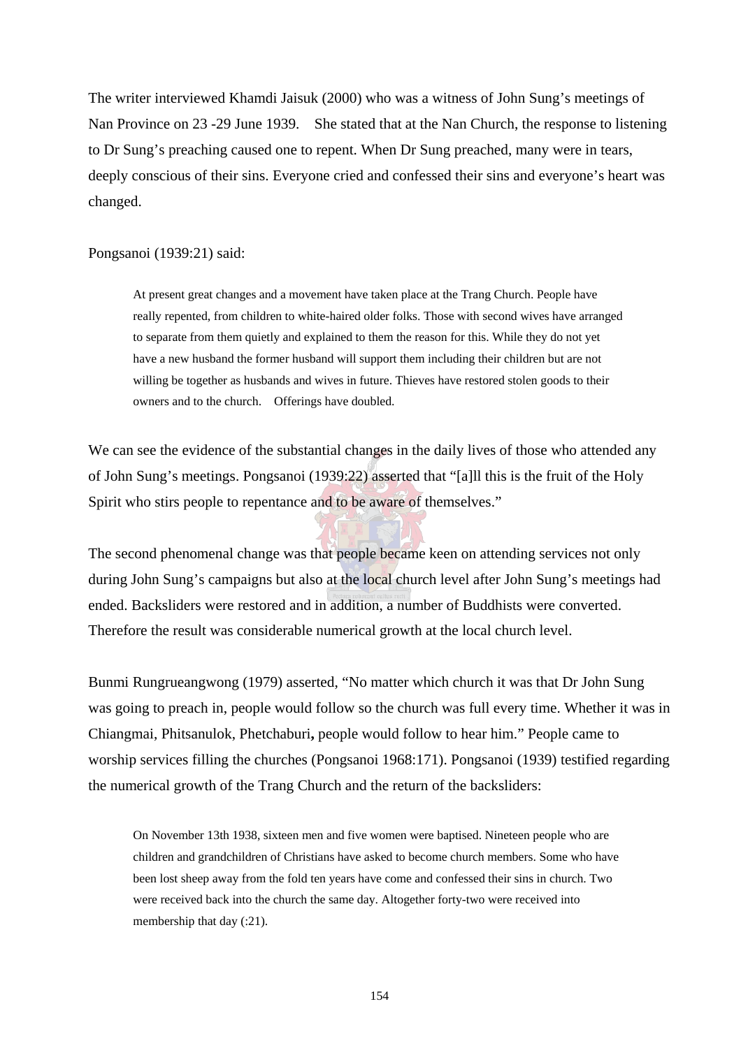The writer interviewed Khamdi Jaisuk (2000) who was a witness of John Sung's meetings of Nan Province on 23 -29 June 1939. She stated that at the Nan Church, the response to listening to Dr Sung's preaching caused one to repent. When Dr Sung preached, many were in tears, deeply conscious of their sins. Everyone cried and confessed their sins and everyone's heart was changed.

#### Pongsanoi (1939:21) said:

At present great changes and a movement have taken place at the Trang Church. People have really repented, from children to white-haired older folks. Those with second wives have arranged to separate from them quietly and explained to them the reason for this. While they do not yet have a new husband the former husband will support them including their children but are not willing be together as husbands and wives in future. Thieves have restored stolen goods to their owners and to the church. Offerings have doubled.

We can see the evidence of the substantial changes in the daily lives of those who attended any of John Sung's meetings. Pongsanoi (1939:22) asserted that "[a]ll this is the fruit of the Holy Spirit who stirs people to repentance and to be aware of themselves."

The second phenomenal change was that people became keen on attending services not only during John Sung's campaigns but also at the local church level after John Sung's meetings had ended. Backsliders were restored and in addition, a number of Buddhists were converted. Therefore the result was considerable numerical growth at the local church level.

Bunmi Rungrueangwong (1979) asserted, "No matter which church it was that Dr John Sung was going to preach in, people would follow so the church was full every time. Whether it was in Chiangmai, Phitsanulok, Phetchaburi**,** people would follow to hear him." People came to worship services filling the churches (Pongsanoi 1968:171). Pongsanoi (1939) testified regarding the numerical growth of the Trang Church and the return of the backsliders:

On November 13th 1938, sixteen men and five women were baptised. Nineteen people who are children and grandchildren of Christians have asked to become church members. Some who have been lost sheep away from the fold ten years have come and confessed their sins in church. Two were received back into the church the same day. Altogether forty-two were received into membership that day  $(.21)$ .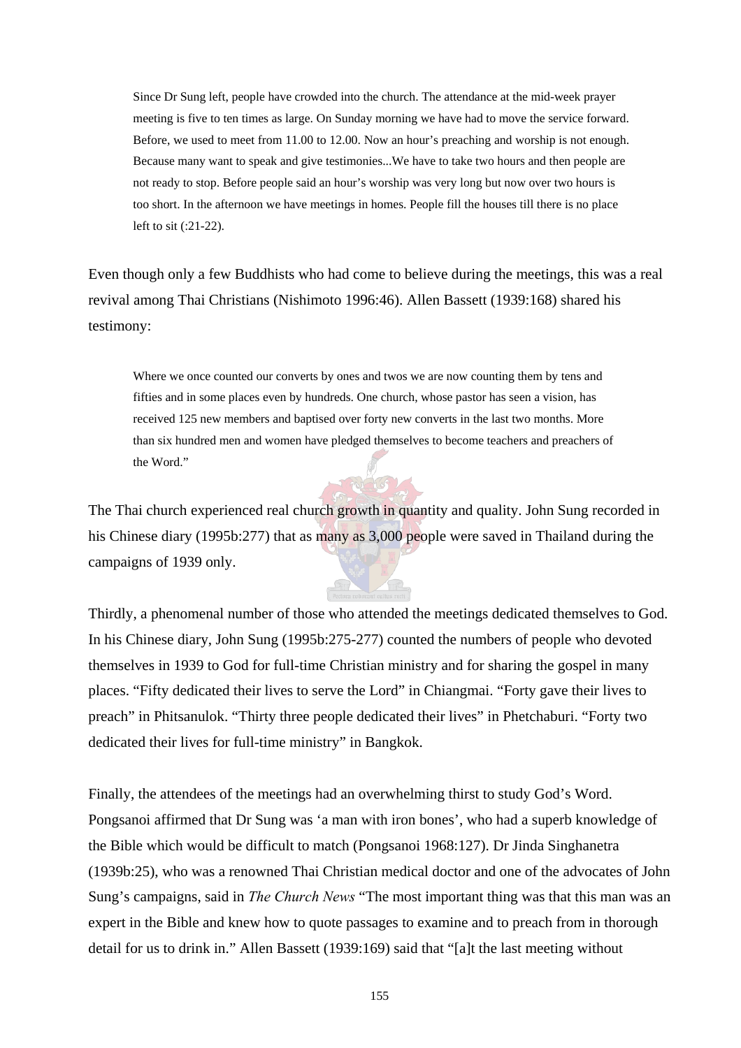Since Dr Sung left, people have crowded into the church. The attendance at the mid-week prayer meeting is five to ten times as large. On Sunday morning we have had to move the service forward. Before, we used to meet from 11.00 to 12.00. Now an hour's preaching and worship is not enough. Because many want to speak and give testimonies...We have to take two hours and then people are not ready to stop. Before people said an hour's worship was very long but now over two hours is too short. In the afternoon we have meetings in homes. People fill the houses till there is no place left to sit (:21-22).

Even though only a few Buddhists who had come to believe during the meetings, this was a real revival among Thai Christians (Nishimoto 1996:46). Allen Bassett (1939:168) shared his testimony:

Where we once counted our converts by ones and twos we are now counting them by tens and fifties and in some places even by hundreds. One church, whose pastor has seen a vision, has received 125 new members and baptised over forty new converts in the last two months. More than six hundred men and women have pledged themselves to become teachers and preachers of the Word."

The Thai church experienced real church growth in quantity and quality. John Sung recorded in his Chinese diary (1995b:277) that as many as 3,000 people were saved in Thailand during the campaigns of 1939 only.

Thirdly, a phenomenal number of those who attended the meetings dedicated themselves to God. In his Chinese diary, John Sung (1995b:275-277) counted the numbers of people who devoted themselves in 1939 to God for full-time Christian ministry and for sharing the gospel in many places. "Fifty dedicated their lives to serve the Lord" in Chiangmai. "Forty gave their lives to preach" in Phitsanulok. "Thirty three people dedicated their lives" in Phetchaburi. "Forty two dedicated their lives for full-time ministry" in Bangkok.

Finally, the attendees of the meetings had an overwhelming thirst to study God's Word. Pongsanoi affirmed that Dr Sung was 'a man with iron bones', who had a superb knowledge of the Bible which would be difficult to match (Pongsanoi 1968:127). Dr Jinda Singhanetra (1939b:25), who was a renowned Thai Christian medical doctor and one of the advocates of John Sung's campaigns, said in *The Church News* "The most important thing was that this man was an expert in the Bible and knew how to quote passages to examine and to preach from in thorough detail for us to drink in." Allen Bassett (1939:169) said that "[a]t the last meeting without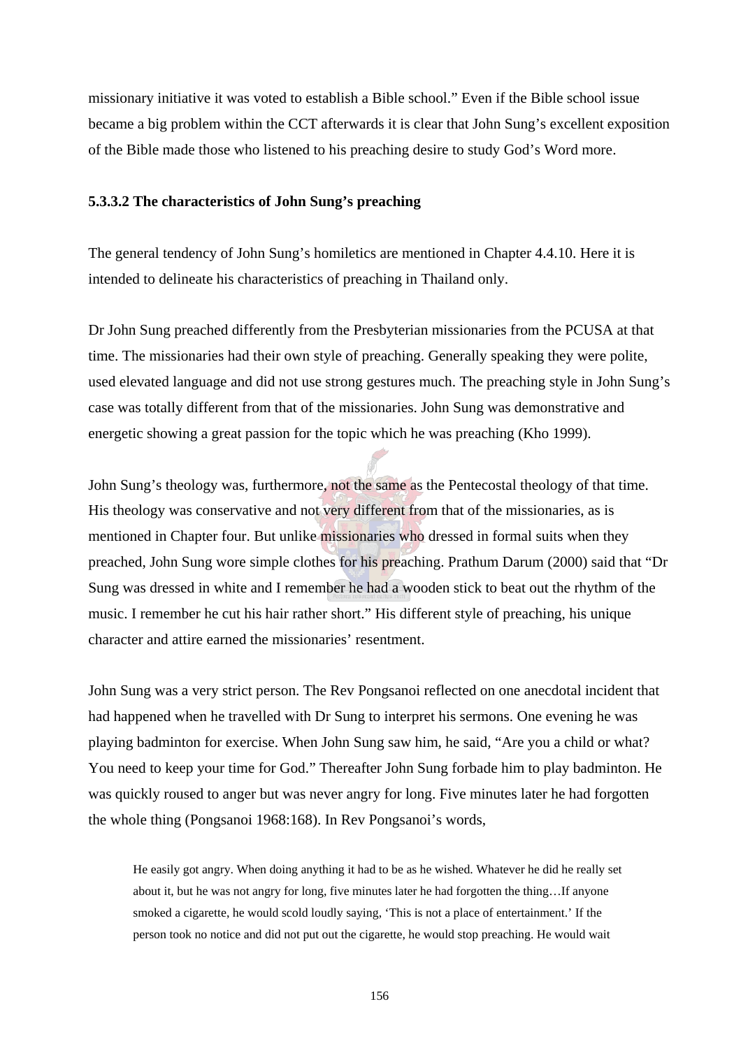missionary initiative it was voted to establish a Bible school." Even if the Bible school issue became a big problem within the CCT afterwards it is clear that John Sung's excellent exposition of the Bible made those who listened to his preaching desire to study God's Word more.

#### **5.3.3.2 The characteristics of John Sung's preaching**

The general tendency of John Sung's homiletics are mentioned in Chapter 4.4.10. Here it is intended to delineate his characteristics of preaching in Thailand only.

Dr John Sung preached differently from the Presbyterian missionaries from the PCUSA at that time. The missionaries had their own style of preaching. Generally speaking they were polite, used elevated language and did not use strong gestures much. The preaching style in John Sung's case was totally different from that of the missionaries. John Sung was demonstrative and energetic showing a great passion for the topic which he was preaching (Kho 1999).

John Sung's theology was, furthermore, not the same as the Pentecostal theology of that time. His theology was conservative and not very different from that of the missionaries, as is mentioned in Chapter four. But unlike missionaries who dressed in formal suits when they preached, John Sung wore simple clothes for his preaching. Prathum Darum (2000) said that "Dr Sung was dressed in white and I remember he had a wooden stick to beat out the rhythm of the music. I remember he cut his hair rather short." His different style of preaching, his unique character and attire earned the missionaries' resentment.

John Sung was a very strict person. The Rev Pongsanoi reflected on one anecdotal incident that had happened when he travelled with Dr Sung to interpret his sermons. One evening he was playing badminton for exercise. When John Sung saw him, he said, "Are you a child or what? You need to keep your time for God." Thereafter John Sung forbade him to play badminton. He was quickly roused to anger but was never angry for long. Five minutes later he had forgotten the whole thing (Pongsanoi 1968:168). In Rev Pongsanoi's words,

He easily got angry. When doing anything it had to be as he wished. Whatever he did he really set about it, but he was not angry for long, five minutes later he had forgotten the thing…If anyone smoked a cigarette, he would scold loudly saying, 'This is not a place of entertainment.' If the person took no notice and did not put out the cigarette, he would stop preaching. He would wait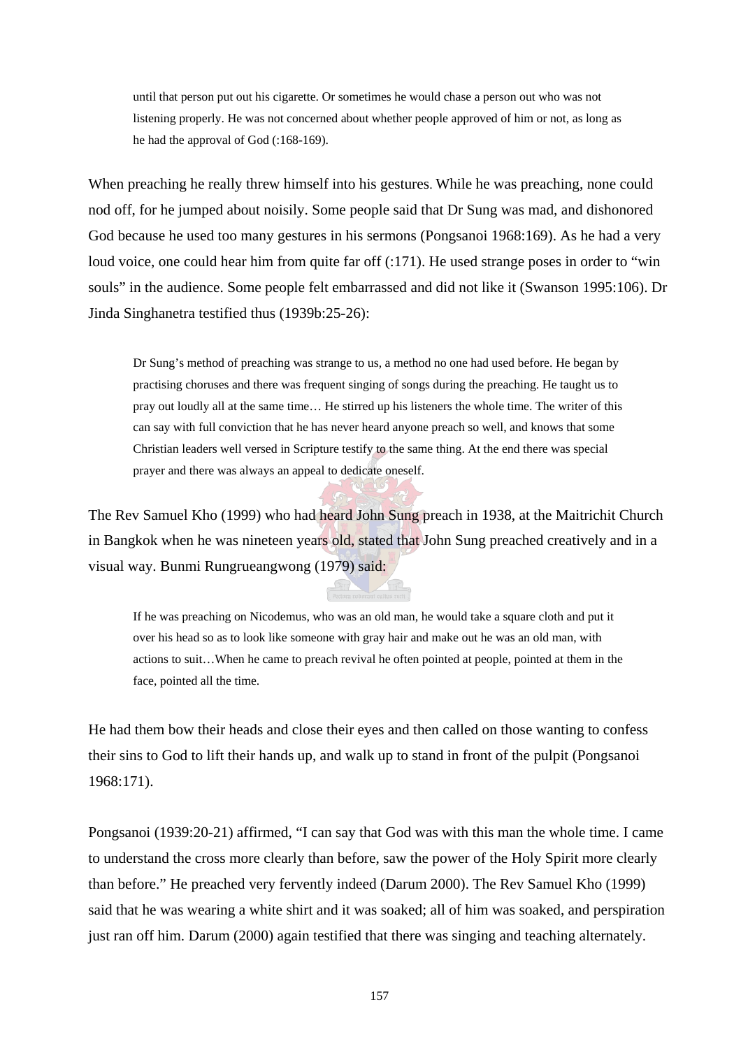until that person put out his cigarette. Or sometimes he would chase a person out who was not listening properly. He was not concerned about whether people approved of him or not, as long as he had the approval of God (:168-169).

When preaching he really threw himself into his gestures. While he was preaching, none could nod off, for he jumped about noisily. Some people said that Dr Sung was mad, and dishonored God because he used too many gestures in his sermons (Pongsanoi 1968:169). As he had a very loud voice, one could hear him from quite far off (:171). He used strange poses in order to "win souls" in the audience. Some people felt embarrassed and did not like it (Swanson 1995:106). Dr Jinda Singhanetra testified thus (1939b:25-26):

Dr Sung's method of preaching was strange to us, a method no one had used before. He began by practising choruses and there was frequent singing of songs during the preaching. He taught us to pray out loudly all at the same time… He stirred up his listeners the whole time. The writer of this can say with full conviction that he has never heard anyone preach so well, and knows that some Christian leaders well versed in Scripture testify to the same thing. At the end there was special prayer and there was always an appeal to dedicate oneself.

The Rev Samuel Kho (1999) who had heard John Sung preach in 1938, at the Maitrichit Church in Bangkok when he was nineteen years old, stated that John Sung preached creatively and in a visual way. Bunmi Rungrueangwong (1979) said:

If he was preaching on Nicodemus, who was an old man, he would take a square cloth and put it over his head so as to look like someone with gray hair and make out he was an old man, with actions to suit…When he came to preach revival he often pointed at people, pointed at them in the face, pointed all the time.

He had them bow their heads and close their eyes and then called on those wanting to confess their sins to God to lift their hands up, and walk up to stand in front of the pulpit (Pongsanoi 1968:171).

Pongsanoi (1939:20-21) affirmed, "I can say that God was with this man the whole time. I came to understand the cross more clearly than before, saw the power of the Holy Spirit more clearly than before." He preached very fervently indeed (Darum 2000). The Rev Samuel Kho (1999) said that he was wearing a white shirt and it was soaked; all of him was soaked, and perspiration just ran off him. Darum (2000) again testified that there was singing and teaching alternately.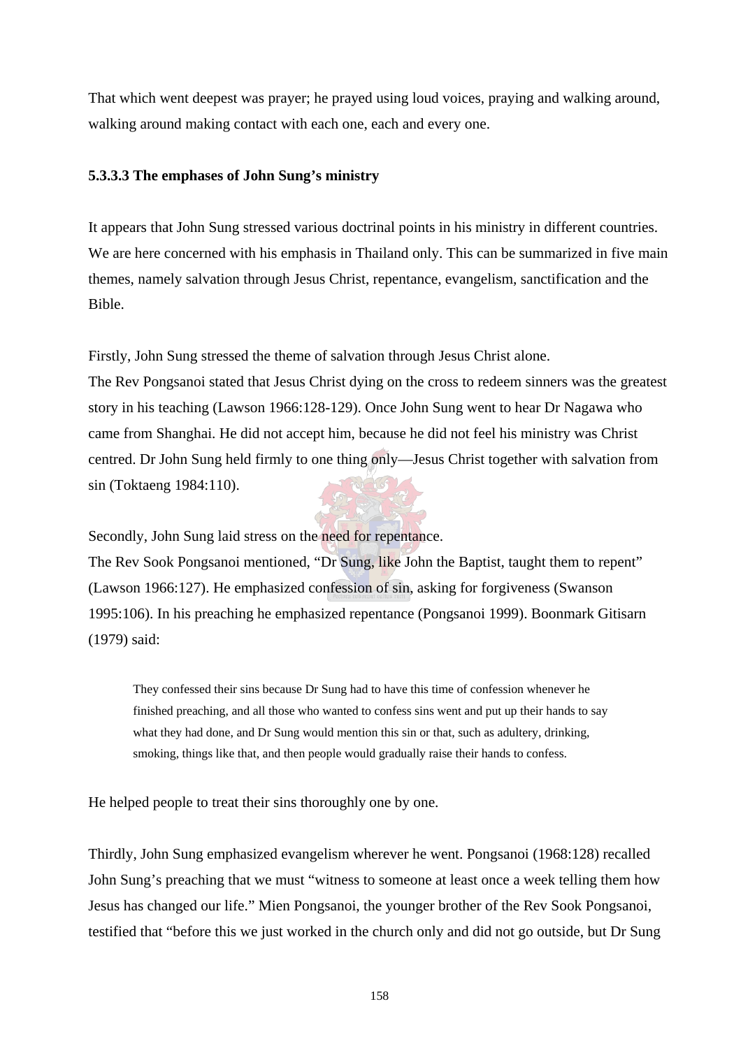That which went deepest was prayer; he prayed using loud voices, praying and walking around, walking around making contact with each one, each and every one.

## **5.3.3.3 The emphases of John Sung's ministry**

It appears that John Sung stressed various doctrinal points in his ministry in different countries. We are here concerned with his emphasis in Thailand only. This can be summarized in five main themes, namely salvation through Jesus Christ, repentance, evangelism, sanctification and the Bible.

Firstly, John Sung stressed the theme of salvation through Jesus Christ alone. The Rev Pongsanoi stated that Jesus Christ dying on the cross to redeem sinners was the greatest story in his teaching (Lawson 1966:128-129). Once John Sung went to hear Dr Nagawa who came from Shanghai. He did not accept him, because he did not feel his ministry was Christ centred. Dr John Sung held firmly to one thing only—Jesus Christ together with salvation from sin (Toktaeng 1984:110).

Secondly, John Sung laid stress on the need for repentance.

The Rev Sook Pongsanoi mentioned, "Dr Sung, like John the Baptist, taught them to repent" (Lawson 1966:127). He emphasized confession of sin, asking for forgiveness (Swanson 1995:106). In his preaching he emphasized repentance (Pongsanoi 1999). Boonmark Gitisarn (1979) said:

They confessed their sins because Dr Sung had to have this time of confession whenever he finished preaching, and all those who wanted to confess sins went and put up their hands to say what they had done, and Dr Sung would mention this sin or that, such as adultery, drinking, smoking, things like that, and then people would gradually raise their hands to confess.

He helped people to treat their sins thoroughly one by one.

Thirdly, John Sung emphasized evangelism wherever he went. Pongsanoi (1968:128) recalled John Sung's preaching that we must "witness to someone at least once a week telling them how Jesus has changed our life." Mien Pongsanoi, the younger brother of the Rev Sook Pongsanoi, testified that "before this we just worked in the church only and did not go outside, but Dr Sung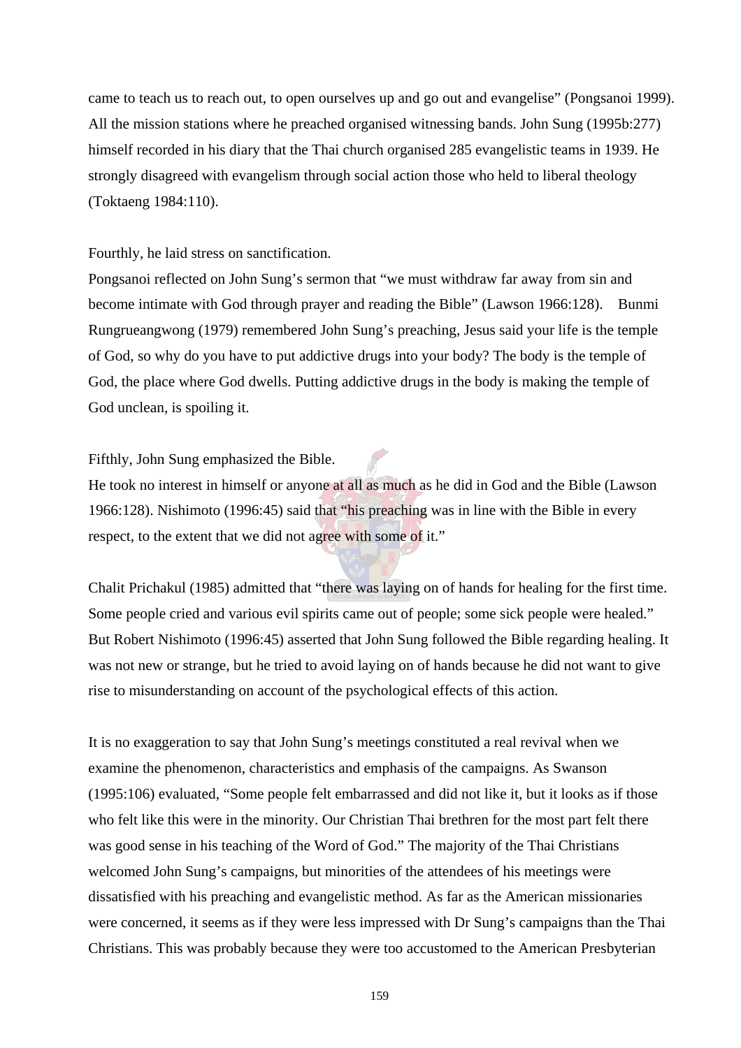came to teach us to reach out, to open ourselves up and go out and evangelise" (Pongsanoi 1999). All the mission stations where he preached organised witnessing bands. John Sung (1995b:277) himself recorded in his diary that the Thai church organised 285 evangelistic teams in 1939. He strongly disagreed with evangelism through social action those who held to liberal theology (Toktaeng 1984:110).

#### Fourthly, he laid stress on sanctification.

Pongsanoi reflected on John Sung's sermon that "we must withdraw far away from sin and become intimate with God through prayer and reading the Bible" (Lawson 1966:128). Bunmi Rungrueangwong (1979) remembered John Sung's preaching, Jesus said your life is the temple of God, so why do you have to put addictive drugs into your body? The body is the temple of God, the place where God dwells. Putting addictive drugs in the body is making the temple of God unclean, is spoiling it.

## Fifthly, John Sung emphasized the Bible.

He took no interest in himself or anyone at all as much as he did in God and the Bible (Lawson 1966:128). Nishimoto (1996:45) said that "his preaching was in line with the Bible in every respect, to the extent that we did not agree with some of it."

Chalit Prichakul (1985) admitted that "there was laying on of hands for healing for the first time. Some people cried and various evil spirits came out of people; some sick people were healed." But Robert Nishimoto (1996:45) asserted that John Sung followed the Bible regarding healing. It was not new or strange, but he tried to avoid laying on of hands because he did not want to give rise to misunderstanding on account of the psychological effects of this action.

It is no exaggeration to say that John Sung's meetings constituted a real revival when we examine the phenomenon, characteristics and emphasis of the campaigns. As Swanson (1995:106) evaluated, "Some people felt embarrassed and did not like it, but it looks as if those who felt like this were in the minority. Our Christian Thai brethren for the most part felt there was good sense in his teaching of the Word of God." The majority of the Thai Christians welcomed John Sung's campaigns, but minorities of the attendees of his meetings were dissatisfied with his preaching and evangelistic method. As far as the American missionaries were concerned, it seems as if they were less impressed with Dr Sung's campaigns than the Thai Christians. This was probably because they were too accustomed to the American Presbyterian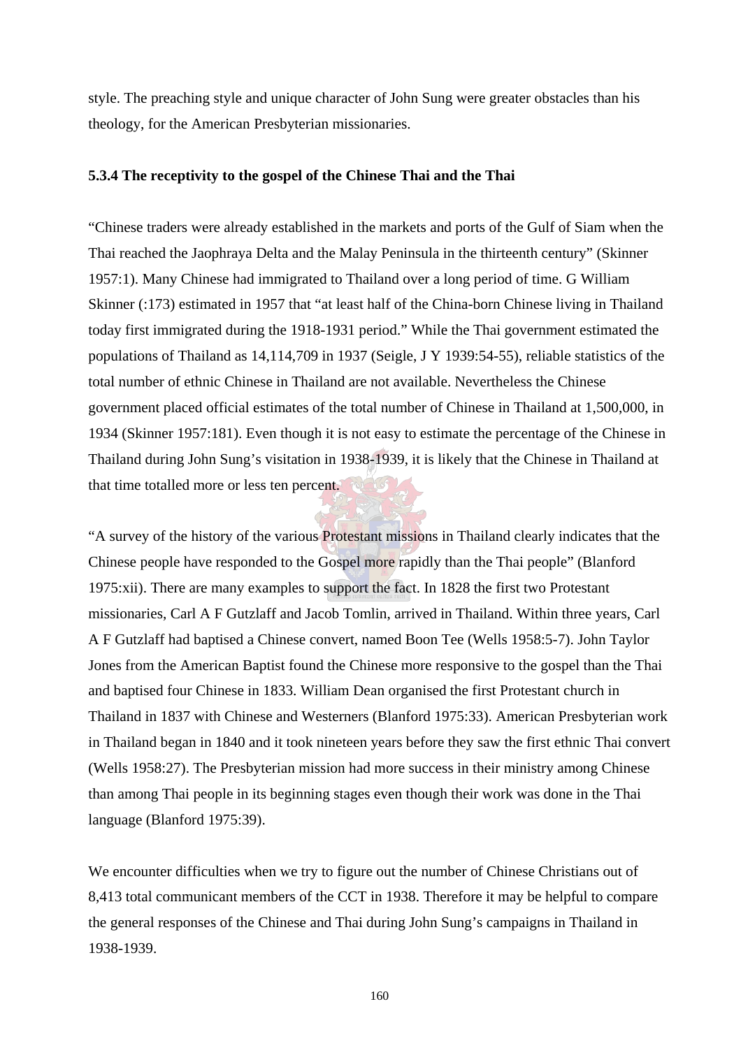style. The preaching style and unique character of John Sung were greater obstacles than his theology, for the American Presbyterian missionaries.

## **5.3.4 The receptivity to the gospel of the Chinese Thai and the Thai**

"Chinese traders were already established in the markets and ports of the Gulf of Siam when the Thai reached the Jaophraya Delta and the Malay Peninsula in the thirteenth century" (Skinner 1957:1). Many Chinese had immigrated to Thailand over a long period of time. G William Skinner (:173) estimated in 1957 that "at least half of the China-born Chinese living in Thailand today first immigrated during the 1918-1931 period." While the Thai government estimated the populations of Thailand as 14,114,709 in 1937 (Seigle, J Y 1939:54-55), reliable statistics of the total number of ethnic Chinese in Thailand are not available. Nevertheless the Chinese government placed official estimates of the total number of Chinese in Thailand at 1,500,000, in 1934 (Skinner 1957:181). Even though it is not easy to estimate the percentage of the Chinese in Thailand during John Sung's visitation in 1938-1939, it is likely that the Chinese in Thailand at that time totalled more or less ten percent.

"A survey of the history of the various Protestant missions in Thailand clearly indicates that the Chinese people have responded to the Gospel more rapidly than the Thai people" (Blanford 1975:xii). There are many examples to support the fact. In 1828 the first two Protestant missionaries, Carl A F Gutzlaff and Jacob Tomlin, arrived in Thailand. Within three years, Carl A F Gutzlaff had baptised a Chinese convert, named Boon Tee (Wells 1958:5-7). John Taylor Jones from the American Baptist found the Chinese more responsive to the gospel than the Thai and baptised four Chinese in 1833. William Dean organised the first Protestant church in Thailand in 1837 with Chinese and Westerners (Blanford 1975:33). American Presbyterian work in Thailand began in 1840 and it took nineteen years before they saw the first ethnic Thai convert (Wells 1958:27). The Presbyterian mission had more success in their ministry among Chinese than among Thai people in its beginning stages even though their work was done in the Thai language (Blanford 1975:39).

We encounter difficulties when we try to figure out the number of Chinese Christians out of 8,413 total communicant members of the CCT in 1938. Therefore it may be helpful to compare the general responses of the Chinese and Thai during John Sung's campaigns in Thailand in 1938-1939.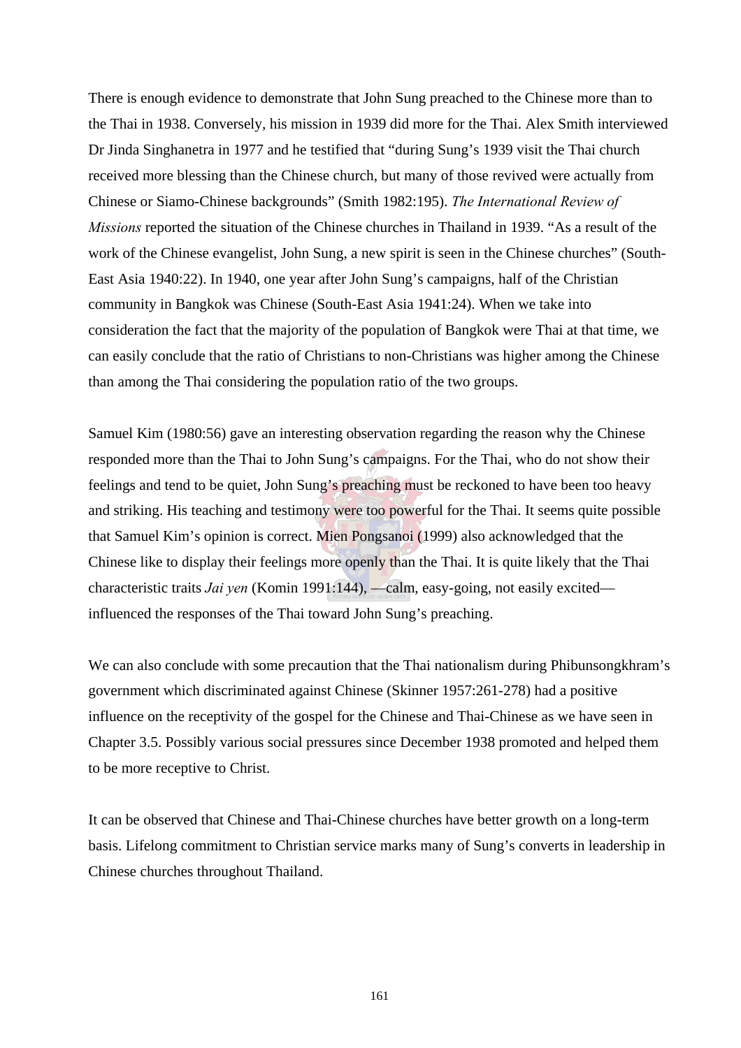There is enough evidence to demonstrate that John Sung preached to the Chinese more than to the Thai in 1938. Conversely, his mission in 1939 did more for the Thai. Alex Smith interviewed Dr Jinda Singhanetra in 1977 and he testified that "during Sung's 1939 visit the Thai church received more blessing than the Chinese church, but many of those revived were actually from Chinese or Siamo-Chinese backgrounds" (Smith 1982:195). *The International Review of Missions* reported the situation of the Chinese churches in Thailand in 1939. "As a result of the work of the Chinese evangelist, John Sung, a new spirit is seen in the Chinese churches" (South-East Asia 1940:22). In 1940, one year after John Sung's campaigns, half of the Christian community in Bangkok was Chinese (South-East Asia 1941:24). When we take into consideration the fact that the majority of the population of Bangkok were Thai at that time, we can easily conclude that the ratio of Christians to non-Christians was higher among the Chinese than among the Thai considering the population ratio of the two groups.

Samuel Kim (1980:56) gave an interesting observation regarding the reason why the Chinese responded more than the Thai to John Sung's campaigns. For the Thai, who do not show their feelings and tend to be quiet, John Sung's preaching must be reckoned to have been too heavy and striking. His teaching and testimony were too powerful for the Thai. It seems quite possible that Samuel Kim's opinion is correct. Mien Pongsanoi (1999) also acknowledged that the Chinese like to display their feelings more openly than the Thai. It is quite likely that the Thai characteristic traits *Jai yen* (Komin 1991:144), —calm, easy-going, not easily excited influenced the responses of the Thai toward John Sung's preaching.

We can also conclude with some precaution that the Thai nationalism during Phibunsongkhram's government which discriminated against Chinese (Skinner 1957:261-278) had a positive influence on the receptivity of the gospel for the Chinese and Thai-Chinese as we have seen in Chapter 3.5. Possibly various social pressures since December 1938 promoted and helped them to be more receptive to Christ.

It can be observed that Chinese and Thai-Chinese churches have better growth on a long-term basis. Lifelong commitment to Christian service marks many of Sung's converts in leadership in Chinese churches throughout Thailand.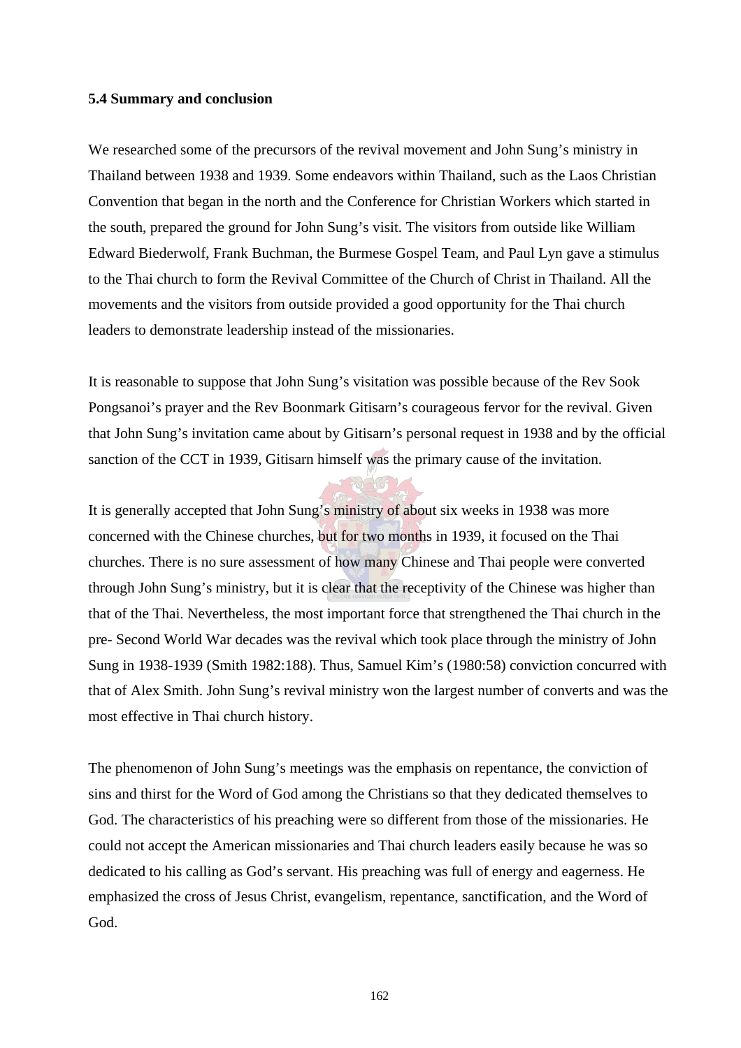#### **5.4 Summary and conclusion**

We researched some of the precursors of the revival movement and John Sung's ministry in Thailand between 1938 and 1939. Some endeavors within Thailand, such as the Laos Christian Convention that began in the north and the Conference for Christian Workers which started in the south, prepared the ground for John Sung's visit. The visitors from outside like William Edward Biederwolf, Frank Buchman, the Burmese Gospel Team, and Paul Lyn gave a stimulus to the Thai church to form the Revival Committee of the Church of Christ in Thailand. All the movements and the visitors from outside provided a good opportunity for the Thai church leaders to demonstrate leadership instead of the missionaries.

It is reasonable to suppose that John Sung's visitation was possible because of the Rev Sook Pongsanoi's prayer and the Rev Boonmark Gitisarn's courageous fervor for the revival. Given that John Sung's invitation came about by Gitisarn's personal request in 1938 and by the official sanction of the CCT in 1939, Gitisarn himself was the primary cause of the invitation.

It is generally accepted that John Sung's ministry of about six weeks in 1938 was more concerned with the Chinese churches, but for two months in 1939, it focused on the Thai churches. There is no sure assessment of how many Chinese and Thai people were converted through John Sung's ministry, but it is clear that the receptivity of the Chinese was higher than that of the Thai. Nevertheless, the most important force that strengthened the Thai church in the pre- Second World War decades was the revival which took place through the ministry of John Sung in 1938-1939 (Smith 1982:188). Thus, Samuel Kim's (1980:58) conviction concurred with that of Alex Smith. John Sung's revival ministry won the largest number of converts and was the most effective in Thai church history.

The phenomenon of John Sung's meetings was the emphasis on repentance, the conviction of sins and thirst for the Word of God among the Christians so that they dedicated themselves to God. The characteristics of his preaching were so different from those of the missionaries. He could not accept the American missionaries and Thai church leaders easily because he was so dedicated to his calling as God's servant. His preaching was full of energy and eagerness. He emphasized the cross of Jesus Christ, evangelism, repentance, sanctification, and the Word of God.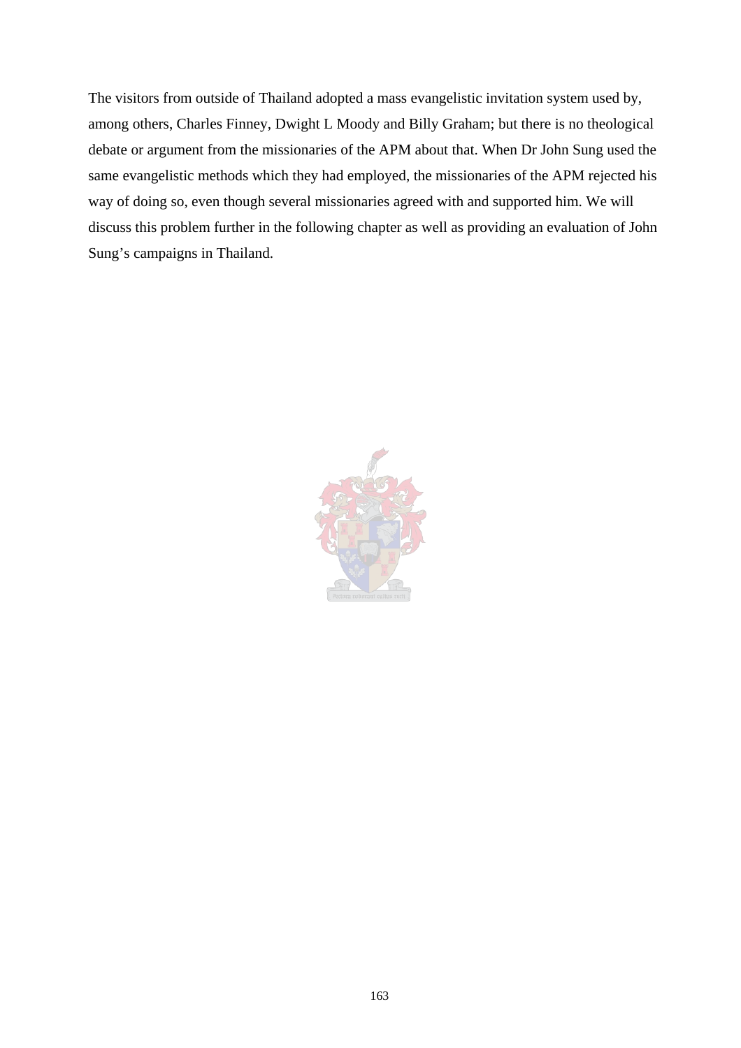The visitors from outside of Thailand adopted a mass evangelistic invitation system used by, among others, Charles Finney, Dwight L Moody and Billy Graham; but there is no theological debate or argument from the missionaries of the APM about that. When Dr John Sung used the same evangelistic methods which they had employed, the missionaries of the APM rejected his way of doing so, even though several missionaries agreed with and supported him. We will discuss this problem further in the following chapter as well as providing an evaluation of John Sung's campaigns in Thailand.

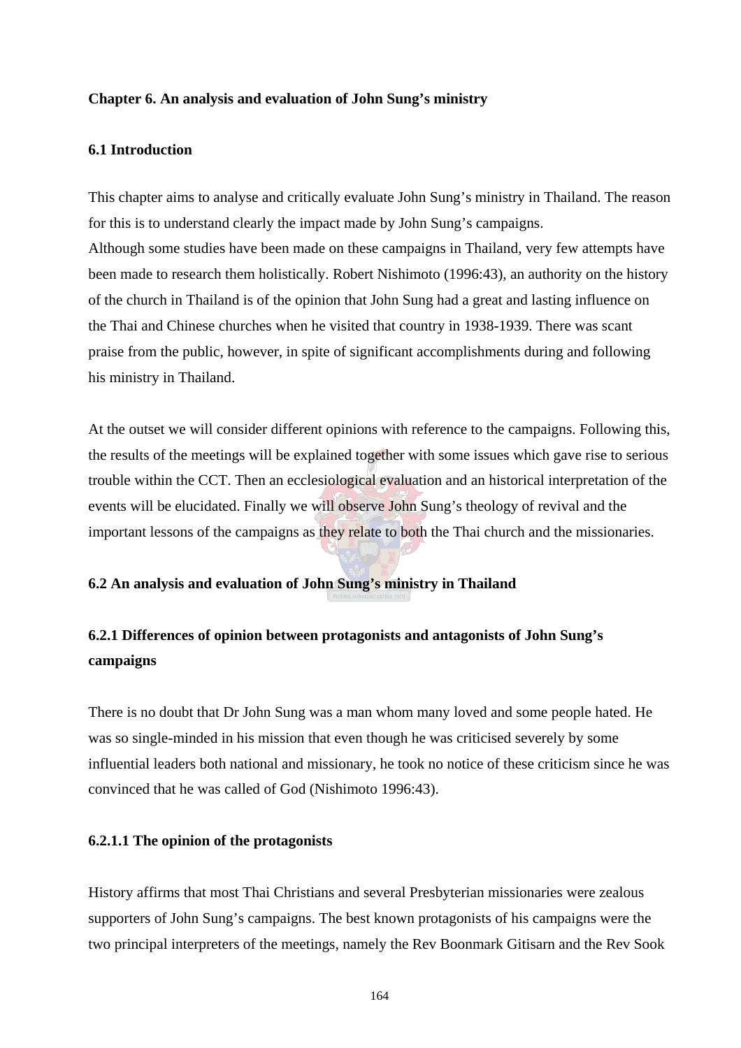## **Chapter 6. An analysis and evaluation of John Sung's ministry**

#### **6.1 Introduction**

This chapter aims to analyse and critically evaluate John Sung's ministry in Thailand. The reason for this is to understand clearly the impact made by John Sung's campaigns. Although some studies have been made on these campaigns in Thailand, very few attempts have been made to research them holistically. Robert Nishimoto (1996:43), an authority on the history of the church in Thailand is of the opinion that John Sung had a great and lasting influence on the Thai and Chinese churches when he visited that country in 1938-1939. There was scant praise from the public, however, in spite of significant accomplishments during and following his ministry in Thailand.

At the outset we will consider different opinions with reference to the campaigns. Following this, the results of the meetings will be explained together with some issues which gave rise to serious trouble within the CCT. Then an ecclesiological evaluation and an historical interpretation of the events will be elucidated. Finally we will observe John Sung's theology of revival and the important lessons of the campaigns as they relate to both the Thai church and the missionaries.

#### **6.2 An analysis and evaluation of John Sung's ministry in Thailand**

# **6.2.1 Differences of opinion between protagonists and antagonists of John Sung's campaigns**

There is no doubt that Dr John Sung was a man whom many loved and some people hated. He was so single-minded in his mission that even though he was criticised severely by some influential leaders both national and missionary, he took no notice of these criticism since he was convinced that he was called of God (Nishimoto 1996:43).

## **6.2.1.1 The opinion of the protagonists**

History affirms that most Thai Christians and several Presbyterian missionaries were zealous supporters of John Sung's campaigns. The best known protagonists of his campaigns were the two principal interpreters of the meetings, namely the Rev Boonmark Gitisarn and the Rev Sook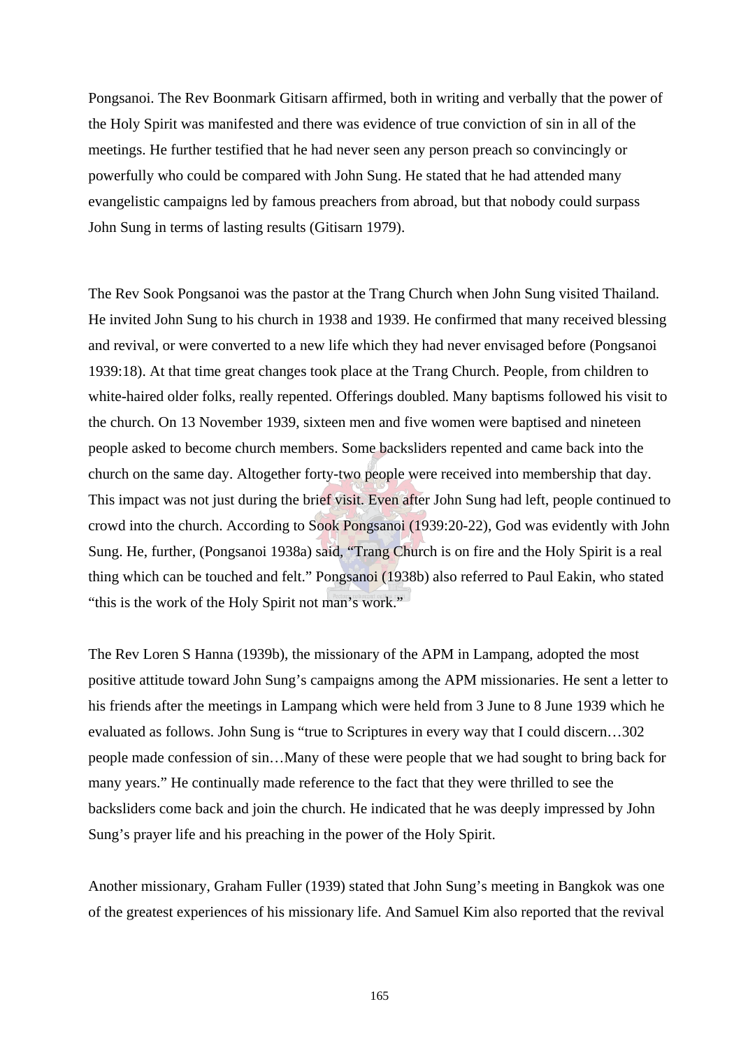Pongsanoi. The Rev Boonmark Gitisarn affirmed, both in writing and verbally that the power of the Holy Spirit was manifested and there was evidence of true conviction of sin in all of the meetings. He further testified that he had never seen any person preach so convincingly or powerfully who could be compared with John Sung. He stated that he had attended many evangelistic campaigns led by famous preachers from abroad, but that nobody could surpass John Sung in terms of lasting results (Gitisarn 1979).

The Rev Sook Pongsanoi was the pastor at the Trang Church when John Sung visited Thailand. He invited John Sung to his church in 1938 and 1939. He confirmed that many received blessing and revival, or were converted to a new life which they had never envisaged before (Pongsanoi 1939:18). At that time great changes took place at the Trang Church. People, from children to white-haired older folks, really repented. Offerings doubled. Many baptisms followed his visit to the church. On 13 November 1939, sixteen men and five women were baptised and nineteen people asked to become church members. Some backsliders repented and came back into the church on the same day. Altogether forty-two people were received into membership that day. This impact was not just during the brief visit. Even after John Sung had left, people continued to crowd into the church. According to Sook Pongsanoi (1939:20-22), God was evidently with John Sung. He, further, (Pongsanoi 1938a) said, "Trang Church is on fire and the Holy Spirit is a real thing which can be touched and felt." Pongsanoi (1938b) also referred to Paul Eakin, who stated "this is the work of the Holy Spirit not man's work."

The Rev Loren S Hanna (1939b), the missionary of the APM in Lampang, adopted the most positive attitude toward John Sung's campaigns among the APM missionaries. He sent a letter to his friends after the meetings in Lampang which were held from 3 June to 8 June 1939 which he evaluated as follows. John Sung is "true to Scriptures in every way that I could discern…302 people made confession of sin…Many of these were people that we had sought to bring back for many years." He continually made reference to the fact that they were thrilled to see the backsliders come back and join the church. He indicated that he was deeply impressed by John Sung's prayer life and his preaching in the power of the Holy Spirit.

Another missionary, Graham Fuller (1939) stated that John Sung's meeting in Bangkok was one of the greatest experiences of his missionary life. And Samuel Kim also reported that the revival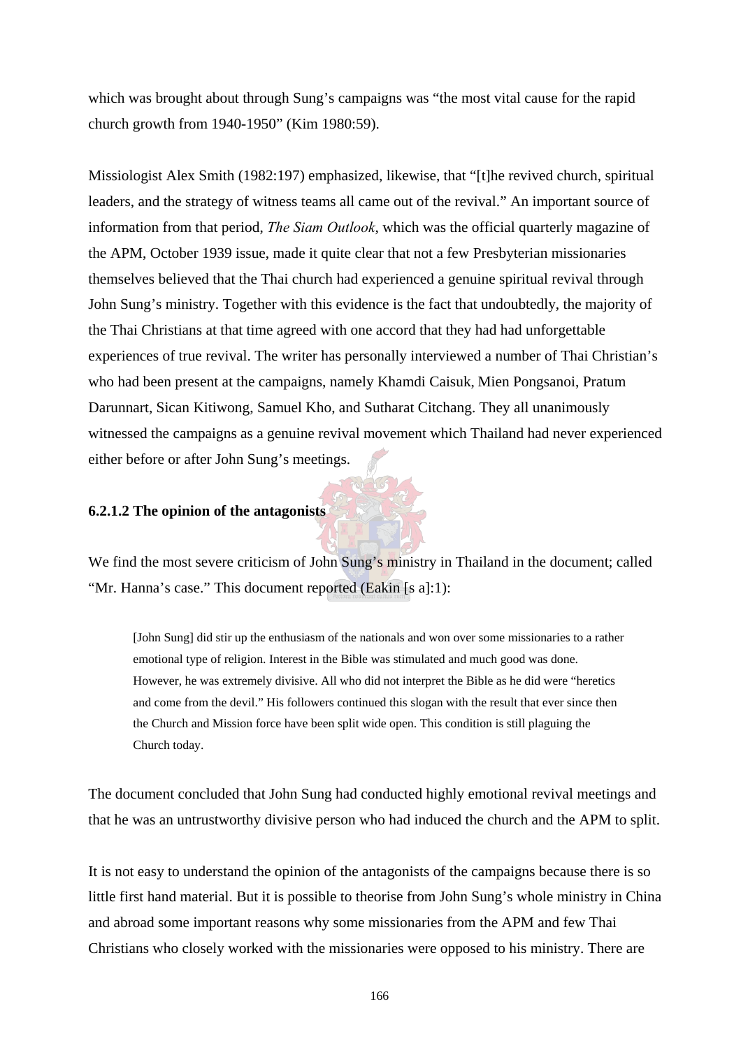which was brought about through Sung's campaigns was "the most vital cause for the rapid church growth from 1940-1950" (Kim 1980:59).

Missiologist Alex Smith (1982:197) emphasized, likewise, that "[t]he revived church, spiritual leaders, and the strategy of witness teams all came out of the revival." An important source of information from that period, *The Siam Outlook*, which was the official quarterly magazine of the APM, October 1939 issue, made it quite clear that not a few Presbyterian missionaries themselves believed that the Thai church had experienced a genuine spiritual revival through John Sung's ministry. Together with this evidence is the fact that undoubtedly, the majority of the Thai Christians at that time agreed with one accord that they had had unforgettable experiences of true revival. The writer has personally interviewed a number of Thai Christian's who had been present at the campaigns, namely Khamdi Caisuk, Mien Pongsanoi, Pratum Darunnart, Sican Kitiwong, Samuel Kho, and Sutharat Citchang. They all unanimously witnessed the campaigns as a genuine revival movement which Thailand had never experienced either before or after John Sung's meetings.

## **6.2.1.2 The opinion of the antagonists**

We find the most severe criticism of John Sung's ministry in Thailand in the document; called "Mr. Hanna's case." This document reported (Eakin [s a]:1):

[John Sung] did stir up the enthusiasm of the nationals and won over some missionaries to a rather emotional type of religion. Interest in the Bible was stimulated and much good was done. However, he was extremely divisive. All who did not interpret the Bible as he did were "heretics and come from the devil." His followers continued this slogan with the result that ever since then the Church and Mission force have been split wide open. This condition is still plaguing the Church today.

The document concluded that John Sung had conducted highly emotional revival meetings and that he was an untrustworthy divisive person who had induced the church and the APM to split.

It is not easy to understand the opinion of the antagonists of the campaigns because there is so little first hand material. But it is possible to theorise from John Sung's whole ministry in China and abroad some important reasons why some missionaries from the APM and few Thai Christians who closely worked with the missionaries were opposed to his ministry. There are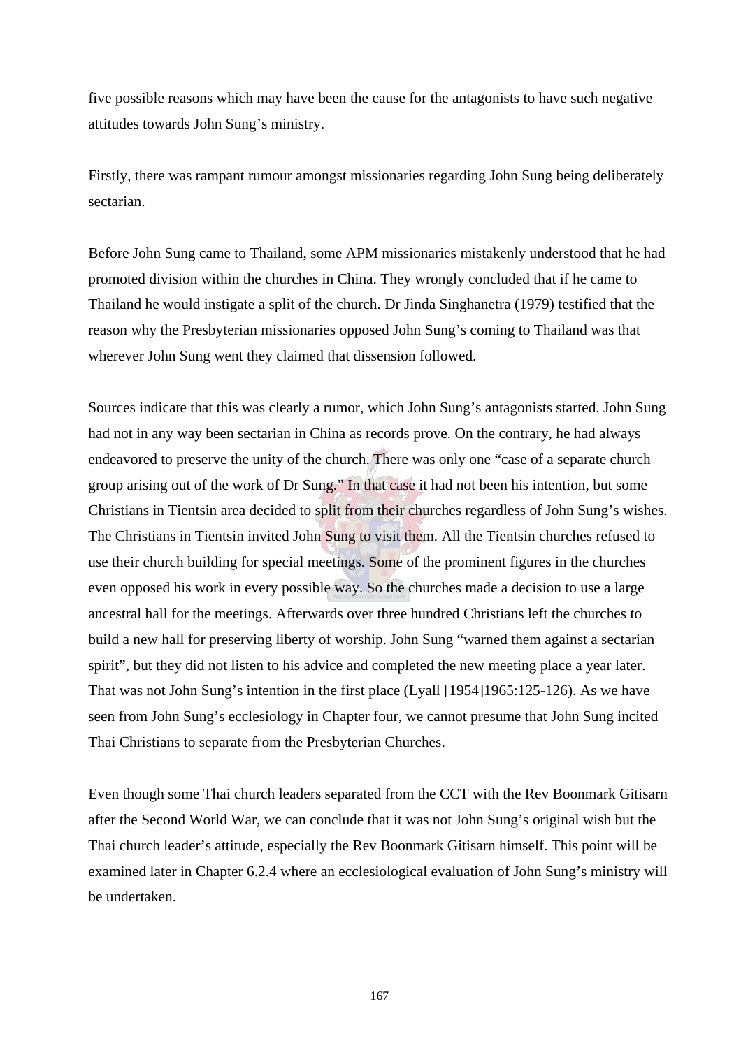five possible reasons which may have been the cause for the antagonists to have such negative attitudes towards John Sung's ministry.

Firstly, there was rampant rumour amongst missionaries regarding John Sung being deliberately sectarian.

Before John Sung came to Thailand, some APM missionaries mistakenly understood that he had promoted division within the churches in China. They wrongly concluded that if he came to Thailand he would instigate a split of the church. Dr Jinda Singhanetra (1979) testified that the reason why the Presbyterian missionaries opposed John Sung's coming to Thailand was that wherever John Sung went they claimed that dissension followed.

Sources indicate that this was clearly a rumor, which John Sung's antagonists started. John Sung had not in any way been sectarian in China as records prove. On the contrary, he had always endeavored to preserve the unity of the church. There was only one "case of a separate church group arising out of the work of Dr Sung." In that case it had not been his intention, but some Christians in Tientsin area decided to split from their churches regardless of John Sung's wishes. The Christians in Tientsin invited John Sung to visit them. All the Tientsin churches refused to use their church building for special meetings. Some of the prominent figures in the churches even opposed his work in every possible way. So the churches made a decision to use a large ancestral hall for the meetings. Afterwards over three hundred Christians left the churches to build a new hall for preserving liberty of worship. John Sung "warned them against a sectarian spirit", but they did not listen to his advice and completed the new meeting place a year later. That was not John Sung's intention in the first place (Lyall [1954]1965:125-126). As we have seen from John Sung's ecclesiology in Chapter four, we cannot presume that John Sung incited Thai Christians to separate from the Presbyterian Churches.

Even though some Thai church leaders separated from the CCT with the Rev Boonmark Gitisarn after the Second World War, we can conclude that it was not John Sung's original wish but the Thai church leader's attitude, especially the Rev Boonmark Gitisarn himself. This point will be examined later in Chapter 6.2.4 where an ecclesiological evaluation of John Sung's ministry will be undertaken.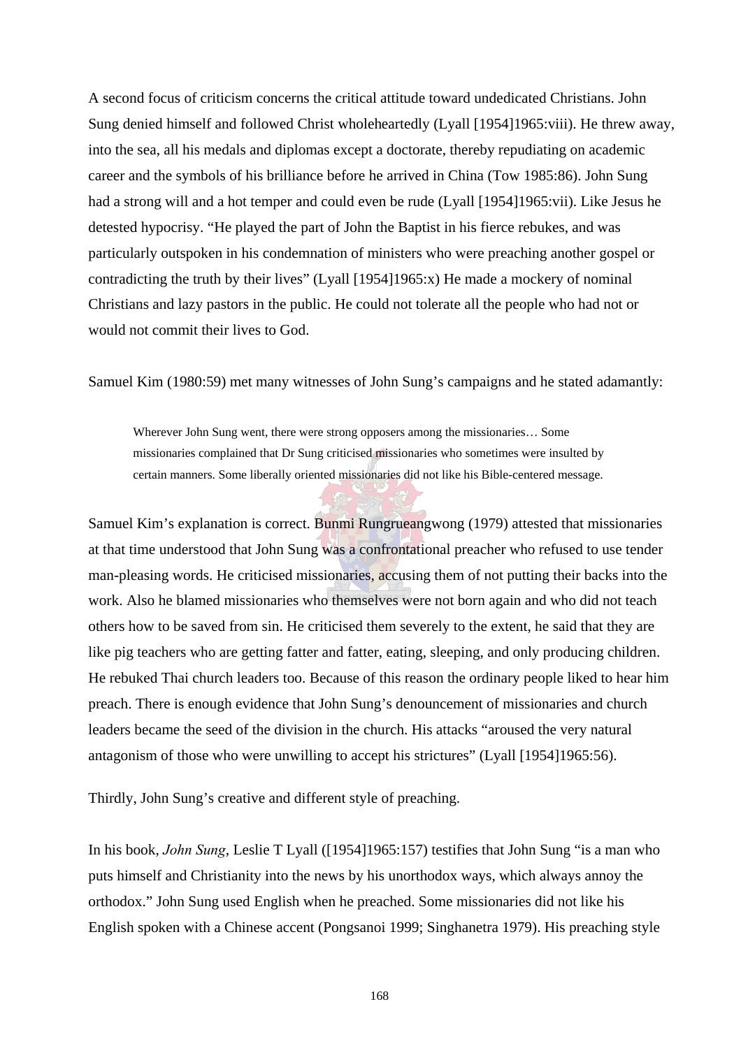A second focus of criticism concerns the critical attitude toward undedicated Christians. John Sung denied himself and followed Christ wholeheartedly (Lyall [1954]1965:viii). He threw away, into the sea, all his medals and diplomas except a doctorate, thereby repudiating on academic career and the symbols of his brilliance before he arrived in China (Tow 1985:86). John Sung had a strong will and a hot temper and could even be rude (Lyall [1954]1965:vii). Like Jesus he detested hypocrisy. "He played the part of John the Baptist in his fierce rebukes, and was particularly outspoken in his condemnation of ministers who were preaching another gospel or contradicting the truth by their lives" (Lyall [1954]1965:x) He made a mockery of nominal Christians and lazy pastors in the public. He could not tolerate all the people who had not or would not commit their lives to God.

Samuel Kim (1980:59) met many witnesses of John Sung's campaigns and he stated adamantly:

Wherever John Sung went, there were strong opposers among the missionaries… Some missionaries complained that Dr Sung criticised missionaries who sometimes were insulted by certain manners. Some liberally oriented missionaries did not like his Bible-centered message.

Samuel Kim's explanation is correct. Bunmi Rungrueangwong (1979) attested that missionaries at that time understood that John Sung was a confrontational preacher who refused to use tender man-pleasing words. He criticised missionaries, accusing them of not putting their backs into the work. Also he blamed missionaries who themselves were not born again and who did not teach others how to be saved from sin. He criticised them severely to the extent, he said that they are like pig teachers who are getting fatter and fatter, eating, sleeping, and only producing children. He rebuked Thai church leaders too. Because of this reason the ordinary people liked to hear him preach. There is enough evidence that John Sung's denouncement of missionaries and church leaders became the seed of the division in the church. His attacks "aroused the very natural antagonism of those who were unwilling to accept his strictures" (Lyall [1954]1965:56).

Thirdly, John Sung's creative and different style of preaching.

In his book, *John Sung*, Leslie T Lyall ([1954]1965:157) testifies that John Sung "is a man who puts himself and Christianity into the news by his unorthodox ways, which always annoy the orthodox." John Sung used English when he preached. Some missionaries did not like his English spoken with a Chinese accent (Pongsanoi 1999; Singhanetra 1979). His preaching style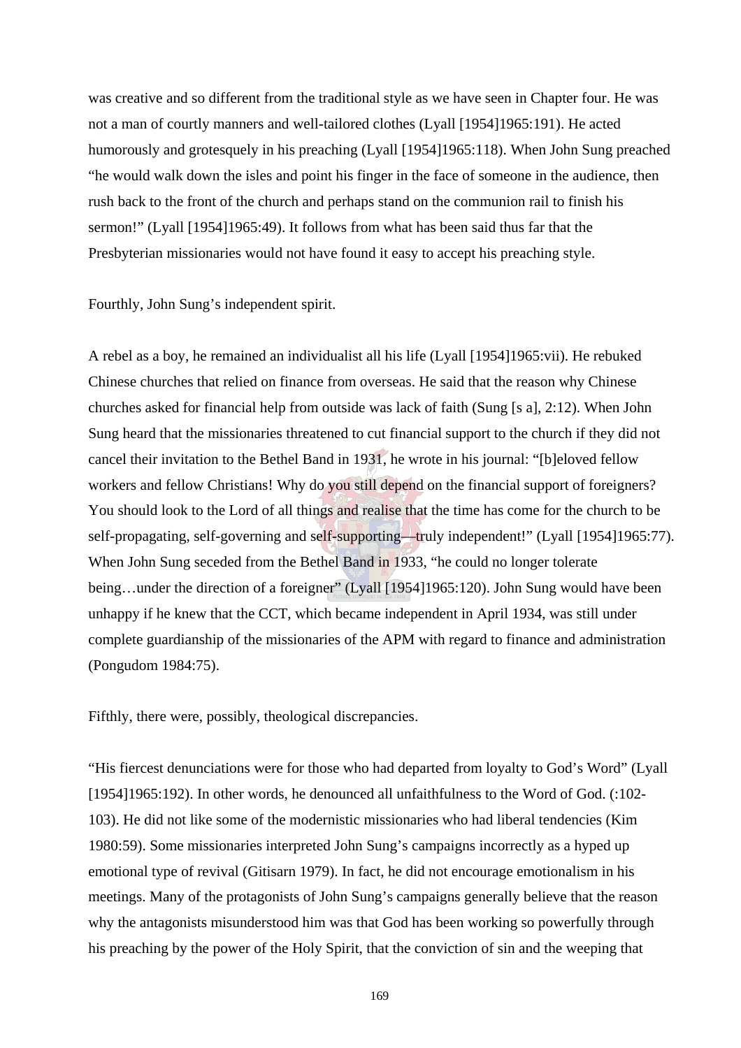was creative and so different from the traditional style as we have seen in Chapter four. He was not a man of courtly manners and well-tailored clothes (Lyall [1954]1965:191). He acted humorously and grotesquely in his preaching (Lyall [1954]1965:118). When John Sung preached "he would walk down the isles and point his finger in the face of someone in the audience, then rush back to the front of the church and perhaps stand on the communion rail to finish his sermon!" (Lyall [1954]1965:49). It follows from what has been said thus far that the Presbyterian missionaries would not have found it easy to accept his preaching style.

Fourthly, John Sung's independent spirit.

A rebel as a boy, he remained an individualist all his life (Lyall [1954]1965:vii). He rebuked Chinese churches that relied on finance from overseas. He said that the reason why Chinese churches asked for financial help from outside was lack of faith (Sung [s a], 2:12). When John Sung heard that the missionaries threatened to cut financial support to the church if they did not cancel their invitation to the Bethel Band in 1931, he wrote in his journal: "[b]eloved fellow workers and fellow Christians! Why do you still depend on the financial support of foreigners? You should look to the Lord of all things and realise that the time has come for the church to be self-propagating, self-governing and self-supporting—truly independent!" (Lyall [1954]1965:77). When John Sung seceded from the Bethel Band in 1933, "he could no longer tolerate being…under the direction of a foreigner" (Lyall [1954]1965:120). John Sung would have been unhappy if he knew that the CCT, which became independent in April 1934, was still under complete guardianship of the missionaries of the APM with regard to finance and administration (Pongudom 1984:75).

Fifthly, there were, possibly, theological discrepancies.

"His fiercest denunciations were for those who had departed from loyalty to God's Word" (Lyall [1954]1965:192). In other words, he denounced all unfaithfulness to the Word of God. (:102-103). He did not like some of the modernistic missionaries who had liberal tendencies (Kim 1980:59). Some missionaries interpreted John Sung's campaigns incorrectly as a hyped up emotional type of revival (Gitisarn 1979). In fact, he did not encourage emotionalism in his meetings. Many of the protagonists of John Sung's campaigns generally believe that the reason why the antagonists misunderstood him was that God has been working so powerfully through his preaching by the power of the Holy Spirit, that the conviction of sin and the weeping that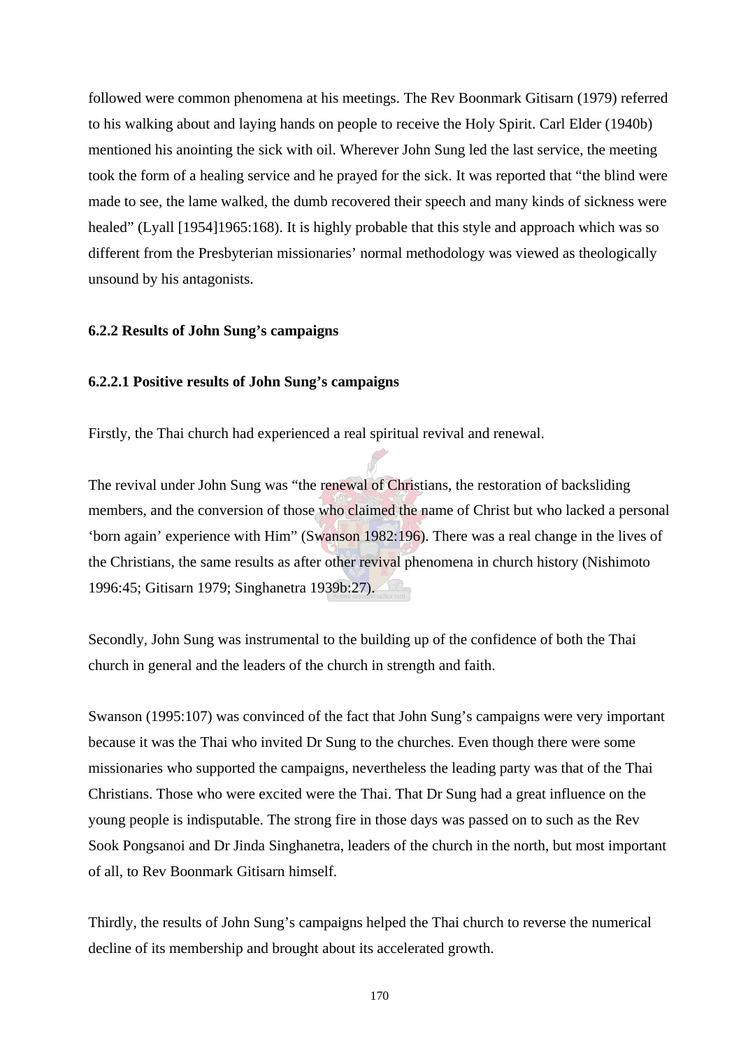followed were common phenomena at his meetings. The Rev Boonmark Gitisarn (1979) referred to his walking about and laying hands on people to receive the Holy Spirit. Carl Elder (1940b) mentioned his anointing the sick with oil. Wherever John Sung led the last service, the meeting took the form of a healing service and he prayed for the sick. It was reported that "the blind were made to see, the lame walked, the dumb recovered their speech and many kinds of sickness were healed" (Lyall [1954]1965:168). It is highly probable that this style and approach which was so different from the Presbyterian missionaries' normal methodology was viewed as theologically unsound by his antagonists.

## **6.2.2 Results of John Sung's campaigns**

## **6.2.2.1 Positive results of John Sung's campaigns**

Firstly, the Thai church had experienced a real spiritual revival and renewal.

The revival under John Sung was "the renewal of Christians, the restoration of backsliding members, and the conversion of those who claimed the name of Christ but who lacked a personal 'born again' experience with Him" (Swanson 1982:196). There was a real change in the lives of the Christians, the same results as after other revival phenomena in church history (Nishimoto 1996:45; Gitisarn 1979; Singhanetra 1939b:27).

Secondly, John Sung was instrumental to the building up of the confidence of both the Thai church in general and the leaders of the church in strength and faith.

Swanson (1995:107) was convinced of the fact that John Sung's campaigns were very important because it was the Thai who invited Dr Sung to the churches. Even though there were some missionaries who supported the campaigns, nevertheless the leading party was that of the Thai Christians. Those who were excited were the Thai. That Dr Sung had a great influence on the young people is indisputable. The strong fire in those days was passed on to such as the Rev Sook Pongsanoi and Dr Jinda Singhanetra, leaders of the church in the north, but most important of all, to Rev Boonmark Gitisarn himself.

Thirdly, the results of John Sung's campaigns helped the Thai church to reverse the numerical decline of its membership and brought about its accelerated growth.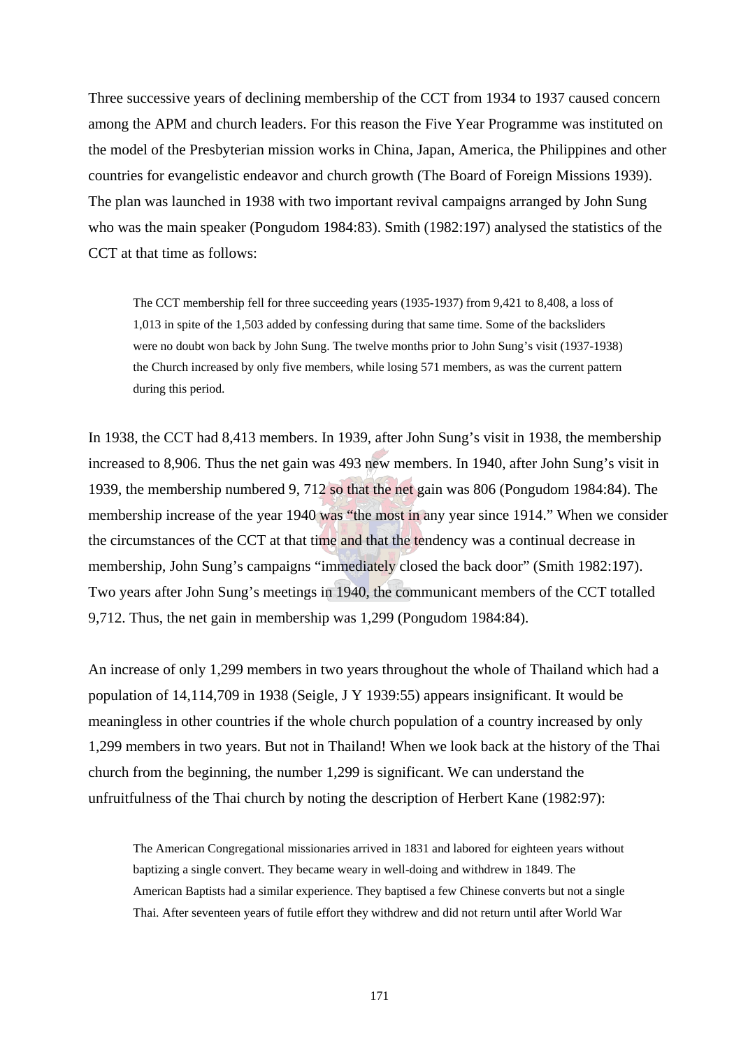Three successive years of declining membership of the CCT from 1934 to 1937 caused concern among the APM and church leaders. For this reason the Five Year Programme was instituted on the model of the Presbyterian mission works in China, Japan, America, the Philippines and other countries for evangelistic endeavor and church growth (The Board of Foreign Missions 1939). The plan was launched in 1938 with two important revival campaigns arranged by John Sung who was the main speaker (Pongudom 1984:83). Smith (1982:197) analysed the statistics of the CCT at that time as follows:

The CCT membership fell for three succeeding years (1935-1937) from 9,421 to 8,408, a loss of 1,013 in spite of the 1,503 added by confessing during that same time. Some of the backsliders were no doubt won back by John Sung. The twelve months prior to John Sung's visit (1937-1938) the Church increased by only five members, while losing 571 members, as was the current pattern during this period.

In 1938, the CCT had 8,413 members. In 1939, after John Sung's visit in 1938, the membership increased to 8,906. Thus the net gain was 493 new members. In 1940, after John Sung's visit in 1939, the membership numbered 9, 712 so that the net gain was 806 (Pongudom 1984:84). The membership increase of the year 1940 was "the most in any year since 1914." When we consider the circumstances of the CCT at that time and that the tendency was a continual decrease in membership, John Sung's campaigns "immediately closed the back door" (Smith 1982:197). Two years after John Sung's meetings in 1940, the communicant members of the CCT totalled 9,712. Thus, the net gain in membership was 1,299 (Pongudom 1984:84).

An increase of only 1,299 members in two years throughout the whole of Thailand which had a population of 14,114,709 in 1938 (Seigle, J Y 1939:55) appears insignificant. It would be meaningless in other countries if the whole church population of a country increased by only 1,299 members in two years. But not in Thailand! When we look back at the history of the Thai church from the beginning, the number 1,299 is significant. We can understand the unfruitfulness of the Thai church by noting the description of Herbert Kane (1982:97):

The American Congregational missionaries arrived in 1831 and labored for eighteen years without baptizing a single convert. They became weary in well-doing and withdrew in 1849. The American Baptists had a similar experience. They baptised a few Chinese converts but not a single Thai. After seventeen years of futile effort they withdrew and did not return until after World War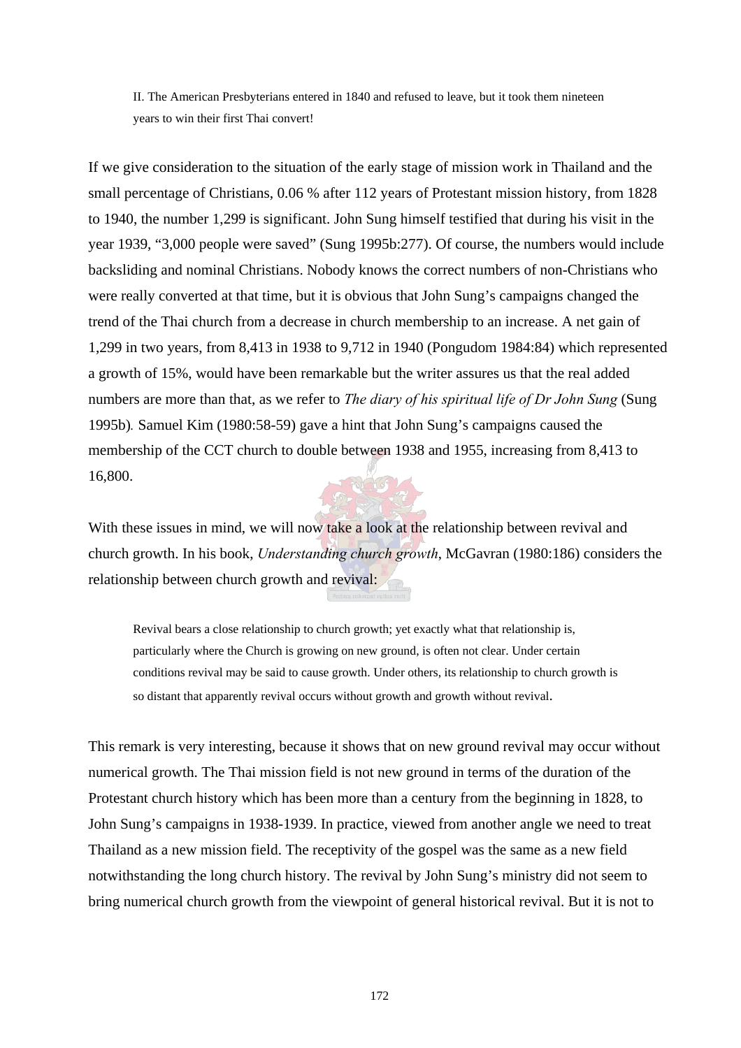II. The American Presbyterians entered in 1840 and refused to leave, but it took them nineteen years to win their first Thai convert!

If we give consideration to the situation of the early stage of mission work in Thailand and the small percentage of Christians, 0.06 % after 112 years of Protestant mission history, from 1828 to 1940, the number 1,299 is significant. John Sung himself testified that during his visit in the year 1939, "3,000 people were saved" (Sung 1995b:277). Of course, the numbers would include backsliding and nominal Christians. Nobody knows the correct numbers of non-Christians who were really converted at that time, but it is obvious that John Sung's campaigns changed the trend of the Thai church from a decrease in church membership to an increase. A net gain of 1,299 in two years, from 8,413 in 1938 to 9,712 in 1940 (Pongudom 1984:84) which represented a growth of 15%, would have been remarkable but the writer assures us that the real added numbers are more than that, as we refer to *The diary of his spiritual life of Dr John Sung* (Sung 1995b)*.* Samuel Kim (1980:58-59) gave a hint that John Sung's campaigns caused the membership of the CCT church to double between 1938 and 1955, increasing from 8,413 to 16,800.

With these issues in mind, we will now take a look at the relationship between revival and church growth. In his book, *Understanding church growth*, McGavran (1980:186) considers the relationship between church growth and revival:

Revival bears a close relationship to church growth; yet exactly what that relationship is, particularly where the Church is growing on new ground, is often not clear. Under certain conditions revival may be said to cause growth. Under others, its relationship to church growth is so distant that apparently revival occurs without growth and growth without revival.

This remark is very interesting, because it shows that on new ground revival may occur without numerical growth. The Thai mission field is not new ground in terms of the duration of the Protestant church history which has been more than a century from the beginning in 1828, to John Sung's campaigns in 1938-1939. In practice, viewed from another angle we need to treat Thailand as a new mission field. The receptivity of the gospel was the same as a new field notwithstanding the long church history. The revival by John Sung's ministry did not seem to bring numerical church growth from the viewpoint of general historical revival. But it is not to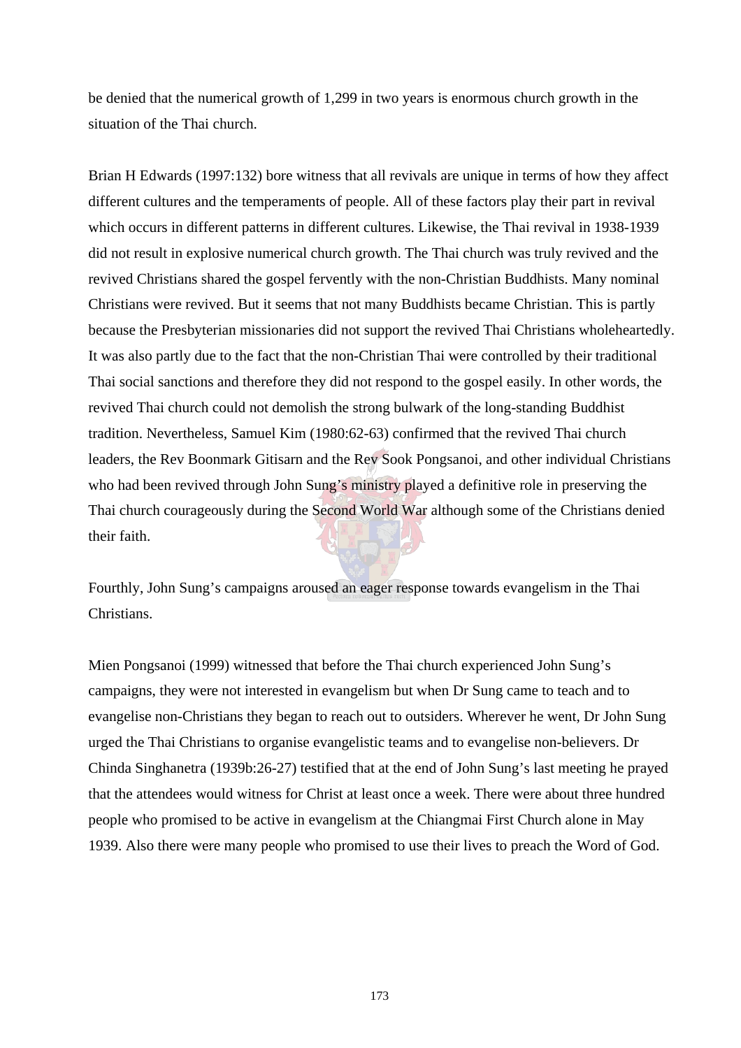be denied that the numerical growth of 1,299 in two years is enormous church growth in the situation of the Thai church.

Brian H Edwards (1997:132) bore witness that all revivals are unique in terms of how they affect different cultures and the temperaments of people. All of these factors play their part in revival which occurs in different patterns in different cultures. Likewise, the Thai revival in 1938-1939 did not result in explosive numerical church growth. The Thai church was truly revived and the revived Christians shared the gospel fervently with the non-Christian Buddhists. Many nominal Christians were revived. But it seems that not many Buddhists became Christian. This is partly because the Presbyterian missionaries did not support the revived Thai Christians wholeheartedly. It was also partly due to the fact that the non-Christian Thai were controlled by their traditional Thai social sanctions and therefore they did not respond to the gospel easily. In other words, the revived Thai church could not demolish the strong bulwark of the long-standing Buddhist tradition. Nevertheless, Samuel Kim (1980:62-63) confirmed that the revived Thai church leaders, the Rev Boonmark Gitisarn and the Rev Sook Pongsanoi, and other individual Christians who had been revived through John Sung's ministry played a definitive role in preserving the Thai church courageously during the Second World War although some of the Christians denied their faith.

Fourthly, John Sung's campaigns aroused an eager response towards evangelism in the Thai Christians.

Mien Pongsanoi (1999) witnessed that before the Thai church experienced John Sung's campaigns, they were not interested in evangelism but when Dr Sung came to teach and to evangelise non-Christians they began to reach out to outsiders. Wherever he went, Dr John Sung urged the Thai Christians to organise evangelistic teams and to evangelise non-believers. Dr Chinda Singhanetra (1939b:26-27) testified that at the end of John Sung's last meeting he prayed that the attendees would witness for Christ at least once a week. There were about three hundred people who promised to be active in evangelism at the Chiangmai First Church alone in May 1939. Also there were many people who promised to use their lives to preach the Word of God.

173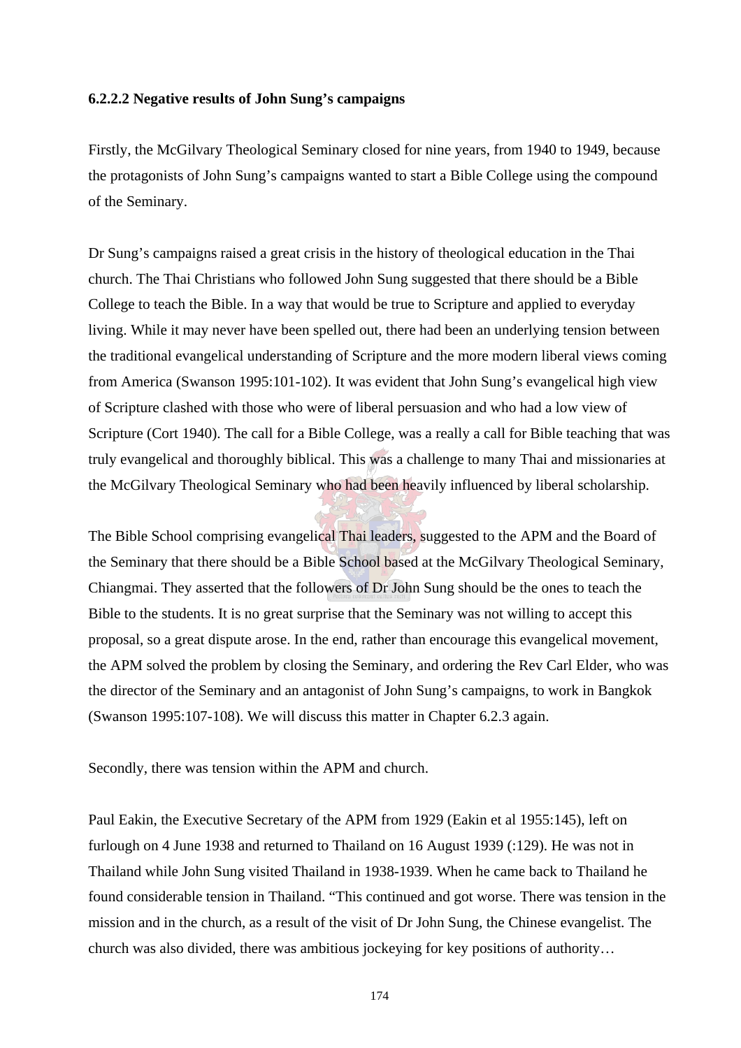### **6.2.2.2 Negative results of John Sung's campaigns**

Firstly, the McGilvary Theological Seminary closed for nine years, from 1940 to 1949, because the protagonists of John Sung's campaigns wanted to start a Bible College using the compound of the Seminary.

Dr Sung's campaigns raised a great crisis in the history of theological education in the Thai church. The Thai Christians who followed John Sung suggested that there should be a Bible College to teach the Bible. In a way that would be true to Scripture and applied to everyday living. While it may never have been spelled out, there had been an underlying tension between the traditional evangelical understanding of Scripture and the more modern liberal views coming from America (Swanson 1995:101-102). It was evident that John Sung's evangelical high view of Scripture clashed with those who were of liberal persuasion and who had a low view of Scripture (Cort 1940). The call for a Bible College, was a really a call for Bible teaching that was truly evangelical and thoroughly biblical. This was a challenge to many Thai and missionaries at the McGilvary Theological Seminary who had been heavily influenced by liberal scholarship.

The Bible School comprising evangelical Thai leaders, suggested to the APM and the Board of the Seminary that there should be a Bible School based at the McGilvary Theological Seminary, Chiangmai. They asserted that the followers of Dr John Sung should be the ones to teach the Bible to the students. It is no great surprise that the Seminary was not willing to accept this proposal, so a great dispute arose. In the end, rather than encourage this evangelical movement, the APM solved the problem by closing the Seminary, and ordering the Rev Carl Elder, who was the director of the Seminary and an antagonist of John Sung's campaigns, to work in Bangkok (Swanson 1995:107-108). We will discuss this matter in Chapter 6.2.3 again.

Secondly, there was tension within the APM and church.

Paul Eakin, the Executive Secretary of the APM from 1929 (Eakin et al 1955:145), left on furlough on 4 June 1938 and returned to Thailand on 16 August 1939 (:129). He was not in Thailand while John Sung visited Thailand in 1938-1939. When he came back to Thailand he found considerable tension in Thailand. "This continued and got worse. There was tension in the mission and in the church, as a result of the visit of Dr John Sung, the Chinese evangelist. The church was also divided, there was ambitious jockeying for key positions of authority…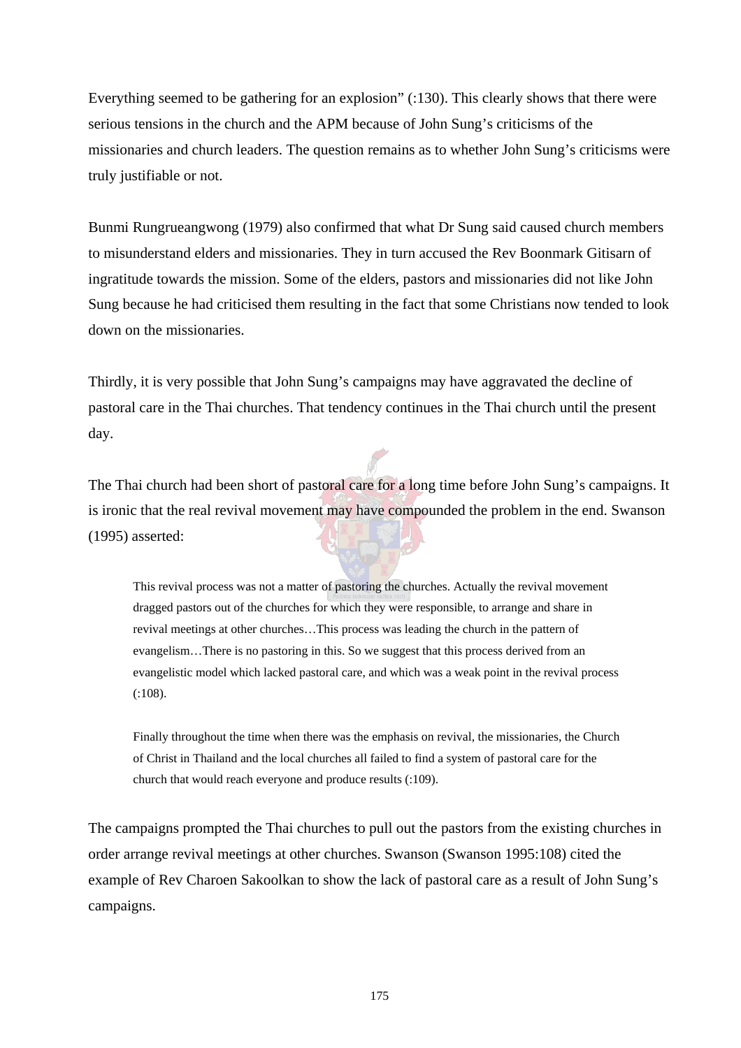Everything seemed to be gathering for an explosion" (:130). This clearly shows that there were serious tensions in the church and the APM because of John Sung's criticisms of the missionaries and church leaders. The question remains as to whether John Sung's criticisms were truly justifiable or not.

Bunmi Rungrueangwong (1979) also confirmed that what Dr Sung said caused church members to misunderstand elders and missionaries. They in turn accused the Rev Boonmark Gitisarn of ingratitude towards the mission. Some of the elders, pastors and missionaries did not like John Sung because he had criticised them resulting in the fact that some Christians now tended to look down on the missionaries.

Thirdly, it is very possible that John Sung's campaigns may have aggravated the decline of pastoral care in the Thai churches. That tendency continues in the Thai church until the present day.

The Thai church had been short of pastoral care for a long time before John Sung's campaigns. It is ironic that the real revival movement may have compounded the problem in the end. Swanson (1995) asserted:

This revival process was not a matter of pastoring the churches. Actually the revival movement dragged pastors out of the churches for which they were responsible, to arrange and share in revival meetings at other churches…This process was leading the church in the pattern of evangelism…There is no pastoring in this. So we suggest that this process derived from an evangelistic model which lacked pastoral care, and which was a weak point in the revival process (:108).

Finally throughout the time when there was the emphasis on revival, the missionaries, the Church of Christ in Thailand and the local churches all failed to find a system of pastoral care for the church that would reach everyone and produce results (:109).

The campaigns prompted the Thai churches to pull out the pastors from the existing churches in order arrange revival meetings at other churches. Swanson (Swanson 1995:108) cited the example of Rev Charoen Sakoolkan to show the lack of pastoral care as a result of John Sung's campaigns.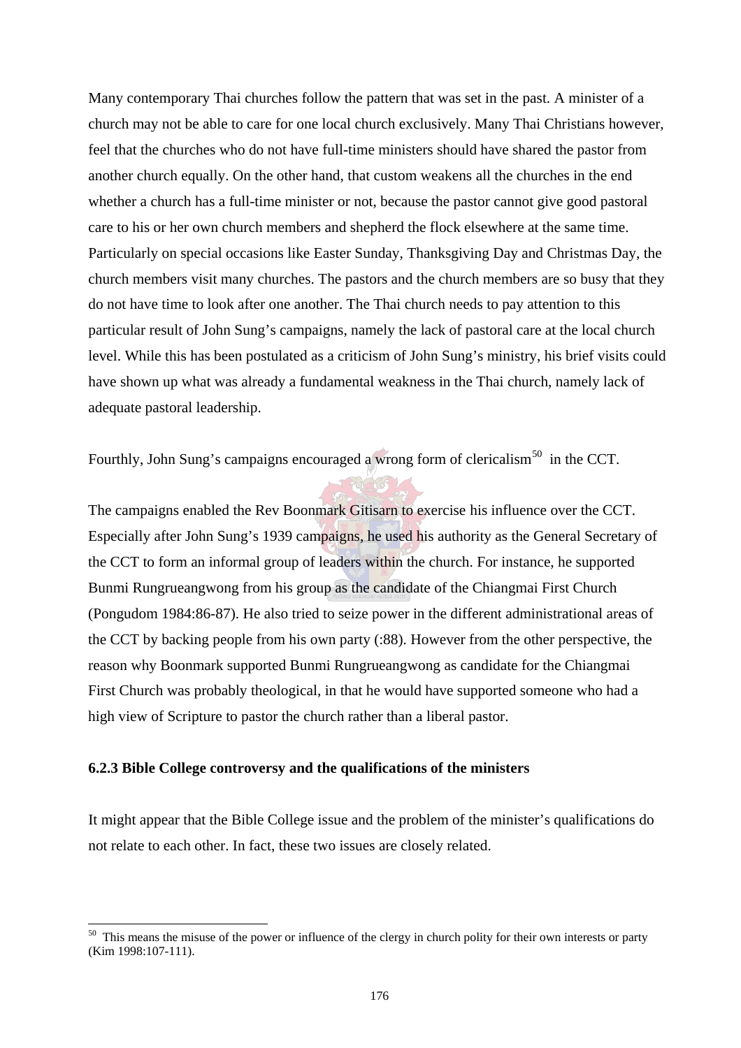Many contemporary Thai churches follow the pattern that was set in the past. A minister of a church may not be able to care for one local church exclusively. Many Thai Christians however, feel that the churches who do not have full-time ministers should have shared the pastor from another church equally. On the other hand, that custom weakens all the churches in the end whether a church has a full-time minister or not, because the pastor cannot give good pastoral care to his or her own church members and shepherd the flock elsewhere at the same time. Particularly on special occasions like Easter Sunday, Thanksgiving Day and Christmas Day, the church members visit many churches. The pastors and the church members are so busy that they do not have time to look after one another. The Thai church needs to pay attention to this particular result of John Sung's campaigns, namely the lack of pastoral care at the local church level. While this has been postulated as a criticism of John Sung's ministry, his brief visits could have shown up what was already a fundamental weakness in the Thai church, namely lack of adequate pastoral leadership.

Fourthly, John Sung's campaigns encouraged a wrong form of clericalism<sup>50</sup> in the CCT.

The campaigns enabled the Rev Boonmark Gitisarn to exercise his influence over the CCT. Especially after John Sung's 1939 campaigns, he used his authority as the General Secretary of the CCT to form an informal group of leaders within the church. For instance, he supported Bunmi Rungrueangwong from his group as the candidate of the Chiangmai First Church (Pongudom 1984:86-87). He also tried to seize power in the different administrational areas of the CCT by backing people from his own party (:88). However from the other perspective, the reason why Boonmark supported Bunmi Rungrueangwong as candidate for the Chiangmai First Church was probably theological, in that he would have supported someone who had a high view of Scripture to pastor the church rather than a liberal pastor.

# **6.2.3 Bible College controversy and the qualifications of the ministers**

 $\overline{\phantom{a}}$ 

It might appear that the Bible College issue and the problem of the minister's qualifications do not relate to each other. In fact, these two issues are closely related.

 $50$  This means the misuse of the power or influence of the clergy in church polity for their own interests or party (Kim 1998:107-111).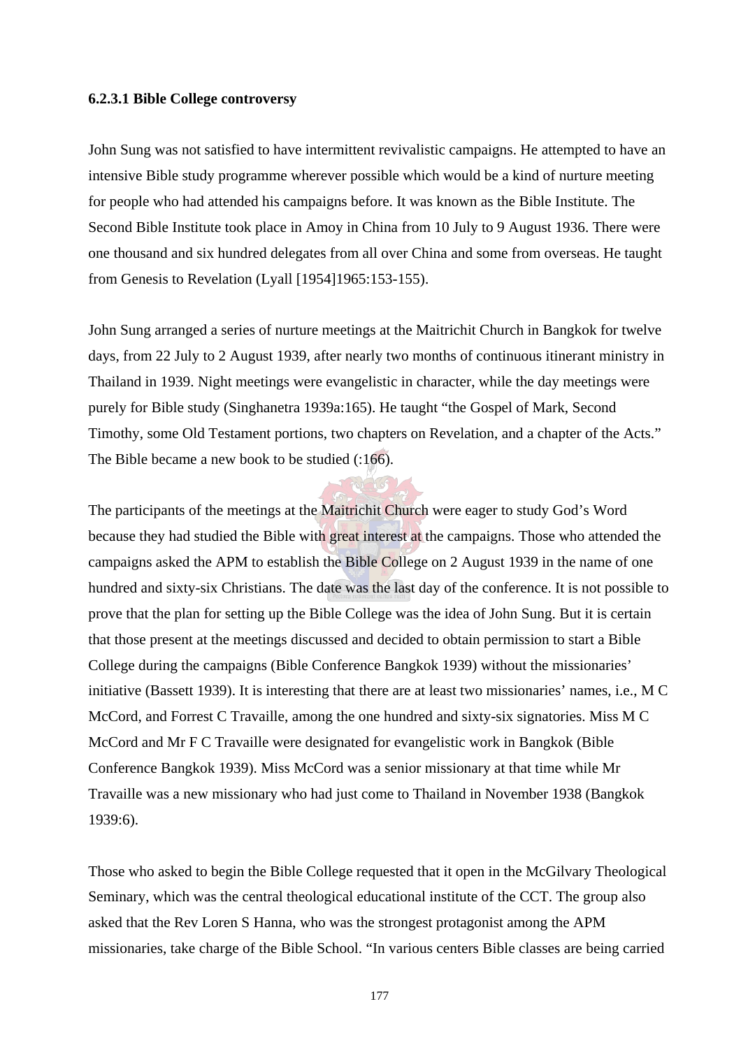### **6.2.3.1 Bible College controversy**

John Sung was not satisfied to have intermittent revivalistic campaigns. He attempted to have an intensive Bible study programme wherever possible which would be a kind of nurture meeting for people who had attended his campaigns before. It was known as the Bible Institute. The Second Bible Institute took place in Amoy in China from 10 July to 9 August 1936. There were one thousand and six hundred delegates from all over China and some from overseas. He taught from Genesis to Revelation (Lyall [1954]1965:153-155).

John Sung arranged a series of nurture meetings at the Maitrichit Church in Bangkok for twelve days, from 22 July to 2 August 1939, after nearly two months of continuous itinerant ministry in Thailand in 1939. Night meetings were evangelistic in character, while the day meetings were purely for Bible study (Singhanetra 1939a:165). He taught "the Gospel of Mark, Second Timothy, some Old Testament portions, two chapters on Revelation, and a chapter of the Acts." The Bible became a new book to be studied (:166).

The participants of the meetings at the Maitrichit Church were eager to study God's Word because they had studied the Bible with great interest at the campaigns. Those who attended the campaigns asked the APM to establish the Bible College on 2 August 1939 in the name of one hundred and sixty-six Christians. The date was the last day of the conference. It is not possible to prove that the plan for setting up the Bible College was the idea of John Sung. But it is certain that those present at the meetings discussed and decided to obtain permission to start a Bible College during the campaigns (Bible Conference Bangkok 1939) without the missionaries' initiative (Bassett 1939). It is interesting that there are at least two missionaries' names, i.e., M C McCord, and Forrest C Travaille, among the one hundred and sixty-six signatories. Miss M C McCord and Mr F C Travaille were designated for evangelistic work in Bangkok (Bible Conference Bangkok 1939). Miss McCord was a senior missionary at that time while Mr Travaille was a new missionary who had just come to Thailand in November 1938 (Bangkok 1939:6).

Those who asked to begin the Bible College requested that it open in the McGilvary Theological Seminary, which was the central theological educational institute of the CCT. The group also asked that the Rev Loren S Hanna, who was the strongest protagonist among the APM missionaries, take charge of the Bible School. "In various centers Bible classes are being carried

177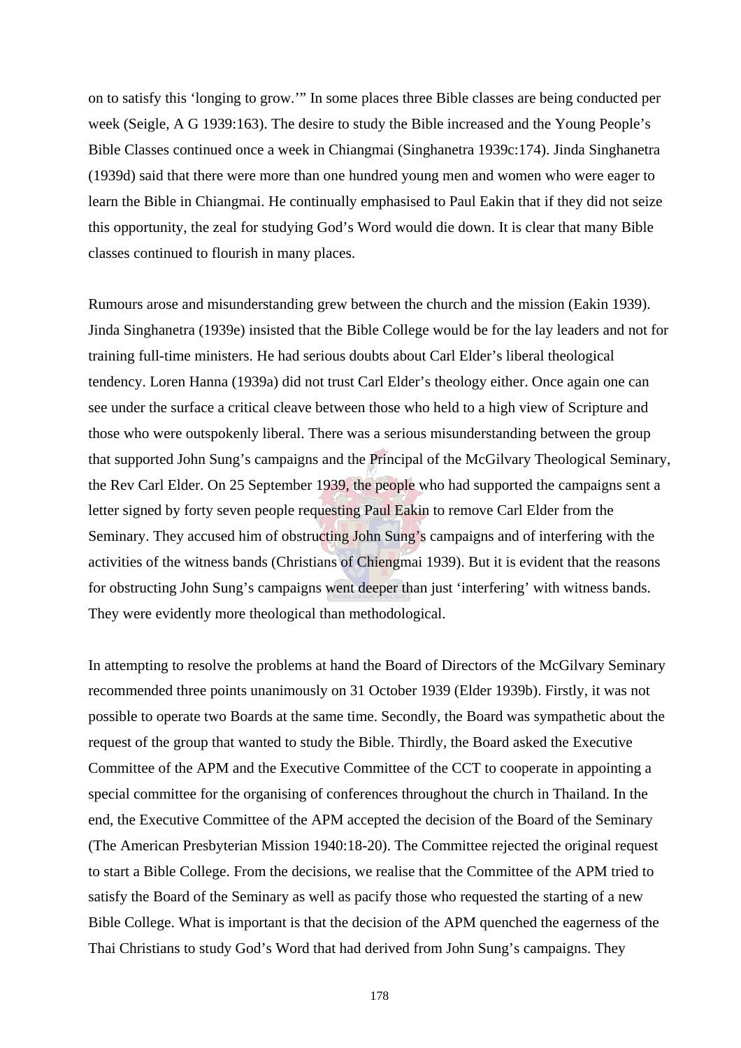on to satisfy this 'longing to grow.'" In some places three Bible classes are being conducted per week (Seigle, A G 1939:163). The desire to study the Bible increased and the Young People's Bible Classes continued once a week in Chiangmai (Singhanetra 1939c:174). Jinda Singhanetra (1939d) said that there were more than one hundred young men and women who were eager to learn the Bible in Chiangmai. He continually emphasised to Paul Eakin that if they did not seize this opportunity, the zeal for studying God's Word would die down. It is clear that many Bible classes continued to flourish in many places.

Rumours arose and misunderstanding grew between the church and the mission (Eakin 1939). Jinda Singhanetra (1939e) insisted that the Bible College would be for the lay leaders and not for training full-time ministers. He had serious doubts about Carl Elder's liberal theological tendency. Loren Hanna (1939a) did not trust Carl Elder's theology either. Once again one can see under the surface a critical cleave between those who held to a high view of Scripture and those who were outspokenly liberal. There was a serious misunderstanding between the group that supported John Sung's campaigns and the Principal of the McGilvary Theological Seminary, the Rev Carl Elder. On 25 September 1939, the people who had supported the campaigns sent a letter signed by forty seven people requesting Paul Eakin to remove Carl Elder from the Seminary. They accused him of obstructing John Sung's campaigns and of interfering with the activities of the witness bands (Christians of Chiengmai 1939). But it is evident that the reasons for obstructing John Sung's campaigns went deeper than just 'interfering' with witness bands. They were evidently more theological than methodological.

In attempting to resolve the problems at hand the Board of Directors of the McGilvary Seminary recommended three points unanimously on 31 October 1939 (Elder 1939b). Firstly, it was not possible to operate two Boards at the same time. Secondly, the Board was sympathetic about the request of the group that wanted to study the Bible. Thirdly, the Board asked the Executive Committee of the APM and the Executive Committee of the CCT to cooperate in appointing a special committee for the organising of conferences throughout the church in Thailand. In the end, the Executive Committee of the APM accepted the decision of the Board of the Seminary (The American Presbyterian Mission 1940:18-20). The Committee rejected the original request to start a Bible College. From the decisions, we realise that the Committee of the APM tried to satisfy the Board of the Seminary as well as pacify those who requested the starting of a new Bible College. What is important is that the decision of the APM quenched the eagerness of the Thai Christians to study God's Word that had derived from John Sung's campaigns. They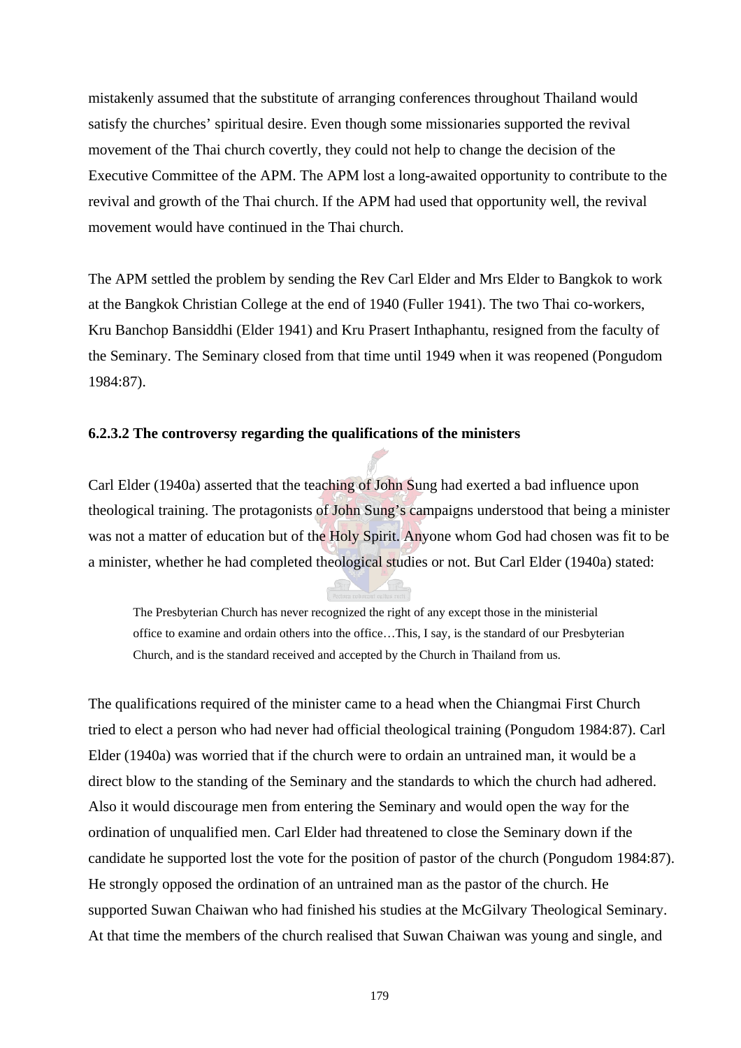mistakenly assumed that the substitute of arranging conferences throughout Thailand would satisfy the churches' spiritual desire. Even though some missionaries supported the revival movement of the Thai church covertly, they could not help to change the decision of the Executive Committee of the APM. The APM lost a long-awaited opportunity to contribute to the revival and growth of the Thai church. If the APM had used that opportunity well, the revival movement would have continued in the Thai church.

The APM settled the problem by sending the Rev Carl Elder and Mrs Elder to Bangkok to work at the Bangkok Christian College at the end of 1940 (Fuller 1941). The two Thai co-workers, Kru Banchop Bansiddhi (Elder 1941) and Kru Prasert Inthaphantu, resigned from the faculty of the Seminary. The Seminary closed from that time until 1949 when it was reopened (Pongudom 1984:87).

# **6.2.3.2 The controversy regarding the qualifications of the ministers**

Carl Elder (1940a) asserted that the teaching of John Sung had exerted a bad influence upon theological training. The protagonists of John Sung's campaigns understood that being a minister was not a matter of education but of the Holy Spirit. Anyone whom God had chosen was fit to be a minister, whether he had completed theological studies or not. But Carl Elder (1940a) stated:

The Presbyterian Church has never recognized the right of any except those in the ministerial office to examine and ordain others into the office…This, I say, is the standard of our Presbyterian Church, and is the standard received and accepted by the Church in Thailand from us.

The qualifications required of the minister came to a head when the Chiangmai First Church tried to elect a person who had never had official theological training (Pongudom 1984:87). Carl Elder (1940a) was worried that if the church were to ordain an untrained man, it would be a direct blow to the standing of the Seminary and the standards to which the church had adhered. Also it would discourage men from entering the Seminary and would open the way for the ordination of unqualified men. Carl Elder had threatened to close the Seminary down if the candidate he supported lost the vote for the position of pastor of the church (Pongudom 1984:87). He strongly opposed the ordination of an untrained man as the pastor of the church. He supported Suwan Chaiwan who had finished his studies at the McGilvary Theological Seminary. At that time the members of the church realised that Suwan Chaiwan was young and single, and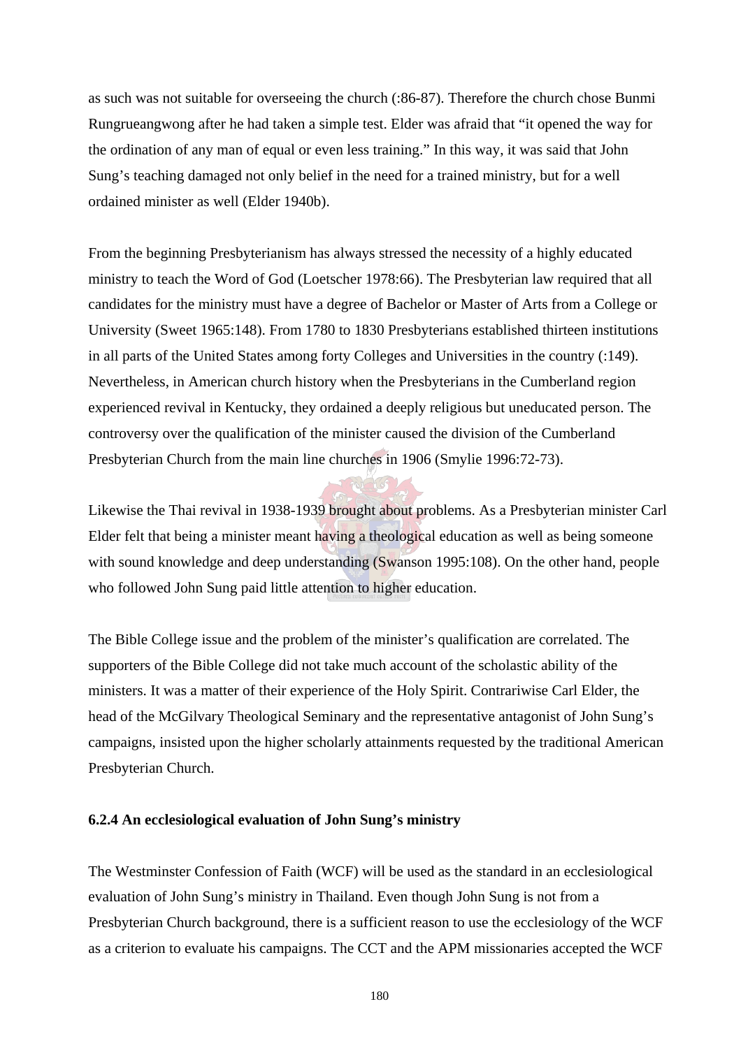as such was not suitable for overseeing the church (:86-87). Therefore the church chose Bunmi Rungrueangwong after he had taken a simple test. Elder was afraid that "it opened the way for the ordination of any man of equal or even less training." In this way, it was said that John Sung's teaching damaged not only belief in the need for a trained ministry, but for a well ordained minister as well (Elder 1940b).

From the beginning Presbyterianism has always stressed the necessity of a highly educated ministry to teach the Word of God (Loetscher 1978:66). The Presbyterian law required that all candidates for the ministry must have a degree of Bachelor or Master of Arts from a College or University (Sweet 1965:148). From 1780 to 1830 Presbyterians established thirteen institutions in all parts of the United States among forty Colleges and Universities in the country (:149). Nevertheless, in American church history when the Presbyterians in the Cumberland region experienced revival in Kentucky, they ordained a deeply religious but uneducated person. The controversy over the qualification of the minister caused the division of the Cumberland Presbyterian Church from the main line churches in 1906 (Smylie 1996:72-73).

Likewise the Thai revival in 1938-1939 brought about problems. As a Presbyterian minister Carl Elder felt that being a minister meant having a theological education as well as being someone with sound knowledge and deep understanding (Swanson 1995:108). On the other hand, people who followed John Sung paid little attention to higher education.

The Bible College issue and the problem of the minister's qualification are correlated. The supporters of the Bible College did not take much account of the scholastic ability of the ministers. It was a matter of their experience of the Holy Spirit. Contrariwise Carl Elder, the head of the McGilvary Theological Seminary and the representative antagonist of John Sung's campaigns, insisted upon the higher scholarly attainments requested by the traditional American Presbyterian Church.

# **6.2.4 An ecclesiological evaluation of John Sung's ministry**

The Westminster Confession of Faith (WCF) will be used as the standard in an ecclesiological evaluation of John Sung's ministry in Thailand. Even though John Sung is not from a Presbyterian Church background, there is a sufficient reason to use the ecclesiology of the WCF as a criterion to evaluate his campaigns. The CCT and the APM missionaries accepted the WCF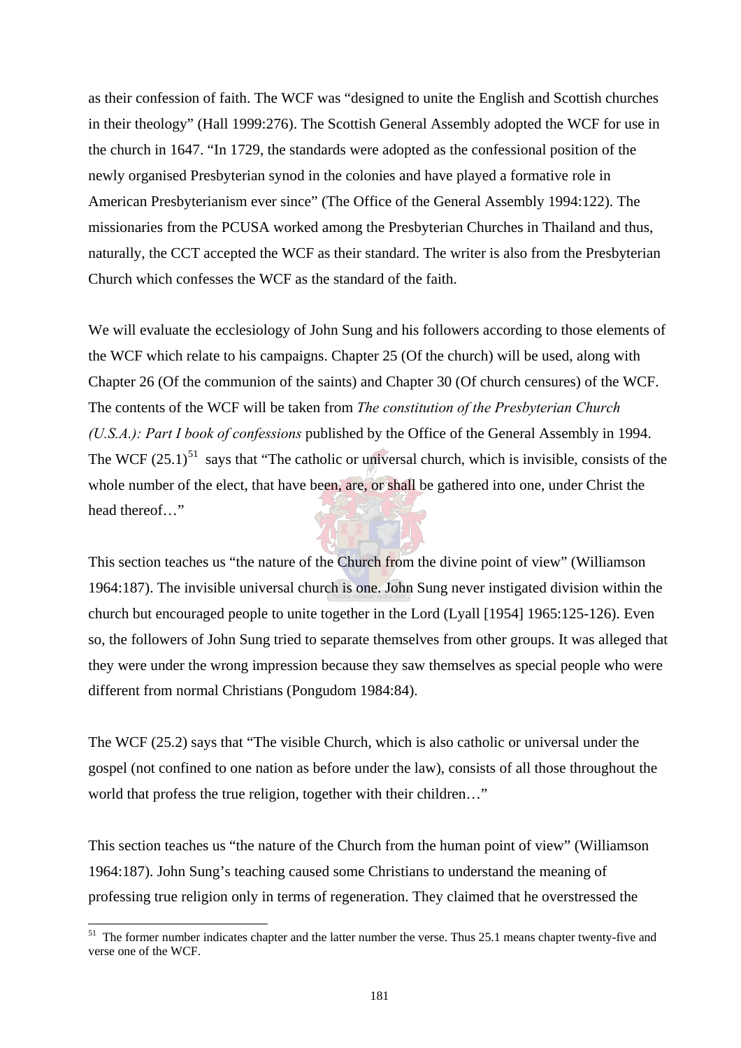as their confession of faith. The WCF was "designed to unite the English and Scottish churches in their theology" (Hall 1999:276). The Scottish General Assembly adopted the WCF for use in the church in 1647. "In 1729, the standards were adopted as the confessional position of the newly organised Presbyterian synod in the colonies and have played a formative role in American Presbyterianism ever since" (The Office of the General Assembly 1994:122). The missionaries from the PCUSA worked among the Presbyterian Churches in Thailand and thus, naturally, the CCT accepted the WCF as their standard. The writer is also from the Presbyterian Church which confesses the WCF as the standard of the faith.

We will evaluate the ecclesiology of John Sung and his followers according to those elements of the WCF which relate to his campaigns. Chapter 25 (Of the church) will be used, along with Chapter 26 (Of the communion of the saints) and Chapter 30 (Of church censures) of the WCF. The contents of the WCF will be taken from *The constitution of the Presbyterian Church (U.S.A.): Part I book of confessions* published by the Office of the General Assembly in 1994. The WCF  $(25.1)^{51}$  says that "The catholic or universal church, which is invisible, consists of the whole number of the elect, that have been, are, or shall be gathered into one, under Christ the head thereof…"

This section teaches us "the nature of the Church from the divine point of view" (Williamson 1964:187). The invisible universal church is one. John Sung never instigated division within the church but encouraged people to unite together in the Lord (Lyall [1954] 1965:125-126). Even so, the followers of John Sung tried to separate themselves from other groups. It was alleged that they were under the wrong impression because they saw themselves as special people who were different from normal Christians (Pongudom 1984:84).

The WCF (25.2) says that "The visible Church, which is also catholic or universal under the gospel (not confined to one nation as before under the law), consists of all those throughout the world that profess the true religion, together with their children…"

This section teaches us "the nature of the Church from the human point of view" (Williamson 1964:187). John Sung's teaching caused some Christians to understand the meaning of professing true religion only in terms of regeneration. They claimed that he overstressed the

 $\overline{\phantom{a}}$ 

<sup>&</sup>lt;sup>51</sup> The former number indicates chapter and the latter number the verse. Thus 25.1 means chapter twenty-five and verse one of the WCF.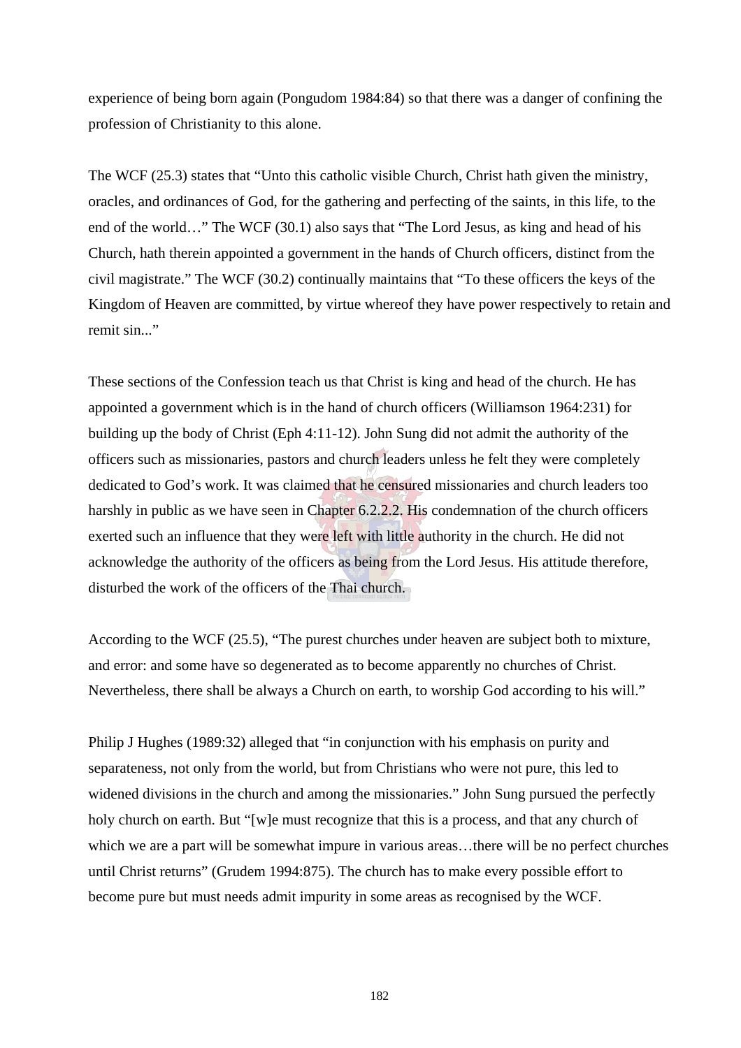experience of being born again (Pongudom 1984:84) so that there was a danger of confining the profession of Christianity to this alone.

The WCF (25.3) states that "Unto this catholic visible Church, Christ hath given the ministry, oracles, and ordinances of God, for the gathering and perfecting of the saints, in this life, to the end of the world…" The WCF (30.1) also says that "The Lord Jesus, as king and head of his Church, hath therein appointed a government in the hands of Church officers, distinct from the civil magistrate." The WCF (30.2) continually maintains that "To these officers the keys of the Kingdom of Heaven are committed, by virtue whereof they have power respectively to retain and remit sin..."

These sections of the Confession teach us that Christ is king and head of the church. He has appointed a government which is in the hand of church officers (Williamson 1964:231) for building up the body of Christ (Eph 4:11-12). John Sung did not admit the authority of the officers such as missionaries, pastors and church leaders unless he felt they were completely dedicated to God's work. It was claimed that he censured missionaries and church leaders too harshly in public as we have seen in Chapter 6.2.2.2. His condemnation of the church officers exerted such an influence that they were left with little authority in the church. He did not acknowledge the authority of the officers as being from the Lord Jesus. His attitude therefore, disturbed the work of the officers of the Thai church.

According to the WCF (25.5), "The purest churches under heaven are subject both to mixture, and error: and some have so degenerated as to become apparently no churches of Christ. Nevertheless, there shall be always a Church on earth, to worship God according to his will."

Philip J Hughes (1989:32) alleged that "in conjunction with his emphasis on purity and separateness, not only from the world, but from Christians who were not pure, this led to widened divisions in the church and among the missionaries." John Sung pursued the perfectly holy church on earth. But "[w]e must recognize that this is a process, and that any church of which we are a part will be somewhat impure in various areas...there will be no perfect churches until Christ returns" (Grudem 1994:875). The church has to make every possible effort to become pure but must needs admit impurity in some areas as recognised by the WCF.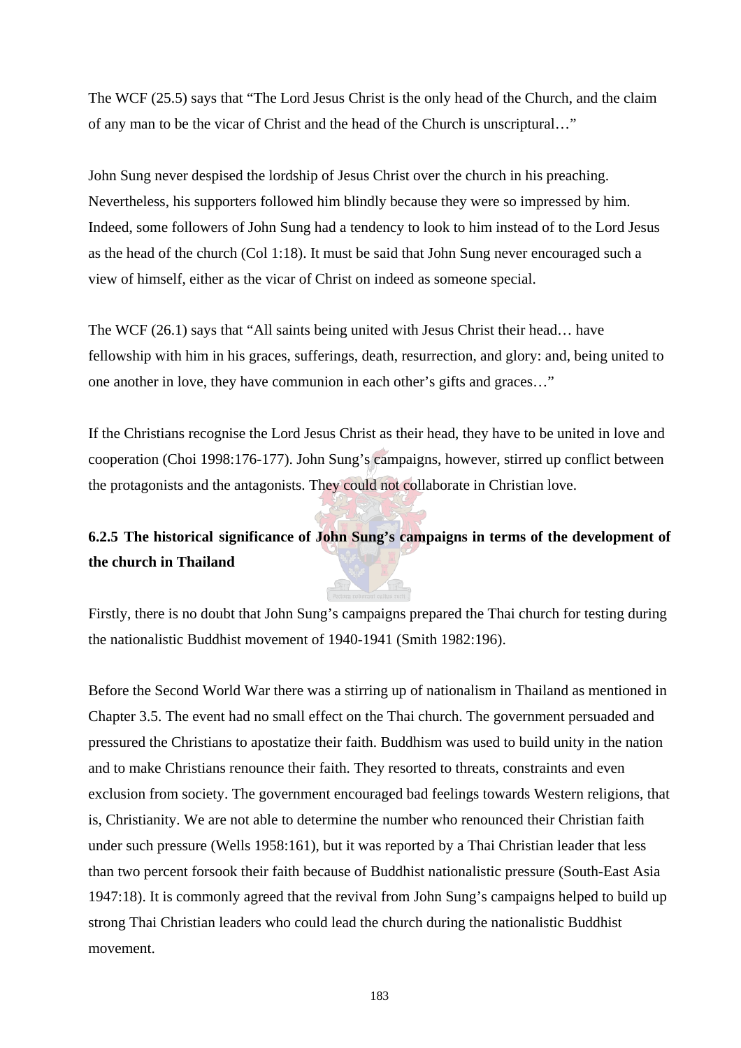The WCF (25.5) says that "The Lord Jesus Christ is the only head of the Church, and the claim of any man to be the vicar of Christ and the head of the Church is unscriptural…"

John Sung never despised the lordship of Jesus Christ over the church in his preaching. Nevertheless, his supporters followed him blindly because they were so impressed by him. Indeed, some followers of John Sung had a tendency to look to him instead of to the Lord Jesus as the head of the church (Col 1:18). It must be said that John Sung never encouraged such a view of himself, either as the vicar of Christ on indeed as someone special.

The WCF (26.1) says that "All saints being united with Jesus Christ their head… have fellowship with him in his graces, sufferings, death, resurrection, and glory: and, being united to one another in love, they have communion in each other's gifts and graces…"

If the Christians recognise the Lord Jesus Christ as their head, they have to be united in love and cooperation (Choi 1998:176-177). John Sung's campaigns, however, stirred up conflict between the protagonists and the antagonists. They could not collaborate in Christian love.

# **6.2.5 The historical significance of John Sung's campaigns in terms of the development of the church in Thailand**

Firstly, there is no doubt that John Sung's campaigns prepared the Thai church for testing during the nationalistic Buddhist movement of 1940-1941 (Smith 1982:196).

Before the Second World War there was a stirring up of nationalism in Thailand as mentioned in Chapter 3.5. The event had no small effect on the Thai church. The government persuaded and pressured the Christians to apostatize their faith. Buddhism was used to build unity in the nation and to make Christians renounce their faith. They resorted to threats, constraints and even exclusion from society. The government encouraged bad feelings towards Western religions, that is, Christianity. We are not able to determine the number who renounced their Christian faith under such pressure (Wells 1958:161), but it was reported by a Thai Christian leader that less than two percent forsook their faith because of Buddhist nationalistic pressure (South-East Asia 1947:18). It is commonly agreed that the revival from John Sung's campaigns helped to build up strong Thai Christian leaders who could lead the church during the nationalistic Buddhist movement.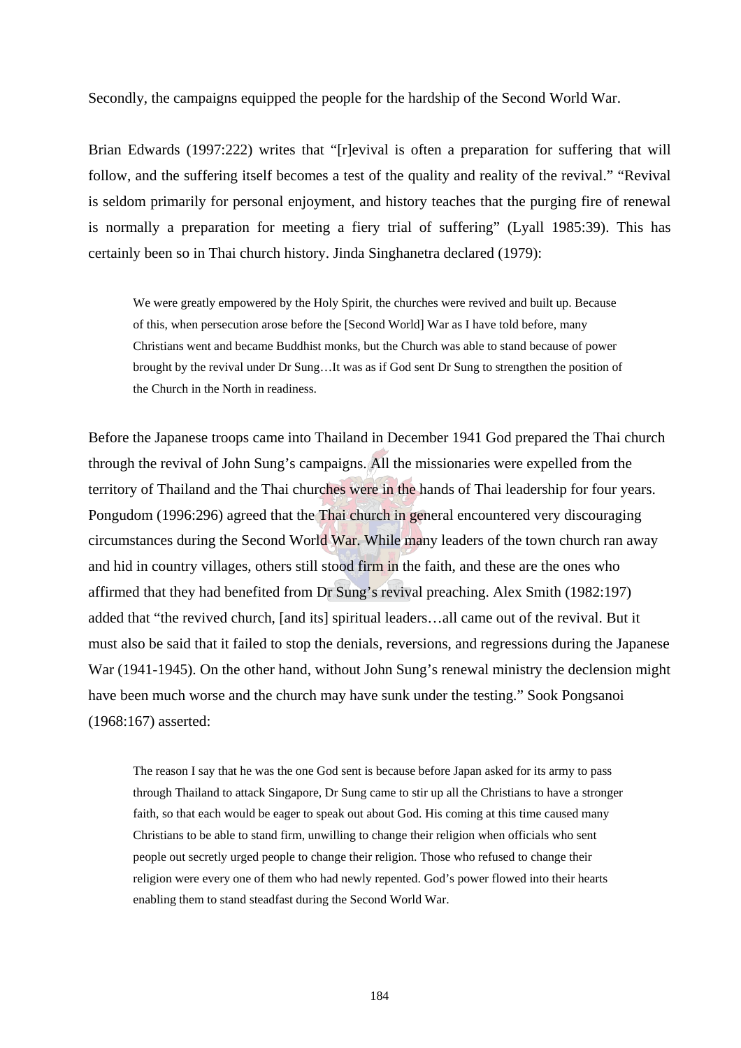Secondly, the campaigns equipped the people for the hardship of the Second World War.

Brian Edwards (1997:222) writes that "[r]evival is often a preparation for suffering that will follow, and the suffering itself becomes a test of the quality and reality of the revival." "Revival is seldom primarily for personal enjoyment, and history teaches that the purging fire of renewal is normally a preparation for meeting a fiery trial of suffering" (Lyall 1985:39). This has certainly been so in Thai church history. Jinda Singhanetra declared (1979):

We were greatly empowered by the Holy Spirit, the churches were revived and built up. Because of this, when persecution arose before the [Second World] War as I have told before, many Christians went and became Buddhist monks, but the Church was able to stand because of power brought by the revival under Dr Sung…It was as if God sent Dr Sung to strengthen the position of the Church in the North in readiness.

Before the Japanese troops came into Thailand in December 1941 God prepared the Thai church through the revival of John Sung's campaigns. All the missionaries were expelled from the territory of Thailand and the Thai churches were in the hands of Thai leadership for four years. Pongudom (1996:296) agreed that the Thai church in general encountered very discouraging circumstances during the Second World War. While many leaders of the town church ran away and hid in country villages, others still stood firm in the faith, and these are the ones who affirmed that they had benefited from Dr Sung's revival preaching. Alex Smith (1982:197) added that "the revived church, [and its] spiritual leaders…all came out of the revival. But it must also be said that it failed to stop the denials, reversions, and regressions during the Japanese War (1941-1945). On the other hand, without John Sung's renewal ministry the declension might have been much worse and the church may have sunk under the testing." Sook Pongsanoi (1968:167) asserted:

The reason I say that he was the one God sent is because before Japan asked for its army to pass through Thailand to attack Singapore, Dr Sung came to stir up all the Christians to have a stronger faith, so that each would be eager to speak out about God. His coming at this time caused many Christians to be able to stand firm, unwilling to change their religion when officials who sent people out secretly urged people to change their religion. Those who refused to change their religion were every one of them who had newly repented. God's power flowed into their hearts enabling them to stand steadfast during the Second World War.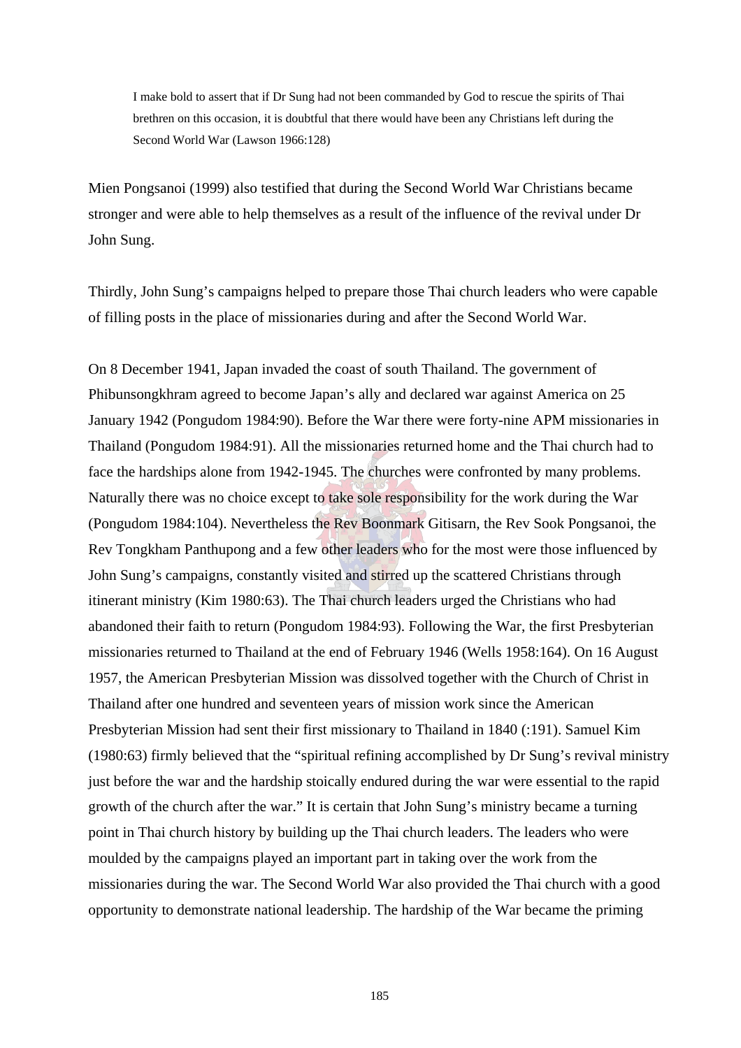I make bold to assert that if Dr Sung had not been commanded by God to rescue the spirits of Thai brethren on this occasion, it is doubtful that there would have been any Christians left during the Second World War (Lawson 1966:128)

Mien Pongsanoi (1999) also testified that during the Second World War Christians became stronger and were able to help themselves as a result of the influence of the revival under Dr John Sung.

Thirdly, John Sung's campaigns helped to prepare those Thai church leaders who were capable of filling posts in the place of missionaries during and after the Second World War.

On 8 December 1941, Japan invaded the coast of south Thailand. The government of Phibunsongkhram agreed to become Japan's ally and declared war against America on 25 January 1942 (Pongudom 1984:90). Before the War there were forty-nine APM missionaries in Thailand (Pongudom 1984:91). All the missionaries returned home and the Thai church had to face the hardships alone from 1942-1945. The churches were confronted by many problems. Naturally there was no choice except to take sole responsibility for the work during the War (Pongudom 1984:104). Nevertheless the Rev Boonmark Gitisarn, the Rev Sook Pongsanoi, the Rev Tongkham Panthupong and a few other leaders who for the most were those influenced by John Sung's campaigns, constantly visited and stirred up the scattered Christians through itinerant ministry (Kim 1980:63). The Thai church leaders urged the Christians who had abandoned their faith to return (Pongudom 1984:93). Following the War, the first Presbyterian missionaries returned to Thailand at the end of February 1946 (Wells 1958:164). On 16 August 1957, the American Presbyterian Mission was dissolved together with the Church of Christ in Thailand after one hundred and seventeen years of mission work since the American Presbyterian Mission had sent their first missionary to Thailand in 1840 (:191). Samuel Kim (1980:63) firmly believed that the "spiritual refining accomplished by Dr Sung's revival ministry just before the war and the hardship stoically endured during the war were essential to the rapid growth of the church after the war." It is certain that John Sung's ministry became a turning point in Thai church history by building up the Thai church leaders. The leaders who were moulded by the campaigns played an important part in taking over the work from the missionaries during the war. The Second World War also provided the Thai church with a good opportunity to demonstrate national leadership. The hardship of the War became the priming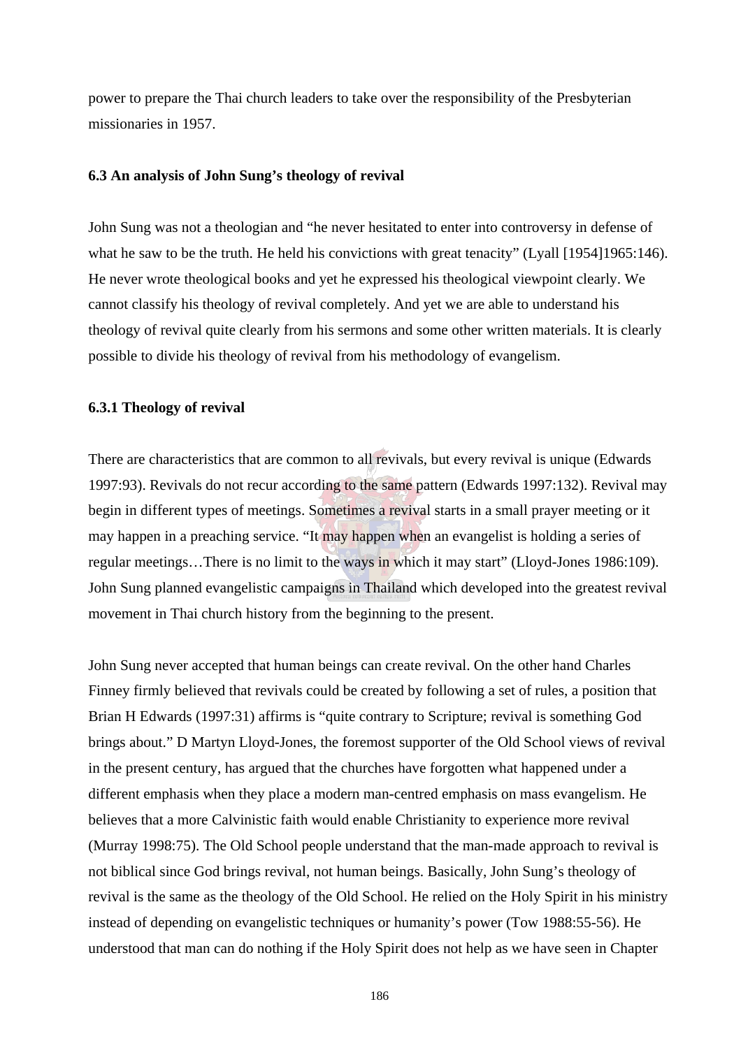power to prepare the Thai church leaders to take over the responsibility of the Presbyterian missionaries in 1957.

# **6.3 An analysis of John Sung's theology of revival**

John Sung was not a theologian and "he never hesitated to enter into controversy in defense of what he saw to be the truth. He held his convictions with great tenacity" (Lyall [1954]1965:146). He never wrote theological books and yet he expressed his theological viewpoint clearly. We cannot classify his theology of revival completely. And yet we are able to understand his theology of revival quite clearly from his sermons and some other written materials. It is clearly possible to divide his theology of revival from his methodology of evangelism.

## **6.3.1 Theology of revival**

There are characteristics that are common to all revivals, but every revival is unique (Edwards 1997:93). Revivals do not recur according to the same pattern (Edwards 1997:132). Revival may begin in different types of meetings. Sometimes a revival starts in a small prayer meeting or it may happen in a preaching service. "It may happen when an evangelist is holding a series of regular meetings…There is no limit to the ways in which it may start" (Lloyd-Jones 1986:109). John Sung planned evangelistic campaigns in Thailand which developed into the greatest revival movement in Thai church history from the beginning to the present.

John Sung never accepted that human beings can create revival. On the other hand Charles Finney firmly believed that revivals could be created by following a set of rules, a position that Brian H Edwards (1997:31) affirms is "quite contrary to Scripture; revival is something God brings about." D Martyn Lloyd-Jones, the foremost supporter of the Old School views of revival in the present century, has argued that the churches have forgotten what happened under a different emphasis when they place a modern man-centred emphasis on mass evangelism. He believes that a more Calvinistic faith would enable Christianity to experience more revival (Murray 1998:75). The Old School people understand that the man-made approach to revival is not biblical since God brings revival, not human beings. Basically, John Sung's theology of revival is the same as the theology of the Old School. He relied on the Holy Spirit in his ministry instead of depending on evangelistic techniques or humanity's power (Tow 1988:55-56). He understood that man can do nothing if the Holy Spirit does not help as we have seen in Chapter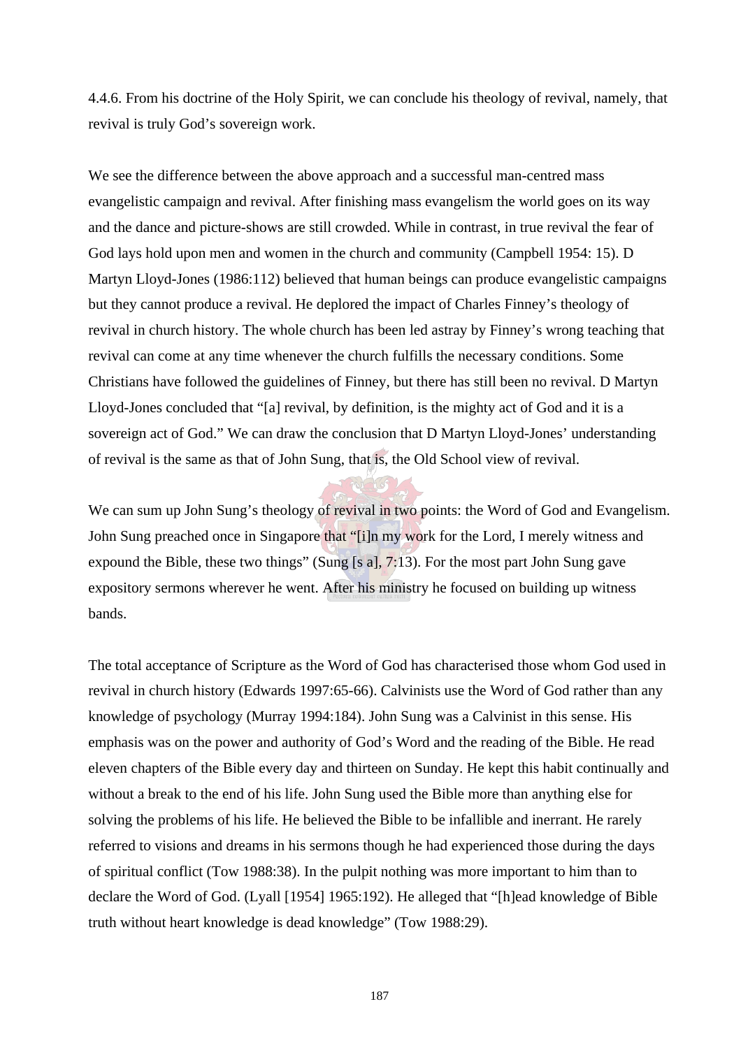4.4.6. From his doctrine of the Holy Spirit, we can conclude his theology of revival, namely, that revival is truly God's sovereign work.

We see the difference between the above approach and a successful man-centred mass evangelistic campaign and revival. After finishing mass evangelism the world goes on its way and the dance and picture-shows are still crowded. While in contrast, in true revival the fear of God lays hold upon men and women in the church and community (Campbell 1954: 15). D Martyn Lloyd-Jones (1986:112) believed that human beings can produce evangelistic campaigns but they cannot produce a revival. He deplored the impact of Charles Finney's theology of revival in church history. The whole church has been led astray by Finney's wrong teaching that revival can come at any time whenever the church fulfills the necessary conditions. Some Christians have followed the guidelines of Finney, but there has still been no revival. D Martyn Lloyd-Jones concluded that "[a] revival, by definition, is the mighty act of God and it is a sovereign act of God." We can draw the conclusion that D Martyn Lloyd-Jones' understanding of revival is the same as that of John Sung, that is, the Old School view of revival.

We can sum up John Sung's theology of revival in two points: the Word of God and Evangelism. John Sung preached once in Singapore that "[i]n my work for the Lord, I merely witness and expound the Bible, these two things" (Sung [s a], 7:13). For the most part John Sung gave expository sermons wherever he went. After his ministry he focused on building up witness bands.

The total acceptance of Scripture as the Word of God has characterised those whom God used in revival in church history (Edwards 1997:65-66). Calvinists use the Word of God rather than any knowledge of psychology (Murray 1994:184). John Sung was a Calvinist in this sense. His emphasis was on the power and authority of God's Word and the reading of the Bible. He read eleven chapters of the Bible every day and thirteen on Sunday. He kept this habit continually and without a break to the end of his life. John Sung used the Bible more than anything else for solving the problems of his life. He believed the Bible to be infallible and inerrant. He rarely referred to visions and dreams in his sermons though he had experienced those during the days of spiritual conflict (Tow 1988:38). In the pulpit nothing was more important to him than to declare the Word of God. (Lyall [1954] 1965:192). He alleged that "[h]ead knowledge of Bible truth without heart knowledge is dead knowledge" (Tow 1988:29).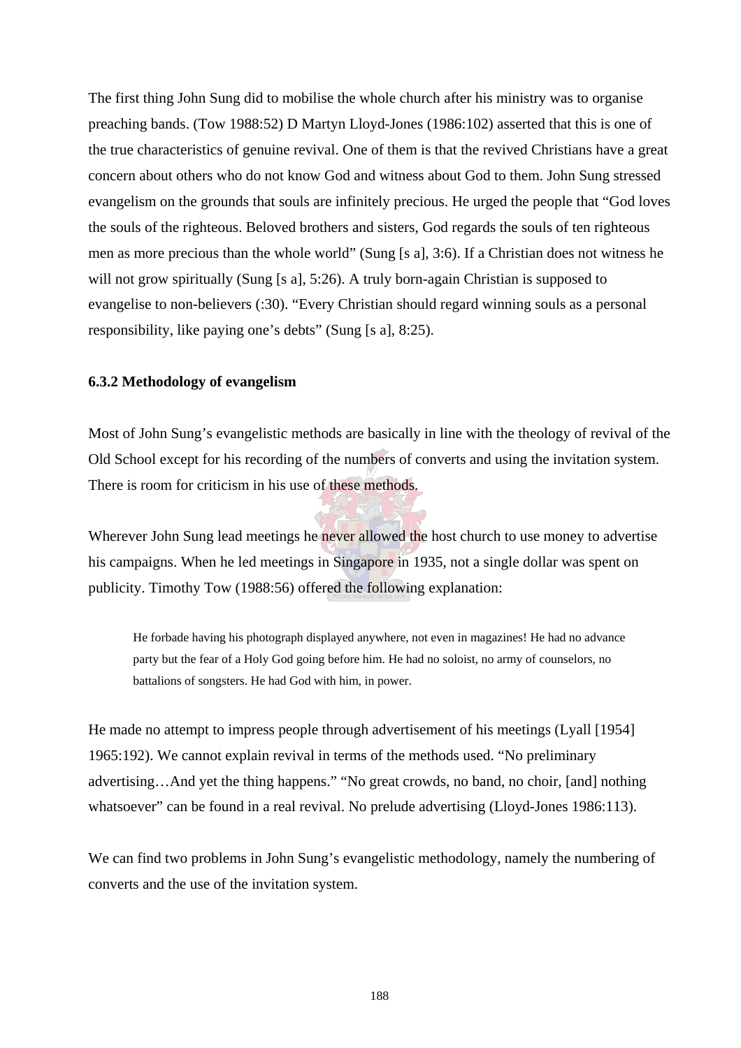The first thing John Sung did to mobilise the whole church after his ministry was to organise preaching bands. (Tow 1988:52) D Martyn Lloyd-Jones (1986:102) asserted that this is one of the true characteristics of genuine revival. One of them is that the revived Christians have a great concern about others who do not know God and witness about God to them. John Sung stressed evangelism on the grounds that souls are infinitely precious. He urged the people that "God loves the souls of the righteous. Beloved brothers and sisters, God regards the souls of ten righteous men as more precious than the whole world" (Sung [s a], 3:6). If a Christian does not witness he will not grow spiritually (Sung [s a], 5:26). A truly born-again Christian is supposed to evangelise to non-believers (:30). "Every Christian should regard winning souls as a personal responsibility, like paying one's debts" (Sung [s a], 8:25).

## **6.3.2 Methodology of evangelism**

Most of John Sung's evangelistic methods are basically in line with the theology of revival of the Old School except for his recording of the numbers of converts and using the invitation system. There is room for criticism in his use of these methods.

Wherever John Sung lead meetings he never allowed the host church to use money to advertise his campaigns. When he led meetings in Singapore in 1935, not a single dollar was spent on publicity. Timothy Tow (1988:56) offered the following explanation:

He forbade having his photograph displayed anywhere, not even in magazines! He had no advance party but the fear of a Holy God going before him. He had no soloist, no army of counselors, no battalions of songsters. He had God with him, in power.

He made no attempt to impress people through advertisement of his meetings (Lyall [1954] 1965:192). We cannot explain revival in terms of the methods used. "No preliminary advertising…And yet the thing happens." "No great crowds, no band, no choir, [and] nothing whatsoever" can be found in a real revival. No prelude advertising (Lloyd-Jones 1986:113).

We can find two problems in John Sung's evangelistic methodology, namely the numbering of converts and the use of the invitation system.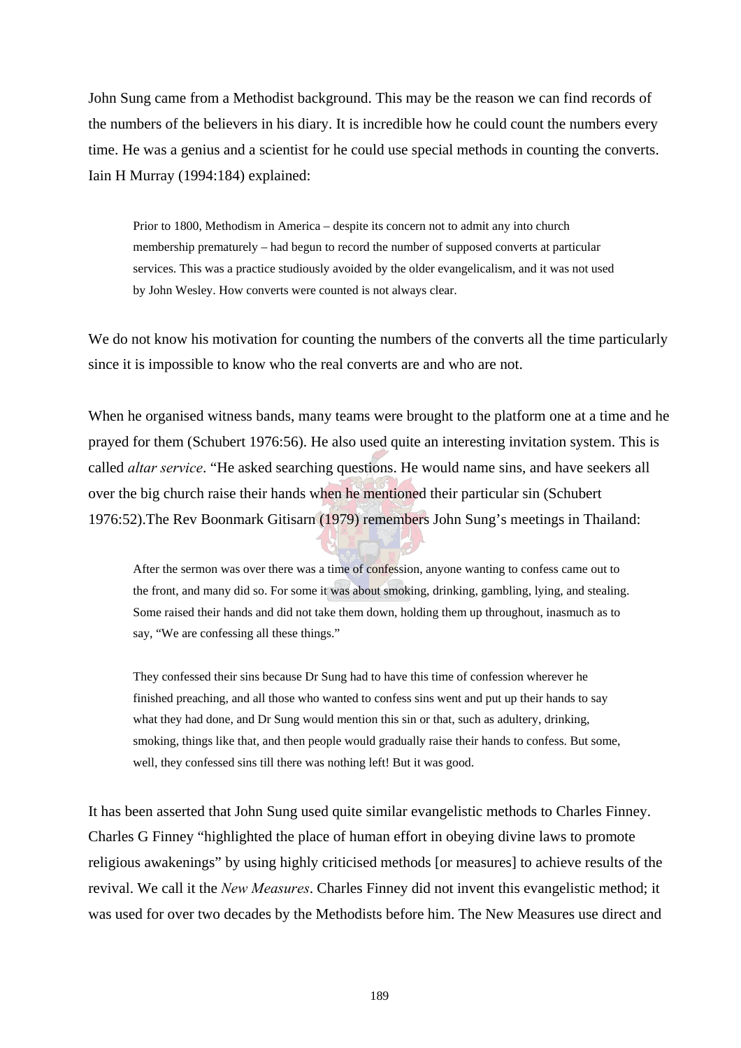John Sung came from a Methodist background. This may be the reason we can find records of the numbers of the believers in his diary. It is incredible how he could count the numbers every time. He was a genius and a scientist for he could use special methods in counting the converts. Iain H Murray (1994:184) explained:

Prior to 1800, Methodism in America – despite its concern not to admit any into church membership prematurely – had begun to record the number of supposed converts at particular services. This was a practice studiously avoided by the older evangelicalism, and it was not used by John Wesley. How converts were counted is not always clear.

We do not know his motivation for counting the numbers of the converts all the time particularly since it is impossible to know who the real converts are and who are not.

When he organised witness bands, many teams were brought to the platform one at a time and he prayed for them (Schubert 1976:56). He also used quite an interesting invitation system. This is called *altar service*. "He asked searching questions. He would name sins, and have seekers all over the big church raise their hands when he mentioned their particular sin (Schubert 1976:52).The Rev Boonmark Gitisarn (1979) remembers John Sung's meetings in Thailand:

After the sermon was over there was a time of confession, anyone wanting to confess came out to the front, and many did so. For some it was about smoking, drinking, gambling, lying, and stealing. Some raised their hands and did not take them down, holding them up throughout, inasmuch as to say, "We are confessing all these things."

They confessed their sins because Dr Sung had to have this time of confession wherever he finished preaching, and all those who wanted to confess sins went and put up their hands to say what they had done, and Dr Sung would mention this sin or that, such as adultery, drinking, smoking, things like that, and then people would gradually raise their hands to confess. But some, well, they confessed sins till there was nothing left! But it was good.

It has been asserted that John Sung used quite similar evangelistic methods to Charles Finney. Charles G Finney "highlighted the place of human effort in obeying divine laws to promote religious awakenings" by using highly criticised methods [or measures] to achieve results of the revival. We call it the *New Measures*. Charles Finney did not invent this evangelistic method; it was used for over two decades by the Methodists before him. The New Measures use direct and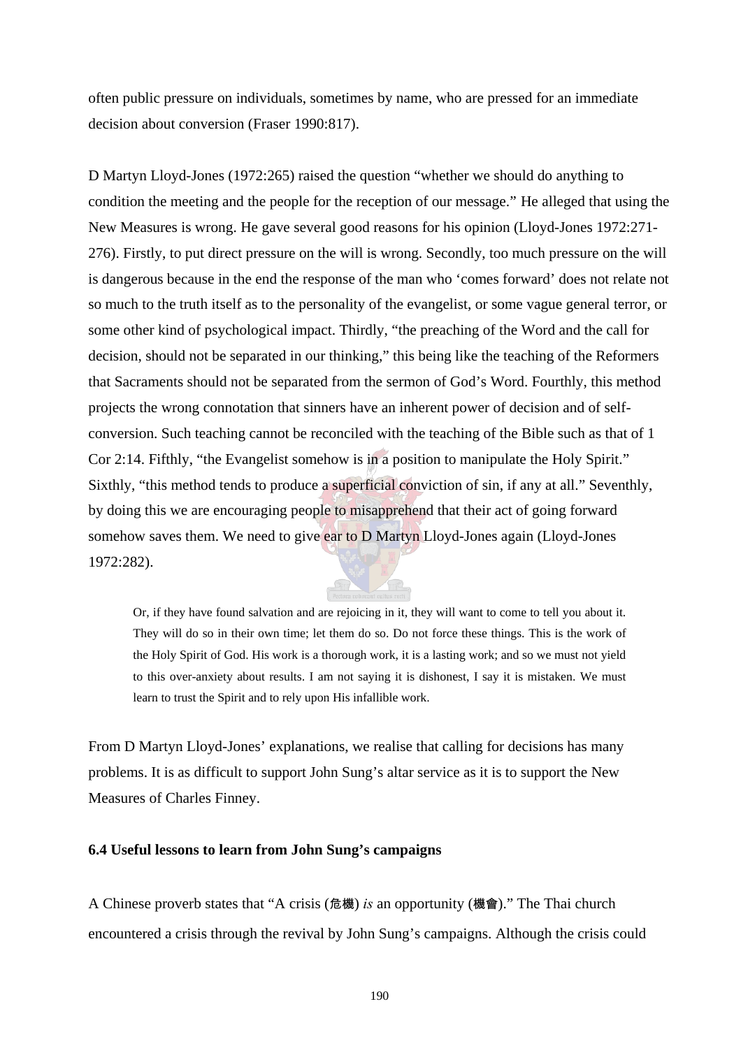often public pressure on individuals, sometimes by name, who are pressed for an immediate decision about conversion (Fraser 1990:817).

D Martyn Lloyd-Jones (1972:265) raised the question "whether we should do anything to condition the meeting and the people for the reception of our message." He alleged that using the New Measures is wrong. He gave several good reasons for his opinion (Lloyd-Jones 1972:271- 276). Firstly, to put direct pressure on the will is wrong. Secondly, too much pressure on the will is dangerous because in the end the response of the man who 'comes forward' does not relate not so much to the truth itself as to the personality of the evangelist, or some vague general terror, or some other kind of psychological impact. Thirdly, "the preaching of the Word and the call for decision, should not be separated in our thinking," this being like the teaching of the Reformers that Sacraments should not be separated from the sermon of God's Word. Fourthly, this method projects the wrong connotation that sinners have an inherent power of decision and of selfconversion. Such teaching cannot be reconciled with the teaching of the Bible such as that of 1 Cor 2:14. Fifthly, "the Evangelist somehow is in a position to manipulate the Holy Spirit." Sixthly, "this method tends to produce a superficial conviction of sin, if any at all." Seventhly, by doing this we are encouraging people to misapprehend that their act of going forward somehow saves them. We need to give ear to D Martyn Lloyd-Jones again (Lloyd-Jones 1972:282).

Or, if they have found salvation and are rejoicing in it, they will want to come to tell you about it. They will do so in their own time; let them do so. Do not force these things. This is the work of the Holy Spirit of God. His work is a thorough work, it is a lasting work; and so we must not yield to this over-anxiety about results. I am not saying it is dishonest, I say it is mistaken. We must learn to trust the Spirit and to rely upon His infallible work.

From D Martyn Lloyd-Jones' explanations, we realise that calling for decisions has many problems. It is as difficult to support John Sung's altar service as it is to support the New Measures of Charles Finney.

## **6.4 Useful lessons to learn from John Sung's campaigns**

A Chinese proverb states that "A crisis (危機) *is* an opportunity (機會)." The Thai church encountered a crisis through the revival by John Sung's campaigns. Although the crisis could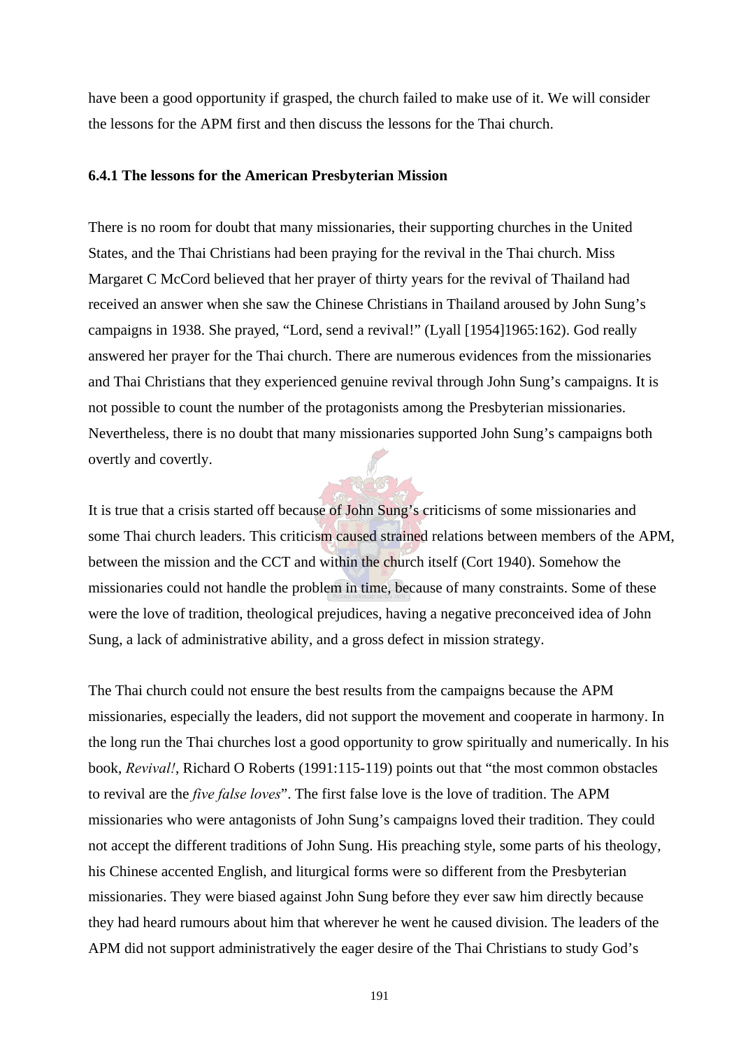have been a good opportunity if grasped, the church failed to make use of it. We will consider the lessons for the APM first and then discuss the lessons for the Thai church.

### **6.4.1 The lessons for the American Presbyterian Mission**

There is no room for doubt that many missionaries, their supporting churches in the United States, and the Thai Christians had been praying for the revival in the Thai church. Miss Margaret C McCord believed that her prayer of thirty years for the revival of Thailand had received an answer when she saw the Chinese Christians in Thailand aroused by John Sung's campaigns in 1938. She prayed, "Lord, send a revival!" (Lyall [1954]1965:162). God really answered her prayer for the Thai church. There are numerous evidences from the missionaries and Thai Christians that they experienced genuine revival through John Sung's campaigns. It is not possible to count the number of the protagonists among the Presbyterian missionaries. Nevertheless, there is no doubt that many missionaries supported John Sung's campaigns both overtly and covertly.

It is true that a crisis started off because of John Sung's criticisms of some missionaries and some Thai church leaders. This criticism caused strained relations between members of the APM, between the mission and the CCT and within the church itself (Cort 1940). Somehow the missionaries could not handle the problem in time, because of many constraints. Some of these were the love of tradition, theological prejudices, having a negative preconceived idea of John Sung, a lack of administrative ability, and a gross defect in mission strategy.

The Thai church could not ensure the best results from the campaigns because the APM missionaries, especially the leaders, did not support the movement and cooperate in harmony. In the long run the Thai churches lost a good opportunity to grow spiritually and numerically. In his book, *Revival!*, Richard O Roberts (1991:115-119) points out that "the most common obstacles to revival are the *five false loves*". The first false love is the love of tradition. The APM missionaries who were antagonists of John Sung's campaigns loved their tradition. They could not accept the different traditions of John Sung. His preaching style, some parts of his theology, his Chinese accented English, and liturgical forms were so different from the Presbyterian missionaries. They were biased against John Sung before they ever saw him directly because they had heard rumours about him that wherever he went he caused division. The leaders of the APM did not support administratively the eager desire of the Thai Christians to study God's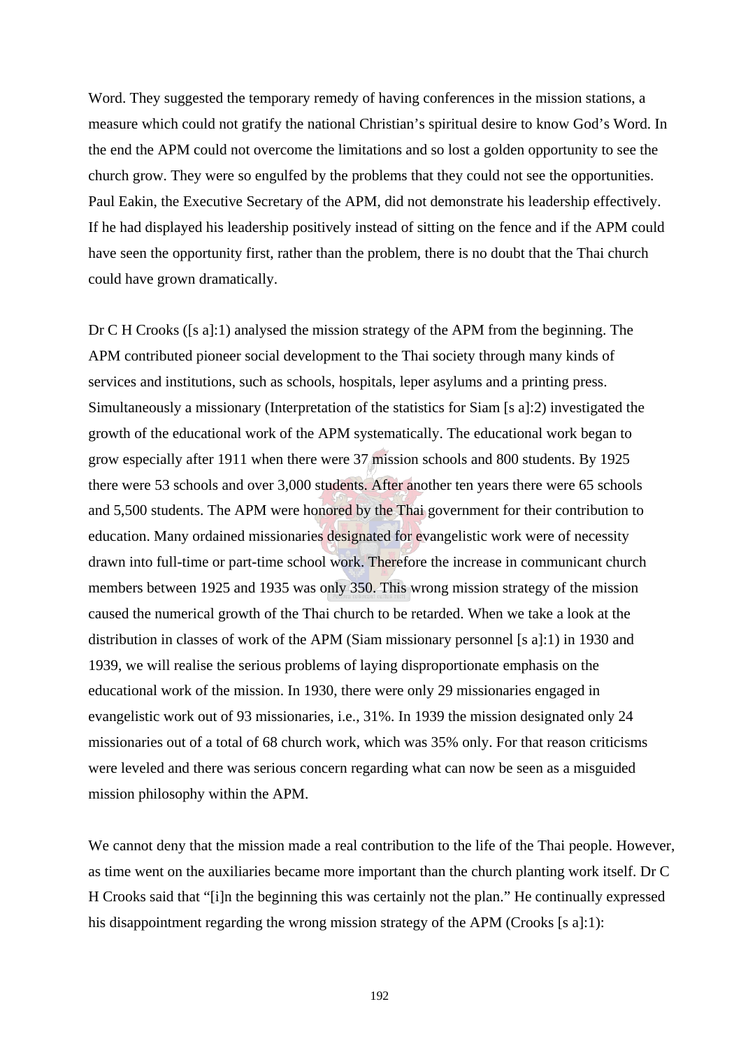Word. They suggested the temporary remedy of having conferences in the mission stations, a measure which could not gratify the national Christian's spiritual desire to know God's Word. In the end the APM could not overcome the limitations and so lost a golden opportunity to see the church grow. They were so engulfed by the problems that they could not see the opportunities. Paul Eakin, the Executive Secretary of the APM, did not demonstrate his leadership effectively. If he had displayed his leadership positively instead of sitting on the fence and if the APM could have seen the opportunity first, rather than the problem, there is no doubt that the Thai church could have grown dramatically.

Dr C H Crooks ([s a]:1) analysed the mission strategy of the APM from the beginning. The APM contributed pioneer social development to the Thai society through many kinds of services and institutions, such as schools, hospitals, leper asylums and a printing press. Simultaneously a missionary (Interpretation of the statistics for Siam [s a]:2) investigated the growth of the educational work of the APM systematically. The educational work began to grow especially after 1911 when there were 37 mission schools and 800 students. By 1925 there were 53 schools and over 3,000 students. After another ten years there were 65 schools and 5,500 students. The APM were honored by the Thai government for their contribution to education. Many ordained missionaries designated for evangelistic work were of necessity drawn into full-time or part-time school work. Therefore the increase in communicant church members between 1925 and 1935 was only 350. This wrong mission strategy of the mission caused the numerical growth of the Thai church to be retarded. When we take a look at the distribution in classes of work of the APM (Siam missionary personnel [s a]:1) in 1930 and 1939, we will realise the serious problems of laying disproportionate emphasis on the educational work of the mission. In 1930, there were only 29 missionaries engaged in evangelistic work out of 93 missionaries, i.e., 31%. In 1939 the mission designated only 24 missionaries out of a total of 68 church work, which was 35% only. For that reason criticisms were leveled and there was serious concern regarding what can now be seen as a misguided mission philosophy within the APM.

We cannot deny that the mission made a real contribution to the life of the Thai people. However, as time went on the auxiliaries became more important than the church planting work itself. Dr C H Crooks said that "[i]n the beginning this was certainly not the plan." He continually expressed his disappointment regarding the wrong mission strategy of the APM (Crooks [s a]:1):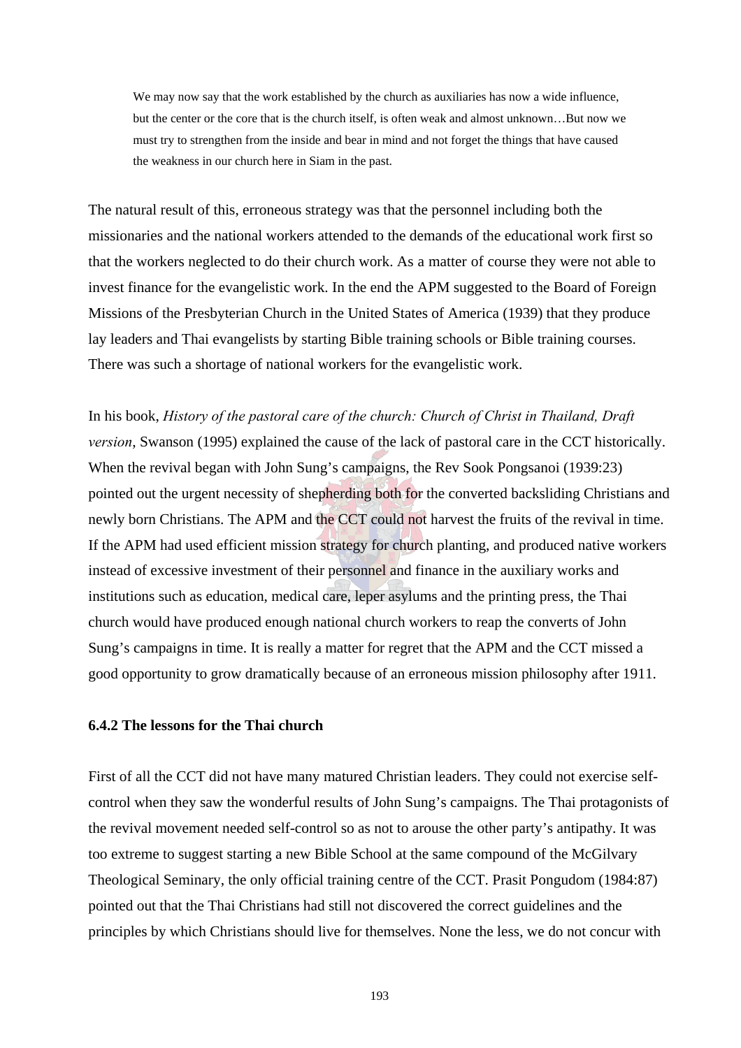We may now say that the work established by the church as auxiliaries has now a wide influence, but the center or the core that is the church itself, is often weak and almost unknown…But now we must try to strengthen from the inside and bear in mind and not forget the things that have caused the weakness in our church here in Siam in the past.

The natural result of this, erroneous strategy was that the personnel including both the missionaries and the national workers attended to the demands of the educational work first so that the workers neglected to do their church work. As a matter of course they were not able to invest finance for the evangelistic work. In the end the APM suggested to the Board of Foreign Missions of the Presbyterian Church in the United States of America (1939) that they produce lay leaders and Thai evangelists by starting Bible training schools or Bible training courses. There was such a shortage of national workers for the evangelistic work.

In his book, *History of the pastoral care of the church: Church of Christ in Thailand, Draft version*, Swanson (1995) explained the cause of the lack of pastoral care in the CCT historically. When the revival began with John Sung's campaigns, the Rev Sook Pongsanoi (1939:23) pointed out the urgent necessity of shepherding both for the converted backsliding Christians and newly born Christians. The APM and the CCT could not harvest the fruits of the revival in time. If the APM had used efficient mission strategy for church planting, and produced native workers instead of excessive investment of their personnel and finance in the auxiliary works and institutions such as education, medical care, leper asylums and the printing press, the Thai church would have produced enough national church workers to reap the converts of John Sung's campaigns in time. It is really a matter for regret that the APM and the CCT missed a good opportunity to grow dramatically because of an erroneous mission philosophy after 1911.

## **6.4.2 The lessons for the Thai church**

First of all the CCT did not have many matured Christian leaders. They could not exercise selfcontrol when they saw the wonderful results of John Sung's campaigns. The Thai protagonists of the revival movement needed self-control so as not to arouse the other party's antipathy. It was too extreme to suggest starting a new Bible School at the same compound of the McGilvary Theological Seminary, the only official training centre of the CCT. Prasit Pongudom (1984:87) pointed out that the Thai Christians had still not discovered the correct guidelines and the principles by which Christians should live for themselves. None the less, we do not concur with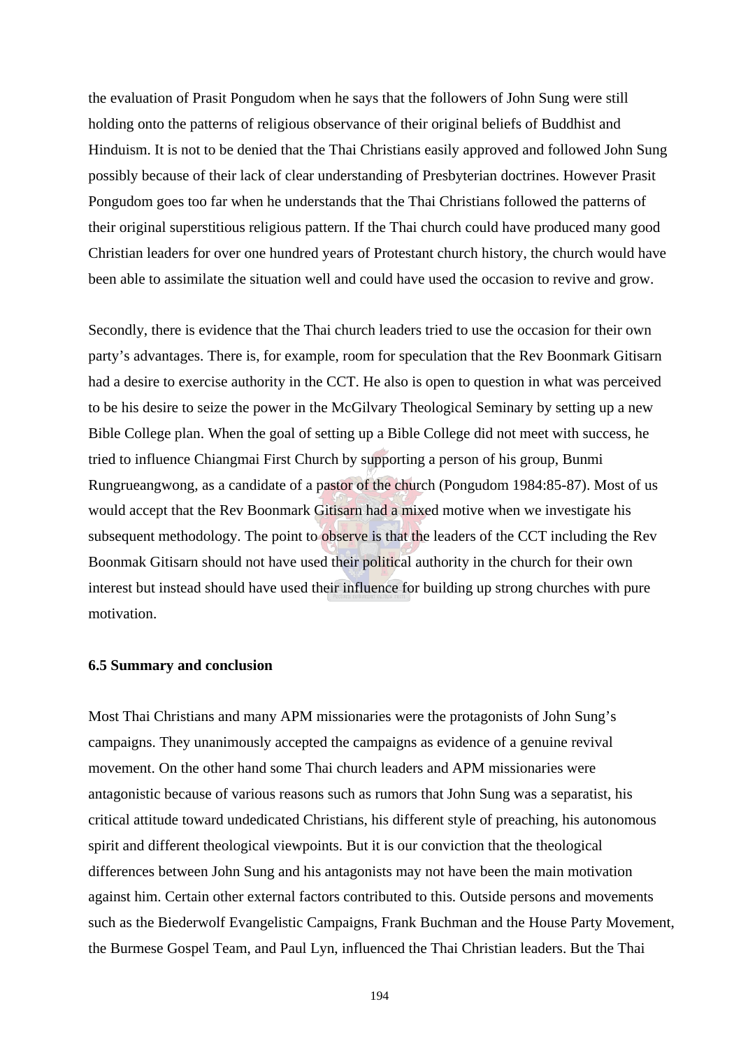the evaluation of Prasit Pongudom when he says that the followers of John Sung were still holding onto the patterns of religious observance of their original beliefs of Buddhist and Hinduism. It is not to be denied that the Thai Christians easily approved and followed John Sung possibly because of their lack of clear understanding of Presbyterian doctrines. However Prasit Pongudom goes too far when he understands that the Thai Christians followed the patterns of their original superstitious religious pattern. If the Thai church could have produced many good Christian leaders for over one hundred years of Protestant church history, the church would have been able to assimilate the situation well and could have used the occasion to revive and grow.

Secondly, there is evidence that the Thai church leaders tried to use the occasion for their own party's advantages. There is, for example, room for speculation that the Rev Boonmark Gitisarn had a desire to exercise authority in the CCT. He also is open to question in what was perceived to be his desire to seize the power in the McGilvary Theological Seminary by setting up a new Bible College plan. When the goal of setting up a Bible College did not meet with success, he tried to influence Chiangmai First Church by supporting a person of his group, Bunmi Rungrueangwong, as a candidate of a pastor of the church (Pongudom 1984:85-87). Most of us would accept that the Rev Boonmark Gitisarn had a mixed motive when we investigate his subsequent methodology. The point to observe is that the leaders of the CCT including the Rev Boonmak Gitisarn should not have used their political authority in the church for their own interest but instead should have used their influence for building up strong churches with pure motivation.

#### **6.5 Summary and conclusion**

Most Thai Christians and many APM missionaries were the protagonists of John Sung's campaigns. They unanimously accepted the campaigns as evidence of a genuine revival movement. On the other hand some Thai church leaders and APM missionaries were antagonistic because of various reasons such as rumors that John Sung was a separatist, his critical attitude toward undedicated Christians, his different style of preaching, his autonomous spirit and different theological viewpoints. But it is our conviction that the theological differences between John Sung and his antagonists may not have been the main motivation against him. Certain other external factors contributed to this. Outside persons and movements such as the Biederwolf Evangelistic Campaigns, Frank Buchman and the House Party Movement, the Burmese Gospel Team, and Paul Lyn, influenced the Thai Christian leaders. But the Thai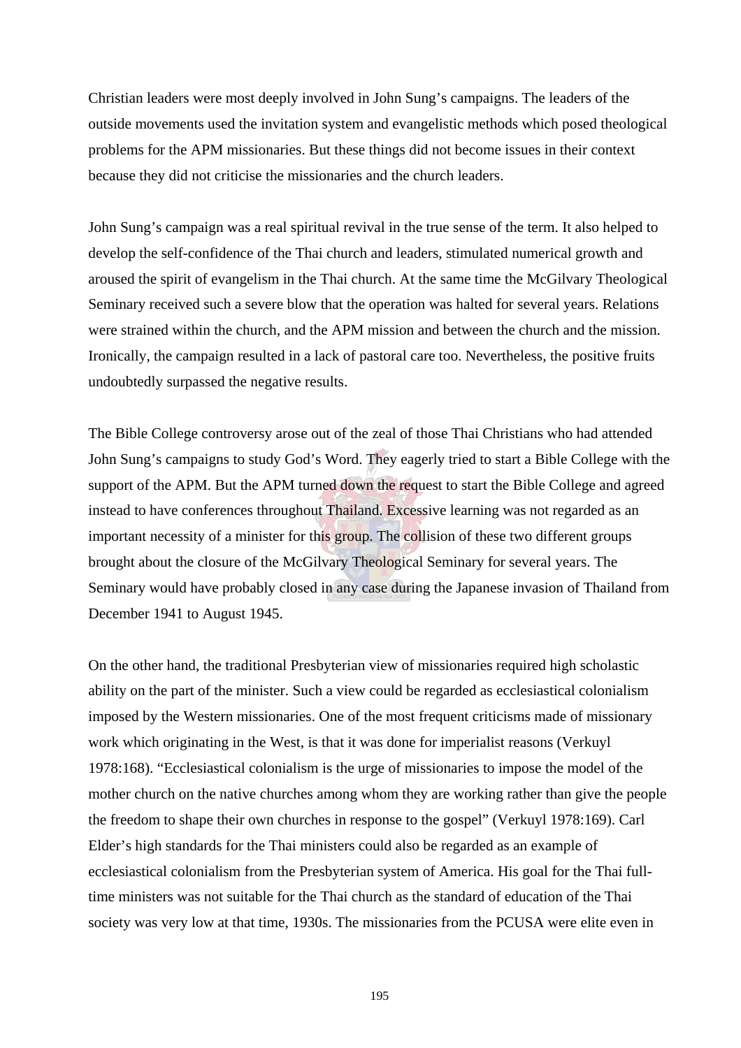Christian leaders were most deeply involved in John Sung's campaigns. The leaders of the outside movements used the invitation system and evangelistic methods which posed theological problems for the APM missionaries. But these things did not become issues in their context because they did not criticise the missionaries and the church leaders.

John Sung's campaign was a real spiritual revival in the true sense of the term. It also helped to develop the self-confidence of the Thai church and leaders, stimulated numerical growth and aroused the spirit of evangelism in the Thai church. At the same time the McGilvary Theological Seminary received such a severe blow that the operation was halted for several years. Relations were strained within the church, and the APM mission and between the church and the mission. Ironically, the campaign resulted in a lack of pastoral care too. Nevertheless, the positive fruits undoubtedly surpassed the negative results.

The Bible College controversy arose out of the zeal of those Thai Christians who had attended John Sung's campaigns to study God's Word. They eagerly tried to start a Bible College with the support of the APM. But the APM turned down the request to start the Bible College and agreed instead to have conferences throughout Thailand. Excessive learning was not regarded as an important necessity of a minister for this group. The collision of these two different groups brought about the closure of the McGilvary Theological Seminary for several years. The Seminary would have probably closed in any case during the Japanese invasion of Thailand from December 1941 to August 1945.

On the other hand, the traditional Presbyterian view of missionaries required high scholastic ability on the part of the minister. Such a view could be regarded as ecclesiastical colonialism imposed by the Western missionaries. One of the most frequent criticisms made of missionary work which originating in the West, is that it was done for imperialist reasons (Verkuyl 1978:168). "Ecclesiastical colonialism is the urge of missionaries to impose the model of the mother church on the native churches among whom they are working rather than give the people the freedom to shape their own churches in response to the gospel" (Verkuyl 1978:169). Carl Elder's high standards for the Thai ministers could also be regarded as an example of ecclesiastical colonialism from the Presbyterian system of America. His goal for the Thai fulltime ministers was not suitable for the Thai church as the standard of education of the Thai society was very low at that time, 1930s. The missionaries from the PCUSA were elite even in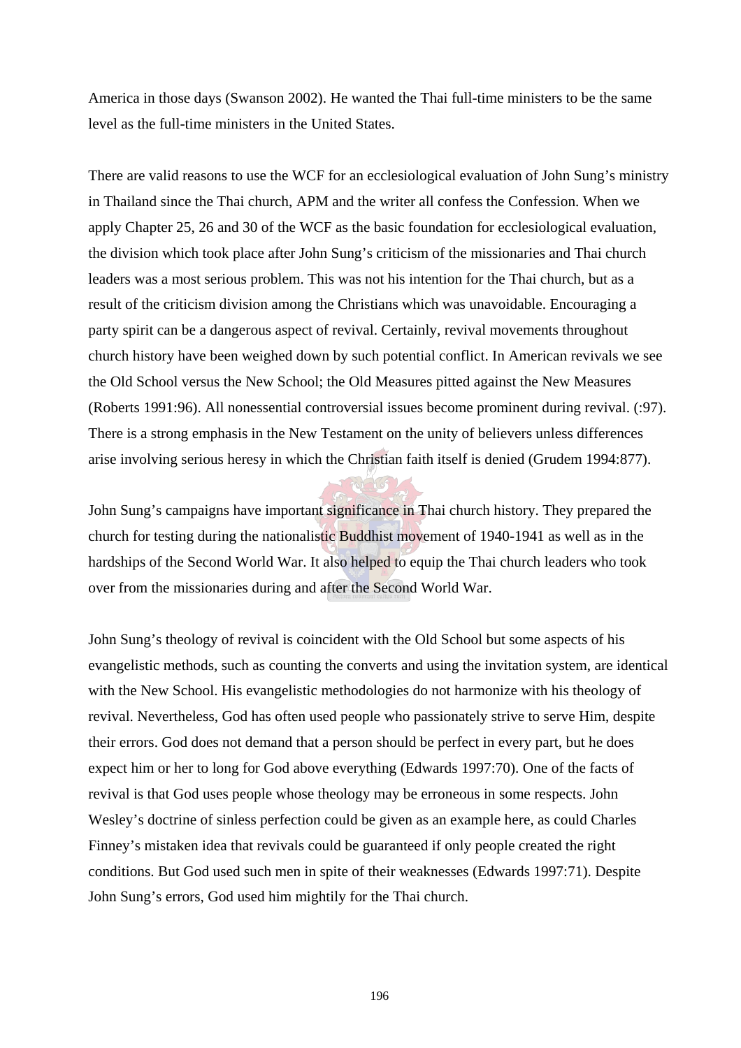America in those days (Swanson 2002). He wanted the Thai full-time ministers to be the same level as the full-time ministers in the United States.

There are valid reasons to use the WCF for an ecclesiological evaluation of John Sung's ministry in Thailand since the Thai church, APM and the writer all confess the Confession. When we apply Chapter 25, 26 and 30 of the WCF as the basic foundation for ecclesiological evaluation, the division which took place after John Sung's criticism of the missionaries and Thai church leaders was a most serious problem. This was not his intention for the Thai church, but as a result of the criticism division among the Christians which was unavoidable. Encouraging a party spirit can be a dangerous aspect of revival. Certainly, revival movements throughout church history have been weighed down by such potential conflict. In American revivals we see the Old School versus the New School; the Old Measures pitted against the New Measures (Roberts 1991:96). All nonessential controversial issues become prominent during revival. (:97). There is a strong emphasis in the New Testament on the unity of believers unless differences arise involving serious heresy in which the Christian faith itself is denied (Grudem 1994:877).

John Sung's campaigns have important significance in Thai church history. They prepared the church for testing during the nationalistic Buddhist movement of 1940-1941 as well as in the hardships of the Second World War. It also helped to equip the Thai church leaders who took over from the missionaries during and after the Second World War.

John Sung's theology of revival is coincident with the Old School but some aspects of his evangelistic methods, such as counting the converts and using the invitation system, are identical with the New School. His evangelistic methodologies do not harmonize with his theology of revival. Nevertheless, God has often used people who passionately strive to serve Him, despite their errors. God does not demand that a person should be perfect in every part, but he does expect him or her to long for God above everything (Edwards 1997:70). One of the facts of revival is that God uses people whose theology may be erroneous in some respects. John Wesley's doctrine of sinless perfection could be given as an example here, as could Charles Finney's mistaken idea that revivals could be guaranteed if only people created the right conditions. But God used such men in spite of their weaknesses (Edwards 1997:71). Despite John Sung's errors, God used him mightily for the Thai church.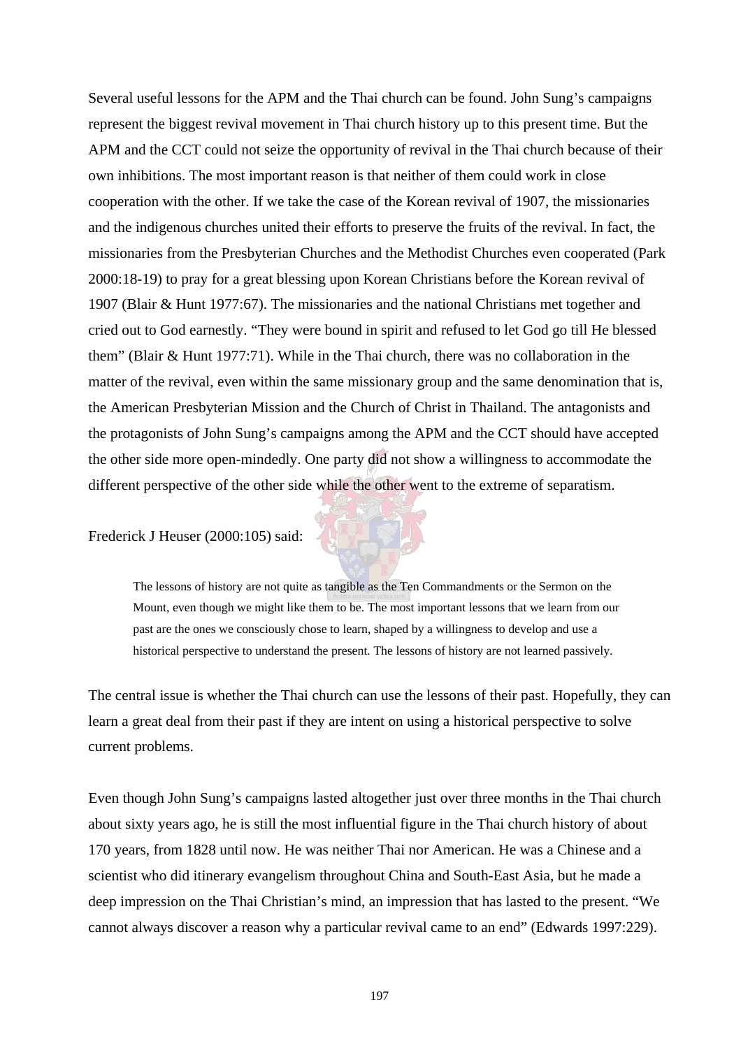Several useful lessons for the APM and the Thai church can be found. John Sung's campaigns represent the biggest revival movement in Thai church history up to this present time. But the APM and the CCT could not seize the opportunity of revival in the Thai church because of their own inhibitions. The most important reason is that neither of them could work in close cooperation with the other. If we take the case of the Korean revival of 1907, the missionaries and the indigenous churches united their efforts to preserve the fruits of the revival. In fact, the missionaries from the Presbyterian Churches and the Methodist Churches even cooperated (Park 2000:18-19) to pray for a great blessing upon Korean Christians before the Korean revival of 1907 (Blair & Hunt 1977:67). The missionaries and the national Christians met together and cried out to God earnestly. "They were bound in spirit and refused to let God go till He blessed them" (Blair & Hunt 1977:71). While in the Thai church, there was no collaboration in the matter of the revival, even within the same missionary group and the same denomination that is, the American Presbyterian Mission and the Church of Christ in Thailand. The antagonists and the protagonists of John Sung's campaigns among the APM and the CCT should have accepted the other side more open-mindedly. One party did not show a willingness to accommodate the different perspective of the other side while the other went to the extreme of separatism.

Frederick J Heuser (2000:105) said:



The central issue is whether the Thai church can use the lessons of their past. Hopefully, they can learn a great deal from their past if they are intent on using a historical perspective to solve current problems.

Even though John Sung's campaigns lasted altogether just over three months in the Thai church about sixty years ago, he is still the most influential figure in the Thai church history of about 170 years, from 1828 until now. He was neither Thai nor American. He was a Chinese and a scientist who did itinerary evangelism throughout China and South-East Asia, but he made a deep impression on the Thai Christian's mind, an impression that has lasted to the present. "We cannot always discover a reason why a particular revival came to an end" (Edwards 1997:229).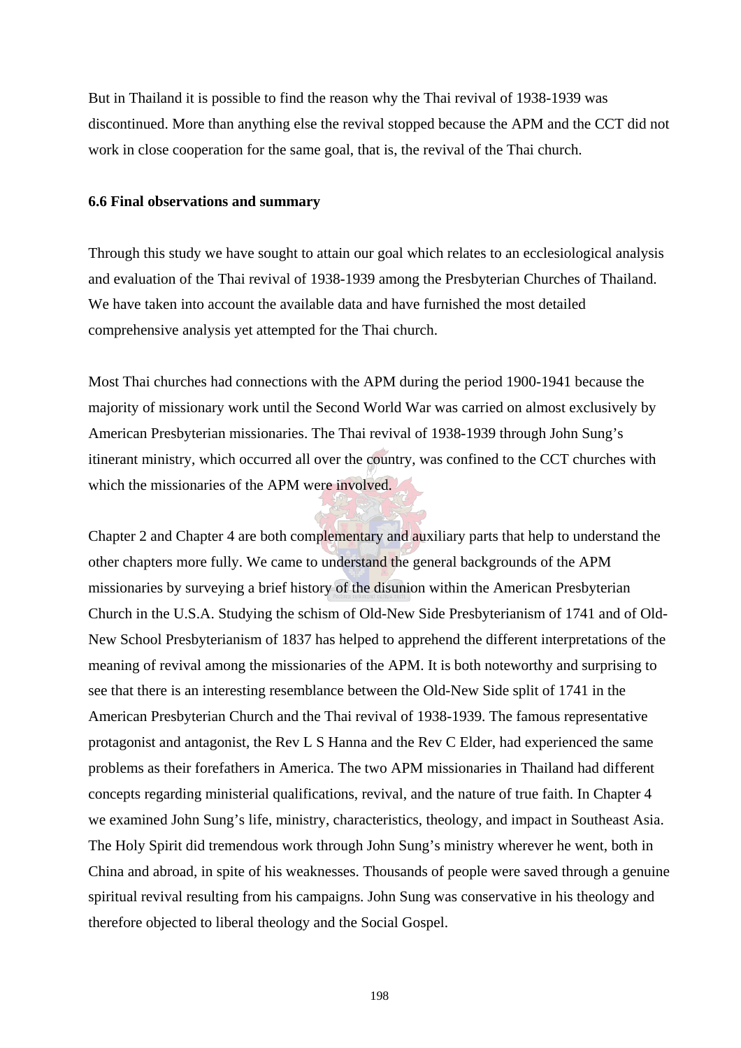But in Thailand it is possible to find the reason why the Thai revival of 1938-1939 was discontinued. More than anything else the revival stopped because the APM and the CCT did not work in close cooperation for the same goal, that is, the revival of the Thai church.

## **6.6 Final observations and summary**

Through this study we have sought to attain our goal which relates to an ecclesiological analysis and evaluation of the Thai revival of 1938-1939 among the Presbyterian Churches of Thailand. We have taken into account the available data and have furnished the most detailed comprehensive analysis yet attempted for the Thai church.

Most Thai churches had connections with the APM during the period 1900-1941 because the majority of missionary work until the Second World War was carried on almost exclusively by American Presbyterian missionaries. The Thai revival of 1938-1939 through John Sung's itinerant ministry, which occurred all over the country, was confined to the CCT churches with which the missionaries of the APM were involved.

Chapter 2 and Chapter 4 are both complementary and auxiliary parts that help to understand the other chapters more fully. We came to understand the general backgrounds of the APM missionaries by surveying a brief history of the disunion within the American Presbyterian Church in the U.S.A. Studying the schism of Old-New Side Presbyterianism of 1741 and of Old-New School Presbyterianism of 1837 has helped to apprehend the different interpretations of the meaning of revival among the missionaries of the APM. It is both noteworthy and surprising to see that there is an interesting resemblance between the Old-New Side split of 1741 in the American Presbyterian Church and the Thai revival of 1938-1939. The famous representative protagonist and antagonist, the Rev L S Hanna and the Rev C Elder, had experienced the same problems as their forefathers in America. The two APM missionaries in Thailand had different concepts regarding ministerial qualifications, revival, and the nature of true faith. In Chapter 4 we examined John Sung's life, ministry, characteristics, theology, and impact in Southeast Asia. The Holy Spirit did tremendous work through John Sung's ministry wherever he went, both in China and abroad, in spite of his weaknesses. Thousands of people were saved through a genuine spiritual revival resulting from his campaigns. John Sung was conservative in his theology and therefore objected to liberal theology and the Social Gospel.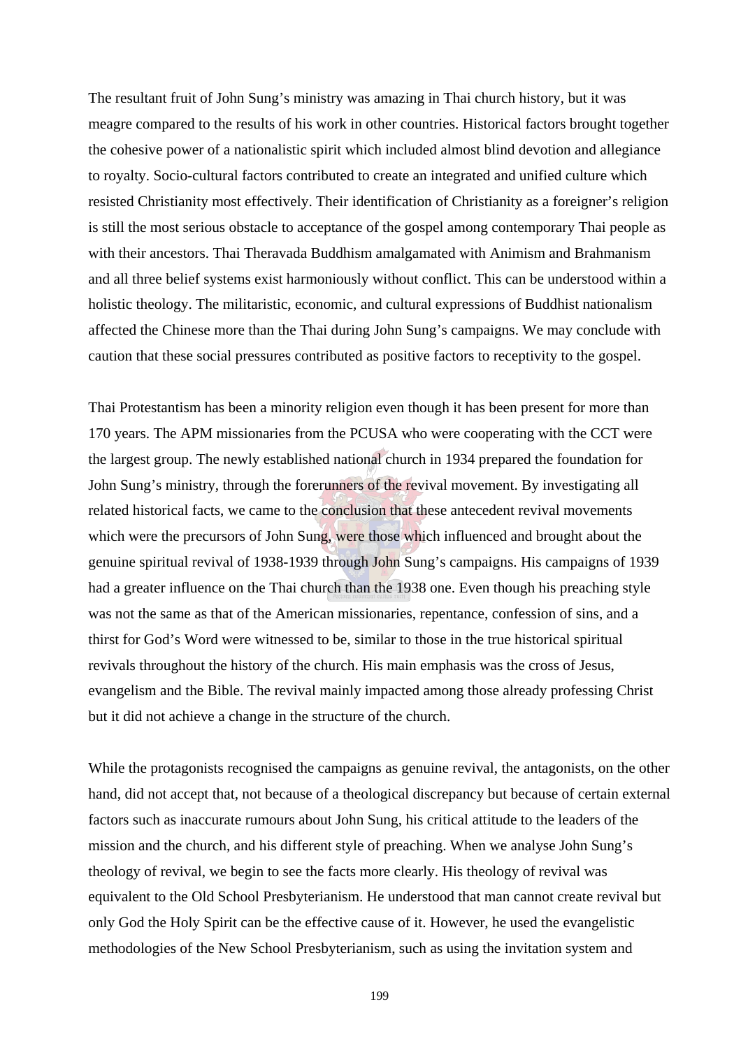The resultant fruit of John Sung's ministry was amazing in Thai church history, but it was meagre compared to the results of his work in other countries. Historical factors brought together the cohesive power of a nationalistic spirit which included almost blind devotion and allegiance to royalty. Socio-cultural factors contributed to create an integrated and unified culture which resisted Christianity most effectively. Their identification of Christianity as a foreigner's religion is still the most serious obstacle to acceptance of the gospel among contemporary Thai people as with their ancestors. Thai Theravada Buddhism amalgamated with Animism and Brahmanism and all three belief systems exist harmoniously without conflict. This can be understood within a holistic theology. The militaristic, economic, and cultural expressions of Buddhist nationalism affected the Chinese more than the Thai during John Sung's campaigns. We may conclude with caution that these social pressures contributed as positive factors to receptivity to the gospel.

Thai Protestantism has been a minority religion even though it has been present for more than 170 years. The APM missionaries from the PCUSA who were cooperating with the CCT were the largest group. The newly established national church in 1934 prepared the foundation for John Sung's ministry, through the forerunners of the revival movement. By investigating all related historical facts, we came to the conclusion that these antecedent revival movements which were the precursors of John Sung, were those which influenced and brought about the genuine spiritual revival of 1938-1939 through John Sung's campaigns. His campaigns of 1939 had a greater influence on the Thai church than the 1938 one. Even though his preaching style was not the same as that of the American missionaries, repentance, confession of sins, and a thirst for God's Word were witnessed to be, similar to those in the true historical spiritual revivals throughout the history of the church. His main emphasis was the cross of Jesus, evangelism and the Bible. The revival mainly impacted among those already professing Christ but it did not achieve a change in the structure of the church.

While the protagonists recognised the campaigns as genuine revival, the antagonists, on the other hand, did not accept that, not because of a theological discrepancy but because of certain external factors such as inaccurate rumours about John Sung, his critical attitude to the leaders of the mission and the church, and his different style of preaching. When we analyse John Sung's theology of revival, we begin to see the facts more clearly. His theology of revival was equivalent to the Old School Presbyterianism. He understood that man cannot create revival but only God the Holy Spirit can be the effective cause of it. However, he used the evangelistic methodologies of the New School Presbyterianism, such as using the invitation system and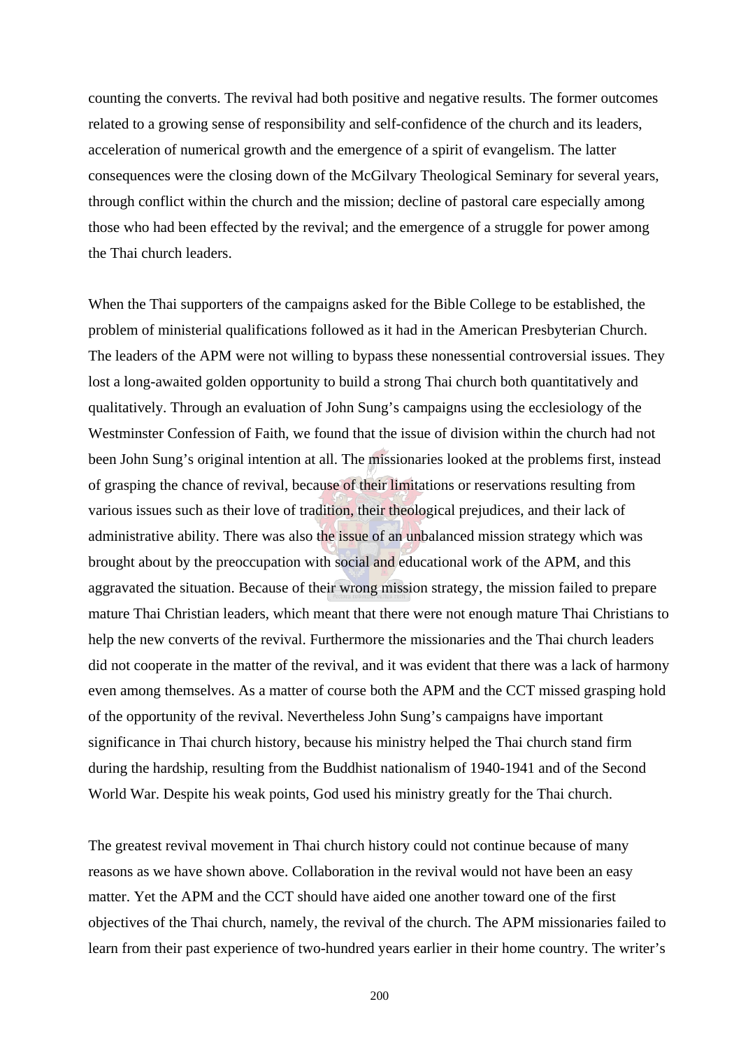counting the converts. The revival had both positive and negative results. The former outcomes related to a growing sense of responsibility and self-confidence of the church and its leaders, acceleration of numerical growth and the emergence of a spirit of evangelism. The latter consequences were the closing down of the McGilvary Theological Seminary for several years, through conflict within the church and the mission; decline of pastoral care especially among those who had been effected by the revival; and the emergence of a struggle for power among the Thai church leaders.

When the Thai supporters of the campaigns asked for the Bible College to be established, the problem of ministerial qualifications followed as it had in the American Presbyterian Church. The leaders of the APM were not willing to bypass these nonessential controversial issues. They lost a long-awaited golden opportunity to build a strong Thai church both quantitatively and qualitatively. Through an evaluation of John Sung's campaigns using the ecclesiology of the Westminster Confession of Faith, we found that the issue of division within the church had not been John Sung's original intention at all. The missionaries looked at the problems first, instead of grasping the chance of revival, because of their limitations or reservations resulting from various issues such as their love of tradition, their theological prejudices, and their lack of administrative ability. There was also the issue of an unbalanced mission strategy which was brought about by the preoccupation with social and educational work of the APM, and this aggravated the situation. Because of their wrong mission strategy, the mission failed to prepare mature Thai Christian leaders, which meant that there were not enough mature Thai Christians to help the new converts of the revival. Furthermore the missionaries and the Thai church leaders did not cooperate in the matter of the revival, and it was evident that there was a lack of harmony even among themselves. As a matter of course both the APM and the CCT missed grasping hold of the opportunity of the revival. Nevertheless John Sung's campaigns have important significance in Thai church history, because his ministry helped the Thai church stand firm during the hardship, resulting from the Buddhist nationalism of 1940-1941 and of the Second World War. Despite his weak points, God used his ministry greatly for the Thai church.

The greatest revival movement in Thai church history could not continue because of many reasons as we have shown above. Collaboration in the revival would not have been an easy matter. Yet the APM and the CCT should have aided one another toward one of the first objectives of the Thai church, namely, the revival of the church. The APM missionaries failed to learn from their past experience of two-hundred years earlier in their home country. The writer's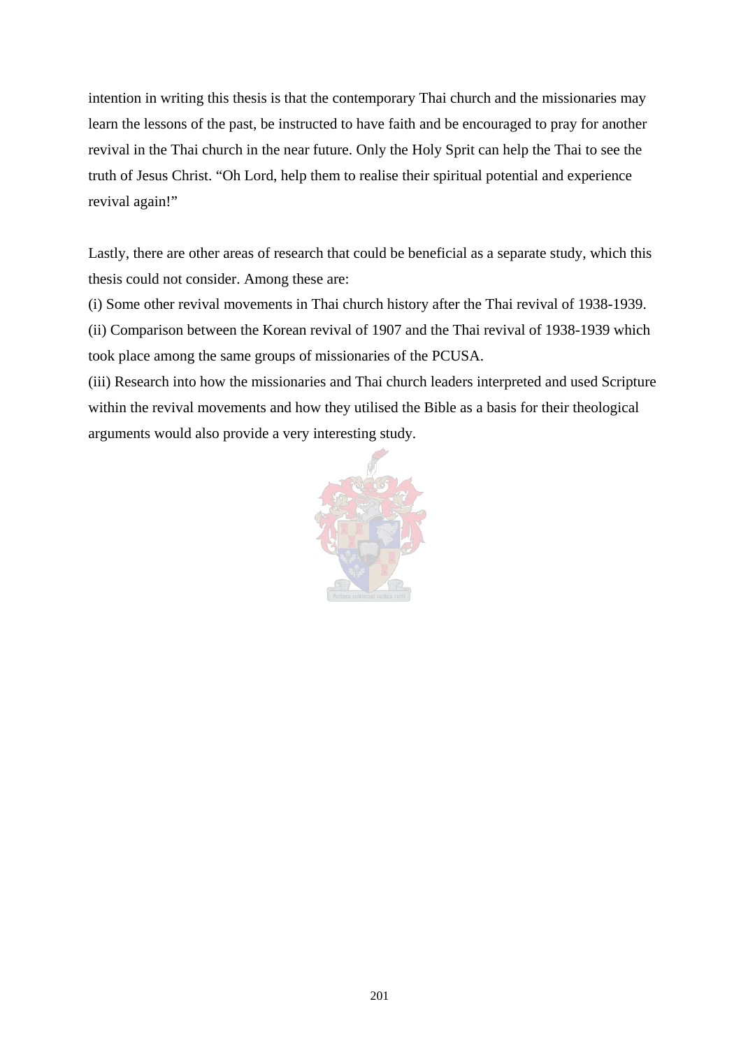intention in writing this thesis is that the contemporary Thai church and the missionaries may learn the lessons of the past, be instructed to have faith and be encouraged to pray for another revival in the Thai church in the near future. Only the Holy Sprit can help the Thai to see the truth of Jesus Christ. "Oh Lord, help them to realise their spiritual potential and experience revival again!"

Lastly, there are other areas of research that could be beneficial as a separate study, which this thesis could not consider. Among these are:

(i) Some other revival movements in Thai church history after the Thai revival of 1938-1939. (ii) Comparison between the Korean revival of 1907 and the Thai revival of 1938-1939 which took place among the same groups of missionaries of the PCUSA.

(iii) Research into how the missionaries and Thai church leaders interpreted and used Scripture within the revival movements and how they utilised the Bible as a basis for their theological arguments would also provide a very interesting study.

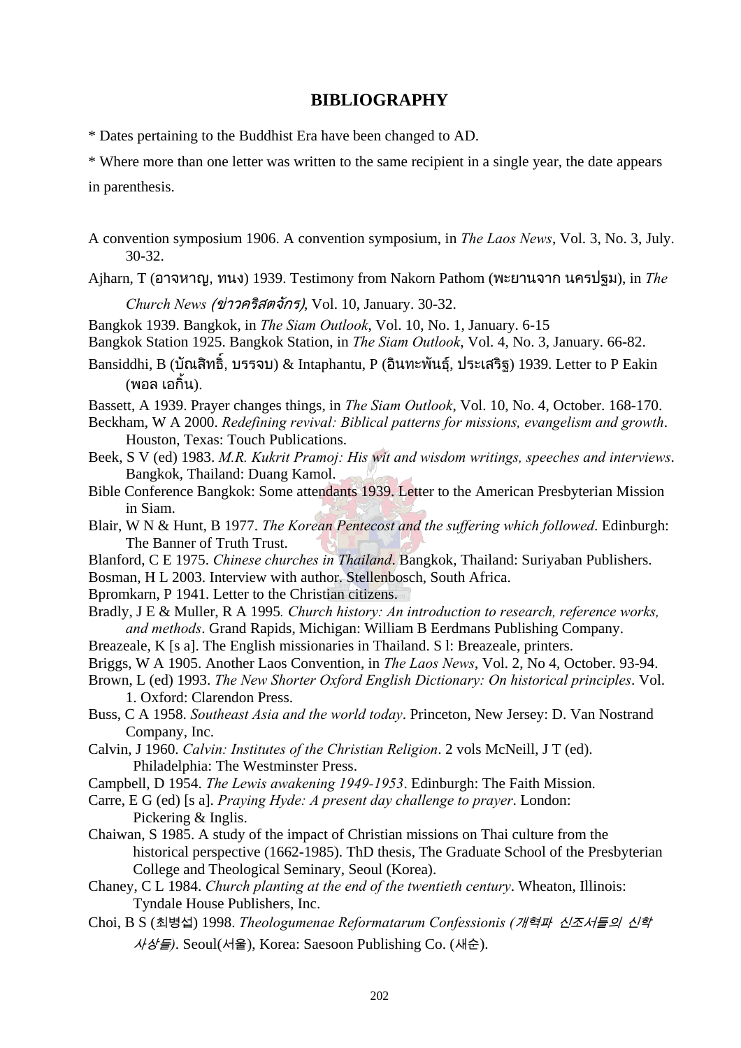## **BIBLIOGRAPHY**

\* Dates pertaining to the Buddhist Era have been changed to AD.

\* Where more than one letter was written to the same recipient in a single year, the date appears in parenthesis.

A convention symposium 1906. A convention symposium, in *The Laos News*, Vol. 3, No. 3, July. 30-32.

Ajharn, T (อาจหาญ, ทนง) 1939. Testimony from Nakorn Pathom (พะยานจาก นครปฐม), in *The* 

*Church News* (ขาวคริสตจักร), Vol. 10, January. 30-32.

Bangkok 1939. Bangkok, in *The Siam Outlook*, Vol. 10, No. 1, January. 6-15

Bangkok Station 1925. Bangkok Station, in *The Siam Outlook*, Vol. 4, No. 3, January. 66-82.

Bansiddhi, B (บัณสิทธ , บรรจบ) & Intaphantu, P (อินทะพันธุ, ประเสริฐ) 1939. Letter to P Eakin (พอล เอกิ้น).

Bassett, A 1939. Prayer changes things, in *The Siam Outlook*, Vol. 10, No. 4, October. 168-170.

Beckham, W A 2000. *Redefining revival: Biblical patterns for missions, evangelism and growth*. Houston, Texas: Touch Publications.

Beek, S V (ed) 1983. *M.R. Kukrit Pramoj: His wit and wisdom writings, speeches and interviews*. Bangkok, Thailand: Duang Kamol.

Bible Conference Bangkok: Some attendants 1939. Letter to the American Presbyterian Mission in Siam.

- Blair, W N & Hunt, B 1977. *The Korean Pentecost and the suffering which followed*. Edinburgh: The Banner of Truth Trust.
- Blanford, C E 1975. *Chinese churches in Thailand*. Bangkok, Thailand: Suriyaban Publishers.

Bosman, H L 2003. Interview with author. Stellenbosch, South Africa.

Bpromkarn, P 1941. Letter to the Christian citizens.

Bradly, J E & Muller, R A 1995*. Church history: An introduction to research, reference works, and methods*. Grand Rapids, Michigan: William B Eerdmans Publishing Company.

Breazeale, K [s a]. The English missionaries in Thailand. S l: Breazeale, printers.

Briggs, W A 1905. Another Laos Convention, in *The Laos News*, Vol. 2, No 4, October. 93-94.

Brown, L (ed) 1993. *The New Shorter Oxford English Dictionary: On historical principles*. Vol. 1. Oxford: Clarendon Press.

Buss, C A 1958. *Southeast Asia and the world today*. Princeton, New Jersey: D. Van Nostrand Company, Inc.

Calvin, J 1960. *Calvin: Institutes of the Christian Religion*. 2 vols McNeill, J T (ed). Philadelphia: The Westminster Press.

Campbell, D 1954. *The Lewis awakening 1949-1953*. Edinburgh: The Faith Mission.

Carre, E G (ed) [s a]. *Praying Hyde: A present day challenge to prayer*. London: Pickering & Inglis.

Chaiwan, S 1985. A study of the impact of Christian missions on Thai culture from the historical perspective (1662-1985). ThD thesis, The Graduate School of the Presbyterian College and Theological Seminary, Seoul (Korea).

Chaney, C L 1984. *Church planting at the end of the twentieth century*. Wheaton, Illinois: Tyndale House Publishers, Inc.

Choi, B S (최병섭) 1998. *Theologumenae Reformatarum Confessionis (*개혁파 신조서들의 신학 사상들*)*. Seoul(서울), Korea: Saesoon Publishing Co. (새순).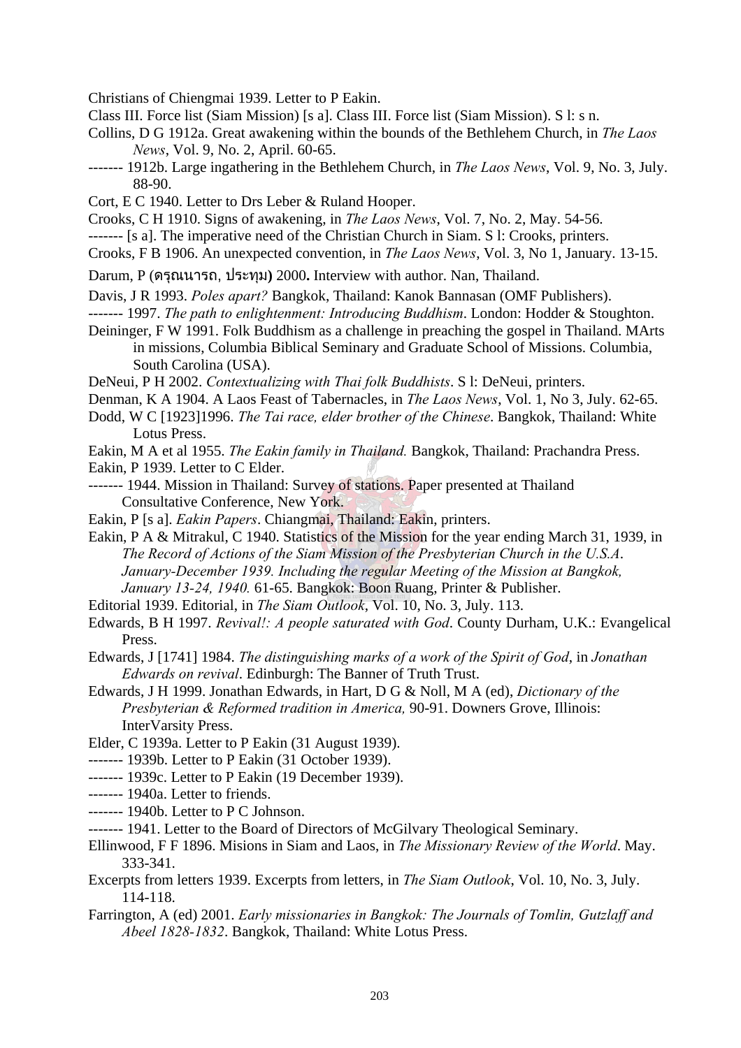Christians of Chiengmai 1939. Letter to P Eakin.

- Class III. Force list (Siam Mission) [s a]. Class III. Force list (Siam Mission). S l: s n.
- Collins, D G 1912a. Great awakening within the bounds of the Bethlehem Church, in *The Laos News*, Vol. 9, No. 2, April. 60-65.
- ------- 1912b. Large ingathering in the Bethlehem Church, in *The Laos News*, Vol. 9, No. 3, July. 88-90.
- Cort, E C 1940. Letter to Drs Leber & Ruland Hooper.
- Crooks, C H 1910. Signs of awakening, in *The Laos News*, Vol. 7, No. 2, May. 54-56.
- ------- [s a]. The imperative need of the Christian Church in Siam. S l: Crooks, printers.
- Crooks, F B 1906. An unexpected convention, in *The Laos News*, Vol. 3, No 1, January. 13-15.
- Darum, P (ดรุณนารถ, ประทุม**)** 2000**.** Interview with author. Nan, Thailand.
- Davis, J R 1993. *Poles apart?* Bangkok, Thailand: Kanok Bannasan (OMF Publishers).
- ------- 1997. *The path to enlightenment: Introducing Buddhism*. London: Hodder & Stoughton.
- Deininger, F W 1991. Folk Buddhism as a challenge in preaching the gospel in Thailand. MArts in missions, Columbia Biblical Seminary and Graduate School of Missions. Columbia, South Carolina (USA).
- DeNeui, P H 2002. *Contextualizing with Thai folk Buddhists*. S l: DeNeui, printers.
- Denman, K A 1904. A Laos Feast of Tabernacles, in *The Laos News*, Vol. 1, No 3, July. 62-65.
- Dodd, W C [1923]1996. *The Tai race, elder brother of the Chinese*. Bangkok, Thailand: White Lotus Press.
- Eakin, M A et al 1955. *The Eakin family in Thailand.* Bangkok, Thailand: Prachandra Press.
- Eakin, P 1939. Letter to C Elder.
- ------- 1944. Mission in Thailand: Survey of stations. Paper presented at Thailand Consultative Conference, New York.
- Eakin, P [s a]. *Eakin Papers*. Chiangmai, Thailand: Eakin, printers.
- Eakin, P A & Mitrakul, C 1940. Statistics of the Mission for the year ending March 31, 1939, in *The Record of Actions of the Siam Mission of the Presbyterian Church in the U.S.A*. *January-December 1939. Including the regular Meeting of the Mission at Bangkok, January 13-24, 1940.* 61-65. Bangkok: Boon Ruang, Printer & Publisher.
- Editorial 1939. Editorial, in *The Siam Outlook*, Vol. 10, No. 3, July. 113.
- Edwards, B H 1997. *Revival!: A people saturated with God*. County Durham, U.K.: Evangelical Press.
- Edwards, J [1741] 1984. *The distinguishing marks of a work of the Spirit of God*, in *Jonathan Edwards on revival*. Edinburgh: The Banner of Truth Trust.
- Edwards, J H 1999. Jonathan Edwards, in Hart, D G & Noll, M A (ed), *Dictionary of the Presbyterian & Reformed tradition in America,* 90-91. Downers Grove, Illinois: InterVarsity Press.
- Elder, C 1939a. Letter to P Eakin (31 August 1939).
- ------- 1939b. Letter to P Eakin (31 October 1939).
- ------- 1939c. Letter to P Eakin (19 December 1939).
- ------- 1940a. Letter to friends.
- ------- 1940b. Letter to P C Johnson.
- ------- 1941. Letter to the Board of Directors of McGilvary Theological Seminary.
- Ellinwood, F F 1896. Misions in Siam and Laos, in *The Missionary Review of the World*. May. 333-341.
- Excerpts from letters 1939. Excerpts from letters, in *The Siam Outlook*, Vol. 10, No. 3, July. 114-118.
- Farrington, A (ed) 2001. *Early missionaries in Bangkok: The Journals of Tomlin, Gutzlaff and Abeel 1828-1832*. Bangkok, Thailand: White Lotus Press.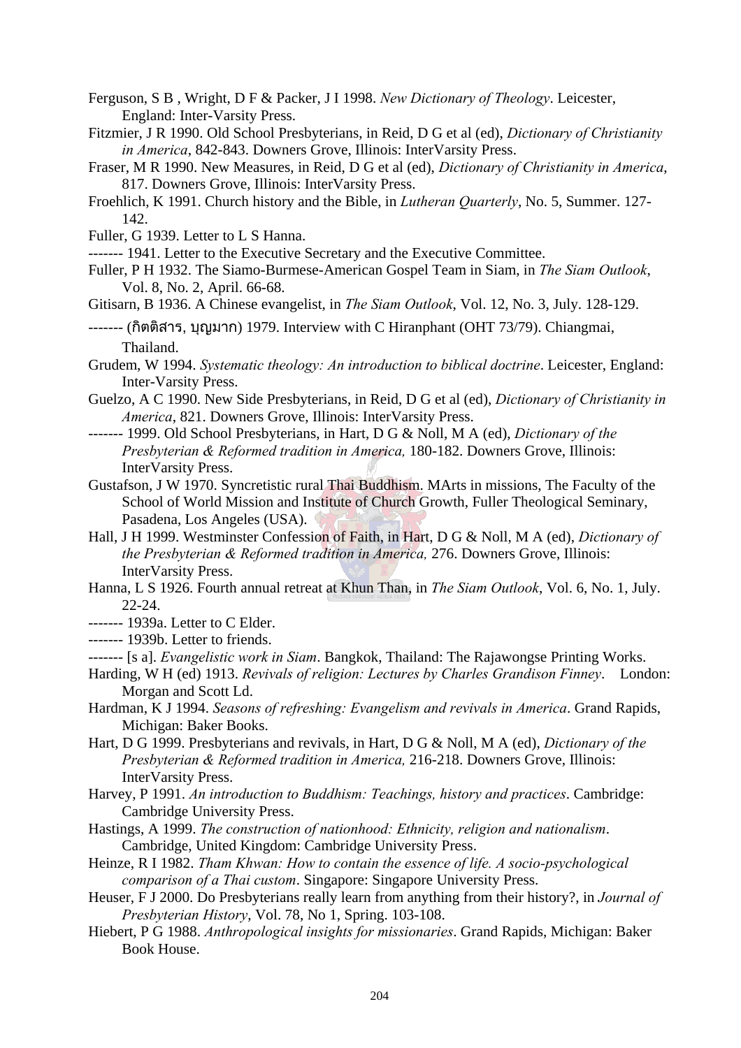- Ferguson, S B , Wright, D F & Packer, J I 1998. *New Dictionary of Theology*. Leicester, England: Inter-Varsity Press.
- Fitzmier, J R 1990. Old School Presbyterians, in Reid, D G et al (ed), *Dictionary of Christianity in America*, 842-843. Downers Grove, Illinois: InterVarsity Press.
- Fraser, M R 1990. New Measures, in Reid, D G et al (ed), *Dictionary of Christianity in America*, 817. Downers Grove, Illinois: InterVarsity Press.
- Froehlich, K 1991. Church history and the Bible, in *Lutheran Quarterly*, No. 5, Summer. 127- 142.
- Fuller, G 1939. Letter to L S Hanna.
- ------- 1941. Letter to the Executive Secretary and the Executive Committee.
- Fuller, P H 1932. The Siamo-Burmese-American Gospel Team in Siam, in *The Siam Outlook*, Vol. 8, No. 2, April. 66-68.
- Gitisarn, B 1936. A Chinese evangelist, in *The Siam Outlook*, Vol. 12, No. 3, July. 128-129.
- ------- (กิตติสาร, บุญมาก) 1979. Interview with C Hiranphant (OHT 73/79). Chiangmai, Thailand.
- Grudem, W 1994. *Systematic theology: An introduction to biblical doctrine*. Leicester, England: Inter-Varsity Press.
- Guelzo, A C 1990. New Side Presbyterians, in Reid, D G et al (ed), *Dictionary of Christianity in America*, 821. Downers Grove, Illinois: InterVarsity Press.
- ------- 1999. Old School Presbyterians, in Hart, D G & Noll, M A (ed), *Dictionary of the Presbyterian & Reformed tradition in America,* 180-182. Downers Grove, Illinois: InterVarsity Press.
- Gustafson, J W 1970. Syncretistic rural Thai Buddhism. MArts in missions, The Faculty of the School of World Mission and Institute of Church Growth, Fuller Theological Seminary, Pasadena, Los Angeles (USA).
- Hall, J H 1999. Westminster Confession of Faith, in Hart, D G & Noll, M A (ed), *Dictionary of the Presbyterian & Reformed tradition in America,* 276. Downers Grove, Illinois: InterVarsity Press.
- Hanna, L S 1926. Fourth annual retreat at Khun Than, in *The Siam Outlook*, Vol. 6, No. 1, July. 22-24.
- $--- 1939a$  Letter to C Elder.
- ------- 1939b. Letter to friends.
- ------- [s a]. *Evangelistic work in Siam*. Bangkok, Thailand: The Rajawongse Printing Works.
- Harding, W H (ed) 1913. *Revivals of religion: Lectures by Charles Grandison Finney*. London: Morgan and Scott Ld.
- Hardman, K J 1994. *Seasons of refreshing: Evangelism and revivals in America*. Grand Rapids, Michigan: Baker Books.
- Hart, D G 1999. Presbyterians and revivals, in Hart, D G & Noll, M A (ed), *Dictionary of the Presbyterian & Reformed tradition in America,* 216-218. Downers Grove, Illinois: InterVarsity Press.
- Harvey, P 1991. *An introduction to Buddhism: Teachings, history and practices*. Cambridge: Cambridge University Press.
- Hastings, A 1999. *The construction of nationhood: Ethnicity, religion and nationalism*. Cambridge, United Kingdom: Cambridge University Press.
- Heinze, R I 1982. *Tham Khwan: How to contain the essence of life. A socio-psychological comparison of a Thai custom*. Singapore: Singapore University Press.
- Heuser, F J 2000. Do Presbyterians really learn from anything from their history?, in *Journal of Presbyterian History*, Vol. 78, No 1, Spring. 103-108.
- Hiebert, P G 1988. *Anthropological insights for missionaries*. Grand Rapids, Michigan: Baker Book House.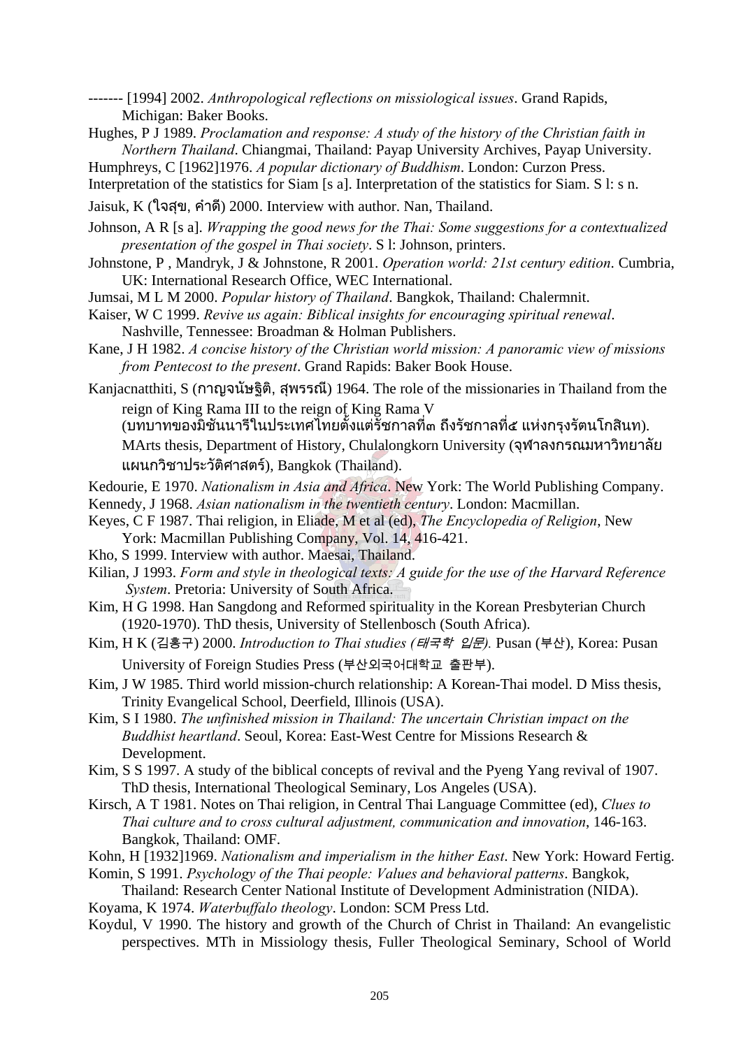------- [1994] 2002. *Anthropological reflections on missiological issues*. Grand Rapids, Michigan: Baker Books.

Hughes, P J 1989. *Proclamation and response: A study of the history of the Christian faith in Northern Thailand*. Chiangmai, Thailand: Payap University Archives, Payap University.

Humphreys, C [1962]1976. *A popular dictionary of Buddhism*. London: Curzon Press.

Interpretation of the statistics for Siam [s a]. Interpretation of the statistics for Siam. S l: s n.

Jaisuk, K (ใจสุข, คําด) 2000. Interview with author. Nan, Thailand. ี

- Johnson, A R [s a]. *Wrapping the good news for the Thai: Some suggestions for a contextualized presentation of the gospel in Thai society*. S l: Johnson, printers.
- Johnstone, P , Mandryk, J & Johnstone, R 2001. *Operation world: 21st century edition*. Cumbria, UK: International Research Office, WEC International.
- Jumsai, M L M 2000. *Popular history of Thailand*. Bangkok, Thailand: Chalermnit.
- Kaiser, W C 1999. *Revive us again: Biblical insights for encouraging spiritual renewal*. Nashville, Tennessee: Broadman & Holman Publishers.
- Kane, J H 1982. *A concise history of the Christian world mission: A panoramic view of missions from Pentecost to the present*. Grand Rapids: Baker Book House.
- Kanjacnatthiti, S (กาญจนัษฐิติ, สุพรรณี) 1964. The role of the missionaries in Thailand from the reign of King Rama III to the reign of King Rama V

(บทบาทของมิชันนารีในประเทศไทยตั้งแต่รัชกาลที่๓ ถึงรัชกาลที่๕ แห่งกรุงรัตนโกสินท).

MArts thesis, Department of History, Chulalongkorn University (จุฬาลงกรณมหาวิทยาลัย แผนกวิชาประวัติศาสตร), Bangkok (Thailand).

Kedourie, E 1970. *Nationalism in Asia and Africa*. New York: The World Publishing Company.

Kennedy, J 1968. *Asian nationalism in the twentieth century*. London: Macmillan.

- Keyes, C F 1987. Thai religion, in Eliade, M et al (ed), *The Encyclopedia of Religion*, New York: Macmillan Publishing Company, Vol. 14, 416-421.
- Kho, S 1999. Interview with author. Maesai, Thailand.
- Kilian, J 1993. *Form and style in theological texts: A guide for the use of the Harvard Reference System*. Pretoria: University of South Africa.
- Kim, H G 1998. Han Sangdong and Reformed spirituality in the Korean Presbyterian Church (1920-1970). ThD thesis, University of Stellenbosch (South Africa).
- Kim, H K (김홍구) 2000. *Introduction to Thai studies (*태국학 입문*).* Pusan (부산), Korea: Pusan University of Foreign Studies Press (부산외국어대학교 출판부).
- Kim, J W 1985. Third world mission-church relationship: A Korean-Thai model. D Miss thesis, Trinity Evangelical School, Deerfield, Illinois (USA).
- Kim, S I 1980. *The unfinished mission in Thailand: The uncertain Christian impact on the Buddhist heartland*. Seoul, Korea: East-West Centre for Missions Research & Development.
- Kim, S S 1997. A study of the biblical concepts of revival and the Pyeng Yang revival of 1907. ThD thesis, International Theological Seminary, Los Angeles (USA).
- Kirsch, A T 1981. Notes on Thai religion, in Central Thai Language Committee (ed), *Clues to Thai culture and to cross cultural adjustment, communication and innovation*, 146-163. Bangkok, Thailand: OMF.
- Kohn, H [1932]1969. *Nationalism and imperialism in the hither East*. New York: Howard Fertig.
- Komin, S 1991. *Psychology of the Thai people: Values and behavioral patterns*. Bangkok, Thailand: Research Center National Institute of Development Administration (NIDA).
- Koyama, K 1974. *Waterbuffalo theology*. London: SCM Press Ltd.
- Koydul, V 1990. The history and growth of the Church of Christ in Thailand: An evangelistic perspectives. MTh in Missiology thesis, Fuller Theological Seminary, School of World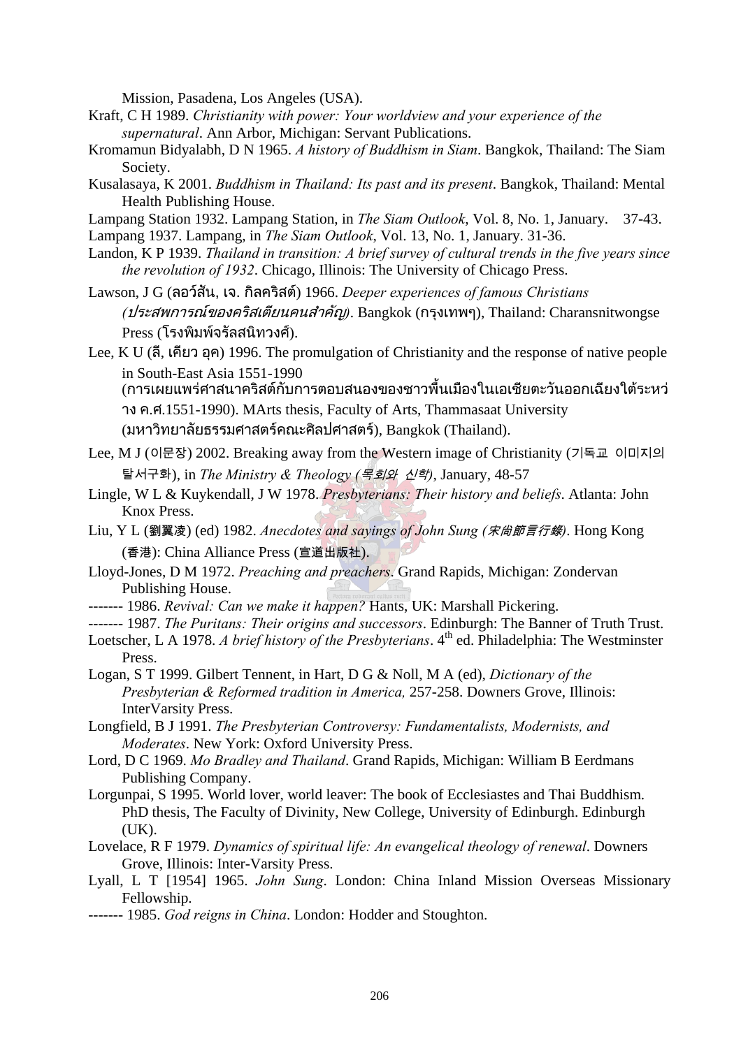Mission, Pasadena, Los Angeles (USA).

- Kraft, C H 1989. *Christianity with power: Your worldview and your experience of the supernatural*. Ann Arbor, Michigan: Servant Publications.
- Kromamun Bidyalabh, D N 1965. *A history of Buddhism in Siam*. Bangkok, Thailand: The Siam Society.
- Kusalasaya, K 2001. *Buddhism in Thailand: Its past and its present*. Bangkok, Thailand: Mental Health Publishing House.
- Lampang Station 1932. Lampang Station, in *The Siam Outlook*, Vol. 8, No. 1, January. 37-43.
- Lampang 1937. Lampang, in *The Siam Outlook*, Vol. 13, No. 1, January. 31-36.
- Landon, K P 1939. *Thailand in transition: A brief survey of cultural trends in the five years since the revolution of 1932*. Chicago, Illinois: The University of Chicago Press.
- Lawson, J G (ลอวสัน, เจ. กิลคริสต) 1966. *Deeper experiences of famous Christians (*ประสพการณของคริสเตียนคนสําคัญ*)*. Bangkok (กรุงเทพๆ), Thailand: Charansnitwongse Press (โรงพิมพจรัลสนิทวงศ).
- Lee, K U (ลี. เคียว อค) 1996. The promulgation of Christianity and the response of native people in South-East Asia 1551-1990

(การเผยแพร่ศาสนาคริสต์กับการตอบสนองของชาวพื้นเมืองในเอเชียตะวันออกเฉียงใต้ระหว่ าง ค.ศ.1551-1990). MArts thesis, Faculty of Arts, Thammasaat University (มหาวิทยาลัยธรรมศาสตร์คณะศิลปศาสตร์), Bangkok (Thailand).

- Lee, M J (이문장) 2002. Breaking away from the Western image of Christianity (기독교 이미지의 탈서구화), in *The Ministry & Theology (*목회와 신학*)*, January, 48-57
- Lingle, W L & Kuykendall, J W 1978. *Presbyterians: Their history and beliefs*. Atlanta: John Knox Press.
- Liu, Y L (劉翼凌) (ed) 1982. *Anecdotes and sayings of John Sung (*宋尙節言行錄*)*. Hong Kong (香港): China Alliance Press (宣道出版社).
- Lloyd-Jones, D M 1972. *Preaching and preachers*. Grand Rapids, Michigan: Zondervan Publishing House.
- ------- 1986. *Revival: Can we make it happen?* Hants, UK: Marshall Pickering.
- ------- 1987. *The Puritans: Their origins and successors*. Edinburgh: The Banner of Truth Trust.
- Loetscher, L A 1978. *A brief history of the Presbyterians*. 4<sup>th</sup> ed. Philadelphia: The Westminster Press.
- Logan, S T 1999. Gilbert Tennent, in Hart, D G & Noll, M A (ed), *Dictionary of the Presbyterian & Reformed tradition in America,* 257-258. Downers Grove, Illinois: InterVarsity Press.
- Longfield, B J 1991. *The Presbyterian Controversy: Fundamentalists, Modernists, and Moderates*. New York: Oxford University Press.
- Lord, D C 1969. *Mo Bradley and Thailand*. Grand Rapids, Michigan: William B Eerdmans Publishing Company.
- Lorgunpai, S 1995. World lover, world leaver: The book of Ecclesiastes and Thai Buddhism. PhD thesis, The Faculty of Divinity, New College, University of Edinburgh. Edinburgh (UK).
- Lovelace, R F 1979. *Dynamics of spiritual life: An evangelical theology of renewal*. Downers Grove, Illinois: Inter-Varsity Press.
- Lyall, L T [1954] 1965. *John Sung*. London: China Inland Mission Overseas Missionary Fellowship.
- ------- 1985. *God reigns in China*. London: Hodder and Stoughton.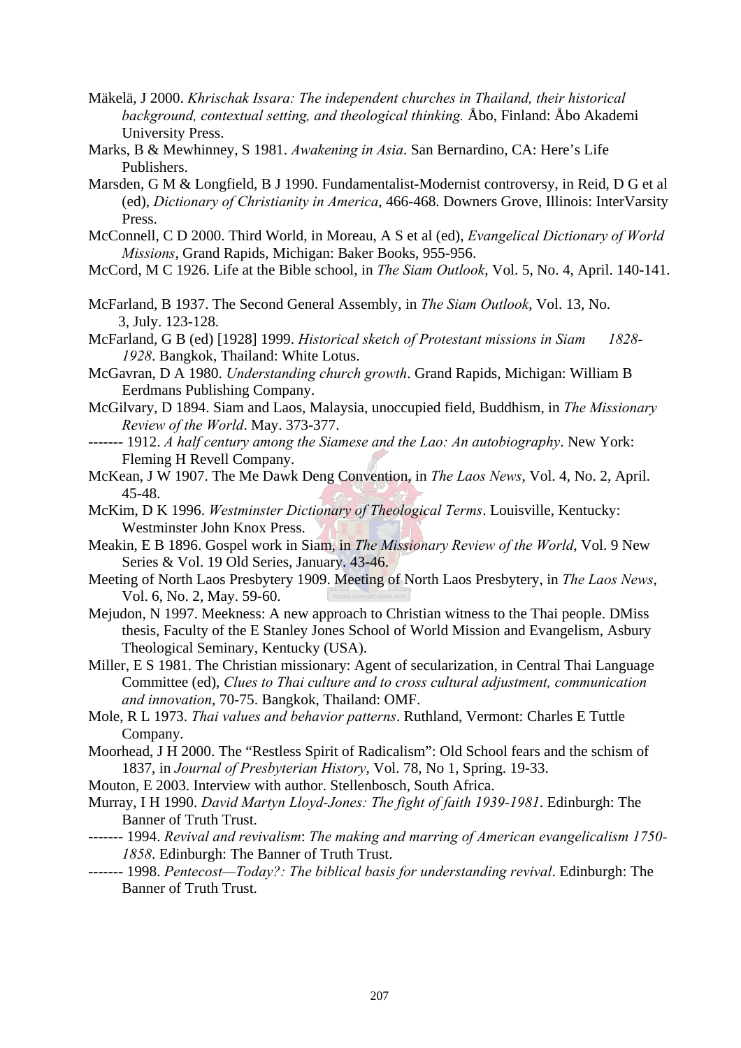- Mäkelä, J 2000. *Khrischak Issara: The independent churches in Thailand, their historical background, contextual setting, and theological thinking.* Åbo, Finland: Åbo Akademi University Press.
- Marks, B & Mewhinney, S 1981. *Awakening in Asia*. San Bernardino, CA: Here's Life Publishers.
- Marsden, G M & Longfield, B J 1990. Fundamentalist-Modernist controversy, in Reid, D G et al (ed), *Dictionary of Christianity in America*, 466-468. Downers Grove, Illinois: InterVarsity Press.
- McConnell, C D 2000. Third World, in Moreau, A S et al (ed), *Evangelical Dictionary of World Missions*, Grand Rapids, Michigan: Baker Books, 955-956.
- McCord, M C 1926. Life at the Bible school, in *The Siam Outlook*, Vol. 5, No. 4, April. 140-141.
- McFarland, B 1937. The Second General Assembly, in *The Siam Outlook*, Vol. 13, No. 3, July. 123-128.
- McFarland, G B (ed) [1928] 1999. *Historical sketch of Protestant missions in Siam 1828- 1928*. Bangkok, Thailand: White Lotus.

McGavran, D A 1980. *Understanding church growth*. Grand Rapids, Michigan: William B Eerdmans Publishing Company.

- McGilvary, D 1894. Siam and Laos, Malaysia, unoccupied field, Buddhism, in *The Missionary Review of the World*. May. 373-377.
- ------- 1912. *A half century among the Siamese and the Lao: An autobiography*. New York: Fleming H Revell Company.
- McKean, J W 1907. The Me Dawk Deng Convention, in *The Laos News*, Vol. 4, No. 2, April. 45-48.
- McKim, D K 1996. *Westminster Dictionary of Theological Terms*. Louisville, Kentucky: Westminster John Knox Press.
- Meakin, E B 1896. Gospel work in Siam, in *The Missionary Review of the World*, Vol. 9 New Series & Vol. 19 Old Series, January. 43-46.
- Meeting of North Laos Presbytery 1909. Meeting of North Laos Presbytery, in *The Laos News*, Vol. 6, No. 2, May. 59-60.
- Mejudon, N 1997. Meekness: A new approach to Christian witness to the Thai people. DMiss thesis, Faculty of the E Stanley Jones School of World Mission and Evangelism, Asbury Theological Seminary, Kentucky (USA).
- Miller, E S 1981. The Christian missionary: Agent of secularization, in Central Thai Language Committee (ed), *Clues to Thai culture and to cross cultural adjustment, communication and innovation*, 70-75. Bangkok, Thailand: OMF.
- Mole, R L 1973. *Thai values and behavior patterns*. Ruthland, Vermont: Charles E Tuttle Company.
- Moorhead, J H 2000. The "Restless Spirit of Radicalism": Old School fears and the schism of 1837, in *Journal of Presbyterian History*, Vol. 78, No 1, Spring. 19-33.
- Mouton, E 2003. Interview with author. Stellenbosch, South Africa.
- Murray, I H 1990. *David Martyn Lloyd-Jones: The fight of faith 1939-1981*. Edinburgh: The Banner of Truth Trust.
- ------- 1994. *Revival and revivalism*: *The making and marring of American evangelicalism 1750- 1858*. Edinburgh: The Banner of Truth Trust.
- ------- 1998. *Pentecost—Today?: The biblical basis for understanding revival*. Edinburgh: The Banner of Truth Trust.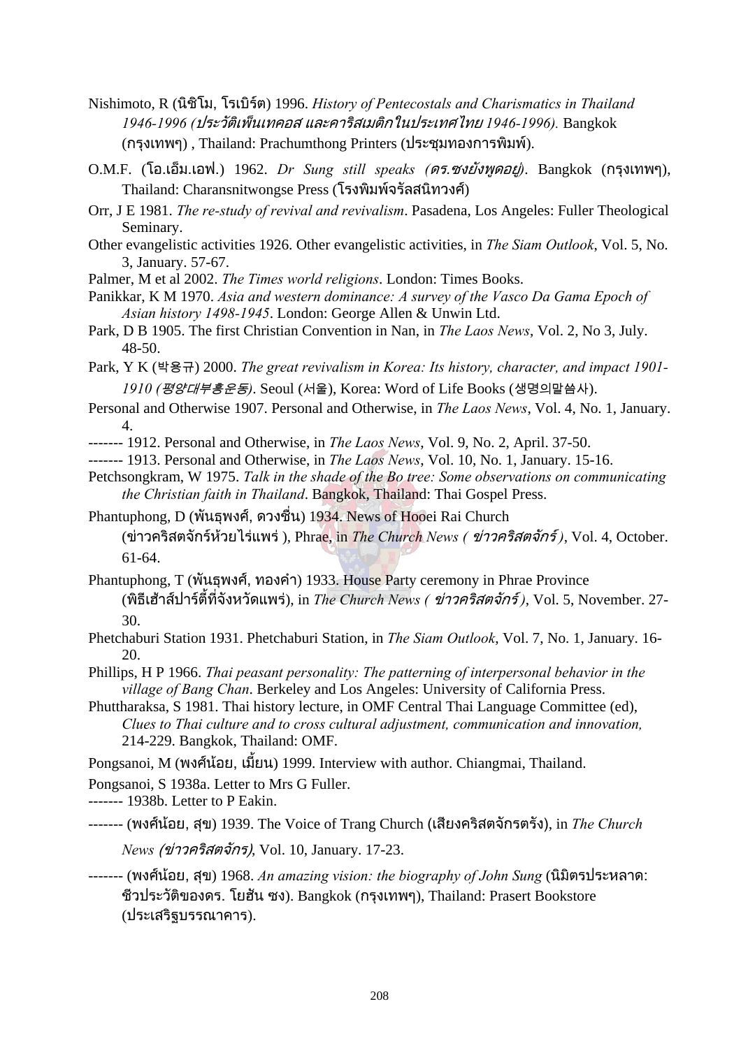- Nishimoto, R (นิชิโม, โรเบิรต) 1996. *History of Pentecostals and Charismatics in Thailand 1946-1996 (*ประวัติเพ็นเทคอส และคาริสเมติกในประเทศไทย *1946-1996).* Bangkok (กรุงเทพๆ) , Thailand: Prachumthong Printers (ประชุมทองการพิมพ).
- O.M.F. (โอ.เอ็ม.เอฟ.) 1962. *Dr Sung still speaks (*ดร.ซงยังพูดอยู*)*. Bangkok (กรุงเทพๆ), Thailand: Charansnitwongse Press (โรงพิมพจรัลสนิทวงศ)
- Orr, J E 1981. *The re-study of revival and revivalism*. Pasadena, Los Angeles: Fuller Theological Seminary.
- Other evangelistic activities 1926. Other evangelistic activities, in *The Siam Outlook*, Vol. 5, No. 3, January. 57-67.
- Palmer, M et al 2002. *The Times world religions*. London: Times Books.
- Panikkar, K M 1970. *Asia and western dominance: A survey of the Vasco Da Gama Epoch of Asian history 1498-1945*. London: George Allen & Unwin Ltd.
- Park, D B 1905. The first Christian Convention in Nan, in *The Laos News*, Vol. 2, No 3, July. 48-50.
- Park, Y K (박용규) 2000. *The great revivalism in Korea: Its history, character, and impact 1901- 1910 (*평양대부흥운동*)*. Seoul (서울), Korea: Word of Life Books (생명의말씀사).
- Personal and Otherwise 1907. Personal and Otherwise, in *The Laos News*, Vol. 4, No. 1, January. 4.
- ------- 1912. Personal and Otherwise, in *The Laos News*, Vol. 9, No. 2, April. 37-50.
- ------- 1913. Personal and Otherwise, in *The Laos News*, Vol. 10, No. 1, January. 15-16.
- Petchsongkram, W 1975. *Talk in the shade of the Bo tree: Some observations on communicating the Christian faith in Thailand*. Bangkok, Thailand: Thai Gospel Press.
- Phantuphong, D (พันธุพงศ, ดวงชื่น) 1934. News of Hooei Rai Church (ขาวคริสตจกรั หวยไรแพร ), Phrae, in *The Church News (* ขาวคร ิสตจักร *)*, Vol. 4, October. 61-64.
- Phantuphong, T (พันธุพงศ, ทองคํา) 1933. House Party ceremony in Phrae Province (พิธีเฮาสปารตี้ที่จังหวัดแพร), in *The Church News (* ขาวครสตจ ิ ักร *)*, Vol. 5, November. 27- 30.
- Phetchaburi Station 1931. Phetchaburi Station, in *The Siam Outlook*, Vol. 7, No. 1, January. 16- 20.
- Phillips, H P 1966. *Thai peasant personality: The patterning of interpersonal behavior in the village of Bang Chan*. Berkeley and Los Angeles: University of California Press.
- Phuttharaksa, S 1981. Thai history lecture, in OMF Central Thai Language Committee (ed), *Clues to Thai culture and to cross cultural adjustment, communication and innovation,*  214-229. Bangkok, Thailand: OMF.
- Pongsanoi, M (พงศ์น้อย, เมียน) 1999. Interview with author. Chiangmai, Thailand.
- Pongsanoi, S 1938a. Letter to Mrs G Fuller.
- ------- 1938b. Letter to P Eakin.
- ------- (พงศนอย, สุข) 1939. The Voice of Trang Church (เสียงคริสตจักรตรัง), in *The Church* 
	- *News* (ขาวคริสตจักร), Vol. 10, January. 17-23.
- ------- (พงศนอย, สุข) 1968. *An amazing vision: the biography of John Sung* (นิมิตรประหลาด: ชีวประวัติของดร. โยฮัน ซง). Bangkok (กรุงเทพๆ), Thailand: Prasert Bookstore (ประเสริฐบรรณาคาร).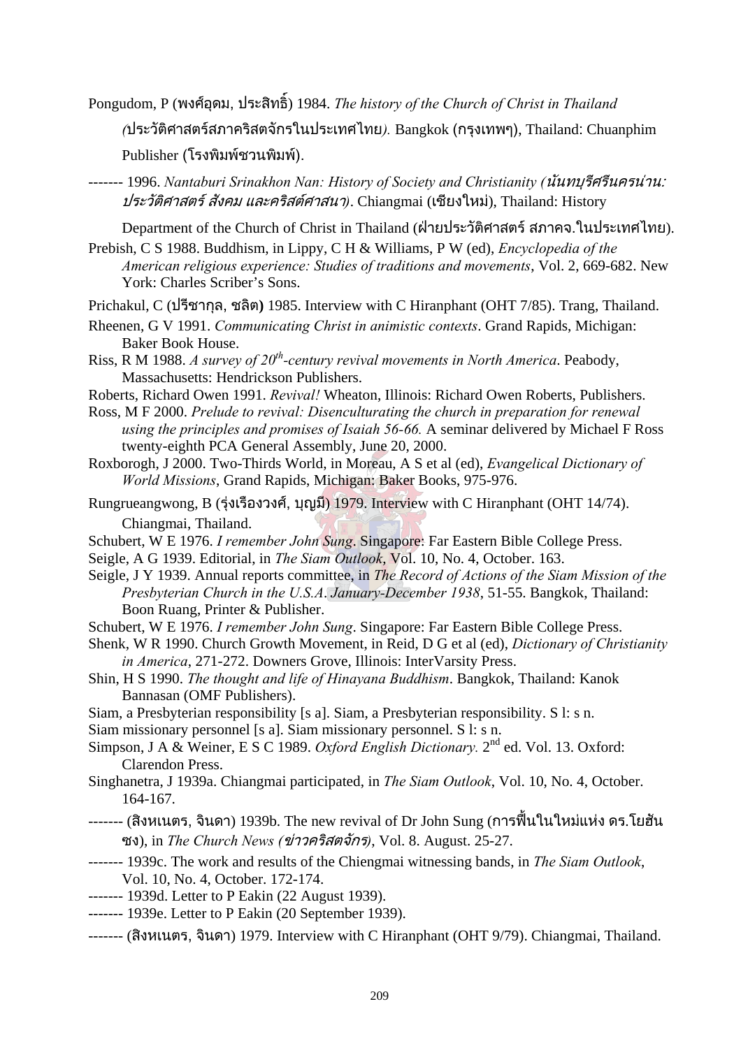Pongudom, P (พงศอุดม, ประสิทธ ิ์) 1984. *The history of the Church of Christ in Thailand* 

*(*ประวัติศาสตรสภาคริสตจักรในประเทศไทย*).* Bangkok (กรุงเทพๆ), Thailand: Chuanphim

```
Publisher (โรงพิมพ์ชวนพิมพ์).
```
------- 1996. *Nantaburi Srinakhon Nan: History of Society and Christianity (*นันทบุรีศรีนครนาน: ประวัติศาสตร สังคม และคริสตศาสนา*)*. Chiangmai (เชียงใหม), Thailand: History

Department of the Church of Christ in Thailand (ฝายประวัติศาสตร สภาคจ.ในประเทศไทย).

- Prebish, C S 1988. Buddhism, in Lippy, C H & Williams, P W (ed), *Encyclopedia of the American religious experience: Studies of traditions and movements*, Vol. 2, 669-682. New York: Charles Scriber's Sons.
- Prichakul, C (ปรีชากุล, ชลิต**)** 1985. Interview with C Hiranphant (OHT 7/85). Trang, Thailand.
- Rheenen, G V 1991. *Communicating Christ in animistic contexts*. Grand Rapids, Michigan: Baker Book House.
- Riss, R M 1988. *A survey of 20<sup>th</sup>-century revival movements in North America*. Peabody, Massachusetts: Hendrickson Publishers.
- Roberts, Richard Owen 1991. *Revival!* Wheaton, Illinois: Richard Owen Roberts, Publishers.
- Ross, M F 2000. *Prelude to revival: Disenculturating the church in preparation for renewal using the principles and promises of Isaiah 56-66.* A seminar delivered by Michael F Ross twenty-eighth PCA General Assembly, June 20, 2000.
- Roxborogh, J 2000. Two-Thirds World, in Moreau, A S et al (ed), *Evangelical Dictionary of World Missions*, Grand Rapids, Michigan: Baker Books, 975-976.
- Rungrueangwong, B (รุงเรืองวงศ, บุญมี) 1979. Interview with C Hiranphant (OHT 14/74). Chiangmai, Thailand.
- Schubert, W E 1976. *I remember John Sung*. Singapore: Far Eastern Bible College Press.
- Seigle, A G 1939. Editorial, in *The Siam Outlook*, Vol. 10, No. 4, October. 163.
- Seigle, J Y 1939. Annual reports committee, in *The Record of Actions of the Siam Mission of the Presbyterian Church in the U.S.A*. *January-December 1938*, 51-55. Bangkok, Thailand: Boon Ruang, Printer & Publisher.
- Schubert, W E 1976. *I remember John Sung*. Singapore: Far Eastern Bible College Press.
- Shenk, W R 1990. Church Growth Movement, in Reid, D G et al (ed), *Dictionary of Christianity in America*, 271-272. Downers Grove, Illinois: InterVarsity Press.
- Shin, H S 1990. *The thought and life of Hinayana Buddhism*. Bangkok, Thailand: Kanok Bannasan (OMF Publishers).
- Siam, a Presbyterian responsibility [s a]. Siam, a Presbyterian responsibility. S l: s n.
- Siam missionary personnel [s a]. Siam missionary personnel. S l: s n.
- Simpson, J A & Weiner, E S C 1989. *Oxford English Dictionary*. 2<sup>nd</sup> ed. Vol. 13. Oxford: Clarendon Press.
- Singhanetra, J 1939a. Chiangmai participated, in *The Siam Outlook*, Vol. 10, No. 4, October. 164-167.
- ------- (สิงหเนตร, จินดา) 1939b. The new revival of Dr John Sung (การฟนในใหมแหง ดร.โยฮัน ซง), in *The Church News (*ขาวคริสตจักร*)*, Vol. 8. August. 25-27.
- ------- 1939c. The work and results of the Chiengmai witnessing bands, in *The Siam Outlook*, Vol. 10, No. 4, October. 172-174.
- ------- 1939d. Letter to P Eakin (22 August 1939).
- ------- 1939e. Letter to P Eakin (20 September 1939).
- ------- (สิงหเนตร, จินดา) 1979. Interview with C Hiranphant (OHT 9/79). Chiangmai, Thailand.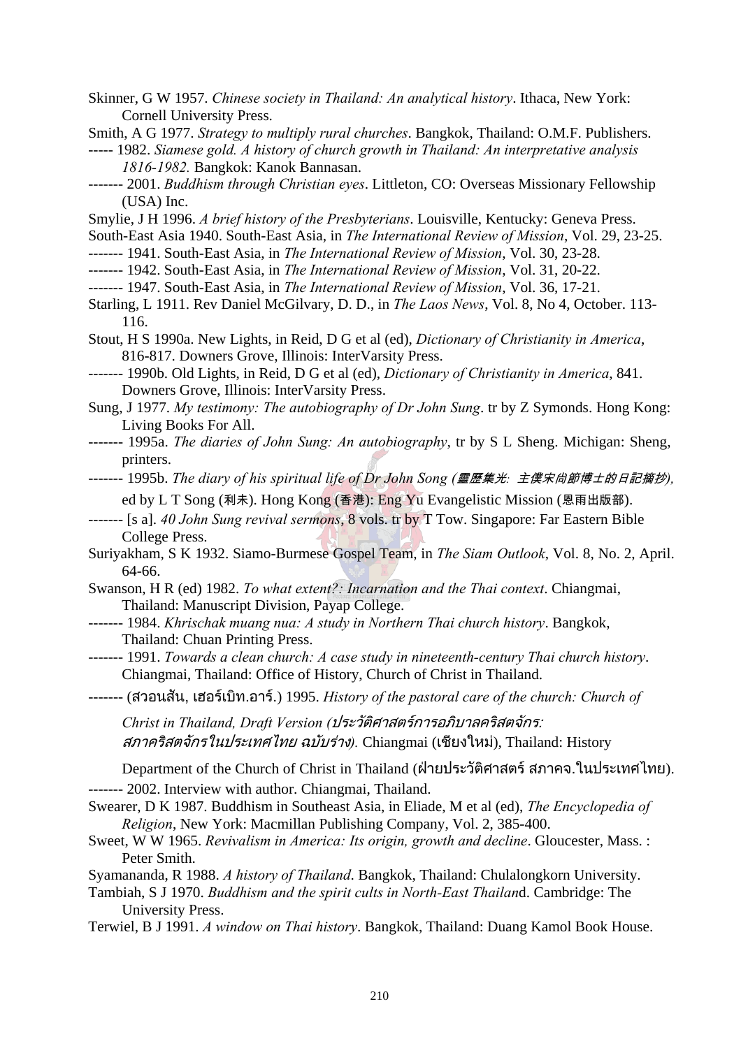Skinner, G W 1957. *Chinese society in Thailand: An analytical history*. Ithaca, New York: Cornell University Press.

Smith, A G 1977. *Strategy to multiply rural churches*. Bangkok, Thailand: O.M.F. Publishers.

- ----- 1982. *Siamese gold. A history of church growth in Thailand: An interpretative analysis 1816-1982.* Bangkok: Kanok Bannasan.
- ------- 2001. *Buddhism through Christian eyes*. Littleton, CO: Overseas Missionary Fellowship (USA) Inc.
- Smylie, J H 1996. *A brief history of the Presbyterians*. Louisville, Kentucky: Geneva Press.
- South-East Asia 1940. South-East Asia, in *The International Review of Mission*, Vol. 29, 23-25.
- ------- 1941. South-East Asia, in *The International Review of Mission*, Vol. 30, 23-28.
- ------- 1942. South-East Asia, in *The International Review of Mission*, Vol. 31, 20-22.
- ------- 1947. South-East Asia, in *The International Review of Mission*, Vol. 36, 17-21.
- Starling, L 1911. Rev Daniel McGilvary, D. D., in *The Laos News*, Vol. 8, No 4, October. 113- 116.
- Stout, H S 1990a. New Lights, in Reid, D G et al (ed), *Dictionary of Christianity in America*, 816-817. Downers Grove, Illinois: InterVarsity Press.
- ------- 1990b. Old Lights, in Reid, D G et al (ed), *Dictionary of Christianity in America*, 841. Downers Grove, Illinois: InterVarsity Press.
- Sung, J 1977. *My testimony: The autobiography of Dr John Sung*. tr by Z Symonds. Hong Kong: Living Books For All.
- ------- 1995a. *The diaries of John Sung: An autobiography*, tr by S L Sheng. Michigan: Sheng, printers.
- ------- 1995b. *The diary of his spiritual life of Dr John Song (*靈歷集光*:* 主僕宋尙節博士的日記摘抄*),*  ed by L T Song (利未). Hong Kong (香港): Eng Yu Evangelistic Mission (恩雨出版部).
- ------- [s a]. *40 John Sung revival sermons*, 8 vols. tr by T Tow. Singapore: Far Eastern Bible College Press.
- Suriyakham, S K 1932. Siamo-Burmese Gospel Team, in *The Siam Outlook*, Vol. 8, No. 2, April. 64-66.
- Swanson, H R (ed) 1982. *To what extent?: Incarnation and the Thai context*. Chiangmai, Thailand: Manuscript Division, Payap College.
- ------- 1984. *Khrischak muang nua: A study in Northern Thai church history*. Bangkok, Thailand: Chuan Printing Press.
- ------- 1991. *Towards a clean church: A case study in nineteenth-century Thai church history*. Chiangmai, Thailand: Office of History, Church of Christ in Thailand.
- ------- (สวอนสัน, เฮอรเบิท.อาร.) 1995. *History of the pastoral care of the church: Church of*

*Christ in Thailand, Draft Version (*ประวัติศาสตรการอภิบาลคริสตจักร: *สภาคริสตจักรในประเทศไทย ฉบับร่าง*). Chiangmai (เชียงใหม่), Thailand: History

Department of the Church of Christ in Thailand (ฝายประวัติศาสตร สภาคจ.ในประเทศไทย). ------- 2002. Interview with author. Chiangmai, Thailand.

- Swearer, D K 1987. Buddhism in Southeast Asia, in Eliade, M et al (ed), *The Encyclopedia of Religion*, New York: Macmillan Publishing Company, Vol. 2, 385-400.
- Sweet, W W 1965. *Revivalism in America: Its origin, growth and decline*. Gloucester, Mass. : Peter Smith.
- Syamananda, R 1988. *A history of Thailand*. Bangkok, Thailand: Chulalongkorn University.
- Tambiah, S J 1970. *Buddhism and the spirit cults in North-East Thailan*d. Cambridge: The University Press.
- Terwiel, B J 1991. *A window on Thai history*. Bangkok, Thailand: Duang Kamol Book House.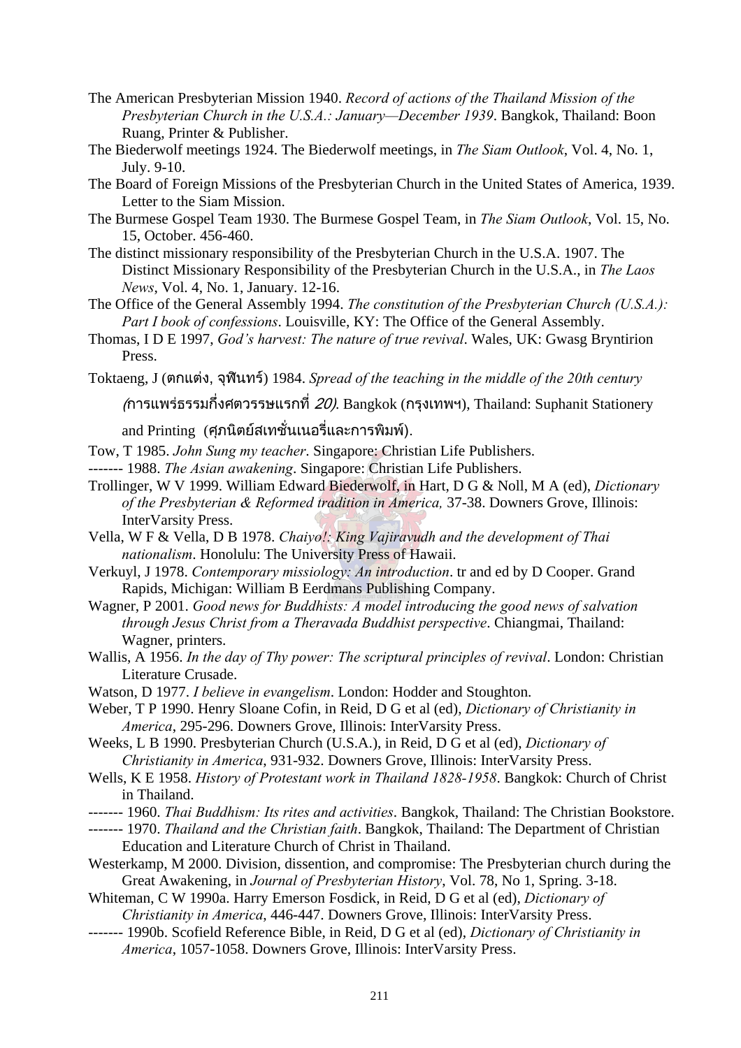- The American Presbyterian Mission 1940. *Record of actions of the Thailand Mission of the Presbyterian Church in the U.S.A.: January—December 1939*. Bangkok, Thailand: Boon Ruang, Printer & Publisher.
- The Biederwolf meetings 1924. The Biederwolf meetings, in *The Siam Outlook*, Vol. 4, No. 1, July. 9-10.
- The Board of Foreign Missions of the Presbyterian Church in the United States of America, 1939. Letter to the Siam Mission.
- The Burmese Gospel Team 1930. The Burmese Gospel Team, in *The Siam Outlook*, Vol. 15, No. 15, October. 456-460.
- The distinct missionary responsibility of the Presbyterian Church in the U.S.A. 1907. The Distinct Missionary Responsibility of the Presbyterian Church in the U.S.A., in *The Laos News*, Vol. 4, No. 1, January. 12-16.
- The Office of the General Assembly 1994. *The constitution of the Presbyterian Church (U.S.A.): Part I book of confessions*. Louisville, KY: The Office of the General Assembly.
- Thomas, I D E 1997, *God's harvest: The nature of true revival*. Wales, UK: Gwasg Bryntirion Press.
- Toktaeng, J (ตกแตง, จุฬินทร) 1984. *Spread of the teaching in the middle of the 20th century*

(การแพรธรรมกึ่งศตวรรษแรกที่ 20). Bangkok (กรุงเทพฯ), Thailand: Suphanit Stationery

and Printing (ศุภนิตยสเทชั่ นเนอร และการพิมพ). ี่

- Tow, T 1985. *John Sung my teacher*. Singapore: Christian Life Publishers.
- ------- 1988. *The Asian awakening*. Singapore: Christian Life Publishers.
- Trollinger, W V 1999. William Edward Biederwolf, in Hart, D G & Noll, M A (ed), *Dictionary of the Presbyterian & Reformed tradition in America,* 37-38. Downers Grove, Illinois: InterVarsity Press.
- Vella, W F & Vella, D B 1978. *Chaiyo!: King Vajiravudh and the development of Thai nationalism*. Honolulu: The University Press of Hawaii.
- Verkuyl, J 1978. *Contemporary missiology: An introduction*. tr and ed by D Cooper. Grand Rapids, Michigan: William B Eerdmans Publishing Company.
- Wagner, P 2001. *Good news for Buddhists: A model introducing the good news of salvation through Jesus Christ from a Theravada Buddhist perspective*. Chiangmai, Thailand: Wagner, printers.
- Wallis, A 1956. *In the day of Thy power: The scriptural principles of revival*. London: Christian Literature Crusade.
- Watson, D 1977. *I believe in evangelism*. London: Hodder and Stoughton.
- Weber, T P 1990. Henry Sloane Cofin, in Reid, D G et al (ed), *Dictionary of Christianity in America*, 295-296. Downers Grove, Illinois: InterVarsity Press.
- Weeks, L B 1990. Presbyterian Church (U.S.A.), in Reid, D G et al (ed), *Dictionary of Christianity in America*, 931-932. Downers Grove, Illinois: InterVarsity Press.
- Wells, K E 1958. *History of Protestant work in Thailand 1828-1958*. Bangkok: Church of Christ in Thailand.
- ------- 1960. *Thai Buddhism: Its rites and activities*. Bangkok, Thailand: The Christian Bookstore.
- ------- 1970. *Thailand and the Christian faith*. Bangkok, Thailand: The Department of Christian Education and Literature Church of Christ in Thailand.
- Westerkamp, M 2000. Division, dissention, and compromise: The Presbyterian church during the Great Awakening, in *Journal of Presbyterian History*, Vol. 78, No 1, Spring. 3-18.
- Whiteman, C W 1990a. Harry Emerson Fosdick, in Reid, D G et al (ed), *Dictionary of Christianity in America*, 446-447. Downers Grove, Illinois: InterVarsity Press.
- ------- 1990b. Scofield Reference Bible, in Reid, D G et al (ed), *Dictionary of Christianity in America*, 1057-1058. Downers Grove, Illinois: InterVarsity Press.